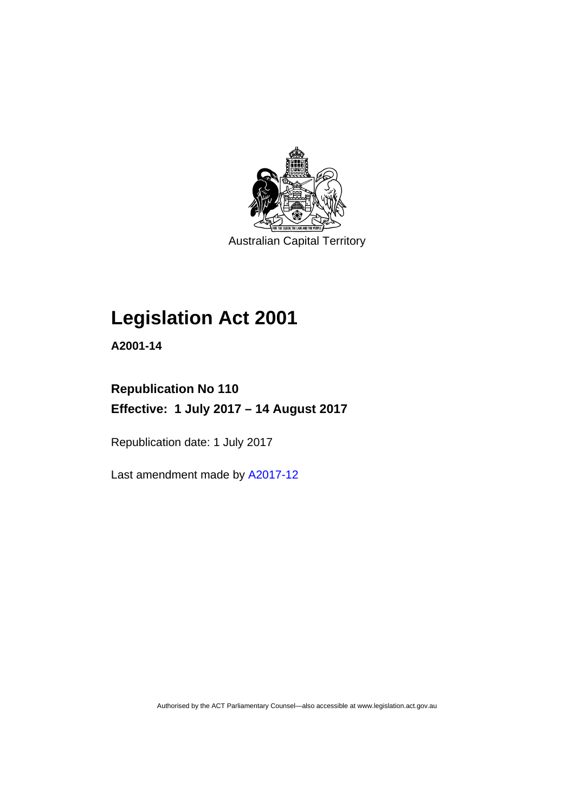

Australian Capital Territory

# **Legislation Act 2001**

**A2001-14** 

## **Republication No 110 Effective: 1 July 2017 – 14 August 2017**

Republication date: 1 July 2017

Last amendment made by [A2017-12](http://www.legislation.act.gov.au/a/2017-12/default.asp)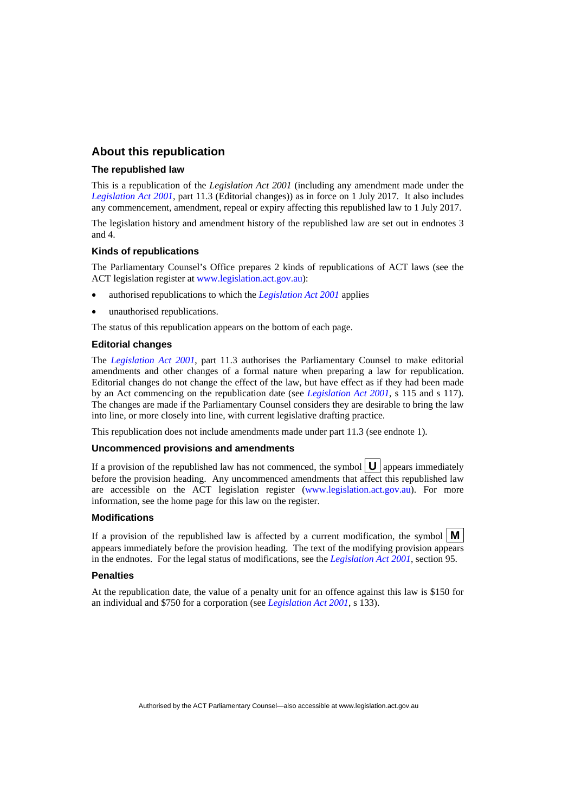## **About this republication**

#### **The republished law**

This is a republication of the *Legislation Act 2001* (including any amendment made under the *[Legislation Act 2001](http://www.legislation.act.gov.au/a/2001-14)*, part 11.3 (Editorial changes)) as in force on 1 July 2017*.* It also includes any commencement, amendment, repeal or expiry affecting this republished law to 1 July 2017.

The legislation history and amendment history of the republished law are set out in endnotes 3 and 4.

#### **Kinds of republications**

The Parliamentary Counsel's Office prepares 2 kinds of republications of ACT laws (see the ACT legislation register at [www.legislation.act.gov.au](http://www.legislation.act.gov.au/)):

- authorised republications to which the *[Legislation Act 2001](http://www.legislation.act.gov.au/a/2001-14)* applies
- unauthorised republications.

The status of this republication appears on the bottom of each page.

#### **Editorial changes**

The *[Legislation Act 2001](http://www.legislation.act.gov.au/a/2001-14)*, part 11.3 authorises the Parliamentary Counsel to make editorial amendments and other changes of a formal nature when preparing a law for republication. Editorial changes do not change the effect of the law, but have effect as if they had been made by an Act commencing on the republication date (see *[Legislation Act 2001](http://www.legislation.act.gov.au/a/2001-14)*, s 115 and s 117). The changes are made if the Parliamentary Counsel considers they are desirable to bring the law into line, or more closely into line, with current legislative drafting practice.

This republication does not include amendments made under part 11.3 (see endnote 1).

#### **Uncommenced provisions and amendments**

If a provision of the republished law has not commenced, the symbol  $\mathbf{U}$  appears immediately before the provision heading. Any uncommenced amendments that affect this republished law are accessible on the ACT legislation register [\(www.legislation.act.gov.au](http://www.legislation.act.gov.au/)). For more information, see the home page for this law on the register.

#### **Modifications**

If a provision of the republished law is affected by a current modification, the symbol  $\mathbf{M}$ appears immediately before the provision heading. The text of the modifying provision appears in the endnotes. For the legal status of modifications, see the *[Legislation Act 2001](http://www.legislation.act.gov.au/a/2001-14)*, section 95.

#### **Penalties**

At the republication date, the value of a penalty unit for an offence against this law is \$150 for an individual and \$750 for a corporation (see *[Legislation Act 2001](http://www.legislation.act.gov.au/a/2001-14)*, s 133).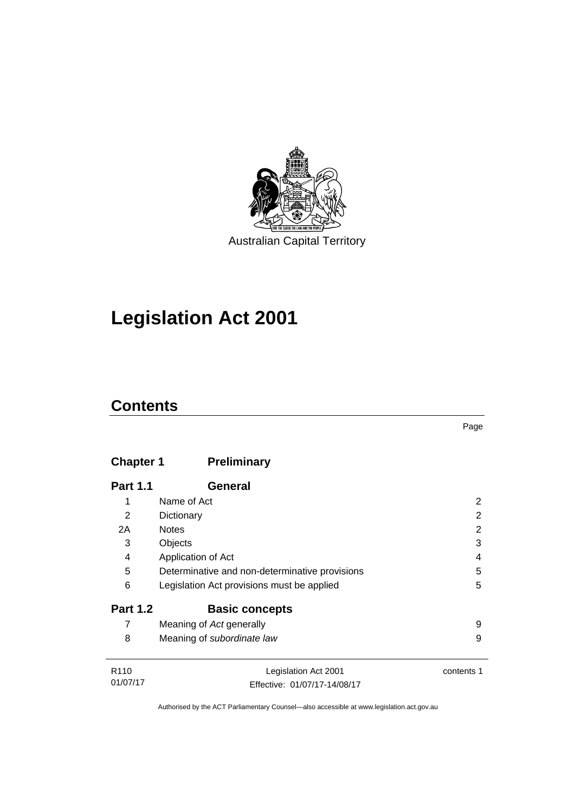

# **Legislation Act 2001**

## **Contents**

## **Chapter 1 [Preliminary](#page-17-0)**

| <b>Part 1.1</b>  | General                                        |            |
|------------------|------------------------------------------------|------------|
| 1                | Name of Act                                    | 2          |
| $\overline{2}$   | Dictionary                                     | 2          |
| 2A               | <b>Notes</b>                                   | 2          |
| 3                | Objects                                        | 3          |
| 4                | Application of Act                             | 4          |
| 5                | Determinative and non-determinative provisions | 5          |
| 6                | Legislation Act provisions must be applied     | 5          |
| <b>Part 1.2</b>  | <b>Basic concepts</b>                          |            |
| 7                | Meaning of Act generally                       | 9          |
| 8                | Meaning of subordinate law                     | 9          |
|                  |                                                |            |
| R <sub>110</sub> | Legislation Act 2001                           | contents 1 |

01/07/17 Effective: 01/07/17-14/08/17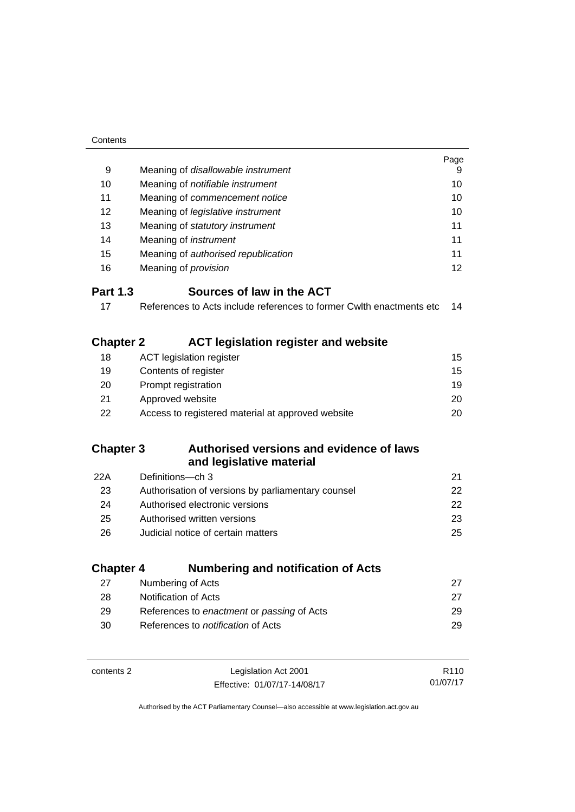| Contents               |                                                                       |          |
|------------------------|-----------------------------------------------------------------------|----------|
|                        |                                                                       | Page     |
| 9                      | Meaning of disallowable instrument                                    | 9        |
| 10                     | Meaning of notifiable instrument                                      | 10       |
| 11                     | Meaning of commencement notice                                        |          |
| 12                     | Meaning of legislative instrument                                     | 10       |
| 13                     | Meaning of statutory instrument                                       | 11       |
| 14                     | Meaning of instrument                                                 | 11       |
| 15                     | Meaning of authorised republication                                   | 11       |
| 16                     | Meaning of <i>provision</i>                                           | 12       |
| <b>Part 1.3</b>        | Sources of law in the ACT                                             |          |
| 17                     | References to Acts include references to former Cwith enactments etc. | 14       |
|                        | <b>ACT legislation register and website</b>                           |          |
| <b>Chapter 2</b><br>18 | <b>ACT legislation register</b>                                       | 15       |
| 19                     |                                                                       | 15       |
| 20                     | Contents of register                                                  | 19       |
| 21                     | Prompt registration<br>Approved website                               | 20       |
| 22                     | Access to registered material at approved website                     | 20       |
|                        |                                                                       |          |
| <b>Chapter 3</b>       | Authorised versions and evidence of laws                              |          |
|                        | and legislative material                                              |          |
| 22A                    | Definitions-ch 3                                                      | 21       |
| 23                     | Authorisation of versions by parliamentary counsel                    | 22       |
| 24                     | Authorised electronic versions                                        | 22       |
| 25                     | Authorised written versions                                           | 23       |
| 26                     | Judicial notice of certain matters                                    | 25       |
| <b>Chapter 4</b>       | <b>Numbering and notification of Acts</b>                             |          |
| 27                     | Numbering of Acts                                                     | 27       |
| 28                     | Notification of Acts                                                  | 27       |
| 29                     | References to enactment or passing of Acts                            | 29       |
| 30                     | References to <i>notification</i> of Acts                             | 29       |
|                        |                                                                       |          |
| contents 2             | Legislation Act 2001                                                  | R110     |
|                        | Effective: 01/07/17-14/08/17                                          | 01/07/17 |

Effective: 01/07/17-14/08/17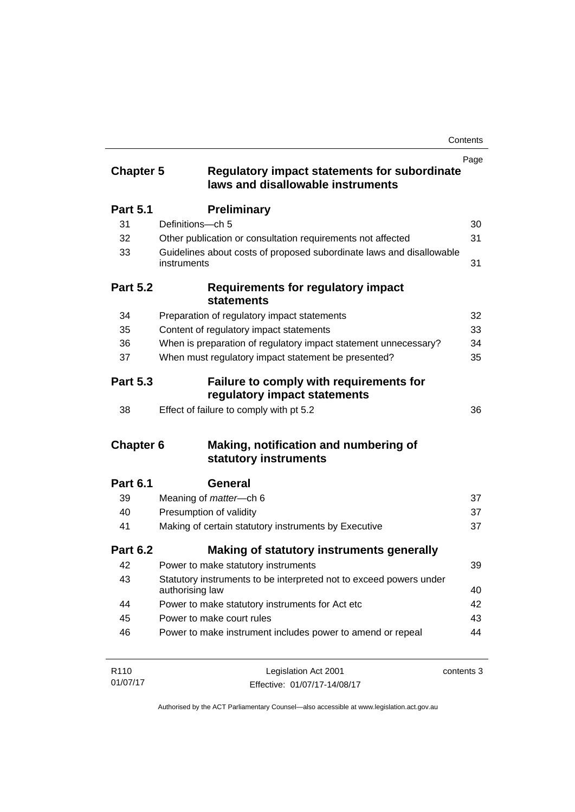| <b>Chapter 5</b> | <b>Regulatory impact statements for subordinate</b><br>laws and disallowable instruments | Page       |
|------------------|------------------------------------------------------------------------------------------|------------|
| <b>Part 5.1</b>  | <b>Preliminary</b>                                                                       |            |
| 31               | Definitions-ch 5                                                                         | 30         |
| 32               | Other publication or consultation requirements not affected                              | 31         |
| 33               | Guidelines about costs of proposed subordinate laws and disallowable<br>instruments      | 31         |
| <b>Part 5.2</b>  | <b>Requirements for regulatory impact</b><br><b>statements</b>                           |            |
| 34               | Preparation of regulatory impact statements                                              | 32         |
| 35               | Content of regulatory impact statements                                                  | 33         |
| 36               | When is preparation of regulatory impact statement unnecessary?                          | 34         |
| 37               | When must regulatory impact statement be presented?                                      | 35         |
| <b>Part 5.3</b>  | Failure to comply with requirements for<br>regulatory impact statements                  |            |
| 38               | Effect of failure to comply with pt 5.2                                                  | 36         |
| <b>Chapter 6</b> | Making, notification and numbering of<br>statutory instruments                           |            |
| <b>Part 6.1</b>  | General                                                                                  |            |
| 39               | Meaning of <i>matter</i> -ch 6                                                           | 37         |
| 40               | Presumption of validity                                                                  | 37         |
| 41               | Making of certain statutory instruments by Executive                                     | 37         |
| <b>Part 6.2</b>  | Making of statutory instruments generally                                                |            |
| 42               | Power to make statutory instruments                                                      | 39         |
| 43               | Statutory instruments to be interpreted not to exceed powers under<br>authorising law    | 40         |
| 44               | Power to make statutory instruments for Act etc                                          | 42         |
| 45               | Power to make court rules                                                                | 43         |
| 46               | Power to make instrument includes power to amend or repeal                               | 44         |
| R <sub>110</sub> | Legislation Act 2001                                                                     | contents 3 |

01/07/17 Effective: 01/07/17-14/08/17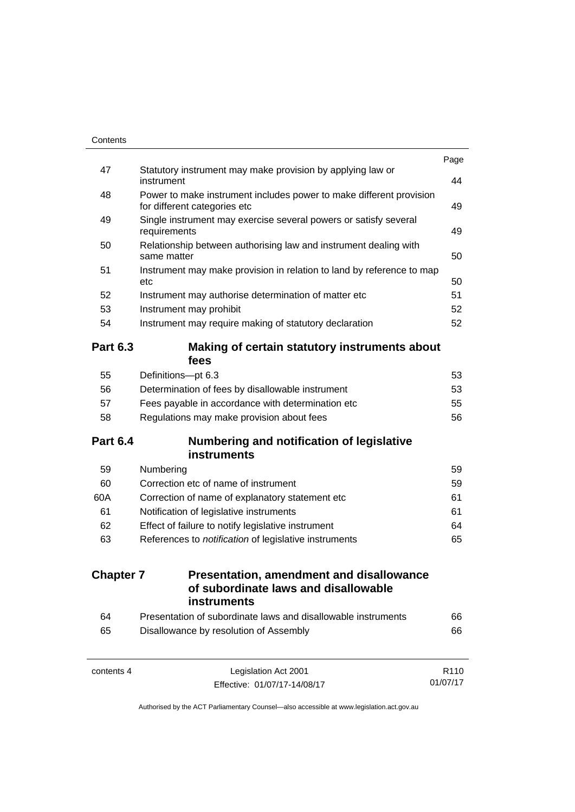| Contents         |                                                                                                             |                  |
|------------------|-------------------------------------------------------------------------------------------------------------|------------------|
| 47               | Statutory instrument may make provision by applying law or                                                  | Page             |
|                  | instrument                                                                                                  | 44               |
| 48               | Power to make instrument includes power to make different provision                                         |                  |
|                  | for different categories etc                                                                                | 49               |
| 49               | Single instrument may exercise several powers or satisfy several<br>requirements                            | 49               |
| 50               | Relationship between authorising law and instrument dealing with<br>same matter                             | 50               |
| 51               | Instrument may make provision in relation to land by reference to map                                       |                  |
|                  | etc                                                                                                         | 50               |
| 52               | Instrument may authorise determination of matter etc                                                        | 51               |
| 53               | Instrument may prohibit                                                                                     | 52               |
| 54               | Instrument may require making of statutory declaration                                                      | 52               |
| <b>Part 6.3</b>  | Making of certain statutory instruments about<br>fees                                                       |                  |
| 55               | Definitions-pt 6.3                                                                                          | 53               |
| 56               | Determination of fees by disallowable instrument                                                            | 53               |
| 57               | Fees payable in accordance with determination etc                                                           | 55               |
| 58               | Regulations may make provision about fees                                                                   | 56               |
| <b>Part 6.4</b>  | <b>Numbering and notification of legislative</b><br><b>instruments</b>                                      |                  |
|                  |                                                                                                             |                  |
| 59<br>60         | Numbering<br>Correction etc of name of instrument                                                           | 59<br>59         |
| 60A              |                                                                                                             | 61               |
| 61               | Correction of name of explanatory statement etc<br>Notification of legislative instruments                  | 61               |
| 62               |                                                                                                             | 64               |
| 63               | Effect of failure to notify legislative instrument<br>References to notification of legislative instruments |                  |
|                  |                                                                                                             |                  |
| <b>Chapter 7</b> | <b>Presentation, amendment and disallowance</b><br>of subordinate laws and disallowable                     |                  |
|                  | <b>instruments</b>                                                                                          |                  |
| 64               | Presentation of subordinate laws and disallowable instruments                                               | 66               |
| 65               | Disallowance by resolution of Assembly                                                                      | 66               |
| contents 4       | Legislation Act 2001                                                                                        | R <sub>110</sub> |

01/07/17

Effective: 01/07/17-14/08/17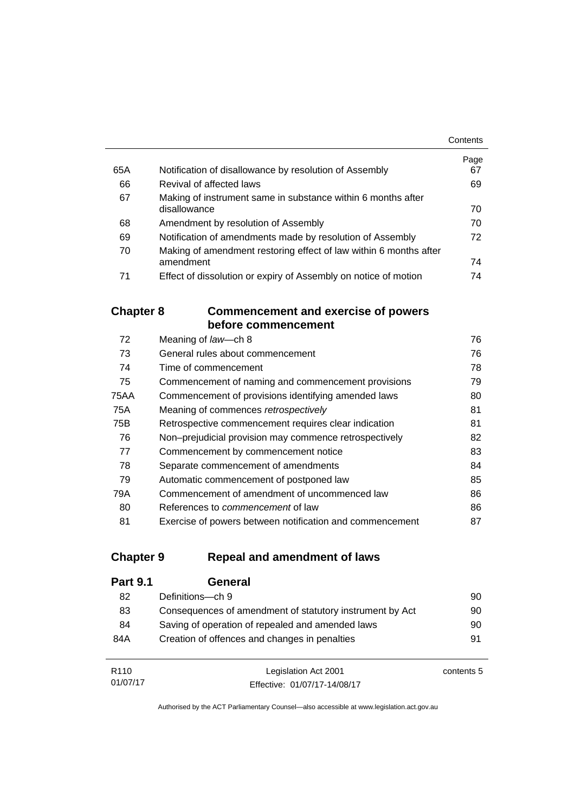|     |                                                                   | Contents |
|-----|-------------------------------------------------------------------|----------|
|     |                                                                   | Page     |
| 65A | Notification of disallowance by resolution of Assembly            | 67       |
| 66  | Revival of affected laws                                          | 69       |
| 67  | Making of instrument same in substance within 6 months after      |          |
|     | disallowance                                                      | 70       |
| 68  | Amendment by resolution of Assembly                               | 70       |
| 69  | Notification of amendments made by resolution of Assembly         | 72       |
| 70  | Making of amendment restoring effect of law within 6 months after |          |
|     | amendment                                                         | 74       |
| 71  | Effect of dissolution or expiry of Assembly on notice of motion   | 74       |

## **Chapter 8 [Commencement and exercise of powers](#page-91-0)  [before commencement](#page-91-0)**

| 72   | Meaning of law-ch 8                                      | 76 |
|------|----------------------------------------------------------|----|
| 73   | General rules about commencement                         | 76 |
| 74   | Time of commencement                                     | 78 |
| 75   | Commencement of naming and commencement provisions       | 79 |
| 75AA | Commencement of provisions identifying amended laws      | 80 |
| 75A  | Meaning of commences retrospectively                     | 81 |
| 75B  | Retrospective commencement requires clear indication     | 81 |
| 76   | Non-prejudicial provision may commence retrospectively   | 82 |
| 77   | Commencement by commencement notice                      | 83 |
| 78   | Separate commencement of amendments                      | 84 |
| 79   | Automatic commencement of postponed law                  | 85 |
| 79A  | Commencement of amendment of uncommenced law             | 86 |
| 80   | References to <i>commencement</i> of law                 | 86 |
| 81   | Exercise of powers between notification and commencement | 87 |

## **Chapter 9 [Repeal and amendment of laws](#page-105-0)**

01/07/17

| <b>Part 9.1</b>  | General                                                  |            |
|------------------|----------------------------------------------------------|------------|
| 82               | Definitions—ch 9                                         | 90         |
| 83               | Consequences of amendment of statutory instrument by Act | 90         |
| 84               | Saving of operation of repealed and amended laws         | 90         |
| 84A              | Creation of offences and changes in penalties            | 91         |
|                  |                                                          |            |
| R <sub>110</sub> | Legislation Act 2001                                     | contents 5 |

Authorised by the ACT Parliamentary Counsel—also accessible at www.legislation.act.gov.au

Effective: 01/07/17-14/08/17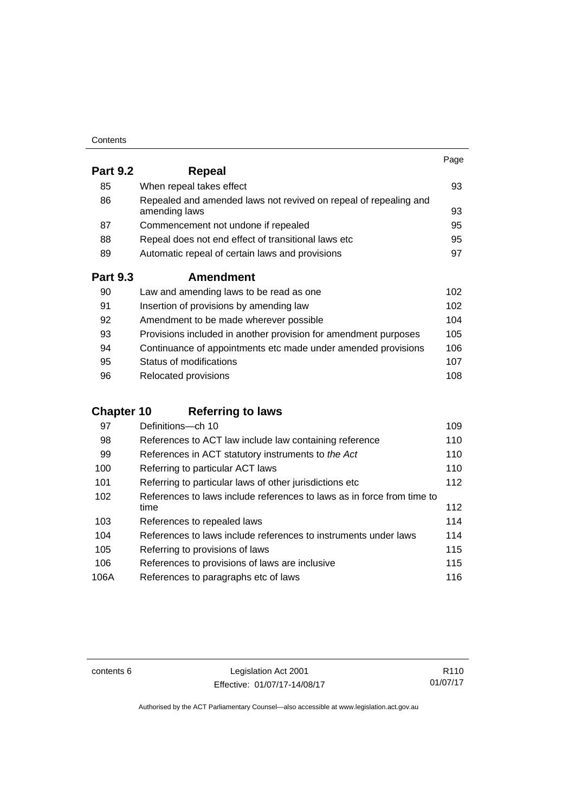| Contents |
|----------|
|----------|

|                 |                                                                                   | Page |
|-----------------|-----------------------------------------------------------------------------------|------|
| <b>Part 9.2</b> | <b>Repeal</b>                                                                     |      |
| 85              | When repeal takes effect                                                          | 93   |
| 86              | Repealed and amended laws not revived on repeal of repealing and<br>amending laws | 93   |
| 87              | Commencement not undone if repealed                                               | 95   |
| 88              | Repeal does not end effect of transitional laws etc                               | 95   |
| 89              | Automatic repeal of certain laws and provisions                                   | 97   |
| <b>Part 9.3</b> | <b>Amendment</b>                                                                  |      |
| 90              | Law and amending laws to be read as one                                           | 102  |
| 91              | Insertion of provisions by amending law                                           | 102  |
| 92              | Amendment to be made wherever possible                                            | 104  |
| 93              | Provisions included in another provision for amendment purposes                   | 105  |
| 94              | Continuance of appointments etc made under amended provisions                     | 106  |
| 95              | Status of modifications                                                           | 107  |

| -96 | Relocated provisions | 108 |
|-----|----------------------|-----|

## **Chapter 10 [Referring to laws](#page-124-0)**

| 97   | Definitions-ch 10                                                      | 109 |
|------|------------------------------------------------------------------------|-----|
| 98   | References to ACT law include law containing reference                 | 110 |
| 99   | References in ACT statutory instruments to the Act                     | 110 |
| 100  | Referring to particular ACT laws                                       | 110 |
| 101  | Referring to particular laws of other jurisdictions etc                | 112 |
| 102  | References to laws include references to laws as in force from time to |     |
|      | time                                                                   | 112 |
| 103  | References to repealed laws                                            | 114 |
| 104  | References to laws include references to instruments under laws        | 114 |
| 105  | Referring to provisions of laws                                        | 115 |
| 106  | References to provisions of laws are inclusive                         | 115 |
| 106A | References to paragraphs etc of laws                                   | 116 |

contents 6 Legislation Act 2001 Effective: 01/07/17-14/08/17

R110 01/07/17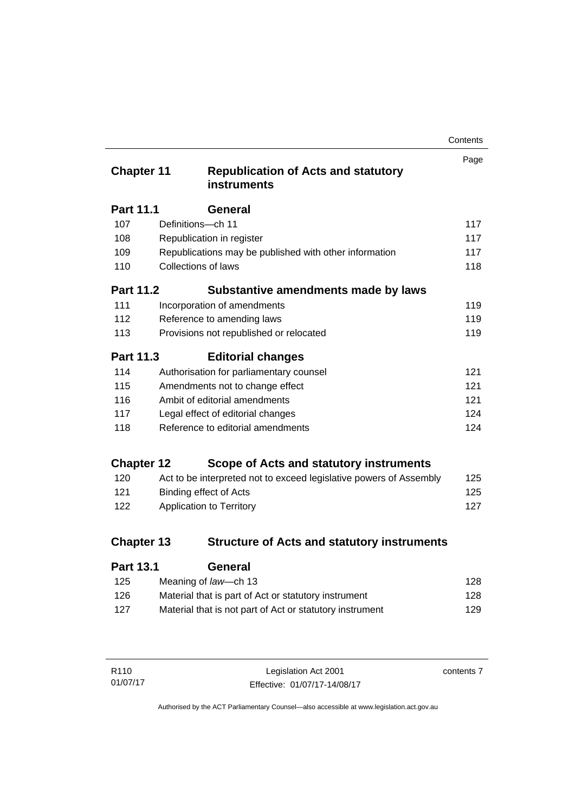| Contents |
|----------|
|----------|

| <b>Chapter 11</b> |                     | <b>Republication of Acts and statutory</b><br><b>instruments</b>   | Page |
|-------------------|---------------------|--------------------------------------------------------------------|------|
| <b>Part 11.1</b>  |                     | General                                                            |      |
| 107               | Definitions-ch 11   |                                                                    | 117  |
| 108               |                     | Republication in register                                          | 117  |
| 109               |                     | Republications may be published with other information             | 117  |
| 110               | Collections of laws |                                                                    | 118  |
| <b>Part 11.2</b>  |                     | Substantive amendments made by laws                                |      |
| 111               |                     | Incorporation of amendments                                        | 119  |
| 112               |                     | Reference to amending laws                                         | 119  |
| 113               |                     | Provisions not republished or relocated                            | 119  |
| <b>Part 11.3</b>  |                     | <b>Editorial changes</b>                                           |      |
| 114               |                     | Authorisation for parliamentary counsel                            | 121  |
| 115               |                     | Amendments not to change effect                                    | 121  |
| 116               |                     | Ambit of editorial amendments                                      | 121  |
| 117               |                     | Legal effect of editorial changes                                  | 124  |
| 118               |                     | Reference to editorial amendments                                  | 124  |
| <b>Chapter 12</b> |                     | Scope of Acts and statutory instruments                            |      |
| 120               |                     | Act to be interpreted not to exceed legislative powers of Assembly | 125  |
| 121               |                     | <b>Binding effect of Acts</b>                                      | 125  |
| 122               |                     | Application to Territory                                           | 127  |
| <b>Chapter 13</b> |                     | <b>Structure of Acts and statutory instruments</b>                 |      |
| <b>Part 13.1</b>  |                     | <b>General</b>                                                     |      |

| 125 | Meaning of law—ch 13                                     | 128 |
|-----|----------------------------------------------------------|-----|
| 126 | Material that is part of Act or statutory instrument     | 128 |
| 127 | Material that is not part of Act or statutory instrument | 129 |
|     |                                                          |     |

| R110     | Legislation Act 2001         | contents 7 |
|----------|------------------------------|------------|
| 01/07/17 | Effective: 01/07/17-14/08/17 |            |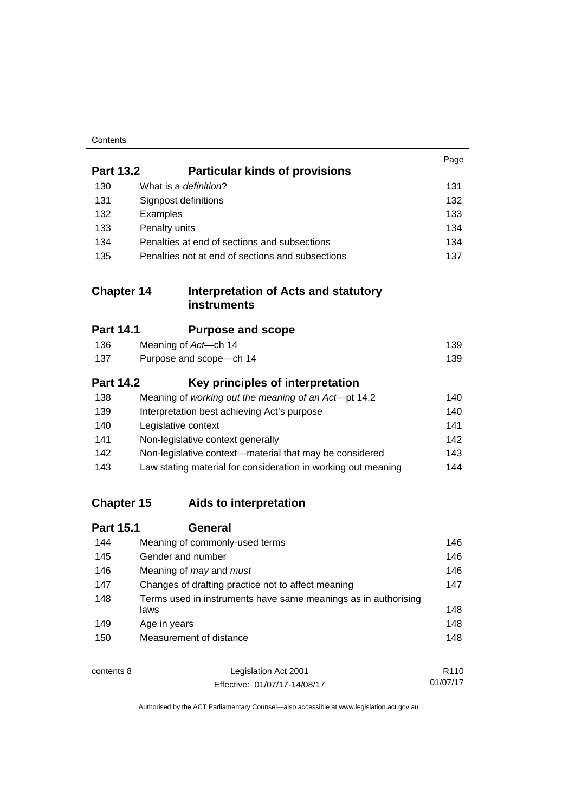| Contents |
|----------|
|----------|

|                   |                                                                        | Page             |
|-------------------|------------------------------------------------------------------------|------------------|
| <b>Part 13.2</b>  | <b>Particular kinds of provisions</b>                                  |                  |
| 130               | What is a definition?                                                  | 131              |
| 131               | Signpost definitions                                                   | 132              |
| 132               | Examples                                                               | 133              |
| 133               | Penalty units                                                          | 134              |
| 134               | Penalties at end of sections and subsections                           | 134              |
| 135               | Penalties not at end of sections and subsections                       | 137              |
| <b>Chapter 14</b> | Interpretation of Acts and statutory<br><b>instruments</b>             |                  |
| <b>Part 14.1</b>  | <b>Purpose and scope</b>                                               |                  |
| 136               | Meaning of Act-ch 14                                                   | 139              |
| 137               | Purpose and scope-ch 14                                                | 139              |
| <b>Part 14.2</b>  | Key principles of interpretation                                       |                  |
| 138               | Meaning of working out the meaning of an Act-pt 14.2                   | 140              |
| 139               | Interpretation best achieving Act's purpose                            | 140              |
| 140               | Legislative context                                                    | 141              |
| 141               | Non-legislative context generally                                      | 142              |
| 142               | Non-legislative context-material that may be considered                | 143              |
| 143               | Law stating material for consideration in working out meaning          | 144              |
| <b>Chapter 15</b> | Aids to interpretation                                                 |                  |
| <b>Part 15.1</b>  | <b>General</b>                                                         |                  |
| 144               | Meaning of commonly-used terms                                         | 146              |
| 145               | Gender and number                                                      | 146              |
| 146               | Meaning of may and must                                                | 146              |
| 147               | Changes of drafting practice not to affect meaning                     |                  |
| 148               | Terms used in instruments have same meanings as in authorising<br>laws | 148              |
| 149               | Age in years                                                           | 148              |
| 150               | Measurement of distance                                                | 148              |
| contents 8        | Legislation Act 2001                                                   | R <sub>110</sub> |

01/07/17

Effective: 01/07/17-14/08/17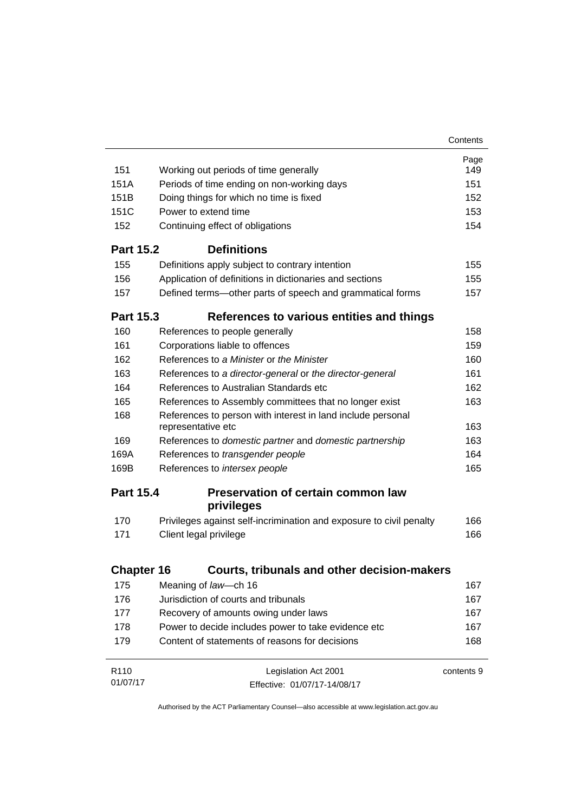|                   |                                                                                   | Contents   |
|-------------------|-----------------------------------------------------------------------------------|------------|
|                   |                                                                                   | Page       |
| 151               | Working out periods of time generally                                             | 149        |
| 151A              | Periods of time ending on non-working days                                        | 151        |
| 151 <sub>B</sub>  | Doing things for which no time is fixed                                           | 152        |
| 151C              | Power to extend time                                                              | 153        |
| 152               | Continuing effect of obligations                                                  | 154        |
| <b>Part 15.2</b>  | <b>Definitions</b>                                                                |            |
| 155               | Definitions apply subject to contrary intention                                   | 155        |
| 156               | Application of definitions in dictionaries and sections                           | 155        |
| 157               | Defined terms-other parts of speech and grammatical forms                         | 157        |
| <b>Part 15.3</b>  | References to various entities and things                                         |            |
| 160               | References to people generally                                                    | 158        |
| 161               | Corporations liable to offences                                                   | 159        |
| 162               | References to a Minister or the Minister                                          | 160        |
| 163               | References to a director-general or the director-general                          | 161        |
| 164               | References to Australian Standards etc                                            | 162        |
| 165               | References to Assembly committees that no longer exist                            | 163        |
| 168               | References to person with interest in land include personal<br>representative etc | 163        |
| 169               | References to domestic partner and domestic partnership                           | 163        |
| 169A              | References to transgender people                                                  | 164        |
| 169B              | References to intersex people                                                     | 165        |
| <b>Part 15.4</b>  | <b>Preservation of certain common law</b><br>privileges                           |            |
| 170               | Privileges against self-incrimination and exposure to civil penalty               | 166        |
| 171               | Client legal privilege                                                            | 166        |
|                   |                                                                                   |            |
| <b>Chapter 16</b> | Courts, tribunals and other decision-makers                                       |            |
| 175               | Meaning of law-ch 16                                                              | 167        |
| 176               | Jurisdiction of courts and tribunals                                              | 167        |
| 177               | Recovery of amounts owing under laws                                              | 167        |
| 178               | Power to decide includes power to take evidence etc                               | 167        |
| 179               | Content of statements of reasons for decisions                                    | 168        |
| R <sub>110</sub>  | Legislation Act 2001                                                              | contents 9 |
| 01/07/17          | Effective: 01/07/17-14/08/17                                                      |            |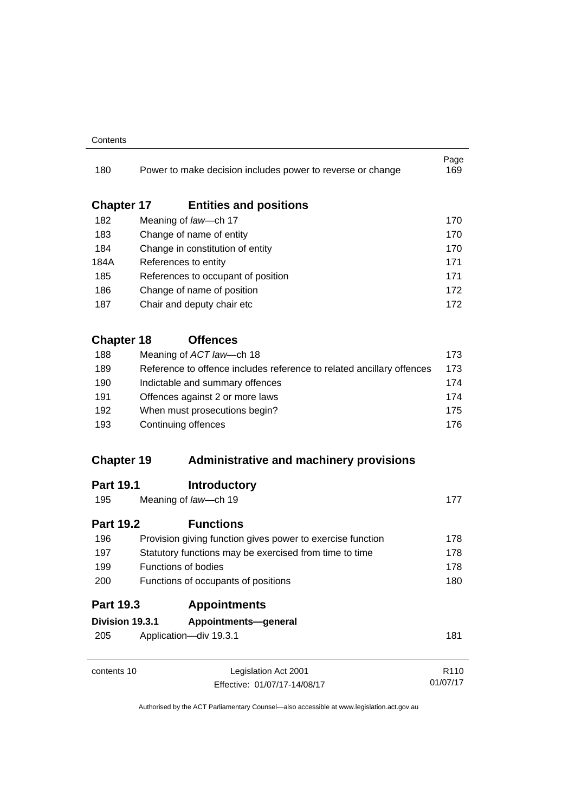#### **Contents**

| 180               | Power to make decision includes power to reverse or change            | Page<br>169      |  |
|-------------------|-----------------------------------------------------------------------|------------------|--|
| <b>Chapter 17</b> | <b>Entities and positions</b>                                         |                  |  |
| 182               | Meaning of law-ch 17                                                  | 170              |  |
| 183               | Change of name of entity                                              | 170              |  |
| 184               | Change in constitution of entity                                      | 170              |  |
| 184A              | References to entity                                                  | 171              |  |
| 185               | References to occupant of position                                    | 171              |  |
| 186               | Change of name of position                                            | 172              |  |
| 187               | Chair and deputy chair etc                                            | 172              |  |
| <b>Chapter 18</b> | <b>Offences</b>                                                       |                  |  |
| 188               | Meaning of ACT law-ch 18                                              | 173              |  |
| 189               | Reference to offence includes reference to related ancillary offences | 173              |  |
| 190               | Indictable and summary offences<br>Offences against 2 or more laws    | 174              |  |
| 191               |                                                                       | 174              |  |
| 192               | When must prosecutions begin?                                         |                  |  |
| 193               | Continuing offences                                                   | 176              |  |
| <b>Chapter 19</b> | <b>Administrative and machinery provisions</b>                        |                  |  |
| <b>Part 19.1</b>  | <b>Introductory</b>                                                   |                  |  |
| 195               | Meaning of law-ch 19                                                  | 177              |  |
| <b>Part 19.2</b>  | <b>Functions</b>                                                      |                  |  |
| 196               | Provision giving function gives power to exercise function            | 178              |  |
| 197               | Statutory functions may be exercised from time to time                | 178              |  |
| 199               | Functions of bodies                                                   | 178              |  |
| 200               | Functions of occupants of positions                                   | 180              |  |
| <b>Part 19.3</b>  | <b>Appointments</b>                                                   |                  |  |
| Division 19.3.1   | Appointments-general                                                  |                  |  |
| 205               | Application-div 19.3.1                                                | 181              |  |
| contents 10       | Legislation Act 2001                                                  | R <sub>110</sub> |  |
|                   | Effective: 01/07/17-14/08/17                                          | 01/07/17         |  |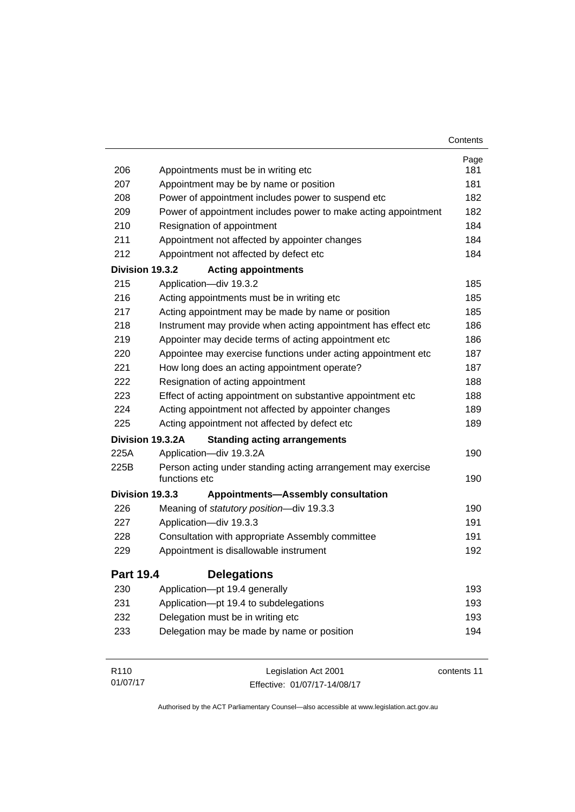|                  |                                                                               | Contents    |
|------------------|-------------------------------------------------------------------------------|-------------|
|                  |                                                                               | Page        |
| 206              | Appointments must be in writing etc                                           | 181         |
| 207              | Appointment may be by name or position                                        | 181         |
| 208              | Power of appointment includes power to suspend etc                            | 182         |
| 209              | Power of appointment includes power to make acting appointment                | 182         |
| 210              | Resignation of appointment                                                    | 184         |
| 211              | Appointment not affected by appointer changes                                 | 184         |
| 212              | Appointment not affected by defect etc                                        | 184         |
| Division 19.3.2  | <b>Acting appointments</b>                                                    |             |
| 215              | Application-div 19.3.2                                                        | 185         |
| 216              | Acting appointments must be in writing etc                                    | 185         |
| 217              | Acting appointment may be made by name or position                            | 185         |
| 218              | Instrument may provide when acting appointment has effect etc                 | 186         |
| 219              | Appointer may decide terms of acting appointment etc                          | 186         |
| 220              | Appointee may exercise functions under acting appointment etc                 | 187         |
| 221              | How long does an acting appointment operate?                                  | 187         |
| 222              | Resignation of acting appointment                                             | 188         |
| 223              | Effect of acting appointment on substantive appointment etc                   | 188         |
| 224              | Acting appointment not affected by appointer changes                          | 189         |
| 225              | Acting appointment not affected by defect etc                                 | 189         |
|                  | Division 19.3.2A<br><b>Standing acting arrangements</b>                       |             |
| 225A             | Application-div 19.3.2A                                                       | 190         |
| 225B             | Person acting under standing acting arrangement may exercise<br>functions etc | 190         |
| Division 19.3.3  | <b>Appointments-Assembly consultation</b>                                     |             |
| 226              | Meaning of statutory position-div 19.3.3                                      | 190         |
| 227              | Application-div 19.3.3                                                        | 191         |
| 228              | Consultation with appropriate Assembly committee                              | 191         |
| 229              | Appointment is disallowable instrument                                        | 192         |
| <b>Part 19.4</b> | <b>Delegations</b>                                                            |             |
| 230              | Application-pt 19.4 generally                                                 | 193         |
| 231              | Application-pt 19.4 to subdelegations                                         | 193         |
| 232              | Delegation must be in writing etc                                             | 193         |
| 233              | Delegation may be made by name or position                                    | 194         |
| R <sub>110</sub> | Legislation Act 2001                                                          | contents 11 |

Effective: 01/07/17-14/08/17

01/07/17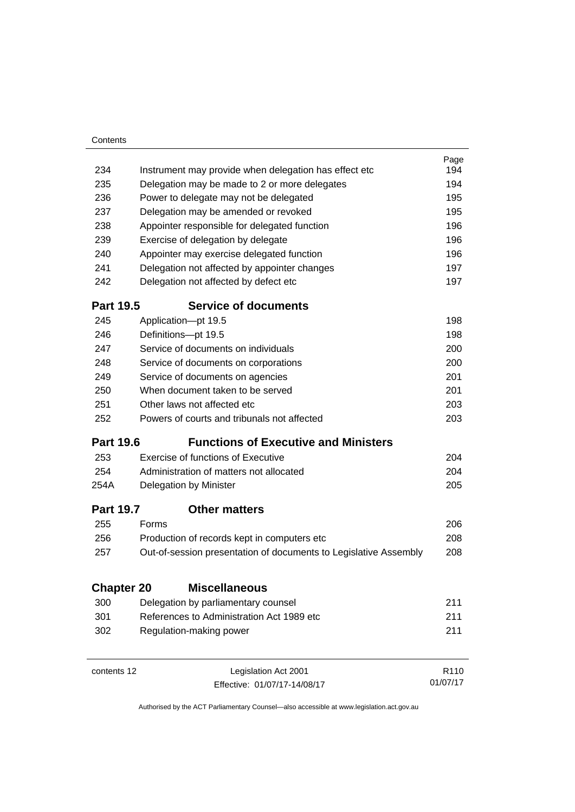| 234<br>Instrument may provide when delegation has effect etc.<br>235<br>Delegation may be made to 2 or more delegates<br>236<br>Power to delegate may not be delegated<br>237<br>Delegation may be amended or revoked<br>238<br>Appointer responsible for delegated function<br>239<br>Exercise of delegation by delegate<br>240<br>Appointer may exercise delegated function<br>241<br>Delegation not affected by appointer changes<br>242<br>Delegation not affected by defect etc<br><b>Part 19.5</b><br><b>Service of documents</b><br>245<br>Application-pt 19.5<br>246<br>Definitions-pt 19.5<br>247<br>Service of documents on individuals<br>248<br>Service of documents on corporations<br>249<br>Service of documents on agencies<br>250<br>When document taken to be served<br>251<br>Other laws not affected etc<br>252<br>Powers of courts and tribunals not affected<br><b>Part 19.6</b><br><b>Functions of Executive and Ministers</b><br>Exercise of functions of Executive<br>253<br>254<br>Administration of matters not allocated<br>254A<br>Delegation by Minister | Page<br>194<br>194<br>195<br>195<br>196<br>196<br>196<br>197<br>197 |
|----------------------------------------------------------------------------------------------------------------------------------------------------------------------------------------------------------------------------------------------------------------------------------------------------------------------------------------------------------------------------------------------------------------------------------------------------------------------------------------------------------------------------------------------------------------------------------------------------------------------------------------------------------------------------------------------------------------------------------------------------------------------------------------------------------------------------------------------------------------------------------------------------------------------------------------------------------------------------------------------------------------------------------------------------------------------------------------|---------------------------------------------------------------------|
|                                                                                                                                                                                                                                                                                                                                                                                                                                                                                                                                                                                                                                                                                                                                                                                                                                                                                                                                                                                                                                                                                        |                                                                     |
|                                                                                                                                                                                                                                                                                                                                                                                                                                                                                                                                                                                                                                                                                                                                                                                                                                                                                                                                                                                                                                                                                        |                                                                     |
|                                                                                                                                                                                                                                                                                                                                                                                                                                                                                                                                                                                                                                                                                                                                                                                                                                                                                                                                                                                                                                                                                        |                                                                     |
|                                                                                                                                                                                                                                                                                                                                                                                                                                                                                                                                                                                                                                                                                                                                                                                                                                                                                                                                                                                                                                                                                        |                                                                     |
|                                                                                                                                                                                                                                                                                                                                                                                                                                                                                                                                                                                                                                                                                                                                                                                                                                                                                                                                                                                                                                                                                        |                                                                     |
|                                                                                                                                                                                                                                                                                                                                                                                                                                                                                                                                                                                                                                                                                                                                                                                                                                                                                                                                                                                                                                                                                        |                                                                     |
|                                                                                                                                                                                                                                                                                                                                                                                                                                                                                                                                                                                                                                                                                                                                                                                                                                                                                                                                                                                                                                                                                        |                                                                     |
|                                                                                                                                                                                                                                                                                                                                                                                                                                                                                                                                                                                                                                                                                                                                                                                                                                                                                                                                                                                                                                                                                        |                                                                     |
|                                                                                                                                                                                                                                                                                                                                                                                                                                                                                                                                                                                                                                                                                                                                                                                                                                                                                                                                                                                                                                                                                        |                                                                     |
|                                                                                                                                                                                                                                                                                                                                                                                                                                                                                                                                                                                                                                                                                                                                                                                                                                                                                                                                                                                                                                                                                        |                                                                     |
|                                                                                                                                                                                                                                                                                                                                                                                                                                                                                                                                                                                                                                                                                                                                                                                                                                                                                                                                                                                                                                                                                        |                                                                     |
|                                                                                                                                                                                                                                                                                                                                                                                                                                                                                                                                                                                                                                                                                                                                                                                                                                                                                                                                                                                                                                                                                        | 198                                                                 |
|                                                                                                                                                                                                                                                                                                                                                                                                                                                                                                                                                                                                                                                                                                                                                                                                                                                                                                                                                                                                                                                                                        | 198                                                                 |
|                                                                                                                                                                                                                                                                                                                                                                                                                                                                                                                                                                                                                                                                                                                                                                                                                                                                                                                                                                                                                                                                                        | 200                                                                 |
|                                                                                                                                                                                                                                                                                                                                                                                                                                                                                                                                                                                                                                                                                                                                                                                                                                                                                                                                                                                                                                                                                        | 200                                                                 |
|                                                                                                                                                                                                                                                                                                                                                                                                                                                                                                                                                                                                                                                                                                                                                                                                                                                                                                                                                                                                                                                                                        | 201                                                                 |
|                                                                                                                                                                                                                                                                                                                                                                                                                                                                                                                                                                                                                                                                                                                                                                                                                                                                                                                                                                                                                                                                                        | 201                                                                 |
|                                                                                                                                                                                                                                                                                                                                                                                                                                                                                                                                                                                                                                                                                                                                                                                                                                                                                                                                                                                                                                                                                        | 203                                                                 |
|                                                                                                                                                                                                                                                                                                                                                                                                                                                                                                                                                                                                                                                                                                                                                                                                                                                                                                                                                                                                                                                                                        | 203                                                                 |
|                                                                                                                                                                                                                                                                                                                                                                                                                                                                                                                                                                                                                                                                                                                                                                                                                                                                                                                                                                                                                                                                                        |                                                                     |
|                                                                                                                                                                                                                                                                                                                                                                                                                                                                                                                                                                                                                                                                                                                                                                                                                                                                                                                                                                                                                                                                                        | 204                                                                 |
|                                                                                                                                                                                                                                                                                                                                                                                                                                                                                                                                                                                                                                                                                                                                                                                                                                                                                                                                                                                                                                                                                        | 204                                                                 |
|                                                                                                                                                                                                                                                                                                                                                                                                                                                                                                                                                                                                                                                                                                                                                                                                                                                                                                                                                                                                                                                                                        | 205                                                                 |
| <b>Part 19.7</b><br><b>Other matters</b>                                                                                                                                                                                                                                                                                                                                                                                                                                                                                                                                                                                                                                                                                                                                                                                                                                                                                                                                                                                                                                               |                                                                     |
| 255<br>Forms                                                                                                                                                                                                                                                                                                                                                                                                                                                                                                                                                                                                                                                                                                                                                                                                                                                                                                                                                                                                                                                                           | 206                                                                 |
| 256<br>Production of records kept in computers etc                                                                                                                                                                                                                                                                                                                                                                                                                                                                                                                                                                                                                                                                                                                                                                                                                                                                                                                                                                                                                                     | 208                                                                 |
| 257<br>Out-of-session presentation of documents to Legislative Assembly                                                                                                                                                                                                                                                                                                                                                                                                                                                                                                                                                                                                                                                                                                                                                                                                                                                                                                                                                                                                                | 208                                                                 |
| <b>Miscellaneous</b><br><b>Chapter 20</b>                                                                                                                                                                                                                                                                                                                                                                                                                                                                                                                                                                                                                                                                                                                                                                                                                                                                                                                                                                                                                                              |                                                                     |
| 300<br>Delegation by parliamentary counsel                                                                                                                                                                                                                                                                                                                                                                                                                                                                                                                                                                                                                                                                                                                                                                                                                                                                                                                                                                                                                                             | 211                                                                 |
| References to Administration Act 1989 etc<br>301                                                                                                                                                                                                                                                                                                                                                                                                                                                                                                                                                                                                                                                                                                                                                                                                                                                                                                                                                                                                                                       | 211                                                                 |
| 302<br>Regulation-making power                                                                                                                                                                                                                                                                                                                                                                                                                                                                                                                                                                                                                                                                                                                                                                                                                                                                                                                                                                                                                                                         | 211                                                                 |
| contents 12<br>Legislation Act 2001                                                                                                                                                                                                                                                                                                                                                                                                                                                                                                                                                                                                                                                                                                                                                                                                                                                                                                                                                                                                                                                    |                                                                     |

01/07/17

Effective: 01/07/17-14/08/17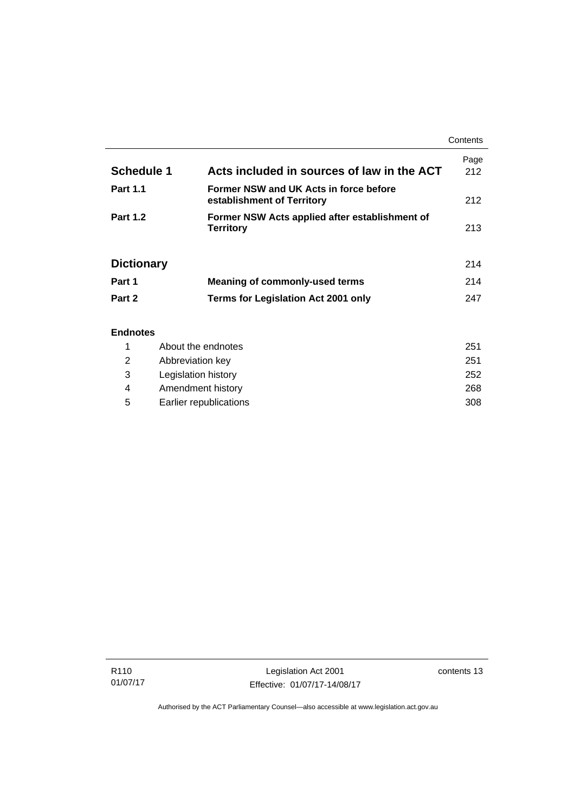|                                   |                                                                      | Contents      |
|-----------------------------------|----------------------------------------------------------------------|---------------|
| <b>Schedule 1</b>                 | Acts included in sources of law in the ACT                           | Page<br>212   |
| <b>Part 1.1</b>                   | Former NSW and UK Acts in force before<br>establishment of Territory | 212           |
| <b>Part 1.2</b>                   | Former NSW Acts applied after establishment of<br><b>Territory</b>   | 213           |
| <b>Dictionary</b>                 |                                                                      | 214           |
| Part 1                            | <b>Meaning of commonly-used terms</b>                                | 214           |
| Part 2                            | Terms for Legislation Act 2001 only                                  | 247           |
| <b>Endnotes</b>                   |                                                                      |               |
| $\overline{a}$ and $\overline{a}$ | والمنابع لمراجع مستحلف المتناول والتنافي                             | $\sim$ $\sim$ |

## 1 [About the endnotes 251](#page-266-1) 2 [Abbreviation key 251](#page-266-2) 3 [Legislation history 252](#page-267-0) 4 [Amendment history 268](#page-283-0) 5 [Earlier republications 308](#page-323-0)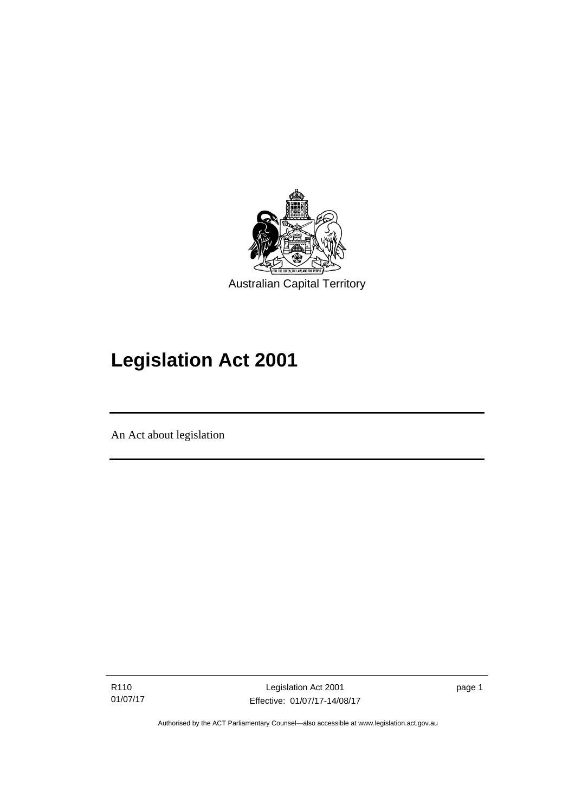

# **Legislation Act 2001**

An Act about legislation

l

R110 01/07/17 page 1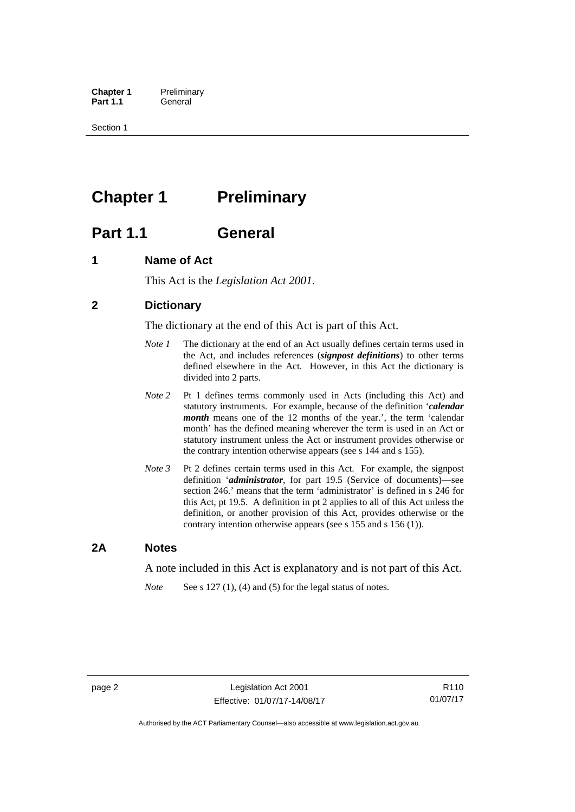**Chapter 1** Preliminary<br>**Part 1.1** General General

Section 1

## <span id="page-17-0"></span>**Chapter 1** Preliminary

## <span id="page-17-1"></span>**Part 1.1 General**

## <span id="page-17-2"></span>**1 Name of Act**

This Act is the *Legislation Act 2001.* 

## <span id="page-17-3"></span>**2 Dictionary**

The dictionary at the end of this Act is part of this Act.

- *Note 1* The dictionary at the end of an Act usually defines certain terms used in the Act, and includes references (*signpost definitions*) to other terms defined elsewhere in the Act. However, in this Act the dictionary is divided into 2 parts.
- *Note 2* Pt 1 defines terms commonly used in Acts (including this Act) and statutory instruments. For example, because of the definition '*calendar month* means one of the 12 months of the year.', the term 'calendar month' has the defined meaning wherever the term is used in an Act or statutory instrument unless the Act or instrument provides otherwise or the contrary intention otherwise appears (see s 144 and s 155).
- *Note 3* Pt 2 defines certain terms used in this Act. For example, the signpost definition '*administrator*, for part 19.5 (Service of documents)—see section 246.' means that the term 'administrator' is defined in s 246 for this Act, pt 19.5. A definition in pt 2 applies to all of this Act unless the definition, or another provision of this Act, provides otherwise or the contrary intention otherwise appears (see s 155 and s 156 (1)).

## <span id="page-17-4"></span>**2A Notes**

A note included in this Act is explanatory and is not part of this Act.

*Note* See s 127 (1), (4) and (5) for the legal status of notes.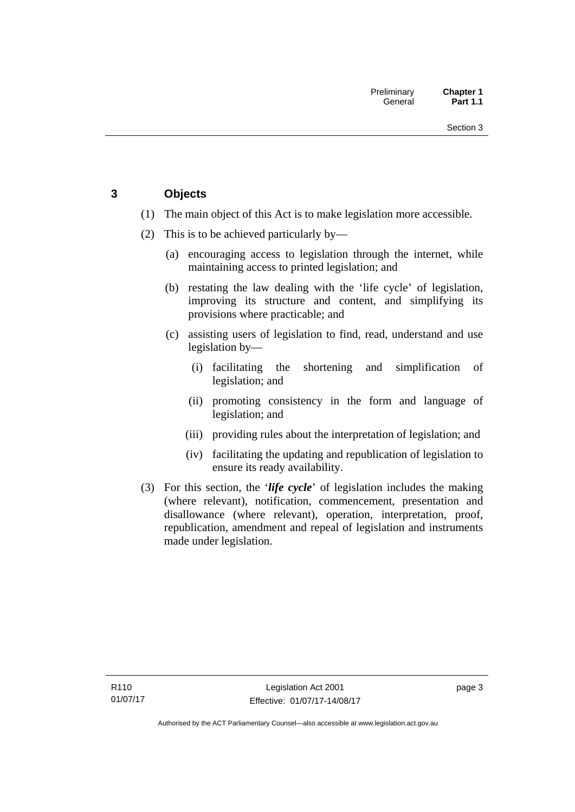## <span id="page-18-0"></span>**3 Objects**

- (1) The main object of this Act is to make legislation more accessible.
- (2) This is to be achieved particularly by—
	- (a) encouraging access to legislation through the internet, while maintaining access to printed legislation; and
	- (b) restating the law dealing with the 'life cycle' of legislation, improving its structure and content, and simplifying its provisions where practicable; and
	- (c) assisting users of legislation to find, read, understand and use legislation by—
		- (i) facilitating the shortening and simplification of legislation; and
		- (ii) promoting consistency in the form and language of legislation; and
		- (iii) providing rules about the interpretation of legislation; and
		- (iv) facilitating the updating and republication of legislation to ensure its ready availability.
- (3) For this section, the '*life cycle*' of legislation includes the making (where relevant), notification, commencement, presentation and disallowance (where relevant), operation, interpretation, proof, republication, amendment and repeal of legislation and instruments made under legislation.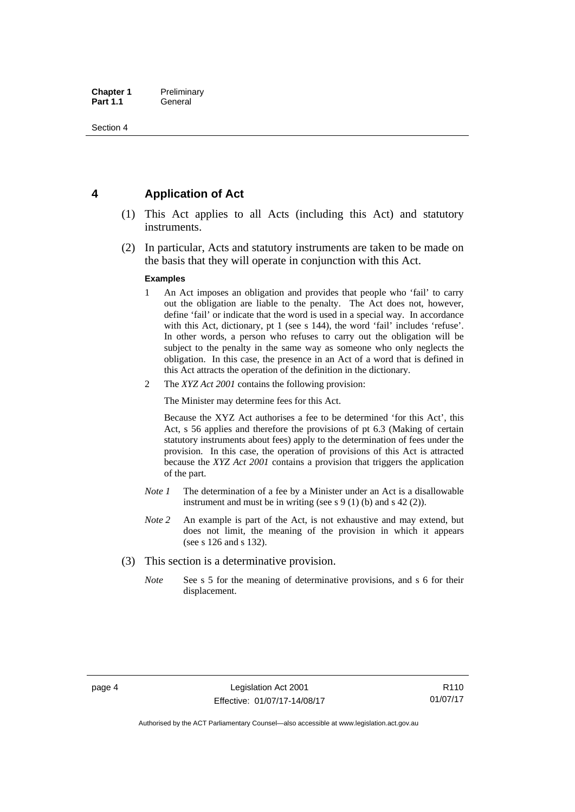## <span id="page-19-0"></span>**4 Application of Act**

- (1) This Act applies to all Acts (including this Act) and statutory instruments.
- (2) In particular, Acts and statutory instruments are taken to be made on the basis that they will operate in conjunction with this Act.

#### **Examples**

- 1 An Act imposes an obligation and provides that people who 'fail' to carry out the obligation are liable to the penalty. The Act does not, however, define 'fail' or indicate that the word is used in a special way. In accordance with this Act, dictionary, pt 1 (see s 144), the word 'fail' includes 'refuse'. In other words, a person who refuses to carry out the obligation will be subject to the penalty in the same way as someone who only neglects the obligation. In this case, the presence in an Act of a word that is defined in this Act attracts the operation of the definition in the dictionary.
- 2 The *XYZ Act 2001* contains the following provision:

The Minister may determine fees for this Act.

Because the XYZ Act authorises a fee to be determined 'for this Act', this Act, s 56 applies and therefore the provisions of pt 6.3 (Making of certain statutory instruments about fees) apply to the determination of fees under the provision. In this case, the operation of provisions of this Act is attracted because the *XYZ Act 2001* contains a provision that triggers the application of the part.

- *Note 1* The determination of a fee by a Minister under an Act is a disallowable instrument and must be in writing (see s 9 (1) (b) and s 42 (2)).
- *Note 2* An example is part of the Act, is not exhaustive and may extend, but does not limit, the meaning of the provision in which it appears (see s 126 and s 132).
- (3) This section is a determinative provision.
	- *Note* See s 5 for the meaning of determinative provisions, and s 6 for their displacement.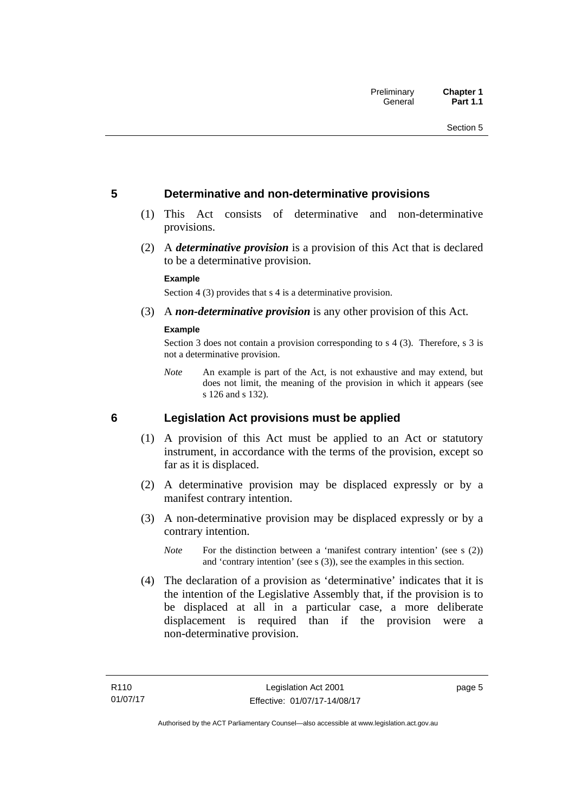## <span id="page-20-0"></span>**5 Determinative and non-determinative provisions**

- (1) This Act consists of determinative and non-determinative provisions.
- (2) A *determinative provision* is a provision of this Act that is declared to be a determinative provision.

#### **Example**

Section 4 (3) provides that s 4 is a determinative provision.

(3) A *non-determinative provision* is any other provision of this Act.

#### **Example**

Section 3 does not contain a provision corresponding to s 4 (3). Therefore, s 3 is not a determinative provision.

*Note* An example is part of the Act, is not exhaustive and may extend, but does not limit, the meaning of the provision in which it appears (see s 126 and s 132).

### <span id="page-20-1"></span>**6 Legislation Act provisions must be applied**

- (1) A provision of this Act must be applied to an Act or statutory instrument, in accordance with the terms of the provision, except so far as it is displaced.
- (2) A determinative provision may be displaced expressly or by a manifest contrary intention.
- (3) A non-determinative provision may be displaced expressly or by a contrary intention.
	- *Note* For the distinction between a 'manifest contrary intention' (see s (2)) and 'contrary intention' (see s (3)), see the examples in this section.
- (4) The declaration of a provision as 'determinative' indicates that it is the intention of the Legislative Assembly that, if the provision is to be displaced at all in a particular case, a more deliberate displacement is required than if the provision were a non-determinative provision.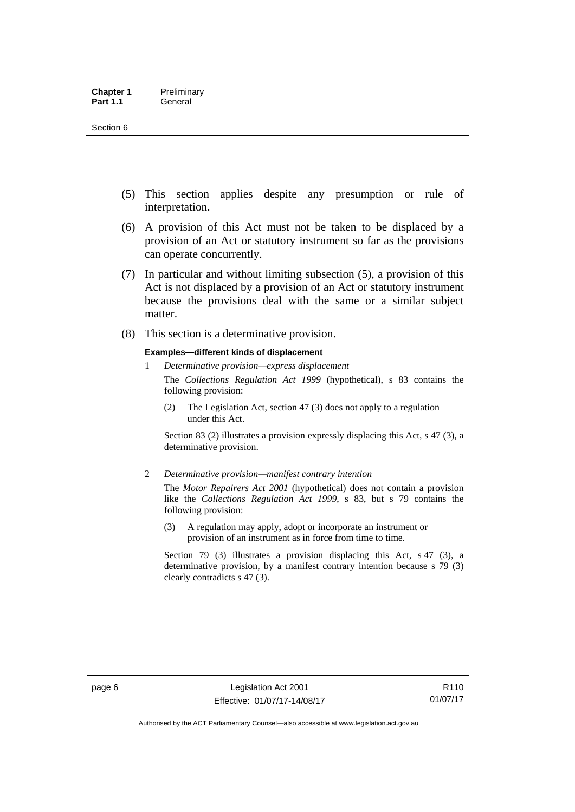- (5) This section applies despite any presumption or rule of interpretation.
- (6) A provision of this Act must not be taken to be displaced by a provision of an Act or statutory instrument so far as the provisions can operate concurrently.
- (7) In particular and without limiting subsection (5), a provision of this Act is not displaced by a provision of an Act or statutory instrument because the provisions deal with the same or a similar subject matter.
- (8) This section is a determinative provision.

#### **Examples—different kinds of displacement**

1 *Determinative provision—express displacement*

The *Collections Regulation Act 1999* (hypothetical), s 83 contains the following provision:

(2) The Legislation Act, section 47 (3) does not apply to a regulation under this Act.

Section 83 (2) illustrates a provision expressly displacing this Act, s 47 (3), a determinative provision.

2 *Determinative provision—manifest contrary intention*

The *Motor Repairers Act 2001* (hypothetical) does not contain a provision like the *Collections Regulation Act 1999*, s 83, but s 79 contains the following provision:

(3) A regulation may apply, adopt or incorporate an instrument or provision of an instrument as in force from time to time.

Section 79 (3) illustrates a provision displacing this Act, s 47 (3), a determinative provision, by a manifest contrary intention because s 79 (3) clearly contradicts s 47 (3).

R110 01/07/17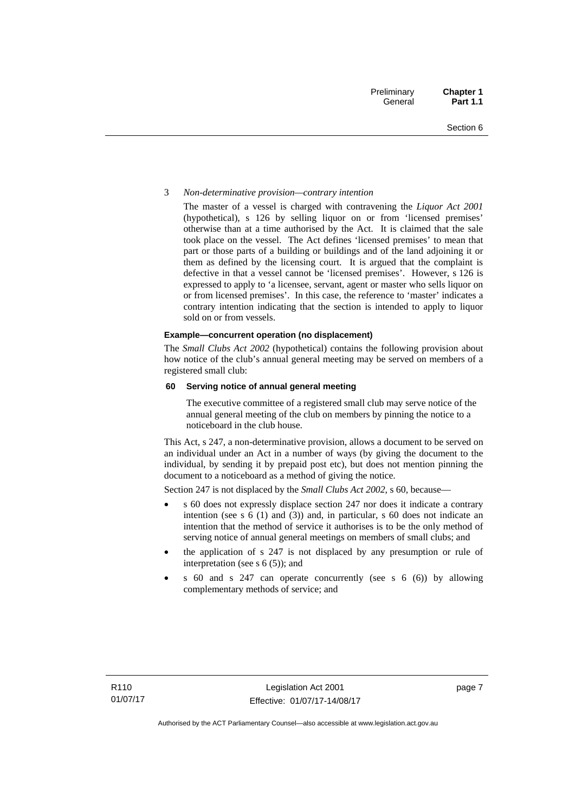#### 3 *Non-determinative provision—contrary intention*

The master of a vessel is charged with contravening the *Liquor Act 2001* (hypothetical), s 126 by selling liquor on or from 'licensed premises' otherwise than at a time authorised by the Act. It is claimed that the sale took place on the vessel. The Act defines 'licensed premises' to mean that part or those parts of a building or buildings and of the land adjoining it or them as defined by the licensing court. It is argued that the complaint is defective in that a vessel cannot be 'licensed premises'. However, s 126 is expressed to apply to 'a licensee, servant, agent or master who sells liquor on or from licensed premises'. In this case, the reference to 'master' indicates a contrary intention indicating that the section is intended to apply to liquor sold on or from vessels.

#### **Example—concurrent operation (no displacement)**

The *Small Clubs Act 2002* (hypothetical) contains the following provision about how notice of the club's annual general meeting may be served on members of a registered small club:

#### **60 Serving notice of annual general meeting**

The executive committee of a registered small club may serve notice of the annual general meeting of the club on members by pinning the notice to a noticeboard in the club house.

This Act, s 247, a non-determinative provision, allows a document to be served on an individual under an Act in a number of ways (by giving the document to the individual, by sending it by prepaid post etc), but does not mention pinning the document to a noticeboard as a method of giving the notice.

Section 247 is not displaced by the *Small Clubs Act 2002*, s 60, because—

- s 60 does not expressly displace section 247 nor does it indicate a contrary intention (see s 6 (1) and (3)) and, in particular, s 60 does not indicate an intention that the method of service it authorises is to be the only method of serving notice of annual general meetings on members of small clubs; and
- the application of s 247 is not displaced by any presumption or rule of interpretation (see s  $6(5)$ ); and
- s 60 and s 247 can operate concurrently (see s 6 (6)) by allowing complementary methods of service; and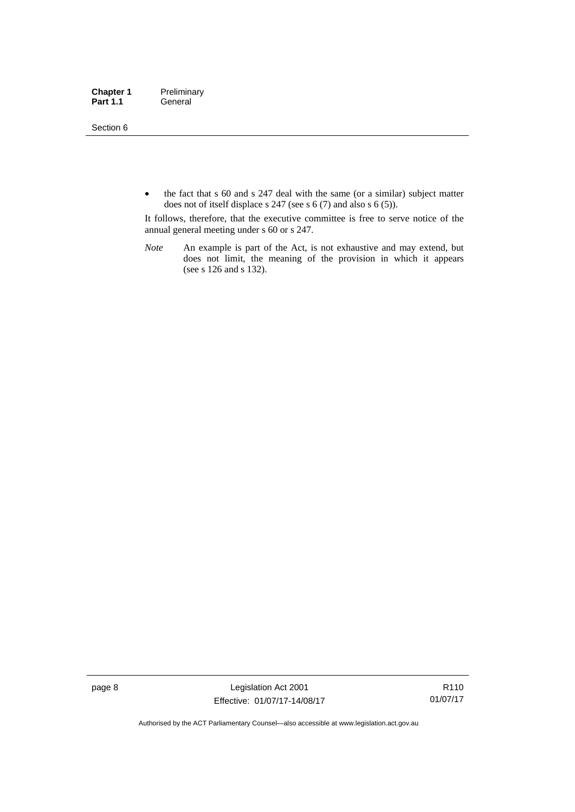Section 6

• the fact that s 60 and s 247 deal with the same (or a similar) subject matter does not of itself displace s 247 (see s 6 (7) and also s 6 (5)).

It follows, therefore, that the executive committee is free to serve notice of the annual general meeting under s 60 or s 247.

*Note* An example is part of the Act, is not exhaustive and may extend, but does not limit, the meaning of the provision in which it appears (see s 126 and s 132).

page 8 Legislation Act 2001 Effective: 01/07/17-14/08/17

R110 01/07/17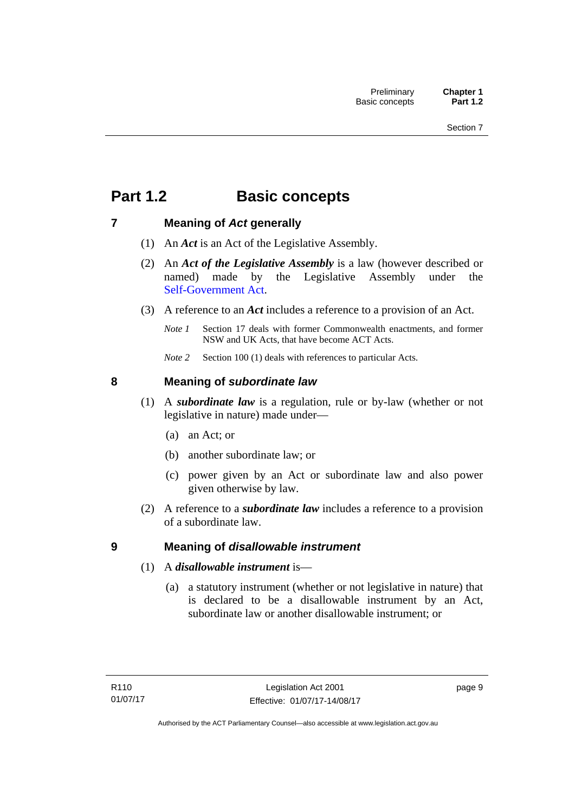## <span id="page-24-0"></span>**Part 1.2 Basic concepts**

## <span id="page-24-1"></span>**7 Meaning of** *Act* **generally**

- (1) An *Act* is an Act of the Legislative Assembly.
- (2) An *Act of the Legislative Assembly* is a law (however described or named) made by the Legislative Assembly under the [Self-Government Act.](http://www.comlaw.gov.au/Series/C2004A03699)
- (3) A reference to an *Act* includes a reference to a provision of an Act.
	- *Note 1* Section 17 deals with former Commonwealth enactments, and former NSW and UK Acts, that have become ACT Acts.
	- *Note 2* Section 100 (1) deals with references to particular Acts.

## <span id="page-24-2"></span>**8 Meaning of** *subordinate law*

- (1) A *subordinate law* is a regulation, rule or by-law (whether or not legislative in nature) made under—
	- (a) an Act; or
	- (b) another subordinate law; or
	- (c) power given by an Act or subordinate law and also power given otherwise by law.
- (2) A reference to a *subordinate law* includes a reference to a provision of a subordinate law.

## <span id="page-24-3"></span>**9 Meaning of** *disallowable instrument*

- (1) A *disallowable instrument* is—
	- (a) a statutory instrument (whether or not legislative in nature) that is declared to be a disallowable instrument by an Act, subordinate law or another disallowable instrument; or

page 9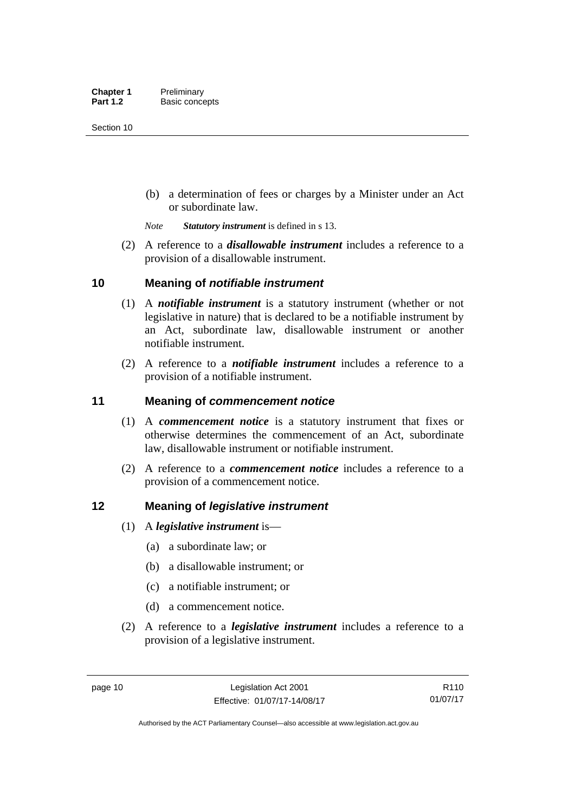(b) a determination of fees or charges by a Minister under an Act or subordinate law.

*Note Statutory instrument* is defined in s 13.

 (2) A reference to a *disallowable instrument* includes a reference to a provision of a disallowable instrument.

## <span id="page-25-0"></span>**10 Meaning of** *notifiable instrument*

- (1) A *notifiable instrument* is a statutory instrument (whether or not legislative in nature) that is declared to be a notifiable instrument by an Act, subordinate law, disallowable instrument or another notifiable instrument.
- (2) A reference to a *notifiable instrument* includes a reference to a provision of a notifiable instrument.

## <span id="page-25-1"></span>**11 Meaning of** *commencement notice*

- (1) A *commencement notice* is a statutory instrument that fixes or otherwise determines the commencement of an Act, subordinate law, disallowable instrument or notifiable instrument.
- (2) A reference to a *commencement notice* includes a reference to a provision of a commencement notice.

## <span id="page-25-2"></span>**12 Meaning of** *legislative instrument*

- (1) A *legislative instrument* is—
	- (a) a subordinate law; or
	- (b) a disallowable instrument; or
	- (c) a notifiable instrument; or
	- (d) a commencement notice.
- (2) A reference to a *legislative instrument* includes a reference to a provision of a legislative instrument.

R110 01/07/17

Authorised by the ACT Parliamentary Counsel—also accessible at www.legislation.act.gov.au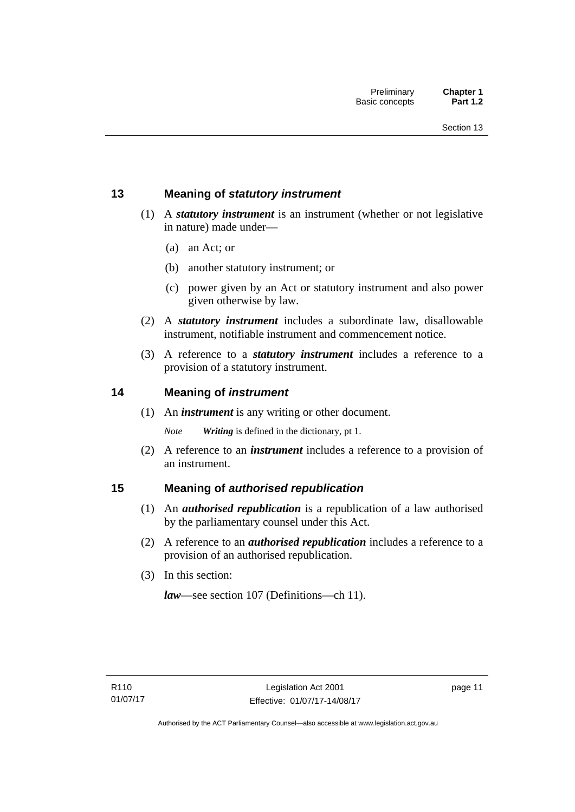## <span id="page-26-0"></span>**13 Meaning of** *statutory instrument*

- (1) A *statutory instrument* is an instrument (whether or not legislative in nature) made under—
	- (a) an Act; or
	- (b) another statutory instrument; or
	- (c) power given by an Act or statutory instrument and also power given otherwise by law.
- (2) A *statutory instrument* includes a subordinate law, disallowable instrument, notifiable instrument and commencement notice.
- (3) A reference to a *statutory instrument* includes a reference to a provision of a statutory instrument.

## <span id="page-26-1"></span>**14 Meaning of** *instrument*

(1) An *instrument* is any writing or other document.

*Note Writing* is defined in the dictionary, pt 1.

 (2) A reference to an *instrument* includes a reference to a provision of an instrument.

## <span id="page-26-2"></span>**15 Meaning of** *authorised republication*

- (1) An *authorised republication* is a republication of a law authorised by the parliamentary counsel under this Act.
- (2) A reference to an *authorised republication* includes a reference to a provision of an authorised republication.
- (3) In this section:

*law*—see section 107 (Definitions—ch 11).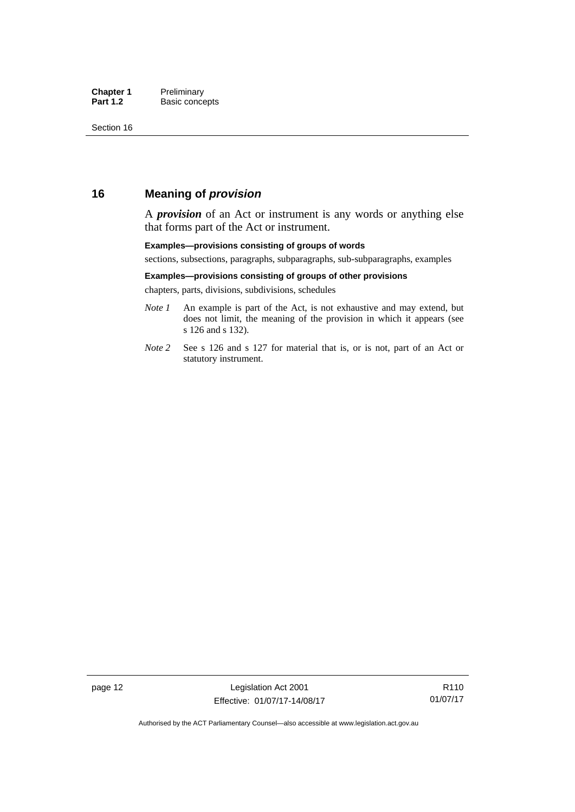## <span id="page-27-0"></span>**16 Meaning of** *provision*

A *provision* of an Act or instrument is any words or anything else that forms part of the Act or instrument.

#### **Examples—provisions consisting of groups of words**

sections, subsections, paragraphs, subparagraphs, sub-subparagraphs, examples

#### **Examples—provisions consisting of groups of other provisions**

chapters, parts, divisions, subdivisions, schedules

- *Note 1* An example is part of the Act, is not exhaustive and may extend, but does not limit, the meaning of the provision in which it appears (see s 126 and s 132).
- *Note 2* See s 126 and s 127 for material that is, or is not, part of an Act or statutory instrument.

page 12 Legislation Act 2001 Effective: 01/07/17-14/08/17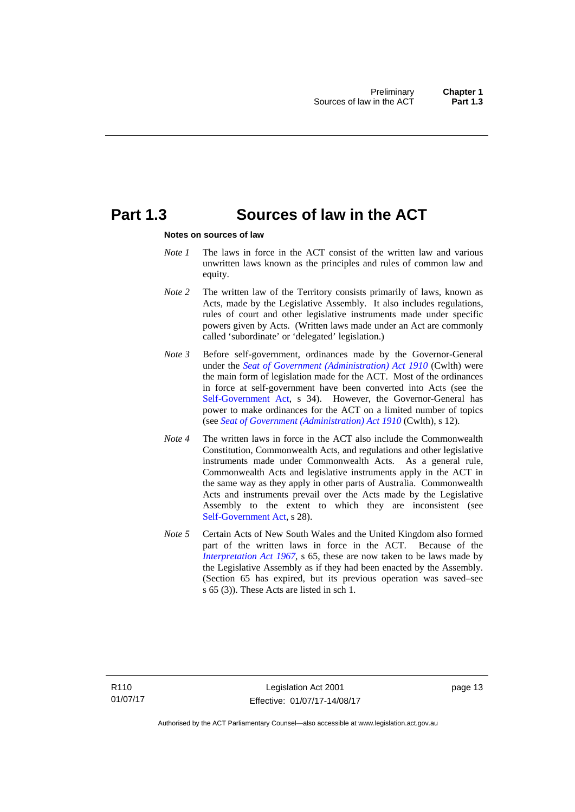## <span id="page-28-0"></span>**Part 1.3 Sources of law in the ACT**

#### **Notes on sources of law**

- *Note 1* The laws in force in the ACT consist of the written law and various unwritten laws known as the principles and rules of common law and equity.
- *Note* 2 The written law of the Territory consists primarily of laws, known as Acts, made by the Legislative Assembly. It also includes regulations, rules of court and other legislative instruments made under specific powers given by Acts. (Written laws made under an Act are commonly called 'subordinate' or 'delegated' legislation.)
- *Note 3* Before self-government, ordinances made by the Governor-General under the *[Seat of Government \(Administration\) Act 1910](http://www.comlaw.gov.au/Series/C2004A07446)* (Cwlth) were the main form of legislation made for the ACT. Most of the ordinances in force at self-government have been converted into Acts (see the [Self-Government Act,](http://www.comlaw.gov.au/Series/C2004A03699) s 34). However, the Governor-General has power to make ordinances for the ACT on a limited number of topics (see *[Seat of Government \(Administration\) Act 1910](http://www.comlaw.gov.au/Series/C2004A07446)* (Cwlth), s 12).
- *Note 4* The written laws in force in the ACT also include the Commonwealth Constitution, Commonwealth Acts, and regulations and other legislative instruments made under Commonwealth Acts. As a general rule, Commonwealth Acts and legislative instruments apply in the ACT in the same way as they apply in other parts of Australia. Commonwealth Acts and instruments prevail over the Acts made by the Legislative Assembly to the extent to which they are inconsistent (see [Self-Government Act](http://www.comlaw.gov.au/Series/C2004A03699), s 28).
- *Note 5* Certain Acts of New South Wales and the United Kingdom also formed part of the written laws in force in the ACT. Because of the *[Interpretation Act 1967](http://www.legislation.act.gov.au/a/1967-48)*, s 65, these are now taken to be laws made by the Legislative Assembly as if they had been enacted by the Assembly. (Section 65 has expired, but its previous operation was saved–see s 65 (3)). These Acts are listed in sch 1.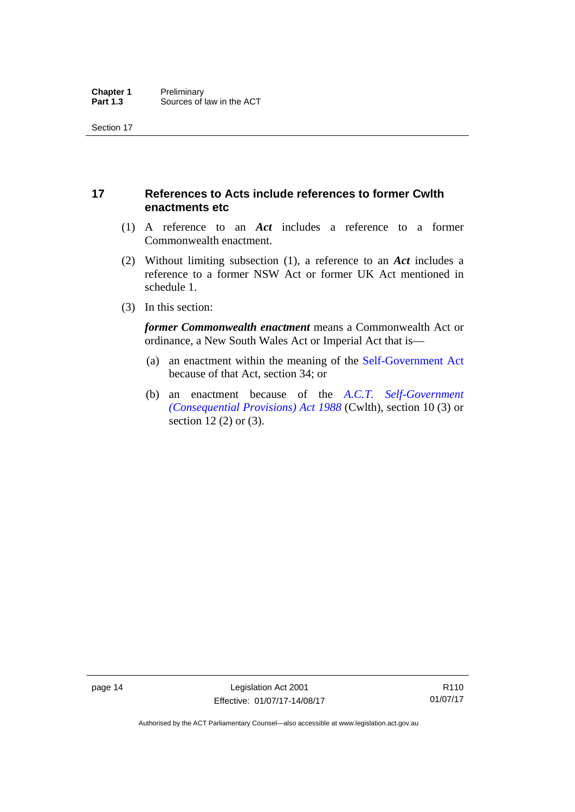## <span id="page-29-0"></span>**17 References to Acts include references to former Cwlth enactments etc**

- (1) A reference to an *Act* includes a reference to a former Commonwealth enactment.
- (2) Without limiting subsection (1), a reference to an *Act* includes a reference to a former NSW Act or former UK Act mentioned in schedule 1.
- (3) In this section:

*former Commonwealth enactment* means a Commonwealth Act or ordinance, a New South Wales Act or Imperial Act that is—

- (a) an enactment within the meaning of the [Self-Government Act](http://www.comlaw.gov.au/Series/C2004A03699) because of that Act, section 34; or
- (b) an enactment because of the *[A.C.T. Self-Government](http://www.comlaw.gov.au/Series/C2004A03702)  [\(Consequential Provisions\) Act 1988](http://www.comlaw.gov.au/Series/C2004A03702)* (Cwlth), section 10 (3) or section 12 (2) or (3).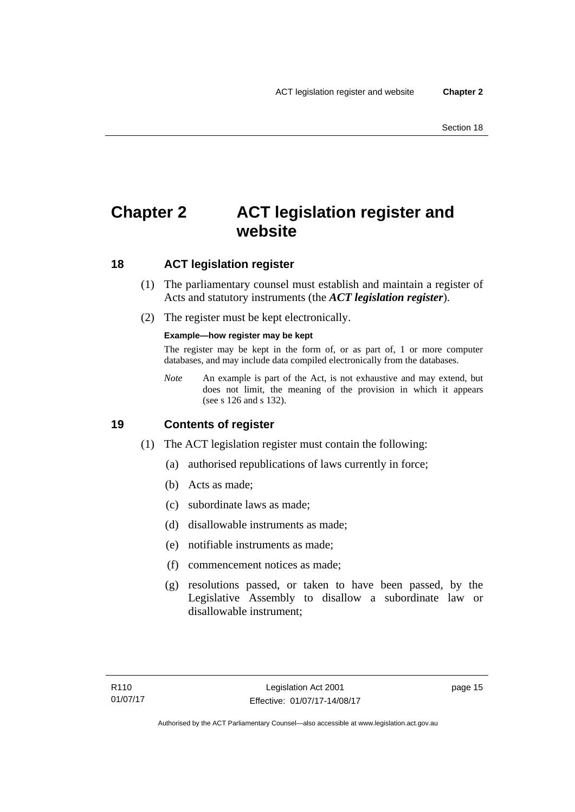## <span id="page-30-0"></span>**Chapter 2 ACT legislation register and website**

## <span id="page-30-1"></span>**18 ACT legislation register**

- (1) The parliamentary counsel must establish and maintain a register of Acts and statutory instruments (the *ACT legislation register*).
- (2) The register must be kept electronically.

### **Example—how register may be kept**

The register may be kept in the form of, or as part of, 1 or more computer databases, and may include data compiled electronically from the databases.

*Note* An example is part of the Act, is not exhaustive and may extend, but does not limit, the meaning of the provision in which it appears (see s 126 and s 132).

## <span id="page-30-2"></span>**19 Contents of register**

- (1) The ACT legislation register must contain the following:
	- (a) authorised republications of laws currently in force;
	- (b) Acts as made;
	- (c) subordinate laws as made;
	- (d) disallowable instruments as made;
	- (e) notifiable instruments as made;
	- (f) commencement notices as made;
	- (g) resolutions passed, or taken to have been passed, by the Legislative Assembly to disallow a subordinate law or disallowable instrument;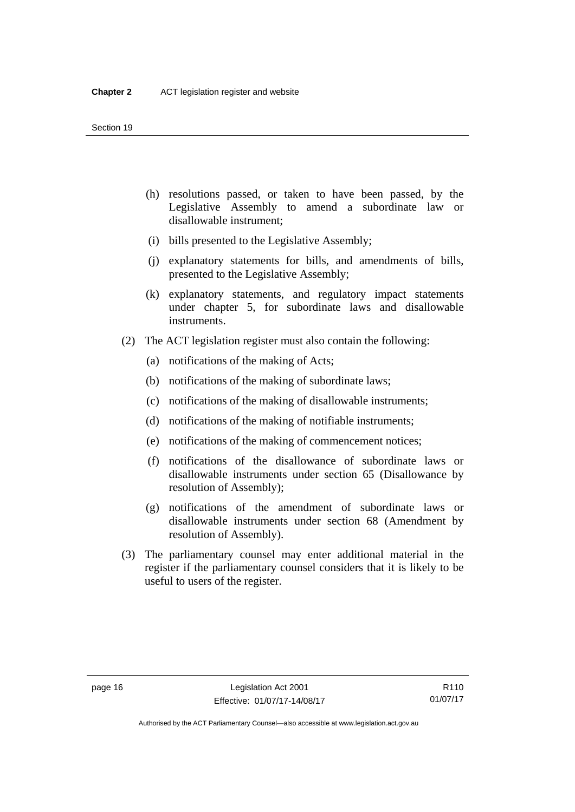- (h) resolutions passed, or taken to have been passed, by the Legislative Assembly to amend a subordinate law or disallowable instrument;
- (i) bills presented to the Legislative Assembly;
- (j) explanatory statements for bills, and amendments of bills, presented to the Legislative Assembly;
- (k) explanatory statements, and regulatory impact statements under chapter 5, for subordinate laws and disallowable instruments.
- (2) The ACT legislation register must also contain the following:
	- (a) notifications of the making of Acts;
	- (b) notifications of the making of subordinate laws;
	- (c) notifications of the making of disallowable instruments;
	- (d) notifications of the making of notifiable instruments;
	- (e) notifications of the making of commencement notices;
	- (f) notifications of the disallowance of subordinate laws or disallowable instruments under section 65 (Disallowance by resolution of Assembly);
	- (g) notifications of the amendment of subordinate laws or disallowable instruments under section 68 (Amendment by resolution of Assembly).
- (3) The parliamentary counsel may enter additional material in the register if the parliamentary counsel considers that it is likely to be useful to users of the register.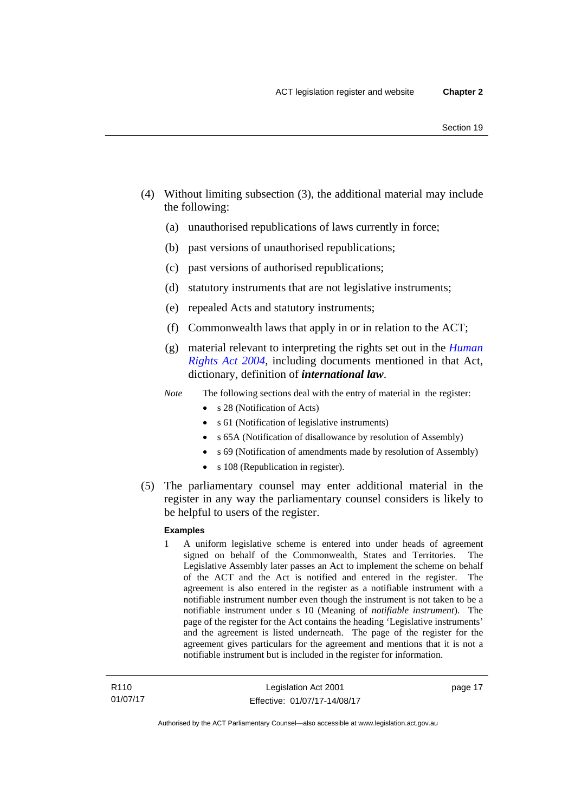- (4) Without limiting subsection (3), the additional material may include the following:
	- (a) unauthorised republications of laws currently in force;
	- (b) past versions of unauthorised republications;
	- (c) past versions of authorised republications;
	- (d) statutory instruments that are not legislative instruments;
	- (e) repealed Acts and statutory instruments;
	- (f) Commonwealth laws that apply in or in relation to the ACT;
	- (g) material relevant to interpreting the rights set out in the *[Human](http://www.legislation.act.gov.au/a/2004-5)  [Rights Act 2004](http://www.legislation.act.gov.au/a/2004-5)*, including documents mentioned in that Act, dictionary, definition of *international law*.
	- *Note* The following sections deal with the entry of material in the register:
		- s 28 (Notification of Acts)
		- s 61 (Notification of legislative instruments)
		- s 65A (Notification of disallowance by resolution of Assembly)
		- s 69 (Notification of amendments made by resolution of Assembly)
		- s 108 (Republication in register).
- (5) The parliamentary counsel may enter additional material in the register in any way the parliamentary counsel considers is likely to be helpful to users of the register.

#### **Examples**

1 A uniform legislative scheme is entered into under heads of agreement signed on behalf of the Commonwealth, States and Territories. The Legislative Assembly later passes an Act to implement the scheme on behalf of the ACT and the Act is notified and entered in the register. The agreement is also entered in the register as a notifiable instrument with a notifiable instrument number even though the instrument is not taken to be a notifiable instrument under s 10 (Meaning of *notifiable instrument*). The page of the register for the Act contains the heading 'Legislative instruments' and the agreement is listed underneath. The page of the register for the agreement gives particulars for the agreement and mentions that it is not a notifiable instrument but is included in the register for information.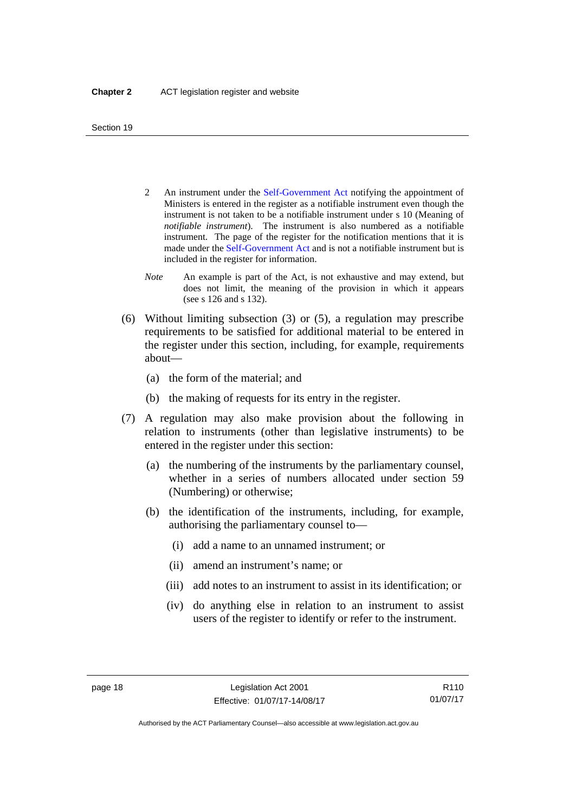- 2 An instrument under the [Self-Government Act](http://www.comlaw.gov.au/Series/C2004A03699) notifying the appointment of Ministers is entered in the register as a notifiable instrument even though the instrument is not taken to be a notifiable instrument under s 10 (Meaning of *notifiable instrument*). The instrument is also numbered as a notifiable instrument. The page of the register for the notification mentions that it is made under the [Self-Government Act](http://www.comlaw.gov.au/Series/C2004A03699) and is not a notifiable instrument but is included in the register for information.
- *Note* An example is part of the Act, is not exhaustive and may extend, but does not limit, the meaning of the provision in which it appears (see s 126 and s 132).
- (6) Without limiting subsection (3) or (5), a regulation may prescribe requirements to be satisfied for additional material to be entered in the register under this section, including, for example, requirements about—
	- (a) the form of the material; and
	- (b) the making of requests for its entry in the register.
- (7) A regulation may also make provision about the following in relation to instruments (other than legislative instruments) to be entered in the register under this section:
	- (a) the numbering of the instruments by the parliamentary counsel, whether in a series of numbers allocated under section 59 (Numbering) or otherwise;
	- (b) the identification of the instruments, including, for example, authorising the parliamentary counsel to—
		- (i) add a name to an unnamed instrument; or
		- (ii) amend an instrument's name; or
		- (iii) add notes to an instrument to assist in its identification; or
		- (iv) do anything else in relation to an instrument to assist users of the register to identify or refer to the instrument.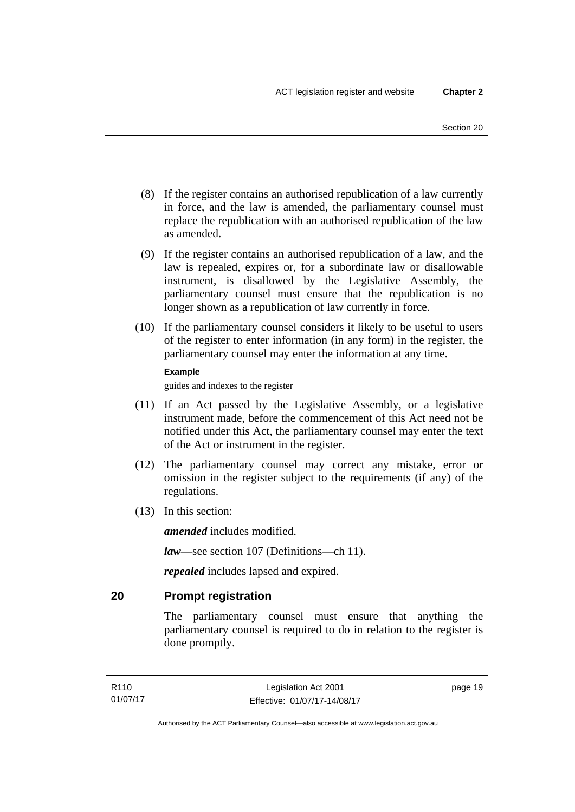- (8) If the register contains an authorised republication of a law currently in force, and the law is amended, the parliamentary counsel must replace the republication with an authorised republication of the law as amended.
- (9) If the register contains an authorised republication of a law, and the law is repealed, expires or, for a subordinate law or disallowable instrument, is disallowed by the Legislative Assembly, the parliamentary counsel must ensure that the republication is no longer shown as a republication of law currently in force.
- (10) If the parliamentary counsel considers it likely to be useful to users of the register to enter information (in any form) in the register, the parliamentary counsel may enter the information at any time.

#### **Example**

guides and indexes to the register

- (11) If an Act passed by the Legislative Assembly, or a legislative instrument made, before the commencement of this Act need not be notified under this Act, the parliamentary counsel may enter the text of the Act or instrument in the register.
- (12) The parliamentary counsel may correct any mistake, error or omission in the register subject to the requirements (if any) of the regulations.
- (13) In this section:

*amended* includes modified.

*law*—see section 107 (Definitions—ch 11).

*repealed* includes lapsed and expired.

## <span id="page-34-0"></span>**20 Prompt registration**

The parliamentary counsel must ensure that anything the parliamentary counsel is required to do in relation to the register is done promptly.

page 19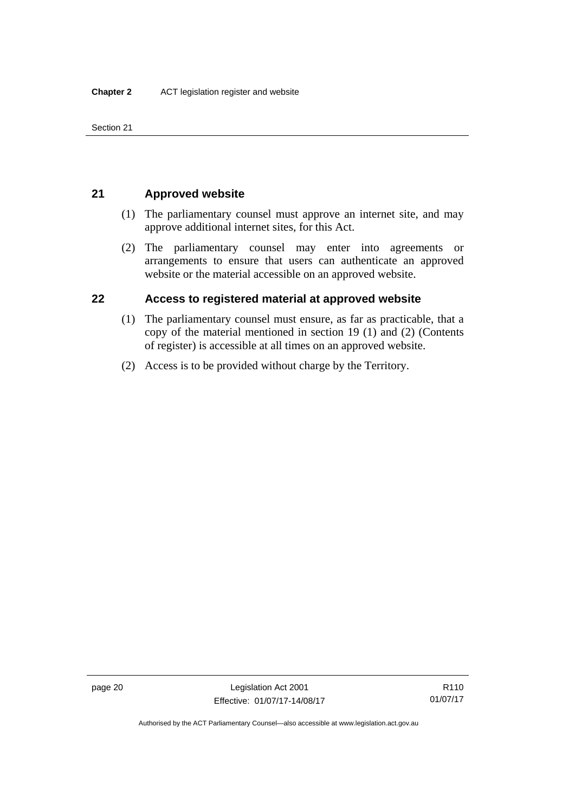Section 21

## <span id="page-35-0"></span>**21 Approved website**

- (1) The parliamentary counsel must approve an internet site, and may approve additional internet sites, for this Act.
- (2) The parliamentary counsel may enter into agreements or arrangements to ensure that users can authenticate an approved website or the material accessible on an approved website.

## <span id="page-35-1"></span>**22 Access to registered material at approved website**

- (1) The parliamentary counsel must ensure, as far as practicable, that a copy of the material mentioned in section 19 (1) and (2) (Contents of register) is accessible at all times on an approved website.
- (2) Access is to be provided without charge by the Territory.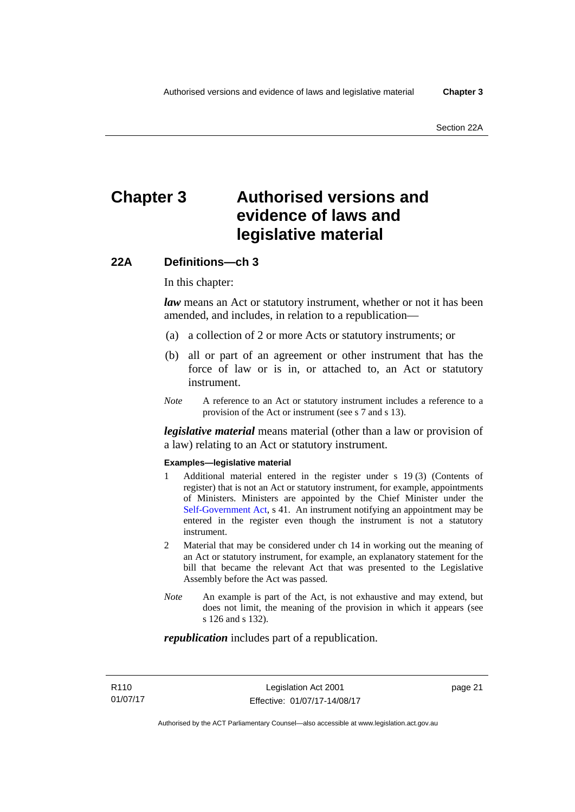# **Chapter 3 Authorised versions and evidence of laws and legislative material**

### **22A Definitions—ch 3**

In this chapter:

*law* means an Act or statutory instrument, whether or not it has been amended, and includes, in relation to a republication—

- (a) a collection of 2 or more Acts or statutory instruments; or
- (b) all or part of an agreement or other instrument that has the force of law or is in, or attached to, an Act or statutory instrument.
- *Note* A reference to an Act or statutory instrument includes a reference to a provision of the Act or instrument (see s 7 and s 13).

*legislative material* means material (other than a law or provision of a law) relating to an Act or statutory instrument.

#### **Examples—legislative material**

- 1 Additional material entered in the register under s 19 (3) (Contents of register) that is not an Act or statutory instrument, for example, appointments of Ministers. Ministers are appointed by the Chief Minister under the [Self-Government Act,](http://www.comlaw.gov.au/Series/C2004A03699) s 41. An instrument notifying an appointment may be entered in the register even though the instrument is not a statutory instrument.
- 2 Material that may be considered under ch 14 in working out the meaning of an Act or statutory instrument, for example, an explanatory statement for the bill that became the relevant Act that was presented to the Legislative Assembly before the Act was passed.
- *Note* An example is part of the Act, is not exhaustive and may extend, but does not limit, the meaning of the provision in which it appears (see s 126 and s 132).

#### *republication* includes part of a republication.

page 21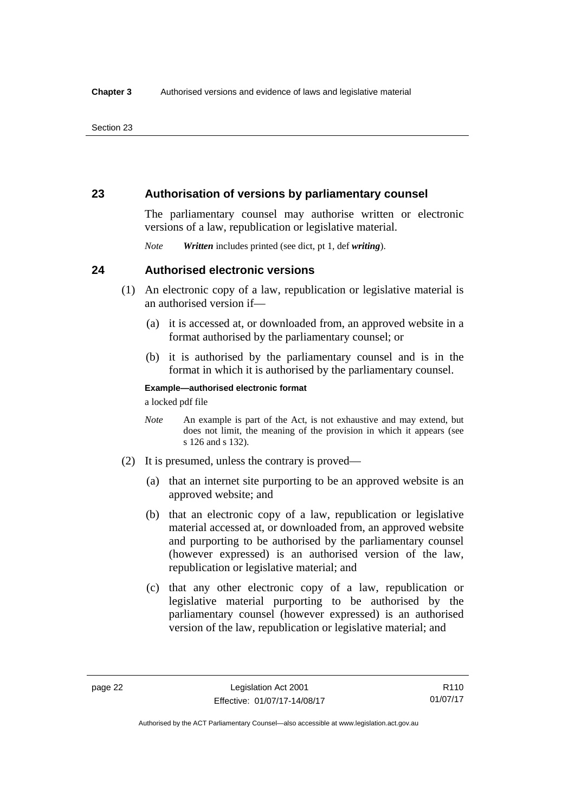### **23 Authorisation of versions by parliamentary counsel**

The parliamentary counsel may authorise written or electronic versions of a law, republication or legislative material.

*Note Written* includes printed (see dict, pt 1, def *writing*).

### **24 Authorised electronic versions**

- (1) An electronic copy of a law, republication or legislative material is an authorised version if—
	- (a) it is accessed at, or downloaded from, an approved website in a format authorised by the parliamentary counsel; or
	- (b) it is authorised by the parliamentary counsel and is in the format in which it is authorised by the parliamentary counsel.

**Example—authorised electronic format**  a locked pdf file

*Note* An example is part of the Act, is not exhaustive and may extend, but does not limit, the meaning of the provision in which it appears (see s 126 and s 132).

- (2) It is presumed, unless the contrary is proved—
	- (a) that an internet site purporting to be an approved website is an approved website; and
	- (b) that an electronic copy of a law, republication or legislative material accessed at, or downloaded from, an approved website and purporting to be authorised by the parliamentary counsel (however expressed) is an authorised version of the law, republication or legislative material; and
	- (c) that any other electronic copy of a law, republication or legislative material purporting to be authorised by the parliamentary counsel (however expressed) is an authorised version of the law, republication or legislative material; and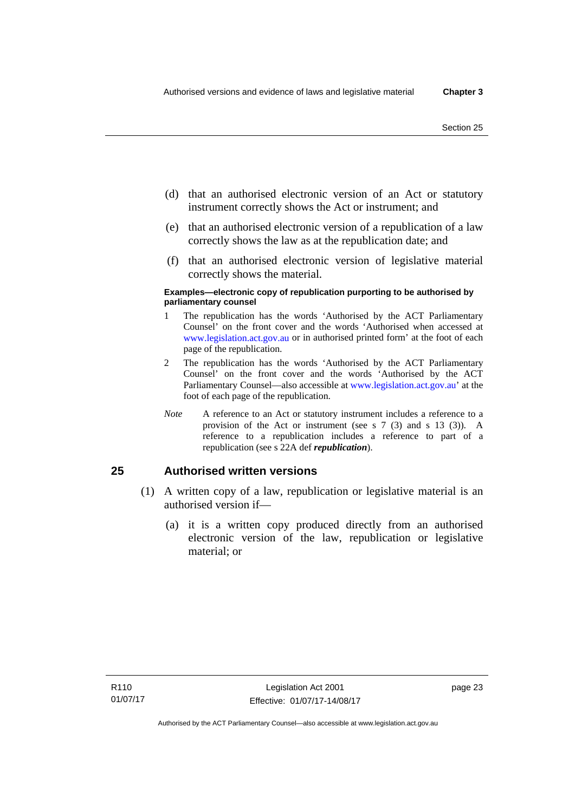- (d) that an authorised electronic version of an Act or statutory instrument correctly shows the Act or instrument; and
- (e) that an authorised electronic version of a republication of a law correctly shows the law as at the republication date; and
- (f) that an authorised electronic version of legislative material correctly shows the material.

#### **Examples—electronic copy of republication purporting to be authorised by parliamentary counsel**

- 1 The republication has the words 'Authorised by the ACT Parliamentary Counsel' on the front cover and the words 'Authorised when accessed at [www.legislation.act.gov.au](http://www.legislation.act.gov.au/) or in authorised printed form' at the foot of each page of the republication.
- 2 The republication has the words 'Authorised by the ACT Parliamentary Counsel' on the front cover and the words 'Authorised by the ACT Parliamentary Counsel—also accessible at [www.legislation.act.gov.au](http://www.legislation.act.gov.au/)' at the foot of each page of the republication.
- *Note* A reference to an Act or statutory instrument includes a reference to a provision of the Act or instrument (see s 7 (3) and s 13 (3)). A reference to a republication includes a reference to part of a republication (see s 22A def *republication*).

### **25 Authorised written versions**

- (1) A written copy of a law, republication or legislative material is an authorised version if—
	- (a) it is a written copy produced directly from an authorised electronic version of the law, republication or legislative material; or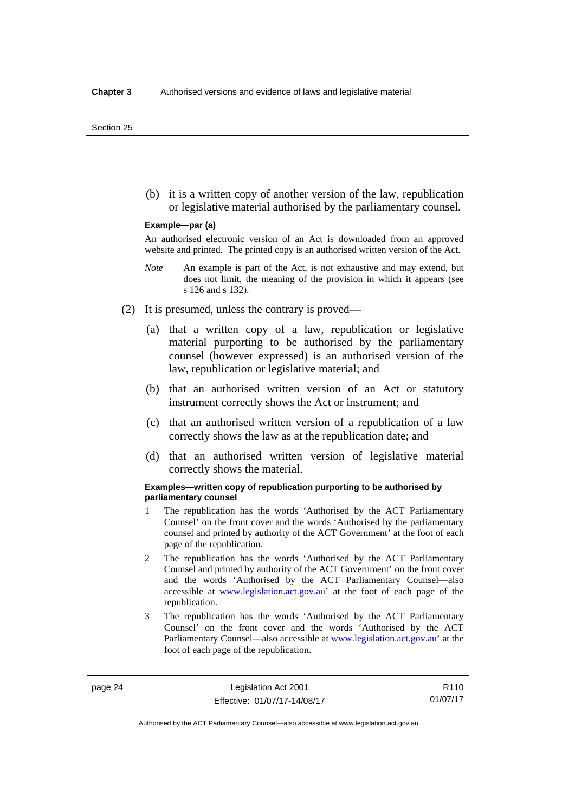(b) it is a written copy of another version of the law, republication or legislative material authorised by the parliamentary counsel.

#### **Example—par (a)**

An authorised electronic version of an Act is downloaded from an approved website and printed. The printed copy is an authorised written version of the Act.

- *Note* An example is part of the Act, is not exhaustive and may extend, but does not limit, the meaning of the provision in which it appears (see s 126 and s 132).
- (2) It is presumed, unless the contrary is proved—
	- (a) that a written copy of a law, republication or legislative material purporting to be authorised by the parliamentary counsel (however expressed) is an authorised version of the law, republication or legislative material; and
	- (b) that an authorised written version of an Act or statutory instrument correctly shows the Act or instrument; and
	- (c) that an authorised written version of a republication of a law correctly shows the law as at the republication date; and
	- (d) that an authorised written version of legislative material correctly shows the material.

#### **Examples—written copy of republication purporting to be authorised by parliamentary counsel**

- 1 The republication has the words 'Authorised by the ACT Parliamentary Counsel' on the front cover and the words 'Authorised by the parliamentary counsel and printed by authority of the ACT Government' at the foot of each page of the republication.
- 2 The republication has the words 'Authorised by the ACT Parliamentary Counsel and printed by authority of the ACT Government' on the front cover and the words 'Authorised by the ACT Parliamentary Counsel—also accessible at [www.legislation.act.gov.au'](http://www.legislation.act.gov.au/) at the foot of each page of the republication.
- 3 The republication has the words 'Authorised by the ACT Parliamentary Counsel' on the front cover and the words 'Authorised by the ACT Parliamentary Counsel—also accessible at [www.legislation.act.gov.au](http://www.legislation.act.gov.au/)' at the foot of each page of the republication.

R110 01/07/17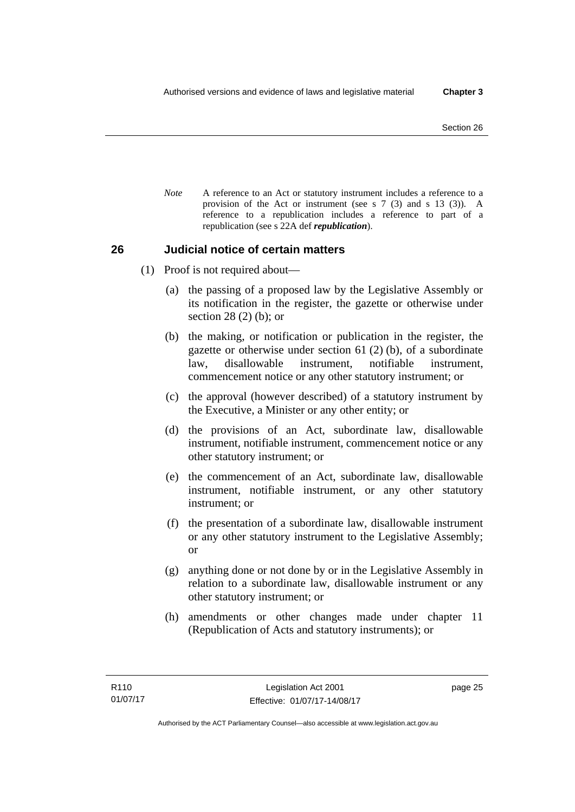*Note* A reference to an Act or statutory instrument includes a reference to a provision of the Act or instrument (see s 7 (3) and s 13 (3)). A reference to a republication includes a reference to part of a republication (see s 22A def *republication*).

### **26 Judicial notice of certain matters**

- (1) Proof is not required about—
	- (a) the passing of a proposed law by the Legislative Assembly or its notification in the register, the gazette or otherwise under section 28 (2) (b); or
	- (b) the making, or notification or publication in the register, the gazette or otherwise under section 61 (2) (b), of a subordinate law, disallowable instrument, notifiable instrument, commencement notice or any other statutory instrument; or
	- (c) the approval (however described) of a statutory instrument by the Executive, a Minister or any other entity; or
	- (d) the provisions of an Act, subordinate law, disallowable instrument, notifiable instrument, commencement notice or any other statutory instrument; or
	- (e) the commencement of an Act, subordinate law, disallowable instrument, notifiable instrument, or any other statutory instrument; or
	- (f) the presentation of a subordinate law, disallowable instrument or any other statutory instrument to the Legislative Assembly; or
	- (g) anything done or not done by or in the Legislative Assembly in relation to a subordinate law, disallowable instrument or any other statutory instrument; or
	- (h) amendments or other changes made under chapter 11 (Republication of Acts and statutory instruments); or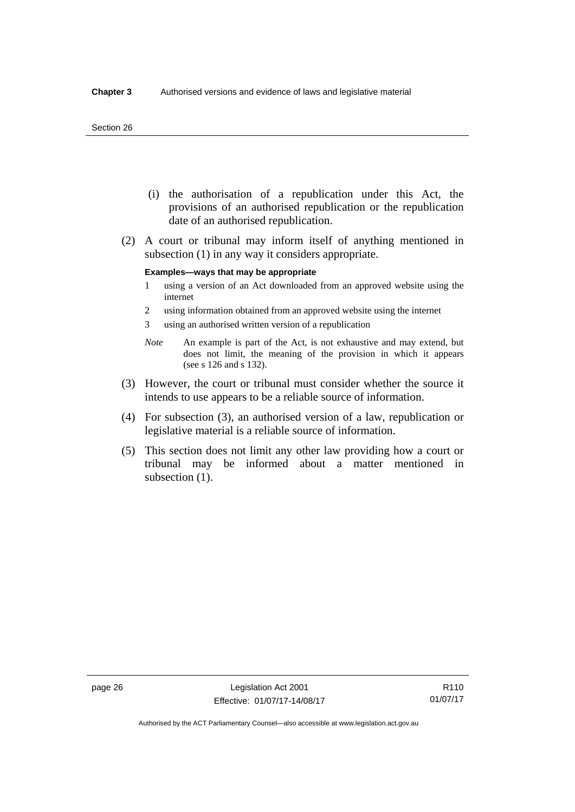#### Section 26

- (i) the authorisation of a republication under this Act, the provisions of an authorised republication or the republication date of an authorised republication.
- (2) A court or tribunal may inform itself of anything mentioned in subsection (1) in any way it considers appropriate.

#### **Examples—ways that may be appropriate**

- 1 using a version of an Act downloaded from an approved website using the internet
- 2 using information obtained from an approved website using the internet
- 3 using an authorised written version of a republication
- *Note* An example is part of the Act, is not exhaustive and may extend, but does not limit, the meaning of the provision in which it appears (see s 126 and s 132).
- (3) However, the court or tribunal must consider whether the source it intends to use appears to be a reliable source of information.
- (4) For subsection (3), an authorised version of a law, republication or legislative material is a reliable source of information.
- (5) This section does not limit any other law providing how a court or tribunal may be informed about a matter mentioned in subsection  $(1)$ .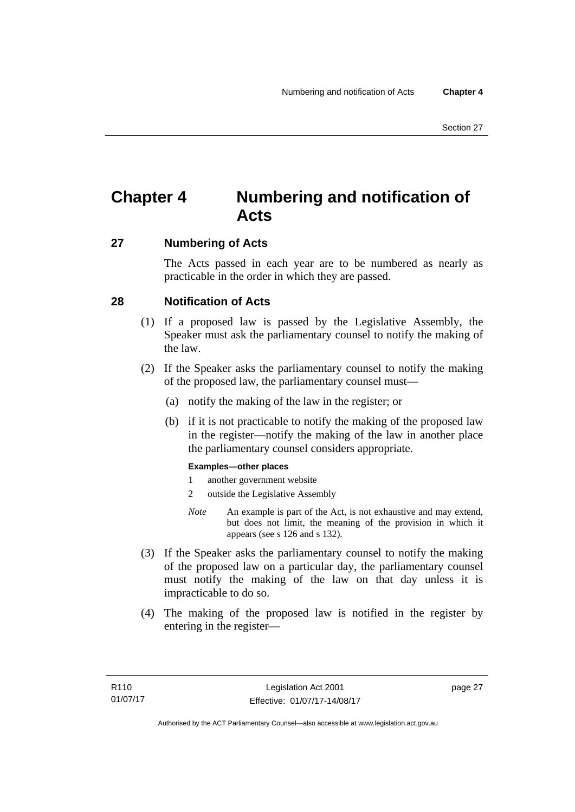# **Chapter 4 Numbering and notification of Acts**

### **27 Numbering of Acts**

The Acts passed in each year are to be numbered as nearly as practicable in the order in which they are passed.

### **28 Notification of Acts**

- (1) If a proposed law is passed by the Legislative Assembly, the Speaker must ask the parliamentary counsel to notify the making of the law.
- (2) If the Speaker asks the parliamentary counsel to notify the making of the proposed law, the parliamentary counsel must—
	- (a) notify the making of the law in the register; or
	- (b) if it is not practicable to notify the making of the proposed law in the register—notify the making of the law in another place the parliamentary counsel considers appropriate.

### **Examples—other places**

- 1 another government website
- 2 outside the Legislative Assembly
- *Note* An example is part of the Act, is not exhaustive and may extend, but does not limit, the meaning of the provision in which it appears (see s 126 and s 132).
- (3) If the Speaker asks the parliamentary counsel to notify the making of the proposed law on a particular day, the parliamentary counsel must notify the making of the law on that day unless it is impracticable to do so.
- (4) The making of the proposed law is notified in the register by entering in the register—

page 27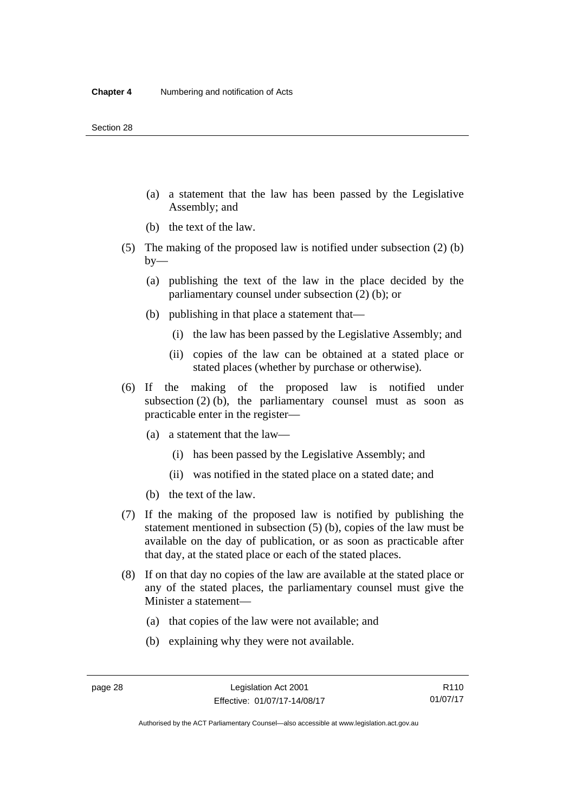- (a) a statement that the law has been passed by the Legislative Assembly; and
- (b) the text of the law.
- (5) The making of the proposed law is notified under subsection (2) (b)  $by-$ 
	- (a) publishing the text of the law in the place decided by the parliamentary counsel under subsection (2) (b); or
	- (b) publishing in that place a statement that—
		- (i) the law has been passed by the Legislative Assembly; and
		- (ii) copies of the law can be obtained at a stated place or stated places (whether by purchase or otherwise).
- (6) If the making of the proposed law is notified under subsection  $(2)$  (b), the parliamentary counsel must as soon as practicable enter in the register—
	- (a) a statement that the law—
		- (i) has been passed by the Legislative Assembly; and
		- (ii) was notified in the stated place on a stated date; and
	- (b) the text of the law.
- (7) If the making of the proposed law is notified by publishing the statement mentioned in subsection (5) (b), copies of the law must be available on the day of publication, or as soon as practicable after that day, at the stated place or each of the stated places.
- (8) If on that day no copies of the law are available at the stated place or any of the stated places, the parliamentary counsel must give the Minister a statement—
	- (a) that copies of the law were not available; and
	- (b) explaining why they were not available.

Authorised by the ACT Parliamentary Counsel—also accessible at www.legislation.act.gov.au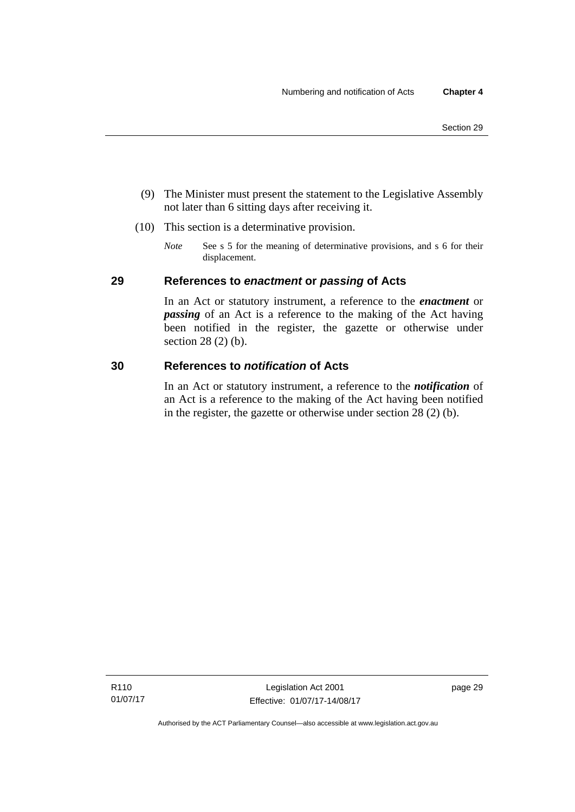- (9) The Minister must present the statement to the Legislative Assembly not later than 6 sitting days after receiving it.
- (10) This section is a determinative provision.
	- *Note* See s 5 for the meaning of determinative provisions, and s 6 for their displacement.

### **29 References to** *enactment* **or** *passing* **of Acts**

In an Act or statutory instrument, a reference to the *enactment* or *passing* of an Act is a reference to the making of the Act having been notified in the register, the gazette or otherwise under section 28 (2) (b).

### **30 References to** *notification* **of Acts**

In an Act or statutory instrument, a reference to the *notification* of an Act is a reference to the making of the Act having been notified in the register, the gazette or otherwise under section 28 (2) (b).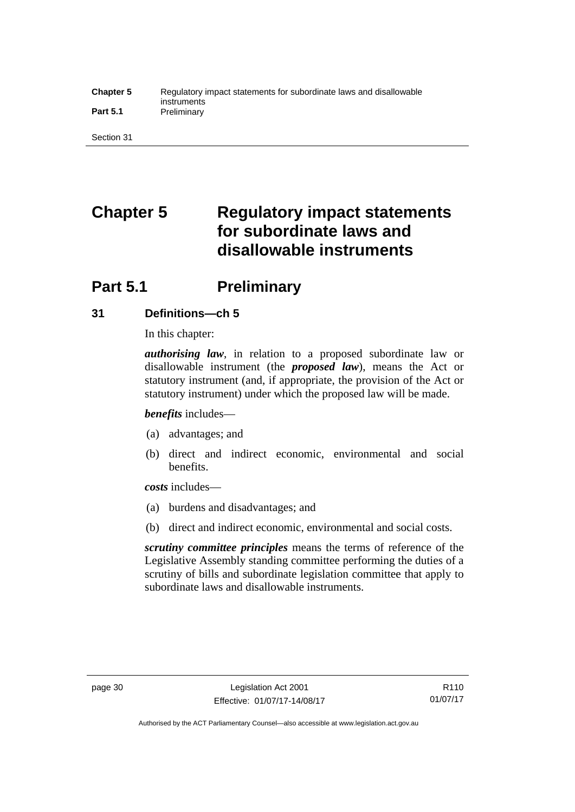#### **Chapter 5** Regulatory impact statements for subordinate laws and disallowable instruments **Part 5.1** Preliminary

Section 31

# **Chapter 5 Regulatory impact statements for subordinate laws and disallowable instruments**

# **Part 5.1** Preliminary

### **31 Definitions—ch 5**

In this chapter:

*authorising law*, in relation to a proposed subordinate law or disallowable instrument (the *proposed law*), means the Act or statutory instrument (and, if appropriate, the provision of the Act or statutory instrument) under which the proposed law will be made.

*benefits* includes—

- (a) advantages; and
- (b) direct and indirect economic, environmental and social benefits.

*costs* includes—

- (a) burdens and disadvantages; and
- (b) direct and indirect economic, environmental and social costs.

*scrutiny committee principles* means the terms of reference of the Legislative Assembly standing committee performing the duties of a scrutiny of bills and subordinate legislation committee that apply to subordinate laws and disallowable instruments.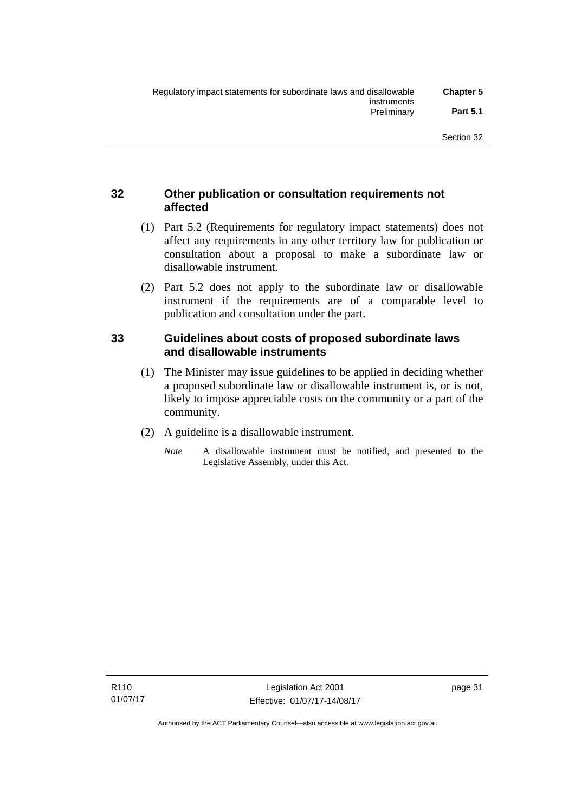### **32 Other publication or consultation requirements not affected**

- (1) Part 5.2 (Requirements for regulatory impact statements) does not affect any requirements in any other territory law for publication or consultation about a proposal to make a subordinate law or disallowable instrument.
- (2) Part 5.2 does not apply to the subordinate law or disallowable instrument if the requirements are of a comparable level to publication and consultation under the part.

### **33 Guidelines about costs of proposed subordinate laws and disallowable instruments**

- (1) The Minister may issue guidelines to be applied in deciding whether a proposed subordinate law or disallowable instrument is, or is not, likely to impose appreciable costs on the community or a part of the community.
- (2) A guideline is a disallowable instrument.
	- *Note* A disallowable instrument must be notified, and presented to the Legislative Assembly, under this Act.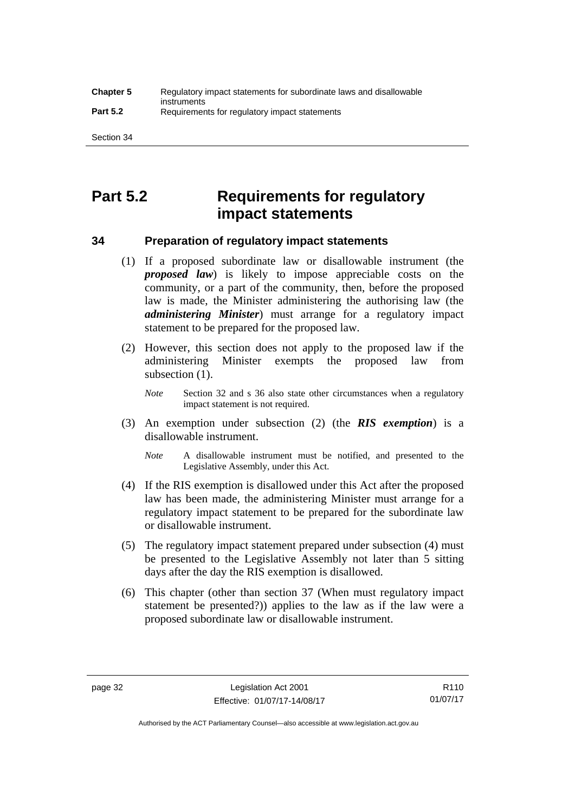# **Part 5.2 Requirements for regulatory impact statements**

### **34 Preparation of regulatory impact statements**

- (1) If a proposed subordinate law or disallowable instrument (the *proposed law*) is likely to impose appreciable costs on the community, or a part of the community, then, before the proposed law is made, the Minister administering the authorising law (the *administering Minister*) must arrange for a regulatory impact statement to be prepared for the proposed law.
- (2) However, this section does not apply to the proposed law if the administering Minister exempts the proposed law from subsection  $(1)$ .

*Note* Section 32 and s 36 also state other circumstances when a regulatory impact statement is not required.

- (3) An exemption under subsection (2) (the *RIS exemption*) is a disallowable instrument.
	- *Note* A disallowable instrument must be notified, and presented to the Legislative Assembly, under this Act.
- (4) If the RIS exemption is disallowed under this Act after the proposed law has been made, the administering Minister must arrange for a regulatory impact statement to be prepared for the subordinate law or disallowable instrument.
- (5) The regulatory impact statement prepared under subsection (4) must be presented to the Legislative Assembly not later than 5 sitting days after the day the RIS exemption is disallowed.
- (6) This chapter (other than section 37 (When must regulatory impact statement be presented?)) applies to the law as if the law were a proposed subordinate law or disallowable instrument.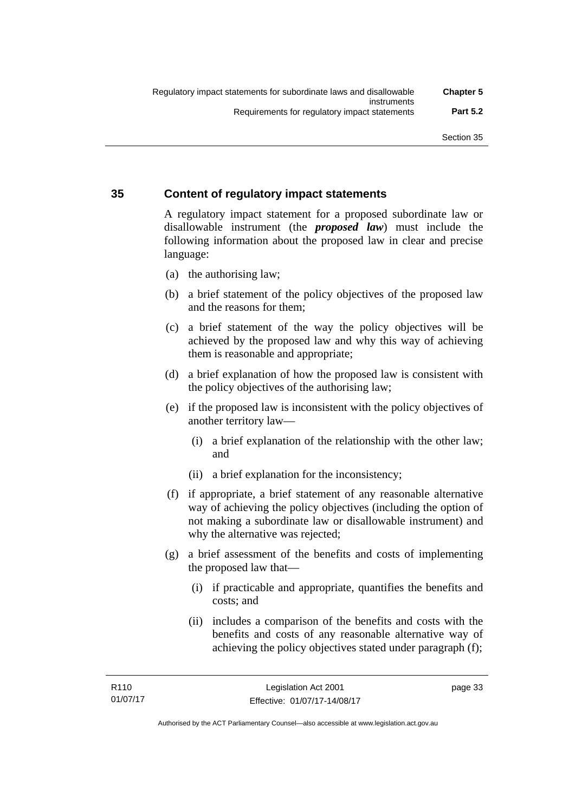### **35 Content of regulatory impact statements**

A regulatory impact statement for a proposed subordinate law or disallowable instrument (the *proposed law*) must include the following information about the proposed law in clear and precise language:

- (a) the authorising law;
- (b) a brief statement of the policy objectives of the proposed law and the reasons for them;
- (c) a brief statement of the way the policy objectives will be achieved by the proposed law and why this way of achieving them is reasonable and appropriate;
- (d) a brief explanation of how the proposed law is consistent with the policy objectives of the authorising law;
- (e) if the proposed law is inconsistent with the policy objectives of another territory law—
	- (i) a brief explanation of the relationship with the other law; and
	- (ii) a brief explanation for the inconsistency;
- (f) if appropriate, a brief statement of any reasonable alternative way of achieving the policy objectives (including the option of not making a subordinate law or disallowable instrument) and why the alternative was rejected;
- (g) a brief assessment of the benefits and costs of implementing the proposed law that—
	- (i) if practicable and appropriate, quantifies the benefits and costs; and
	- (ii) includes a comparison of the benefits and costs with the benefits and costs of any reasonable alternative way of achieving the policy objectives stated under paragraph (f);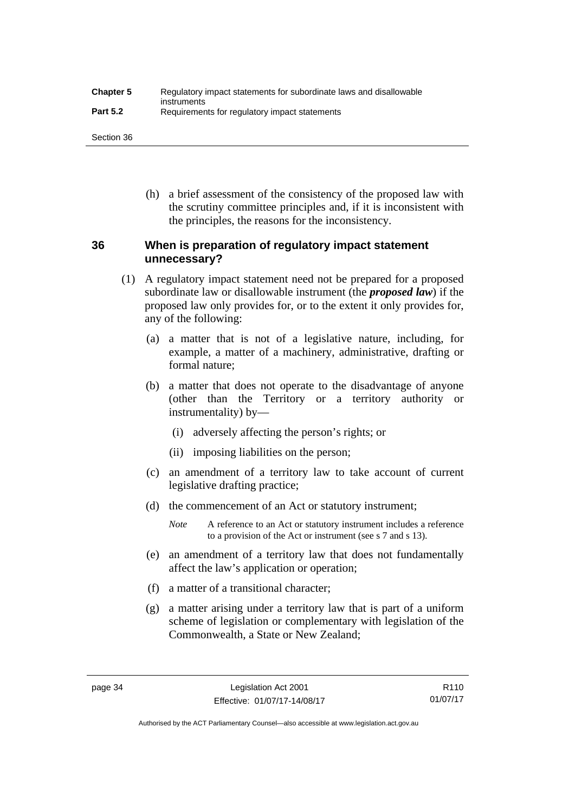| <b>Chapter 5</b> | Regulatory impact statements for subordinate laws and disallowable |
|------------------|--------------------------------------------------------------------|
| <b>Part 5.2</b>  | instruments<br>Requirements for regulatory impact statements       |

Section 36

 (h) a brief assessment of the consistency of the proposed law with the scrutiny committee principles and, if it is inconsistent with the principles, the reasons for the inconsistency.

### **36 When is preparation of regulatory impact statement unnecessary?**

- (1) A regulatory impact statement need not be prepared for a proposed subordinate law or disallowable instrument (the *proposed law*) if the proposed law only provides for, or to the extent it only provides for, any of the following:
	- (a) a matter that is not of a legislative nature, including, for example, a matter of a machinery, administrative, drafting or formal nature;
	- (b) a matter that does not operate to the disadvantage of anyone (other than the Territory or a territory authority or instrumentality) by—
		- (i) adversely affecting the person's rights; or
		- (ii) imposing liabilities on the person;
	- (c) an amendment of a territory law to take account of current legislative drafting practice;
	- (d) the commencement of an Act or statutory instrument;
		- *Note* A reference to an Act or statutory instrument includes a reference to a provision of the Act or instrument (see s 7 and s 13).
	- (e) an amendment of a territory law that does not fundamentally affect the law's application or operation;
	- (f) a matter of a transitional character;
	- (g) a matter arising under a territory law that is part of a uniform scheme of legislation or complementary with legislation of the Commonwealth, a State or New Zealand;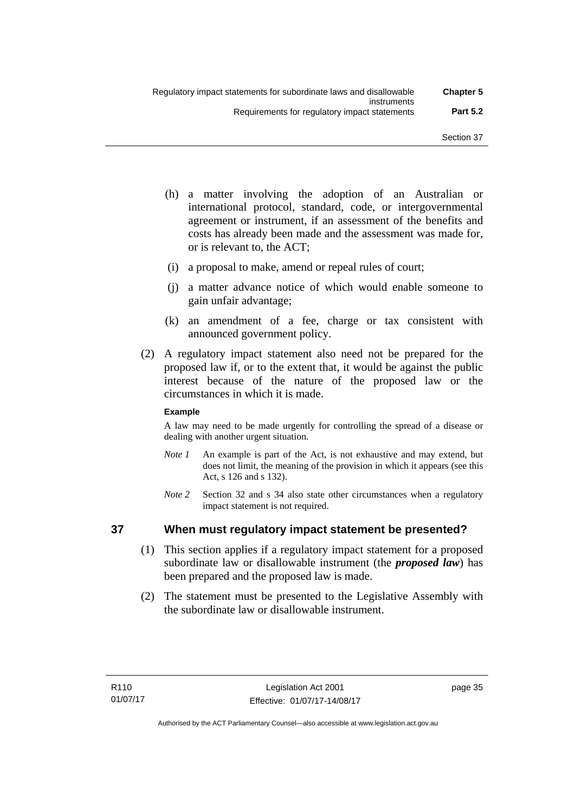- (h) a matter involving the adoption of an Australian or international protocol, standard, code, or intergovernmental agreement or instrument, if an assessment of the benefits and costs has already been made and the assessment was made for, or is relevant to, the ACT;
- (i) a proposal to make, amend or repeal rules of court;
- (j) a matter advance notice of which would enable someone to gain unfair advantage;
- (k) an amendment of a fee, charge or tax consistent with announced government policy.
- (2) A regulatory impact statement also need not be prepared for the proposed law if, or to the extent that, it would be against the public interest because of the nature of the proposed law or the circumstances in which it is made.

### **Example**

A law may need to be made urgently for controlling the spread of a disease or dealing with another urgent situation.

- *Note 1* An example is part of the Act, is not exhaustive and may extend, but does not limit, the meaning of the provision in which it appears (see this Act, s 126 and s 132).
- *Note* 2 Section 32 and s 34 also state other circumstances when a regulatory impact statement is not required.

### **37 When must regulatory impact statement be presented?**

- (1) This section applies if a regulatory impact statement for a proposed subordinate law or disallowable instrument (the *proposed law*) has been prepared and the proposed law is made.
- (2) The statement must be presented to the Legislative Assembly with the subordinate law or disallowable instrument.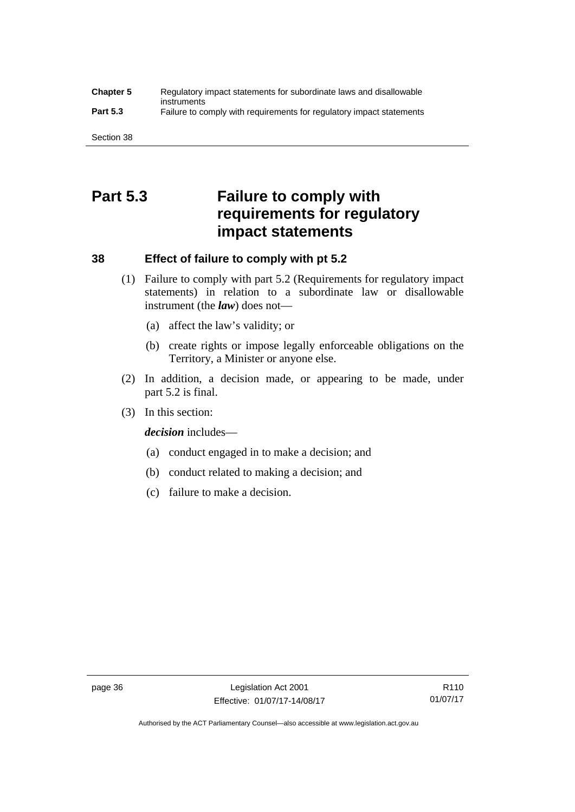#### **Chapter 5** Regulatory impact statements for subordinate laws and disallowable instruments **Part 5.3** Failure to comply with requirements for regulatory impact statements

Section 38

# **Part 5.3 Failure to comply with requirements for regulatory impact statements**

## **38 Effect of failure to comply with pt 5.2**

- (1) Failure to comply with part 5.2 (Requirements for regulatory impact statements) in relation to a subordinate law or disallowable instrument (the *law*) does not—
	- (a) affect the law's validity; or
	- (b) create rights or impose legally enforceable obligations on the Territory, a Minister or anyone else.
- (2) In addition, a decision made, or appearing to be made, under part 5.2 is final.
- (3) In this section:

*decision* includes—

- (a) conduct engaged in to make a decision; and
- (b) conduct related to making a decision; and
- (c) failure to make a decision.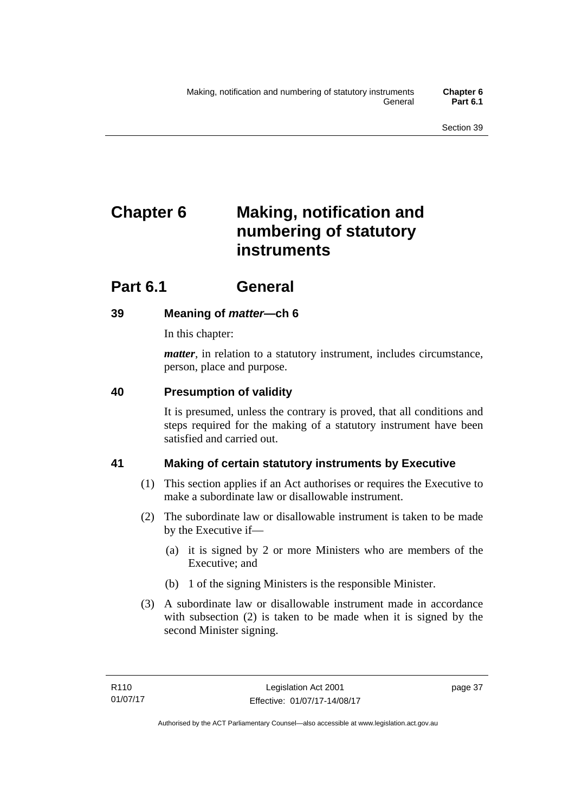# **Chapter 6 Making, notification and numbering of statutory instruments**

# **Part 6.1 General**

## **39 Meaning of** *matter***—ch 6**

In this chapter:

*matter*, in relation to a statutory instrument, includes circumstance, person, place and purpose.

## **40 Presumption of validity**

It is presumed, unless the contrary is proved, that all conditions and steps required for the making of a statutory instrument have been satisfied and carried out.

## **41 Making of certain statutory instruments by Executive**

- (1) This section applies if an Act authorises or requires the Executive to make a subordinate law or disallowable instrument.
- (2) The subordinate law or disallowable instrument is taken to be made by the Executive if—
	- (a) it is signed by 2 or more Ministers who are members of the Executive; and
	- (b) 1 of the signing Ministers is the responsible Minister.
- (3) A subordinate law or disallowable instrument made in accordance with subsection (2) is taken to be made when it is signed by the second Minister signing.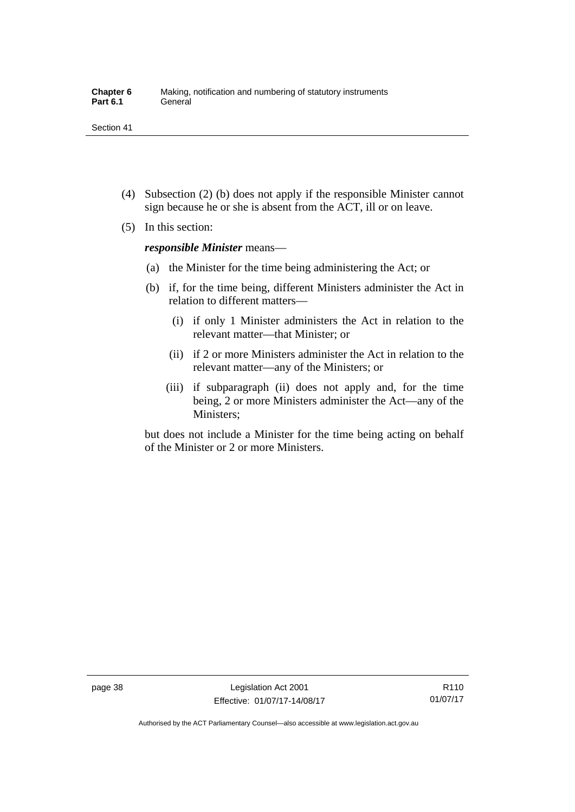- (4) Subsection (2) (b) does not apply if the responsible Minister cannot sign because he or she is absent from the ACT, ill or on leave.
- (5) In this section:

*responsible Minister* means—

- (a) the Minister for the time being administering the Act; or
- (b) if, for the time being, different Ministers administer the Act in relation to different matters—
	- (i) if only 1 Minister administers the Act in relation to the relevant matter—that Minister; or
	- (ii) if 2 or more Ministers administer the Act in relation to the relevant matter—any of the Ministers; or
	- (iii) if subparagraph (ii) does not apply and, for the time being, 2 or more Ministers administer the Act—any of the Ministers;

but does not include a Minister for the time being acting on behalf of the Minister or 2 or more Ministers.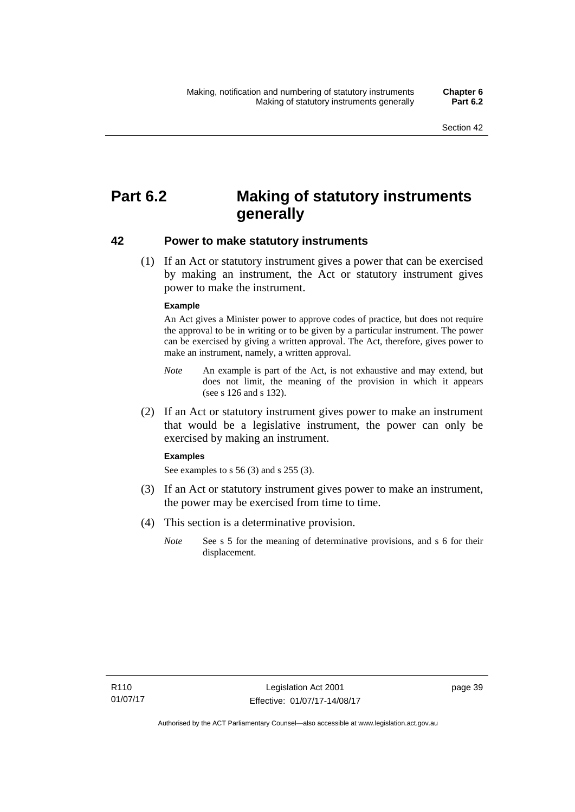# **Part 6.2 Making of statutory instruments generally**

### **42 Power to make statutory instruments**

 (1) If an Act or statutory instrument gives a power that can be exercised by making an instrument, the Act or statutory instrument gives power to make the instrument.

#### **Example**

An Act gives a Minister power to approve codes of practice, but does not require the approval to be in writing or to be given by a particular instrument. The power can be exercised by giving a written approval. The Act, therefore, gives power to make an instrument, namely, a written approval.

- *Note* An example is part of the Act, is not exhaustive and may extend, but does not limit, the meaning of the provision in which it appears (see s 126 and s 132).
- (2) If an Act or statutory instrument gives power to make an instrument that would be a legislative instrument, the power can only be exercised by making an instrument.

#### **Examples**

See examples to s 56 (3) and s 255 (3).

- (3) If an Act or statutory instrument gives power to make an instrument, the power may be exercised from time to time.
- (4) This section is a determinative provision.
	- *Note* See s 5 for the meaning of determinative provisions, and s 6 for their displacement.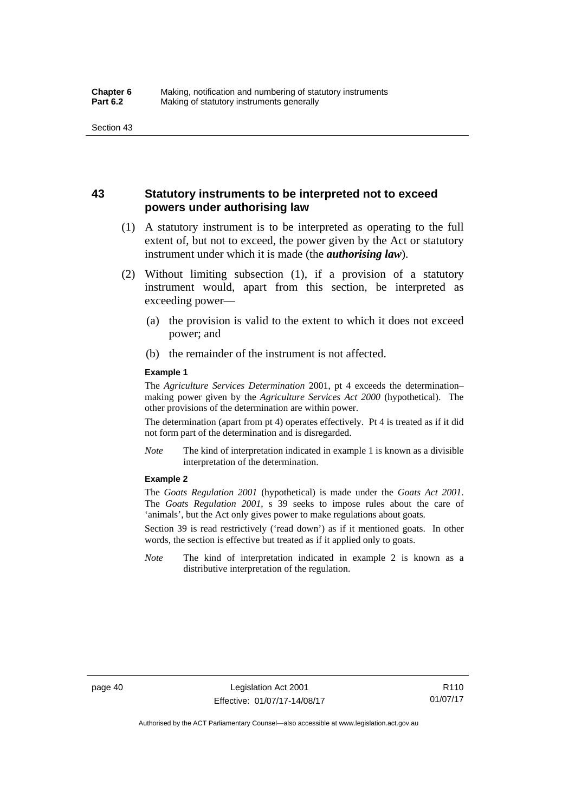### **43 Statutory instruments to be interpreted not to exceed powers under authorising law**

- (1) A statutory instrument is to be interpreted as operating to the full extent of, but not to exceed, the power given by the Act or statutory instrument under which it is made (the *authorising law*).
- (2) Without limiting subsection (1), if a provision of a statutory instrument would, apart from this section, be interpreted as exceeding power—
	- (a) the provision is valid to the extent to which it does not exceed power; and
	- (b) the remainder of the instrument is not affected.

#### **Example 1**

The *Agriculture Services Determination* 2001, pt 4 exceeds the determination– making power given by the *Agriculture Services Act 2000* (hypothetical). The other provisions of the determination are within power.

The determination (apart from pt 4) operates effectively. Pt 4 is treated as if it did not form part of the determination and is disregarded.

*Note* The kind of interpretation indicated in example 1 is known as a divisible interpretation of the determination.

#### **Example 2**

The *Goats Regulation 2001* (hypothetical) is made under the *Goats Act 2001*. The *Goats Regulation 2001*, s 39 seeks to impose rules about the care of 'animals', but the Act only gives power to make regulations about goats.

Section 39 is read restrictively ('read down') as if it mentioned goats. In other words, the section is effective but treated as if it applied only to goats.

*Note* The kind of interpretation indicated in example 2 is known as a distributive interpretation of the regulation.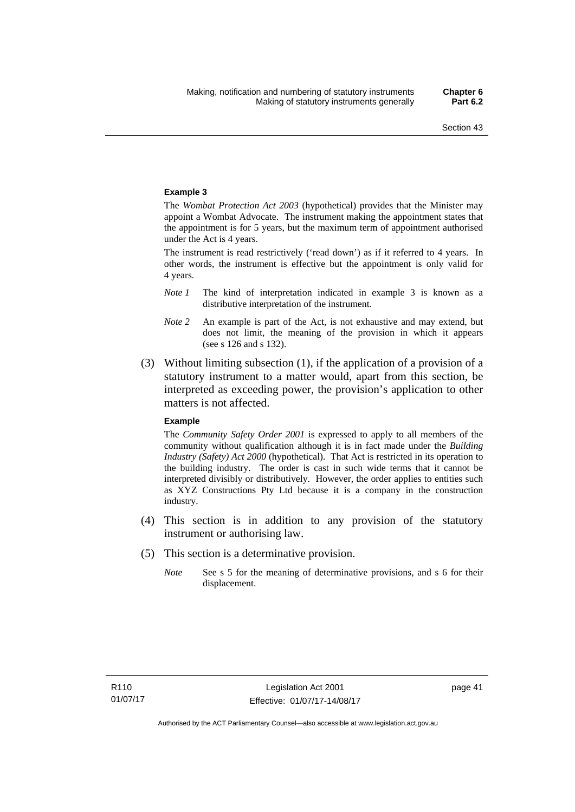#### **Example 3**

The *Wombat Protection Act 2003* (hypothetical) provides that the Minister may appoint a Wombat Advocate. The instrument making the appointment states that the appointment is for 5 years, but the maximum term of appointment authorised under the Act is 4 years.

The instrument is read restrictively ('read down') as if it referred to 4 years. In other words, the instrument is effective but the appointment is only valid for 4 years.

- *Note 1* The kind of interpretation indicated in example 3 is known as a distributive interpretation of the instrument.
- *Note 2* An example is part of the Act, is not exhaustive and may extend, but does not limit, the meaning of the provision in which it appears (see s 126 and s 132).
- (3) Without limiting subsection (1), if the application of a provision of a statutory instrument to a matter would, apart from this section, be interpreted as exceeding power, the provision's application to other matters is not affected.

#### **Example**

The *Community Safety Order 2001* is expressed to apply to all members of the community without qualification although it is in fact made under the *Building Industry (Safety) Act 2000* (hypothetical). That Act is restricted in its operation to the building industry. The order is cast in such wide terms that it cannot be interpreted divisibly or distributively. However, the order applies to entities such as XYZ Constructions Pty Ltd because it is a company in the construction industry.

- (4) This section is in addition to any provision of the statutory instrument or authorising law.
- (5) This section is a determinative provision.
	- *Note* See s 5 for the meaning of determinative provisions, and s 6 for their displacement.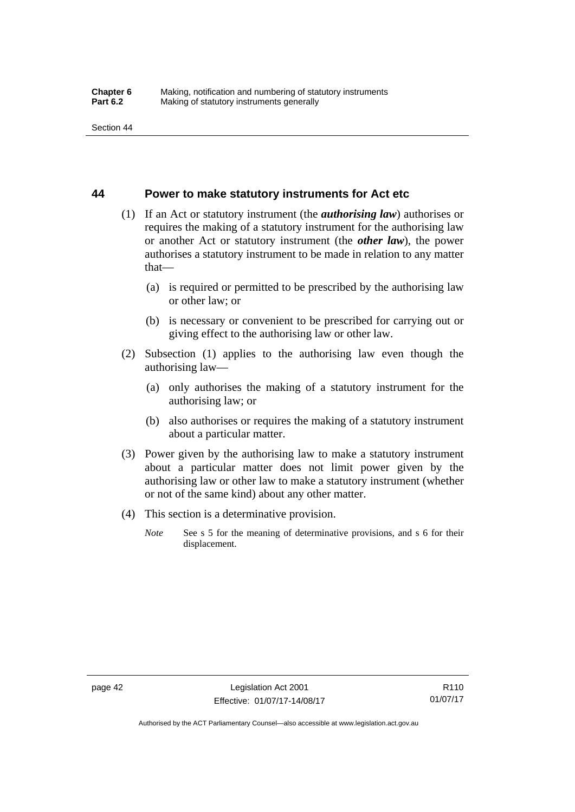### **44 Power to make statutory instruments for Act etc**

- (1) If an Act or statutory instrument (the *authorising law*) authorises or requires the making of a statutory instrument for the authorising law or another Act or statutory instrument (the *other law*), the power authorises a statutory instrument to be made in relation to any matter that—
	- (a) is required or permitted to be prescribed by the authorising law or other law; or
	- (b) is necessary or convenient to be prescribed for carrying out or giving effect to the authorising law or other law.
- (2) Subsection (1) applies to the authorising law even though the authorising law—
	- (a) only authorises the making of a statutory instrument for the authorising law; or
	- (b) also authorises or requires the making of a statutory instrument about a particular matter.
- (3) Power given by the authorising law to make a statutory instrument about a particular matter does not limit power given by the authorising law or other law to make a statutory instrument (whether or not of the same kind) about any other matter.
- (4) This section is a determinative provision.
	- *Note* See s 5 for the meaning of determinative provisions, and s 6 for their displacement.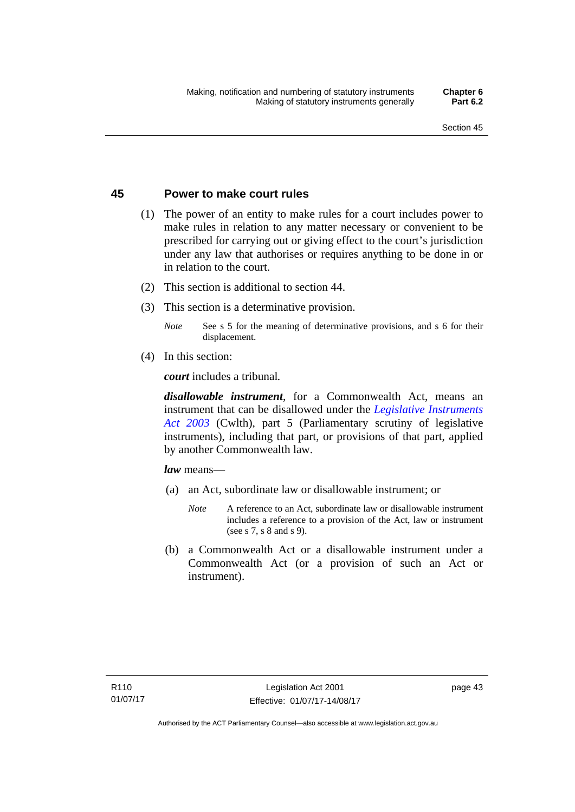### **45 Power to make court rules**

- (1) The power of an entity to make rules for a court includes power to make rules in relation to any matter necessary or convenient to be prescribed for carrying out or giving effect to the court's jurisdiction under any law that authorises or requires anything to be done in or in relation to the court.
- (2) This section is additional to section 44.
- (3) This section is a determinative provision.
	- *Note* See s 5 for the meaning of determinative provisions, and s 6 for their displacement.
- (4) In this section:

*court* includes a tribunal*.*

*disallowable instrument*, for a Commonwealth Act, means an instrument that can be disallowed under the *[Legislative Instruments](http://www.comlaw.gov.au/Series/C2004A01224)  [Act 2003](http://www.comlaw.gov.au/Series/C2004A01224)* (Cwlth), part 5 (Parliamentary scrutiny of legislative instruments), including that part, or provisions of that part, applied by another Commonwealth law.

*law* means—

- (a) an Act, subordinate law or disallowable instrument; or
	- *Note* A reference to an Act, subordinate law or disallowable instrument includes a reference to a provision of the Act, law or instrument (see s 7, s 8 and s 9).
- (b) a Commonwealth Act or a disallowable instrument under a Commonwealth Act (or a provision of such an Act or instrument).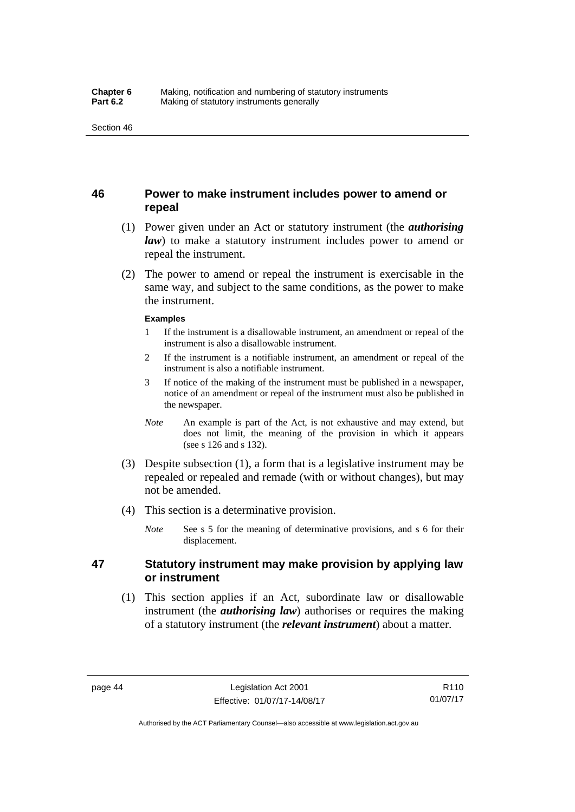### **46 Power to make instrument includes power to amend or repeal**

- (1) Power given under an Act or statutory instrument (the *authorising law*) to make a statutory instrument includes power to amend or repeal the instrument.
- (2) The power to amend or repeal the instrument is exercisable in the same way, and subject to the same conditions, as the power to make the instrument.

#### **Examples**

- 1 If the instrument is a disallowable instrument, an amendment or repeal of the instrument is also a disallowable instrument.
- 2 If the instrument is a notifiable instrument, an amendment or repeal of the instrument is also a notifiable instrument.
- 3 If notice of the making of the instrument must be published in a newspaper, notice of an amendment or repeal of the instrument must also be published in the newspaper.
- *Note* An example is part of the Act, is not exhaustive and may extend, but does not limit, the meaning of the provision in which it appears (see s 126 and s 132).
- (3) Despite subsection (1), a form that is a legislative instrument may be repealed or repealed and remade (with or without changes), but may not be amended.
- (4) This section is a determinative provision.
	- *Note* See s 5 for the meaning of determinative provisions, and s 6 for their displacement.

### **47 Statutory instrument may make provision by applying law or instrument**

 (1) This section applies if an Act, subordinate law or disallowable instrument (the *authorising law*) authorises or requires the making of a statutory instrument (the *relevant instrument*) about a matter.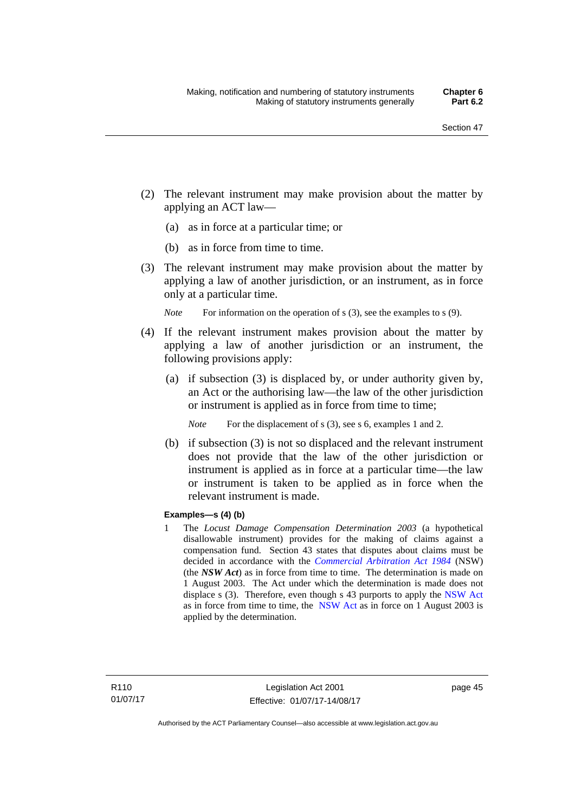- (2) The relevant instrument may make provision about the matter by applying an ACT law—
	- (a) as in force at a particular time; or
	- (b) as in force from time to time.
- (3) The relevant instrument may make provision about the matter by applying a law of another jurisdiction, or an instrument, as in force only at a particular time.

*Note* For information on the operation of s (3), see the examples to s (9).

- (4) If the relevant instrument makes provision about the matter by applying a law of another jurisdiction or an instrument, the following provisions apply:
	- (a) if subsection (3) is displaced by, or under authority given by, an Act or the authorising law—the law of the other jurisdiction or instrument is applied as in force from time to time;
		- *Note* For the displacement of s (3), see s 6, examples 1 and 2.
	- (b) if subsection (3) is not so displaced and the relevant instrument does not provide that the law of the other jurisdiction or instrument is applied as in force at a particular time—the law or instrument is taken to be applied as in force when the relevant instrument is made.

### **Examples—s (4) (b)**

1 The *Locust Damage Compensation Determination 2003* (a hypothetical disallowable instrument) provides for the making of claims against a compensation fund. Section 43 states that disputes about claims must be decided in accordance with the *[Commercial Arbitration Act 1984](http://www.legislation.nsw.gov.au/maintop/view/repealed/act+160+1984+cd+0+Y)* (NSW) (the *NSW Act*) as in force from time to time. The determination is made on 1 August 2003. The Act under which the determination is made does not displace s (3). Therefore, even though s 43 purports to apply the [NSW Act](http://www.legislation.nsw.gov.au/maintop/view/repealed/act+160+1984+cd+0+Y) as in force from time to time, the [NSW Act](http://www.legislation.nsw.gov.au/maintop/view/repealed/act+160+1984+cd+0+Y) as in force on 1 August 2003 is applied by the determination.

page 45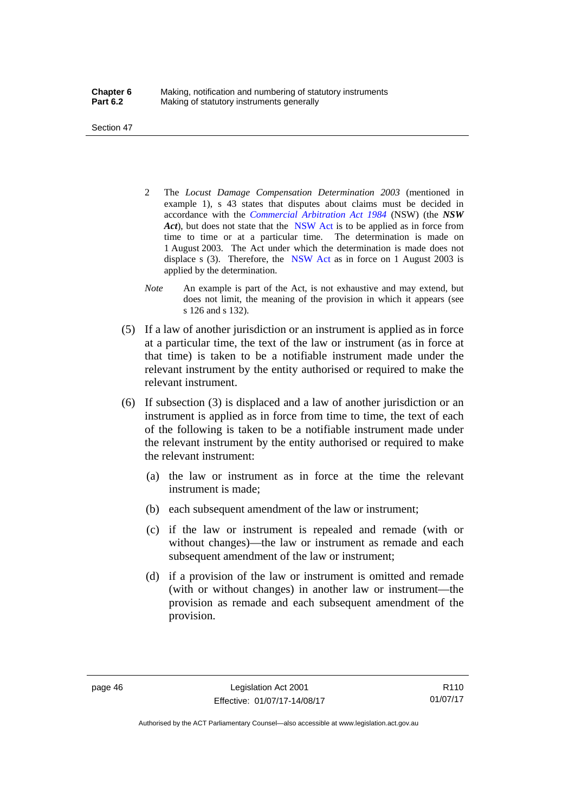Section 47

- 2 The *Locust Damage Compensation Determination 2003* (mentioned in example 1), s 43 states that disputes about claims must be decided in accordance with the *[Commercial Arbitration Act 1984](http://www.legislation.nsw.gov.au/maintop/view/repealed/act+160+1984+cd+0+Y)* (NSW) (the *NSW Act*), but does not state that the [NSW Act](http://www.legislation.nsw.gov.au/maintop/view/repealed/act+160+1984+cd+0+Y) is to be applied as in force from time to time or at a particular time. The determination is made on 1 August 2003. The Act under which the determination is made does not displace s (3). Therefore, the [NSW Act](http://www.legislation.nsw.gov.au/maintop/view/repealed/act+160+1984+cd+0+Y) as in force on 1 August 2003 is applied by the determination.
- *Note* An example is part of the Act, is not exhaustive and may extend, but does not limit, the meaning of the provision in which it appears (see s 126 and s 132).
- (5) If a law of another jurisdiction or an instrument is applied as in force at a particular time, the text of the law or instrument (as in force at that time) is taken to be a notifiable instrument made under the relevant instrument by the entity authorised or required to make the relevant instrument.
- (6) If subsection (3) is displaced and a law of another jurisdiction or an instrument is applied as in force from time to time, the text of each of the following is taken to be a notifiable instrument made under the relevant instrument by the entity authorised or required to make the relevant instrument:
	- (a) the law or instrument as in force at the time the relevant instrument is made;
	- (b) each subsequent amendment of the law or instrument;
	- (c) if the law or instrument is repealed and remade (with or without changes)—the law or instrument as remade and each subsequent amendment of the law or instrument;
	- (d) if a provision of the law or instrument is omitted and remade (with or without changes) in another law or instrument—the provision as remade and each subsequent amendment of the provision.

R110 01/07/17

Authorised by the ACT Parliamentary Counsel—also accessible at www.legislation.act.gov.au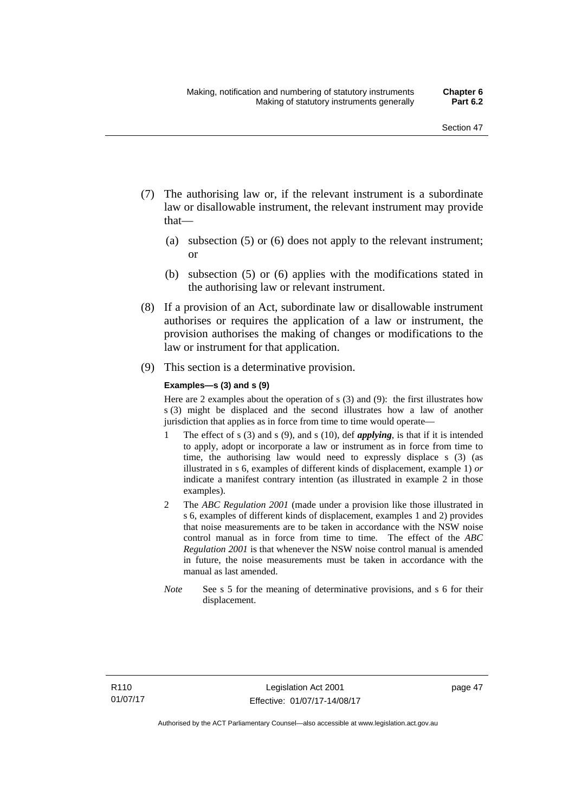- (7) The authorising law or, if the relevant instrument is a subordinate law or disallowable instrument, the relevant instrument may provide that—
	- (a) subsection (5) or (6) does not apply to the relevant instrument; or
	- (b) subsection (5) or (6) applies with the modifications stated in the authorising law or relevant instrument.
- (8) If a provision of an Act, subordinate law or disallowable instrument authorises or requires the application of a law or instrument, the provision authorises the making of changes or modifications to the law or instrument for that application.
- (9) This section is a determinative provision.

#### **Examples—s (3) and s (9)**

Here are 2 examples about the operation of s (3) and (9): the first illustrates how s (3) might be displaced and the second illustrates how a law of another jurisdiction that applies as in force from time to time would operate—

- 1 The effect of s (3) and s (9), and s (10), def *applying*, is that if it is intended to apply, adopt or incorporate a law or instrument as in force from time to time, the authorising law would need to expressly displace s (3) (as illustrated in s 6, examples of different kinds of displacement, example 1) *or* indicate a manifest contrary intention (as illustrated in example 2 in those examples).
- 2 The *ABC Regulation 2001* (made under a provision like those illustrated in s 6, examples of different kinds of displacement, examples 1 and 2) provides that noise measurements are to be taken in accordance with the NSW noise control manual as in force from time to time. The effect of the *ABC Regulation 2001* is that whenever the NSW noise control manual is amended in future, the noise measurements must be taken in accordance with the manual as last amended.
- *Note* See s 5 for the meaning of determinative provisions, and s 6 for their displacement.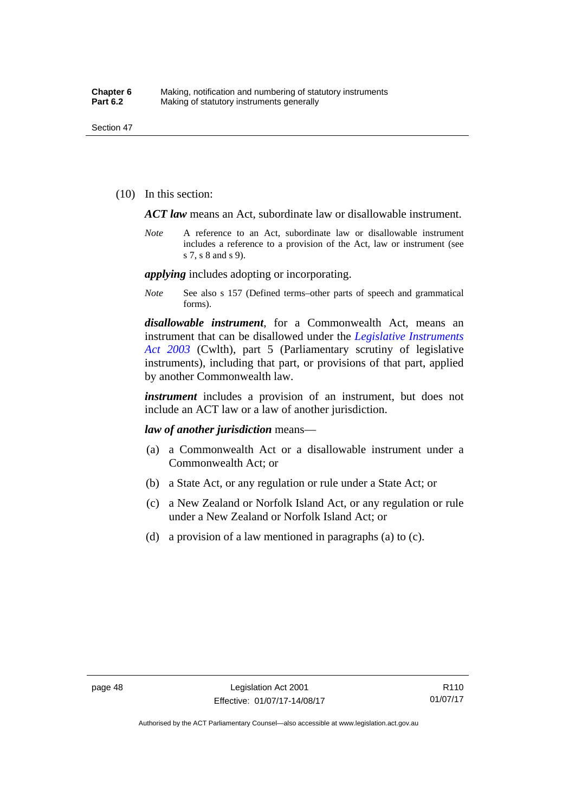(10) In this section:

*ACT law* means an Act, subordinate law or disallowable instrument.

*Note* A reference to an Act, subordinate law or disallowable instrument includes a reference to a provision of the Act, law or instrument (see s 7, s 8 and s 9).

*applying* includes adopting or incorporating.

*Note* See also s 157 (Defined terms–other parts of speech and grammatical forms).

*disallowable instrument*, for a Commonwealth Act, means an instrument that can be disallowed under the *[Legislative Instruments](http://www.comlaw.gov.au/Series/C2004A01224)  [Act 2003](http://www.comlaw.gov.au/Series/C2004A01224)* (Cwlth), part 5 (Parliamentary scrutiny of legislative instruments), including that part, or provisions of that part, applied by another Commonwealth law.

*instrument* includes a provision of an instrument, but does not include an ACT law or a law of another jurisdiction.

*law of another jurisdiction* means—

- (a) a Commonwealth Act or a disallowable instrument under a Commonwealth Act; or
- (b) a State Act, or any regulation or rule under a State Act; or
- (c) a New Zealand or Norfolk Island Act, or any regulation or rule under a New Zealand or Norfolk Island Act; or
- (d) a provision of a law mentioned in paragraphs (a) to (c).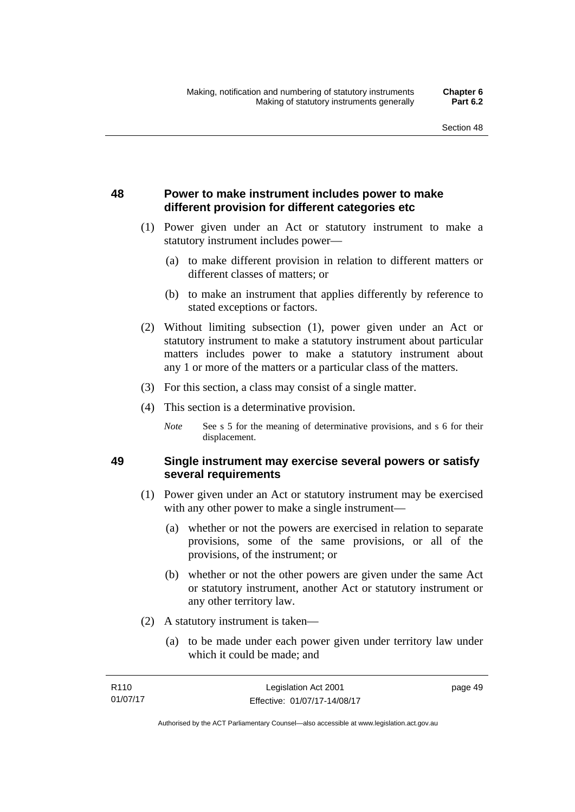## **48 Power to make instrument includes power to make different provision for different categories etc**

- (1) Power given under an Act or statutory instrument to make a statutory instrument includes power—
	- (a) to make different provision in relation to different matters or different classes of matters; or
	- (b) to make an instrument that applies differently by reference to stated exceptions or factors.
- (2) Without limiting subsection (1), power given under an Act or statutory instrument to make a statutory instrument about particular matters includes power to make a statutory instrument about any 1 or more of the matters or a particular class of the matters.
- (3) For this section, a class may consist of a single matter.
- (4) This section is a determinative provision.
	- *Note* See s 5 for the meaning of determinative provisions, and s 6 for their displacement.

### **49 Single instrument may exercise several powers or satisfy several requirements**

- (1) Power given under an Act or statutory instrument may be exercised with any other power to make a single instrument—
	- (a) whether or not the powers are exercised in relation to separate provisions, some of the same provisions, or all of the provisions, of the instrument; or
	- (b) whether or not the other powers are given under the same Act or statutory instrument, another Act or statutory instrument or any other territory law.
- (2) A statutory instrument is taken—
	- (a) to be made under each power given under territory law under which it could be made; and

| R <sub>110</sub> | Legislation Act 2001         | page 49 |
|------------------|------------------------------|---------|
| 01/07/17         | Effective: 01/07/17-14/08/17 |         |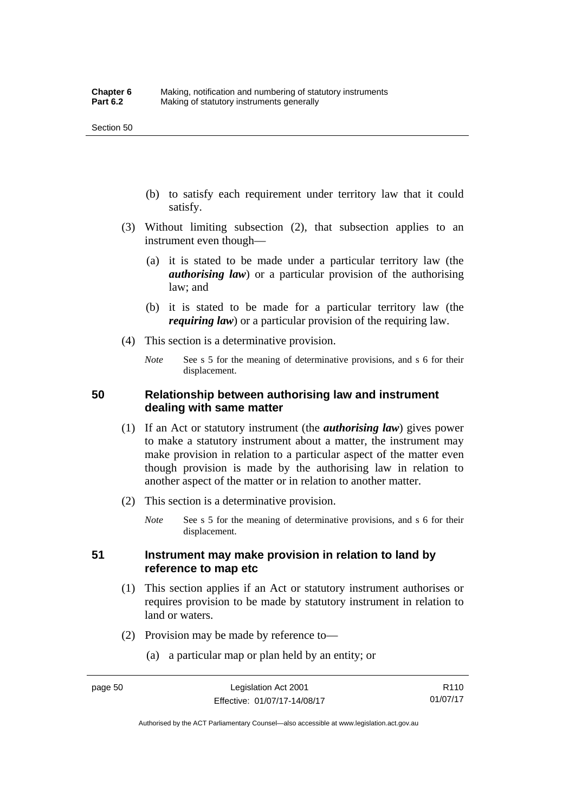- (b) to satisfy each requirement under territory law that it could satisfy.
- (3) Without limiting subsection (2), that subsection applies to an instrument even though—
	- (a) it is stated to be made under a particular territory law (the *authorising law*) or a particular provision of the authorising law; and
	- (b) it is stated to be made for a particular territory law (the *requiring law*) or a particular provision of the requiring law.
- (4) This section is a determinative provision.
	- *Note* See s 5 for the meaning of determinative provisions, and s 6 for their displacement.

### **50 Relationship between authorising law and instrument dealing with same matter**

- (1) If an Act or statutory instrument (the *authorising law*) gives power to make a statutory instrument about a matter, the instrument may make provision in relation to a particular aspect of the matter even though provision is made by the authorising law in relation to another aspect of the matter or in relation to another matter.
- (2) This section is a determinative provision.
	- *Note* See s 5 for the meaning of determinative provisions, and s 6 for their displacement.

### **51 Instrument may make provision in relation to land by reference to map etc**

- (1) This section applies if an Act or statutory instrument authorises or requires provision to be made by statutory instrument in relation to land or waters.
- (2) Provision may be made by reference to—
	- (a) a particular map or plan held by an entity; or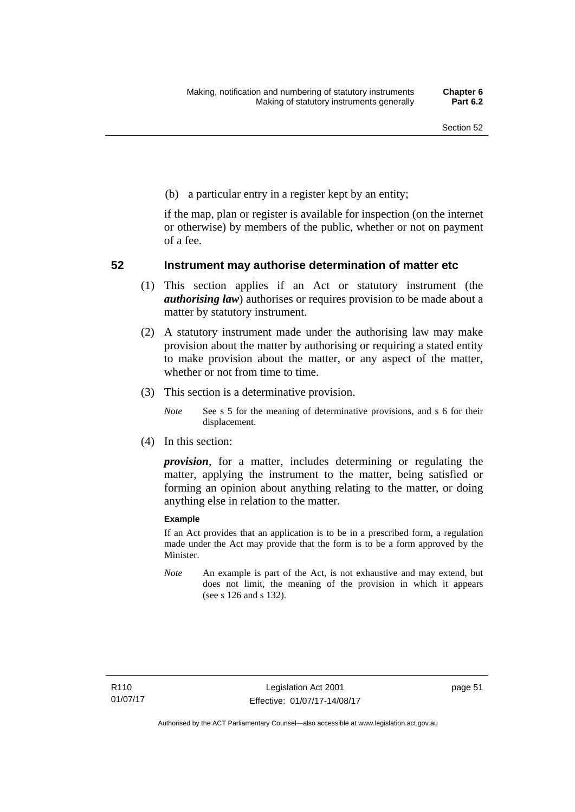(b) a particular entry in a register kept by an entity;

if the map, plan or register is available for inspection (on the internet or otherwise) by members of the public, whether or not on payment of a fee.

### **52 Instrument may authorise determination of matter etc**

- (1) This section applies if an Act or statutory instrument (the *authorising law*) authorises or requires provision to be made about a matter by statutory instrument.
- (2) A statutory instrument made under the authorising law may make provision about the matter by authorising or requiring a stated entity to make provision about the matter, or any aspect of the matter, whether or not from time to time.
- (3) This section is a determinative provision.
	- *Note* See s 5 for the meaning of determinative provisions, and s 6 for their displacement.
- (4) In this section:

*provision*, for a matter, includes determining or regulating the matter, applying the instrument to the matter, being satisfied or forming an opinion about anything relating to the matter, or doing anything else in relation to the matter.

#### **Example**

If an Act provides that an application is to be in a prescribed form, a regulation made under the Act may provide that the form is to be a form approved by the Minister.

*Note* An example is part of the Act, is not exhaustive and may extend, but does not limit, the meaning of the provision in which it appears (see s 126 and s 132).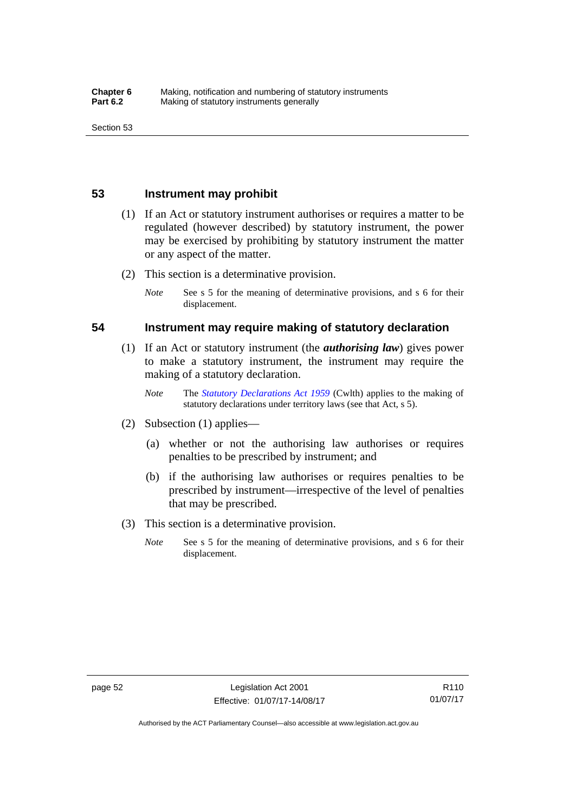### **53 Instrument may prohibit**

- (1) If an Act or statutory instrument authorises or requires a matter to be regulated (however described) by statutory instrument, the power may be exercised by prohibiting by statutory instrument the matter or any aspect of the matter.
- (2) This section is a determinative provision.
	- *Note* See s 5 for the meaning of determinative provisions, and s 6 for their displacement.

### **54 Instrument may require making of statutory declaration**

- (1) If an Act or statutory instrument (the *authorising law*) gives power to make a statutory instrument, the instrument may require the making of a statutory declaration.
	- *Note* The *[Statutory Declarations Act 1959](http://www.comlaw.gov.au/Series/C2004A07365)* (Cwlth) applies to the making of statutory declarations under territory laws (see that Act, s 5).
- (2) Subsection (1) applies—
	- (a) whether or not the authorising law authorises or requires penalties to be prescribed by instrument; and
	- (b) if the authorising law authorises or requires penalties to be prescribed by instrument—irrespective of the level of penalties that may be prescribed.
- (3) This section is a determinative provision.
	- *Note* See s 5 for the meaning of determinative provisions, and s 6 for their displacement.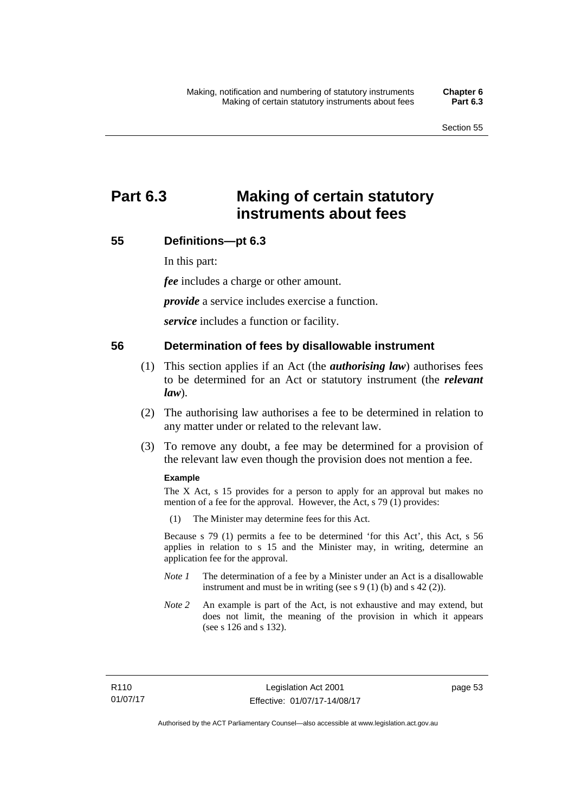# **Part 6.3 Making of certain statutory instruments about fees**

### **55 Definitions—pt 6.3**

In this part:

*fee* includes a charge or other amount.

*provide* a service includes exercise a function.

*service* includes a function or facility.

### **56 Determination of fees by disallowable instrument**

- (1) This section applies if an Act (the *authorising law*) authorises fees to be determined for an Act or statutory instrument (the *relevant law*).
- (2) The authorising law authorises a fee to be determined in relation to any matter under or related to the relevant law.
- (3) To remove any doubt, a fee may be determined for a provision of the relevant law even though the provision does not mention a fee.

#### **Example**

The X Act, s 15 provides for a person to apply for an approval but makes no mention of a fee for the approval. However, the Act, s 79 (1) provides:

(1) The Minister may determine fees for this Act.

Because s 79 (1) permits a fee to be determined 'for this Act', this Act, s 56 applies in relation to s 15 and the Minister may, in writing, determine an application fee for the approval.

- *Note 1* The determination of a fee by a Minister under an Act is a disallowable instrument and must be in writing (see s 9 (1) (b) and s 42 (2)).
- *Note 2* An example is part of the Act, is not exhaustive and may extend, but does not limit, the meaning of the provision in which it appears (see s 126 and s 132).

page 53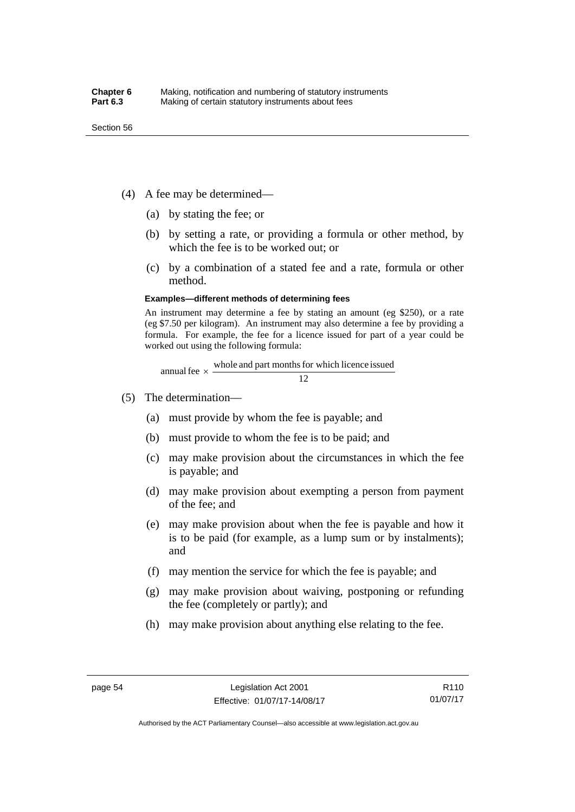- (4) A fee may be determined—
	- (a) by stating the fee; or
	- (b) by setting a rate, or providing a formula or other method, by which the fee is to be worked out; or
	- (c) by a combination of a stated fee and a rate, formula or other method.

#### **Examples—different methods of determining fees**

An instrument may determine a fee by stating an amount (eg \$250), or a rate (eg \$7.50 per kilogram). An instrument may also determine a fee by providing a formula. For example, the fee for a licence issued for part of a year could be worked out using the following formula:

annual fee  $\times$  whole and part months for which licence issued  $\frac{12}{\sqrt{12}}$ 

- (5) The determination—
	- (a) must provide by whom the fee is payable; and
	- (b) must provide to whom the fee is to be paid; and
	- (c) may make provision about the circumstances in which the fee is payable; and
	- (d) may make provision about exempting a person from payment of the fee; and
	- (e) may make provision about when the fee is payable and how it is to be paid (for example, as a lump sum or by instalments); and
	- (f) may mention the service for which the fee is payable; and
	- (g) may make provision about waiving, postponing or refunding the fee (completely or partly); and
	- (h) may make provision about anything else relating to the fee.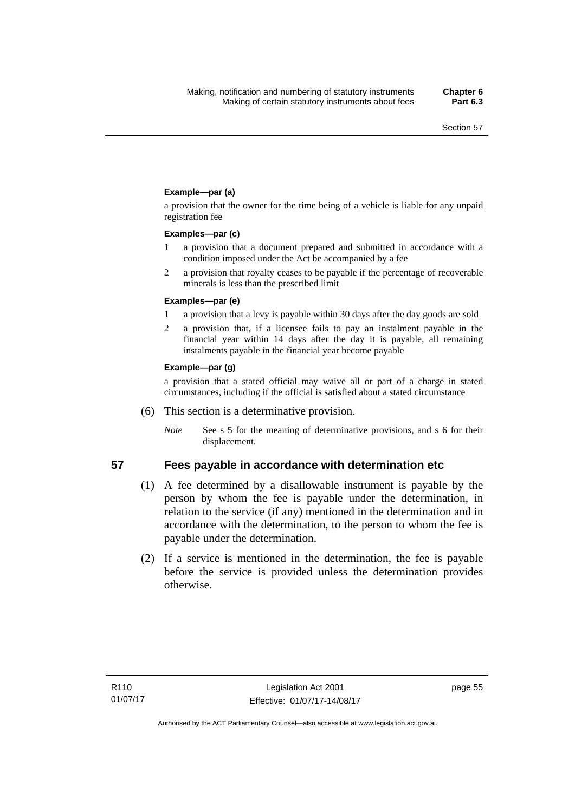### **Example—par (a)**

a provision that the owner for the time being of a vehicle is liable for any unpaid registration fee

#### **Examples—par (c)**

- 1 a provision that a document prepared and submitted in accordance with a condition imposed under the Act be accompanied by a fee
- 2 a provision that royalty ceases to be payable if the percentage of recoverable minerals is less than the prescribed limit

#### **Examples—par (e)**

- 1 a provision that a levy is payable within 30 days after the day goods are sold
- 2 a provision that, if a licensee fails to pay an instalment payable in the financial year within 14 days after the day it is payable, all remaining instalments payable in the financial year become payable

#### **Example—par (g)**

a provision that a stated official may waive all or part of a charge in stated circumstances, including if the official is satisfied about a stated circumstance

- (6) This section is a determinative provision.
	- *Note* See s 5 for the meaning of determinative provisions, and s 6 for their displacement.

- **57 Fees payable in accordance with determination etc**  (1) A fee determined by a disallowable instrument is payable by the
	- person by whom the fee is payable under the determination, in relation to the service (if any) mentioned in the determination and in accordance with the determination, to the person to whom the fee is payable under the determination.
	- (2) If a service is mentioned in the determination, the fee is payable before the service is provided unless the determination provides otherwise.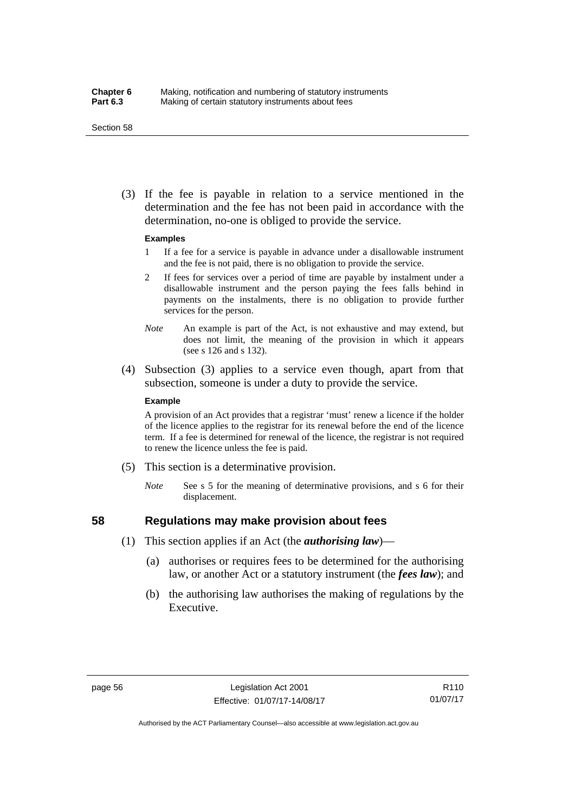#### Section 58

 (3) If the fee is payable in relation to a service mentioned in the determination and the fee has not been paid in accordance with the determination, no-one is obliged to provide the service.

#### **Examples**

- 1 If a fee for a service is payable in advance under a disallowable instrument and the fee is not paid, there is no obligation to provide the service.
- 2 If fees for services over a period of time are payable by instalment under a disallowable instrument and the person paying the fees falls behind in payments on the instalments, there is no obligation to provide further services for the person.
- *Note* An example is part of the Act, is not exhaustive and may extend, but does not limit, the meaning of the provision in which it appears (see s 126 and s 132).
- (4) Subsection (3) applies to a service even though, apart from that subsection, someone is under a duty to provide the service.

#### **Example**

A provision of an Act provides that a registrar 'must' renew a licence if the holder of the licence applies to the registrar for its renewal before the end of the licence term. If a fee is determined for renewal of the licence, the registrar is not required to renew the licence unless the fee is paid.

- (5) This section is a determinative provision.
	- *Note* See s 5 for the meaning of determinative provisions, and s 6 for their displacement.

## **58 Regulations may make provision about fees**

- (1) This section applies if an Act (the *authorising law*)—
	- (a) authorises or requires fees to be determined for the authorising law, or another Act or a statutory instrument (the *fees law*); and
	- (b) the authorising law authorises the making of regulations by the Executive.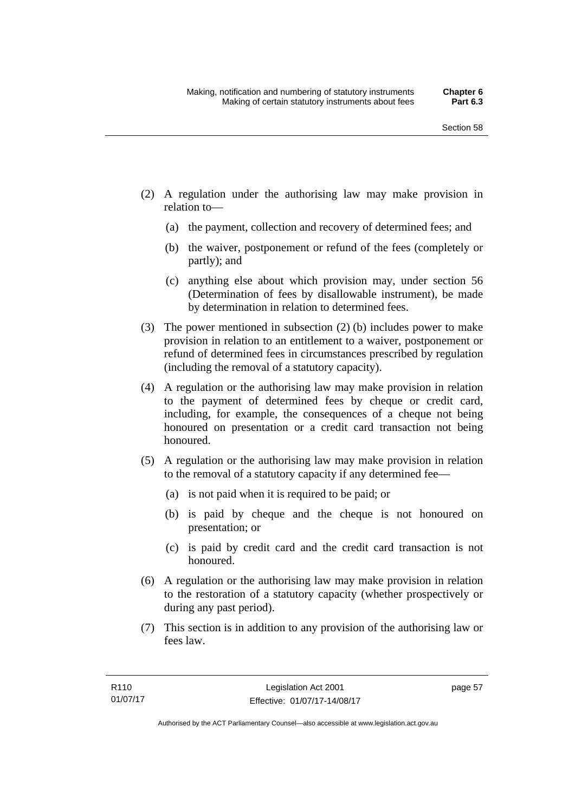- (2) A regulation under the authorising law may make provision in relation to—
	- (a) the payment, collection and recovery of determined fees; and
	- (b) the waiver, postponement or refund of the fees (completely or partly); and
	- (c) anything else about which provision may, under section 56 (Determination of fees by disallowable instrument), be made by determination in relation to determined fees.
- (3) The power mentioned in subsection (2) (b) includes power to make provision in relation to an entitlement to a waiver, postponement or refund of determined fees in circumstances prescribed by regulation (including the removal of a statutory capacity).
- (4) A regulation or the authorising law may make provision in relation to the payment of determined fees by cheque or credit card, including, for example, the consequences of a cheque not being honoured on presentation or a credit card transaction not being honoured.
- (5) A regulation or the authorising law may make provision in relation to the removal of a statutory capacity if any determined fee—
	- (a) is not paid when it is required to be paid; or
	- (b) is paid by cheque and the cheque is not honoured on presentation; or
	- (c) is paid by credit card and the credit card transaction is not honoured.
- (6) A regulation or the authorising law may make provision in relation to the restoration of a statutory capacity (whether prospectively or during any past period).
- (7) This section is in addition to any provision of the authorising law or fees law.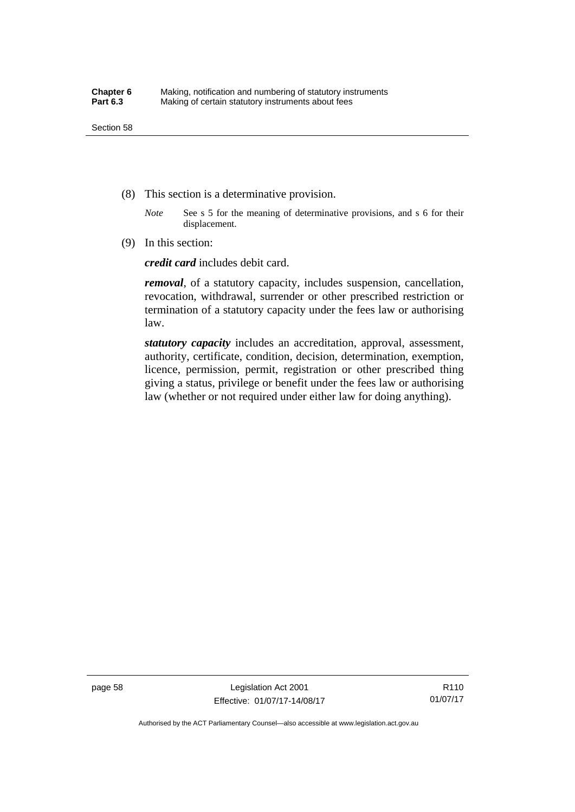- (8) This section is a determinative provision.
	- *Note* See s 5 for the meaning of determinative provisions, and s 6 for their displacement.
- (9) In this section:

*credit card* includes debit card.

*removal*, of a statutory capacity, includes suspension, cancellation, revocation, withdrawal, surrender or other prescribed restriction or termination of a statutory capacity under the fees law or authorising law.

*statutory capacity* includes an accreditation, approval, assessment, authority, certificate, condition, decision, determination, exemption, licence, permission, permit, registration or other prescribed thing giving a status, privilege or benefit under the fees law or authorising law (whether or not required under either law for doing anything).

page 58 Legislation Act 2001 Effective: 01/07/17-14/08/17

R110 01/07/17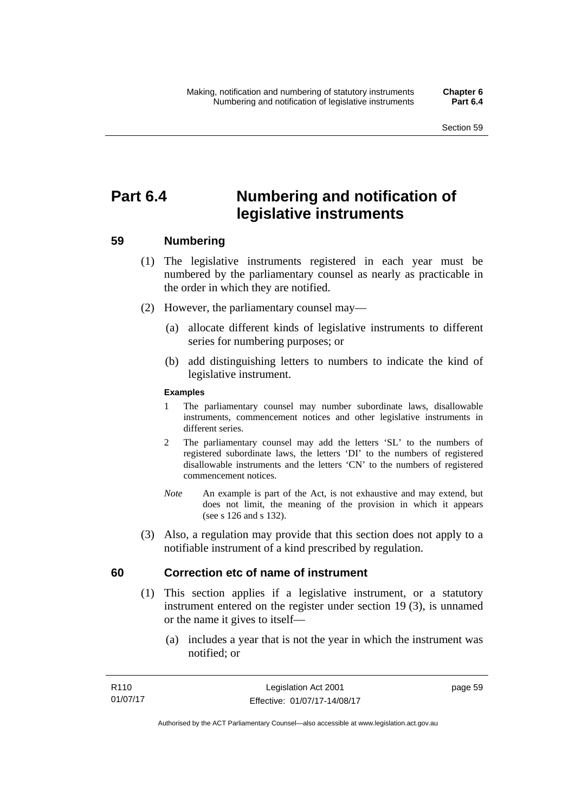# **Part 6.4 Numbering and notification of legislative instruments**

## **59 Numbering**

- (1) The legislative instruments registered in each year must be numbered by the parliamentary counsel as nearly as practicable in the order in which they are notified.
- (2) However, the parliamentary counsel may—
	- (a) allocate different kinds of legislative instruments to different series for numbering purposes; or
	- (b) add distinguishing letters to numbers to indicate the kind of legislative instrument.

## **Examples**

- 1 The parliamentary counsel may number subordinate laws, disallowable instruments, commencement notices and other legislative instruments in different series.
- 2 The parliamentary counsel may add the letters 'SL' to the numbers of registered subordinate laws, the letters 'DI' to the numbers of registered disallowable instruments and the letters 'CN' to the numbers of registered commencement notices.
- *Note* An example is part of the Act, is not exhaustive and may extend, but does not limit, the meaning of the provision in which it appears (see s 126 and s 132).
- (3) Also, a regulation may provide that this section does not apply to a notifiable instrument of a kind prescribed by regulation.

## **60 Correction etc of name of instrument**

- (1) This section applies if a legislative instrument, or a statutory instrument entered on the register under section 19 (3), is unnamed or the name it gives to itself—
	- (a) includes a year that is not the year in which the instrument was notified; or

page 59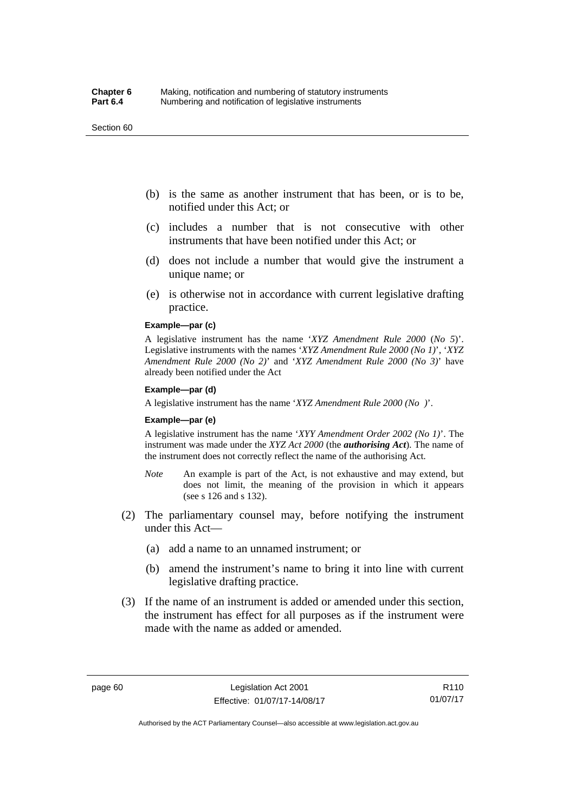#### Section 60

- (b) is the same as another instrument that has been, or is to be, notified under this Act; or
- (c) includes a number that is not consecutive with other instruments that have been notified under this Act; or
- (d) does not include a number that would give the instrument a unique name; or
- (e) is otherwise not in accordance with current legislative drafting practice.

## **Example—par (c)**

A legislative instrument has the name '*XYZ Amendment Rule 2000* (*No 5*)'. Legislative instruments with the names '*XYZ Amendment Rule 2000 (No 1)*', '*XYZ Amendment Rule 2000 (No 2)*' and '*XYZ Amendment Rule 2000 (No 3)*' have already been notified under the Act

#### **Example—par (d)**

A legislative instrument has the name '*XYZ Amendment Rule 2000 (No )*'.

#### **Example—par (e)**

A legislative instrument has the name '*XYY Amendment Order 2002 (No 1)*'. The instrument was made under the *XYZ Act 2000* (the *authorising Act*). The name of the instrument does not correctly reflect the name of the authorising Act.

- *Note* An example is part of the Act, is not exhaustive and may extend, but does not limit, the meaning of the provision in which it appears (see s 126 and s 132).
- (2) The parliamentary counsel may, before notifying the instrument under this Act—
	- (a) add a name to an unnamed instrument; or
	- (b) amend the instrument's name to bring it into line with current legislative drafting practice.
- (3) If the name of an instrument is added or amended under this section, the instrument has effect for all purposes as if the instrument were made with the name as added or amended.

R110 01/07/17

Authorised by the ACT Parliamentary Counsel—also accessible at www.legislation.act.gov.au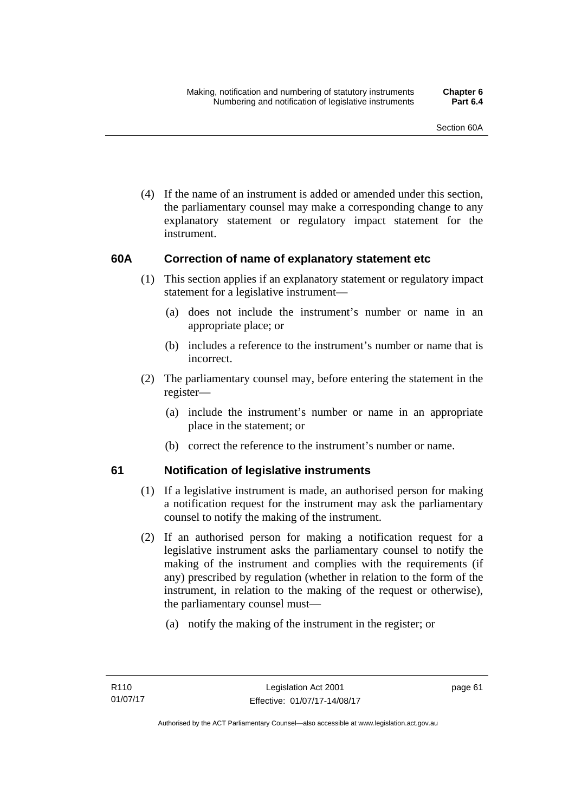(4) If the name of an instrument is added or amended under this section, the parliamentary counsel may make a corresponding change to any explanatory statement or regulatory impact statement for the instrument.

## **60A Correction of name of explanatory statement etc**

- (1) This section applies if an explanatory statement or regulatory impact statement for a legislative instrument—
	- (a) does not include the instrument's number or name in an appropriate place; or
	- (b) includes a reference to the instrument's number or name that is incorrect.
- (2) The parliamentary counsel may, before entering the statement in the register—
	- (a) include the instrument's number or name in an appropriate place in the statement; or
	- (b) correct the reference to the instrument's number or name.

## **61 Notification of legislative instruments**

- (1) If a legislative instrument is made, an authorised person for making a notification request for the instrument may ask the parliamentary counsel to notify the making of the instrument.
- (2) If an authorised person for making a notification request for a legislative instrument asks the parliamentary counsel to notify the making of the instrument and complies with the requirements (if any) prescribed by regulation (whether in relation to the form of the instrument, in relation to the making of the request or otherwise), the parliamentary counsel must—
	- (a) notify the making of the instrument in the register; or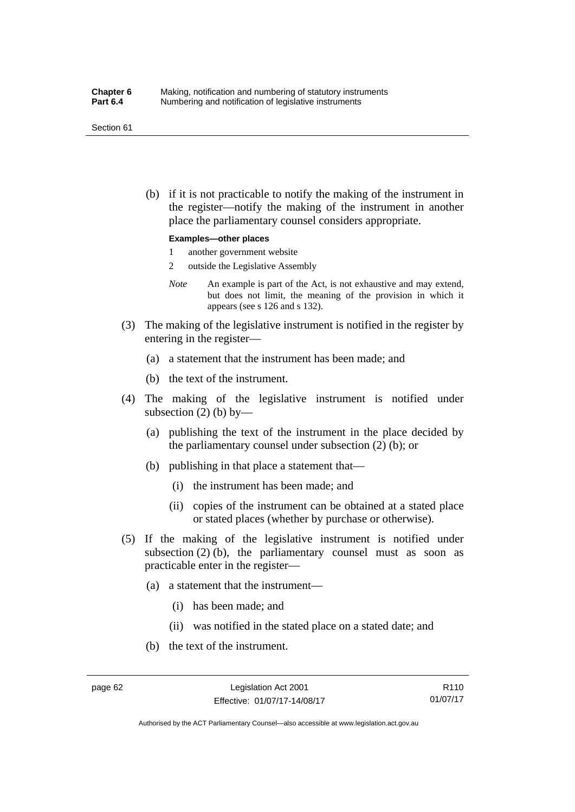#### Section 61

 (b) if it is not practicable to notify the making of the instrument in the register—notify the making of the instrument in another place the parliamentary counsel considers appropriate.

#### **Examples—other places**

- 1 another government website
- 2 outside the Legislative Assembly
- *Note* An example is part of the Act, is not exhaustive and may extend, but does not limit, the meaning of the provision in which it appears (see s 126 and s 132).
- (3) The making of the legislative instrument is notified in the register by entering in the register—
	- (a) a statement that the instrument has been made; and
	- (b) the text of the instrument.
- (4) The making of the legislative instrument is notified under subsection  $(2)$  (b) by—
	- (a) publishing the text of the instrument in the place decided by the parliamentary counsel under subsection (2) (b); or
	- (b) publishing in that place a statement that—
		- (i) the instrument has been made; and
		- (ii) copies of the instrument can be obtained at a stated place or stated places (whether by purchase or otherwise).
- (5) If the making of the legislative instrument is notified under subsection  $(2)$  (b), the parliamentary counsel must as soon as practicable enter in the register—
	- (a) a statement that the instrument—
		- (i) has been made; and
		- (ii) was notified in the stated place on a stated date; and
	- (b) the text of the instrument.

Authorised by the ACT Parliamentary Counsel—also accessible at www.legislation.act.gov.au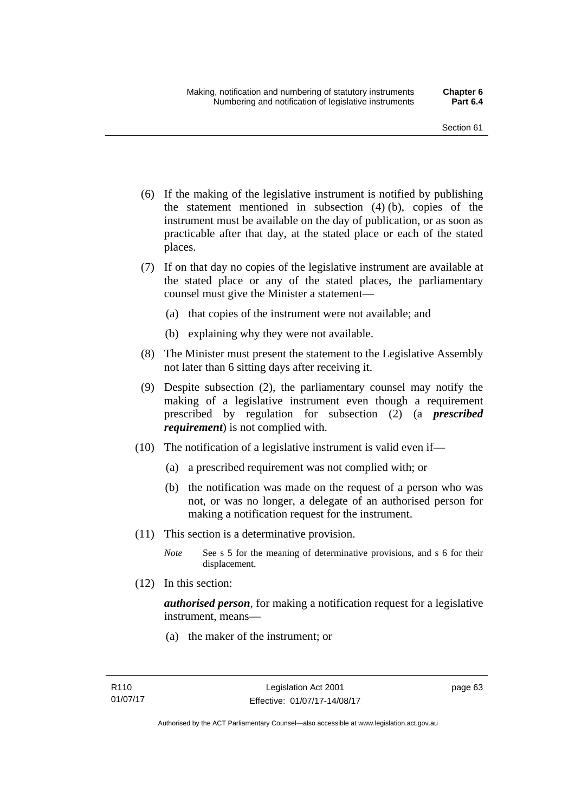- (6) If the making of the legislative instrument is notified by publishing the statement mentioned in subsection (4) (b), copies of the instrument must be available on the day of publication, or as soon as practicable after that day, at the stated place or each of the stated places.
- (7) If on that day no copies of the legislative instrument are available at the stated place or any of the stated places, the parliamentary counsel must give the Minister a statement—
	- (a) that copies of the instrument were not available; and
	- (b) explaining why they were not available.
- (8) The Minister must present the statement to the Legislative Assembly not later than 6 sitting days after receiving it.
- (9) Despite subsection (2), the parliamentary counsel may notify the making of a legislative instrument even though a requirement prescribed by regulation for subsection (2) (a *prescribed requirement*) is not complied with.
- (10) The notification of a legislative instrument is valid even if—
	- (a) a prescribed requirement was not complied with; or
	- (b) the notification was made on the request of a person who was not, or was no longer, a delegate of an authorised person for making a notification request for the instrument.
- (11) This section is a determinative provision.
	- *Note* See s 5 for the meaning of determinative provisions, and s 6 for their displacement.
- (12) In this section:

*authorised person*, for making a notification request for a legislative instrument, means—

(a) the maker of the instrument; or

page 63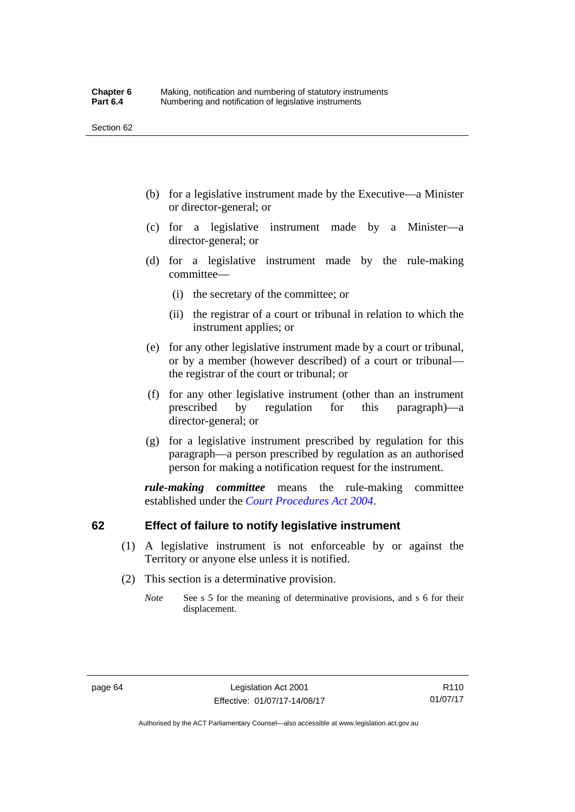- (b) for a legislative instrument made by the Executive—a Minister or director-general; or
- (c) for a legislative instrument made by a Minister—a director-general; or
- (d) for a legislative instrument made by the rule-making committee—
	- (i) the secretary of the committee; or
	- (ii) the registrar of a court or tribunal in relation to which the instrument applies; or
- (e) for any other legislative instrument made by a court or tribunal, or by a member (however described) of a court or tribunal the registrar of the court or tribunal; or
- (f) for any other legislative instrument (other than an instrument prescribed by regulation for this paragraph)—a director-general; or
- (g) for a legislative instrument prescribed by regulation for this paragraph—a person prescribed by regulation as an authorised person for making a notification request for the instrument.

*rule-making committee* means the rule-making committee established under the *[Court Procedures Act 2004](http://www.legislation.act.gov.au/a/2004-59)*.

## **62 Effect of failure to notify legislative instrument**

- (1) A legislative instrument is not enforceable by or against the Territory or anyone else unless it is notified.
- (2) This section is a determinative provision.
	- *Note* See s 5 for the meaning of determinative provisions, and s 6 for their displacement.

R110 01/07/17

Authorised by the ACT Parliamentary Counsel—also accessible at www.legislation.act.gov.au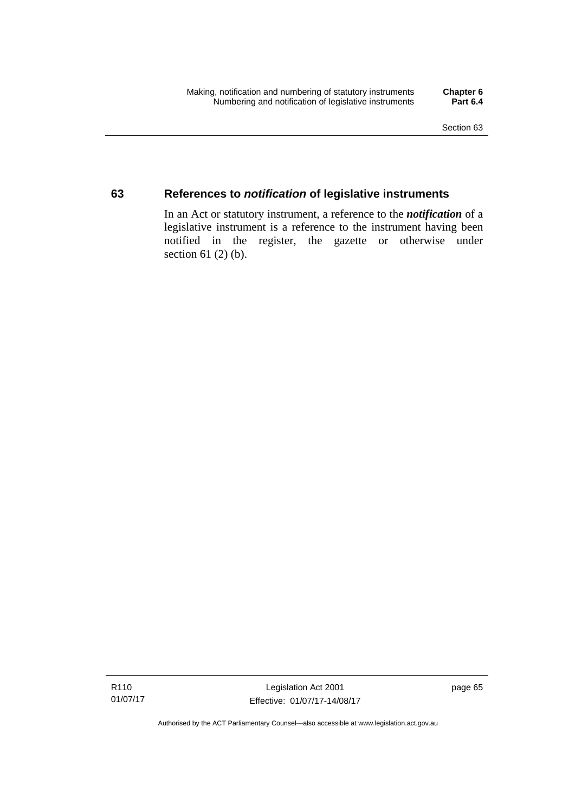## **63 References to** *notification* **of legislative instruments**

In an Act or statutory instrument, a reference to the *notification* of a legislative instrument is a reference to the instrument having been notified in the register, the gazette or otherwise under section  $61$  (2) (b).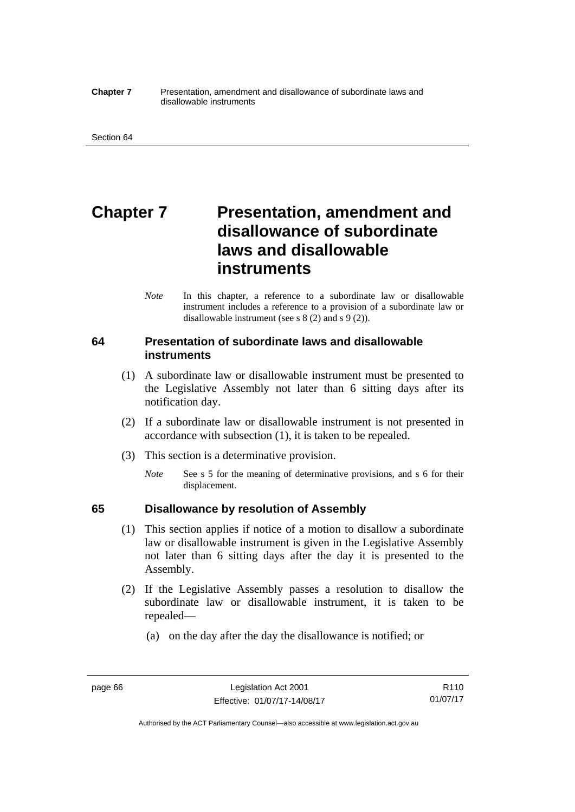#### **Chapter 7** Presentation, amendment and disallowance of subordinate laws and disallowable instruments

# **Chapter 7** Presentation, amendment and **disallowance of subordinate laws and disallowable instruments**

*Note* In this chapter, a reference to a subordinate law or disallowable instrument includes a reference to a provision of a subordinate law or disallowable instrument (see s 8 (2) and s 9 (2)).

## **64 Presentation of subordinate laws and disallowable instruments**

- (1) A subordinate law or disallowable instrument must be presented to the Legislative Assembly not later than 6 sitting days after its notification day.
- (2) If a subordinate law or disallowable instrument is not presented in accordance with subsection (1), it is taken to be repealed.
- (3) This section is a determinative provision.
	- *Note* See s 5 for the meaning of determinative provisions, and s 6 for their displacement.

## **65 Disallowance by resolution of Assembly**

- (1) This section applies if notice of a motion to disallow a subordinate law or disallowable instrument is given in the Legislative Assembly not later than 6 sitting days after the day it is presented to the Assembly.
- (2) If the Legislative Assembly passes a resolution to disallow the subordinate law or disallowable instrument, it is taken to be repealed—
	- (a) on the day after the day the disallowance is notified; or

Authorised by the ACT Parliamentary Counsel—also accessible at www.legislation.act.gov.au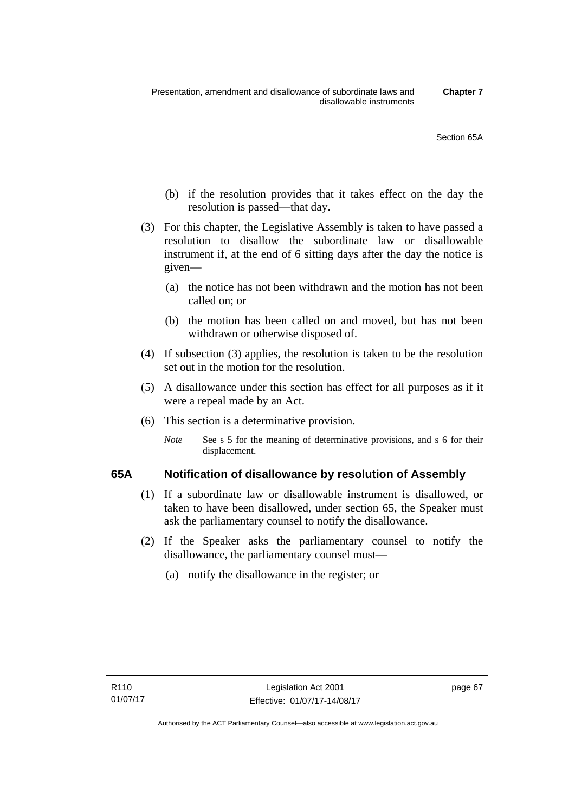- (b) if the resolution provides that it takes effect on the day the resolution is passed—that day.
- (3) For this chapter, the Legislative Assembly is taken to have passed a resolution to disallow the subordinate law or disallowable instrument if, at the end of 6 sitting days after the day the notice is given—
	- (a) the notice has not been withdrawn and the motion has not been called on; or
	- (b) the motion has been called on and moved, but has not been withdrawn or otherwise disposed of.
- (4) If subsection (3) applies, the resolution is taken to be the resolution set out in the motion for the resolution.
- (5) A disallowance under this section has effect for all purposes as if it were a repeal made by an Act.
- (6) This section is a determinative provision.
	- *Note* See s 5 for the meaning of determinative provisions, and s 6 for their displacement.

## **65A Notification of disallowance by resolution of Assembly**

- (1) If a subordinate law or disallowable instrument is disallowed, or taken to have been disallowed, under section 65, the Speaker must ask the parliamentary counsel to notify the disallowance.
- (2) If the Speaker asks the parliamentary counsel to notify the disallowance, the parliamentary counsel must—
	- (a) notify the disallowance in the register; or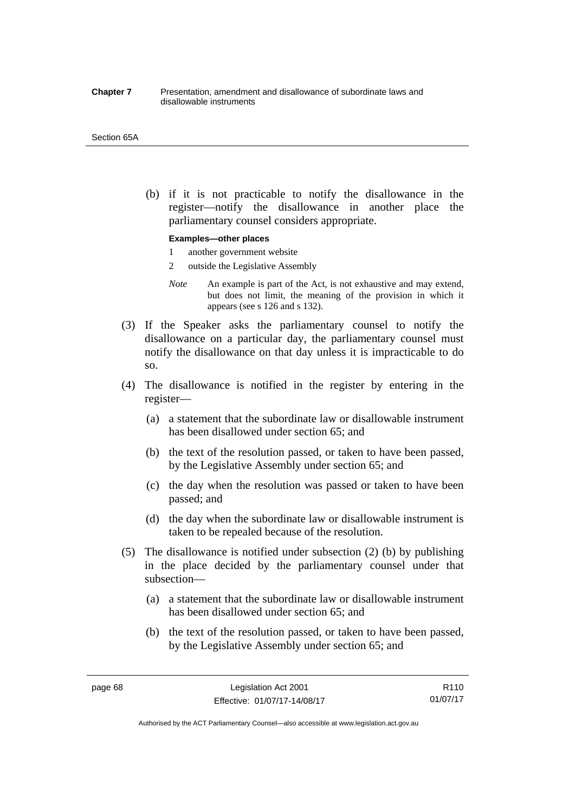#### **Chapter 7** Presentation, amendment and disallowance of subordinate laws and disallowable instruments

#### Section 65A

 (b) if it is not practicable to notify the disallowance in the register—notify the disallowance in another place the parliamentary counsel considers appropriate.

#### **Examples—other places**

- 1 another government website
- 2 outside the Legislative Assembly
- *Note* An example is part of the Act, is not exhaustive and may extend, but does not limit, the meaning of the provision in which it appears (see s 126 and s 132).
- (3) If the Speaker asks the parliamentary counsel to notify the disallowance on a particular day, the parliamentary counsel must notify the disallowance on that day unless it is impracticable to do so.
- (4) The disallowance is notified in the register by entering in the register—
	- (a) a statement that the subordinate law or disallowable instrument has been disallowed under section 65; and
	- (b) the text of the resolution passed, or taken to have been passed, by the Legislative Assembly under section 65; and
	- (c) the day when the resolution was passed or taken to have been passed; and
	- (d) the day when the subordinate law or disallowable instrument is taken to be repealed because of the resolution.
- (5) The disallowance is notified under subsection (2) (b) by publishing in the place decided by the parliamentary counsel under that subsection—
	- (a) a statement that the subordinate law or disallowable instrument has been disallowed under section 65; and
	- (b) the text of the resolution passed, or taken to have been passed, by the Legislative Assembly under section 65; and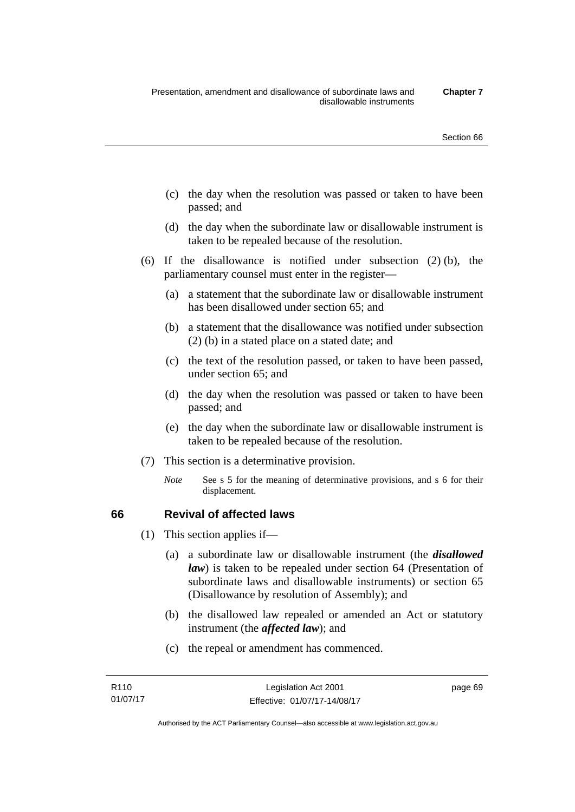- (c) the day when the resolution was passed or taken to have been passed; and
- (d) the day when the subordinate law or disallowable instrument is taken to be repealed because of the resolution.
- (6) If the disallowance is notified under subsection (2) (b), the parliamentary counsel must enter in the register—
	- (a) a statement that the subordinate law or disallowable instrument has been disallowed under section 65; and
	- (b) a statement that the disallowance was notified under subsection (2) (b) in a stated place on a stated date; and
	- (c) the text of the resolution passed, or taken to have been passed, under section 65; and
	- (d) the day when the resolution was passed or taken to have been passed; and
	- (e) the day when the subordinate law or disallowable instrument is taken to be repealed because of the resolution.
- (7) This section is a determinative provision.
	- *Note* See s 5 for the meaning of determinative provisions, and s 6 for their displacement.

## **66 Revival of affected laws**

- (1) This section applies if—
	- (a) a subordinate law or disallowable instrument (the *disallowed law*) is taken to be repealed under section 64 (Presentation of subordinate laws and disallowable instruments) or section 65 (Disallowance by resolution of Assembly); and
	- (b) the disallowed law repealed or amended an Act or statutory instrument (the *affected law*); and
	- (c) the repeal or amendment has commenced.

page 69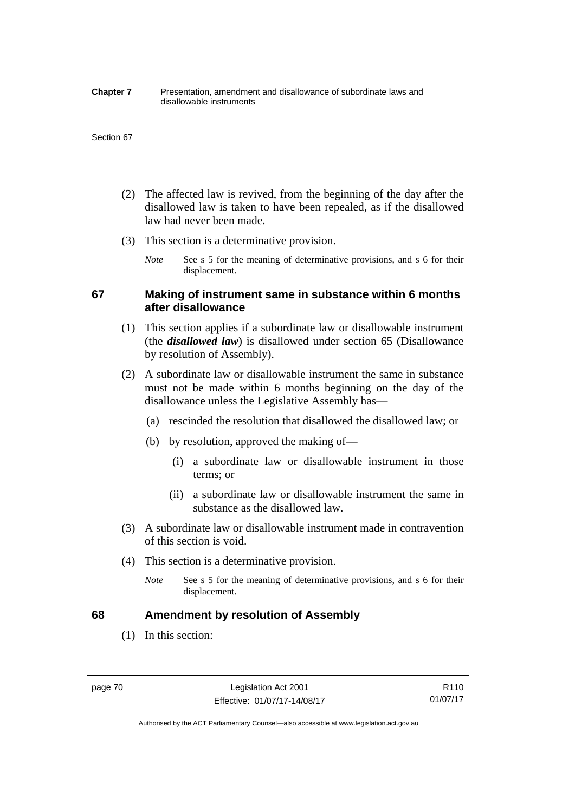#### **Chapter 7** Presentation, amendment and disallowance of subordinate laws and disallowable instruments

#### Section 67

- (2) The affected law is revived, from the beginning of the day after the disallowed law is taken to have been repealed, as if the disallowed law had never been made.
- (3) This section is a determinative provision.
	- *Note* See s 5 for the meaning of determinative provisions, and s 6 for their displacement.

## **67 Making of instrument same in substance within 6 months after disallowance**

- (1) This section applies if a subordinate law or disallowable instrument (the *disallowed law*) is disallowed under section 65 (Disallowance by resolution of Assembly).
- (2) A subordinate law or disallowable instrument the same in substance must not be made within 6 months beginning on the day of the disallowance unless the Legislative Assembly has—
	- (a) rescinded the resolution that disallowed the disallowed law; or
	- (b) by resolution, approved the making of—
		- (i) a subordinate law or disallowable instrument in those terms; or
		- (ii) a subordinate law or disallowable instrument the same in substance as the disallowed law.
- (3) A subordinate law or disallowable instrument made in contravention of this section is void.
- (4) This section is a determinative provision.
	- *Note* See s 5 for the meaning of determinative provisions, and s 6 for their displacement.

## **68 Amendment by resolution of Assembly**

(1) In this section:

page 70 Legislation Act 2001 Effective: 01/07/17-14/08/17

Authorised by the ACT Parliamentary Counsel—also accessible at www.legislation.act.gov.au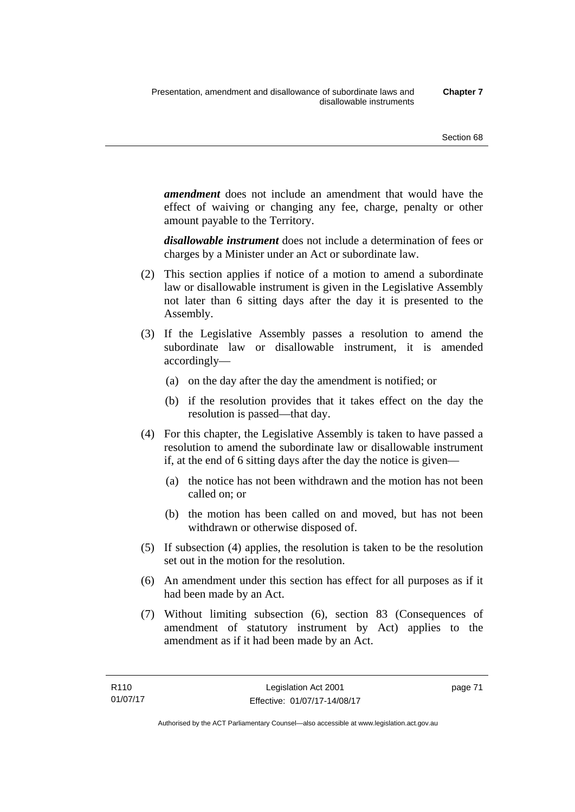*amendment* does not include an amendment that would have the effect of waiving or changing any fee, charge, penalty or other amount payable to the Territory.

*disallowable instrument* does not include a determination of fees or charges by a Minister under an Act or subordinate law.

- (2) This section applies if notice of a motion to amend a subordinate law or disallowable instrument is given in the Legislative Assembly not later than 6 sitting days after the day it is presented to the Assembly.
- (3) If the Legislative Assembly passes a resolution to amend the subordinate law or disallowable instrument, it is amended accordingly—
	- (a) on the day after the day the amendment is notified; or
	- (b) if the resolution provides that it takes effect on the day the resolution is passed—that day.
- (4) For this chapter, the Legislative Assembly is taken to have passed a resolution to amend the subordinate law or disallowable instrument if, at the end of 6 sitting days after the day the notice is given—
	- (a) the notice has not been withdrawn and the motion has not been called on; or
	- (b) the motion has been called on and moved, but has not been withdrawn or otherwise disposed of.
- (5) If subsection (4) applies, the resolution is taken to be the resolution set out in the motion for the resolution.
- (6) An amendment under this section has effect for all purposes as if it had been made by an Act.
- (7) Without limiting subsection (6), section 83 (Consequences of amendment of statutory instrument by Act) applies to the amendment as if it had been made by an Act.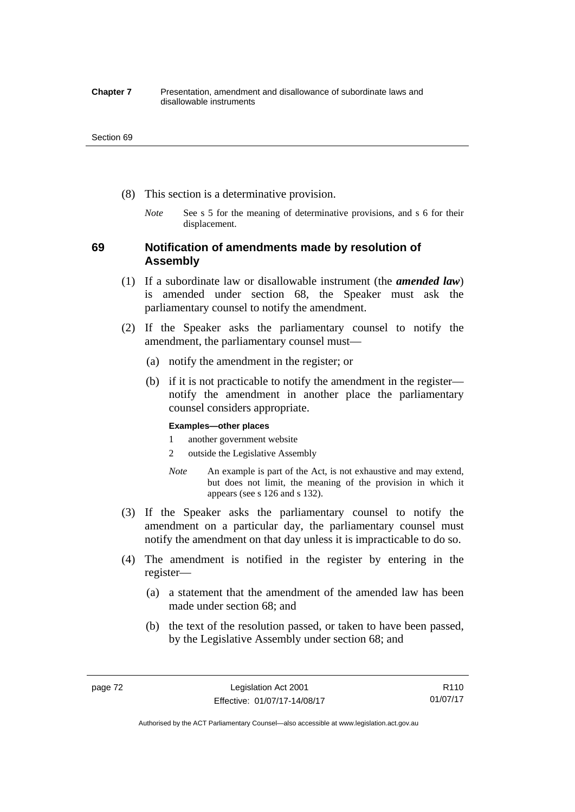#### **Chapter 7** Presentation, amendment and disallowance of subordinate laws and disallowable instruments

#### Section 69

- (8) This section is a determinative provision.
	- *Note* See s 5 for the meaning of determinative provisions, and s 6 for their displacement.

## **69 Notification of amendments made by resolution of Assembly**

- (1) If a subordinate law or disallowable instrument (the *amended law*) is amended under section 68, the Speaker must ask the parliamentary counsel to notify the amendment.
- (2) If the Speaker asks the parliamentary counsel to notify the amendment, the parliamentary counsel must—
	- (a) notify the amendment in the register; or
	- (b) if it is not practicable to notify the amendment in the register notify the amendment in another place the parliamentary counsel considers appropriate.

#### **Examples—other places**

- 1 another government website
- 2 outside the Legislative Assembly
- *Note* An example is part of the Act, is not exhaustive and may extend, but does not limit, the meaning of the provision in which it appears (see s 126 and s 132).
- (3) If the Speaker asks the parliamentary counsel to notify the amendment on a particular day, the parliamentary counsel must notify the amendment on that day unless it is impracticable to do so.
- (4) The amendment is notified in the register by entering in the register—
	- (a) a statement that the amendment of the amended law has been made under section 68; and
	- (b) the text of the resolution passed, or taken to have been passed, by the Legislative Assembly under section 68; and

Authorised by the ACT Parliamentary Counsel—also accessible at www.legislation.act.gov.au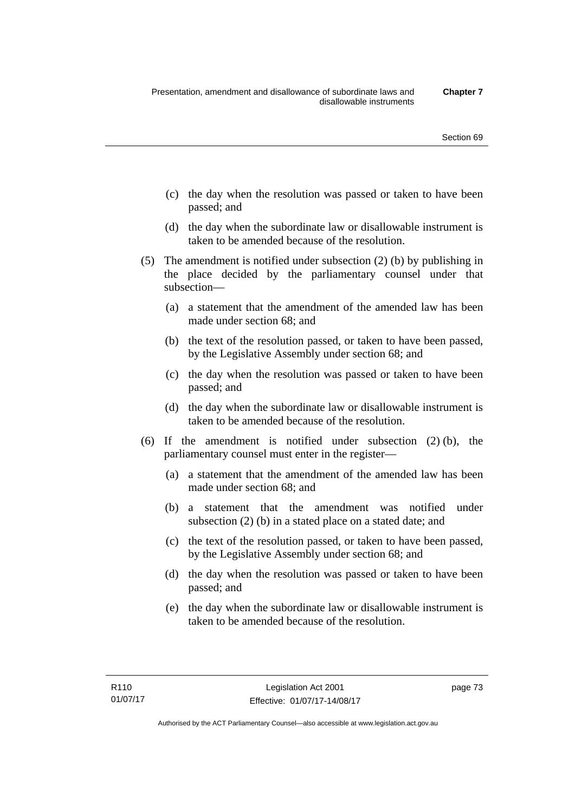- (c) the day when the resolution was passed or taken to have been passed; and
- (d) the day when the subordinate law or disallowable instrument is taken to be amended because of the resolution.
- (5) The amendment is notified under subsection (2) (b) by publishing in the place decided by the parliamentary counsel under that subsection—
	- (a) a statement that the amendment of the amended law has been made under section 68; and
	- (b) the text of the resolution passed, or taken to have been passed, by the Legislative Assembly under section 68; and
	- (c) the day when the resolution was passed or taken to have been passed; and
	- (d) the day when the subordinate law or disallowable instrument is taken to be amended because of the resolution.
- (6) If the amendment is notified under subsection (2) (b), the parliamentary counsel must enter in the register—
	- (a) a statement that the amendment of the amended law has been made under section 68; and
	- (b) a statement that the amendment was notified under subsection (2) (b) in a stated place on a stated date; and
	- (c) the text of the resolution passed, or taken to have been passed, by the Legislative Assembly under section 68; and
	- (d) the day when the resolution was passed or taken to have been passed; and
	- (e) the day when the subordinate law or disallowable instrument is taken to be amended because of the resolution.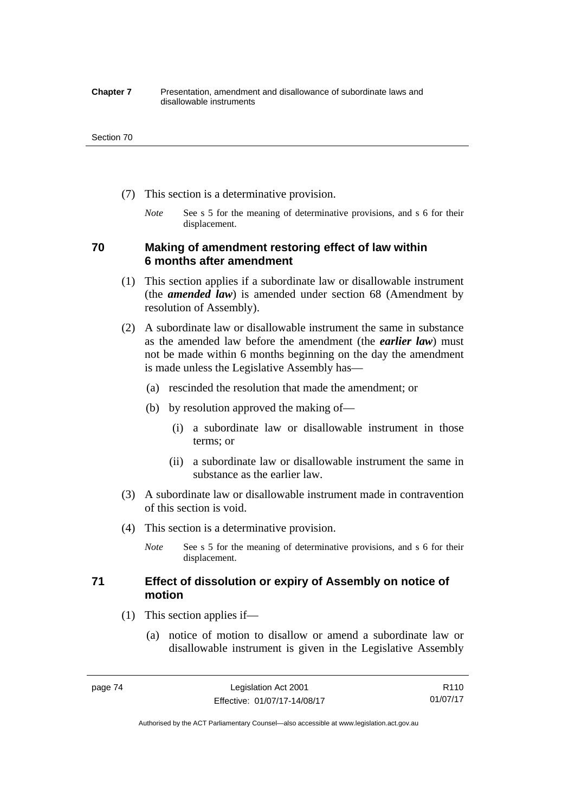#### **Chapter 7** Presentation, amendment and disallowance of subordinate laws and disallowable instruments

#### Section 70

- (7) This section is a determinative provision.
	- *Note* See s 5 for the meaning of determinative provisions, and s 6 for their displacement.

## **70 Making of amendment restoring effect of law within 6 months after amendment**

- (1) This section applies if a subordinate law or disallowable instrument (the *amended law*) is amended under section 68 (Amendment by resolution of Assembly).
- (2) A subordinate law or disallowable instrument the same in substance as the amended law before the amendment (the *earlier law*) must not be made within 6 months beginning on the day the amendment is made unless the Legislative Assembly has—
	- (a) rescinded the resolution that made the amendment; or
	- (b) by resolution approved the making of—
		- (i) a subordinate law or disallowable instrument in those terms; or
		- (ii) a subordinate law or disallowable instrument the same in substance as the earlier law.
- (3) A subordinate law or disallowable instrument made in contravention of this section is void.
- (4) This section is a determinative provision.
	- *Note* See s 5 for the meaning of determinative provisions, and s 6 for their displacement.

## **71 Effect of dissolution or expiry of Assembly on notice of motion**

- (1) This section applies if—
	- (a) notice of motion to disallow or amend a subordinate law or disallowable instrument is given in the Legislative Assembly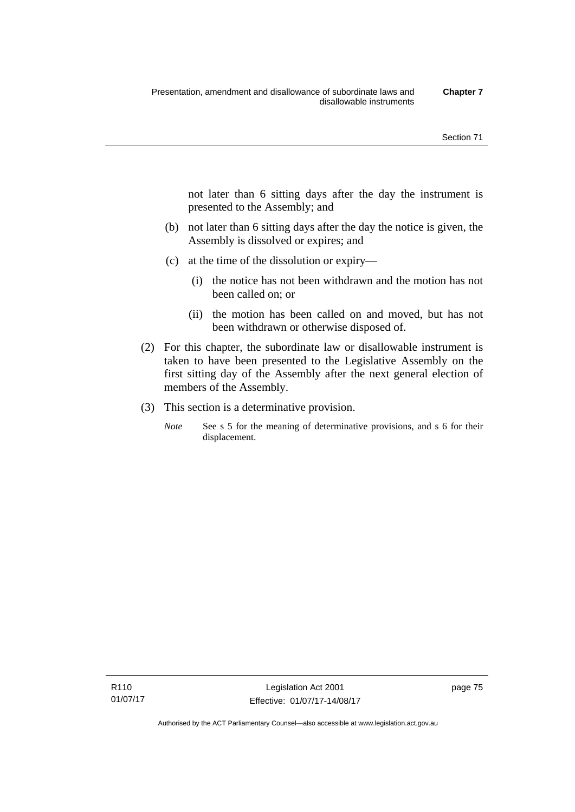not later than 6 sitting days after the day the instrument is presented to the Assembly; and

- (b) not later than 6 sitting days after the day the notice is given, the Assembly is dissolved or expires; and
- (c) at the time of the dissolution or expiry—
	- (i) the notice has not been withdrawn and the motion has not been called on; or
	- (ii) the motion has been called on and moved, but has not been withdrawn or otherwise disposed of.
- (2) For this chapter, the subordinate law or disallowable instrument is taken to have been presented to the Legislative Assembly on the first sitting day of the Assembly after the next general election of members of the Assembly.
- (3) This section is a determinative provision.
	- *Note* See s 5 for the meaning of determinative provisions, and s 6 for their displacement.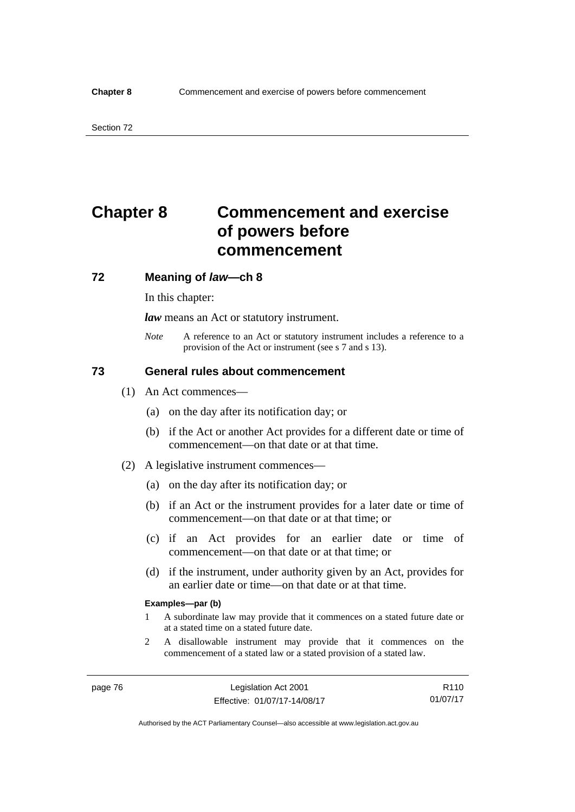# **Chapter 8 Commencement and exercise of powers before commencement**

### **72 Meaning of** *law***—ch 8**

In this chapter:

*law* means an Act or statutory instrument.

*Note* A reference to an Act or statutory instrument includes a reference to a provision of the Act or instrument (see s 7 and s 13).

## **73 General rules about commencement**

- (1) An Act commences—
	- (a) on the day after its notification day; or
	- (b) if the Act or another Act provides for a different date or time of commencement—on that date or at that time.
- (2) A legislative instrument commences—
	- (a) on the day after its notification day; or
	- (b) if an Act or the instrument provides for a later date or time of commencement—on that date or at that time; or
	- (c) if an Act provides for an earlier date or time of commencement—on that date or at that time; or
	- (d) if the instrument, under authority given by an Act, provides for an earlier date or time—on that date or at that time.

#### **Examples—par (b)**

- 1 A subordinate law may provide that it commences on a stated future date or at a stated time on a stated future date.
- 2 A disallowable instrument may provide that it commences on the commencement of a stated law or a stated provision of a stated law.

Authorised by the ACT Parliamentary Counsel—also accessible at www.legislation.act.gov.au

R110 01/07/17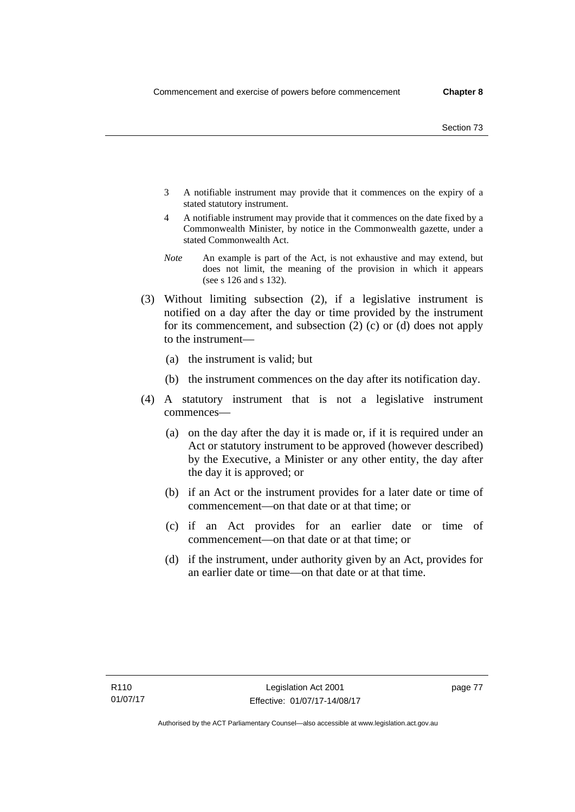- 3 A notifiable instrument may provide that it commences on the expiry of a stated statutory instrument.
- 4 A notifiable instrument may provide that it commences on the date fixed by a Commonwealth Minister, by notice in the Commonwealth gazette, under a stated Commonwealth Act.
- *Note* An example is part of the Act, is not exhaustive and may extend, but does not limit, the meaning of the provision in which it appears (see s 126 and s 132).
- (3) Without limiting subsection (2), if a legislative instrument is notified on a day after the day or time provided by the instrument for its commencement, and subsection (2) (c) or (d) does not apply to the instrument—
	- (a) the instrument is valid; but
	- (b) the instrument commences on the day after its notification day.
- (4) A statutory instrument that is not a legislative instrument commences—
	- (a) on the day after the day it is made or, if it is required under an Act or statutory instrument to be approved (however described) by the Executive, a Minister or any other entity, the day after the day it is approved; or
	- (b) if an Act or the instrument provides for a later date or time of commencement—on that date or at that time; or
	- (c) if an Act provides for an earlier date or time of commencement—on that date or at that time; or
	- (d) if the instrument, under authority given by an Act, provides for an earlier date or time—on that date or at that time.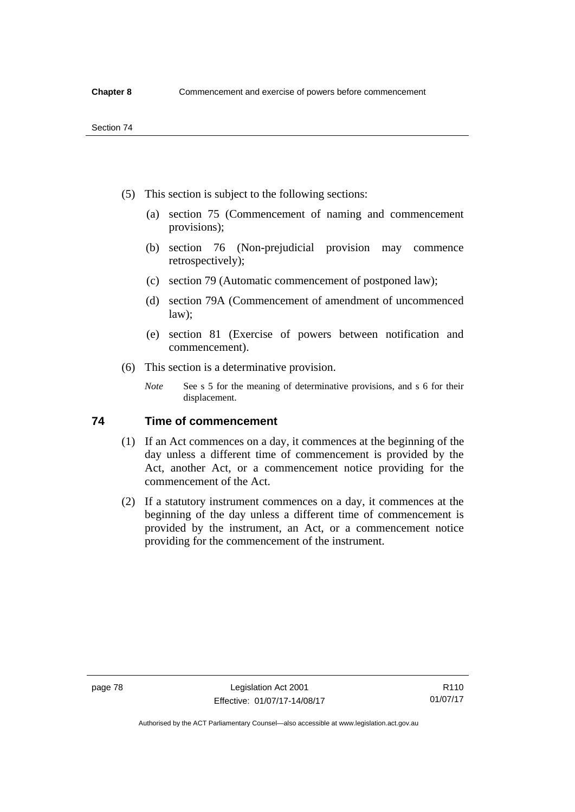- (5) This section is subject to the following sections:
	- (a) section 75 (Commencement of naming and commencement provisions);
	- (b) section 76 (Non-prejudicial provision may commence retrospectively);
	- (c) section 79 (Automatic commencement of postponed law);
	- (d) section 79A (Commencement of amendment of uncommenced law);
	- (e) section 81 (Exercise of powers between notification and commencement).
- (6) This section is a determinative provision.
	- *Note* See s 5 for the meaning of determinative provisions, and s 6 for their displacement.

## **74 Time of commencement**

- (1) If an Act commences on a day, it commences at the beginning of the day unless a different time of commencement is provided by the Act, another Act, or a commencement notice providing for the commencement of the Act.
- (2) If a statutory instrument commences on a day, it commences at the beginning of the day unless a different time of commencement is provided by the instrument, an Act, or a commencement notice providing for the commencement of the instrument.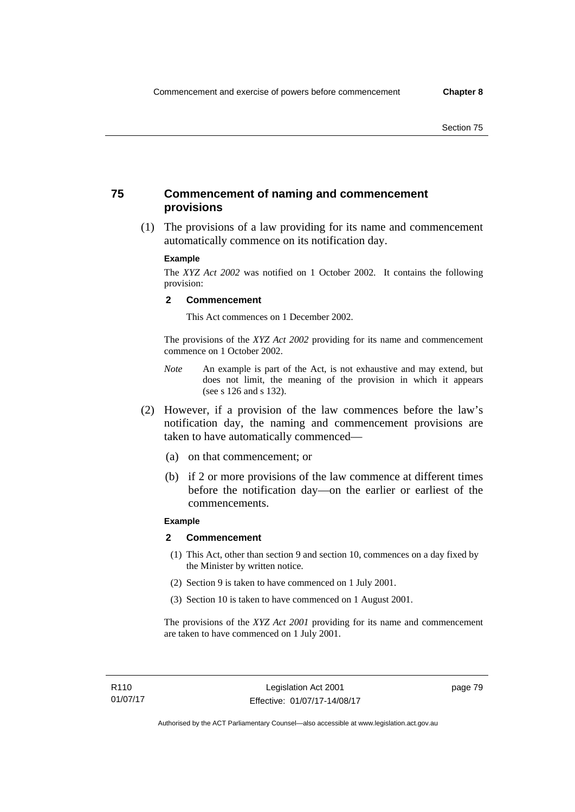## **75 Commencement of naming and commencement provisions**

 (1) The provisions of a law providing for its name and commencement automatically commence on its notification day.

#### **Example**

The *XYZ Act 2002* was notified on 1 October 2002. It contains the following provision:

#### **2 Commencement**

This Act commences on 1 December 2002.

The provisions of the *XYZ Act 2002* providing for its name and commencement commence on 1 October 2002.

- *Note* An example is part of the Act, is not exhaustive and may extend, but does not limit, the meaning of the provision in which it appears (see s 126 and s 132).
- (2) However, if a provision of the law commences before the law's notification day, the naming and commencement provisions are taken to have automatically commenced—
	- (a) on that commencement; or
	- (b) if 2 or more provisions of the law commence at different times before the notification day—on the earlier or earliest of the commencements.

### **Example**

#### **2 Commencement**

- (1) This Act, other than section 9 and section 10, commences on a day fixed by the Minister by written notice.
- (2) Section 9 is taken to have commenced on 1 July 2001.
- (3) Section 10 is taken to have commenced on 1 August 2001.

The provisions of the *XYZ Act 2001* providing for its name and commencement are taken to have commenced on 1 July 2001.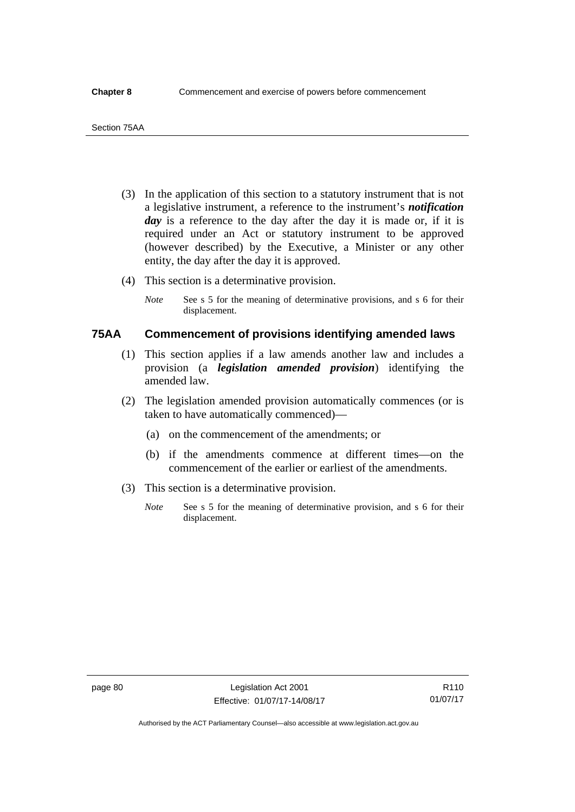- (3) In the application of this section to a statutory instrument that is not a legislative instrument, a reference to the instrument's *notification*  day is a reference to the day after the day it is made or, if it is required under an Act or statutory instrument to be approved (however described) by the Executive, a Minister or any other entity, the day after the day it is approved.
- (4) This section is a determinative provision.
	- *Note* See s 5 for the meaning of determinative provisions, and s 6 for their displacement.

## **75AA Commencement of provisions identifying amended laws**

- (1) This section applies if a law amends another law and includes a provision (a *legislation amended provision*) identifying the amended law.
- (2) The legislation amended provision automatically commences (or is taken to have automatically commenced)—
	- (a) on the commencement of the amendments; or
	- (b) if the amendments commence at different times—on the commencement of the earlier or earliest of the amendments.
- (3) This section is a determinative provision.
	- *Note* See s 5 for the meaning of determinative provision, and s 6 for their displacement.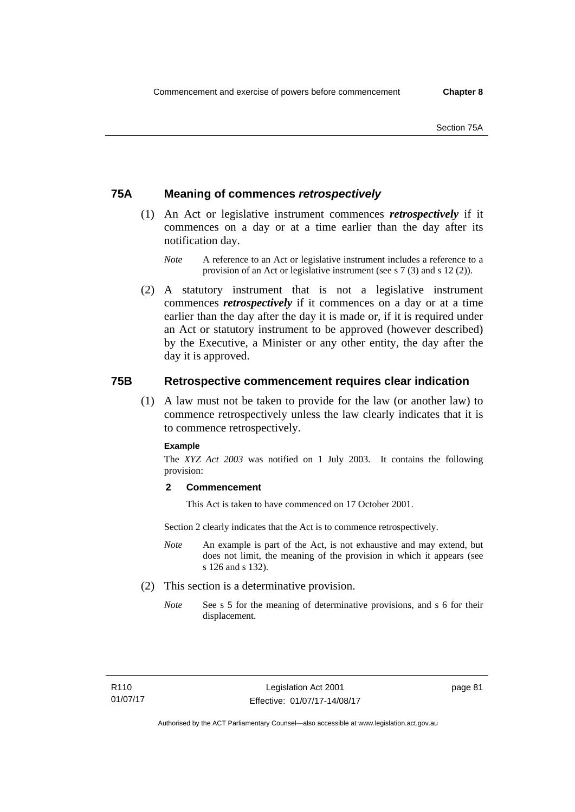## **75A Meaning of commences** *retrospectively*

- (1) An Act or legislative instrument commences *retrospectively* if it commences on a day or at a time earlier than the day after its notification day.
	- *Note* A reference to an Act or legislative instrument includes a reference to a provision of an Act or legislative instrument (see s 7 (3) and s 12 (2)).
- (2) A statutory instrument that is not a legislative instrument commences *retrospectively* if it commences on a day or at a time earlier than the day after the day it is made or, if it is required under an Act or statutory instrument to be approved (however described) by the Executive, a Minister or any other entity, the day after the day it is approved.

## **75B Retrospective commencement requires clear indication**

(1) A law must not be taken to provide for the law (or another law) to commence retrospectively unless the law clearly indicates that it is to commence retrospectively.

#### **Example**

The *XYZ Act 2003* was notified on 1 July 2003. It contains the following provision:

### **2 Commencement**

This Act is taken to have commenced on 17 October 2001.

Section 2 clearly indicates that the Act is to commence retrospectively.

- *Note* An example is part of the Act, is not exhaustive and may extend, but does not limit, the meaning of the provision in which it appears (see s 126 and s 132).
- (2) This section is a determinative provision.
	- *Note* See s 5 for the meaning of determinative provisions, and s 6 for their displacement.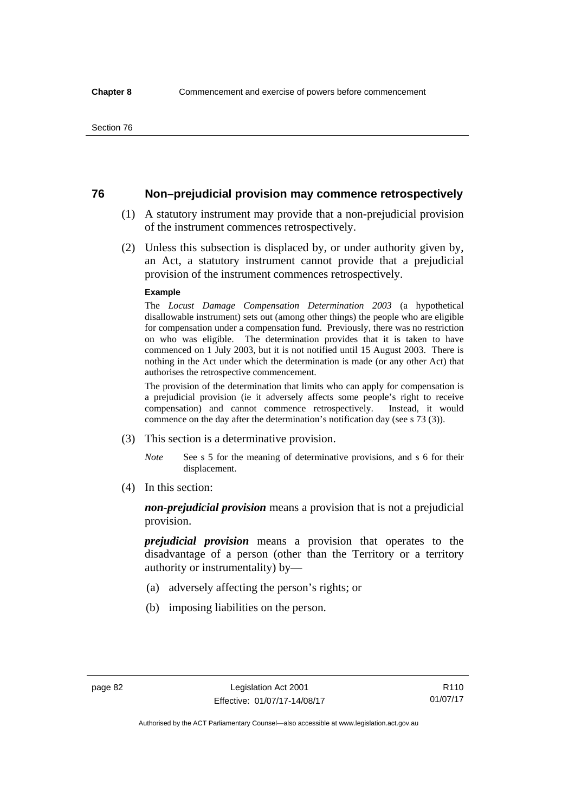## **76 Non–prejudicial provision may commence retrospectively**

- (1) A statutory instrument may provide that a non-prejudicial provision of the instrument commences retrospectively.
- (2) Unless this subsection is displaced by, or under authority given by, an Act, a statutory instrument cannot provide that a prejudicial provision of the instrument commences retrospectively.

#### **Example**

The *Locust Damage Compensation Determination 2003* (a hypothetical disallowable instrument) sets out (among other things) the people who are eligible for compensation under a compensation fund. Previously, there was no restriction on who was eligible. The determination provides that it is taken to have commenced on 1 July 2003, but it is not notified until 15 August 2003. There is nothing in the Act under which the determination is made (or any other Act) that authorises the retrospective commencement.

The provision of the determination that limits who can apply for compensation is a prejudicial provision (ie it adversely affects some people's right to receive compensation) and cannot commence retrospectively. Instead, it would commence on the day after the determination's notification day (see s 73 (3)).

- (3) This section is a determinative provision.
	- *Note* See s 5 for the meaning of determinative provisions, and s 6 for their displacement.
- (4) In this section:

*non-prejudicial provision* means a provision that is not a prejudicial provision.

*prejudicial provision* means a provision that operates to the disadvantage of a person (other than the Territory or a territory authority or instrumentality) by—

- (a) adversely affecting the person's rights; or
- (b) imposing liabilities on the person.

R110 01/07/17

Authorised by the ACT Parliamentary Counsel—also accessible at www.legislation.act.gov.au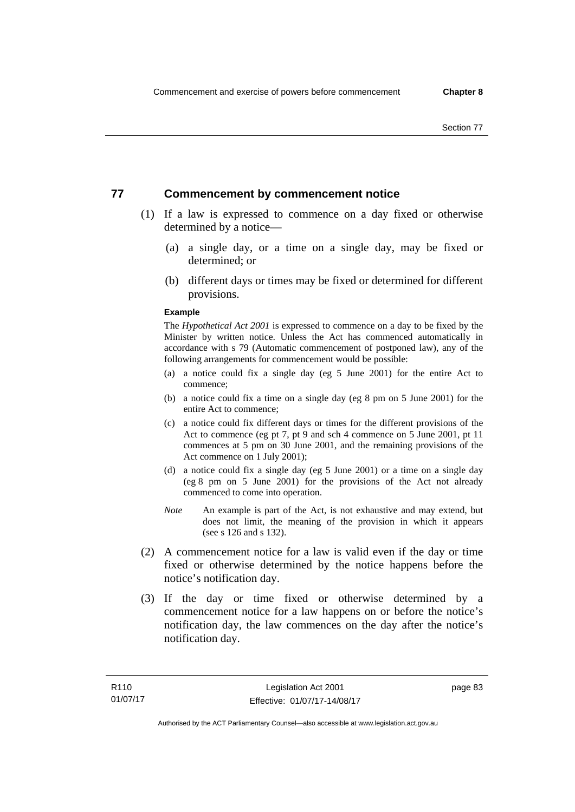## **77 Commencement by commencement notice**

- (1) If a law is expressed to commence on a day fixed or otherwise determined by a notice—
	- (a) a single day, or a time on a single day, may be fixed or determined; or
	- (b) different days or times may be fixed or determined for different provisions.

#### **Example**

The *Hypothetical Act 2001* is expressed to commence on a day to be fixed by the Minister by written notice. Unless the Act has commenced automatically in accordance with s 79 (Automatic commencement of postponed law), any of the following arrangements for commencement would be possible:

- (a) a notice could fix a single day (eg 5 June 2001) for the entire Act to commence;
- (b) a notice could fix a time on a single day (eg 8 pm on 5 June 2001) for the entire Act to commence;
- (c) a notice could fix different days or times for the different provisions of the Act to commence (eg pt 7, pt 9 and sch 4 commence on 5 June 2001, pt 11 commences at 5 pm on 30 June 2001, and the remaining provisions of the Act commence on 1 July 2001);
- (d) a notice could fix a single day (eg 5 June 2001) or a time on a single day (eg 8 pm on 5 June 2001) for the provisions of the Act not already commenced to come into operation.
- *Note* An example is part of the Act, is not exhaustive and may extend, but does not limit, the meaning of the provision in which it appears (see s 126 and s 132).
- (2) A commencement notice for a law is valid even if the day or time fixed or otherwise determined by the notice happens before the notice's notification day.
- (3) If the day or time fixed or otherwise determined by a commencement notice for a law happens on or before the notice's notification day, the law commences on the day after the notice's notification day.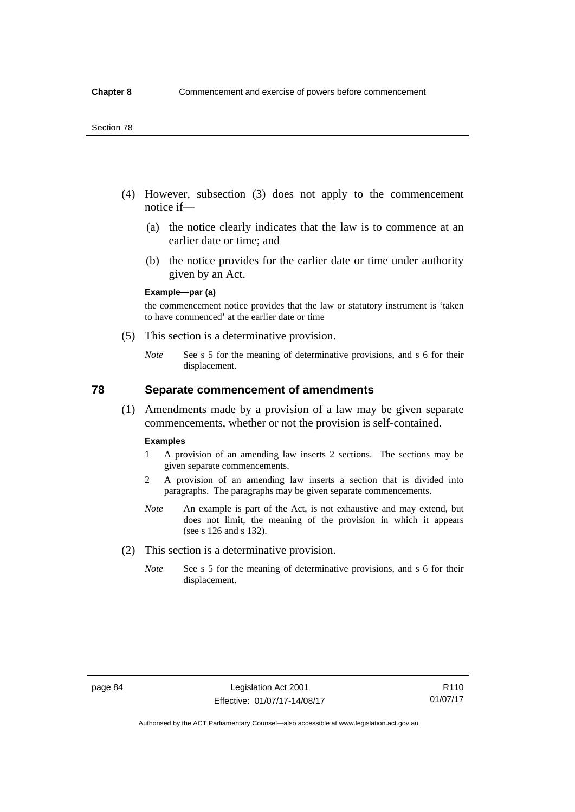- (4) However, subsection (3) does not apply to the commencement notice if—
	- (a) the notice clearly indicates that the law is to commence at an earlier date or time; and
	- (b) the notice provides for the earlier date or time under authority given by an Act.

#### **Example—par (a)**

the commencement notice provides that the law or statutory instrument is 'taken to have commenced' at the earlier date or time

- (5) This section is a determinative provision.
	- *Note* See s 5 for the meaning of determinative provisions, and s 6 for their displacement.

## **78 Separate commencement of amendments**

 (1) Amendments made by a provision of a law may be given separate commencements, whether or not the provision is self-contained.

#### **Examples**

- 1 A provision of an amending law inserts 2 sections. The sections may be given separate commencements.
- 2 A provision of an amending law inserts a section that is divided into paragraphs. The paragraphs may be given separate commencements.
- *Note* An example is part of the Act, is not exhaustive and may extend, but does not limit, the meaning of the provision in which it appears (see s 126 and s 132).
- (2) This section is a determinative provision.
	- *Note* See s 5 for the meaning of determinative provisions, and s 6 for their displacement.

R110 01/07/17

Authorised by the ACT Parliamentary Counsel—also accessible at www.legislation.act.gov.au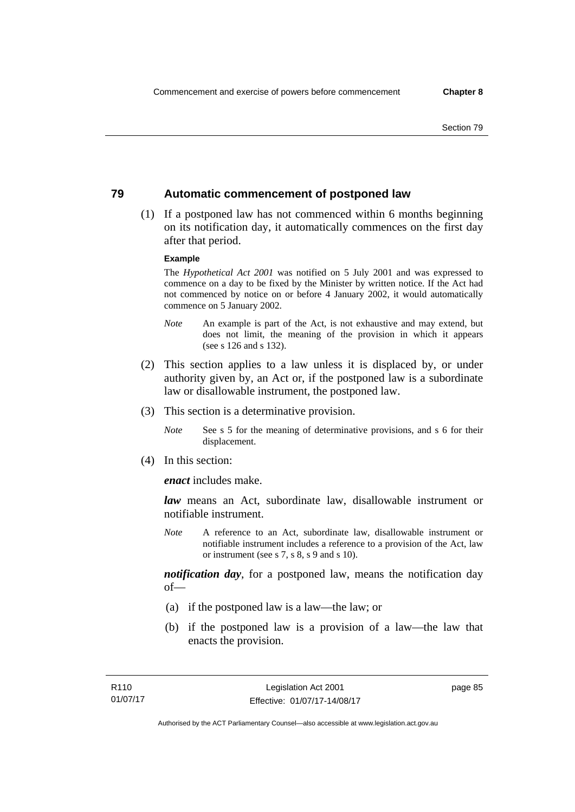## **79 Automatic commencement of postponed law**

 (1) If a postponed law has not commenced within 6 months beginning on its notification day, it automatically commences on the first day after that period.

#### **Example**

The *Hypothetical Act 2001* was notified on 5 July 2001 and was expressed to commence on a day to be fixed by the Minister by written notice. If the Act had not commenced by notice on or before 4 January 2002, it would automatically commence on 5 January 2002.

- *Note* An example is part of the Act, is not exhaustive and may extend, but does not limit, the meaning of the provision in which it appears (see s 126 and s 132).
- (2) This section applies to a law unless it is displaced by, or under authority given by, an Act or, if the postponed law is a subordinate law or disallowable instrument, the postponed law.
- (3) This section is a determinative provision.
	- *Note* See s 5 for the meaning of determinative provisions, and s 6 for their displacement.
- (4) In this section:

*enact* includes make.

*law* means an Act, subordinate law, disallowable instrument or notifiable instrument.

*Note* A reference to an Act, subordinate law, disallowable instrument or notifiable instrument includes a reference to a provision of the Act, law or instrument (see s 7, s 8, s 9 and s 10).

*notification day*, for a postponed law, means the notification day  $of$ 

- (a) if the postponed law is a law—the law; or
- (b) if the postponed law is a provision of a law—the law that enacts the provision.

page 85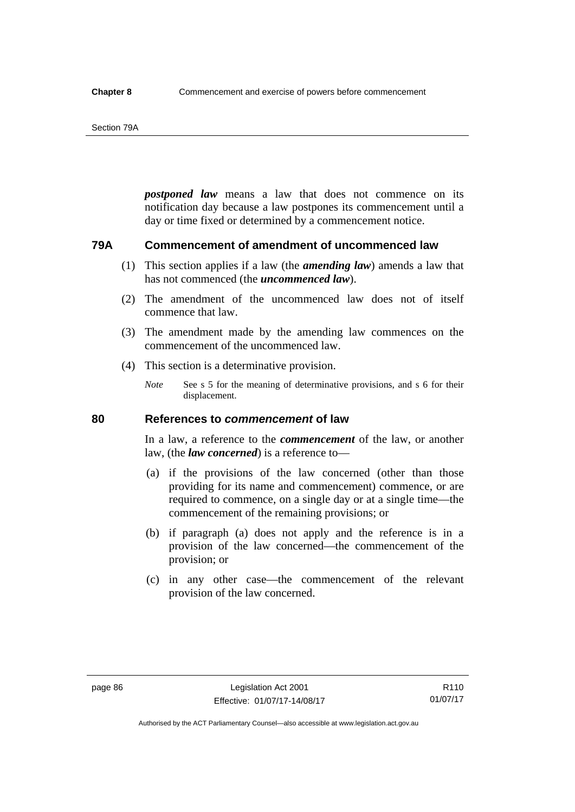#### Section 79A

*postponed law* means a law that does not commence on its notification day because a law postpones its commencement until a day or time fixed or determined by a commencement notice.

## **79A Commencement of amendment of uncommenced law**

- (1) This section applies if a law (the *amending law*) amends a law that has not commenced (the *uncommenced law*).
- (2) The amendment of the uncommenced law does not of itself commence that law.
- (3) The amendment made by the amending law commences on the commencement of the uncommenced law.
- (4) This section is a determinative provision.
	- *Note* See s 5 for the meaning of determinative provisions, and s 6 for their displacement.

## **80 References to** *commencement* **of law**

In a law, a reference to the *commencement* of the law, or another law, (the *law concerned*) is a reference to—

- (a) if the provisions of the law concerned (other than those providing for its name and commencement) commence, or are required to commence, on a single day or at a single time—the commencement of the remaining provisions; or
- (b) if paragraph (a) does not apply and the reference is in a provision of the law concerned—the commencement of the provision; or
- (c) in any other case—the commencement of the relevant provision of the law concerned.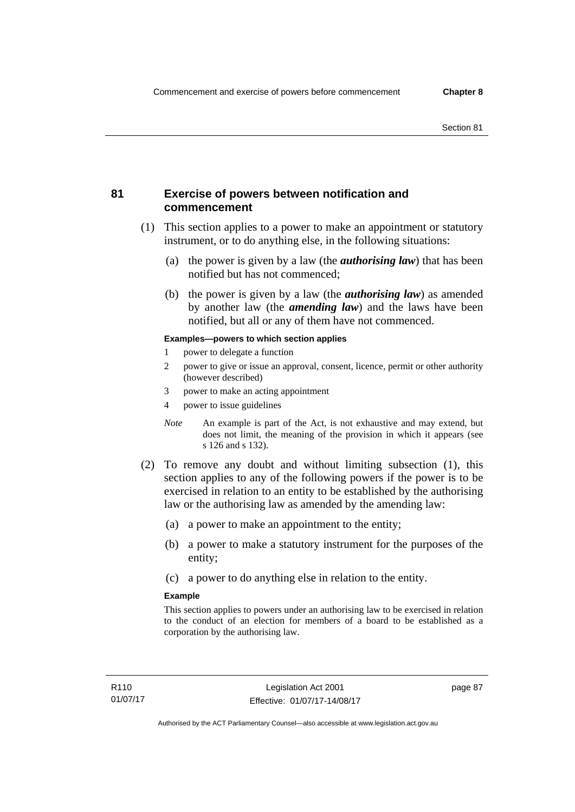## **81 Exercise of powers between notification and commencement**

- (1) This section applies to a power to make an appointment or statutory instrument, or to do anything else, in the following situations:
	- (a) the power is given by a law (the *authorising law*) that has been notified but has not commenced;
	- (b) the power is given by a law (the *authorising law*) as amended by another law (the *amending law*) and the laws have been notified, but all or any of them have not commenced.

#### **Examples—powers to which section applies**

- 1 power to delegate a function
- 2 power to give or issue an approval, consent, licence, permit or other authority (however described)
- 3 power to make an acting appointment
- 4 power to issue guidelines
- *Note* An example is part of the Act, is not exhaustive and may extend, but does not limit, the meaning of the provision in which it appears (see s 126 and s 132).
- (2) To remove any doubt and without limiting subsection (1), this section applies to any of the following powers if the power is to be exercised in relation to an entity to be established by the authorising law or the authorising law as amended by the amending law:
	- (a) a power to make an appointment to the entity;
	- (b) a power to make a statutory instrument for the purposes of the entity;
	- (c) a power to do anything else in relation to the entity.

#### **Example**

This section applies to powers under an authorising law to be exercised in relation to the conduct of an election for members of a board to be established as a corporation by the authorising law.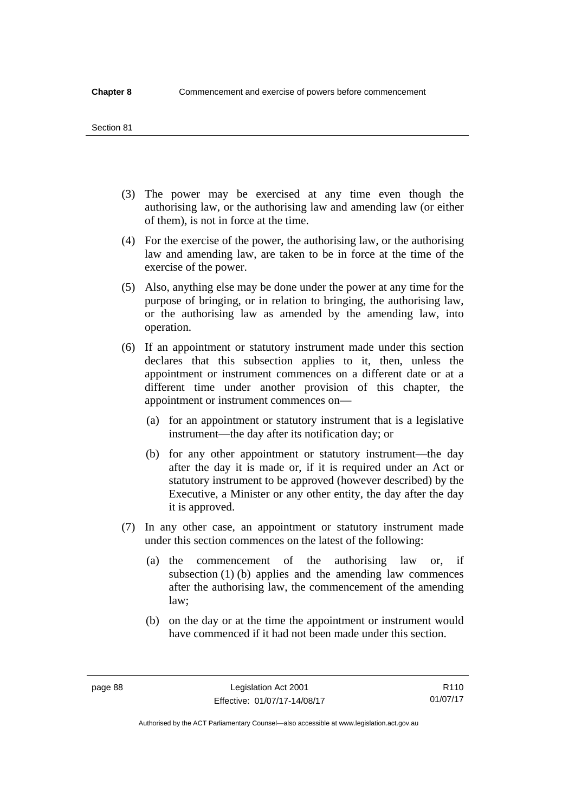#### Section 81

- (3) The power may be exercised at any time even though the authorising law, or the authorising law and amending law (or either of them), is not in force at the time.
- (4) For the exercise of the power, the authorising law, or the authorising law and amending law, are taken to be in force at the time of the exercise of the power.
- (5) Also, anything else may be done under the power at any time for the purpose of bringing, or in relation to bringing, the authorising law, or the authorising law as amended by the amending law, into operation.
- (6) If an appointment or statutory instrument made under this section declares that this subsection applies to it, then, unless the appointment or instrument commences on a different date or at a different time under another provision of this chapter, the appointment or instrument commences on—
	- (a) for an appointment or statutory instrument that is a legislative instrument—the day after its notification day; or
	- (b) for any other appointment or statutory instrument—the day after the day it is made or, if it is required under an Act or statutory instrument to be approved (however described) by the Executive, a Minister or any other entity, the day after the day it is approved.
- (7) In any other case, an appointment or statutory instrument made under this section commences on the latest of the following:
	- (a) the commencement of the authorising law or, if subsection (1) (b) applies and the amending law commences after the authorising law, the commencement of the amending law;
	- (b) on the day or at the time the appointment or instrument would have commenced if it had not been made under this section.

R110 01/07/17

Authorised by the ACT Parliamentary Counsel—also accessible at www.legislation.act.gov.au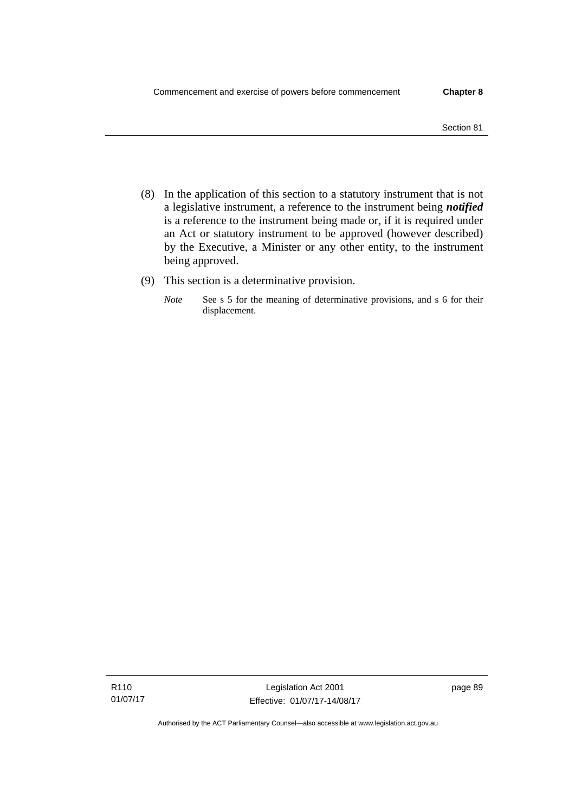- Section 81
- (8) In the application of this section to a statutory instrument that is not a legislative instrument, a reference to the instrument being *notified*  is a reference to the instrument being made or, if it is required under an Act or statutory instrument to be approved (however described) by the Executive, a Minister or any other entity, to the instrument being approved.
- (9) This section is a determinative provision.
	- *Note* See s 5 for the meaning of determinative provisions, and s 6 for their displacement.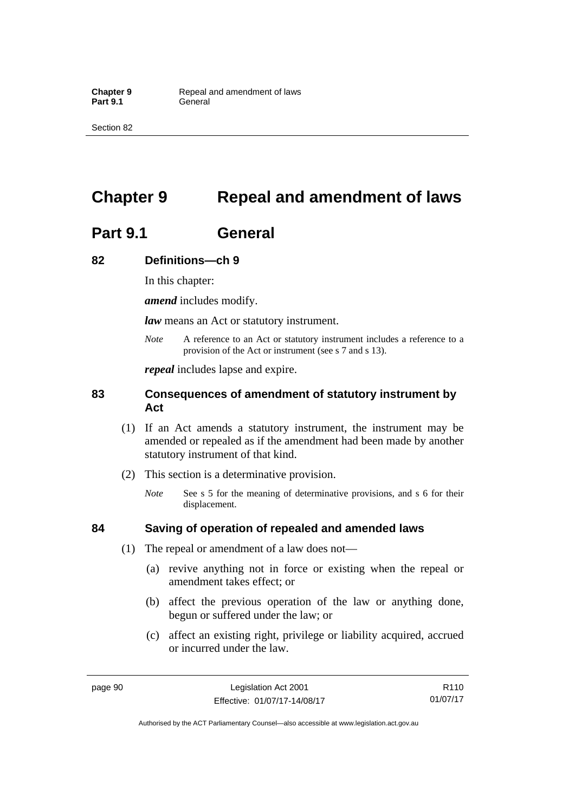Section 82

# **Chapter 9 Repeal and amendment of laws**

# **Part 9.1 General**

## **82 Definitions—ch 9**

In this chapter:

*amend* includes modify.

*law* means an Act or statutory instrument.

*Note* A reference to an Act or statutory instrument includes a reference to a provision of the Act or instrument (see s 7 and s 13).

*repeal* includes lapse and expire.

## **83 Consequences of amendment of statutory instrument by Act**

- (1) If an Act amends a statutory instrument, the instrument may be amended or repealed as if the amendment had been made by another statutory instrument of that kind.
- (2) This section is a determinative provision.
	- *Note* See s 5 for the meaning of determinative provisions, and s 6 for their displacement.

## **84 Saving of operation of repealed and amended laws**

- (1) The repeal or amendment of a law does not—
	- (a) revive anything not in force or existing when the repeal or amendment takes effect; or
	- (b) affect the previous operation of the law or anything done, begun or suffered under the law; or
	- (c) affect an existing right, privilege or liability acquired, accrued or incurred under the law.

page 90 Legislation Act 2001 Effective: 01/07/17-14/08/17

R110 01/07/17

Authorised by the ACT Parliamentary Counsel—also accessible at www.legislation.act.gov.au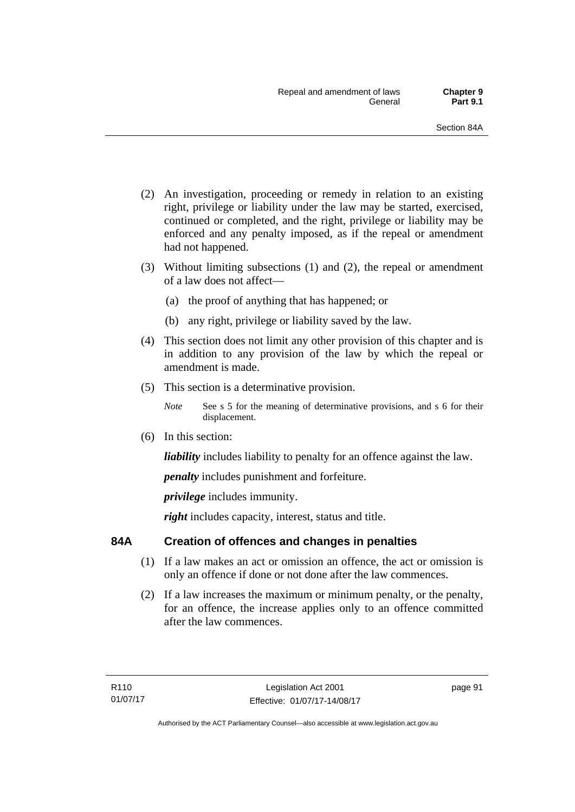- (2) An investigation, proceeding or remedy in relation to an existing right, privilege or liability under the law may be started, exercised, continued or completed, and the right, privilege or liability may be enforced and any penalty imposed, as if the repeal or amendment had not happened.
- (3) Without limiting subsections (1) and (2), the repeal or amendment of a law does not affect—
	- (a) the proof of anything that has happened; or
	- (b) any right, privilege or liability saved by the law.
- (4) This section does not limit any other provision of this chapter and is in addition to any provision of the law by which the repeal or amendment is made.
- (5) This section is a determinative provision.
	- *Note* See s 5 for the meaning of determinative provisions, and s 6 for their displacement.
- (6) In this section:

*liability* includes liability to penalty for an offence against the law.

*penalty* includes punishment and forfeiture.

*privilege* includes immunity.

right includes capacity, interest, status and title.

## **84A Creation of offences and changes in penalties**

- (1) If a law makes an act or omission an offence, the act or omission is only an offence if done or not done after the law commences.
- (2) If a law increases the maximum or minimum penalty, or the penalty, for an offence, the increase applies only to an offence committed after the law commences.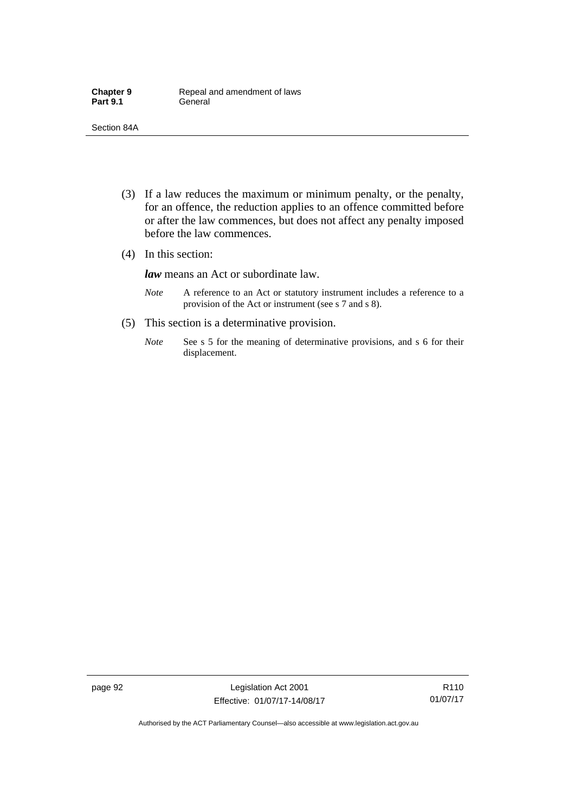- (3) If a law reduces the maximum or minimum penalty, or the penalty, for an offence, the reduction applies to an offence committed before or after the law commences, but does not affect any penalty imposed before the law commences.
- (4) In this section:

*law* means an Act or subordinate law.

- *Note* A reference to an Act or statutory instrument includes a reference to a provision of the Act or instrument (see s 7 and s 8).
- (5) This section is a determinative provision.
	- *Note* See s 5 for the meaning of determinative provisions, and s 6 for their displacement.

page 92 Legislation Act 2001 Effective: 01/07/17-14/08/17

R110 01/07/17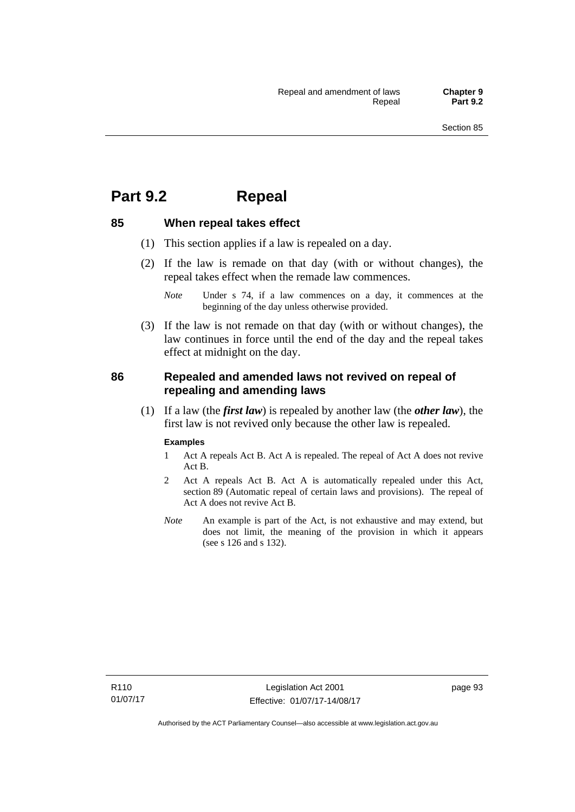## **Part 9.2 Repeal**

## **85 When repeal takes effect**

- (1) This section applies if a law is repealed on a day.
- (2) If the law is remade on that day (with or without changes), the repeal takes effect when the remade law commences.

 (3) If the law is not remade on that day (with or without changes), the law continues in force until the end of the day and the repeal takes effect at midnight on the day.

## **86 Repealed and amended laws not revived on repeal of repealing and amending laws**

 (1) If a law (the *first law*) is repealed by another law (the *other law*), the first law is not revived only because the other law is repealed.

#### **Examples**

- 1 Act A repeals Act B. Act A is repealed. The repeal of Act A does not revive Act B.
- 2 Act A repeals Act B. Act A is automatically repealed under this Act, section 89 (Automatic repeal of certain laws and provisions). The repeal of Act A does not revive Act B.
- *Note* An example is part of the Act, is not exhaustive and may extend, but does not limit, the meaning of the provision in which it appears (see s 126 and s 132).

*Note* Under s 74, if a law commences on a day, it commences at the beginning of the day unless otherwise provided.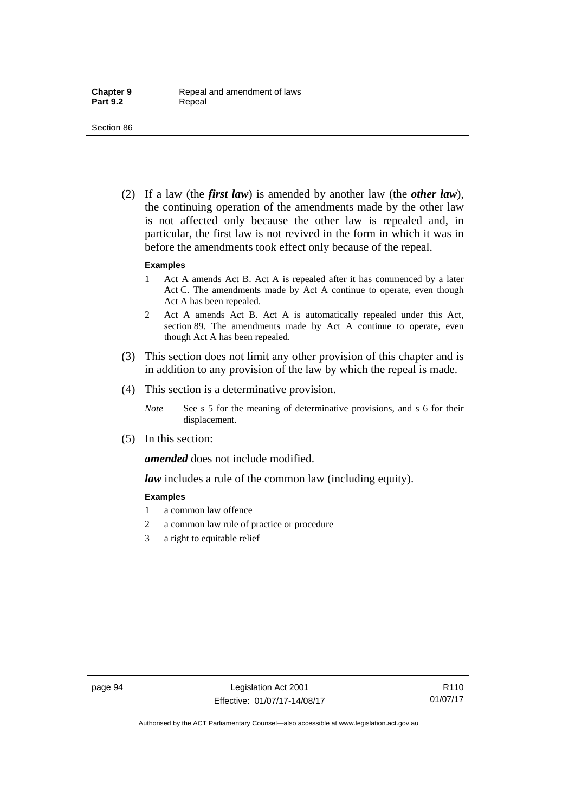(2) If a law (the *first law*) is amended by another law (the *other law*), the continuing operation of the amendments made by the other law is not affected only because the other law is repealed and, in particular, the first law is not revived in the form in which it was in before the amendments took effect only because of the repeal.

#### **Examples**

- 1 Act A amends Act B. Act A is repealed after it has commenced by a later Act C. The amendments made by Act A continue to operate, even though Act A has been repealed.
- 2 Act A amends Act B. Act A is automatically repealed under this Act, section 89. The amendments made by Act A continue to operate, even though Act A has been repealed.
- (3) This section does not limit any other provision of this chapter and is in addition to any provision of the law by which the repeal is made.
- (4) This section is a determinative provision.
	- *Note* See s 5 for the meaning of determinative provisions, and s 6 for their displacement.
- (5) In this section:

*amended* does not include modified.

*law* includes a rule of the common law (including equity).

#### **Examples**

- 1 a common law offence
- 2 a common law rule of practice or procedure
- 3 a right to equitable relief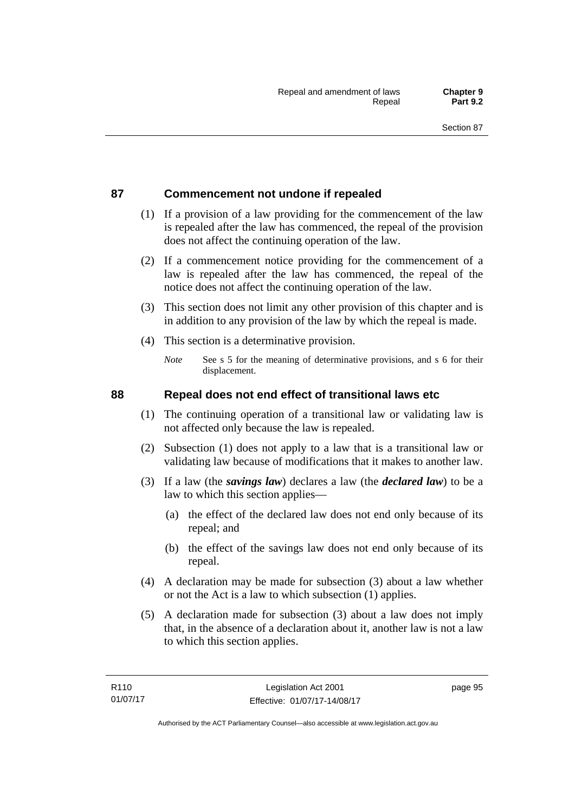## **87 Commencement not undone if repealed**

- (1) If a provision of a law providing for the commencement of the law is repealed after the law has commenced, the repeal of the provision does not affect the continuing operation of the law.
- (2) If a commencement notice providing for the commencement of a law is repealed after the law has commenced, the repeal of the notice does not affect the continuing operation of the law.
- (3) This section does not limit any other provision of this chapter and is in addition to any provision of the law by which the repeal is made.
- (4) This section is a determinative provision.
	- *Note* See s 5 for the meaning of determinative provisions, and s 6 for their displacement.

## **88 Repeal does not end effect of transitional laws etc**

- (1) The continuing operation of a transitional law or validating law is not affected only because the law is repealed.
- (2) Subsection (1) does not apply to a law that is a transitional law or validating law because of modifications that it makes to another law.
- (3) If a law (the *savings law*) declares a law (the *declared law*) to be a law to which this section applies—
	- (a) the effect of the declared law does not end only because of its repeal; and
	- (b) the effect of the savings law does not end only because of its repeal.
- (4) A declaration may be made for subsection (3) about a law whether or not the Act is a law to which subsection (1) applies.
- (5) A declaration made for subsection (3) about a law does not imply that, in the absence of a declaration about it, another law is not a law to which this section applies.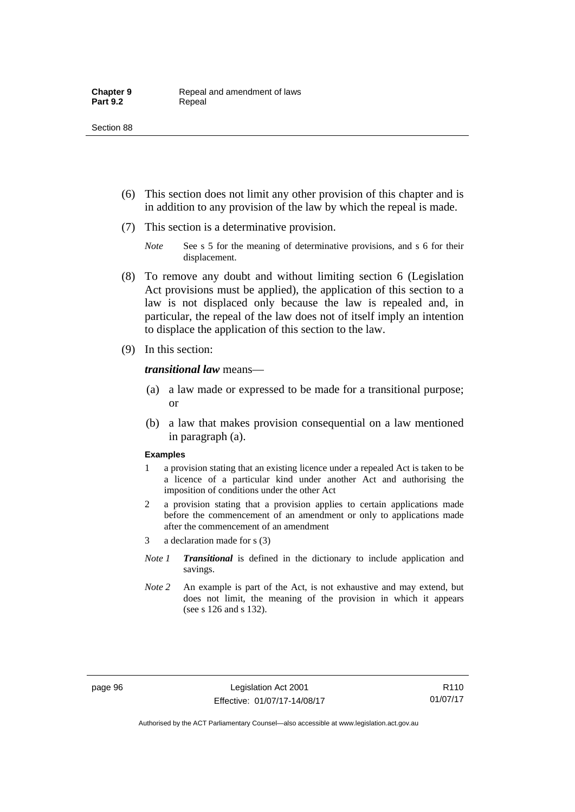- (6) This section does not limit any other provision of this chapter and is in addition to any provision of the law by which the repeal is made.
- (7) This section is a determinative provision.
	- *Note* See s 5 for the meaning of determinative provisions, and s 6 for their displacement.
- (8) To remove any doubt and without limiting section 6 (Legislation Act provisions must be applied), the application of this section to a law is not displaced only because the law is repealed and, in particular, the repeal of the law does not of itself imply an intention to displace the application of this section to the law.
- (9) In this section:

*transitional law* means—

- (a) a law made or expressed to be made for a transitional purpose; or
- (b) a law that makes provision consequential on a law mentioned in paragraph (a).

#### **Examples**

- 1 a provision stating that an existing licence under a repealed Act is taken to be a licence of a particular kind under another Act and authorising the imposition of conditions under the other Act
- 2 a provision stating that a provision applies to certain applications made before the commencement of an amendment or only to applications made after the commencement of an amendment
- 3 a declaration made for s (3)
- *Note 1 Transitional* is defined in the dictionary to include application and savings.
- *Note 2* An example is part of the Act, is not exhaustive and may extend, but does not limit, the meaning of the provision in which it appears (see s 126 and s 132).

R110 01/07/17

Authorised by the ACT Parliamentary Counsel—also accessible at www.legislation.act.gov.au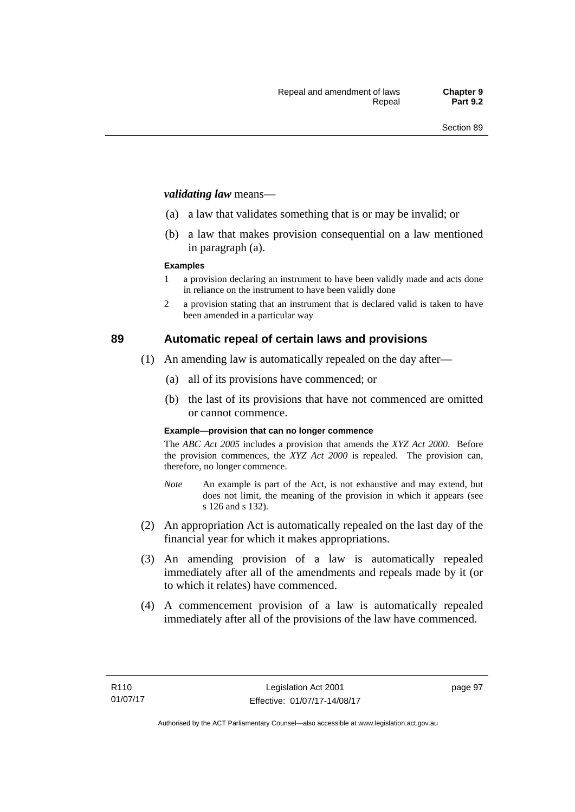#### *validating law* means—

- (a) a law that validates something that is or may be invalid; or
- (b) a law that makes provision consequential on a law mentioned in paragraph (a).

#### **Examples**

- 1 a provision declaring an instrument to have been validly made and acts done in reliance on the instrument to have been validly done
- 2 a provision stating that an instrument that is declared valid is taken to have been amended in a particular way

## **89 Automatic repeal of certain laws and provisions**

- (1) An amending law is automatically repealed on the day after—
	- (a) all of its provisions have commenced; or
	- (b) the last of its provisions that have not commenced are omitted or cannot commence.

#### **Example—provision that can no longer commence**

The *ABC Act 2005* includes a provision that amends the *XYZ Act 2000*. Before the provision commences, the *XYZ Act 2000* is repealed. The provision can, therefore, no longer commence.

- *Note* An example is part of the Act, is not exhaustive and may extend, but does not limit, the meaning of the provision in which it appears (see s 126 and s 132).
- (2) An appropriation Act is automatically repealed on the last day of the financial year for which it makes appropriations.
- (3) An amending provision of a law is automatically repealed immediately after all of the amendments and repeals made by it (or to which it relates) have commenced.
- (4) A commencement provision of a law is automatically repealed immediately after all of the provisions of the law have commenced.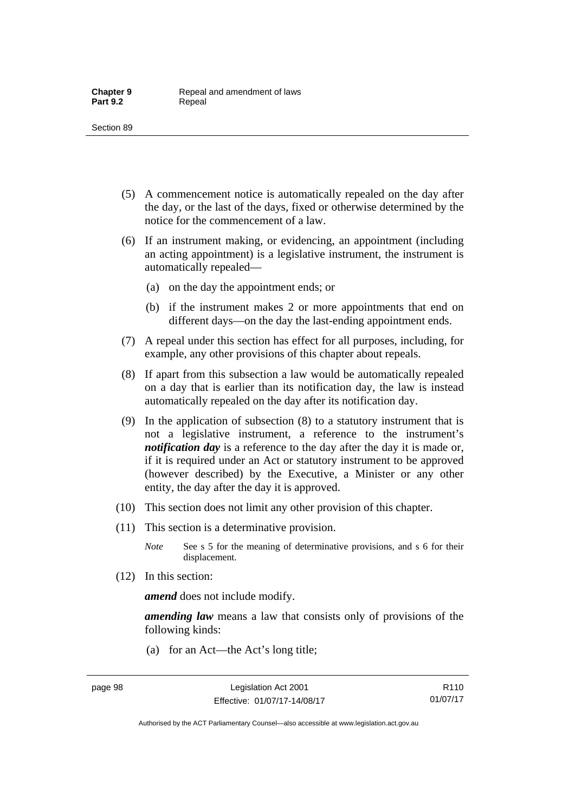- (5) A commencement notice is automatically repealed on the day after the day, or the last of the days, fixed or otherwise determined by the notice for the commencement of a law.
- (6) If an instrument making, or evidencing, an appointment (including an acting appointment) is a legislative instrument, the instrument is automatically repealed—
	- (a) on the day the appointment ends; or
	- (b) if the instrument makes 2 or more appointments that end on different days—on the day the last-ending appointment ends.
- (7) A repeal under this section has effect for all purposes, including, for example, any other provisions of this chapter about repeals.
- (8) If apart from this subsection a law would be automatically repealed on a day that is earlier than its notification day, the law is instead automatically repealed on the day after its notification day.
- (9) In the application of subsection (8) to a statutory instrument that is not a legislative instrument, a reference to the instrument's *notification day* is a reference to the day after the day it is made or, if it is required under an Act or statutory instrument to be approved (however described) by the Executive, a Minister or any other entity, the day after the day it is approved.
- (10) This section does not limit any other provision of this chapter.
- (11) This section is a determinative provision.
	- *Note* See s 5 for the meaning of determinative provisions, and s 6 for their displacement.
- (12) In this section:

*amend* does not include modify.

*amending law* means a law that consists only of provisions of the following kinds:

(a) for an Act—the Act's long title;

R110 01/07/17

Authorised by the ACT Parliamentary Counsel—also accessible at www.legislation.act.gov.au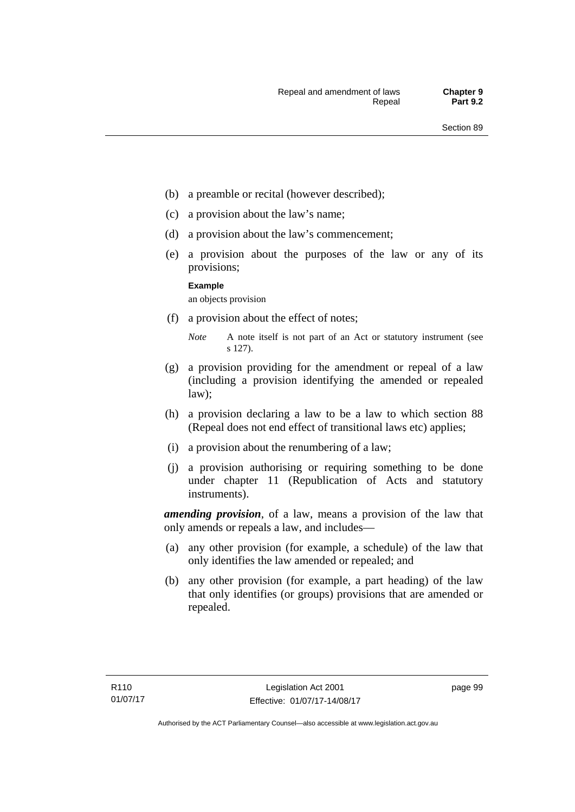- (b) a preamble or recital (however described);
- (c) a provision about the law's name;
- (d) a provision about the law's commencement;
- (e) a provision about the purposes of the law or any of its provisions;

#### **Example**

an objects provision

(f) a provision about the effect of notes;

- (g) a provision providing for the amendment or repeal of a law (including a provision identifying the amended or repealed law);
- (h) a provision declaring a law to be a law to which section 88 (Repeal does not end effect of transitional laws etc) applies;
- (i) a provision about the renumbering of a law;
- (j) a provision authorising or requiring something to be done under chapter 11 (Republication of Acts and statutory instruments).

*amending provision*, of a law, means a provision of the law that only amends or repeals a law, and includes—

- (a) any other provision (for example, a schedule) of the law that only identifies the law amended or repealed; and
- (b) any other provision (for example, a part heading) of the law that only identifies (or groups) provisions that are amended or repealed.

*Note* A note itself is not part of an Act or statutory instrument (see s 127).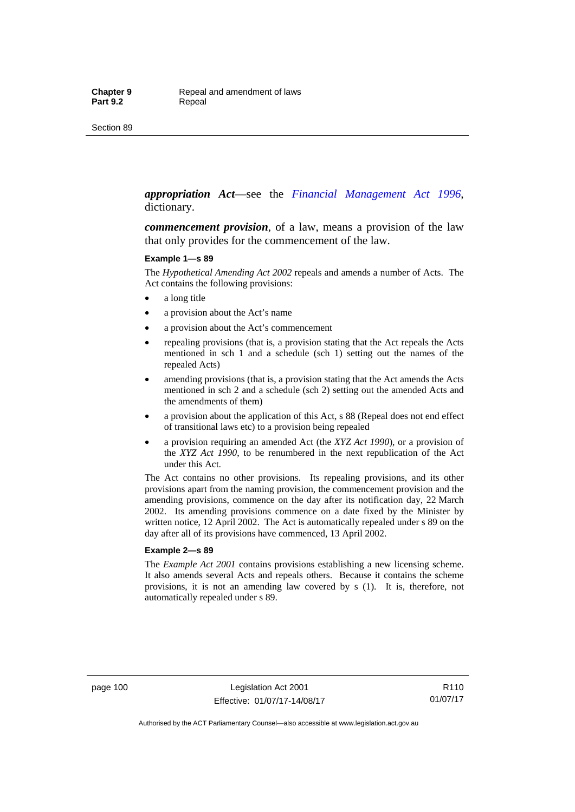#### *appropriation Act*—see the *[Financial Management Act 1996](http://www.legislation.act.gov.au/a/1996-22)*, dictionary.

*commencement provision*, of a law, means a provision of the law that only provides for the commencement of the law.

#### **Example 1—s 89**

The *Hypothetical Amending Act 2002* repeals and amends a number of Acts. The Act contains the following provisions:

- a long title
- a provision about the Act's name
- a provision about the Act's commencement
- repealing provisions (that is, a provision stating that the Act repeals the Acts mentioned in sch 1 and a schedule (sch 1) setting out the names of the repealed Acts)
- amending provisions (that is, a provision stating that the Act amends the Acts mentioned in sch 2 and a schedule (sch 2) setting out the amended Acts and the amendments of them)
- a provision about the application of this Act, s 88 (Repeal does not end effect of transitional laws etc) to a provision being repealed
- a provision requiring an amended Act (the *XYZ Act 1990*), or a provision of the *XYZ Act 1990*, to be renumbered in the next republication of the Act under this Act.

The Act contains no other provisions. Its repealing provisions, and its other provisions apart from the naming provision, the commencement provision and the amending provisions, commence on the day after its notification day, 22 March 2002. Its amending provisions commence on a date fixed by the Minister by written notice, 12 April 2002. The Act is automatically repealed under s 89 on the day after all of its provisions have commenced, 13 April 2002.

#### **Example 2—s 89**

The *Example Act 2001* contains provisions establishing a new licensing scheme. It also amends several Acts and repeals others. Because it contains the scheme provisions, it is not an amending law covered by s (1). It is, therefore, not automatically repealed under s 89.

page 100 Legislation Act 2001 Effective: 01/07/17-14/08/17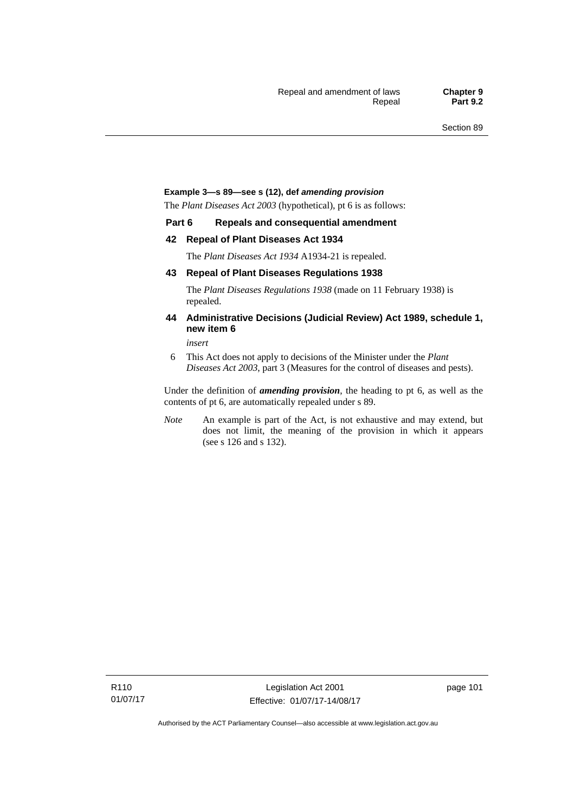#### **Example 3—s 89—see s (12), def** *amending provision*

The *Plant Diseases Act 2003* (hypothetical), pt 6 is as follows:

#### **Part 6 Repeals and consequential amendment**

#### **42 Repeal of Plant Diseases Act 1934**

The *Plant Diseases Act 1934* A1934-21 is repealed.

#### **43 Repeal of Plant Diseases Regulations 1938**

The *Plant Diseases Regulations 1938* (made on 11 February 1938) is repealed.

#### **44 Administrative Decisions (Judicial Review) Act 1989, schedule 1, new item 6**

*insert* 

6 This Act does not apply to decisions of the Minister under the *Plant Diseases Act 2003*, part 3 (Measures for the control of diseases and pests).

Under the definition of *amending provision*, the heading to pt 6, as well as the contents of pt 6, are automatically repealed under s 89.

*Note* An example is part of the Act, is not exhaustive and may extend, but does not limit, the meaning of the provision in which it appears (see s 126 and s 132).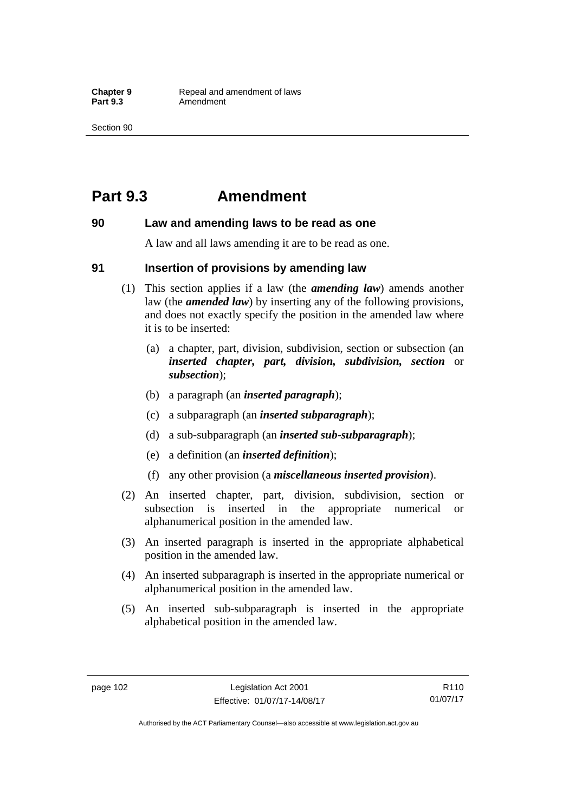## **Part 9.3 Amendment**

#### **90 Law and amending laws to be read as one**

A law and all laws amending it are to be read as one.

#### **91 Insertion of provisions by amending law**

- (1) This section applies if a law (the *amending law*) amends another law (the *amended law*) by inserting any of the following provisions, and does not exactly specify the position in the amended law where it is to be inserted:
	- (a) a chapter, part, division, subdivision, section or subsection (an *inserted chapter, part, division, subdivision, section* or *subsection*);
	- (b) a paragraph (an *inserted paragraph*);
	- (c) a subparagraph (an *inserted subparagraph*);
	- (d) a sub-subparagraph (an *inserted sub-subparagraph*);
	- (e) a definition (an *inserted definition*);
	- (f) any other provision (a *miscellaneous inserted provision*).
- (2) An inserted chapter, part, division, subdivision, section or subsection is inserted in the appropriate numerical or alphanumerical position in the amended law.
- (3) An inserted paragraph is inserted in the appropriate alphabetical position in the amended law.
- (4) An inserted subparagraph is inserted in the appropriate numerical or alphanumerical position in the amended law.
- (5) An inserted sub-subparagraph is inserted in the appropriate alphabetical position in the amended law.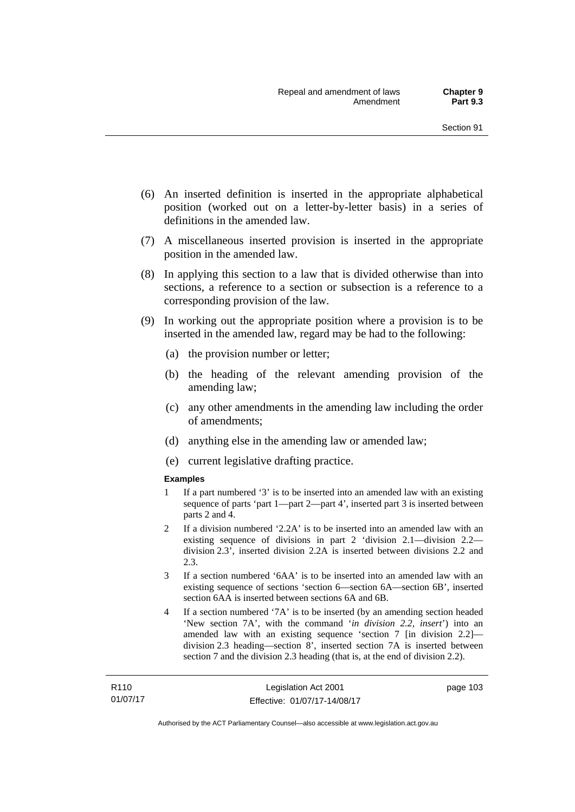- (6) An inserted definition is inserted in the appropriate alphabetical position (worked out on a letter-by-letter basis) in a series of definitions in the amended law.
- (7) A miscellaneous inserted provision is inserted in the appropriate position in the amended law.
- (8) In applying this section to a law that is divided otherwise than into sections, a reference to a section or subsection is a reference to a corresponding provision of the law.
- (9) In working out the appropriate position where a provision is to be inserted in the amended law, regard may be had to the following:
	- (a) the provision number or letter;
	- (b) the heading of the relevant amending provision of the amending law;
	- (c) any other amendments in the amending law including the order of amendments;
	- (d) anything else in the amending law or amended law;
	- (e) current legislative drafting practice.

#### **Examples**

- 1 If a part numbered '3' is to be inserted into an amended law with an existing sequence of parts 'part 1—part 2—part 4', inserted part 3 is inserted between parts 2 and 4.
- 2 If a division numbered '2.2A' is to be inserted into an amended law with an existing sequence of divisions in part 2 'division 2.1—division 2.2 division 2.3', inserted division 2.2A is inserted between divisions 2.2 and 2.3.
- 3 If a section numbered '6AA' is to be inserted into an amended law with an existing sequence of sections 'section 6—section 6A—section 6B', inserted section 6AA is inserted between sections 6A and 6B.
- 4 If a section numbered '7A' is to be inserted (by an amending section headed 'New section 7A', with the command '*in division 2.2, insert*') into an amended law with an existing sequence 'section 7 [in division 2.2] division 2.3 heading—section 8', inserted section 7A is inserted between section 7 and the division 2.3 heading (that is, at the end of division 2.2).

page 103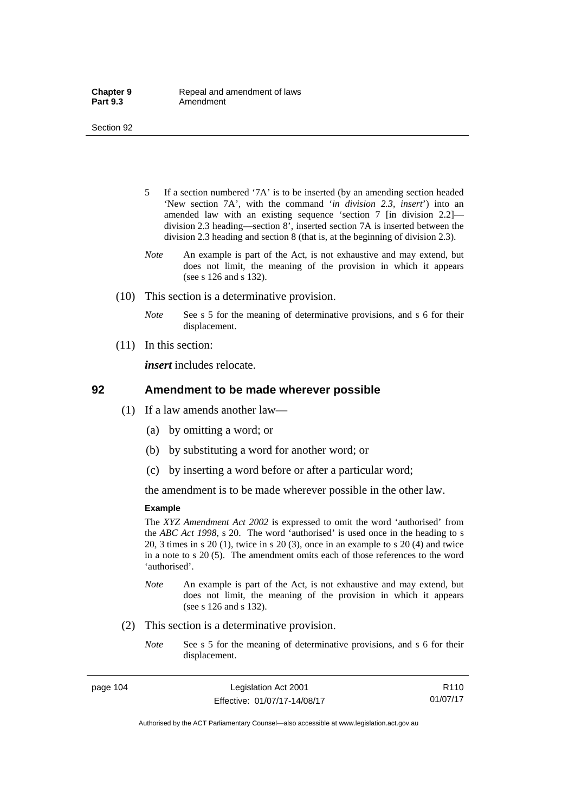- 5 If a section numbered '7A' is to be inserted (by an amending section headed 'New section 7A', with the command '*in division 2.3, insert*') into an amended law with an existing sequence 'section 7 [in division 2.2] division 2.3 heading—section 8', inserted section 7A is inserted between the division 2.3 heading and section 8 (that is, at the beginning of division 2.3).
- *Note* An example is part of the Act, is not exhaustive and may extend, but does not limit, the meaning of the provision in which it appears (see s 126 and s 132).
- (10) This section is a determinative provision.
	- *Note* See s 5 for the meaning of determinative provisions, and s 6 for their displacement.
- (11) In this section:

*insert* includes relocate.

#### **92 Amendment to be made wherever possible**

- (1) If a law amends another law—
	- (a) by omitting a word; or
	- (b) by substituting a word for another word; or
	- (c) by inserting a word before or after a particular word;

the amendment is to be made wherever possible in the other law.

#### **Example**

The *XYZ Amendment Act 2002* is expressed to omit the word 'authorised' from the *ABC Act 1998*, s 20. The word 'authorised' is used once in the heading to s 20, 3 times in s 20 (1), twice in s 20 (3), once in an example to s 20 (4) and twice in a note to s 20 (5). The amendment omits each of those references to the word 'authorised'.

- *Note* An example is part of the Act, is not exhaustive and may extend, but does not limit, the meaning of the provision in which it appears (see s 126 and s 132).
- (2) This section is a determinative provision.
	- *Note* See s 5 for the meaning of determinative provisions, and s 6 for their displacement.

page 104 Legislation Act 2001 Effective: 01/07/17-14/08/17

R110 01/07/17

Authorised by the ACT Parliamentary Counsel—also accessible at www.legislation.act.gov.au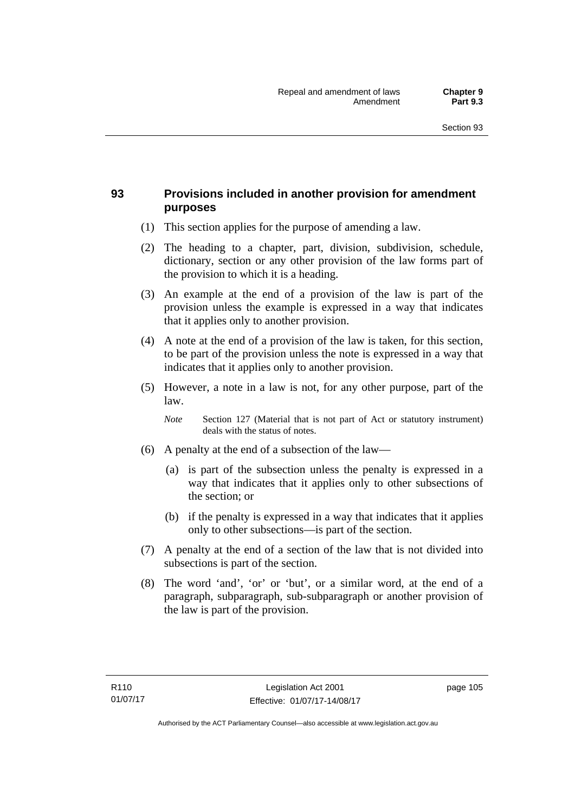## **93 Provisions included in another provision for amendment purposes**

- (1) This section applies for the purpose of amending a law.
- (2) The heading to a chapter, part, division, subdivision, schedule, dictionary, section or any other provision of the law forms part of the provision to which it is a heading.
- (3) An example at the end of a provision of the law is part of the provision unless the example is expressed in a way that indicates that it applies only to another provision.
- (4) A note at the end of a provision of the law is taken, for this section, to be part of the provision unless the note is expressed in a way that indicates that it applies only to another provision.
- (5) However, a note in a law is not, for any other purpose, part of the law.

*Note* Section 127 (Material that is not part of Act or statutory instrument) deals with the status of notes.

- (6) A penalty at the end of a subsection of the law—
	- (a) is part of the subsection unless the penalty is expressed in a way that indicates that it applies only to other subsections of the section; or
	- (b) if the penalty is expressed in a way that indicates that it applies only to other subsections—is part of the section.
- (7) A penalty at the end of a section of the law that is not divided into subsections is part of the section.
- (8) The word 'and', 'or' or 'but', or a similar word, at the end of a paragraph, subparagraph, sub-subparagraph or another provision of the law is part of the provision.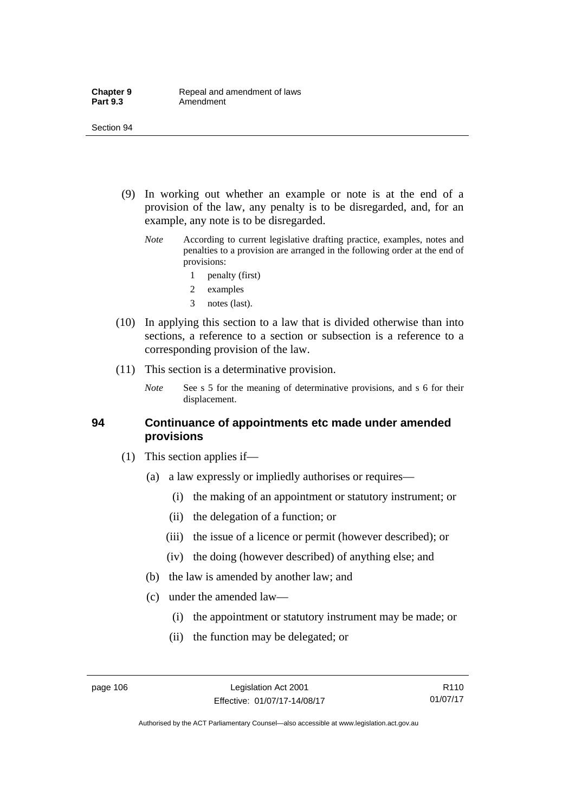- (9) In working out whether an example or note is at the end of a provision of the law, any penalty is to be disregarded, and, for an example, any note is to be disregarded.
	- *Note* According to current legislative drafting practice, examples, notes and penalties to a provision are arranged in the following order at the end of provisions:
		- 1 penalty (first)
		- 2 examples
		- 3 notes (last).
- (10) In applying this section to a law that is divided otherwise than into sections, a reference to a section or subsection is a reference to a corresponding provision of the law.
- (11) This section is a determinative provision.
	- *Note* See s 5 for the meaning of determinative provisions, and s 6 for their displacement.

#### **94 Continuance of appointments etc made under amended provisions**

- (1) This section applies if—
	- (a) a law expressly or impliedly authorises or requires—
		- (i) the making of an appointment or statutory instrument; or
		- (ii) the delegation of a function; or
		- (iii) the issue of a licence or permit (however described); or
		- (iv) the doing (however described) of anything else; and
	- (b) the law is amended by another law; and
	- (c) under the amended law—
		- (i) the appointment or statutory instrument may be made; or
		- (ii) the function may be delegated; or

Authorised by the ACT Parliamentary Counsel—also accessible at www.legislation.act.gov.au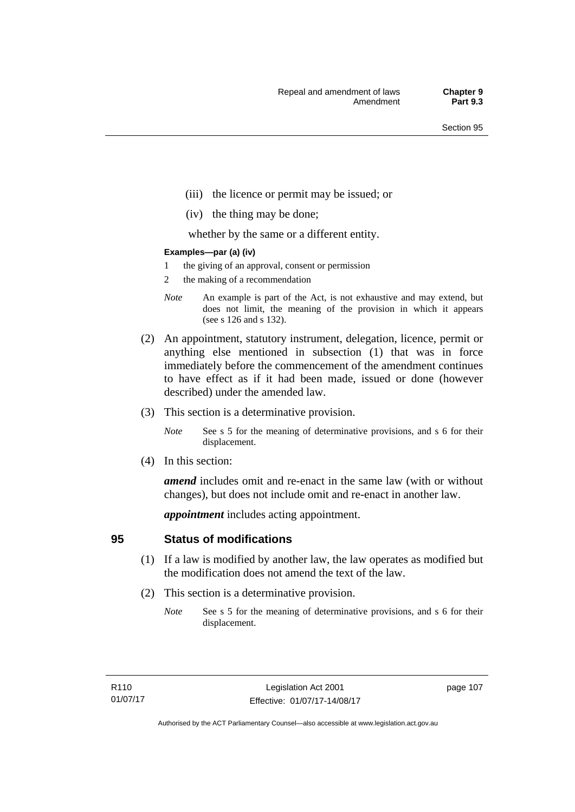- (iii) the licence or permit may be issued; or
- (iv) the thing may be done;

whether by the same or a different entity.

#### **Examples—par (a) (iv)**

- 1 the giving of an approval, consent or permission
- 2 the making of a recommendation
- *Note* An example is part of the Act, is not exhaustive and may extend, but does not limit, the meaning of the provision in which it appears (see s 126 and s 132).
- (2) An appointment, statutory instrument, delegation, licence, permit or anything else mentioned in subsection (1) that was in force immediately before the commencement of the amendment continues to have effect as if it had been made, issued or done (however described) under the amended law.
- (3) This section is a determinative provision.
	- *Note* See s 5 for the meaning of determinative provisions, and s 6 for their displacement.
- (4) In this section:

*amend* includes omit and re-enact in the same law (with or without changes), but does not include omit and re-enact in another law.

*appointment* includes acting appointment.

## **95 Status of modifications**

- (1) If a law is modified by another law, the law operates as modified but the modification does not amend the text of the law.
- (2) This section is a determinative provision.
	- *Note* See s 5 for the meaning of determinative provisions, and s 6 for their displacement.

page 107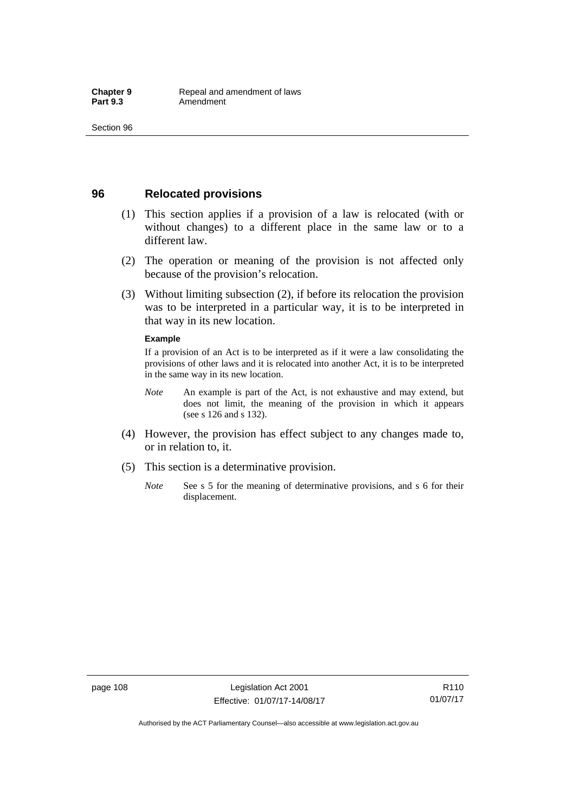## **96 Relocated provisions**

- (1) This section applies if a provision of a law is relocated (with or without changes) to a different place in the same law or to a different law.
- (2) The operation or meaning of the provision is not affected only because of the provision's relocation.
- (3) Without limiting subsection (2), if before its relocation the provision was to be interpreted in a particular way, it is to be interpreted in that way in its new location.

#### **Example**

If a provision of an Act is to be interpreted as if it were a law consolidating the provisions of other laws and it is relocated into another Act, it is to be interpreted in the same way in its new location.

- *Note* An example is part of the Act, is not exhaustive and may extend, but does not limit, the meaning of the provision in which it appears (see s 126 and s 132).
- (4) However, the provision has effect subject to any changes made to, or in relation to, it.
- (5) This section is a determinative provision.
	- *Note* See s 5 for the meaning of determinative provisions, and s 6 for their displacement.

R110 01/07/17

Authorised by the ACT Parliamentary Counsel—also accessible at www.legislation.act.gov.au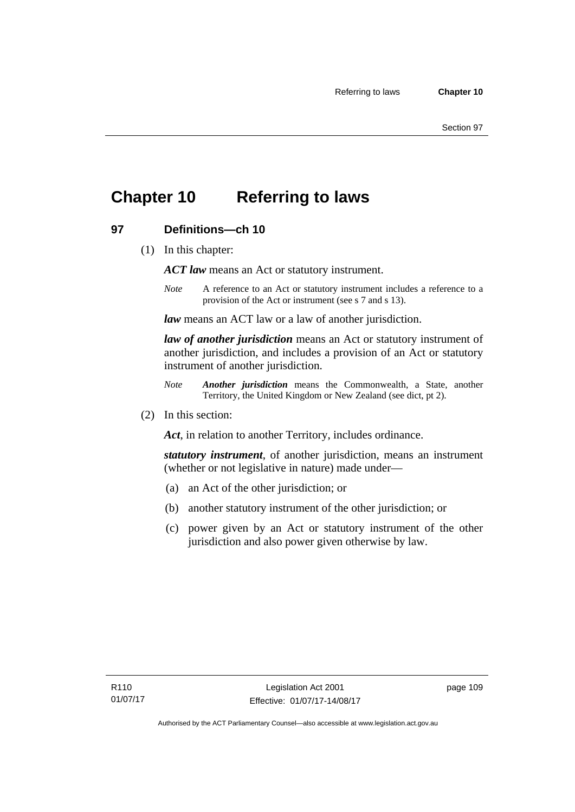## **Chapter 10 Referring to laws**

## **97 Definitions—ch 10**

(1) In this chapter:

*ACT law* means an Act or statutory instrument.

*Note* A reference to an Act or statutory instrument includes a reference to a provision of the Act or instrument (see s 7 and s 13).

*law* means an ACT law or a law of another jurisdiction.

*law of another jurisdiction* means an Act or statutory instrument of another jurisdiction, and includes a provision of an Act or statutory instrument of another jurisdiction.

- *Note Another jurisdiction* means the Commonwealth, a State, another Territory, the United Kingdom or New Zealand (see dict, pt 2).
- (2) In this section:

*Act*, in relation to another Territory, includes ordinance.

*statutory instrument*, of another jurisdiction, means an instrument (whether or not legislative in nature) made under—

- (a) an Act of the other jurisdiction; or
- (b) another statutory instrument of the other jurisdiction; or
- (c) power given by an Act or statutory instrument of the other jurisdiction and also power given otherwise by law.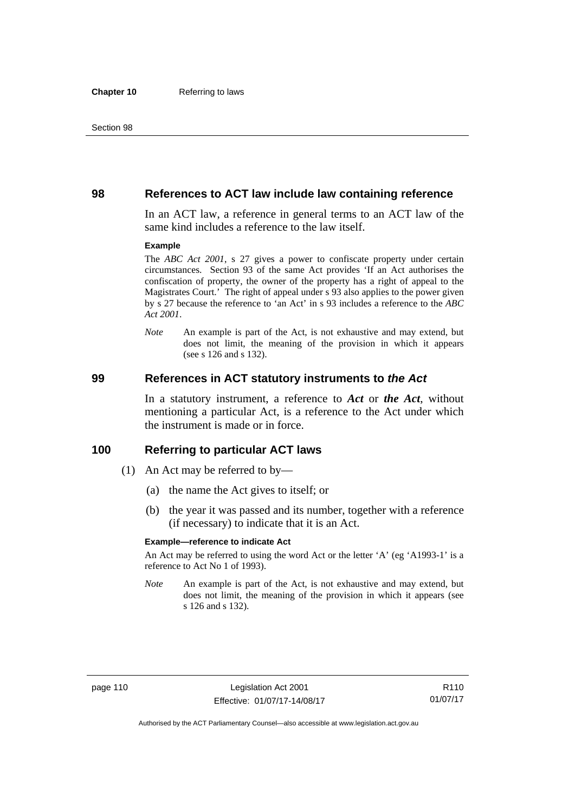#### **98 References to ACT law include law containing reference**

In an ACT law, a reference in general terms to an ACT law of the same kind includes a reference to the law itself.

#### **Example**

The *ABC Act 2001*, s 27 gives a power to confiscate property under certain circumstances. Section 93 of the same Act provides 'If an Act authorises the confiscation of property, the owner of the property has a right of appeal to the Magistrates Court.' The right of appeal under s 93 also applies to the power given by s 27 because the reference to 'an Act' in s 93 includes a reference to the *ABC Act 2001*.

*Note* An example is part of the Act, is not exhaustive and may extend, but does not limit, the meaning of the provision in which it appears (see s 126 and s 132).

#### **99 References in ACT statutory instruments to** *the Act*

In a statutory instrument, a reference to *Act* or *the Act*, without mentioning a particular Act, is a reference to the Act under which the instrument is made or in force.

#### **100 Referring to particular ACT laws**

- (1) An Act may be referred to by—
	- (a) the name the Act gives to itself; or
	- (b) the year it was passed and its number, together with a reference (if necessary) to indicate that it is an Act.

#### **Example—reference to indicate Act**

An Act may be referred to using the word Act or the letter 'A' (eg 'A1993-1' is a reference to Act No 1 of 1993).

*Note* An example is part of the Act, is not exhaustive and may extend, but does not limit, the meaning of the provision in which it appears (see s 126 and s 132).

R110 01/07/17

Authorised by the ACT Parliamentary Counsel—also accessible at www.legislation.act.gov.au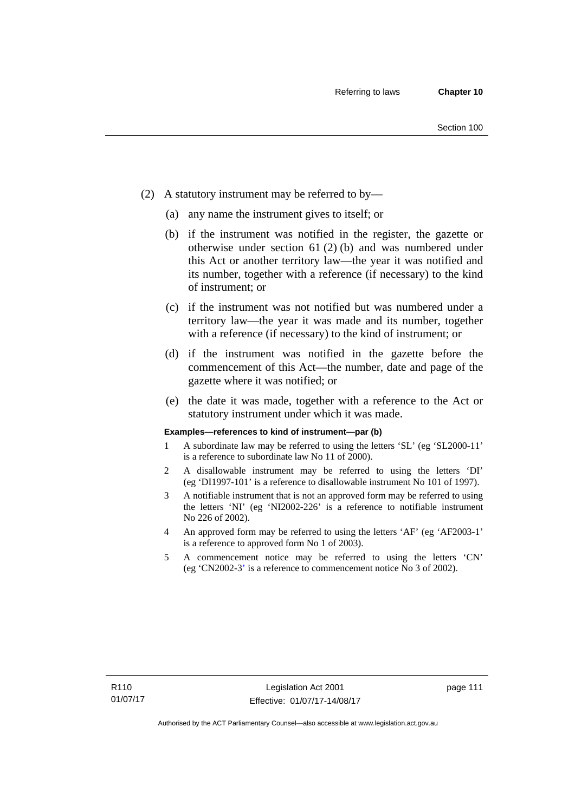- (2) A statutory instrument may be referred to by—
	- (a) any name the instrument gives to itself; or
	- (b) if the instrument was notified in the register, the gazette or otherwise under section 61 (2) (b) and was numbered under this Act or another territory law—the year it was notified and its number, together with a reference (if necessary) to the kind of instrument; or
	- (c) if the instrument was not notified but was numbered under a territory law—the year it was made and its number, together with a reference (if necessary) to the kind of instrument; or
	- (d) if the instrument was notified in the gazette before the commencement of this Act—the number, date and page of the gazette where it was notified; or
	- (e) the date it was made, together with a reference to the Act or statutory instrument under which it was made.

#### **Examples—references to kind of instrument—par (b)**

- 1 A subordinate law may be referred to using the letters 'SL' (eg 'SL2000-11' is a reference to subordinate law No 11 of 2000).
- 2 A disallowable instrument may be referred to using the letters 'DI' (eg 'DI1997-101' is a reference to disallowable instrument No 101 of 1997).
- 3 A notifiable instrument that is not an approved form may be referred to using the letters 'NI' (eg 'NI2002-226' is a reference to notifiable instrument No 226 of 2002).
- 4 An approved form may be referred to using the letters 'AF' (eg 'AF2003-1' is a reference to approved form No 1 of 2003).
- 5 A commencement notice may be referred to using the letters 'CN' (eg 'CN2002-3' is a reference to commencement notice No 3 of 2002).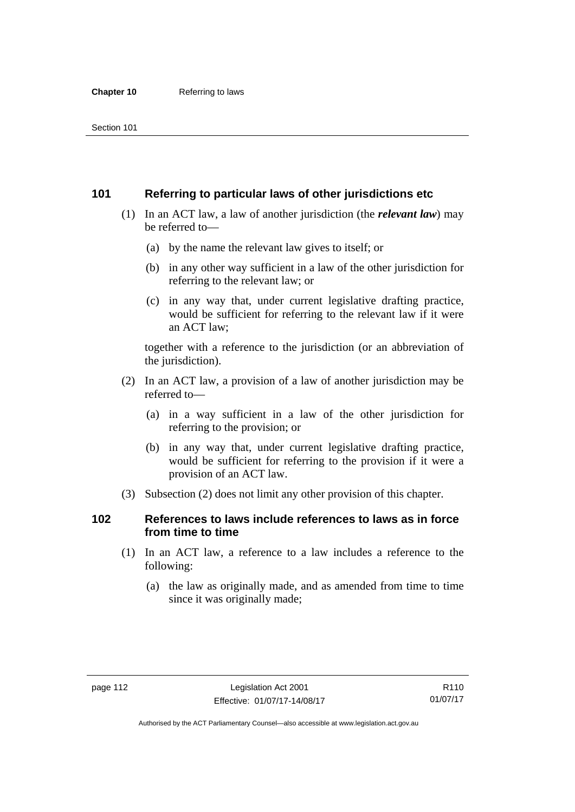## **101 Referring to particular laws of other jurisdictions etc**

- (1) In an ACT law, a law of another jurisdiction (the *relevant law*) may be referred to—
	- (a) by the name the relevant law gives to itself; or
	- (b) in any other way sufficient in a law of the other jurisdiction for referring to the relevant law; or
	- (c) in any way that, under current legislative drafting practice, would be sufficient for referring to the relevant law if it were an ACT law;

together with a reference to the jurisdiction (or an abbreviation of the jurisdiction).

- (2) In an ACT law, a provision of a law of another jurisdiction may be referred to—
	- (a) in a way sufficient in a law of the other jurisdiction for referring to the provision; or
	- (b) in any way that, under current legislative drafting practice, would be sufficient for referring to the provision if it were a provision of an ACT law.
- (3) Subsection (2) does not limit any other provision of this chapter.

## **102 References to laws include references to laws as in force from time to time**

- (1) In an ACT law, a reference to a law includes a reference to the following:
	- (a) the law as originally made, and as amended from time to time since it was originally made;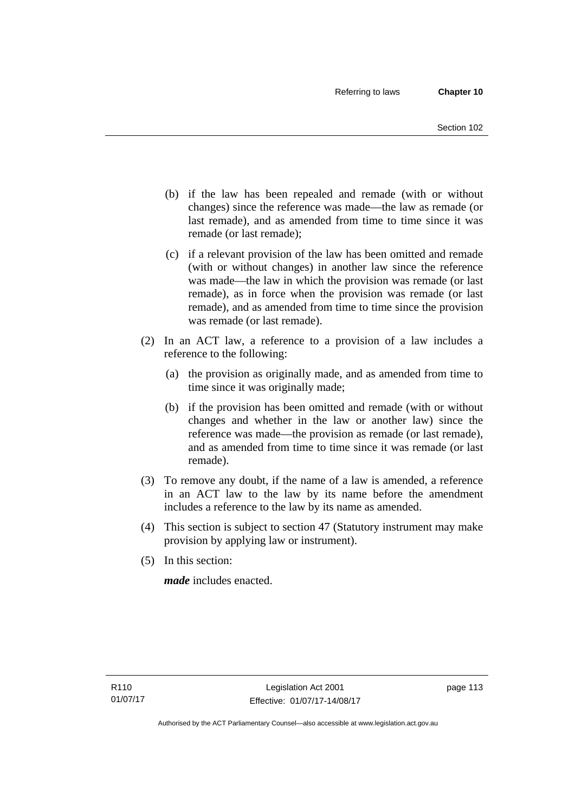- (b) if the law has been repealed and remade (with or without changes) since the reference was made—the law as remade (or last remade), and as amended from time to time since it was remade (or last remade);
- (c) if a relevant provision of the law has been omitted and remade (with or without changes) in another law since the reference was made—the law in which the provision was remade (or last remade), as in force when the provision was remade (or last remade), and as amended from time to time since the provision was remade (or last remade).
- (2) In an ACT law, a reference to a provision of a law includes a reference to the following:
	- (a) the provision as originally made, and as amended from time to time since it was originally made;
	- (b) if the provision has been omitted and remade (with or without changes and whether in the law or another law) since the reference was made—the provision as remade (or last remade), and as amended from time to time since it was remade (or last remade).
- (3) To remove any doubt, if the name of a law is amended, a reference in an ACT law to the law by its name before the amendment includes a reference to the law by its name as amended.
- (4) This section is subject to section 47 (Statutory instrument may make provision by applying law or instrument).
- (5) In this section:

*made* includes enacted.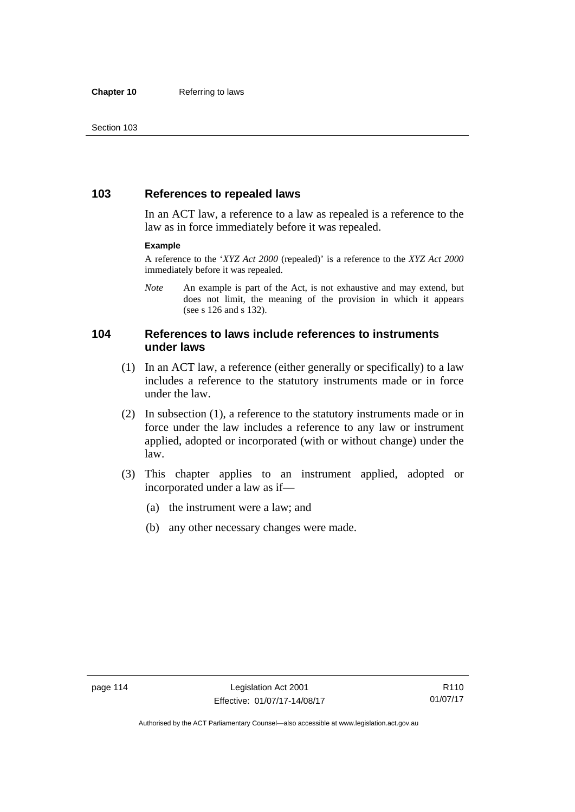## **103 References to repealed laws**

In an ACT law, a reference to a law as repealed is a reference to the law as in force immediately before it was repealed.

#### **Example**

A reference to the '*XYZ Act 2000* (repealed)' is a reference to the *XYZ Act 2000* immediately before it was repealed.

*Note* An example is part of the Act, is not exhaustive and may extend, but does not limit, the meaning of the provision in which it appears (see s 126 and s 132).

## **104 References to laws include references to instruments under laws**

- (1) In an ACT law, a reference (either generally or specifically) to a law includes a reference to the statutory instruments made or in force under the law.
- (2) In subsection (1), a reference to the statutory instruments made or in force under the law includes a reference to any law or instrument applied, adopted or incorporated (with or without change) under the law.
- (3) This chapter applies to an instrument applied, adopted or incorporated under a law as if—
	- (a) the instrument were a law; and
	- (b) any other necessary changes were made.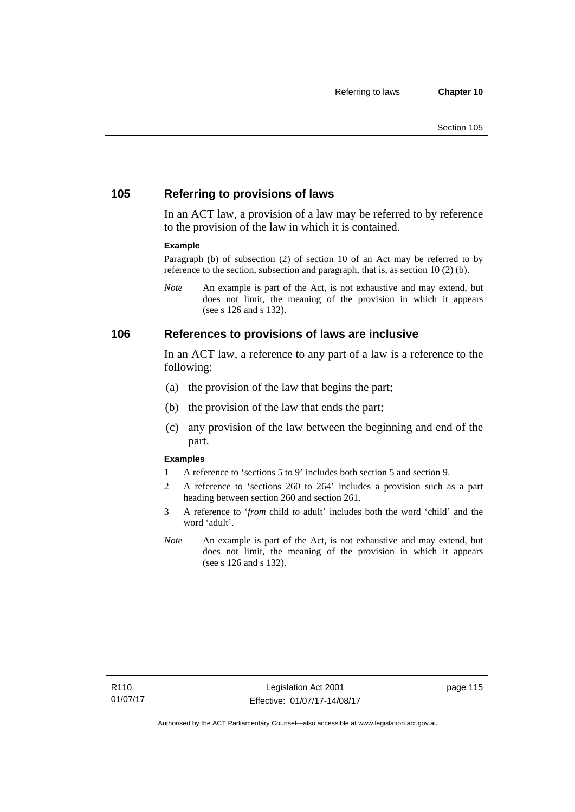## **105 Referring to provisions of laws**

In an ACT law, a provision of a law may be referred to by reference to the provision of the law in which it is contained.

#### **Example**

Paragraph (b) of subsection (2) of section 10 of an Act may be referred to by reference to the section, subsection and paragraph, that is, as section 10 (2) (b).

*Note* An example is part of the Act, is not exhaustive and may extend, but does not limit, the meaning of the provision in which it appears (see s 126 and s 132).

#### **106 References to provisions of laws are inclusive**

In an ACT law, a reference to any part of a law is a reference to the following:

- (a) the provision of the law that begins the part;
- (b) the provision of the law that ends the part;
- (c) any provision of the law between the beginning and end of the part.

#### **Examples**

- 1 A reference to 'sections 5 to 9' includes both section 5 and section 9.
- 2 A reference to 'sections 260 to 264' includes a provision such as a part heading between section 260 and section 261.
- 3 A reference to '*from* child *to* adult' includes both the word 'child' and the word 'adult'.
- *Note* An example is part of the Act, is not exhaustive and may extend, but does not limit, the meaning of the provision in which it appears (see s 126 and s 132).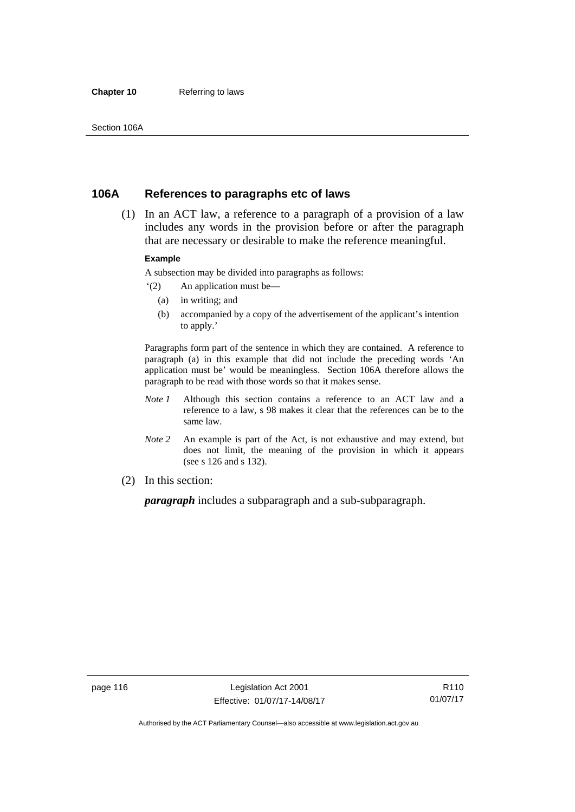#### **Chapter 10** Referring to laws

## **106A References to paragraphs etc of laws**

 (1) In an ACT law, a reference to a paragraph of a provision of a law includes any words in the provision before or after the paragraph that are necessary or desirable to make the reference meaningful.

#### **Example**

A subsection may be divided into paragraphs as follows:

- '(2) An application must be—
	- (a) in writing; and
	- (b) accompanied by a copy of the advertisement of the applicant's intention to apply.'

Paragraphs form part of the sentence in which they are contained. A reference to paragraph (a) in this example that did not include the preceding words 'An application must be' would be meaningless. Section 106A therefore allows the paragraph to be read with those words so that it makes sense.

- *Note 1* Although this section contains a reference to an ACT law and a reference to a law, s 98 makes it clear that the references can be to the same law.
- *Note 2* An example is part of the Act, is not exhaustive and may extend, but does not limit, the meaning of the provision in which it appears (see s 126 and s 132).
- (2) In this section:

*paragraph* includes a subparagraph and a sub-subparagraph.

R110 01/07/17

Authorised by the ACT Parliamentary Counsel—also accessible at www.legislation.act.gov.au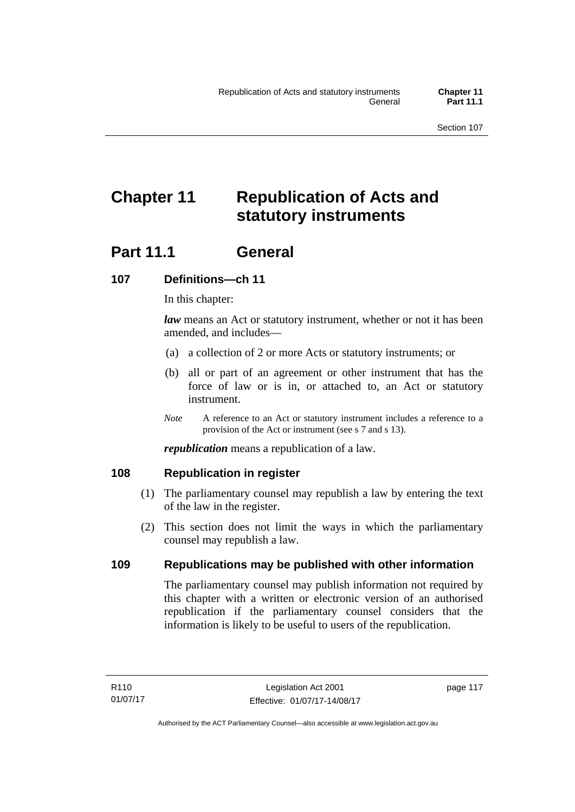# **Chapter 11 Republication of Acts and statutory instruments**

## **Part 11.1 General**

## **107 Definitions—ch 11**

In this chapter:

*law* means an Act or statutory instrument, whether or not it has been amended, and includes—

- (a) a collection of 2 or more Acts or statutory instruments; or
- (b) all or part of an agreement or other instrument that has the force of law or is in, or attached to, an Act or statutory instrument.
- *Note* A reference to an Act or statutory instrument includes a reference to a provision of the Act or instrument (see s 7 and s 13).

*republication* means a republication of a law.

## **108 Republication in register**

- (1) The parliamentary counsel may republish a law by entering the text of the law in the register.
- (2) This section does not limit the ways in which the parliamentary counsel may republish a law.

## **109 Republications may be published with other information**

The parliamentary counsel may publish information not required by this chapter with a written or electronic version of an authorised republication if the parliamentary counsel considers that the information is likely to be useful to users of the republication.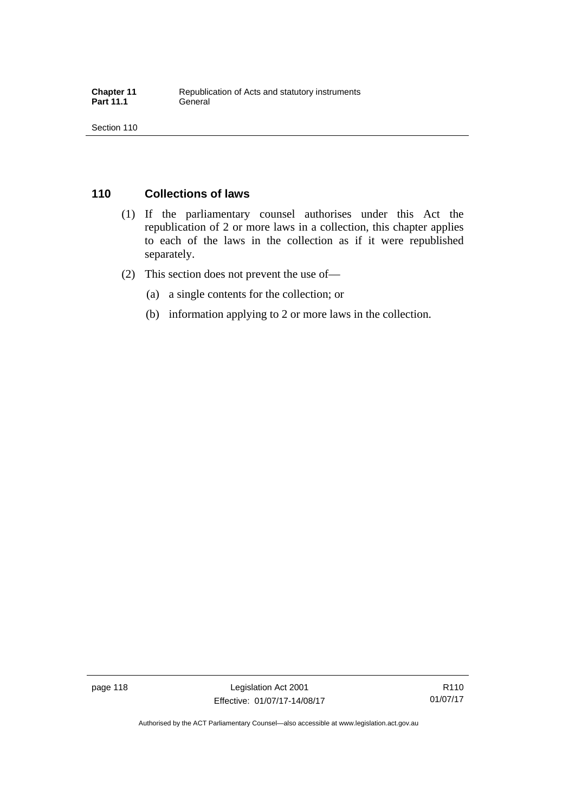## **110 Collections of laws**

- (1) If the parliamentary counsel authorises under this Act the republication of 2 or more laws in a collection, this chapter applies to each of the laws in the collection as if it were republished separately.
- (2) This section does not prevent the use of—
	- (a) a single contents for the collection; or
	- (b) information applying to 2 or more laws in the collection.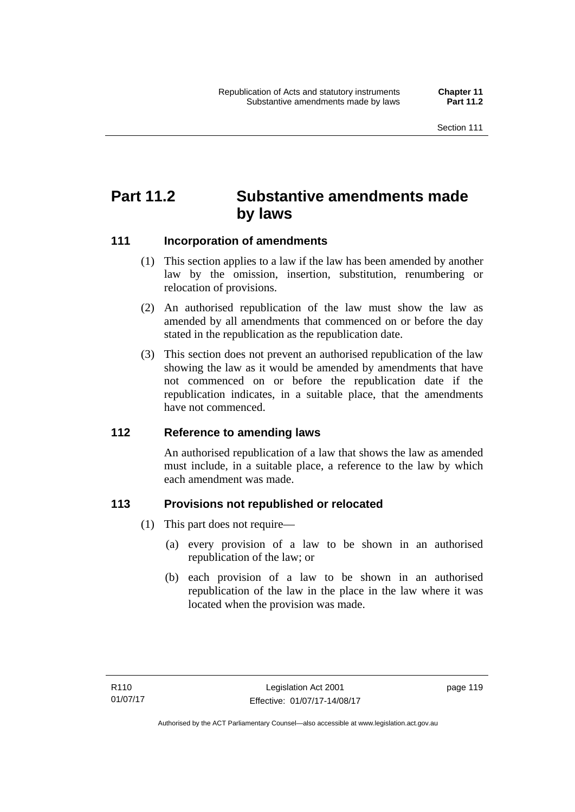## **Part 11.2 Substantive amendments made by laws**

## **111 Incorporation of amendments**

- (1) This section applies to a law if the law has been amended by another law by the omission, insertion, substitution, renumbering or relocation of provisions.
- (2) An authorised republication of the law must show the law as amended by all amendments that commenced on or before the day stated in the republication as the republication date.
- (3) This section does not prevent an authorised republication of the law showing the law as it would be amended by amendments that have not commenced on or before the republication date if the republication indicates, in a suitable place, that the amendments have not commenced.

## **112 Reference to amending laws**

An authorised republication of a law that shows the law as amended must include, in a suitable place, a reference to the law by which each amendment was made.

## **113 Provisions not republished or relocated**

- (1) This part does not require—
	- (a) every provision of a law to be shown in an authorised republication of the law; or
	- (b) each provision of a law to be shown in an authorised republication of the law in the place in the law where it was located when the provision was made.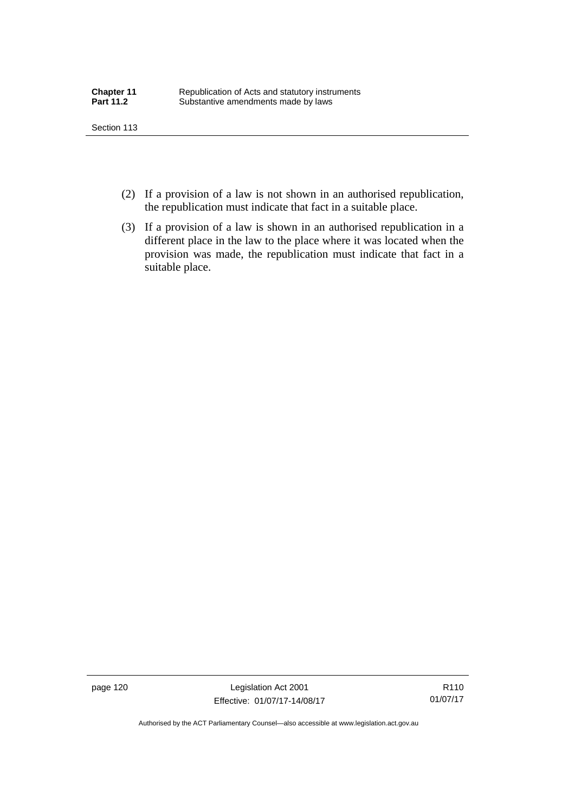- (2) If a provision of a law is not shown in an authorised republication, the republication must indicate that fact in a suitable place.
- (3) If a provision of a law is shown in an authorised republication in a different place in the law to the place where it was located when the provision was made, the republication must indicate that fact in a suitable place.

page 120 Legislation Act 2001 Effective: 01/07/17-14/08/17

R110 01/07/17

Authorised by the ACT Parliamentary Counsel—also accessible at www.legislation.act.gov.au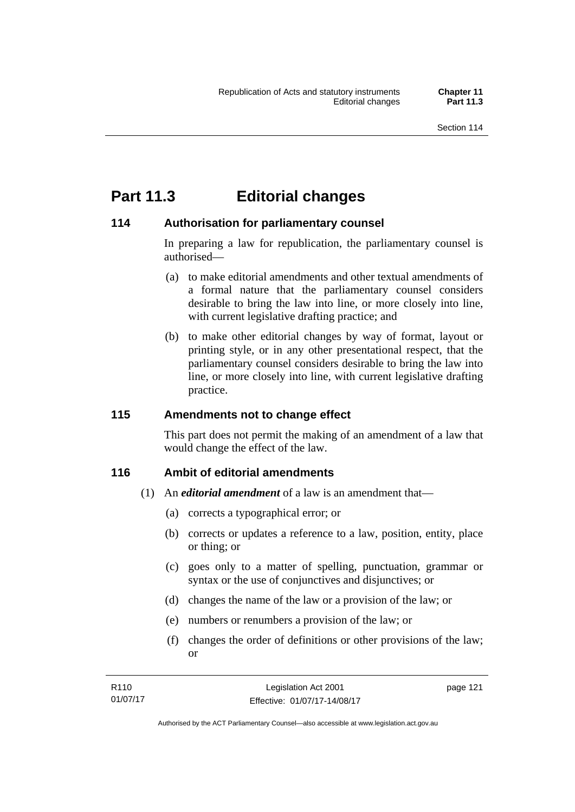## **Part 11.3 Editorial changes**

## **114 Authorisation for parliamentary counsel**

In preparing a law for republication, the parliamentary counsel is authorised—

- (a) to make editorial amendments and other textual amendments of a formal nature that the parliamentary counsel considers desirable to bring the law into line, or more closely into line, with current legislative drafting practice; and
- (b) to make other editorial changes by way of format, layout or printing style, or in any other presentational respect, that the parliamentary counsel considers desirable to bring the law into line, or more closely into line, with current legislative drafting practice.

## **115 Amendments not to change effect**

This part does not permit the making of an amendment of a law that would change the effect of the law.

## **116 Ambit of editorial amendments**

- (1) An *editorial amendment* of a law is an amendment that—
	- (a) corrects a typographical error; or
	- (b) corrects or updates a reference to a law, position, entity, place or thing; or
	- (c) goes only to a matter of spelling, punctuation, grammar or syntax or the use of conjunctives and disjunctives; or
	- (d) changes the name of the law or a provision of the law; or
	- (e) numbers or renumbers a provision of the law; or
	- (f) changes the order of definitions or other provisions of the law; or

| R <sub>110</sub> | Legislation Act 2001         | page 121 |
|------------------|------------------------------|----------|
| 01/07/17         | Effective: 01/07/17-14/08/17 |          |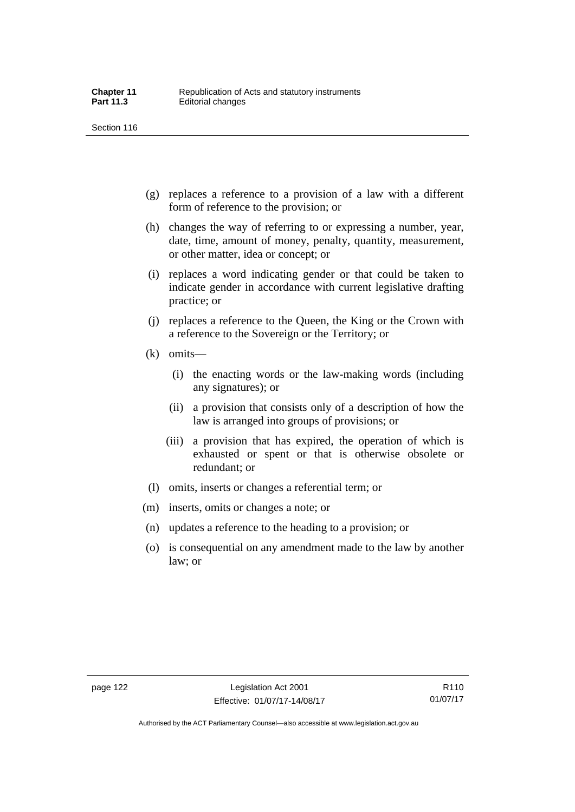- (g) replaces a reference to a provision of a law with a different form of reference to the provision; or
- (h) changes the way of referring to or expressing a number, year, date, time, amount of money, penalty, quantity, measurement, or other matter, idea or concept; or
- (i) replaces a word indicating gender or that could be taken to indicate gender in accordance with current legislative drafting practice; or
- (j) replaces a reference to the Queen, the King or the Crown with a reference to the Sovereign or the Territory; or
- (k) omits—
	- (i) the enacting words or the law-making words (including any signatures); or
	- (ii) a provision that consists only of a description of how the law is arranged into groups of provisions; or
	- (iii) a provision that has expired, the operation of which is exhausted or spent or that is otherwise obsolete or redundant; or
- (l) omits, inserts or changes a referential term; or
- (m) inserts, omits or changes a note; or
- (n) updates a reference to the heading to a provision; or
- (o) is consequential on any amendment made to the law by another law; or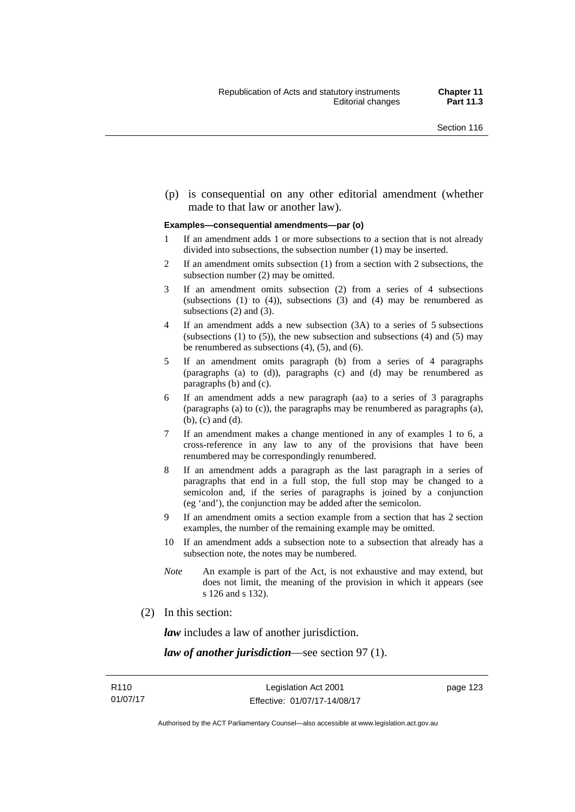(p) is consequential on any other editorial amendment (whether made to that law or another law).

#### **Examples—consequential amendments—par (o)**

- 1 If an amendment adds 1 or more subsections to a section that is not already divided into subsections, the subsection number (1) may be inserted.
- 2 If an amendment omits subsection (1) from a section with 2 subsections, the subsection number (2) may be omitted.
- 3 If an amendment omits subsection (2) from a series of 4 subsections (subsections  $(1)$  to  $(4)$ ), subsections  $(3)$  and  $(4)$  may be renumbered as subsections (2) and (3).
- 4 If an amendment adds a new subsection (3A) to a series of 5 subsections (subsections  $(1)$  to  $(5)$ ), the new subsection and subsections  $(4)$  and  $(5)$  may be renumbered as subsections (4), (5), and (6).
- 5 If an amendment omits paragraph (b) from a series of 4 paragraphs (paragraphs (a) to (d)), paragraphs (c) and (d) may be renumbered as paragraphs (b) and (c).
- 6 If an amendment adds a new paragraph (aa) to a series of 3 paragraphs (paragraphs (a) to (c)), the paragraphs may be renumbered as paragraphs (a), (b), (c) and (d).
- 7 If an amendment makes a change mentioned in any of examples 1 to 6, a cross-reference in any law to any of the provisions that have been renumbered may be correspondingly renumbered.
- 8 If an amendment adds a paragraph as the last paragraph in a series of paragraphs that end in a full stop, the full stop may be changed to a semicolon and, if the series of paragraphs is joined by a conjunction (eg 'and'), the conjunction may be added after the semicolon.
- 9 If an amendment omits a section example from a section that has 2 section examples, the number of the remaining example may be omitted.
- 10 If an amendment adds a subsection note to a subsection that already has a subsection note, the notes may be numbered.
- *Note* An example is part of the Act, is not exhaustive and may extend, but does not limit, the meaning of the provision in which it appears (see s 126 and s 132).
- (2) In this section:

*law* includes a law of another jurisdiction.

*law of another jurisdiction*—see section 97 (1).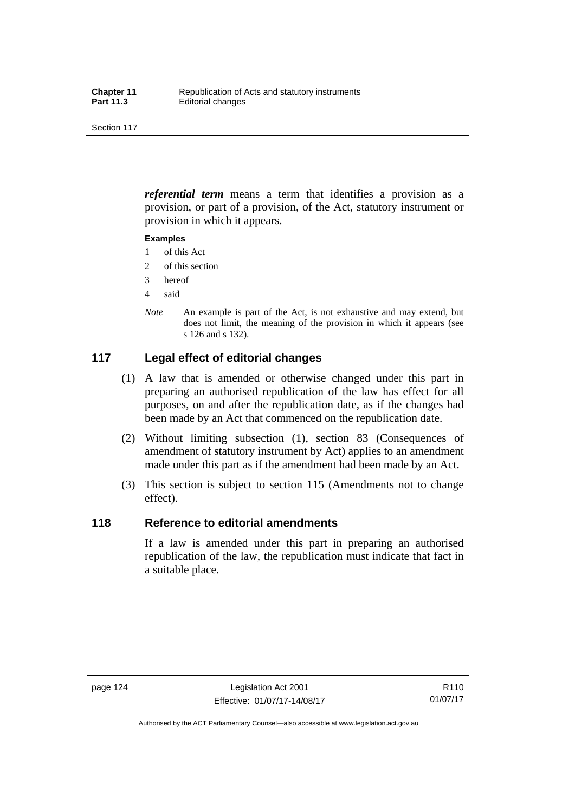*referential term* means a term that identifies a provision as a provision, or part of a provision, of the Act, statutory instrument or provision in which it appears.

#### **Examples**

- 1 of this Act
- 2 of this section
- 3 hereof
- 4 said
- *Note* An example is part of the Act, is not exhaustive and may extend, but does not limit, the meaning of the provision in which it appears (see s 126 and s 132).

## **117 Legal effect of editorial changes**

- (1) A law that is amended or otherwise changed under this part in preparing an authorised republication of the law has effect for all purposes, on and after the republication date, as if the changes had been made by an Act that commenced on the republication date.
- (2) Without limiting subsection (1), section 83 (Consequences of amendment of statutory instrument by Act) applies to an amendment made under this part as if the amendment had been made by an Act.
- (3) This section is subject to section 115 (Amendments not to change effect).

## **118 Reference to editorial amendments**

If a law is amended under this part in preparing an authorised republication of the law, the republication must indicate that fact in a suitable place.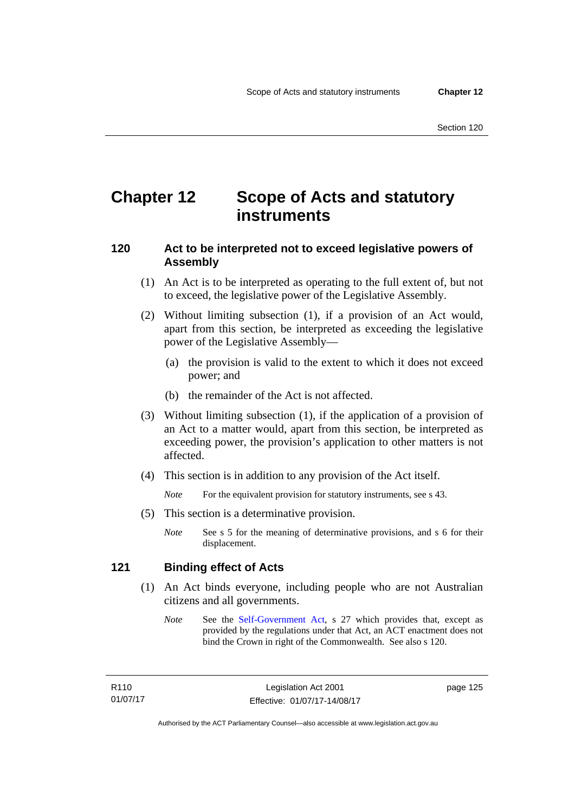## **Chapter 12 Scope of Acts and statutory instruments**

## **120 Act to be interpreted not to exceed legislative powers of Assembly**

- (1) An Act is to be interpreted as operating to the full extent of, but not to exceed, the legislative power of the Legislative Assembly.
- (2) Without limiting subsection (1), if a provision of an Act would, apart from this section, be interpreted as exceeding the legislative power of the Legislative Assembly—
	- (a) the provision is valid to the extent to which it does not exceed power; and
	- (b) the remainder of the Act is not affected.
- (3) Without limiting subsection (1), if the application of a provision of an Act to a matter would, apart from this section, be interpreted as exceeding power, the provision's application to other matters is not affected.
- (4) This section is in addition to any provision of the Act itself.

*Note* For the equivalent provision for statutory instruments, see s 43.

- (5) This section is a determinative provision.
	- *Note* See s 5 for the meaning of determinative provisions, and s 6 for their displacement.

## **121 Binding effect of Acts**

- (1) An Act binds everyone, including people who are not Australian citizens and all governments.
	- *Note* See the [Self-Government Act](http://www.comlaw.gov.au/Series/C2004A03699), s 27 which provides that, except as provided by the regulations under that Act, an ACT enactment does not bind the Crown in right of the Commonwealth. See also s 120.

R110 01/07/17 page 125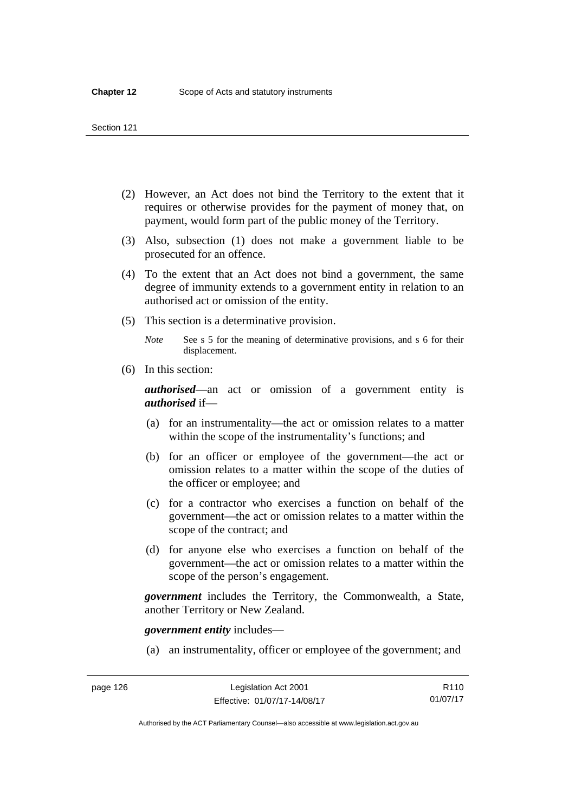- (2) However, an Act does not bind the Territory to the extent that it requires or otherwise provides for the payment of money that, on payment, would form part of the public money of the Territory.
- (3) Also, subsection (1) does not make a government liable to be prosecuted for an offence.
- (4) To the extent that an Act does not bind a government, the same degree of immunity extends to a government entity in relation to an authorised act or omission of the entity.
- (5) This section is a determinative provision.

*Note* See s 5 for the meaning of determinative provisions, and s 6 for their displacement.

(6) In this section:

*authorised*—an act or omission of a government entity is *authorised* if—

- (a) for an instrumentality—the act or omission relates to a matter within the scope of the instrumentality's functions; and
- (b) for an officer or employee of the government—the act or omission relates to a matter within the scope of the duties of the officer or employee; and
- (c) for a contractor who exercises a function on behalf of the government—the act or omission relates to a matter within the scope of the contract; and
- (d) for anyone else who exercises a function on behalf of the government—the act or omission relates to a matter within the scope of the person's engagement.

*government* includes the Territory, the Commonwealth, a State, another Territory or New Zealand.

*government entity* includes—

(a) an instrumentality, officer or employee of the government; and

Authorised by the ACT Parliamentary Counsel—also accessible at www.legislation.act.gov.au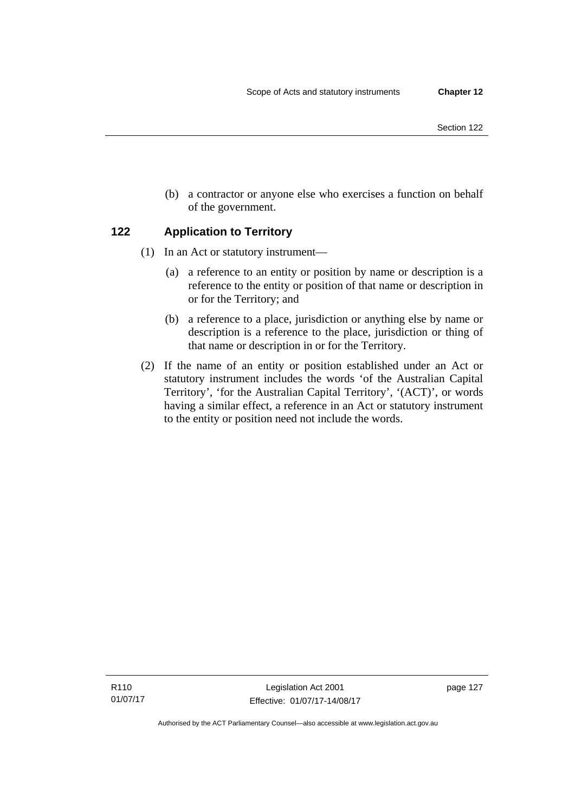- Section 122
- (b) a contractor or anyone else who exercises a function on behalf of the government.

## **122 Application to Territory**

- (1) In an Act or statutory instrument—
	- (a) a reference to an entity or position by name or description is a reference to the entity or position of that name or description in or for the Territory; and
	- (b) a reference to a place, jurisdiction or anything else by name or description is a reference to the place, jurisdiction or thing of that name or description in or for the Territory.
- (2) If the name of an entity or position established under an Act or statutory instrument includes the words 'of the Australian Capital Territory', 'for the Australian Capital Territory', '(ACT)', or words having a similar effect, a reference in an Act or statutory instrument to the entity or position need not include the words.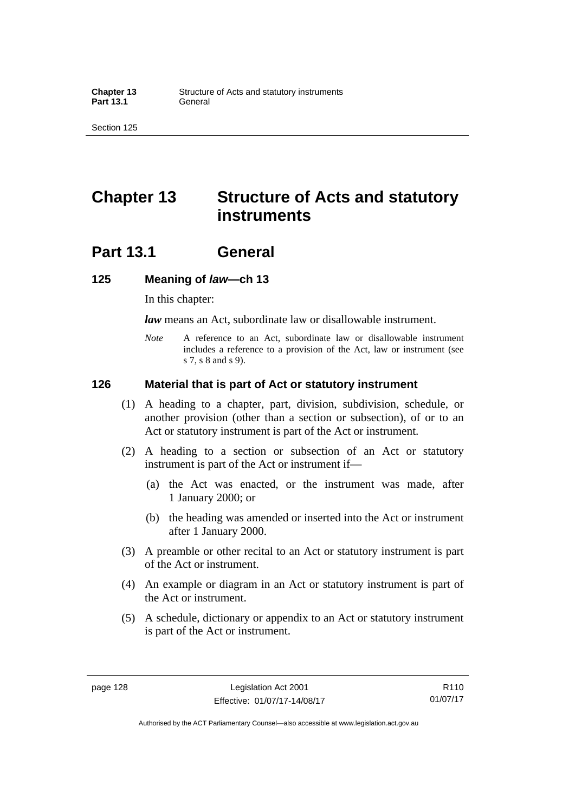## **Chapter 13 Structure of Acts and statutory instruments**

## **Part 13.1 General**

#### **125 Meaning of** *law***—ch 13**

In this chapter:

*law* means an Act, subordinate law or disallowable instrument.

*Note* A reference to an Act, subordinate law or disallowable instrument includes a reference to a provision of the Act, law or instrument (see s 7, s 8 and s 9).

#### **126 Material that is part of Act or statutory instrument**

- (1) A heading to a chapter, part, division, subdivision, schedule, or another provision (other than a section or subsection), of or to an Act or statutory instrument is part of the Act or instrument.
- (2) A heading to a section or subsection of an Act or statutory instrument is part of the Act or instrument if—
	- (a) the Act was enacted, or the instrument was made, after 1 January 2000; or
	- (b) the heading was amended or inserted into the Act or instrument after 1 January 2000.
- (3) A preamble or other recital to an Act or statutory instrument is part of the Act or instrument.
- (4) An example or diagram in an Act or statutory instrument is part of the Act or instrument.
- (5) A schedule, dictionary or appendix to an Act or statutory instrument is part of the Act or instrument.

R110 01/07/17

Authorised by the ACT Parliamentary Counsel—also accessible at www.legislation.act.gov.au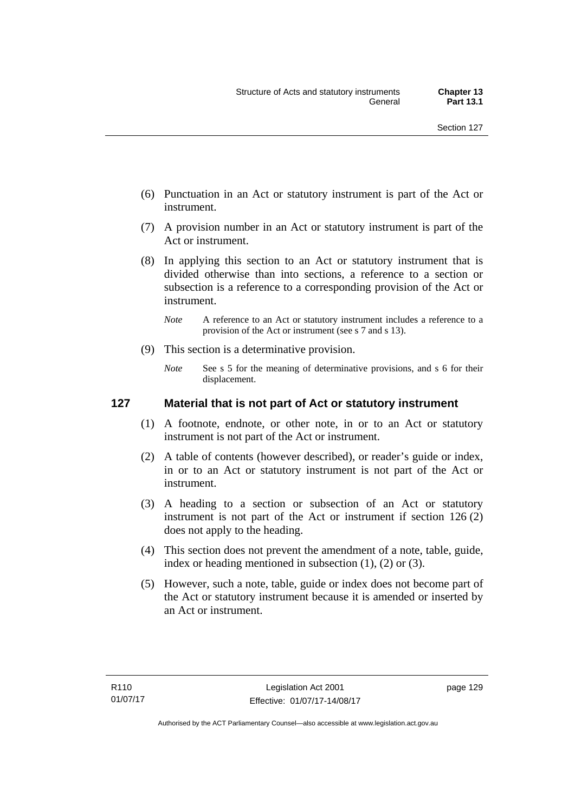- (6) Punctuation in an Act or statutory instrument is part of the Act or instrument.
- (7) A provision number in an Act or statutory instrument is part of the Act or instrument.
- (8) In applying this section to an Act or statutory instrument that is divided otherwise than into sections, a reference to a section or subsection is a reference to a corresponding provision of the Act or instrument.
	- *Note* A reference to an Act or statutory instrument includes a reference to a provision of the Act or instrument (see s 7 and s 13).
- (9) This section is a determinative provision.
	- *Note* See s 5 for the meaning of determinative provisions, and s 6 for their displacement.

### **127 Material that is not part of Act or statutory instrument**

- (1) A footnote, endnote, or other note, in or to an Act or statutory instrument is not part of the Act or instrument.
- (2) A table of contents (however described), or reader's guide or index, in or to an Act or statutory instrument is not part of the Act or instrument.
- (3) A heading to a section or subsection of an Act or statutory instrument is not part of the Act or instrument if section 126 (2) does not apply to the heading.
- (4) This section does not prevent the amendment of a note, table, guide, index or heading mentioned in subsection (1), (2) or (3).
- (5) However, such a note, table, guide or index does not become part of the Act or statutory instrument because it is amended or inserted by an Act or instrument.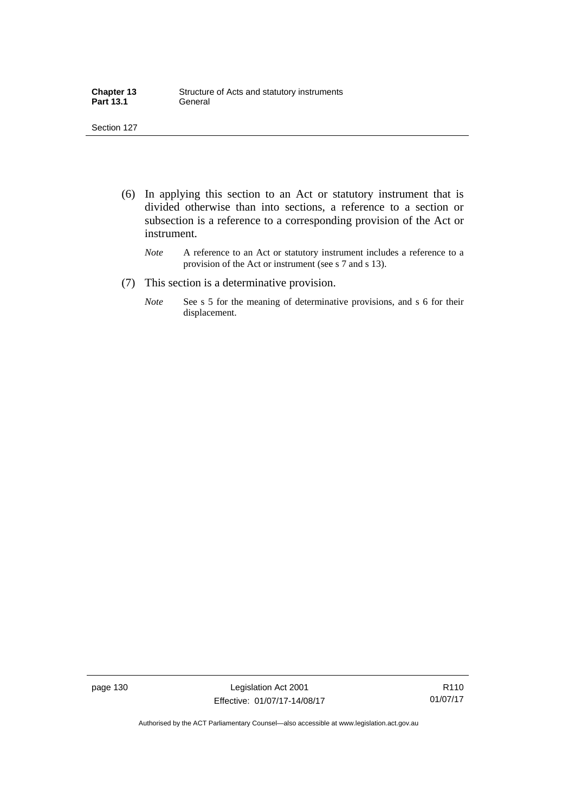| <b>Chapter 13</b> | Structure of Acts and statutory instruments |
|-------------------|---------------------------------------------|
| <b>Part 13.1</b>  | General                                     |

- (6) In applying this section to an Act or statutory instrument that is divided otherwise than into sections, a reference to a section or subsection is a reference to a corresponding provision of the Act or instrument.
	- *Note* A reference to an Act or statutory instrument includes a reference to a provision of the Act or instrument (see s 7 and s 13).
- (7) This section is a determinative provision.
	- *Note* See s 5 for the meaning of determinative provisions, and s 6 for their displacement.

page 130 Legislation Act 2001 Effective: 01/07/17-14/08/17

R110 01/07/17

Authorised by the ACT Parliamentary Counsel—also accessible at www.legislation.act.gov.au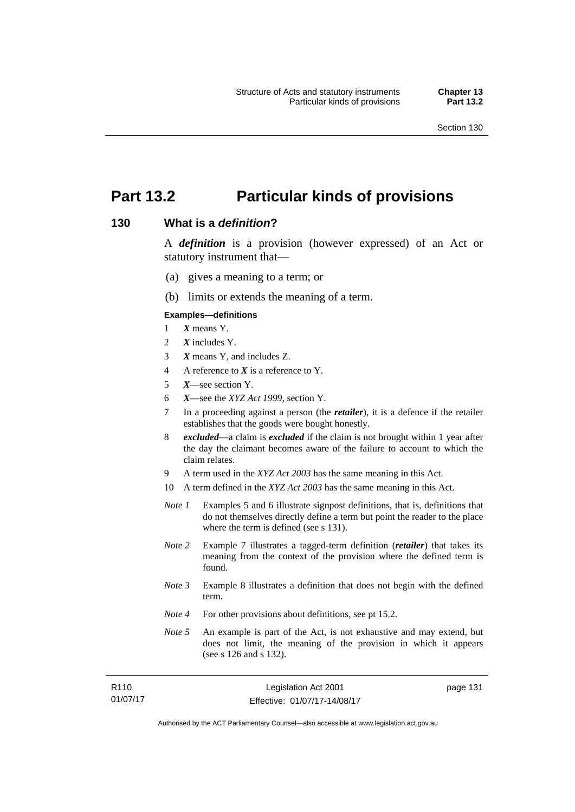$\overline{1}$ 

## **Part 13.2 Particular kinds of provisions**

### **130 What is a** *definition***?**

A *definition* is a provision (however expressed) of an Act or statutory instrument that—

- (a) gives a meaning to a term; or
- (b) limits or extends the meaning of a term.

#### **Examples—definitions**

- 1 *X* means Y.
- 2 *X* includes Y.
- 3 *X* means Y, and includes Z.
- 4 A reference to *X* is a reference to Y.
- 5 *X*—see section Y.
- 6 *X*—see the *XYZ Act 1999*, section Y.
- 7 In a proceeding against a person (the *retailer*), it is a defence if the retailer establishes that the goods were bought honestly.
- 8 *excluded*—a claim is *excluded* if the claim is not brought within 1 year after the day the claimant becomes aware of the failure to account to which the claim relates.
- 9 A term used in the *XYZ Act 2003* has the same meaning in this Act.
- 10 A term defined in the *XYZ Act 2003* has the same meaning in this Act.
- *Note 1* Examples 5 and 6 illustrate signpost definitions, that is, definitions that do not themselves directly define a term but point the reader to the place where the term is defined (see s 131).
- *Note 2* Example 7 illustrates a tagged-term definition (*retailer*) that takes its meaning from the context of the provision where the defined term is found.
- *Note 3* Example 8 illustrates a definition that does not begin with the defined term.
- *Note 4* For other provisions about definitions, see pt 15.2.
- *Note* 5 An example is part of the Act, is not exhaustive and may extend, but does not limit, the meaning of the provision in which it appears (see s 126 and s 132).

| R110     | Legislation Act 2001         | page 13 |
|----------|------------------------------|---------|
| 01/07/17 | Effective: 01/07/17-14/08/17 |         |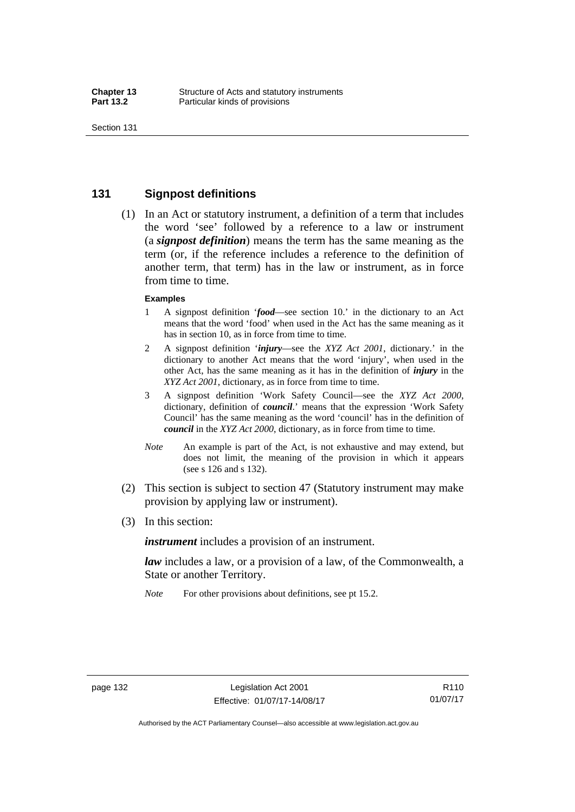### **131 Signpost definitions**

 (1) In an Act or statutory instrument, a definition of a term that includes the word 'see' followed by a reference to a law or instrument (a *signpost definition*) means the term has the same meaning as the term (or, if the reference includes a reference to the definition of another term, that term) has in the law or instrument, as in force from time to time.

#### **Examples**

- 1 A signpost definition '*food*—see section 10.' in the dictionary to an Act means that the word 'food' when used in the Act has the same meaning as it has in section 10, as in force from time to time.
- 2 A signpost definition '*injury*—see the *XYZ Act 2001*, dictionary.' in the dictionary to another Act means that the word 'injury', when used in the other Act, has the same meaning as it has in the definition of *injury* in the *XYZ Act 2001*, dictionary, as in force from time to time.
- 3 A signpost definition 'Work Safety Council—see the *XYZ Act 2000*, dictionary, definition of *council*.' means that the expression 'Work Safety Council' has the same meaning as the word 'council' has in the definition of *council* in the *XYZ Act 2000*, dictionary, as in force from time to time.
- *Note* An example is part of the Act, is not exhaustive and may extend, but does not limit, the meaning of the provision in which it appears (see s 126 and s 132).
- (2) This section is subject to section 47 (Statutory instrument may make provision by applying law or instrument).
- (3) In this section:

*instrument* includes a provision of an instrument.

*law* includes a law, or a provision of a law, of the Commonwealth, a State or another Territory.

*Note* For other provisions about definitions, see pt 15.2.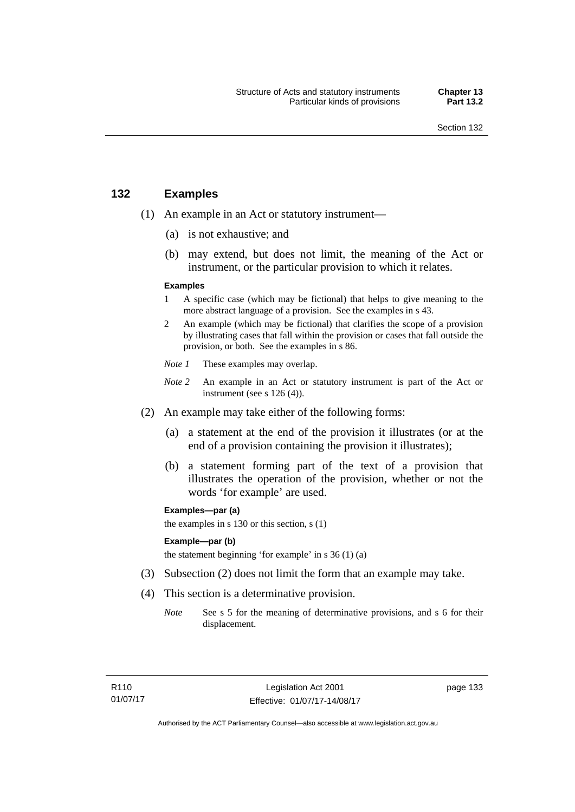### **132 Examples**

- (1) An example in an Act or statutory instrument—
	- (a) is not exhaustive; and
	- (b) may extend, but does not limit, the meaning of the Act or instrument, or the particular provision to which it relates.

#### **Examples**

- 1 A specific case (which may be fictional) that helps to give meaning to the more abstract language of a provision. See the examples in s 43.
- 2 An example (which may be fictional) that clarifies the scope of a provision by illustrating cases that fall within the provision or cases that fall outside the provision, or both. See the examples in s 86.
- *Note 1* These examples may overlap.
- *Note* 2 An example in an Act or statutory instrument is part of the Act or instrument (see s 126 (4)).
- (2) An example may take either of the following forms:
	- (a) a statement at the end of the provision it illustrates (or at the end of a provision containing the provision it illustrates);
	- (b) a statement forming part of the text of a provision that illustrates the operation of the provision, whether or not the words 'for example' are used.

**Examples—par (a)** 

the examples in s 130 or this section, s (1)

#### **Example—par (b)**

the statement beginning 'for example' in s 36 (1) (a)

- (3) Subsection (2) does not limit the form that an example may take.
- (4) This section is a determinative provision.
	- *Note* See s 5 for the meaning of determinative provisions, and s 6 for their displacement.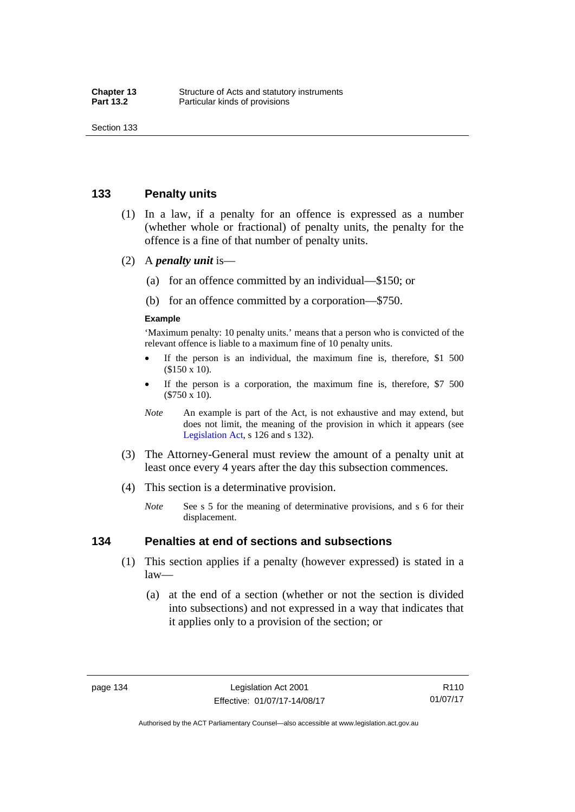### **133 Penalty units**

- (1) In a law, if a penalty for an offence is expressed as a number (whether whole or fractional) of penalty units, the penalty for the offence is a fine of that number of penalty units.
- (2) A *penalty unit* is—
	- (a) for an offence committed by an individual—\$150; or
	- (b) for an offence committed by a corporation—\$750.

#### **Example**

'Maximum penalty: 10 penalty units.' means that a person who is convicted of the relevant offence is liable to a maximum fine of 10 penalty units.

- If the person is an individual, the maximum fine is, therefore, \$1 500 (\$150 x 10).
- If the person is a corporation, the maximum fine is, therefore, \$7 500 (\$750 x 10).
- *Note* An example is part of the Act, is not exhaustive and may extend, but does not limit, the meaning of the provision in which it appears (see [Legislation Act,](http://www.legislation.act.gov.au/a/2001-14) s 126 and s 132).
- (3) The Attorney-General must review the amount of a penalty unit at least once every 4 years after the day this subsection commences.
- (4) This section is a determinative provision.
	- *Note* See s 5 for the meaning of determinative provisions, and s 6 for their displacement.

### **134 Penalties at end of sections and subsections**

- (1) This section applies if a penalty (however expressed) is stated in a law—
	- (a) at the end of a section (whether or not the section is divided into subsections) and not expressed in a way that indicates that it applies only to a provision of the section; or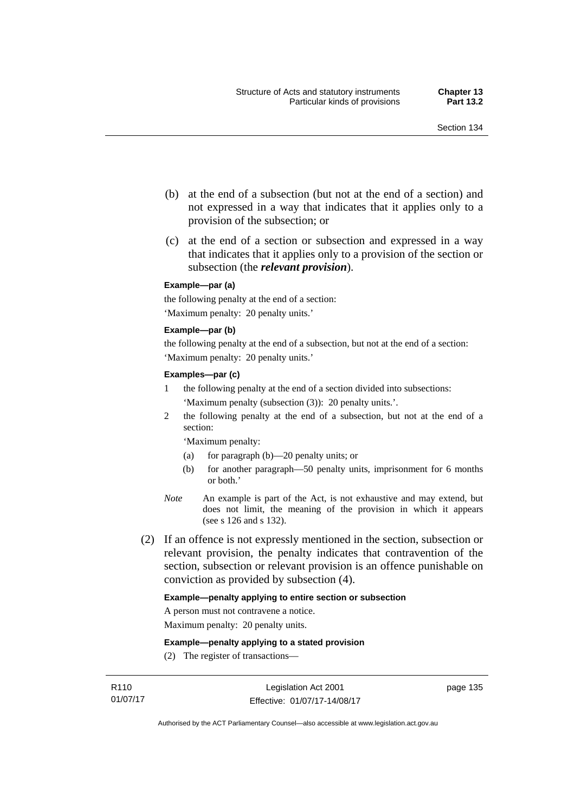- (b) at the end of a subsection (but not at the end of a section) and not expressed in a way that indicates that it applies only to a provision of the subsection; or
- (c) at the end of a section or subsection and expressed in a way that indicates that it applies only to a provision of the section or subsection (the *relevant provision*).

#### **Example—par (a)**

the following penalty at the end of a section: 'Maximum penalty: 20 penalty units.'

#### **Example—par (b)**

the following penalty at the end of a subsection, but not at the end of a section: 'Maximum penalty: 20 penalty units.'

#### **Examples—par (c)**

- 1 the following penalty at the end of a section divided into subsections: 'Maximum penalty (subsection (3)): 20 penalty units.'.
- 2 the following penalty at the end of a subsection, but not at the end of a section:

'Maximum penalty:

- (a) for paragraph (b)—20 penalty units; or
- (b) for another paragraph—50 penalty units, imprisonment for 6 months or both.'
- *Note* An example is part of the Act, is not exhaustive and may extend, but does not limit, the meaning of the provision in which it appears (see s 126 and s 132).
- (2) If an offence is not expressly mentioned in the section, subsection or relevant provision, the penalty indicates that contravention of the section, subsection or relevant provision is an offence punishable on conviction as provided by subsection (4).

#### **Example—penalty applying to entire section or subsection**

A person must not contravene a notice.

Maximum penalty: 20 penalty units.

**Example—penalty applying to a stated provision** 

(2) The register of transactions—

page 135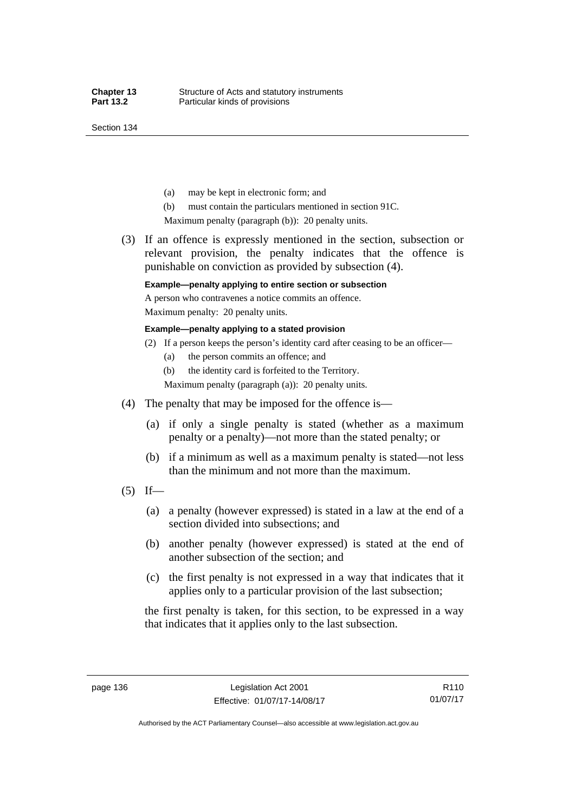Section 134

- (a) may be kept in electronic form; and
- (b) must contain the particulars mentioned in section 91C.

Maximum penalty (paragraph (b)): 20 penalty units.

 (3) If an offence is expressly mentioned in the section, subsection or relevant provision, the penalty indicates that the offence is punishable on conviction as provided by subsection (4).

### **Example—penalty applying to entire section or subsection**

A person who contravenes a notice commits an offence. Maximum penalty: 20 penalty units.

**Example—penalty applying to a stated provision** 

- (2) If a person keeps the person's identity card after ceasing to be an officer—
	- (a) the person commits an offence; and
	- (b) the identity card is forfeited to the Territory.

Maximum penalty (paragraph (a)): 20 penalty units.

- (4) The penalty that may be imposed for the offence is—
	- (a) if only a single penalty is stated (whether as a maximum penalty or a penalty)—not more than the stated penalty; or
	- (b) if a minimum as well as a maximum penalty is stated—not less than the minimum and not more than the maximum.
- $(5)$  If—
	- (a) a penalty (however expressed) is stated in a law at the end of a section divided into subsections; and
	- (b) another penalty (however expressed) is stated at the end of another subsection of the section; and
	- (c) the first penalty is not expressed in a way that indicates that it applies only to a particular provision of the last subsection;

the first penalty is taken, for this section, to be expressed in a way that indicates that it applies only to the last subsection.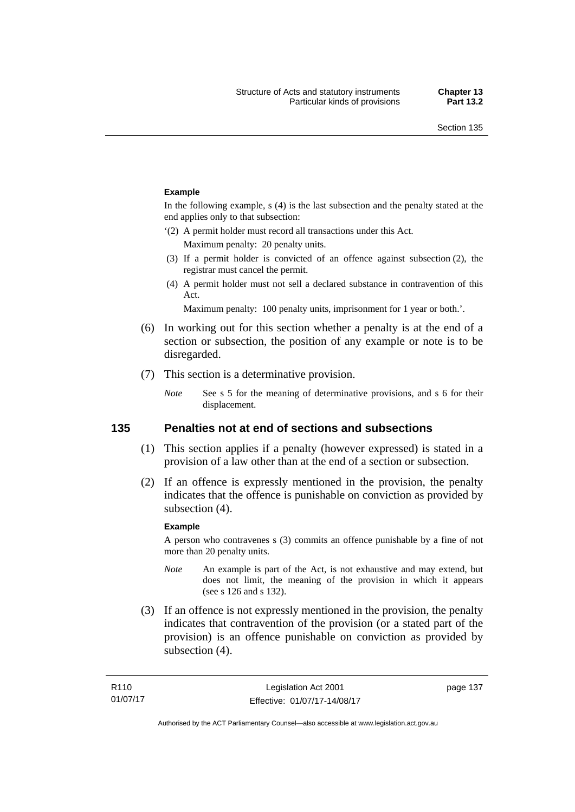#### **Example**

In the following example, s (4) is the last subsection and the penalty stated at the end applies only to that subsection:

'(2) A permit holder must record all transactions under this Act.

Maximum penalty: 20 penalty units.

- (3) If a permit holder is convicted of an offence against subsection (2), the registrar must cancel the permit.
- (4) A permit holder must not sell a declared substance in contravention of this Act.

Maximum penalty: 100 penalty units, imprisonment for 1 year or both.'.

- (6) In working out for this section whether a penalty is at the end of a section or subsection, the position of any example or note is to be disregarded.
- (7) This section is a determinative provision.
	- *Note* See s 5 for the meaning of determinative provisions, and s 6 for their displacement.

### **135 Penalties not at end of sections and subsections**

- (1) This section applies if a penalty (however expressed) is stated in a provision of a law other than at the end of a section or subsection.
- (2) If an offence is expressly mentioned in the provision, the penalty indicates that the offence is punishable on conviction as provided by subsection (4).

#### **Example**

A person who contravenes s (3) commits an offence punishable by a fine of not more than 20 penalty units.

- *Note* An example is part of the Act, is not exhaustive and may extend, but does not limit, the meaning of the provision in which it appears (see s 126 and s 132).
- (3) If an offence is not expressly mentioned in the provision, the penalty indicates that contravention of the provision (or a stated part of the provision) is an offence punishable on conviction as provided by subsection (4).

page 137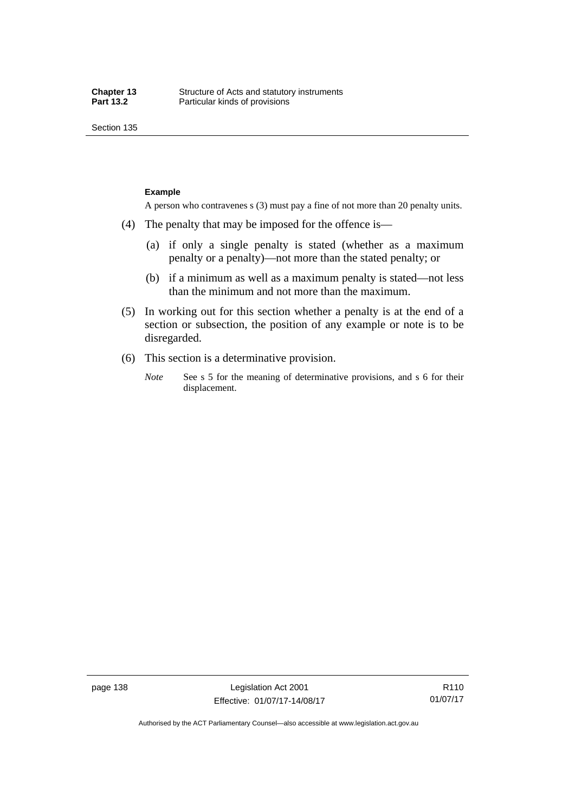Section 135

#### **Example**

A person who contravenes s (3) must pay a fine of not more than 20 penalty units.

- (4) The penalty that may be imposed for the offence is—
	- (a) if only a single penalty is stated (whether as a maximum penalty or a penalty)—not more than the stated penalty; or
	- (b) if a minimum as well as a maximum penalty is stated—not less than the minimum and not more than the maximum.
- (5) In working out for this section whether a penalty is at the end of a section or subsection, the position of any example or note is to be disregarded.
- (6) This section is a determinative provision.
	- *Note* See s 5 for the meaning of determinative provisions, and s 6 for their displacement.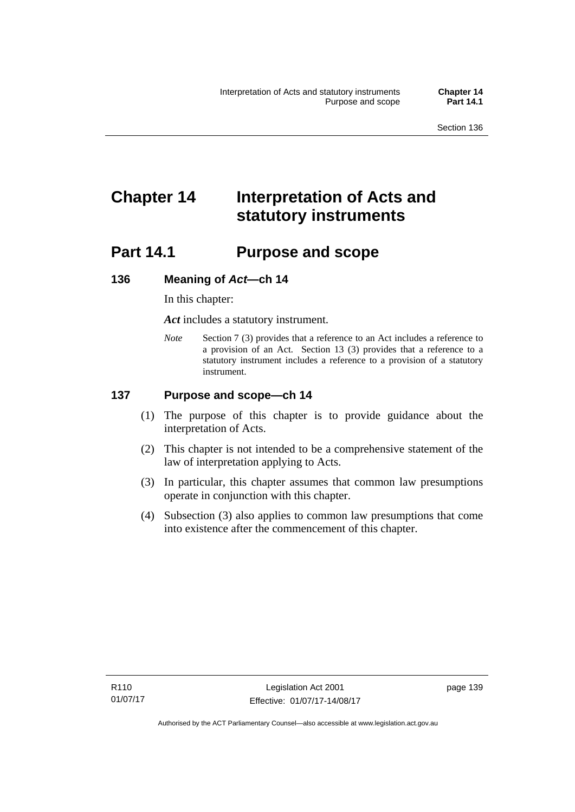# **Chapter 14 Interpretation of Acts and statutory instruments**

## **Part 14.1 Purpose and scope**

### **136 Meaning of** *Act***—ch 14**

In this chapter:

*Act* includes a statutory instrument.

*Note* Section 7 (3) provides that a reference to an Act includes a reference to a provision of an Act. Section 13 (3) provides that a reference to a statutory instrument includes a reference to a provision of a statutory instrument.

### **137 Purpose and scope—ch 14**

- (1) The purpose of this chapter is to provide guidance about the interpretation of Acts.
- (2) This chapter is not intended to be a comprehensive statement of the law of interpretation applying to Acts.
- (3) In particular, this chapter assumes that common law presumptions operate in conjunction with this chapter.
- (4) Subsection (3) also applies to common law presumptions that come into existence after the commencement of this chapter.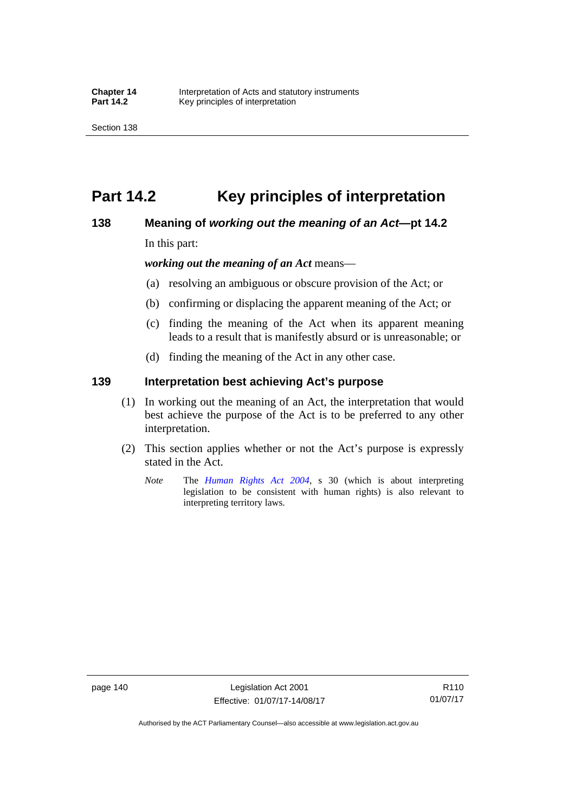## **Part 14.2 Key principles of interpretation**

### **138 Meaning of** *working out the meaning of an Act***—pt 14.2**

In this part:

*working out the meaning of an Act* means—

- (a) resolving an ambiguous or obscure provision of the Act; or
- (b) confirming or displacing the apparent meaning of the Act; or
- (c) finding the meaning of the Act when its apparent meaning leads to a result that is manifestly absurd or is unreasonable; or
- (d) finding the meaning of the Act in any other case.

### **139 Interpretation best achieving Act's purpose**

- (1) In working out the meaning of an Act, the interpretation that would best achieve the purpose of the Act is to be preferred to any other interpretation.
- (2) This section applies whether or not the Act's purpose is expressly stated in the Act.
	- *Note* The *[Human Rights Act 2004](http://www.legislation.act.gov.au/a/2004-5)*, s 30 (which is about interpreting legislation to be consistent with human rights) is also relevant to interpreting territory laws.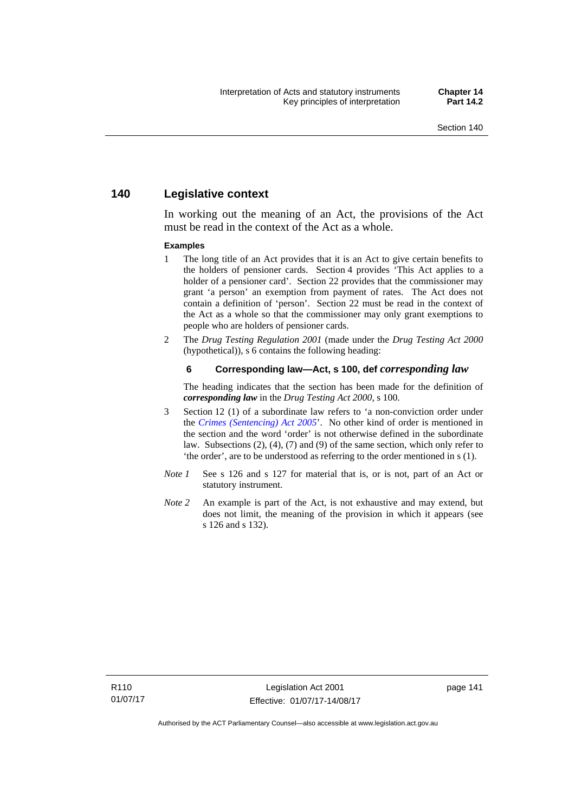### **140 Legislative context**

In working out the meaning of an Act, the provisions of the Act must be read in the context of the Act as a whole.

#### **Examples**

- 1 The long title of an Act provides that it is an Act to give certain benefits to the holders of pensioner cards. Section 4 provides 'This Act applies to a holder of a pensioner card'. Section 22 provides that the commissioner may grant 'a person' an exemption from payment of rates. The Act does not contain a definition of 'person'. Section 22 must be read in the context of the Act as a whole so that the commissioner may only grant exemptions to people who are holders of pensioner cards.
- 2 The *Drug Testing Regulation 2001* (made under the *Drug Testing Act 2000* (hypothetical)), s 6 contains the following heading:

#### **6 Corresponding law—Act, s 100, def** *corresponding law*

The heading indicates that the section has been made for the definition of *corresponding law* in the *Drug Testing Act 2000*, s 100.

- 3 Section 12 (1) of a subordinate law refers to 'a non-conviction order under the *[Crimes \(Sentencing\) Act 2005](http://www.legislation.act.gov.au/a/2005-58)*'. No other kind of order is mentioned in the section and the word 'order' is not otherwise defined in the subordinate law. Subsections (2), (4), (7) and (9) of the same section, which only refer to 'the order', are to be understood as referring to the order mentioned in s (1).
- *Note 1* See s 126 and s 127 for material that is, or is not, part of an Act or statutory instrument.
- *Note 2* An example is part of the Act, is not exhaustive and may extend, but does not limit, the meaning of the provision in which it appears (see s 126 and s 132).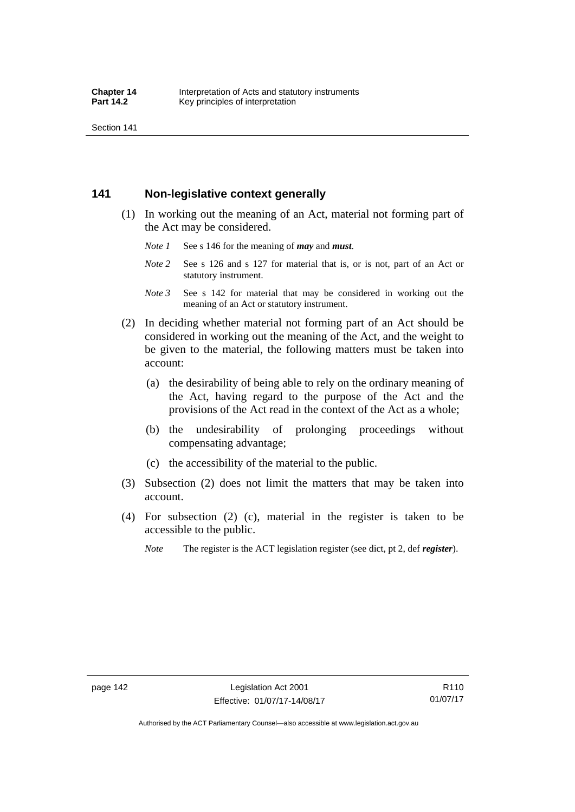Section 141

### **141 Non-legislative context generally**

- (1) In working out the meaning of an Act, material not forming part of the Act may be considered.
	- *Note 1* See s 146 for the meaning of *may* and *must*.
	- *Note* 2 See s 126 and s 127 for material that is, or is not, part of an Act or statutory instrument.
	- *Note 3* See s 142 for material that may be considered in working out the meaning of an Act or statutory instrument.
- (2) In deciding whether material not forming part of an Act should be considered in working out the meaning of the Act, and the weight to be given to the material, the following matters must be taken into account:
	- (a) the desirability of being able to rely on the ordinary meaning of the Act, having regard to the purpose of the Act and the provisions of the Act read in the context of the Act as a whole;
	- (b) the undesirability of prolonging proceedings without compensating advantage;
	- (c) the accessibility of the material to the public.
- (3) Subsection (2) does not limit the matters that may be taken into account.
- (4) For subsection (2) (c), material in the register is taken to be accessible to the public.
	- *Note* The register is the ACT legislation register (see dict, pt 2, def *register*).

R110 01/07/17

Authorised by the ACT Parliamentary Counsel—also accessible at www.legislation.act.gov.au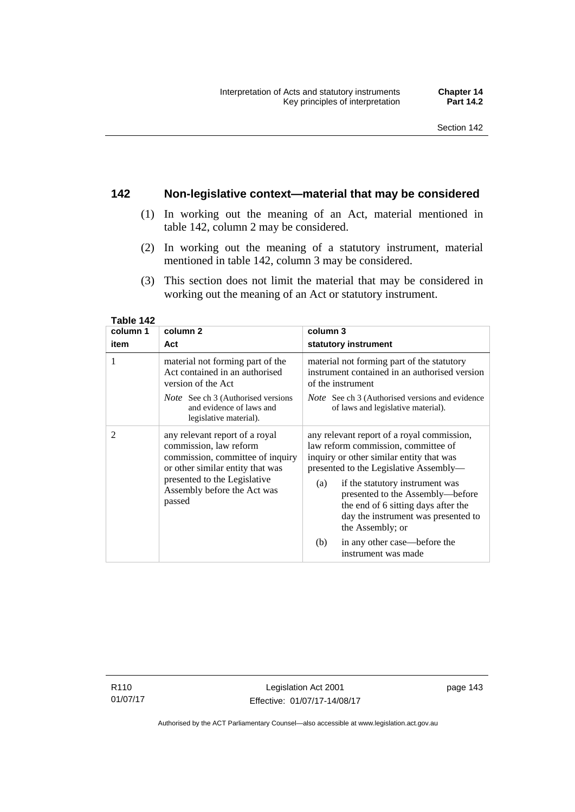### **142 Non-legislative context—material that may be considered**

- (1) In working out the meaning of an Act, material mentioned in table 142, column 2 may be considered.
- (2) In working out the meaning of a statutory instrument, material mentioned in table 142, column 3 may be considered.
- (3) This section does not limit the material that may be considered in working out the meaning of an Act or statutory instrument.

| Table 142      |                                                                                                                                  |                                                                                                                                                                              |  |
|----------------|----------------------------------------------------------------------------------------------------------------------------------|------------------------------------------------------------------------------------------------------------------------------------------------------------------------------|--|
| column 1       | column <sub>2</sub>                                                                                                              | column 3                                                                                                                                                                     |  |
| item           | Act                                                                                                                              | statutory instrument                                                                                                                                                         |  |
| 1              | material not forming part of the<br>Act contained in an authorised<br>version of the Act                                         | material not forming part of the statutory<br>instrument contained in an authorised version<br>of the instrument                                                             |  |
|                | <i>Note</i> See ch 3 (Authorised versions<br>and evidence of laws and<br>legislative material).                                  | <i>Note</i> See ch 3 (Authorised versions and evidence<br>of laws and legislative material).                                                                                 |  |
| $\overline{c}$ | any relevant report of a royal<br>commission, law reform<br>commission, committee of inquiry<br>or other similar entity that was | any relevant report of a royal commission,<br>law reform commission, committee of<br>inquiry or other similar entity that was<br>presented to the Legislative Assembly—      |  |
|                | presented to the Legislative<br>Assembly before the Act was<br>passed                                                            | if the statutory instrument was<br>(a)<br>presented to the Assembly—before<br>the end of 6 sitting days after the<br>day the instrument was presented to<br>the Assembly; or |  |
|                |                                                                                                                                  | in any other case—before the<br>(b)<br>instrument was made                                                                                                                   |  |

R110 01/07/17

Authorised by the ACT Parliamentary Counsel—also accessible at www.legislation.act.gov.au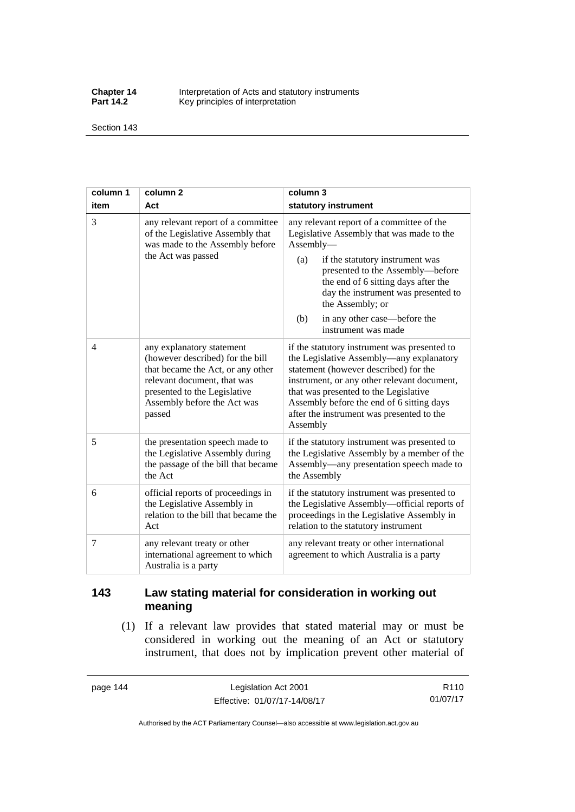**Chapter 14** Interpretation of Acts and statutory instruments<br>**Part 14.2** Key principles of interpretation Key principles of interpretation

Section 143

| column 1 | column <sub>2</sub>                                                                                                                                                                                        | column 3                                                                                                                                                                                                                                                                                                                                          |  |
|----------|------------------------------------------------------------------------------------------------------------------------------------------------------------------------------------------------------------|---------------------------------------------------------------------------------------------------------------------------------------------------------------------------------------------------------------------------------------------------------------------------------------------------------------------------------------------------|--|
| item     | Act                                                                                                                                                                                                        | statutory instrument                                                                                                                                                                                                                                                                                                                              |  |
| 3        | any relevant report of a committee<br>of the Legislative Assembly that<br>was made to the Assembly before<br>the Act was passed                                                                            | any relevant report of a committee of the<br>Legislative Assembly that was made to the<br>Assembly-<br>if the statutory instrument was<br>(a)<br>presented to the Assembly-before<br>the end of 6 sitting days after the<br>day the instrument was presented to<br>the Assembly; or<br>in any other case—before the<br>(b)<br>instrument was made |  |
| 4        | any explanatory statement<br>(however described) for the bill<br>that became the Act, or any other<br>relevant document, that was<br>presented to the Legislative<br>Assembly before the Act was<br>passed | if the statutory instrument was presented to<br>the Legislative Assembly—any explanatory<br>statement (however described) for the<br>instrument, or any other relevant document,<br>that was presented to the Legislative<br>Assembly before the end of 6 sitting days<br>after the instrument was presented to the<br>Assembly                   |  |
| 5        | the presentation speech made to<br>the Legislative Assembly during<br>the passage of the bill that became<br>the Act                                                                                       | if the statutory instrument was presented to<br>the Legislative Assembly by a member of the<br>Assembly—any presentation speech made to<br>the Assembly                                                                                                                                                                                           |  |
| 6        | official reports of proceedings in<br>the Legislative Assembly in<br>relation to the bill that became the<br>Act                                                                                           | if the statutory instrument was presented to<br>the Legislative Assembly-official reports of<br>proceedings in the Legislative Assembly in<br>relation to the statutory instrument                                                                                                                                                                |  |
| 7        | any relevant treaty or other<br>international agreement to which<br>Australia is a party                                                                                                                   | any relevant treaty or other international<br>agreement to which Australia is a party                                                                                                                                                                                                                                                             |  |

## **143 Law stating material for consideration in working out meaning**

 (1) If a relevant law provides that stated material may or must be considered in working out the meaning of an Act or statutory instrument, that does not by implication prevent other material of

page 144 Legislation Act 2001 Effective: 01/07/17-14/08/17

R110 01/07/17

Authorised by the ACT Parliamentary Counsel—also accessible at www.legislation.act.gov.au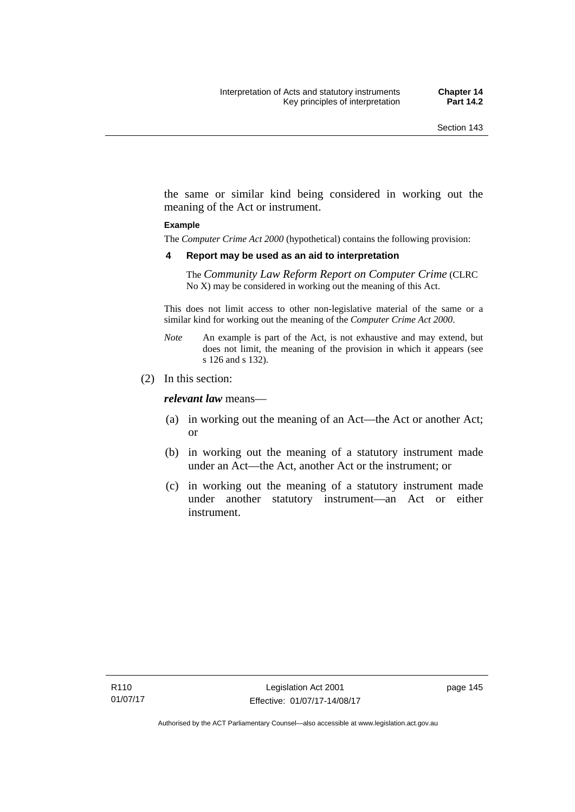the same or similar kind being considered in working out the meaning of the Act or instrument.

#### **Example**

The *Computer Crime Act 2000* (hypothetical) contains the following provision:

#### **4 Report may be used as an aid to interpretation**

The *Community Law Reform Report on Computer Crime* (CLRC No X) may be considered in working out the meaning of this Act.

This does not limit access to other non-legislative material of the same or a similar kind for working out the meaning of the *Computer Crime Act 2000*.

- *Note* An example is part of the Act, is not exhaustive and may extend, but does not limit, the meaning of the provision in which it appears (see s 126 and s 132).
- (2) In this section:

*relevant law* means—

- (a) in working out the meaning of an Act—the Act or another Act; or
- (b) in working out the meaning of a statutory instrument made under an Act—the Act, another Act or the instrument; or
- (c) in working out the meaning of a statutory instrument made under another statutory instrument—an Act or either instrument.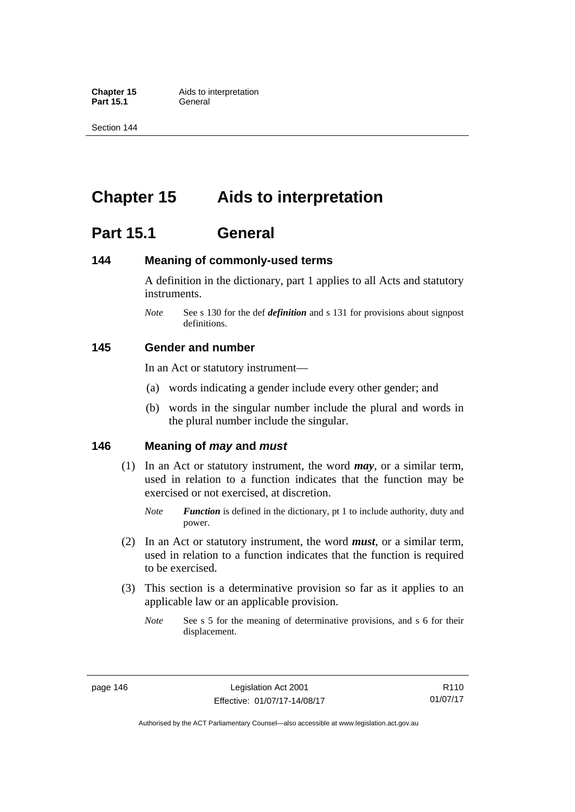**Part 15.1** 

Section 144

# **Chapter 15 Aids to interpretation**

## **Part 15.1 General**

### **144 Meaning of commonly-used terms**

A definition in the dictionary, part 1 applies to all Acts and statutory instruments.

*Note* See s 130 for the def *definition* and s 131 for provisions about signpost definitions.

### **145 Gender and number**

In an Act or statutory instrument—

- (a) words indicating a gender include every other gender; and
- (b) words in the singular number include the plural and words in the plural number include the singular.

### **146 Meaning of** *may* **and** *must*

- (1) In an Act or statutory instrument, the word *may*, or a similar term, used in relation to a function indicates that the function may be exercised or not exercised, at discretion.
	- *Note Function* is defined in the dictionary, pt 1 to include authority, duty and power.
- (2) In an Act or statutory instrument, the word *must*, or a similar term, used in relation to a function indicates that the function is required to be exercised.
- (3) This section is a determinative provision so far as it applies to an applicable law or an applicable provision.
	- *Note* See s 5 for the meaning of determinative provisions, and s 6 for their displacement.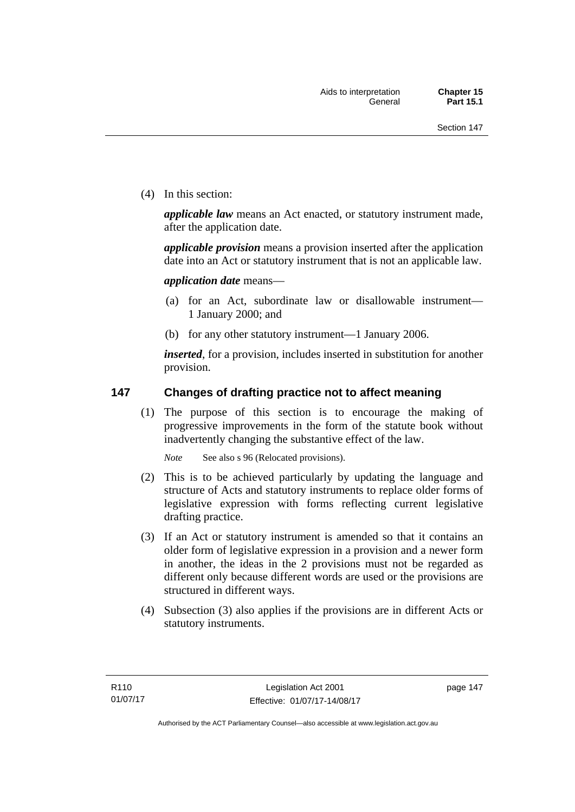(4) In this section:

*applicable law* means an Act enacted, or statutory instrument made, after the application date.

*applicable provision* means a provision inserted after the application date into an Act or statutory instrument that is not an applicable law.

*application date* means—

- (a) for an Act, subordinate law or disallowable instrument— 1 January 2000; and
- (b) for any other statutory instrument—1 January 2006.

*inserted*, for a provision, includes inserted in substitution for another provision.

### **147 Changes of drafting practice not to affect meaning**

(1) The purpose of this section is to encourage the making of progressive improvements in the form of the statute book without inadvertently changing the substantive effect of the law.

*Note* See also s 96 (Relocated provisions).

- (2) This is to be achieved particularly by updating the language and structure of Acts and statutory instruments to replace older forms of legislative expression with forms reflecting current legislative drafting practice.
- (3) If an Act or statutory instrument is amended so that it contains an older form of legislative expression in a provision and a newer form in another, the ideas in the 2 provisions must not be regarded as different only because different words are used or the provisions are structured in different ways.
- (4) Subsection (3) also applies if the provisions are in different Acts or statutory instruments.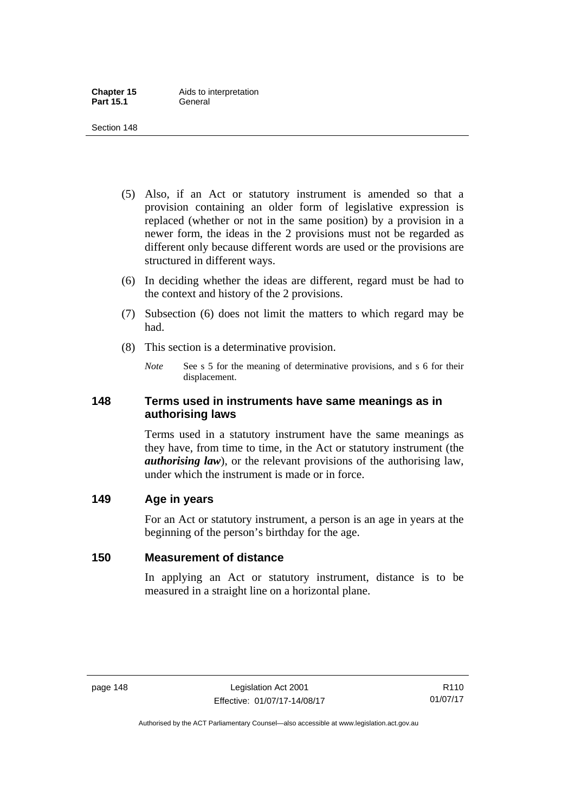- (5) Also, if an Act or statutory instrument is amended so that a provision containing an older form of legislative expression is replaced (whether or not in the same position) by a provision in a newer form, the ideas in the 2 provisions must not be regarded as different only because different words are used or the provisions are structured in different ways.
- (6) In deciding whether the ideas are different, regard must be had to the context and history of the 2 provisions.
- (7) Subsection (6) does not limit the matters to which regard may be had.
- (8) This section is a determinative provision.
	- *Note* See s 5 for the meaning of determinative provisions, and s 6 for their displacement.

### **148 Terms used in instruments have same meanings as in authorising laws**

Terms used in a statutory instrument have the same meanings as they have, from time to time, in the Act or statutory instrument (the *authorising law*), or the relevant provisions of the authorising law, under which the instrument is made or in force.

### **149 Age in years**

For an Act or statutory instrument, a person is an age in years at the beginning of the person's birthday for the age.

## **150 Measurement of distance**

In applying an Act or statutory instrument, distance is to be measured in a straight line on a horizontal plane.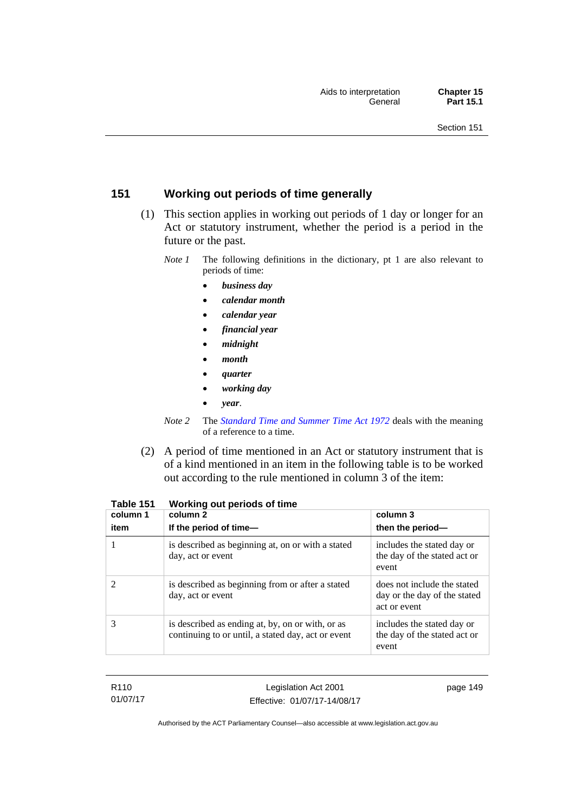## **151 Working out periods of time generally**

- (1) This section applies in working out periods of 1 day or longer for an Act or statutory instrument, whether the period is a period in the future or the past.
	- *Note 1* The following definitions in the dictionary, pt 1 are also relevant to periods of time:
		- *business day*
		- *calendar month*
		- *calendar year*
		- *financial year*
		- *midnight*
		- *month*
		- *quarter*
		- *working day*
		- *year*.
	- *Note 2* The *[Standard Time and Summer Time Act 1972](http://www.legislation.act.gov.au/a/1972-34)* deals with the meaning of a reference to a time.
- (2) A period of time mentioned in an Act or statutory instrument that is of a kind mentioned in an item in the following table is to be worked out according to the rule mentioned in column 3 of the item:

| column 1<br>item | column 2<br>If the period of time-                                                                     | column 3<br>then the period-                                                |
|------------------|--------------------------------------------------------------------------------------------------------|-----------------------------------------------------------------------------|
|                  | is described as beginning at, on or with a stated<br>day, act or event                                 | includes the stated day or<br>the day of the stated act or<br>event         |
|                  | is described as beginning from or after a stated<br>day, act or event                                  | does not include the stated<br>day or the day of the stated<br>act or event |
| 3                | is described as ending at, by, on or with, or as<br>continuing to or until, a stated day, act or event | includes the stated day or<br>the day of the stated act or<br>event         |

| Table 151 |  | Working out periods of time |
|-----------|--|-----------------------------|
|-----------|--|-----------------------------|

| R110     |
|----------|
| 01/07/17 |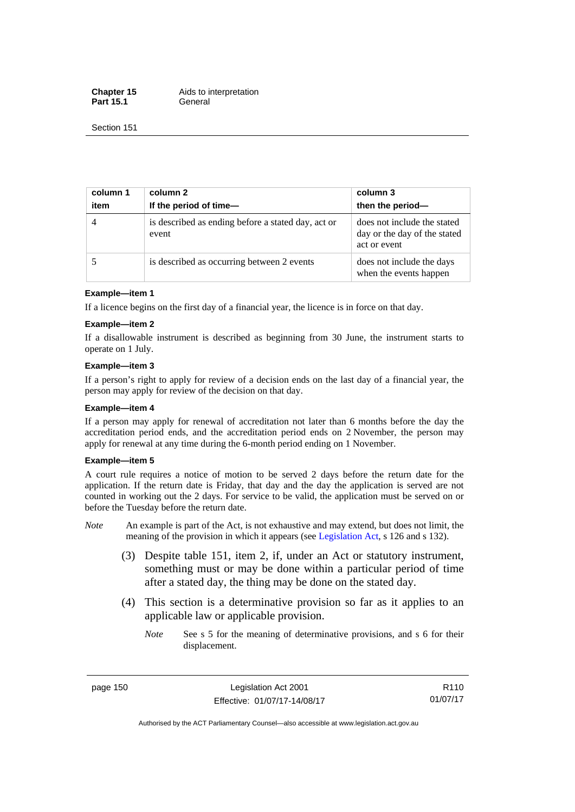**Chapter 15** Aids to interpretation Part 15.1 **General** 

Section 151

| column 1<br>item | column 2<br>If the period of time-                          | column 3<br>then the period-                                                |
|------------------|-------------------------------------------------------------|-----------------------------------------------------------------------------|
| $\overline{4}$   | is described as ending before a stated day, act or<br>event | does not include the stated<br>day or the day of the stated<br>act or event |
|                  | is described as occurring between 2 events                  | does not include the days<br>when the events happen                         |

#### **Example—item 1**

If a licence begins on the first day of a financial year, the licence is in force on that day.

#### **Example—item 2**

If a disallowable instrument is described as beginning from 30 June, the instrument starts to operate on 1 July.

#### **Example—item 3**

If a person's right to apply for review of a decision ends on the last day of a financial year, the person may apply for review of the decision on that day.

#### **Example—item 4**

If a person may apply for renewal of accreditation not later than 6 months before the day the accreditation period ends, and the accreditation period ends on 2 November, the person may apply for renewal at any time during the 6-month period ending on 1 November.

#### **Example—item 5**

A court rule requires a notice of motion to be served 2 days before the return date for the application. If the return date is Friday, that day and the day the application is served are not counted in working out the 2 days. For service to be valid, the application must be served on or before the Tuesday before the return date.

- *Note* An example is part of the Act, is not exhaustive and may extend, but does not limit, the meaning of the provision in which it appears (see [Legislation Act](http://www.legislation.act.gov.au/a/2001-14), s 126 and s 132).
	- (3) Despite table 151, item 2, if, under an Act or statutory instrument, something must or may be done within a particular period of time after a stated day, the thing may be done on the stated day.
	- (4) This section is a determinative provision so far as it applies to an applicable law or applicable provision.
		- *Note* See s 5 for the meaning of determinative provisions, and s 6 for their displacement.

page 150 Legislation Act 2001 Effective: 01/07/17-14/08/17

R110 01/07/17

Authorised by the ACT Parliamentary Counsel—also accessible at www.legislation.act.gov.au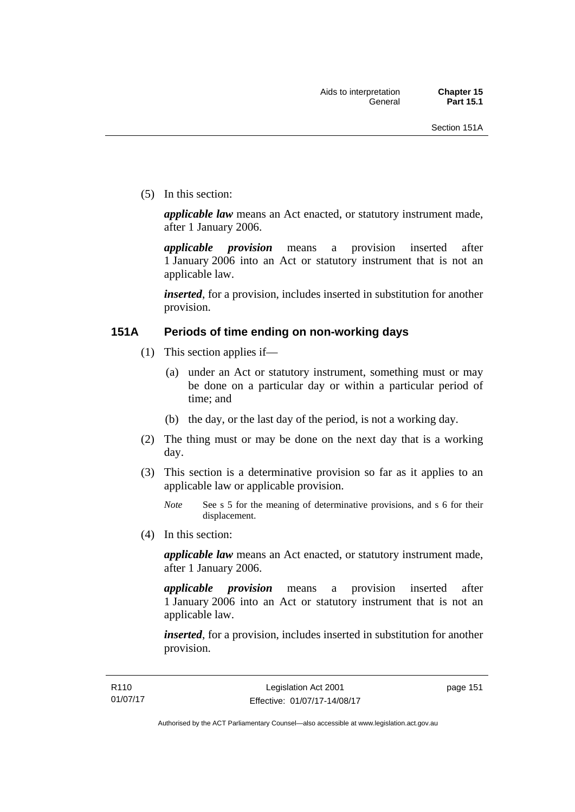(5) In this section:

*applicable law* means an Act enacted, or statutory instrument made, after 1 January 2006.

*applicable provision* means a provision inserted after 1 January 2006 into an Act or statutory instrument that is not an applicable law.

*inserted*, for a provision, includes inserted in substitution for another provision.

### **151A Periods of time ending on non-working days**

- (1) This section applies if—
	- (a) under an Act or statutory instrument, something must or may be done on a particular day or within a particular period of time; and
	- (b) the day, or the last day of the period, is not a working day.
- (2) The thing must or may be done on the next day that is a working day.
- (3) This section is a determinative provision so far as it applies to an applicable law or applicable provision.

(4) In this section:

*applicable law* means an Act enacted, or statutory instrument made, after 1 January 2006.

*applicable provision* means a provision inserted after 1 January 2006 into an Act or statutory instrument that is not an applicable law.

*inserted*, for a provision, includes inserted in substitution for another provision.

page 151

*Note* See s 5 for the meaning of determinative provisions, and s 6 for their displacement.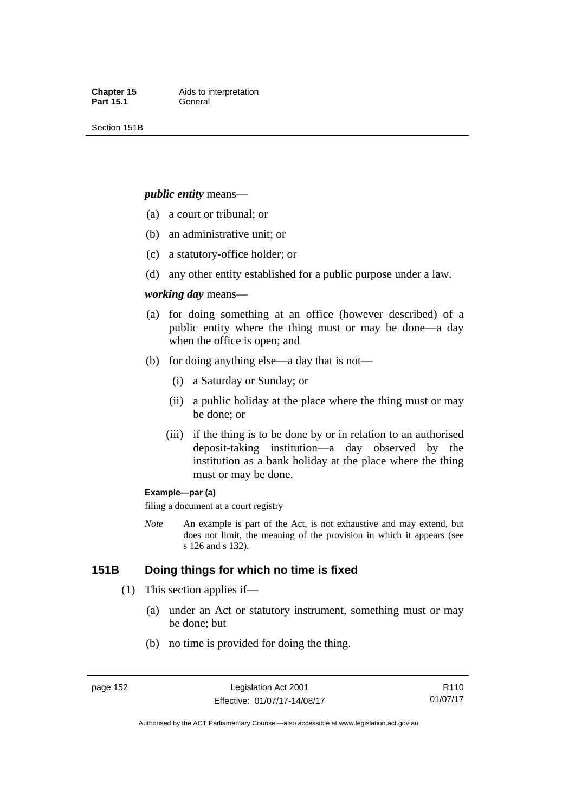Section 151B

#### *public entity* means—

- (a) a court or tribunal; or
- (b) an administrative unit; or
- (c) a statutory-office holder; or
- (d) any other entity established for a public purpose under a law.

#### *working day* means—

- (a) for doing something at an office (however described) of a public entity where the thing must or may be done—a day when the office is open; and
- (b) for doing anything else—a day that is not—
	- (i) a Saturday or Sunday; or
	- (ii) a public holiday at the place where the thing must or may be done; or
	- (iii) if the thing is to be done by or in relation to an authorised deposit-taking institution—a day observed by the institution as a bank holiday at the place where the thing must or may be done.

#### **Example—par (a)**

filing a document at a court registry

*Note* An example is part of the Act, is not exhaustive and may extend, but does not limit, the meaning of the provision in which it appears (see s 126 and s 132).

### **151B Doing things for which no time is fixed**

- (1) This section applies if—
	- (a) under an Act or statutory instrument, something must or may be done; but
	- (b) no time is provided for doing the thing.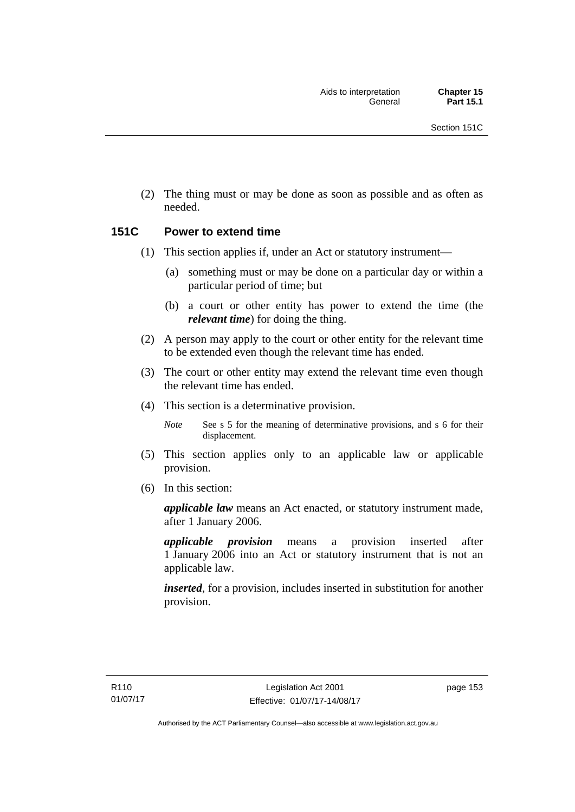(2) The thing must or may be done as soon as possible and as often as needed.

### **151C Power to extend time**

- (1) This section applies if, under an Act or statutory instrument—
	- (a) something must or may be done on a particular day or within a particular period of time; but
	- (b) a court or other entity has power to extend the time (the *relevant time*) for doing the thing.
- (2) A person may apply to the court or other entity for the relevant time to be extended even though the relevant time has ended.
- (3) The court or other entity may extend the relevant time even though the relevant time has ended.
- (4) This section is a determinative provision.

*Note* See s 5 for the meaning of determinative provisions, and s 6 for their displacement.

- (5) This section applies only to an applicable law or applicable provision.
- (6) In this section:

*applicable law* means an Act enacted, or statutory instrument made, after 1 January 2006.

*applicable provision* means a provision inserted after 1 January 2006 into an Act or statutory instrument that is not an applicable law.

*inserted*, for a provision, includes inserted in substitution for another provision.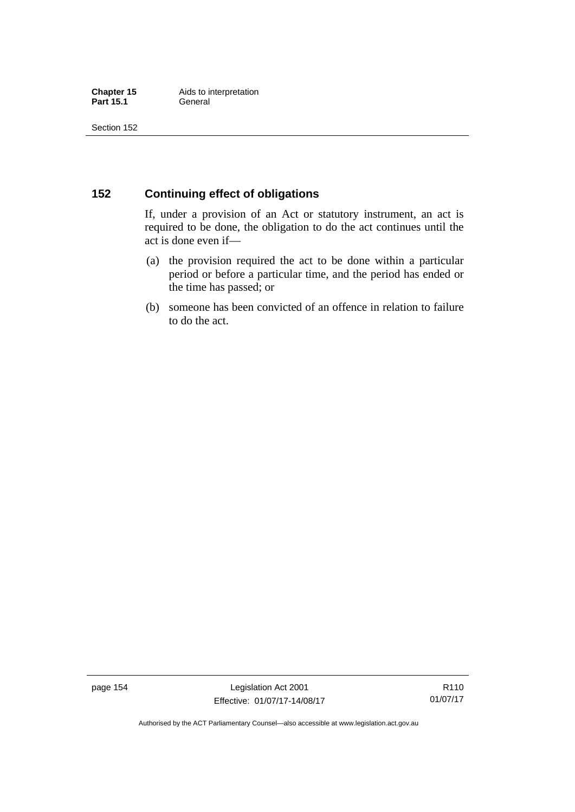### **152 Continuing effect of obligations**

If, under a provision of an Act or statutory instrument, an act is required to be done, the obligation to do the act continues until the act is done even if—

- (a) the provision required the act to be done within a particular period or before a particular time, and the period has ended or the time has passed; or
- (b) someone has been convicted of an offence in relation to failure to do the act.

page 154 Legislation Act 2001 Effective: 01/07/17-14/08/17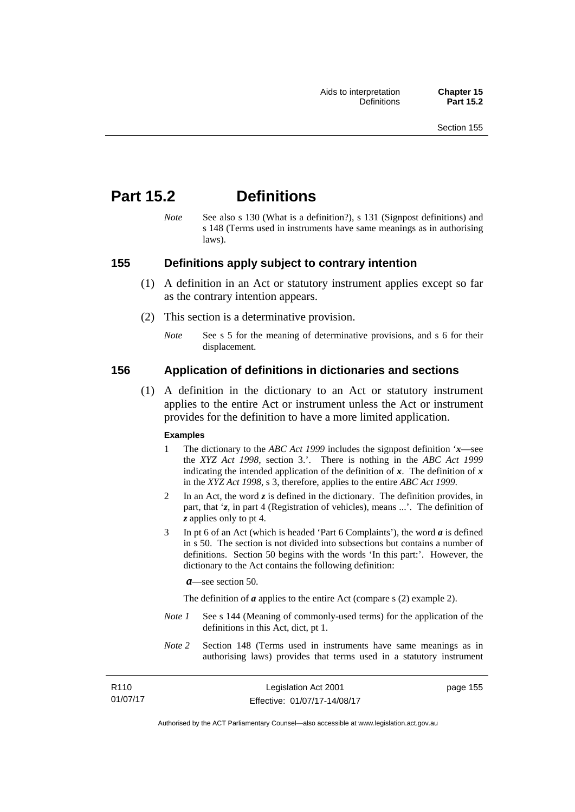## **Part 15.2 Definitions**

*Note* See also s 130 (What is a definition?), s 131 (Signpost definitions) and s 148 (Terms used in instruments have same meanings as in authorising laws).

### **155 Definitions apply subject to contrary intention**

- (1) A definition in an Act or statutory instrument applies except so far as the contrary intention appears.
- (2) This section is a determinative provision.
	- *Note* See s 5 for the meaning of determinative provisions, and s 6 for their displacement.

### **156 Application of definitions in dictionaries and sections**

 (1) A definition in the dictionary to an Act or statutory instrument applies to the entire Act or instrument unless the Act or instrument provides for the definition to have a more limited application.

#### **Examples**

- 1 The dictionary to the *ABC Act 1999* includes the signpost definition '*x*—see the *XYZ Act 1998*, section 3.'. There is nothing in the *ABC Act 1999* indicating the intended application of the definition of  $x$ . The definition of  $x$ in the *XYZ Act 1998*, s 3, therefore, applies to the entire *ABC Act 1999*.
- 2 In an Act, the word *z* is defined in the dictionary. The definition provides, in part, that '*z*, in part 4 (Registration of vehicles), means ...'. The definition of *z* applies only to pt 4.
- 3 In pt 6 of an Act (which is headed 'Part 6 Complaints'), the word *a* is defined in s 50. The section is not divided into subsections but contains a number of definitions. Section 50 begins with the words 'In this part:'. However, the dictionary to the Act contains the following definition:

*a*—see section 50.

The definition of *a* applies to the entire Act (compare s (2) example 2).

- *Note 1* See s 144 (Meaning of commonly-used terms) for the application of the definitions in this Act, dict, pt 1.
- *Note 2* Section 148 (Terms used in instruments have same meanings as in authorising laws) provides that terms used in a statutory instrument

| R <sub>110</sub> | Legislation Act 2001         | page 155 |
|------------------|------------------------------|----------|
| 01/07/17         | Effective: 01/07/17-14/08/17 |          |

Authorised by the ACT Parliamentary Counsel—also accessible at www.legislation.act.gov.au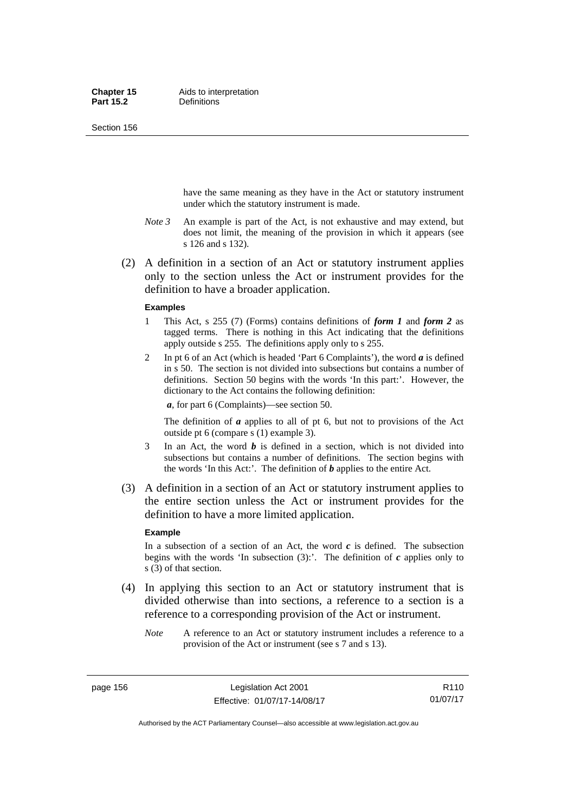Section 156

have the same meaning as they have in the Act or statutory instrument under which the statutory instrument is made.

- *Note 3* An example is part of the Act, is not exhaustive and may extend, but does not limit, the meaning of the provision in which it appears (see s 126 and s 132).
- (2) A definition in a section of an Act or statutory instrument applies only to the section unless the Act or instrument provides for the definition to have a broader application.

#### **Examples**

- 1 This Act, s 255 (7) (Forms) contains definitions of *form 1* and *form 2* as tagged terms. There is nothing in this Act indicating that the definitions apply outside s 255. The definitions apply only to s 255.
- 2 In pt 6 of an Act (which is headed 'Part 6 Complaints'), the word *a* is defined in s 50. The section is not divided into subsections but contains a number of definitions. Section 50 begins with the words 'In this part:'. However, the dictionary to the Act contains the following definition:

*a*, for part 6 (Complaints)—see section 50.

The definition of *a* applies to all of pt 6, but not to provisions of the Act outside pt 6 (compare s (1) example 3).

- 3 In an Act, the word *b* is defined in a section, which is not divided into subsections but contains a number of definitions. The section begins with the words 'In this Act:'. The definition of *b* applies to the entire Act.
- (3) A definition in a section of an Act or statutory instrument applies to the entire section unless the Act or instrument provides for the definition to have a more limited application.

#### **Example**

In a subsection of a section of an Act, the word  $c$  is defined. The subsection begins with the words 'In subsection  $(3)$ :'. The definition of  $c$  applies only to s (3) of that section.

- (4) In applying this section to an Act or statutory instrument that is divided otherwise than into sections, a reference to a section is a reference to a corresponding provision of the Act or instrument.
	- *Note* A reference to an Act or statutory instrument includes a reference to a provision of the Act or instrument (see s 7 and s 13).

Authorised by the ACT Parliamentary Counsel—also accessible at www.legislation.act.gov.au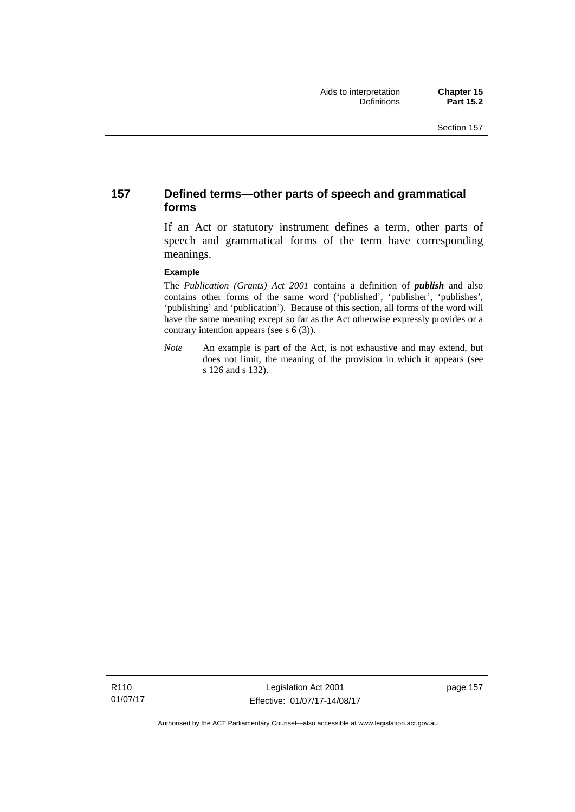### **157 Defined terms—other parts of speech and grammatical forms**

If an Act or statutory instrument defines a term, other parts of speech and grammatical forms of the term have corresponding meanings.

#### **Example**

The *Publication (Grants) Act 2001* contains a definition of *publish* and also contains other forms of the same word ('published', 'publisher', 'publishes', 'publishing' and 'publication'). Because of this section, all forms of the word will have the same meaning except so far as the Act otherwise expressly provides or a contrary intention appears (see s 6 (3)).

*Note* An example is part of the Act, is not exhaustive and may extend, but does not limit, the meaning of the provision in which it appears (see s 126 and s 132).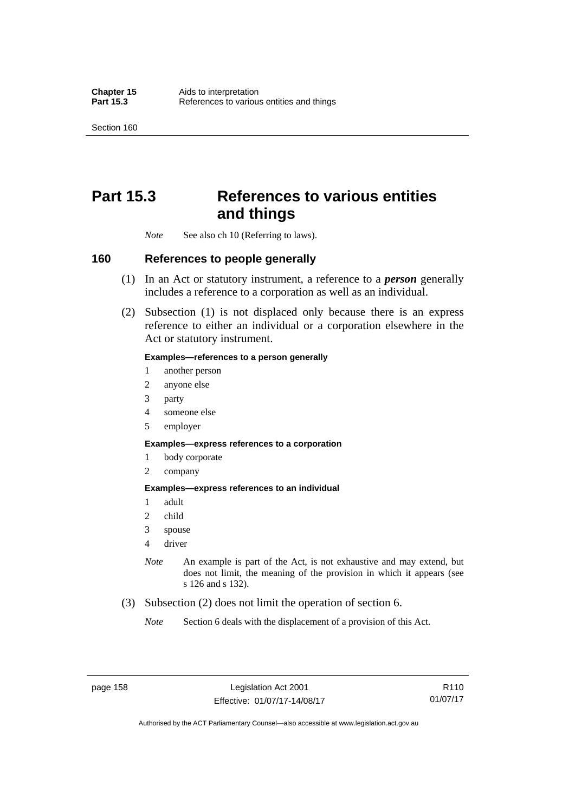Section 160

## **Part 15.3 References to various entities and things**

*Note* See also ch 10 (Referring to laws).

### **160 References to people generally**

- (1) In an Act or statutory instrument, a reference to a *person* generally includes a reference to a corporation as well as an individual.
- (2) Subsection (1) is not displaced only because there is an express reference to either an individual or a corporation elsewhere in the Act or statutory instrument.

#### **Examples—references to a person generally**

- 1 another person
- 2 anyone else
- 3 party
- 4 someone else
- 5 employer

#### **Examples—express references to a corporation**

- 1 body corporate
- 2 company

#### **Examples—express references to an individual**

- 1 adult
- 2 child
- 3 spouse
- 4 driver
- *Note* An example is part of the Act, is not exhaustive and may extend, but does not limit, the meaning of the provision in which it appears (see s 126 and s 132).
- (3) Subsection (2) does not limit the operation of section 6.
	- *Note* Section 6 deals with the displacement of a provision of this Act.

R110 01/07/17

Authorised by the ACT Parliamentary Counsel—also accessible at www.legislation.act.gov.au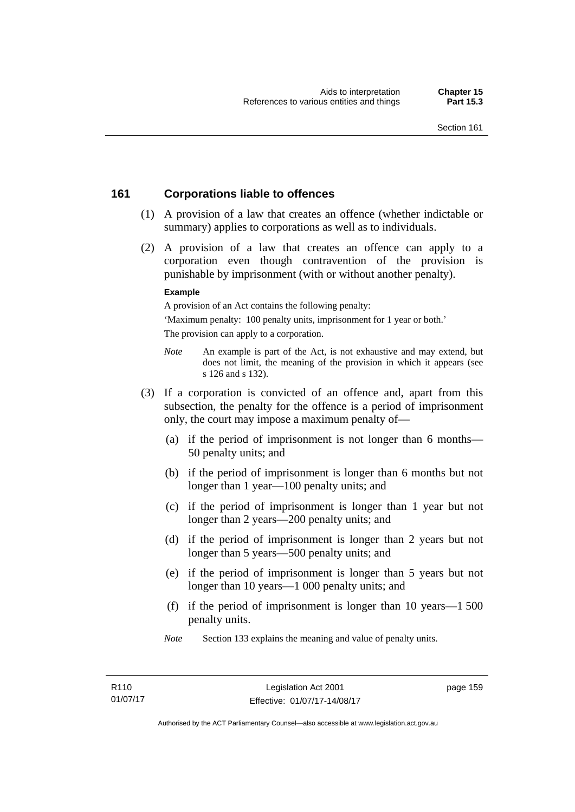### **161 Corporations liable to offences**

- (1) A provision of a law that creates an offence (whether indictable or summary) applies to corporations as well as to individuals.
- (2) A provision of a law that creates an offence can apply to a corporation even though contravention of the provision is punishable by imprisonment (with or without another penalty).

#### **Example**

A provision of an Act contains the following penalty:

'Maximum penalty: 100 penalty units, imprisonment for 1 year or both.' The provision can apply to a corporation.

- *Note* An example is part of the Act, is not exhaustive and may extend, but does not limit, the meaning of the provision in which it appears (see s 126 and s 132).
- (3) If a corporation is convicted of an offence and, apart from this subsection, the penalty for the offence is a period of imprisonment only, the court may impose a maximum penalty of—
	- (a) if the period of imprisonment is not longer than 6 months— 50 penalty units; and
	- (b) if the period of imprisonment is longer than 6 months but not longer than 1 year—100 penalty units; and
	- (c) if the period of imprisonment is longer than 1 year but not longer than 2 years—200 penalty units; and
	- (d) if the period of imprisonment is longer than 2 years but not longer than 5 years—500 penalty units; and
	- (e) if the period of imprisonment is longer than 5 years but not longer than 10 years—1 000 penalty units; and
	- (f) if the period of imprisonment is longer than 10 years—1 500 penalty units.
	- *Note* Section 133 explains the meaning and value of penalty units.

page 159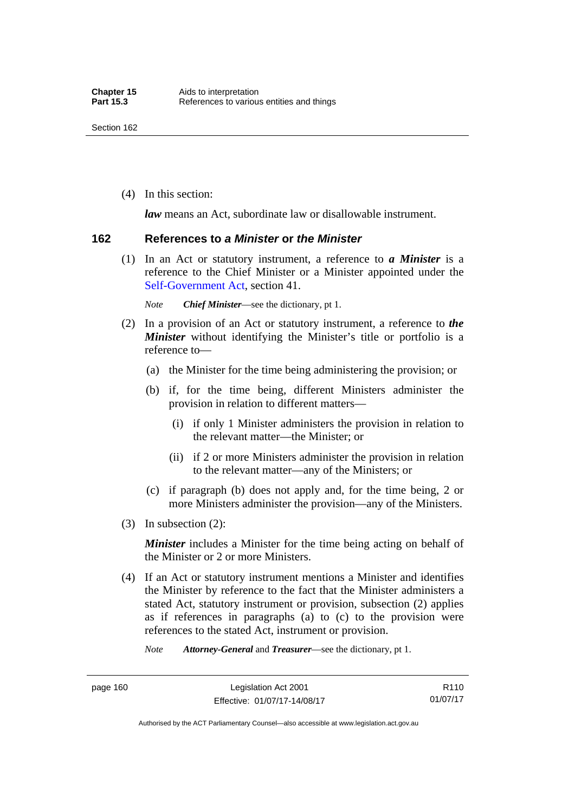(4) In this section:

*law* means an Act, subordinate law or disallowable instrument.

#### **162 References to** *a Minister* **or** *the Minister*

 (1) In an Act or statutory instrument, a reference to *a Minister* is a reference to the Chief Minister or a Minister appointed under the [Self-Government Act,](http://www.comlaw.gov.au/Series/C2004A03699) section 41.

*Note Chief Minister*—see the dictionary, pt 1.

- (2) In a provision of an Act or statutory instrument, a reference to *the Minister* without identifying the Minister's title or portfolio is a reference to—
	- (a) the Minister for the time being administering the provision; or
	- (b) if, for the time being, different Ministers administer the provision in relation to different matters—
		- (i) if only 1 Minister administers the provision in relation to the relevant matter—the Minister; or
		- (ii) if 2 or more Ministers administer the provision in relation to the relevant matter—any of the Ministers; or
	- (c) if paragraph (b) does not apply and, for the time being, 2 or more Ministers administer the provision—any of the Ministers.
- (3) In subsection (2):

*Minister* includes a Minister for the time being acting on behalf of the Minister or 2 or more Ministers.

 (4) If an Act or statutory instrument mentions a Minister and identifies the Minister by reference to the fact that the Minister administers a stated Act, statutory instrument or provision, subsection (2) applies as if references in paragraphs (a) to (c) to the provision were references to the stated Act, instrument or provision.

*Note Attorney-General* and *Treasurer*—see the dictionary, pt 1.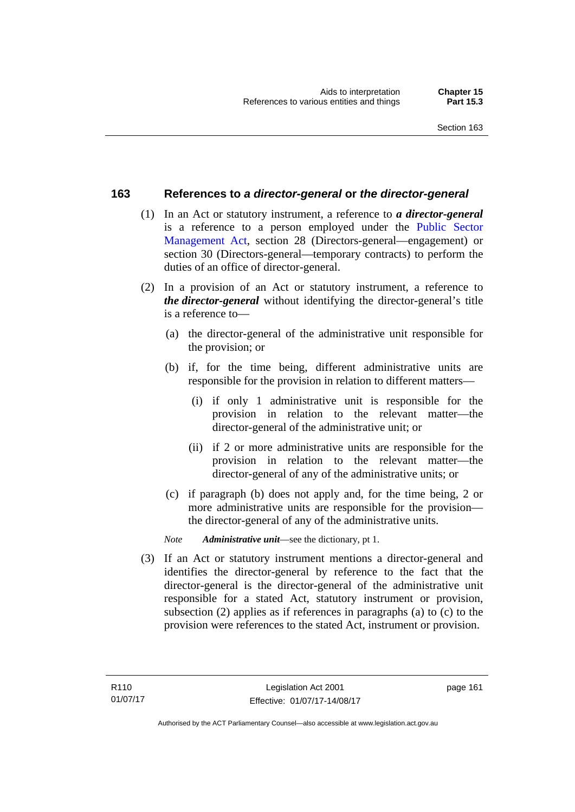### **163 References to** *a director-general* **or** *the director-general*

- (1) In an Act or statutory instrument, a reference to *a director-general* is a reference to a person employed under the [Public Sector](http://www.legislation.act.gov.au/a/1994-37)  [Management Act,](http://www.legislation.act.gov.au/a/1994-37) section 28 (Directors-general—engagement) or section 30 (Directors-general—temporary contracts) to perform the duties of an office of director-general.
- (2) In a provision of an Act or statutory instrument, a reference to *the director-general* without identifying the director-general's title is a reference to—
	- (a) the director-general of the administrative unit responsible for the provision; or
	- (b) if, for the time being, different administrative units are responsible for the provision in relation to different matters—
		- (i) if only 1 administrative unit is responsible for the provision in relation to the relevant matter—the director-general of the administrative unit; or
		- (ii) if 2 or more administrative units are responsible for the provision in relation to the relevant matter—the director-general of any of the administrative units; or
	- (c) if paragraph (b) does not apply and, for the time being, 2 or more administrative units are responsible for the provision the director-general of any of the administrative units.
	- *Note Administrative unit*—see the dictionary, pt 1.
- (3) If an Act or statutory instrument mentions a director-general and identifies the director-general by reference to the fact that the director-general is the director-general of the administrative unit responsible for a stated Act, statutory instrument or provision, subsection (2) applies as if references in paragraphs (a) to (c) to the provision were references to the stated Act, instrument or provision.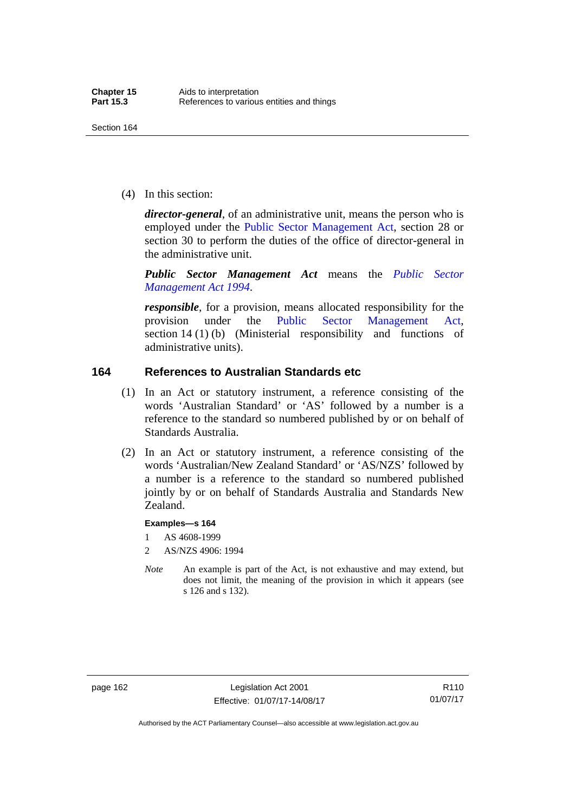(4) In this section:

*director-general*, of an administrative unit, means the person who is employed under the [Public Sector Management Act,](http://www.legislation.act.gov.au/a/1994-37) section 28 or section 30 to perform the duties of the office of director-general in the administrative unit.

*Public Sector Management Act* means the *[Public Sector](http://www.legislation.act.gov.au/a/1994-37)  [Management Act 1994](http://www.legislation.act.gov.au/a/1994-37)*.

*responsible*, for a provision, means allocated responsibility for the provision under the [Public Sector Management Act](http://www.legislation.act.gov.au/a/1994-37), section 14 (1) (b) (Ministerial responsibility and functions of administrative units).

### **164 References to Australian Standards etc**

- (1) In an Act or statutory instrument, a reference consisting of the words 'Australian Standard' or 'AS' followed by a number is a reference to the standard so numbered published by or on behalf of Standards Australia.
- (2) In an Act or statutory instrument, a reference consisting of the words 'Australian/New Zealand Standard' or 'AS/NZS' followed by a number is a reference to the standard so numbered published jointly by or on behalf of Standards Australia and Standards New Zealand.

#### **Examples—s 164**

- 1 AS 4608-1999
- 2 AS/NZS 4906: 1994
- *Note* An example is part of the Act, is not exhaustive and may extend, but does not limit, the meaning of the provision in which it appears (see s 126 and s 132).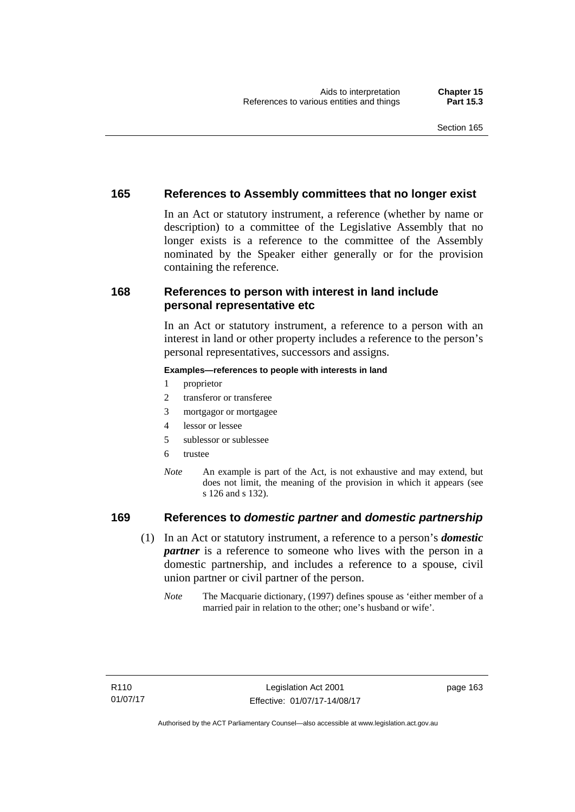### **165 References to Assembly committees that no longer exist**

In an Act or statutory instrument, a reference (whether by name or description) to a committee of the Legislative Assembly that no longer exists is a reference to the committee of the Assembly nominated by the Speaker either generally or for the provision containing the reference.

### **168 References to person with interest in land include personal representative etc**

In an Act or statutory instrument, a reference to a person with an interest in land or other property includes a reference to the person's personal representatives, successors and assigns.

#### **Examples—references to people with interests in land**

- 1 proprietor
- 2 transferor or transferee
- 3 mortgagor or mortgagee
- 4 lessor or lessee
- 5 sublessor or sublessee
- 6 trustee
- *Note* An example is part of the Act, is not exhaustive and may extend, but does not limit, the meaning of the provision in which it appears (see s 126 and s 132).

### **169 References to** *domestic partner* **and** *domestic partnership*

- (1) In an Act or statutory instrument, a reference to a person's *domestic partner* is a reference to someone who lives with the person in a domestic partnership, and includes a reference to a spouse, civil union partner or civil partner of the person.
	- *Note* The Macquarie dictionary, (1997) defines spouse as 'either member of a married pair in relation to the other; one's husband or wife'.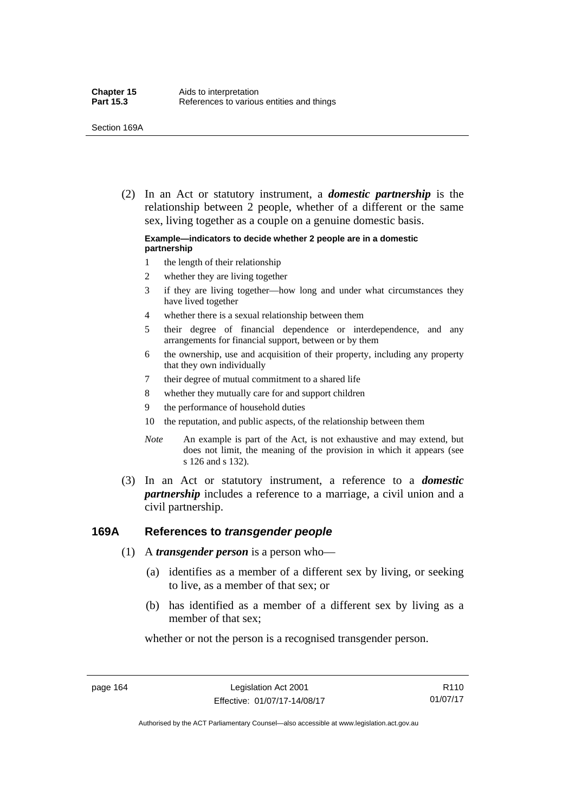(2) In an Act or statutory instrument, a *domestic partnership* is the relationship between 2 people, whether of a different or the same sex, living together as a couple on a genuine domestic basis.

#### **Example—indicators to decide whether 2 people are in a domestic partnership**

- 1 the length of their relationship
- 2 whether they are living together
- 3 if they are living together—how long and under what circumstances they have lived together
- 4 whether there is a sexual relationship between them
- 5 their degree of financial dependence or interdependence, and any arrangements for financial support, between or by them
- 6 the ownership, use and acquisition of their property, including any property that they own individually
- 7 their degree of mutual commitment to a shared life
- 8 whether they mutually care for and support children
- 9 the performance of household duties
- 10 the reputation, and public aspects, of the relationship between them
- *Note* An example is part of the Act, is not exhaustive and may extend, but does not limit, the meaning of the provision in which it appears (see s 126 and s 132).
- (3) In an Act or statutory instrument, a reference to a *domestic partnership* includes a reference to a marriage, a civil union and a civil partnership.

### **169A References to** *transgender people*

- (1) A *transgender person* is a person who—
	- (a) identifies as a member of a different sex by living, or seeking to live, as a member of that sex; or
	- (b) has identified as a member of a different sex by living as a member of that sex;

whether or not the person is a recognised transgender person.

page 164 Legislation Act 2001 Effective: 01/07/17-14/08/17

Authorised by the ACT Parliamentary Counsel—also accessible at www.legislation.act.gov.au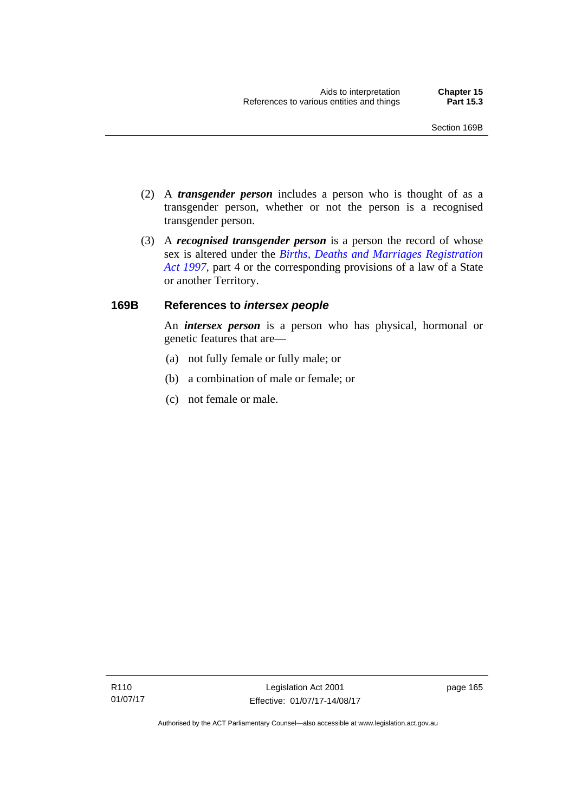- (2) A *transgender person* includes a person who is thought of as a transgender person, whether or not the person is a recognised transgender person.
- (3) A *recognised transgender person* is a person the record of whose sex is altered under the *[Births, Deaths and Marriages Registration](http://www.legislation.act.gov.au/a/1997-112)  [Act 1997](http://www.legislation.act.gov.au/a/1997-112)*, part 4 or the corresponding provisions of a law of a State or another Territory.

## **169B References to** *intersex people*

An *intersex person* is a person who has physical, hormonal or genetic features that are—

- (a) not fully female or fully male; or
- (b) a combination of male or female; or
- (c) not female or male.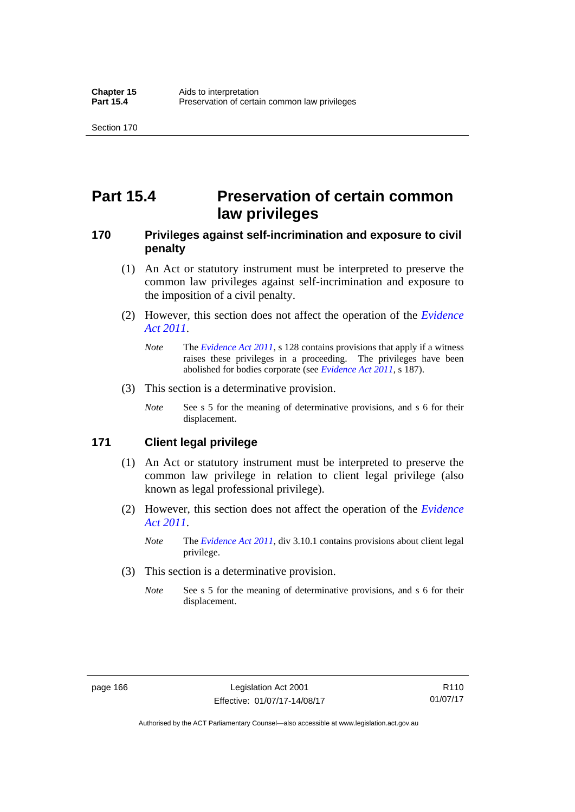# **Part 15.4 Preservation of certain common law privileges**

## **170 Privileges against self-incrimination and exposure to civil penalty**

- (1) An Act or statutory instrument must be interpreted to preserve the common law privileges against self-incrimination and exposure to the imposition of a civil penalty.
- (2) However, this section does not affect the operation of the *[Evidence](http://www.legislation.act.gov.au/a/2011-12)  [Act 2011](http://www.legislation.act.gov.au/a/2011-12)*.
	- *Note* The *[Evidence Act 2011](http://www.legislation.act.gov.au/a/2011-12)*, s 128 contains provisions that apply if a witness raises these privileges in a proceeding. The privileges have been abolished for bodies corporate (see *[Evidence Act 2011](http://www.legislation.act.gov.au/a/2011-12)*, s 187).
- (3) This section is a determinative provision.
	- *Note* See s 5 for the meaning of determinative provisions, and s 6 for their displacement.

### **171 Client legal privilege**

- (1) An Act or statutory instrument must be interpreted to preserve the common law privilege in relation to client legal privilege (also known as legal professional privilege).
- (2) However, this section does not affect the operation of the *[Evidence](http://www.legislation.act.gov.au/a/2011-12)  [Act 2011](http://www.legislation.act.gov.au/a/2011-12)*.
	- *Note* The *[Evidence Act 2011](http://www.legislation.act.gov.au/a/2011-12)*, div 3.10.1 contains provisions about client legal privilege.
- (3) This section is a determinative provision.
	- *Note* See s 5 for the meaning of determinative provisions, and s 6 for their displacement.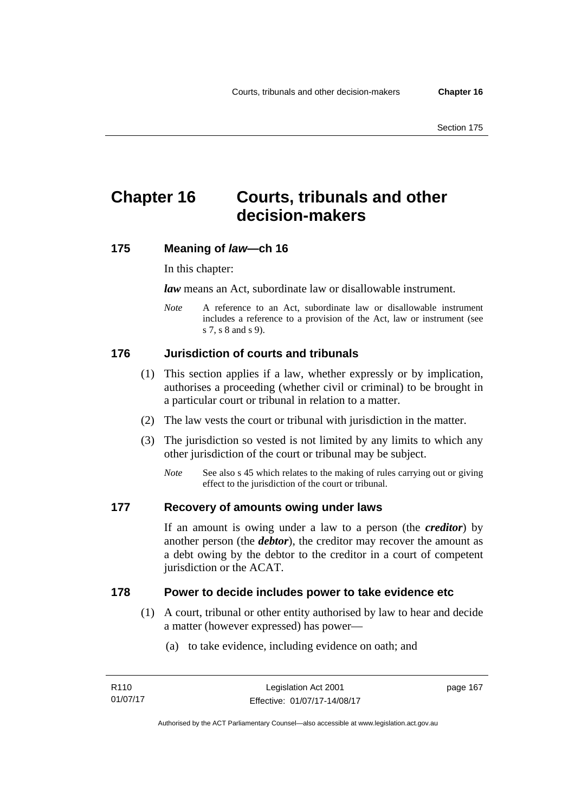# **Chapter 16 Courts, tribunals and other decision-makers**

## **175 Meaning of** *law***—ch 16**

In this chapter:

*law* means an Act, subordinate law or disallowable instrument.

*Note* A reference to an Act, subordinate law or disallowable instrument includes a reference to a provision of the Act, law or instrument (see s 7, s 8 and s 9).

# **176 Jurisdiction of courts and tribunals**

- (1) This section applies if a law, whether expressly or by implication, authorises a proceeding (whether civil or criminal) to be brought in a particular court or tribunal in relation to a matter.
- (2) The law vests the court or tribunal with jurisdiction in the matter.
- (3) The jurisdiction so vested is not limited by any limits to which any other jurisdiction of the court or tribunal may be subject.
	- *Note* See also s 45 which relates to the making of rules carrying out or giving effect to the jurisdiction of the court or tribunal.

#### **177 Recovery of amounts owing under laws**

If an amount is owing under a law to a person (the *creditor*) by another person (the *debtor*), the creditor may recover the amount as a debt owing by the debtor to the creditor in a court of competent jurisdiction or the ACAT.

#### **178 Power to decide includes power to take evidence etc**

- (1) A court, tribunal or other entity authorised by law to hear and decide a matter (however expressed) has power—
	- (a) to take evidence, including evidence on oath; and

page 167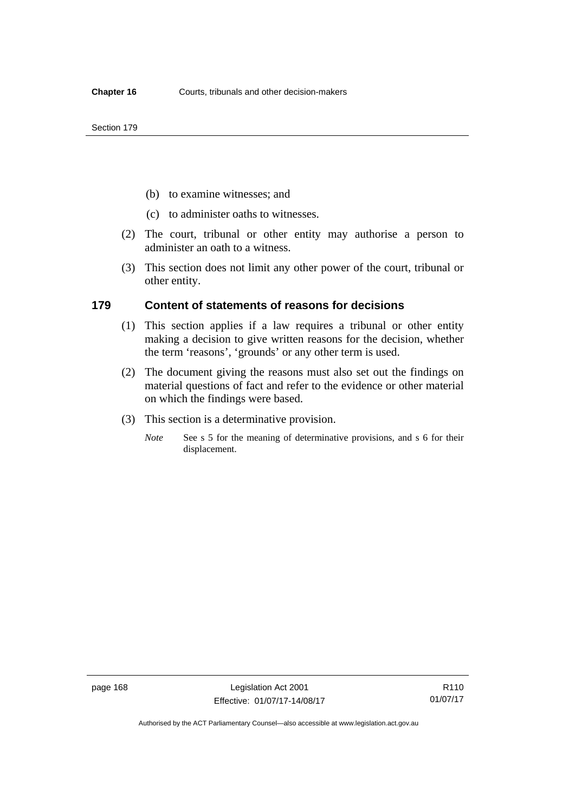- (b) to examine witnesses; and
- (c) to administer oaths to witnesses.
- (2) The court, tribunal or other entity may authorise a person to administer an oath to a witness.
- (3) This section does not limit any other power of the court, tribunal or other entity.

#### **179 Content of statements of reasons for decisions**

- (1) This section applies if a law requires a tribunal or other entity making a decision to give written reasons for the decision, whether the term 'reasons', 'grounds' or any other term is used.
- (2) The document giving the reasons must also set out the findings on material questions of fact and refer to the evidence or other material on which the findings were based.
- (3) This section is a determinative provision.
	- *Note* See s 5 for the meaning of determinative provisions, and s 6 for their displacement.

R110 01/07/17

Authorised by the ACT Parliamentary Counsel—also accessible at www.legislation.act.gov.au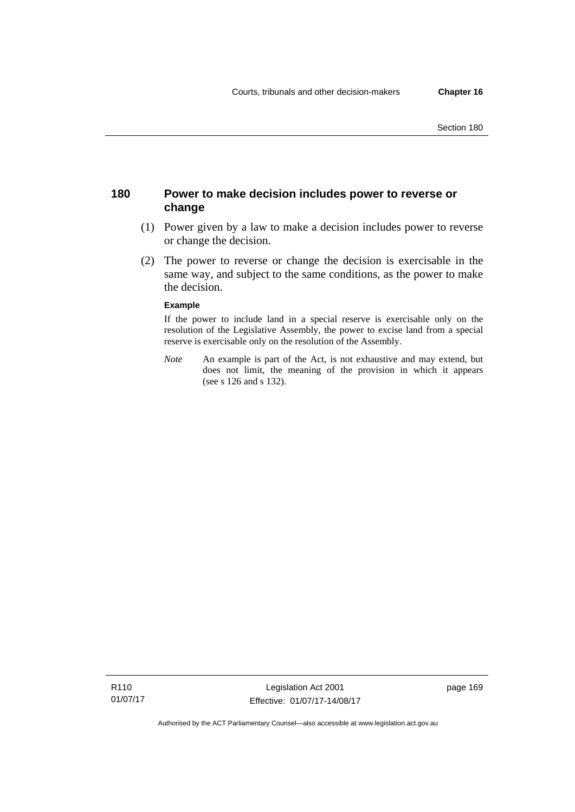## **180 Power to make decision includes power to reverse or change**

- (1) Power given by a law to make a decision includes power to reverse or change the decision.
- (2) The power to reverse or change the decision is exercisable in the same way, and subject to the same conditions, as the power to make the decision.

#### **Example**

If the power to include land in a special reserve is exercisable only on the resolution of the Legislative Assembly, the power to excise land from a special reserve is exercisable only on the resolution of the Assembly.

*Note* An example is part of the Act, is not exhaustive and may extend, but does not limit, the meaning of the provision in which it appears (see s 126 and s 132).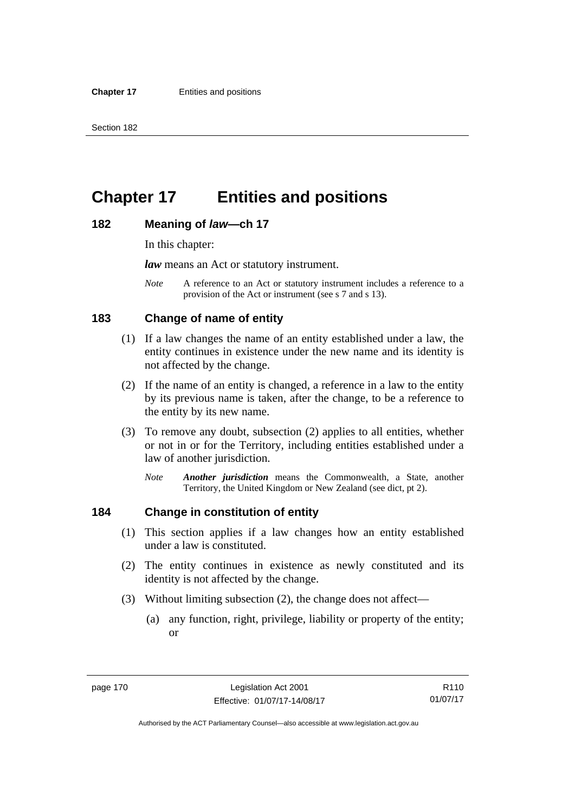# **Chapter 17 Entities and positions**

#### **182 Meaning of** *law***—ch 17**

In this chapter:

*law* means an Act or statutory instrument.

*Note* A reference to an Act or statutory instrument includes a reference to a provision of the Act or instrument (see s 7 and s 13).

## **183 Change of name of entity**

- (1) If a law changes the name of an entity established under a law, the entity continues in existence under the new name and its identity is not affected by the change.
- (2) If the name of an entity is changed, a reference in a law to the entity by its previous name is taken, after the change, to be a reference to the entity by its new name.
- (3) To remove any doubt, subsection (2) applies to all entities, whether or not in or for the Territory, including entities established under a law of another jurisdiction.
	- *Note Another jurisdiction* means the Commonwealth, a State, another Territory, the United Kingdom or New Zealand (see dict, pt 2).

### **184 Change in constitution of entity**

- (1) This section applies if a law changes how an entity established under a law is constituted.
- (2) The entity continues in existence as newly constituted and its identity is not affected by the change.
- (3) Without limiting subsection (2), the change does not affect—
	- (a) any function, right, privilege, liability or property of the entity; or

R110 01/07/17

Authorised by the ACT Parliamentary Counsel—also accessible at www.legislation.act.gov.au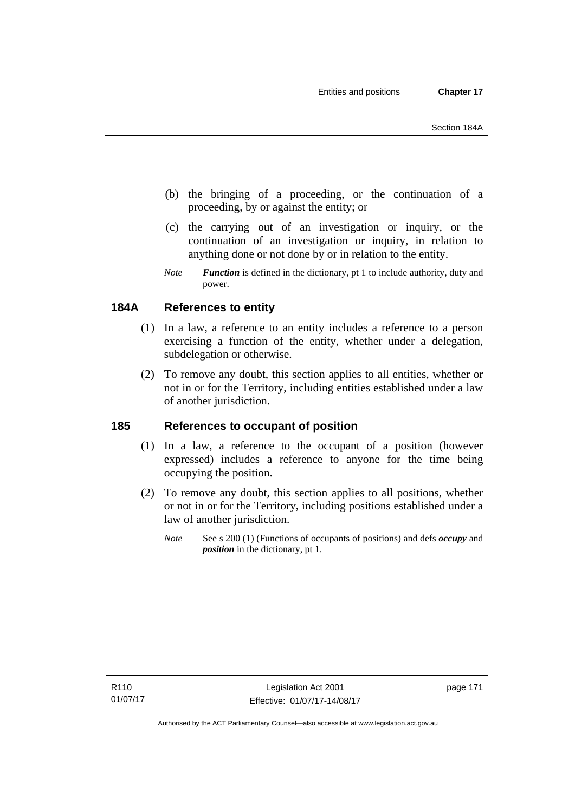- (b) the bringing of a proceeding, or the continuation of a proceeding, by or against the entity; or
- (c) the carrying out of an investigation or inquiry, or the continuation of an investigation or inquiry, in relation to anything done or not done by or in relation to the entity.
- *Note Function* is defined in the dictionary, pt 1 to include authority, duty and power.

# **184A References to entity**

- (1) In a law, a reference to an entity includes a reference to a person exercising a function of the entity, whether under a delegation, subdelegation or otherwise.
- (2) To remove any doubt, this section applies to all entities, whether or not in or for the Territory, including entities established under a law of another jurisdiction.

## **185 References to occupant of position**

- (1) In a law, a reference to the occupant of a position (however expressed) includes a reference to anyone for the time being occupying the position.
- (2) To remove any doubt, this section applies to all positions, whether or not in or for the Territory, including positions established under a law of another jurisdiction.
	- *Note* See s 200 (1) (Functions of occupants of positions) and defs *occupy* and *position* in the dictionary, pt 1.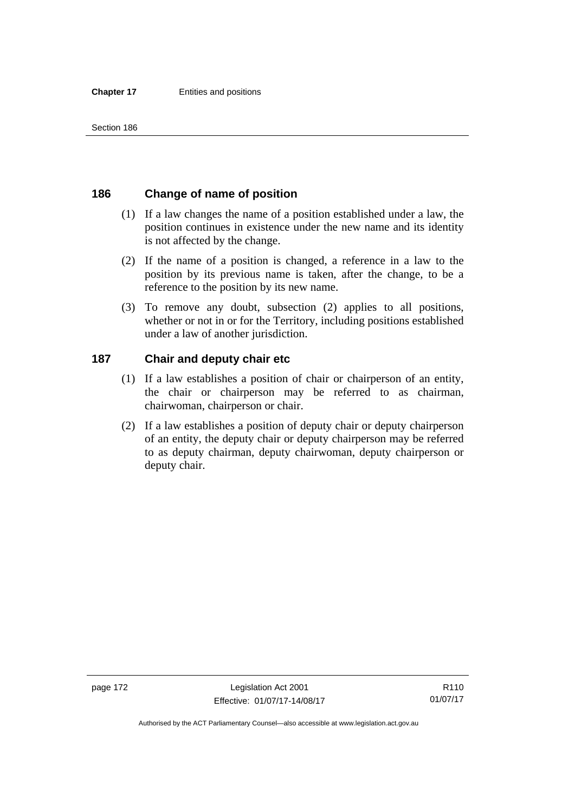## **186 Change of name of position**

- (1) If a law changes the name of a position established under a law, the position continues in existence under the new name and its identity is not affected by the change.
- (2) If the name of a position is changed, a reference in a law to the position by its previous name is taken, after the change, to be a reference to the position by its new name.
- (3) To remove any doubt, subsection (2) applies to all positions, whether or not in or for the Territory, including positions established under a law of another jurisdiction.

## **187 Chair and deputy chair etc**

- (1) If a law establishes a position of chair or chairperson of an entity, the chair or chairperson may be referred to as chairman, chairwoman, chairperson or chair.
- (2) If a law establishes a position of deputy chair or deputy chairperson of an entity, the deputy chair or deputy chairperson may be referred to as deputy chairman, deputy chairwoman, deputy chairperson or deputy chair.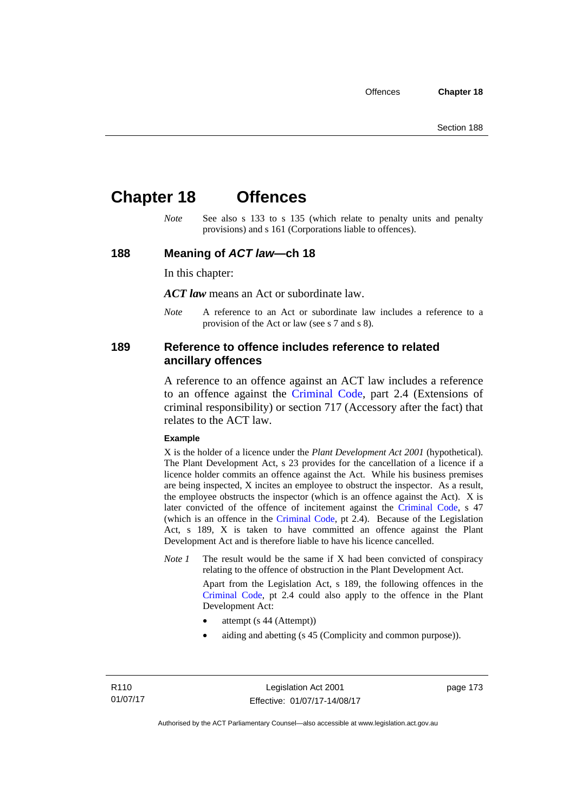# **Chapter 18 Offences**

*Note* See also s 133 to s 135 (which relate to penalty units and penalty provisions) and s 161 (Corporations liable to offences).

#### **188 Meaning of** *ACT law***—ch 18**

In this chapter:

*ACT law* means an Act or subordinate law.

*Note* A reference to an Act or subordinate law includes a reference to a provision of the Act or law (see s 7 and s 8).

### **189 Reference to offence includes reference to related ancillary offences**

A reference to an offence against an ACT law includes a reference to an offence against the [Criminal Code,](http://www.legislation.act.gov.au/a/2002-51) part 2.4 (Extensions of criminal responsibility) or section 717 (Accessory after the fact) that relates to the ACT law.

#### **Example**

X is the holder of a licence under the *Plant Development Act 2001* (hypothetical). The Plant Development Act, s 23 provides for the cancellation of a licence if a licence holder commits an offence against the Act. While his business premises are being inspected, X incites an employee to obstruct the inspector. As a result, the employee obstructs the inspector (which is an offence against the Act). X is later convicted of the offence of incitement against the [Criminal Code](http://www.legislation.act.gov.au/a/2002-51), s 47 (which is an offence in the [Criminal Code,](http://www.legislation.act.gov.au/a/2002-51) pt 2.4). Because of the Legislation Act, s 189, X is taken to have committed an offence against the Plant Development Act and is therefore liable to have his licence cancelled.

*Note 1* The result would be the same if X had been convicted of conspiracy relating to the offence of obstruction in the Plant Development Act.

> Apart from the Legislation Act, s 189, the following offences in the [Criminal Code,](http://www.legislation.act.gov.au/a/2002-51) pt 2.4 could also apply to the offence in the Plant Development Act:

- attempt (s 44 (Attempt))
- aiding and abetting (s 45 (Complicity and common purpose)).

R110 01/07/17 page 173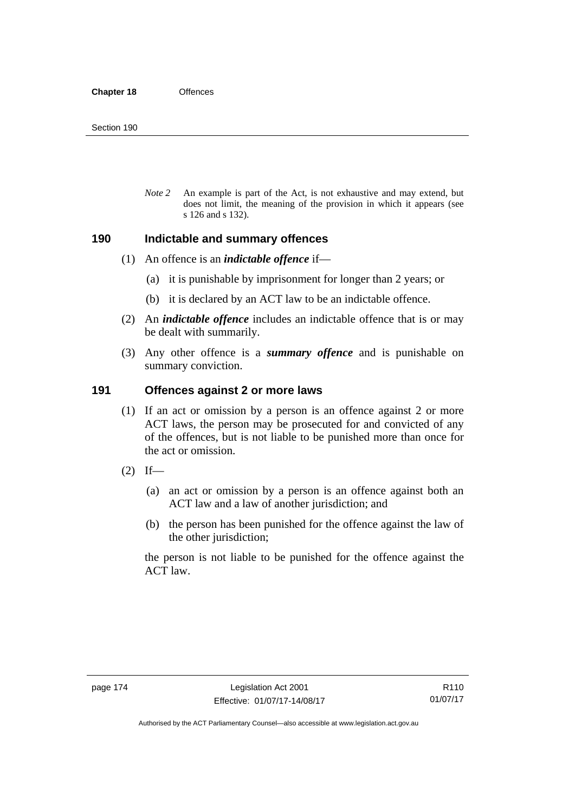*Note 2* An example is part of the Act, is not exhaustive and may extend, but does not limit, the meaning of the provision in which it appears (see s 126 and s 132).

#### **190 Indictable and summary offences**

- (1) An offence is an *indictable offence* if—
	- (a) it is punishable by imprisonment for longer than 2 years; or
	- (b) it is declared by an ACT law to be an indictable offence.
- (2) An *indictable offence* includes an indictable offence that is or may be dealt with summarily.
- (3) Any other offence is a *summary offence* and is punishable on summary conviction.

#### **191 Offences against 2 or more laws**

- (1) If an act or omission by a person is an offence against 2 or more ACT laws, the person may be prosecuted for and convicted of any of the offences, but is not liable to be punished more than once for the act or omission.
- $(2)$  If—
	- (a) an act or omission by a person is an offence against both an ACT law and a law of another jurisdiction; and
	- (b) the person has been punished for the offence against the law of the other jurisdiction;

the person is not liable to be punished for the offence against the ACT law.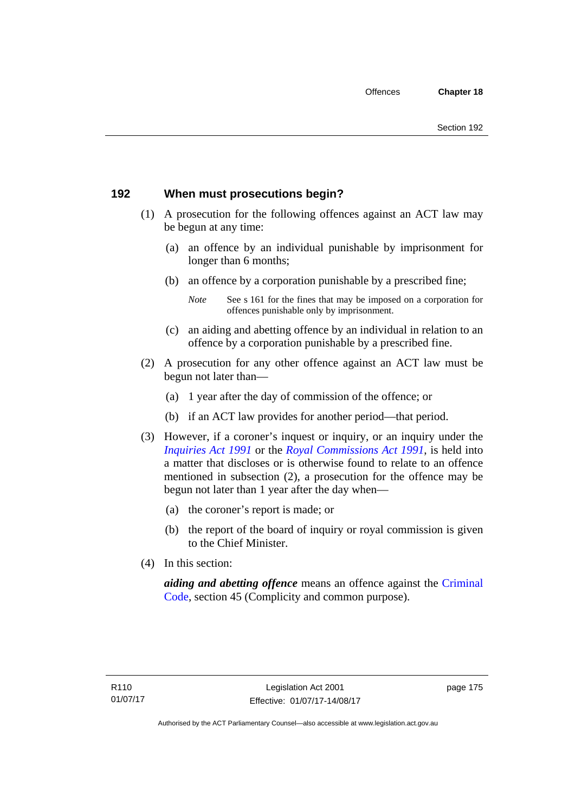## **192 When must prosecutions begin?**

- (1) A prosecution for the following offences against an ACT law may be begun at any time:
	- (a) an offence by an individual punishable by imprisonment for longer than 6 months;
	- (b) an offence by a corporation punishable by a prescribed fine;
		- *Note* See s 161 for the fines that may be imposed on a corporation for offences punishable only by imprisonment.
	- (c) an aiding and abetting offence by an individual in relation to an offence by a corporation punishable by a prescribed fine.
- (2) A prosecution for any other offence against an ACT law must be begun not later than—
	- (a) 1 year after the day of commission of the offence; or
	- (b) if an ACT law provides for another period—that period.
- (3) However, if a coroner's inquest or inquiry, or an inquiry under the *[Inquiries Act 1991](http://www.legislation.act.gov.au/a/1991-2)* or the *[Royal Commissions Act 1991](http://www.legislation.act.gov.au/a/1991-1)*, is held into a matter that discloses or is otherwise found to relate to an offence mentioned in subsection (2), a prosecution for the offence may be begun not later than 1 year after the day when—
	- (a) the coroner's report is made; or
	- (b) the report of the board of inquiry or royal commission is given to the Chief Minister.
- (4) In this section:

*aiding and abetting offence* means an offence against the [Criminal](http://www.legislation.act.gov.au/a/2002-51)  [Code](http://www.legislation.act.gov.au/a/2002-51), section 45 (Complicity and common purpose).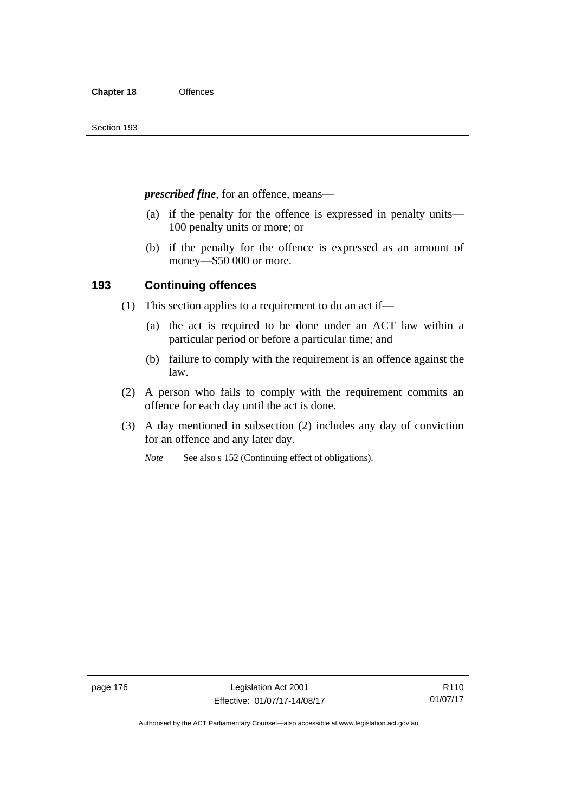*prescribed fine*, for an offence, means—

- (a) if the penalty for the offence is expressed in penalty units— 100 penalty units or more; or
- (b) if the penalty for the offence is expressed as an amount of money—\$50 000 or more.

## **193 Continuing offences**

- (1) This section applies to a requirement to do an act if—
	- (a) the act is required to be done under an ACT law within a particular period or before a particular time; and
	- (b) failure to comply with the requirement is an offence against the law.
- (2) A person who fails to comply with the requirement commits an offence for each day until the act is done.
- (3) A day mentioned in subsection (2) includes any day of conviction for an offence and any later day.

*Note* See also s 152 (Continuing effect of obligations).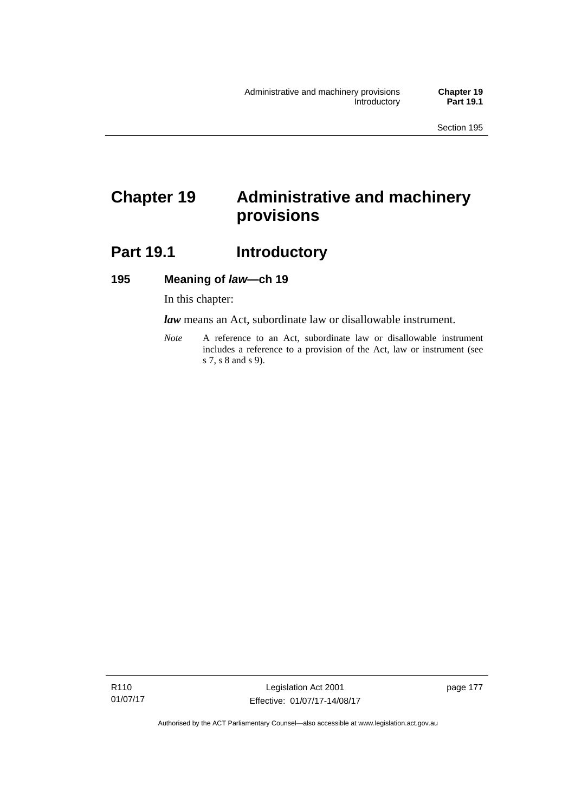# **Chapter 19 Administrative and machinery provisions**

# Part 19.1 **Introductory**

## **195 Meaning of** *law***—ch 19**

In this chapter:

*law* means an Act, subordinate law or disallowable instrument.

*Note* A reference to an Act, subordinate law or disallowable instrument includes a reference to a provision of the Act, law or instrument (see s 7, s 8 and s 9).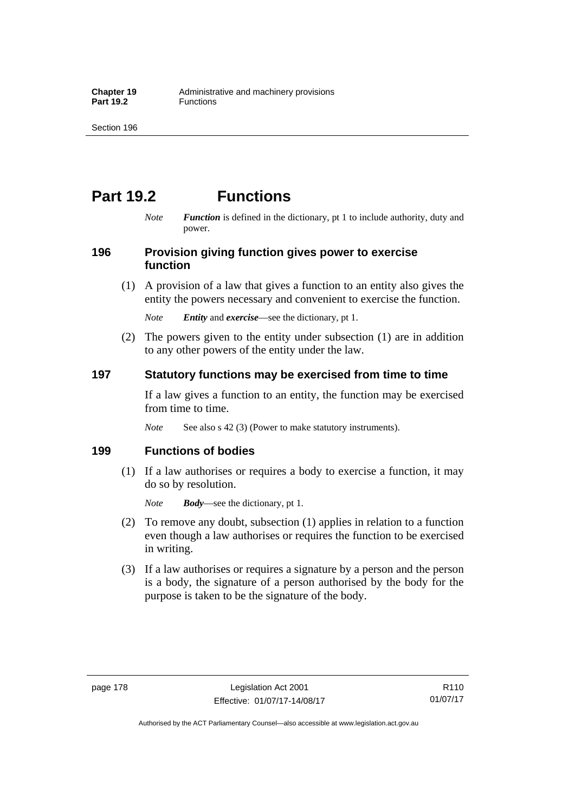# **Part 19.2 Functions**

*Note Function* is defined in the dictionary, pt 1 to include authority, duty and power.

## **196 Provision giving function gives power to exercise function**

 (1) A provision of a law that gives a function to an entity also gives the entity the powers necessary and convenient to exercise the function.

*Note Entity* and *exercise*—see the dictionary, pt 1.

 (2) The powers given to the entity under subsection (1) are in addition to any other powers of the entity under the law.

## **197 Statutory functions may be exercised from time to time**

If a law gives a function to an entity, the function may be exercised from time to time.

*Note* See also s 42 (3) (Power to make statutory instruments).

## **199 Functions of bodies**

 (1) If a law authorises or requires a body to exercise a function, it may do so by resolution.

*Note Body*—see the dictionary, pt 1.

- (2) To remove any doubt, subsection (1) applies in relation to a function even though a law authorises or requires the function to be exercised in writing.
- (3) If a law authorises or requires a signature by a person and the person is a body, the signature of a person authorised by the body for the purpose is taken to be the signature of the body.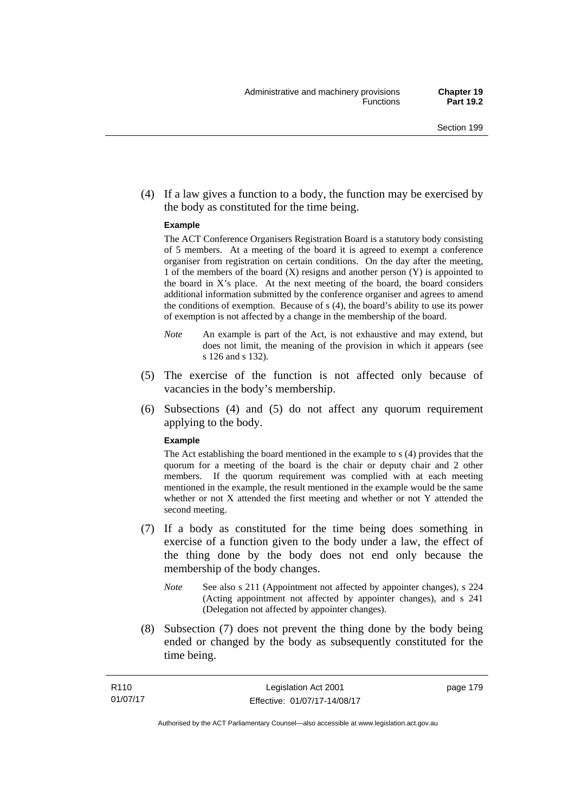(4) If a law gives a function to a body, the function may be exercised by the body as constituted for the time being.

#### **Example**

The ACT Conference Organisers Registration Board is a statutory body consisting of 5 members. At a meeting of the board it is agreed to exempt a conference organiser from registration on certain conditions. On the day after the meeting, 1 of the members of the board (X) resigns and another person (Y) is appointed to the board in  $X$ 's place. At the next meeting of the board, the board considers additional information submitted by the conference organiser and agrees to amend the conditions of exemption. Because of s (4), the board's ability to use its power of exemption is not affected by a change in the membership of the board.

- *Note* An example is part of the Act, is not exhaustive and may extend, but does not limit, the meaning of the provision in which it appears (see s 126 and s 132).
- (5) The exercise of the function is not affected only because of vacancies in the body's membership.
- (6) Subsections (4) and (5) do not affect any quorum requirement applying to the body.

#### **Example**

The Act establishing the board mentioned in the example to s (4) provides that the quorum for a meeting of the board is the chair or deputy chair and 2 other members. If the quorum requirement was complied with at each meeting mentioned in the example, the result mentioned in the example would be the same whether or not X attended the first meeting and whether or not Y attended the second meeting.

- (7) If a body as constituted for the time being does something in exercise of a function given to the body under a law, the effect of the thing done by the body does not end only because the membership of the body changes.
	- *Note* See also s 211 (Appointment not affected by appointer changes), s 224 (Acting appointment not affected by appointer changes), and s 241 (Delegation not affected by appointer changes).
- (8) Subsection (7) does not prevent the thing done by the body being ended or changed by the body as subsequently constituted for the time being.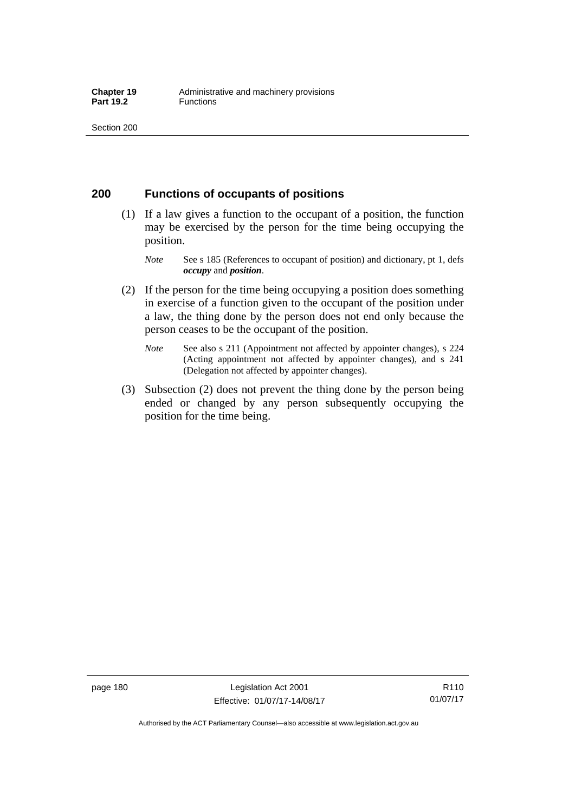## **200 Functions of occupants of positions**

- (1) If a law gives a function to the occupant of a position, the function may be exercised by the person for the time being occupying the position.
	- *Note* See s 185 (References to occupant of position) and dictionary, pt 1, defs *occupy* and *position*.
- (2) If the person for the time being occupying a position does something in exercise of a function given to the occupant of the position under a law, the thing done by the person does not end only because the person ceases to be the occupant of the position.
	- *Note* See also s 211 (Appointment not affected by appointer changes), s 224 (Acting appointment not affected by appointer changes), and s 241 (Delegation not affected by appointer changes).
- (3) Subsection (2) does not prevent the thing done by the person being ended or changed by any person subsequently occupying the position for the time being.

R110 01/07/17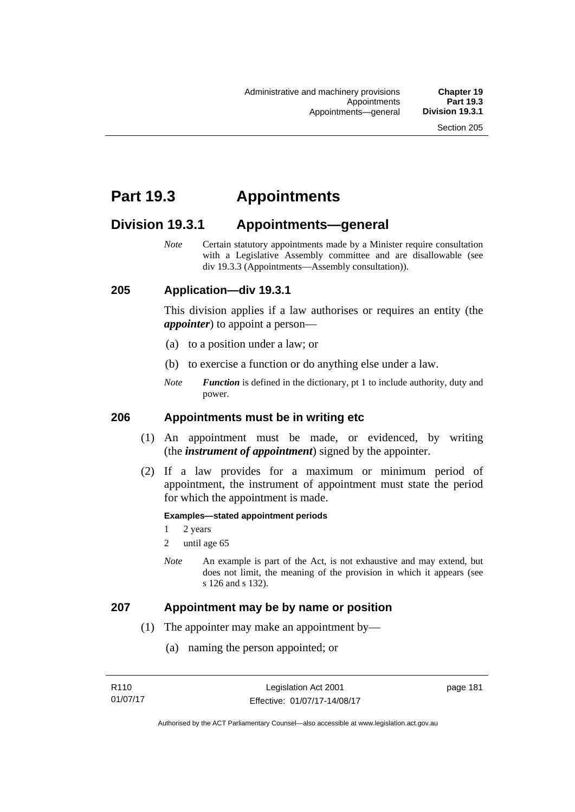# **Part 19.3 Appointments**

# **Division 19.3.1 Appointments—general**

*Note* Certain statutory appointments made by a Minister require consultation with a Legislative Assembly committee and are disallowable (see div 19.3.3 (Appointments—Assembly consultation)).

## **205 Application—div 19.3.1**

This division applies if a law authorises or requires an entity (the *appointer*) to appoint a person—

- (a) to a position under a law; or
- (b) to exercise a function or do anything else under a law.
- *Note Function* is defined in the dictionary, pt 1 to include authority, duty and power.

#### **206 Appointments must be in writing etc**

- (1) An appointment must be made, or evidenced, by writing (the *instrument of appointment*) signed by the appointer.
- (2) If a law provides for a maximum or minimum period of appointment, the instrument of appointment must state the period for which the appointment is made.

#### **Examples—stated appointment periods**

- 1 2 years
- 2 until age 65
- *Note* An example is part of the Act, is not exhaustive and may extend, but does not limit, the meaning of the provision in which it appears (see s 126 and s 132).

#### **207 Appointment may be by name or position**

- (1) The appointer may make an appointment by—
	- (a) naming the person appointed; or

page 181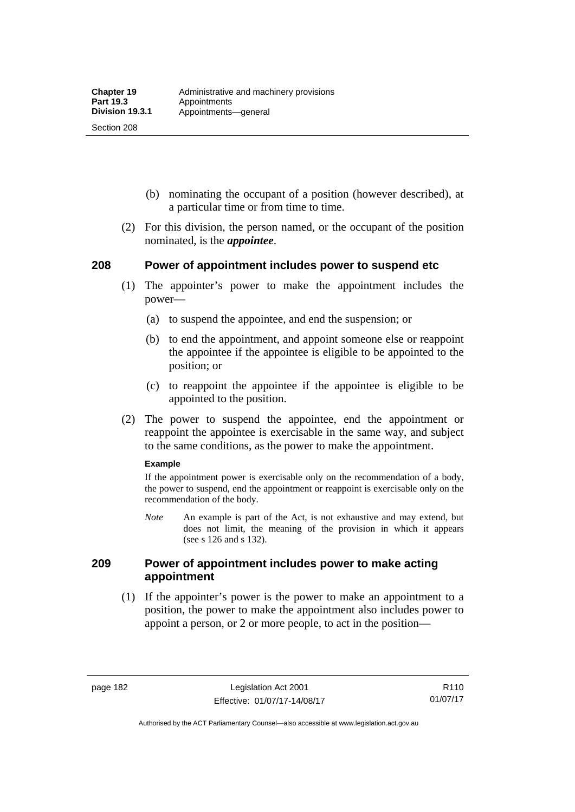Section 208

- (b) nominating the occupant of a position (however described), at a particular time or from time to time.
- (2) For this division, the person named, or the occupant of the position nominated, is the *appointee*.

## **208 Power of appointment includes power to suspend etc**

- (1) The appointer's power to make the appointment includes the power—
	- (a) to suspend the appointee, and end the suspension; or
	- (b) to end the appointment, and appoint someone else or reappoint the appointee if the appointee is eligible to be appointed to the position; or
	- (c) to reappoint the appointee if the appointee is eligible to be appointed to the position.
- (2) The power to suspend the appointee, end the appointment or reappoint the appointee is exercisable in the same way, and subject to the same conditions, as the power to make the appointment.

#### **Example**

If the appointment power is exercisable only on the recommendation of a body, the power to suspend, end the appointment or reappoint is exercisable only on the recommendation of the body.

*Note* An example is part of the Act, is not exhaustive and may extend, but does not limit, the meaning of the provision in which it appears (see s 126 and s 132).

## **209 Power of appointment includes power to make acting appointment**

 (1) If the appointer's power is the power to make an appointment to a position, the power to make the appointment also includes power to appoint a person, or 2 or more people, to act in the position—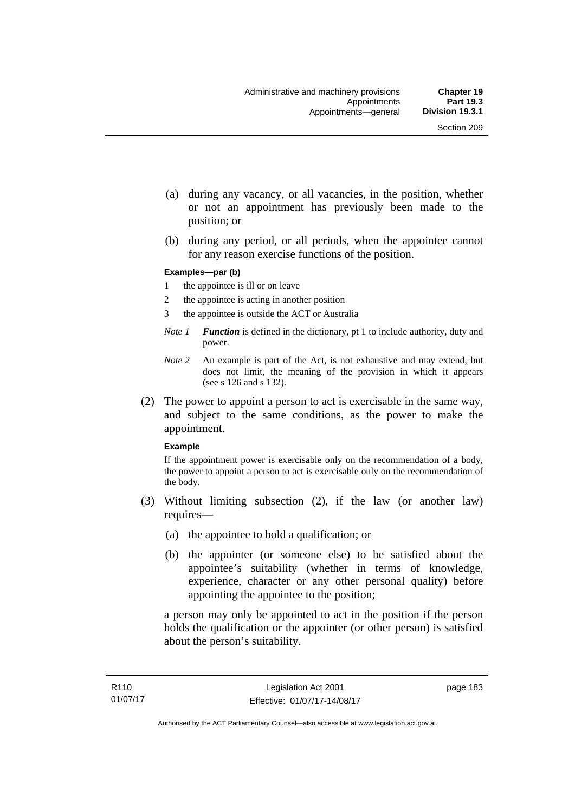- (a) during any vacancy, or all vacancies, in the position, whether or not an appointment has previously been made to the position; or
- (b) during any period, or all periods, when the appointee cannot for any reason exercise functions of the position.

#### **Examples—par (b)**

- 1 the appointee is ill or on leave
- 2 the appointee is acting in another position
- 3 the appointee is outside the ACT or Australia
- *Note 1 Function* is defined in the dictionary, pt 1 to include authority, duty and power.
- *Note 2* An example is part of the Act, is not exhaustive and may extend, but does not limit, the meaning of the provision in which it appears (see s 126 and s 132).
- (2) The power to appoint a person to act is exercisable in the same way, and subject to the same conditions, as the power to make the appointment.

#### **Example**

If the appointment power is exercisable only on the recommendation of a body, the power to appoint a person to act is exercisable only on the recommendation of the body.

- (3) Without limiting subsection (2), if the law (or another law) requires—
	- (a) the appointee to hold a qualification; or
	- (b) the appointer (or someone else) to be satisfied about the appointee's suitability (whether in terms of knowledge, experience, character or any other personal quality) before appointing the appointee to the position;

a person may only be appointed to act in the position if the person holds the qualification or the appointer (or other person) is satisfied about the person's suitability.

page 183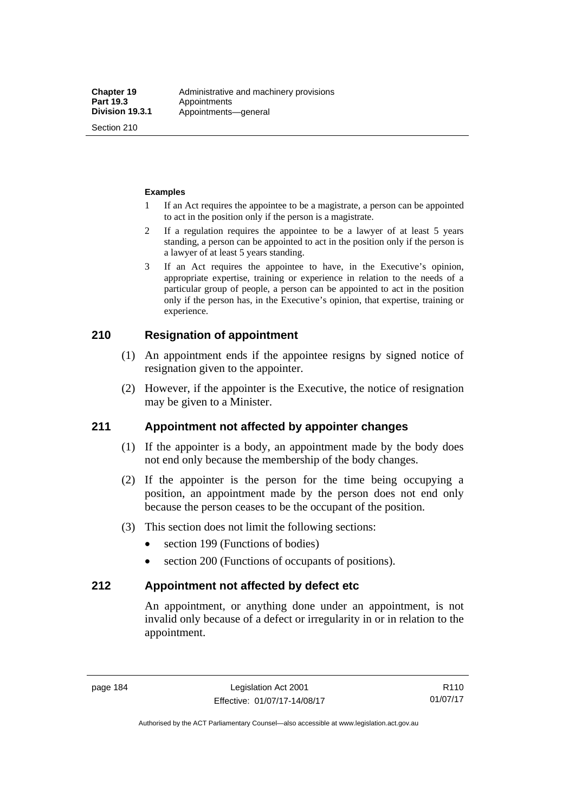Section 210

#### **Examples**

- 1 If an Act requires the appointee to be a magistrate, a person can be appointed to act in the position only if the person is a magistrate.
- 2 If a regulation requires the appointee to be a lawyer of at least 5 years standing, a person can be appointed to act in the position only if the person is a lawyer of at least 5 years standing.
- 3 If an Act requires the appointee to have, in the Executive's opinion, appropriate expertise, training or experience in relation to the needs of a particular group of people, a person can be appointed to act in the position only if the person has, in the Executive's opinion, that expertise, training or experience.

## **210 Resignation of appointment**

- (1) An appointment ends if the appointee resigns by signed notice of resignation given to the appointer.
- (2) However, if the appointer is the Executive, the notice of resignation may be given to a Minister.

## **211 Appointment not affected by appointer changes**

- (1) If the appointer is a body, an appointment made by the body does not end only because the membership of the body changes.
- (2) If the appointer is the person for the time being occupying a position, an appointment made by the person does not end only because the person ceases to be the occupant of the position.
- (3) This section does not limit the following sections:
	- section 199 (Functions of bodies)
	- section 200 (Functions of occupants of positions).

## **212 Appointment not affected by defect etc**

An appointment, or anything done under an appointment, is not invalid only because of a defect or irregularity in or in relation to the appointment.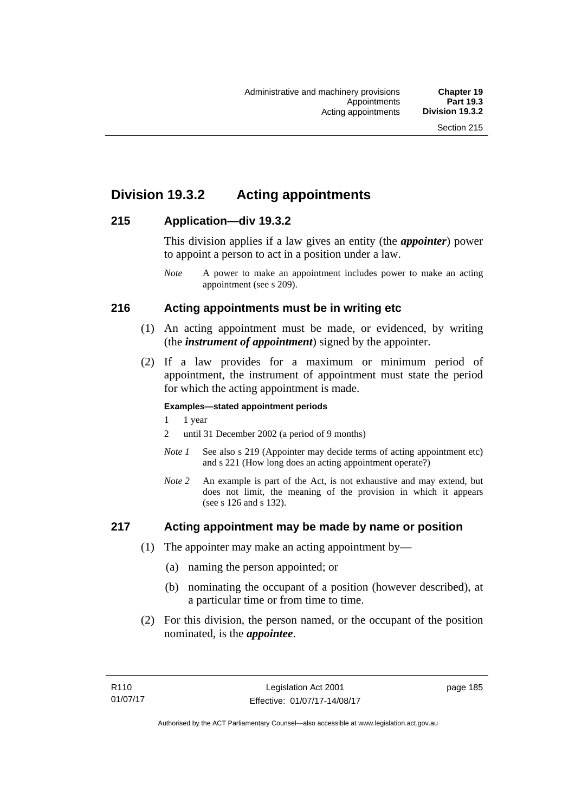# **Division 19.3.2 Acting appointments**

## **215 Application—div 19.3.2**

This division applies if a law gives an entity (the *appointer*) power to appoint a person to act in a position under a law.

## **216 Acting appointments must be in writing etc**

- (1) An acting appointment must be made, or evidenced, by writing (the *instrument of appointment*) signed by the appointer.
- (2) If a law provides for a maximum or minimum period of appointment, the instrument of appointment must state the period for which the acting appointment is made.

#### **Examples—stated appointment periods**

- 1 1 year
- 2 until 31 December 2002 (a period of 9 months)
- *Note 1* See also s 219 (Appointer may decide terms of acting appointment etc) and s 221 (How long does an acting appointment operate?)
- *Note 2* An example is part of the Act, is not exhaustive and may extend, but does not limit, the meaning of the provision in which it appears (see s 126 and s 132).

## **217 Acting appointment may be made by name or position**

- (1) The appointer may make an acting appointment by—
	- (a) naming the person appointed; or
	- (b) nominating the occupant of a position (however described), at a particular time or from time to time.
- (2) For this division, the person named, or the occupant of the position nominated, is the *appointee*.

*Note* A power to make an appointment includes power to make an acting appointment (see s 209).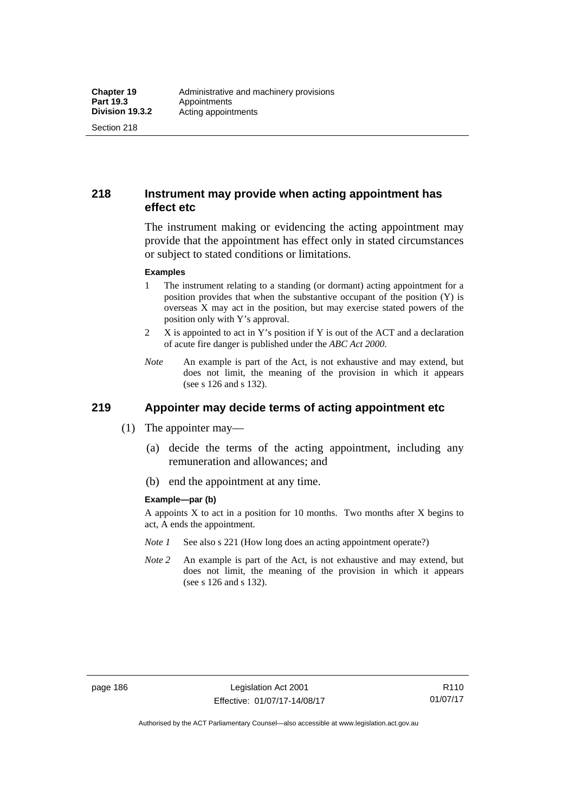Section 218

## **218 Instrument may provide when acting appointment has effect etc**

The instrument making or evidencing the acting appointment may provide that the appointment has effect only in stated circumstances or subject to stated conditions or limitations.

#### **Examples**

- 1 The instrument relating to a standing (or dormant) acting appointment for a position provides that when the substantive occupant of the position (Y) is overseas X may act in the position, but may exercise stated powers of the position only with Y's approval.
- 2 X is appointed to act in Y's position if Y is out of the ACT and a declaration of acute fire danger is published under the *ABC Act 2000*.
- *Note* An example is part of the Act, is not exhaustive and may extend, but does not limit, the meaning of the provision in which it appears (see s 126 and s 132).

# **219 Appointer may decide terms of acting appointment etc**

- (1) The appointer may—
	- (a) decide the terms of the acting appointment, including any remuneration and allowances; and
	- (b) end the appointment at any time.

#### **Example—par (b)**

A appoints  $X$  to act in a position for 10 months. Two months after  $X$  begins to act, A ends the appointment.

- *Note 1* See also s 221 (How long does an acting appointment operate?)
- *Note 2* An example is part of the Act, is not exhaustive and may extend, but does not limit, the meaning of the provision in which it appears (see s 126 and s 132).

R110 01/07/17

Authorised by the ACT Parliamentary Counsel—also accessible at www.legislation.act.gov.au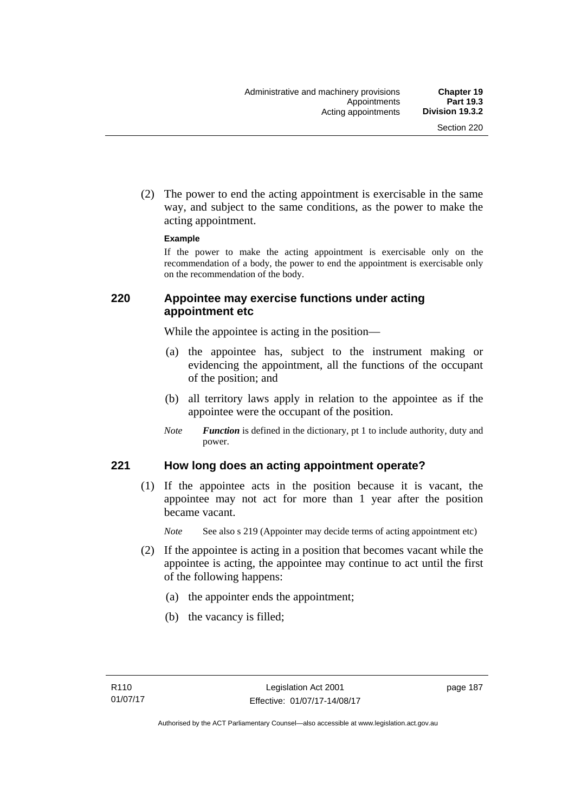(2) The power to end the acting appointment is exercisable in the same way, and subject to the same conditions, as the power to make the acting appointment.

#### **Example**

If the power to make the acting appointment is exercisable only on the recommendation of a body, the power to end the appointment is exercisable only on the recommendation of the body.

## **220 Appointee may exercise functions under acting appointment etc**

While the appointee is acting in the position—

- (a) the appointee has, subject to the instrument making or evidencing the appointment, all the functions of the occupant of the position; and
- (b) all territory laws apply in relation to the appointee as if the appointee were the occupant of the position.
- *Note Function* is defined in the dictionary, pt 1 to include authority, duty and power.

## **221 How long does an acting appointment operate?**

 (1) If the appointee acts in the position because it is vacant, the appointee may not act for more than 1 year after the position became vacant.

*Note* See also s 219 (Appointer may decide terms of acting appointment etc)

- (2) If the appointee is acting in a position that becomes vacant while the appointee is acting, the appointee may continue to act until the first of the following happens:
	- (a) the appointer ends the appointment;
	- (b) the vacancy is filled;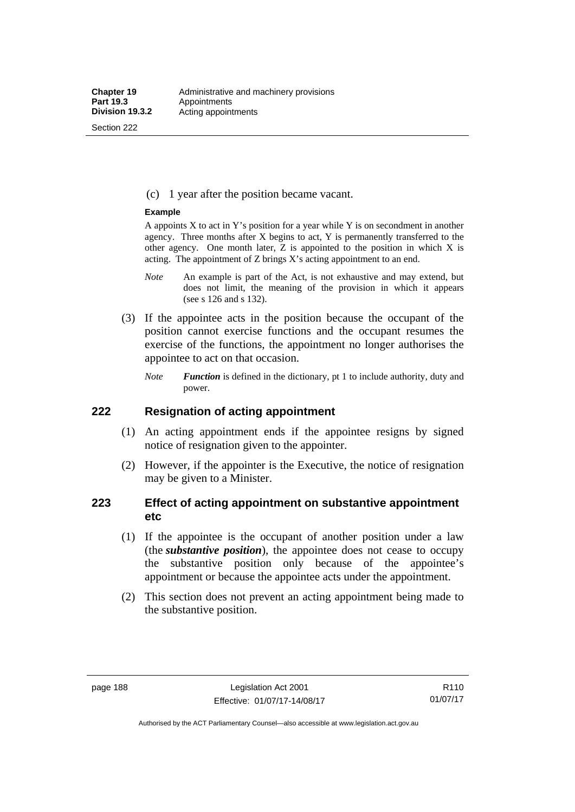Section 222

(c) 1 year after the position became vacant.

#### **Example**

A appoints  $X$  to act in Y's position for a year while Y is on secondment in another agency. Three months after X begins to act, Y is permanently transferred to the other agency. One month later,  $Z$  is appointed to the position in which  $X$  is acting. The appointment of Z brings X's acting appointment to an end.

- *Note* An example is part of the Act, is not exhaustive and may extend, but does not limit, the meaning of the provision in which it appears (see s 126 and s 132).
- (3) If the appointee acts in the position because the occupant of the position cannot exercise functions and the occupant resumes the exercise of the functions, the appointment no longer authorises the appointee to act on that occasion.
	- *Note Function* is defined in the dictionary, pt 1 to include authority, duty and power.

### **222 Resignation of acting appointment**

- (1) An acting appointment ends if the appointee resigns by signed notice of resignation given to the appointer.
- (2) However, if the appointer is the Executive, the notice of resignation may be given to a Minister.

## **223 Effect of acting appointment on substantive appointment etc**

- (1) If the appointee is the occupant of another position under a law (the *substantive position*), the appointee does not cease to occupy the substantive position only because of the appointee's appointment or because the appointee acts under the appointment.
- (2) This section does not prevent an acting appointment being made to the substantive position.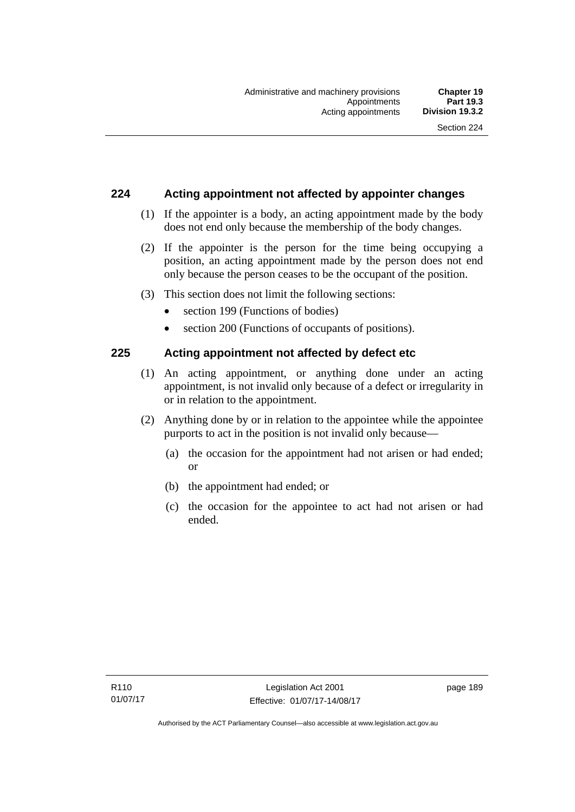## **224 Acting appointment not affected by appointer changes**

- (1) If the appointer is a body, an acting appointment made by the body does not end only because the membership of the body changes.
- (2) If the appointer is the person for the time being occupying a position, an acting appointment made by the person does not end only because the person ceases to be the occupant of the position.
- (3) This section does not limit the following sections:
	- section 199 (Functions of bodies)
	- section 200 (Functions of occupants of positions).

## **225 Acting appointment not affected by defect etc**

- (1) An acting appointment, or anything done under an acting appointment, is not invalid only because of a defect or irregularity in or in relation to the appointment.
- (2) Anything done by or in relation to the appointee while the appointee purports to act in the position is not invalid only because—
	- (a) the occasion for the appointment had not arisen or had ended; or
	- (b) the appointment had ended; or
	- (c) the occasion for the appointee to act had not arisen or had ended.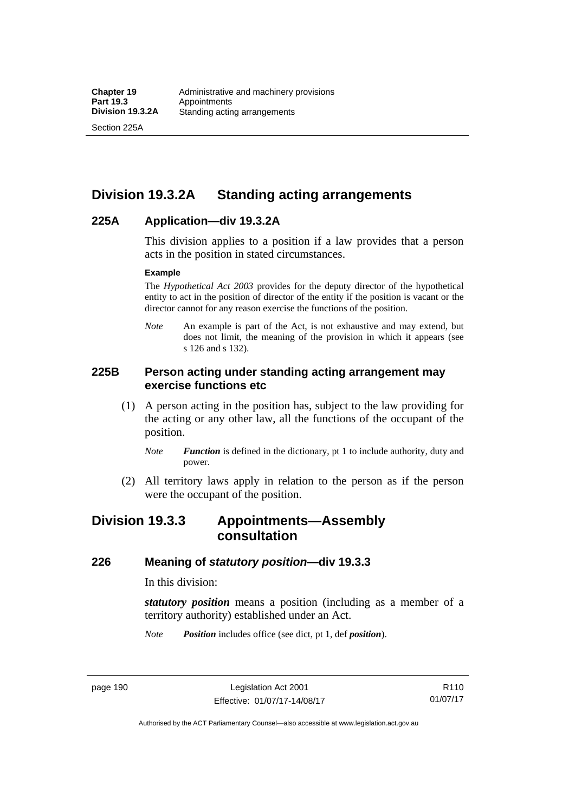Section 225A

# **Division 19.3.2A Standing acting arrangements**

## **225A Application—div 19.3.2A**

This division applies to a position if a law provides that a person acts in the position in stated circumstances.

#### **Example**

The *Hypothetical Act 2003* provides for the deputy director of the hypothetical entity to act in the position of director of the entity if the position is vacant or the director cannot for any reason exercise the functions of the position.

*Note* An example is part of the Act, is not exhaustive and may extend, but does not limit, the meaning of the provision in which it appears (see s 126 and s 132).

## **225B Person acting under standing acting arrangement may exercise functions etc**

- (1) A person acting in the position has, subject to the law providing for the acting or any other law, all the functions of the occupant of the position.
	- *Note Function* is defined in the dictionary, pt 1 to include authority, duty and power.
- (2) All territory laws apply in relation to the person as if the person were the occupant of the position.

# **Division 19.3.3 Appointments—Assembly consultation**

#### **226 Meaning of** *statutory position***—div 19.3.3**

In this division:

*statutory position* means a position (including as a member of a territory authority) established under an Act.

*Note Position* includes office (see dict, pt 1, def *position*).

page 190 Legislation Act 2001 Effective: 01/07/17-14/08/17

Authorised by the ACT Parliamentary Counsel—also accessible at www.legislation.act.gov.au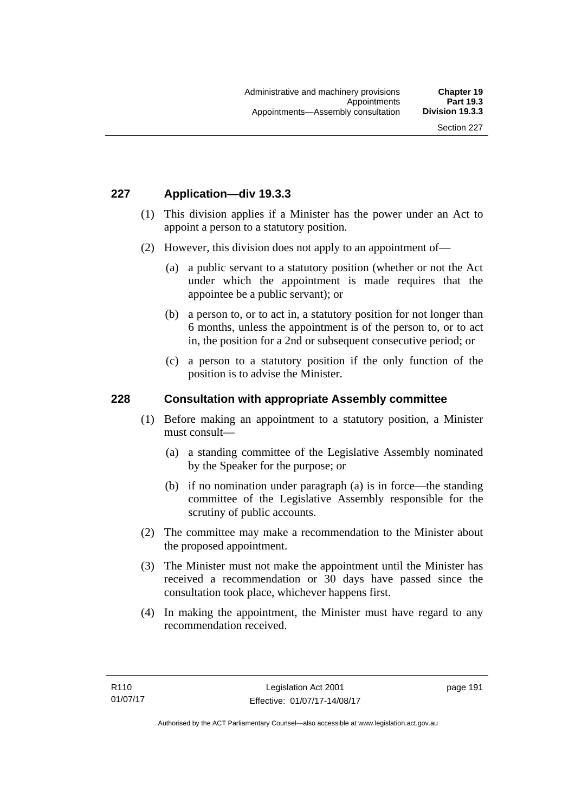## **227 Application—div 19.3.3**

- (1) This division applies if a Minister has the power under an Act to appoint a person to a statutory position.
- (2) However, this division does not apply to an appointment of—
	- (a) a public servant to a statutory position (whether or not the Act under which the appointment is made requires that the appointee be a public servant); or
	- (b) a person to, or to act in, a statutory position for not longer than 6 months, unless the appointment is of the person to, or to act in, the position for a 2nd or subsequent consecutive period; or
	- (c) a person to a statutory position if the only function of the position is to advise the Minister.

#### **228 Consultation with appropriate Assembly committee**

- (1) Before making an appointment to a statutory position, a Minister must consult—
	- (a) a standing committee of the Legislative Assembly nominated by the Speaker for the purpose; or
	- (b) if no nomination under paragraph (a) is in force—the standing committee of the Legislative Assembly responsible for the scrutiny of public accounts.
- (2) The committee may make a recommendation to the Minister about the proposed appointment.
- (3) The Minister must not make the appointment until the Minister has received a recommendation or 30 days have passed since the consultation took place, whichever happens first.
- (4) In making the appointment, the Minister must have regard to any recommendation received.

page 191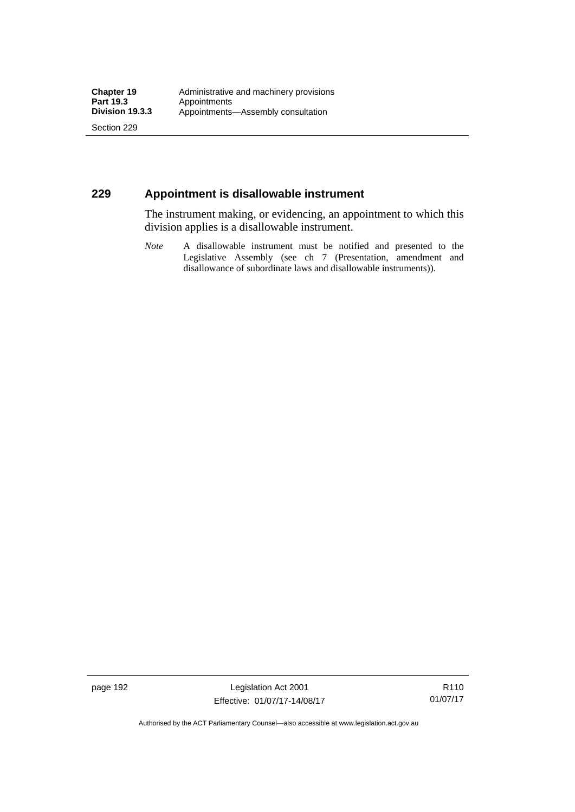Section 229

## **229 Appointment is disallowable instrument**

The instrument making, or evidencing, an appointment to which this division applies is a disallowable instrument.

*Note* A disallowable instrument must be notified and presented to the Legislative Assembly (see ch 7 (Presentation, amendment and disallowance of subordinate laws and disallowable instruments)).

page 192 Legislation Act 2001 Effective: 01/07/17-14/08/17

R110 01/07/17

Authorised by the ACT Parliamentary Counsel—also accessible at www.legislation.act.gov.au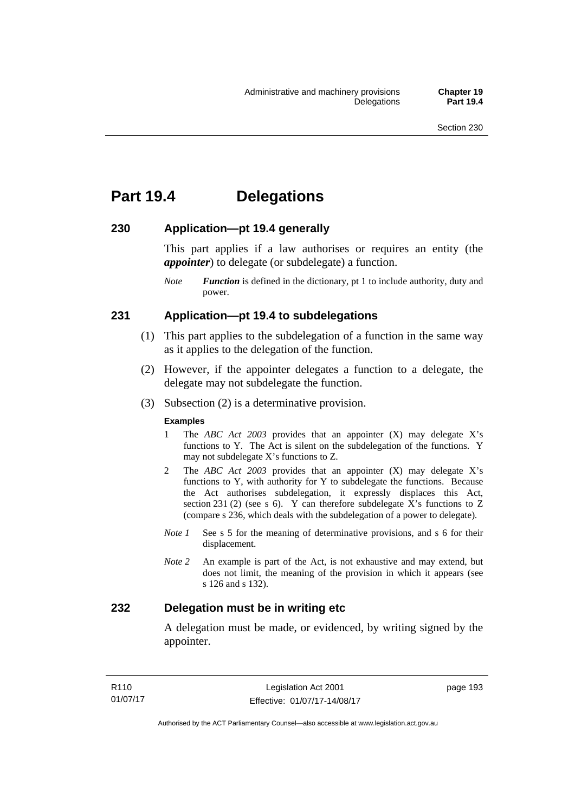# **Part 19.4 Delegations**

### **230 Application—pt 19.4 generally**

This part applies if a law authorises or requires an entity (the *appointer*) to delegate (or subdelegate) a function.

*Note Function* is defined in the dictionary, pt 1 to include authority, duty and power.

#### **231 Application—pt 19.4 to subdelegations**

- (1) This part applies to the subdelegation of a function in the same way as it applies to the delegation of the function.
- (2) However, if the appointer delegates a function to a delegate, the delegate may not subdelegate the function.
- (3) Subsection (2) is a determinative provision.

#### **Examples**

- 1 The *ABC Act 2003* provides that an appointer (X) may delegate X's functions to Y. The Act is silent on the subdelegation of the functions. Y may not subdelegate X's functions to Z.
- 2 The *ABC Act 2003* provides that an appointer (X) may delegate X's functions to Y, with authority for Y to subdelegate the functions. Because the Act authorises subdelegation, it expressly displaces this Act, section 231 (2) (see s 6). Y can therefore subdelegate  $\overline{X}$ 's functions to Z (compare s 236, which deals with the subdelegation of a power to delegate)*.*
- *Note 1* See s 5 for the meaning of determinative provisions, and s 6 for their displacement.
- *Note 2* An example is part of the Act, is not exhaustive and may extend, but does not limit, the meaning of the provision in which it appears (see s 126 and s 132).

## **232 Delegation must be in writing etc**

A delegation must be made, or evidenced, by writing signed by the appointer.

page 193

Authorised by the ACT Parliamentary Counsel—also accessible at www.legislation.act.gov.au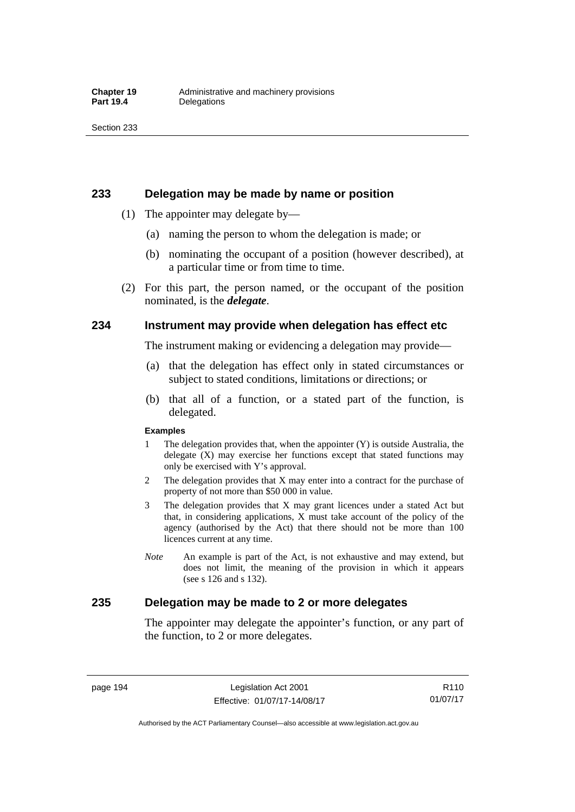#### **233 Delegation may be made by name or position**

- (1) The appointer may delegate by—
	- (a) naming the person to whom the delegation is made; or
	- (b) nominating the occupant of a position (however described), at a particular time or from time to time.
- (2) For this part, the person named, or the occupant of the position nominated, is the *delegate*.

### **234 Instrument may provide when delegation has effect etc**

The instrument making or evidencing a delegation may provide—

- (a) that the delegation has effect only in stated circumstances or subject to stated conditions, limitations or directions; or
- (b) that all of a function, or a stated part of the function, is delegated.

#### **Examples**

- 1 The delegation provides that, when the appointer (Y) is outside Australia, the delegate (X) may exercise her functions except that stated functions may only be exercised with Y's approval.
- 2 The delegation provides that X may enter into a contract for the purchase of property of not more than \$50 000 in value.
- 3 The delegation provides that X may grant licences under a stated Act but that, in considering applications, X must take account of the policy of the agency (authorised by the Act) that there should not be more than 100 licences current at any time.
- *Note* An example is part of the Act, is not exhaustive and may extend, but does not limit, the meaning of the provision in which it appears (see s 126 and s 132).

## **235 Delegation may be made to 2 or more delegates**

The appointer may delegate the appointer's function, or any part of the function, to 2 or more delegates.

page 194 Legislation Act 2001 Effective: 01/07/17-14/08/17

Authorised by the ACT Parliamentary Counsel—also accessible at www.legislation.act.gov.au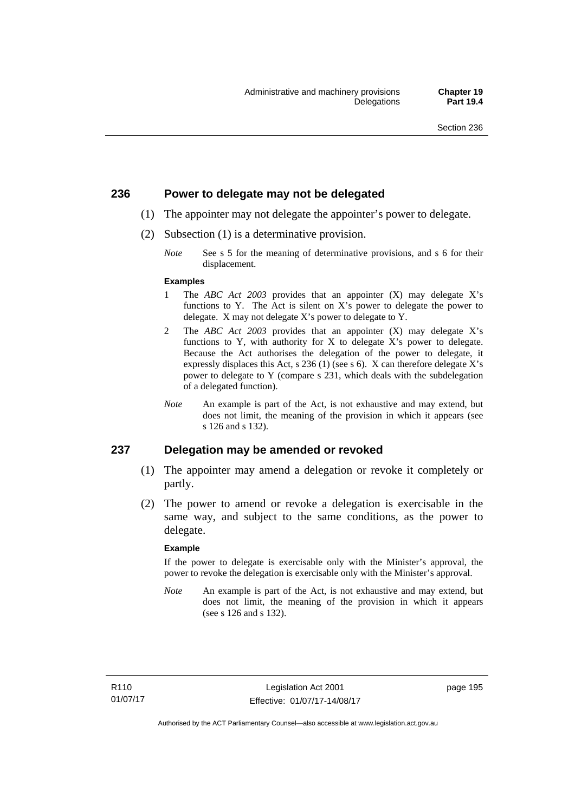#### **236 Power to delegate may not be delegated**

- (1) The appointer may not delegate the appointer's power to delegate.
- (2) Subsection (1) is a determinative provision.
	- *Note* See s 5 for the meaning of determinative provisions, and s 6 for their displacement.

#### **Examples**

- 1 The *ABC Act 2003* provides that an appointer (X) may delegate X's functions to Y. The Act is silent on X's power to delegate the power to delegate. X may not delegate X's power to delegate to Y.
- 2 The *ABC Act 2003* provides that an appointer (X) may delegate X's functions to Y, with authority for X to delegate X's power to delegate. Because the Act authorises the delegation of the power to delegate, it expressly displaces this Act, s 236 (1) (see s 6). X can therefore delegate X's power to delegate to Y (compare s 231, which deals with the subdelegation of a delegated function).
- *Note* An example is part of the Act, is not exhaustive and may extend, but does not limit, the meaning of the provision in which it appears (see s 126 and s 132).

#### **237 Delegation may be amended or revoked**

- (1) The appointer may amend a delegation or revoke it completely or partly.
- (2) The power to amend or revoke a delegation is exercisable in the same way, and subject to the same conditions, as the power to delegate.

#### **Example**

If the power to delegate is exercisable only with the Minister's approval, the power to revoke the delegation is exercisable only with the Minister's approval.

*Note* An example is part of the Act, is not exhaustive and may extend, but does not limit, the meaning of the provision in which it appears (see s 126 and s 132).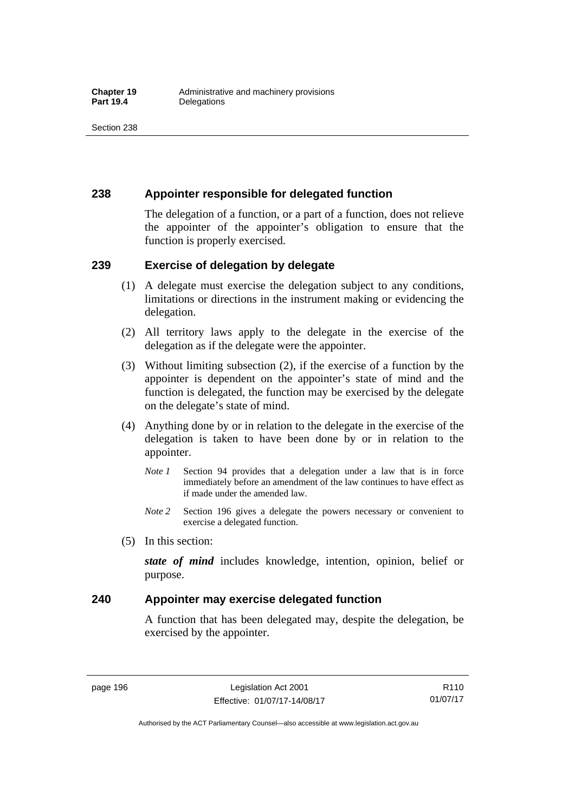## **238 Appointer responsible for delegated function**

The delegation of a function, or a part of a function, does not relieve the appointer of the appointer's obligation to ensure that the function is properly exercised.

## **239 Exercise of delegation by delegate**

- (1) A delegate must exercise the delegation subject to any conditions, limitations or directions in the instrument making or evidencing the delegation.
- (2) All territory laws apply to the delegate in the exercise of the delegation as if the delegate were the appointer.
- (3) Without limiting subsection (2), if the exercise of a function by the appointer is dependent on the appointer's state of mind and the function is delegated, the function may be exercised by the delegate on the delegate's state of mind.
- (4) Anything done by or in relation to the delegate in the exercise of the delegation is taken to have been done by or in relation to the appointer.
	- *Note 1* Section 94 provides that a delegation under a law that is in force immediately before an amendment of the law continues to have effect as if made under the amended law.
	- *Note 2* Section 196 gives a delegate the powers necessary or convenient to exercise a delegated function.
- (5) In this section:

*state of mind* includes knowledge, intention, opinion, belief or purpose.

## **240 Appointer may exercise delegated function**

A function that has been delegated may, despite the delegation, be exercised by the appointer.

page 196 Legislation Act 2001 Effective: 01/07/17-14/08/17

Authorised by the ACT Parliamentary Counsel—also accessible at www.legislation.act.gov.au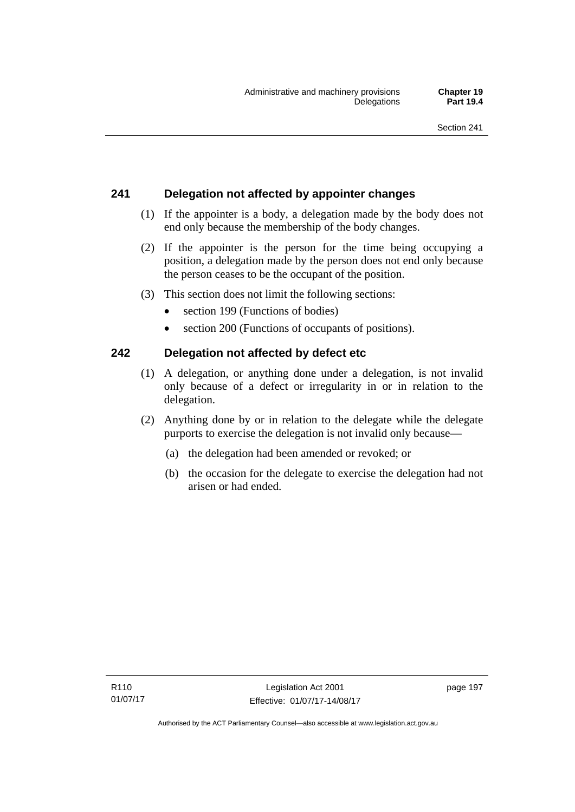# **241 Delegation not affected by appointer changes**

- (1) If the appointer is a body, a delegation made by the body does not end only because the membership of the body changes.
- (2) If the appointer is the person for the time being occupying a position, a delegation made by the person does not end only because the person ceases to be the occupant of the position.
- (3) This section does not limit the following sections:
	- section 199 (Functions of bodies)
	- section 200 (Functions of occupants of positions).

## **242 Delegation not affected by defect etc**

- (1) A delegation, or anything done under a delegation, is not invalid only because of a defect or irregularity in or in relation to the delegation.
- (2) Anything done by or in relation to the delegate while the delegate purports to exercise the delegation is not invalid only because—
	- (a) the delegation had been amended or revoked; or
	- (b) the occasion for the delegate to exercise the delegation had not arisen or had ended.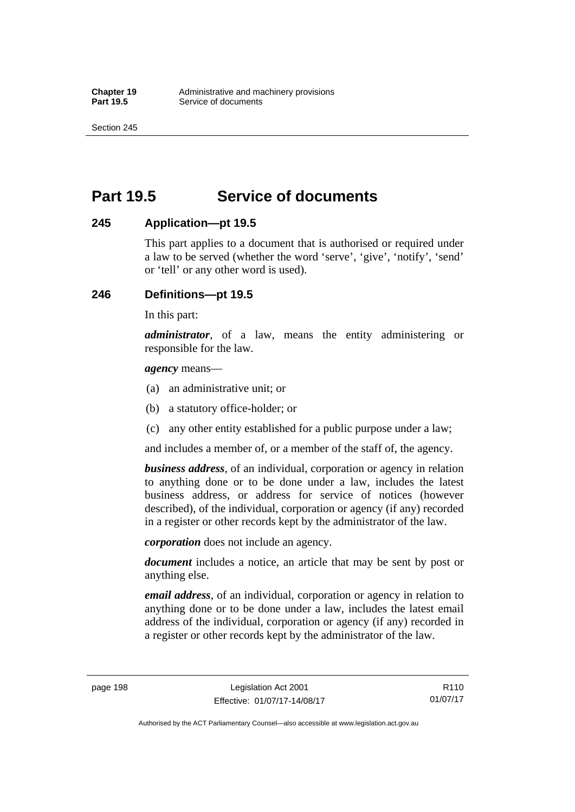Section 245

# **Part 19.5 Service of documents**

## **245 Application—pt 19.5**

This part applies to a document that is authorised or required under a law to be served (whether the word 'serve', 'give', 'notify', 'send' or 'tell' or any other word is used).

## **246 Definitions—pt 19.5**

In this part:

*administrator*, of a law, means the entity administering or responsible for the law.

*agency* means—

- (a) an administrative unit; or
- (b) a statutory office-holder; or
- (c) any other entity established for a public purpose under a law;

and includes a member of, or a member of the staff of, the agency.

*business address*, of an individual, corporation or agency in relation to anything done or to be done under a law, includes the latest business address, or address for service of notices (however described), of the individual, corporation or agency (if any) recorded in a register or other records kept by the administrator of the law.

*corporation* does not include an agency.

*document* includes a notice, an article that may be sent by post or anything else.

*email address*, of an individual, corporation or agency in relation to anything done or to be done under a law, includes the latest email address of the individual, corporation or agency (if any) recorded in a register or other records kept by the administrator of the law.

page 198 Legislation Act 2001 Effective: 01/07/17-14/08/17

Authorised by the ACT Parliamentary Counsel—also accessible at www.legislation.act.gov.au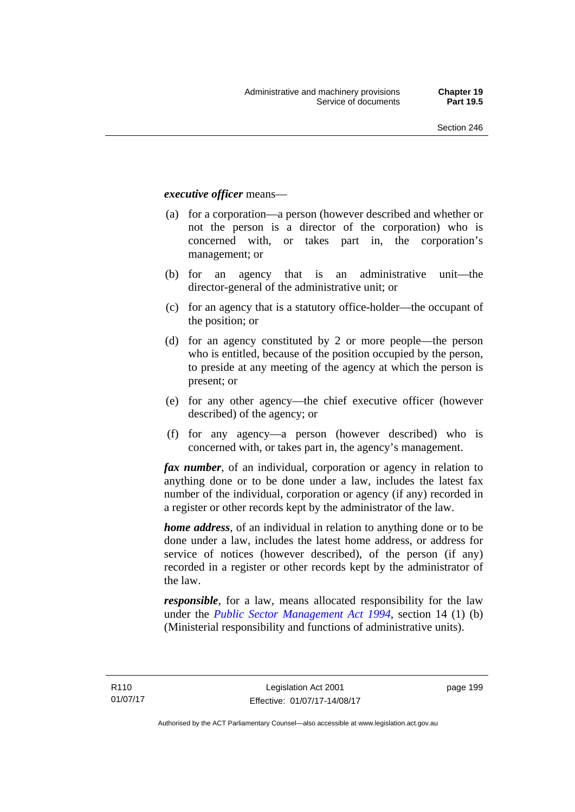#### *executive officer* means—

- (a) for a corporation—a person (however described and whether or not the person is a director of the corporation) who is concerned with, or takes part in, the corporation's management; or
- (b) for an agency that is an administrative unit—the director-general of the administrative unit; or
- (c) for an agency that is a statutory office-holder—the occupant of the position; or
- (d) for an agency constituted by 2 or more people—the person who is entitled, because of the position occupied by the person, to preside at any meeting of the agency at which the person is present; or
- (e) for any other agency—the chief executive officer (however described) of the agency; or
- (f) for any agency—a person (however described) who is concerned with, or takes part in, the agency's management.

*fax number*, of an individual, corporation or agency in relation to anything done or to be done under a law, includes the latest fax number of the individual, corporation or agency (if any) recorded in a register or other records kept by the administrator of the law.

*home address*, of an individual in relation to anything done or to be done under a law, includes the latest home address, or address for service of notices (however described), of the person (if any) recorded in a register or other records kept by the administrator of the law.

*responsible*, for a law, means allocated responsibility for the law under the *[Public Sector Management Act 1994](http://www.legislation.act.gov.au/a/1994-37)*, section 14 (1) (b) (Ministerial responsibility and functions of administrative units).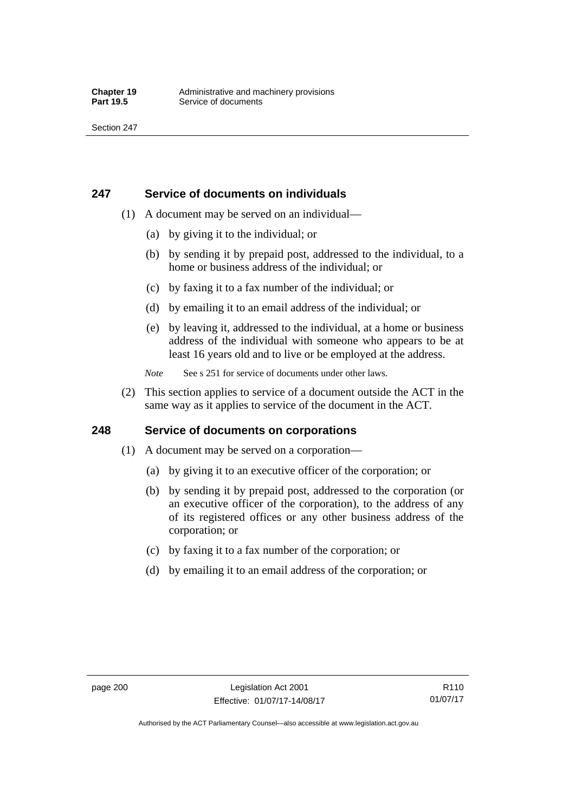## **247 Service of documents on individuals**

- (1) A document may be served on an individual—
	- (a) by giving it to the individual; or
	- (b) by sending it by prepaid post, addressed to the individual, to a home or business address of the individual; or
	- (c) by faxing it to a fax number of the individual; or
	- (d) by emailing it to an email address of the individual; or
	- (e) by leaving it, addressed to the individual, at a home or business address of the individual with someone who appears to be at least 16 years old and to live or be employed at the address.
	- *Note* See s 251 for service of documents under other laws.
- (2) This section applies to service of a document outside the ACT in the same way as it applies to service of the document in the ACT.

## **248 Service of documents on corporations**

- (1) A document may be served on a corporation—
	- (a) by giving it to an executive officer of the corporation; or
	- (b) by sending it by prepaid post, addressed to the corporation (or an executive officer of the corporation), to the address of any of its registered offices or any other business address of the corporation; or
	- (c) by faxing it to a fax number of the corporation; or
	- (d) by emailing it to an email address of the corporation; or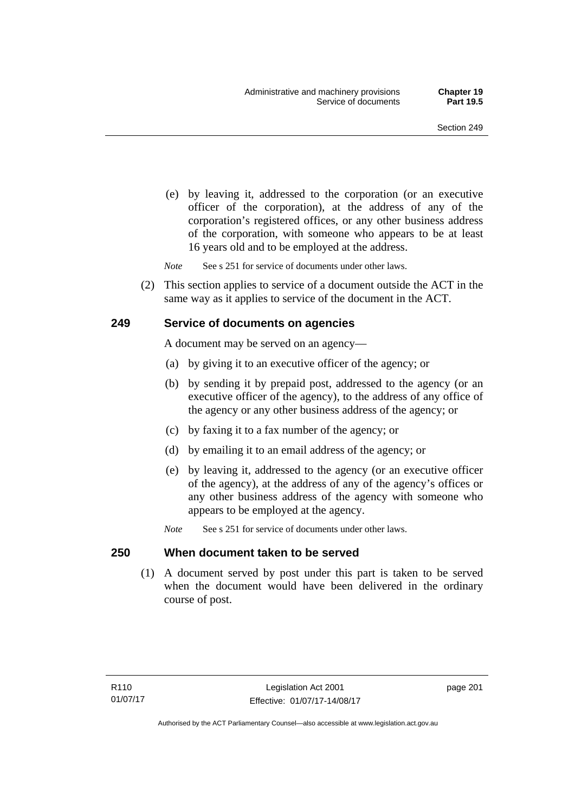(e) by leaving it, addressed to the corporation (or an executive officer of the corporation), at the address of any of the corporation's registered offices, or any other business address of the corporation, with someone who appears to be at least 16 years old and to be employed at the address.

*Note* See s 251 for service of documents under other laws.

 (2) This section applies to service of a document outside the ACT in the same way as it applies to service of the document in the ACT.

## **249 Service of documents on agencies**

A document may be served on an agency—

- (a) by giving it to an executive officer of the agency; or
- (b) by sending it by prepaid post, addressed to the agency (or an executive officer of the agency), to the address of any office of the agency or any other business address of the agency; or
- (c) by faxing it to a fax number of the agency; or
- (d) by emailing it to an email address of the agency; or
- (e) by leaving it, addressed to the agency (or an executive officer of the agency), at the address of any of the agency's offices or any other business address of the agency with someone who appears to be employed at the agency.
- *Note* See s 251 for service of documents under other laws.

## **250 When document taken to be served**

 (1) A document served by post under this part is taken to be served when the document would have been delivered in the ordinary course of post.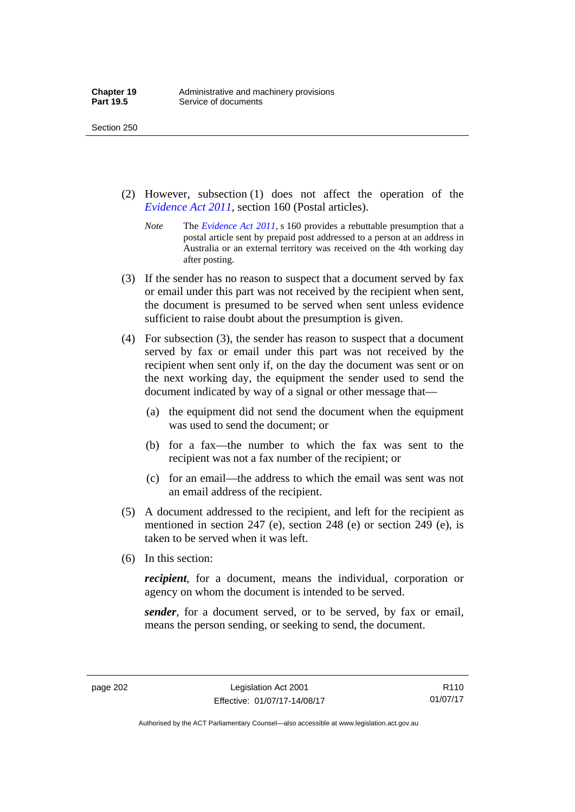Section 250

- (2) However, subsection (1) does not affect the operation of the *[Evidence Act 2011](http://www.legislation.act.gov.au/a/2011-12)*, section 160 (Postal articles).
	- *Note* The *[Evidence Act 2011](http://www.legislation.act.gov.au/a/2011-12)*, s 160 provides a rebuttable presumption that a postal article sent by prepaid post addressed to a person at an address in Australia or an external territory was received on the 4th working day after posting.
- (3) If the sender has no reason to suspect that a document served by fax or email under this part was not received by the recipient when sent, the document is presumed to be served when sent unless evidence sufficient to raise doubt about the presumption is given.
- (4) For subsection (3), the sender has reason to suspect that a document served by fax or email under this part was not received by the recipient when sent only if, on the day the document was sent or on the next working day, the equipment the sender used to send the document indicated by way of a signal or other message that—
	- (a) the equipment did not send the document when the equipment was used to send the document; or
	- (b) for a fax—the number to which the fax was sent to the recipient was not a fax number of the recipient; or
	- (c) for an email—the address to which the email was sent was not an email address of the recipient.
- (5) A document addressed to the recipient, and left for the recipient as mentioned in section 247 (e), section 248 (e) or section 249 (e), is taken to be served when it was left.
- (6) In this section:

*recipient*, for a document, means the individual, corporation or agency on whom the document is intended to be served.

*sender*, for a document served, or to be served, by fax or email, means the person sending, or seeking to send, the document.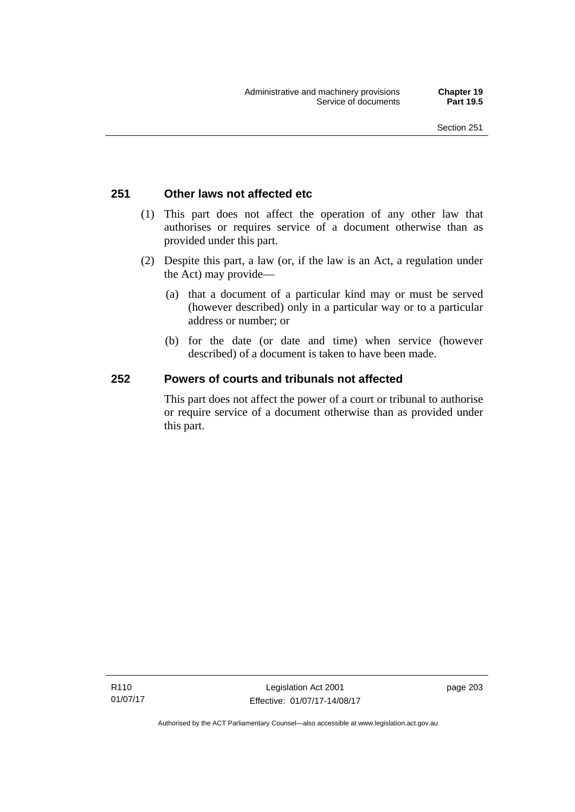# **251 Other laws not affected etc**

- (1) This part does not affect the operation of any other law that authorises or requires service of a document otherwise than as provided under this part.
- (2) Despite this part, a law (or, if the law is an Act, a regulation under the Act) may provide—
	- (a) that a document of a particular kind may or must be served (however described) only in a particular way or to a particular address or number; or
	- (b) for the date (or date and time) when service (however described) of a document is taken to have been made.

# **252 Powers of courts and tribunals not affected**

This part does not affect the power of a court or tribunal to authorise or require service of a document otherwise than as provided under this part.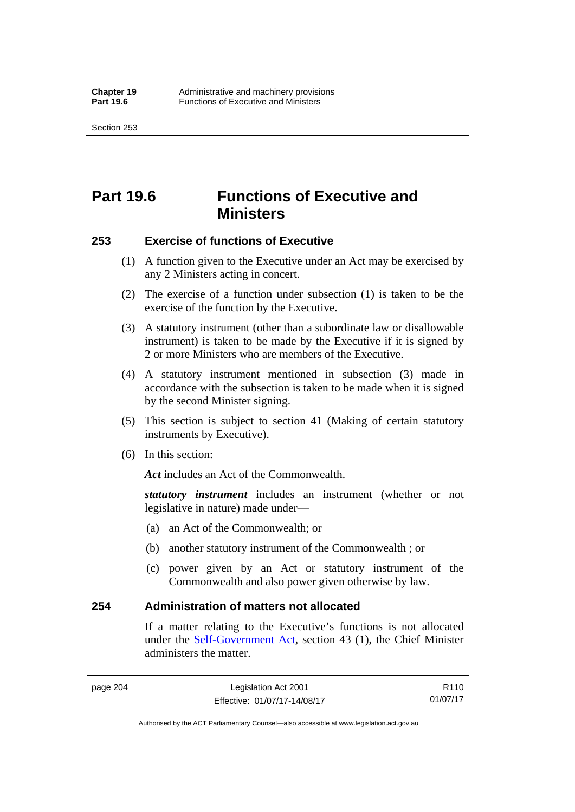Section 253

# **Part 19.6 Functions of Executive and Ministers**

## **253 Exercise of functions of Executive**

- (1) A function given to the Executive under an Act may be exercised by any 2 Ministers acting in concert.
- (2) The exercise of a function under subsection (1) is taken to be the exercise of the function by the Executive.
- (3) A statutory instrument (other than a subordinate law or disallowable instrument) is taken to be made by the Executive if it is signed by 2 or more Ministers who are members of the Executive.
- (4) A statutory instrument mentioned in subsection (3) made in accordance with the subsection is taken to be made when it is signed by the second Minister signing.
- (5) This section is subject to section 41 (Making of certain statutory instruments by Executive).
- (6) In this section:

Act includes an Act of the Commonwealth.

*statutory instrument* includes an instrument (whether or not legislative in nature) made under—

- (a) an Act of the Commonwealth; or
- (b) another statutory instrument of the Commonwealth ; or
- (c) power given by an Act or statutory instrument of the Commonwealth and also power given otherwise by law.

## **254 Administration of matters not allocated**

If a matter relating to the Executive's functions is not allocated under the [Self-Government Act,](http://www.comlaw.gov.au/Series/C2004A03699) section 43 (1), the Chief Minister administers the matter.

R110 01/07/17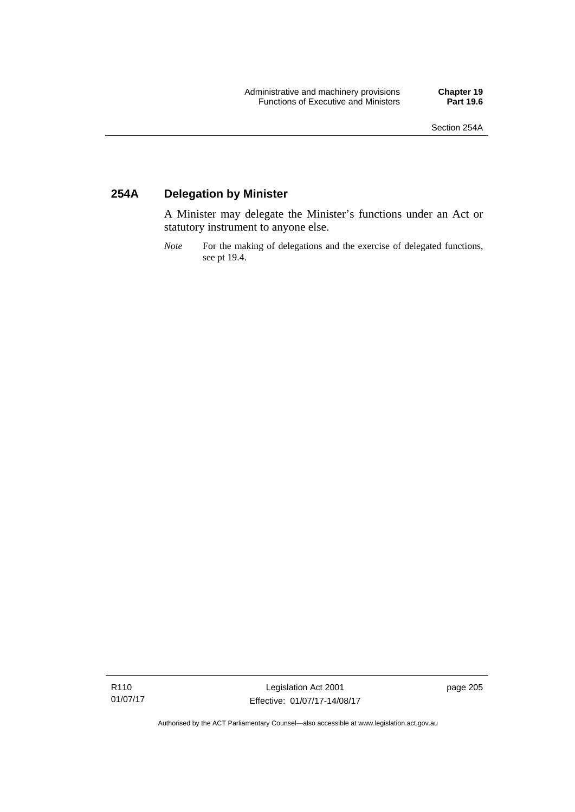# **254A Delegation by Minister**

A Minister may delegate the Minister's functions under an Act or statutory instrument to anyone else.

*Note* For the making of delegations and the exercise of delegated functions, see pt 19.4.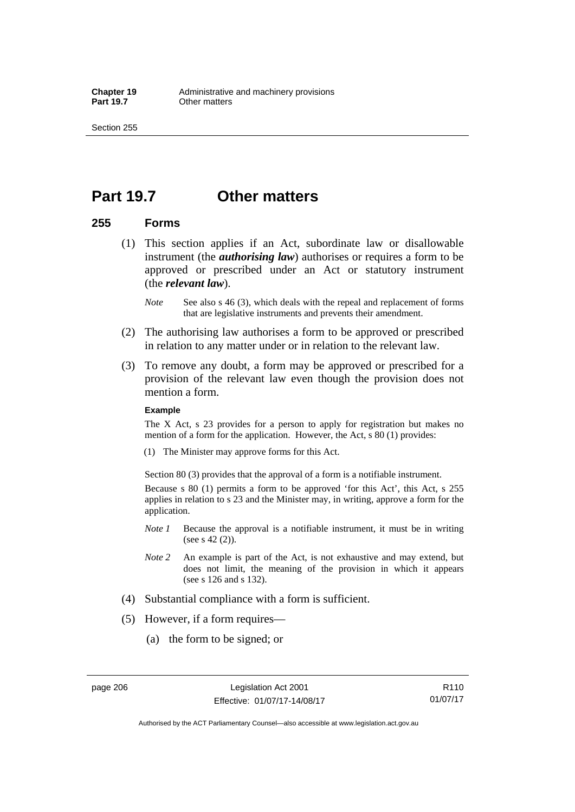Section 255

# **Part 19.7 Other matters**

## **255 Forms**

- (1) This section applies if an Act, subordinate law or disallowable instrument (the *authorising law*) authorises or requires a form to be approved or prescribed under an Act or statutory instrument (the *relevant law*).
	- *Note* See also s 46 (3), which deals with the repeal and replacement of forms that are legislative instruments and prevents their amendment.
- (2) The authorising law authorises a form to be approved or prescribed in relation to any matter under or in relation to the relevant law.
- (3) To remove any doubt, a form may be approved or prescribed for a provision of the relevant law even though the provision does not mention a form.

### **Example**

The X Act, s 23 provides for a person to apply for registration but makes no mention of a form for the application. However, the Act, s 80 (1) provides:

(1) The Minister may approve forms for this Act.

Section 80 (3) provides that the approval of a form is a notifiable instrument.

Because s 80 (1) permits a form to be approved 'for this Act', this Act, s 255 applies in relation to s 23 and the Minister may, in writing, approve a form for the application.

- *Note 1* Because the approval is a notifiable instrument, it must be in writing (see s 42 (2)).
- *Note 2* An example is part of the Act, is not exhaustive and may extend, but does not limit, the meaning of the provision in which it appears (see s 126 and s 132).
- (4) Substantial compliance with a form is sufficient.
- (5) However, if a form requires—
	- (a) the form to be signed; or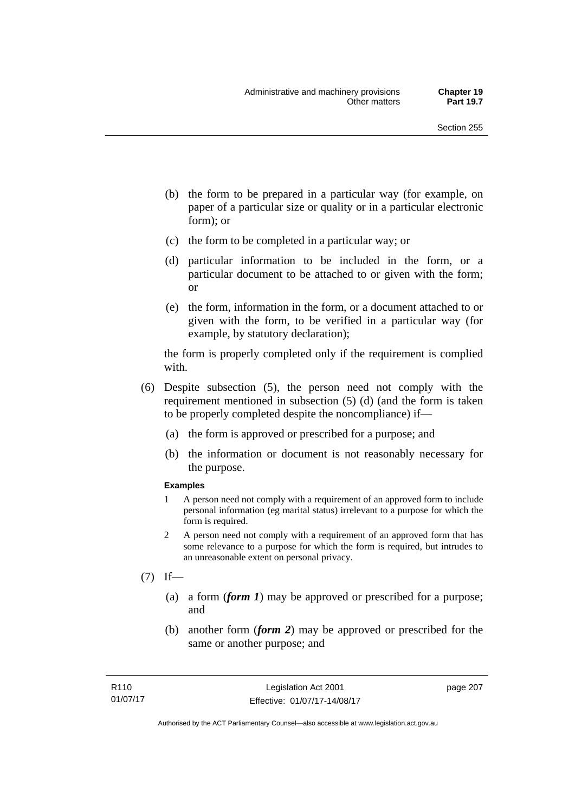- (b) the form to be prepared in a particular way (for example, on paper of a particular size or quality or in a particular electronic form); or
- (c) the form to be completed in a particular way; or
- (d) particular information to be included in the form, or a particular document to be attached to or given with the form; or
- (e) the form, information in the form, or a document attached to or given with the form, to be verified in a particular way (for example, by statutory declaration);

the form is properly completed only if the requirement is complied with.

- (6) Despite subsection (5), the person need not comply with the requirement mentioned in subsection (5) (d) (and the form is taken to be properly completed despite the noncompliance) if—
	- (a) the form is approved or prescribed for a purpose; and
	- (b) the information or document is not reasonably necessary for the purpose.

### **Examples**

- 1 A person need not comply with a requirement of an approved form to include personal information (eg marital status) irrelevant to a purpose for which the form is required.
- 2 A person need not comply with a requirement of an approved form that has some relevance to a purpose for which the form is required, but intrudes to an unreasonable extent on personal privacy.
- $(7)$  If—
	- (a) a form (*form 1*) may be approved or prescribed for a purpose; and
	- (b) another form (*form 2*) may be approved or prescribed for the same or another purpose; and

page 207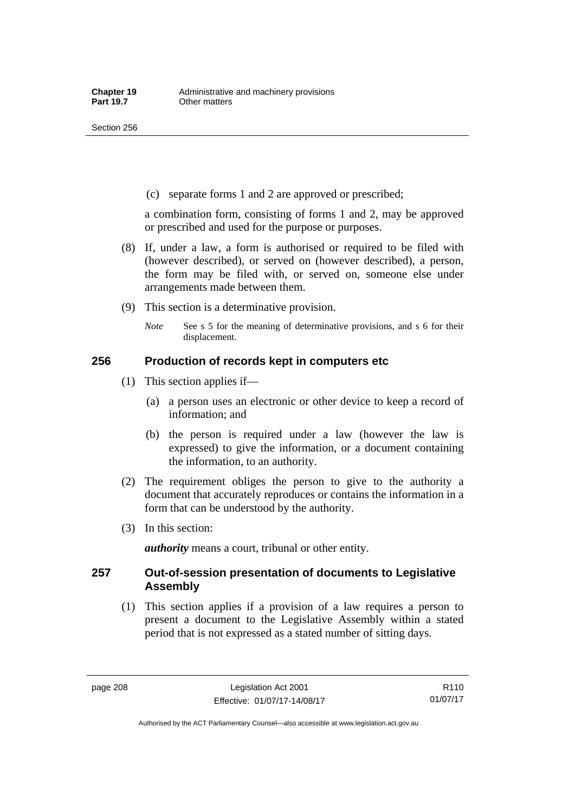(c) separate forms 1 and 2 are approved or prescribed;

a combination form, consisting of forms 1 and 2, may be approved or prescribed and used for the purpose or purposes.

- (8) If, under a law, a form is authorised or required to be filed with (however described), or served on (however described), a person, the form may be filed with, or served on, someone else under arrangements made between them.
- (9) This section is a determinative provision.
	- *Note* See s 5 for the meaning of determinative provisions, and s 6 for their displacement.

## **256 Production of records kept in computers etc**

- (1) This section applies if—
	- (a) a person uses an electronic or other device to keep a record of information; and
	- (b) the person is required under a law (however the law is expressed) to give the information, or a document containing the information, to an authority.
- (2) The requirement obliges the person to give to the authority a document that accurately reproduces or contains the information in a form that can be understood by the authority.
- (3) In this section:

*authority* means a court, tribunal or other entity.

## **257 Out-of-session presentation of documents to Legislative Assembly**

 (1) This section applies if a provision of a law requires a person to present a document to the Legislative Assembly within a stated period that is not expressed as a stated number of sitting days.

R110 01/07/17

Authorised by the ACT Parliamentary Counsel—also accessible at www.legislation.act.gov.au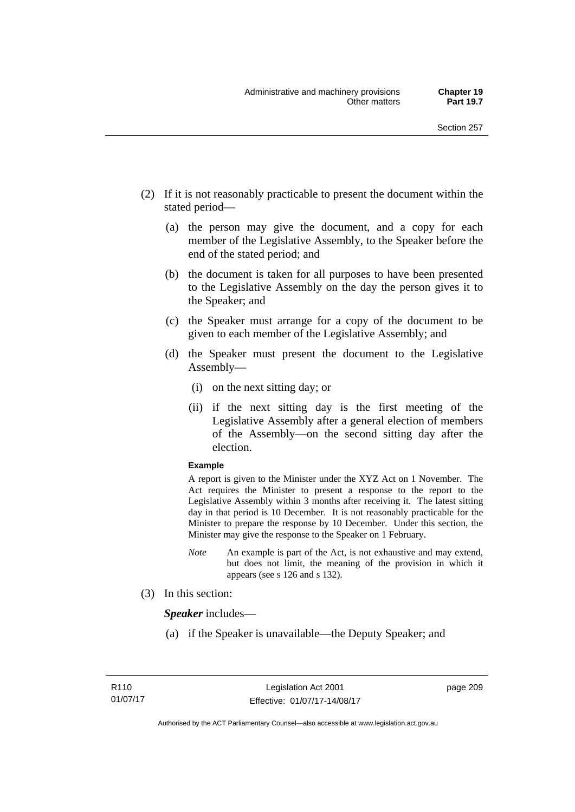- (2) If it is not reasonably practicable to present the document within the stated period—
	- (a) the person may give the document, and a copy for each member of the Legislative Assembly, to the Speaker before the end of the stated period; and
	- (b) the document is taken for all purposes to have been presented to the Legislative Assembly on the day the person gives it to the Speaker; and
	- (c) the Speaker must arrange for a copy of the document to be given to each member of the Legislative Assembly; and
	- (d) the Speaker must present the document to the Legislative Assembly—
		- (i) on the next sitting day; or
		- (ii) if the next sitting day is the first meeting of the Legislative Assembly after a general election of members of the Assembly—on the second sitting day after the election.

### **Example**

A report is given to the Minister under the XYZ Act on 1 November. The Act requires the Minister to present a response to the report to the Legislative Assembly within 3 months after receiving it. The latest sitting day in that period is 10 December. It is not reasonably practicable for the Minister to prepare the response by 10 December. Under this section, the Minister may give the response to the Speaker on 1 February.

- *Note* An example is part of the Act, is not exhaustive and may extend, but does not limit, the meaning of the provision in which it appears (see s 126 and s 132).
- (3) In this section:

*Speaker* includes—

(a) if the Speaker is unavailable—the Deputy Speaker; and

page 209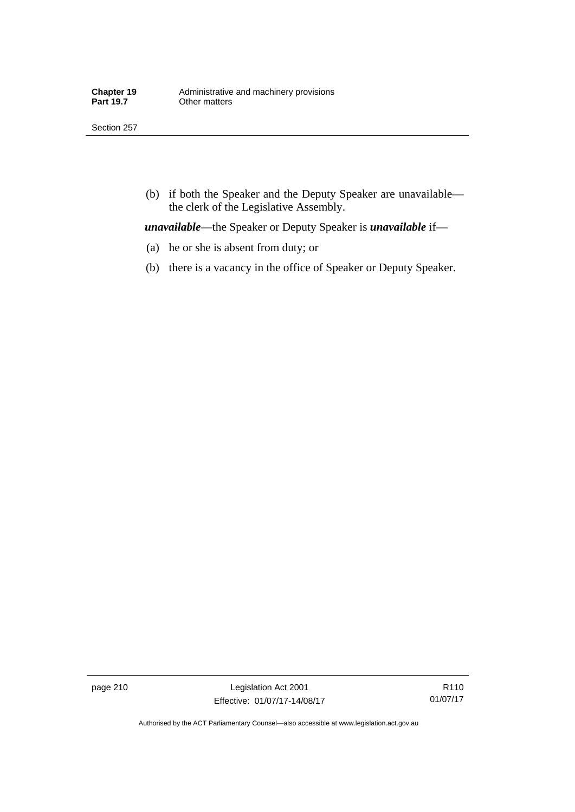Section 257

 (b) if both the Speaker and the Deputy Speaker are unavailable the clerk of the Legislative Assembly.

*unavailable*—the Speaker or Deputy Speaker is *unavailable* if—

- (a) he or she is absent from duty; or
- (b) there is a vacancy in the office of Speaker or Deputy Speaker.

page 210 Legislation Act 2001 Effective: 01/07/17-14/08/17

R110 01/07/17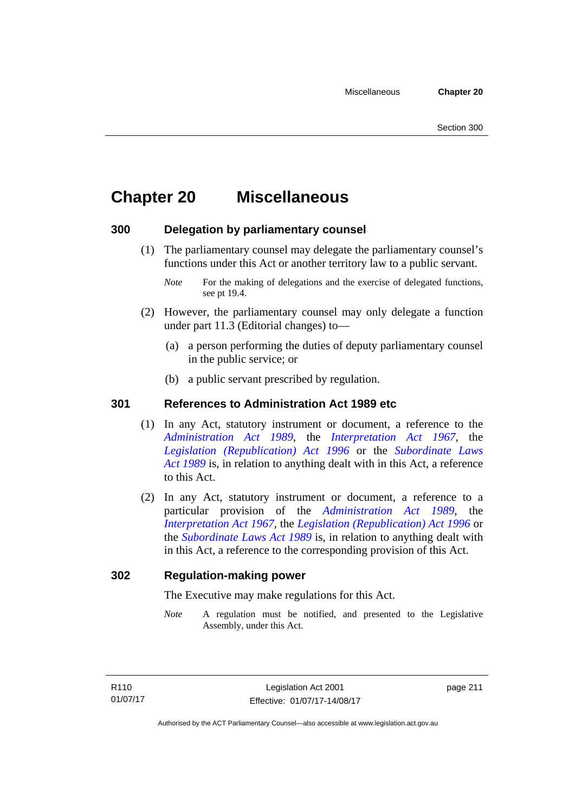# **Chapter 20 Miscellaneous**

# **300 Delegation by parliamentary counsel**

 (1) The parliamentary counsel may delegate the parliamentary counsel's functions under this Act or another territory law to a public servant.

- (2) However, the parliamentary counsel may only delegate a function under part 11.3 (Editorial changes) to—
	- (a) a person performing the duties of deputy parliamentary counsel in the public service; or
	- (b) a public servant prescribed by regulation.

# **301 References to Administration Act 1989 etc**

- (1) In any Act, statutory instrument or document, a reference to the *[Administration Act 1989](http://www.legislation.act.gov.au/a/alt_a1989-41co)*, the *[Interpretation Act 1967](http://www.legislation.act.gov.au/a/1967-48)*, the *[Legislation \(Republication\) Act 1996](http://www.legislation.act.gov.au/a/1996-51)* or the *[Subordinate Laws](http://www.legislation.act.gov.au/a/alt_a1989-24co)  [Act 1989](http://www.legislation.act.gov.au/a/alt_a1989-24co)* is, in relation to anything dealt with in this Act, a reference to this Act.
- (2) In any Act, statutory instrument or document, a reference to a particular provision of the *[Administration Act 1989](http://www.legislation.act.gov.au/a/alt_a1989-41co)*, the *[Interpretation Act 1967](http://www.legislation.act.gov.au/a/1967-48)*, the *[Legislation \(Republication\) Act 1996](http://www.legislation.act.gov.au/a/1996-51)* or the *[Subordinate Laws Act 1989](http://www.legislation.act.gov.au/a/alt_a1989-24co)* is, in relation to anything dealt with in this Act, a reference to the corresponding provision of this Act.

# **302 Regulation-making power**

The Executive may make regulations for this Act.

*Note* A regulation must be notified, and presented to the Legislative Assembly, under this Act.

*Note* For the making of delegations and the exercise of delegated functions, see pt 19.4.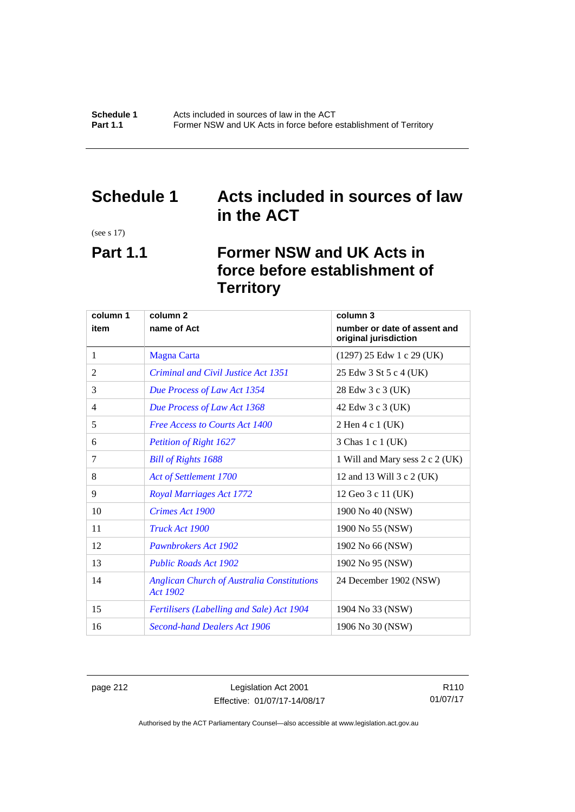# **Schedule 1 Acts included in sources of law in the ACT**

(see s 17)

# **Part 1.1 Former NSW and UK Acts in force before establishment of Territory**

| column 1 | column <sub>2</sub>                                                  | column 3                                              |
|----------|----------------------------------------------------------------------|-------------------------------------------------------|
| item     | name of Act                                                          | number or date of assent and<br>original jurisdiction |
| 1        | <b>Magna Carta</b>                                                   | $(1297)$ 25 Edw 1 c 29 (UK)                           |
| 2        | Criminal and Civil Justice Act 1351                                  | 25 Edw 3 St 5 c 4 (UK)                                |
| 3        | Due Process of Law Act 1354                                          | 28 Edw 3 c 3 (UK)                                     |
| 4        | Due Process of Law Act 1368                                          | 42 Edw 3 c 3 (UK)                                     |
| 5        | <b>Free Access to Courts Act 1400</b>                                | 2 Hen 4 c 1 (UK)                                      |
| 6        | <b>Petition of Right 1627</b>                                        | 3 Chas 1 c 1 (UK)                                     |
| 7        | <b>Bill of Rights 1688</b>                                           | 1 Will and Mary sess 2 c 2 (UK)                       |
| 8        | <b>Act of Settlement 1700</b>                                        | 12 and 13 Will 3 c 2 (UK)                             |
| 9        | <b>Royal Marriages Act 1772</b>                                      | 12 Geo 3 c 11 (UK)                                    |
| 10       | <b>Crimes Act 1900</b>                                               | 1900 No 40 (NSW)                                      |
| 11       | Truck Act 1900                                                       | 1900 No 55 (NSW)                                      |
| 12       | <b>Pawnbrokers Act 1902</b>                                          | 1902 No 66 (NSW)                                      |
| 13       | <b>Public Roads Act 1902</b>                                         | 1902 No 95 (NSW)                                      |
| 14       | <b>Anglican Church of Australia Constitutions</b><br><b>Act 1902</b> | 24 December 1902 (NSW)                                |
| 15       | Fertilisers (Labelling and Sale) Act 1904                            | 1904 No 33 (NSW)                                      |
| 16       | <b>Second-hand Dealers Act 1906</b>                                  | 1906 No 30 (NSW)                                      |

page 212 Legislation Act 2001 Effective: 01/07/17-14/08/17

R110 01/07/17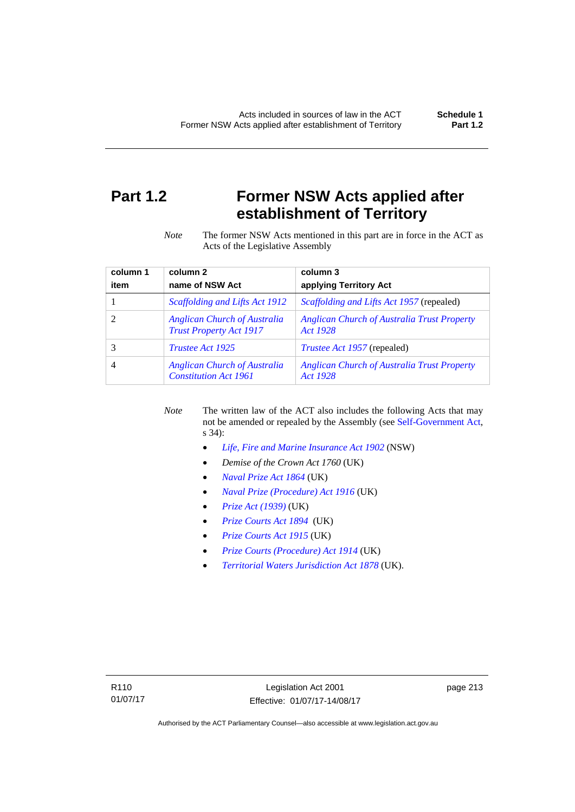# **Part 1.2 Former NSW Acts applied after establishment of Territory**

*Note* The former NSW Acts mentioned in this part are in force in the ACT as Acts of the Legislative Assembly

| column 1 | column <sub>2</sub>                                                   | column 3                                                       |
|----------|-----------------------------------------------------------------------|----------------------------------------------------------------|
| item     | name of NSW Act                                                       | applying Territory Act                                         |
|          | Scaffolding and Lifts Act 1912                                        | <i>Scaffolding and Lifts Act 1957</i> (repealed)               |
|          | <b>Anglican Church of Australia</b><br><b>Trust Property Act 1917</b> | <b>Anglican Church of Australia Trust Property</b><br>Act 1928 |
|          | <i>Trustee Act 1925</i>                                               | <i>Trustee Act 1957</i> (repealed)                             |
| 4        | <b>Anglican Church of Australia</b><br><b>Constitution Act 1961</b>   | <b>Anglican Church of Australia Trust Property</b><br>Act 1928 |

*Note* The written law of the ACT also includes the following Acts that may not be amended or repealed by the Assembly (see [Self-Government Act,](http://www.comlaw.gov.au/Series/C2004A03699) s 34):

- *[Life, Fire and Marine Insurance Act 1902](http://www.legislation.nsw.gov.au/maintop/scanact/sessional/NONE/0)* (NSW)
- *Demise of the Crown Act 1760* (UK)
- *[Naval Prize Act 1864](http://www.legislation.gov.uk/ukpga/Vict/27-28/25/contents)* (UK)
- *[Naval Prize \(Procedure\) Act 1916](http://www.legislation.gov.uk/ukpga/Geo5/6-7/2/contents)* (UK)
- *[Prize Act \(1939\)](http://www.legislation.gov.uk/ukpga/Geo6/2-3/65/contents)* (UK)
- *[Prize Courts Act 1894](http://www.legislation.gov.uk/ukpga/Vict/57-58/39/contents)* (UK)
- *[Prize Courts Act 1915](http://www.legislation.gov.uk/ukpga/Geo5/5-6/57/contents)* (UK)
- *[Prize Courts \(Procedure\) Act 1914](http://www.legislation.gov.uk/ukpga/Geo5/4-5/13/contents)* (UK)
- *[Territorial Waters Jurisdiction Act 1878](http://www.legislation.gov.uk/ukpga/Vict/41-42/73/contents)* (UK).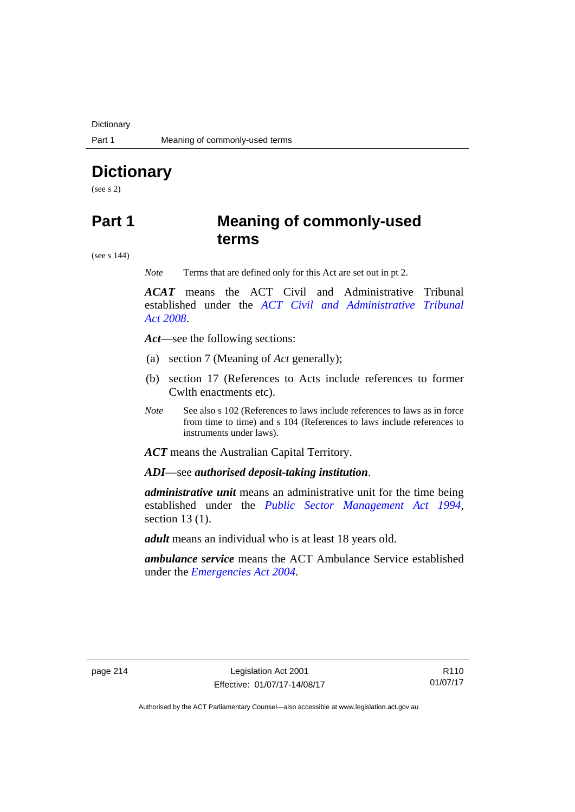**Dictionary** 

# **Dictionary**

(see s 2)

# **Part 1 Meaning of commonly-used terms**

(see s 144)

*Note* Terms that are defined only for this Act are set out in pt 2.

*ACAT* means the ACT Civil and Administrative Tribunal established under the *[ACT Civil and Administrative Tribunal](http://www.legislation.act.gov.au/a/2008-35)  [Act 2008](http://www.legislation.act.gov.au/a/2008-35)*.

*Act*—see the following sections:

- (a) section 7 (Meaning of *Act* generally);
- (b) section 17 (References to Acts include references to former Cwlth enactments etc).
- *Note* See also s 102 (References to laws include references to laws as in force from time to time) and s 104 (References to laws include references to instruments under laws).

*ACT* means the Australian Capital Territory.

*ADI*—see *authorised deposit-taking institution*.

*administrative unit* means an administrative unit for the time being established under the *[Public Sector Management Act 1994](http://www.legislation.act.gov.au/a/1994-37)*, section 13 (1).

*adult* means an individual who is at least 18 years old.

*ambulance service* means the ACT Ambulance Service established under the *[Emergencies Act 2004](http://www.legislation.act.gov.au/a/2004-28)*.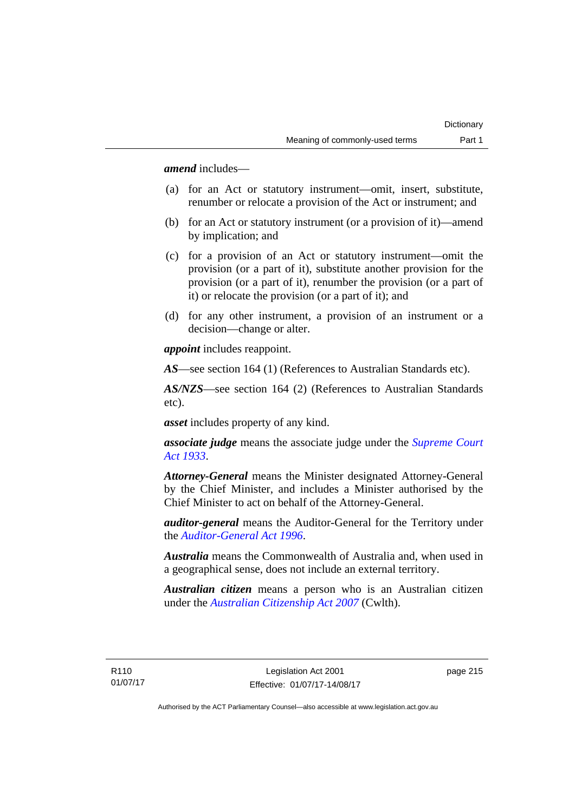*amend* includes—

- (a) for an Act or statutory instrument—omit, insert, substitute, renumber or relocate a provision of the Act or instrument; and
- (b) for an Act or statutory instrument (or a provision of it)—amend by implication; and
- (c) for a provision of an Act or statutory instrument—omit the provision (or a part of it), substitute another provision for the provision (or a part of it), renumber the provision (or a part of it) or relocate the provision (or a part of it); and
- (d) for any other instrument, a provision of an instrument or a decision—change or alter.

*appoint* includes reappoint.

*AS*—see section 164 (1) (References to Australian Standards etc).

*AS/NZS*—see section 164 (2) (References to Australian Standards etc).

*asset* includes property of any kind.

*associate judge* means the associate judge under the *[Supreme Court](http://www.legislation.act.gov.au/a/1933-34)  [Act 1933](http://www.legislation.act.gov.au/a/1933-34)*.

*Attorney-General* means the Minister designated Attorney-General by the Chief Minister, and includes a Minister authorised by the Chief Minister to act on behalf of the Attorney-General.

*auditor-general* means the Auditor-General for the Territory under the *[Auditor-General Act 1996](http://www.legislation.act.gov.au/a/1996-23)*.

*Australia* means the Commonwealth of Australia and, when used in a geographical sense, does not include an external territory.

*Australian citizen* means a person who is an Australian citizen under the *[Australian Citizenship Act 2007](http://www.comlaw.gov.au/Series/C2007A00020)* (Cwlth).

R110 01/07/17 page 215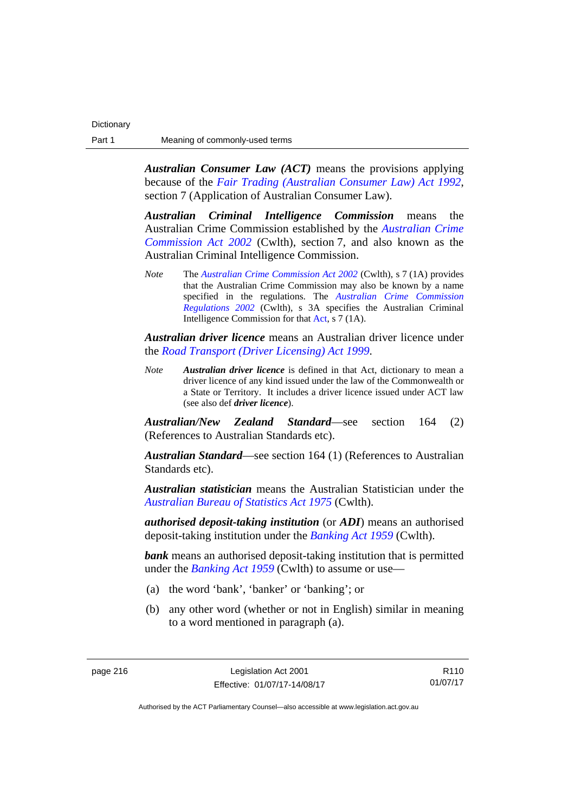*Australian Consumer Law (ACT)* means the provisions applying because of the *[Fair Trading \(Australian Consumer Law\) Act 1992](http://www.legislation.act.gov.au/a/1992-72)*, section 7 (Application of Australian Consumer Law).

*Australian Criminal Intelligence Commission* means the Australian Crime Commission established by the *[Australian Crime](https://www.legislation.gov.au/Series/C2004A02905)  [Commission Act 2002](https://www.legislation.gov.au/Series/C2004A02905)* (Cwlth), section 7, and also known as the Australian Criminal Intelligence Commission.

*Note* The *[Australian Crime Commission Act 2002](https://www.legislation.gov.au/Series/C2004A02905)* (Cwlth), s 7 (1A) provides that the Australian Crime Commission may also be known by a name specified in the regulations. The *[Australian Crime Commission](https://www.legislation.gov.au/Series/F1996B01984)  [Regulations 2002](https://www.legislation.gov.au/Series/F1996B01984)* (Cwlth), s 3A specifies the Australian Criminal Intelligence Commission for that [Act,](https://www.legislation.gov.au/Series/C2004A02905) s 7 (1A).

*Australian driver licence* means an Australian driver licence under the *[Road Transport \(Driver Licensing\) Act 1999](http://www.legislation.act.gov.au/a/1999-78)*.

*Note Australian driver licence* is defined in that Act, dictionary to mean a driver licence of any kind issued under the law of the Commonwealth or a State or Territory. It includes a driver licence issued under ACT law (see also def *driver licence*).

*Australian/New Zealand Standard*—see section 164 (2) (References to Australian Standards etc).

*Australian Standard*—see section 164 (1) (References to Australian Standards etc).

*Australian statistician* means the Australian Statistician under the *[Australian Bureau of Statistics Act 1975](http://www.comlaw.gov.au/Series/C2004A00282)* (Cwlth).

*authorised deposit-taking institution* (or *ADI*) means an authorised deposit-taking institution under the *[Banking Act 1959](http://www.comlaw.gov.au/Series/C2004A07357)* (Cwlth).

**bank** means an authorised deposit-taking institution that is permitted under the *[Banking Act 1959](http://www.comlaw.gov.au/Series/C2004A07357)* (Cwlth) to assume or use—

- (a) the word 'bank', 'banker' or 'banking'; or
- (b) any other word (whether or not in English) similar in meaning to a word mentioned in paragraph (a).

R110 01/07/17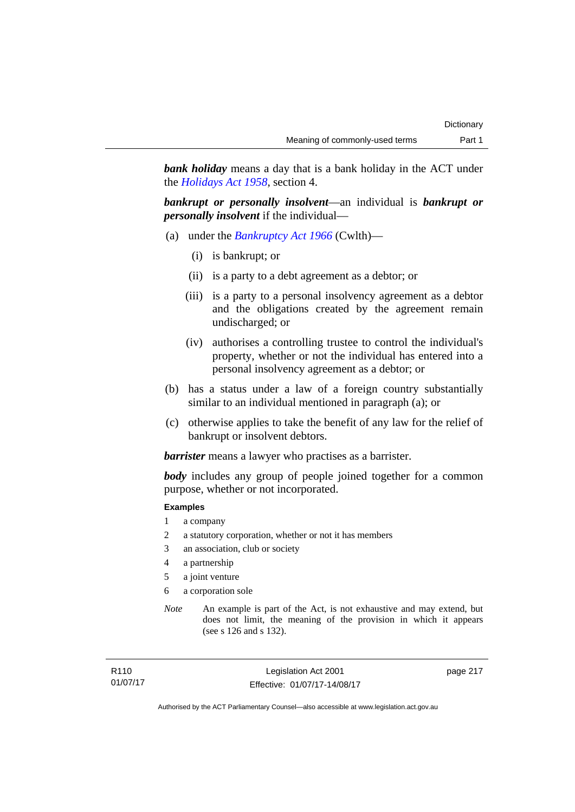*bank holiday* means a day that is a bank holiday in the ACT under the *[Holidays Act 1958](http://www.legislation.act.gov.au/a/1958-19)*, section 4.

*bankrupt or personally insolvent*—an individual is *bankrupt or personally insolvent* if the individual—

- (a) under the *[Bankruptcy Act 1966](http://www.comlaw.gov.au/Series/C2004A07422)* (Cwlth)—
	- (i) is bankrupt; or
	- (ii) is a party to a debt agreement as a debtor; or
	- (iii) is a party to a personal insolvency agreement as a debtor and the obligations created by the agreement remain undischarged; or
	- (iv) authorises a controlling trustee to control the individual's property, whether or not the individual has entered into a personal insolvency agreement as a debtor; or
- (b) has a status under a law of a foreign country substantially similar to an individual mentioned in paragraph (a); or
- (c) otherwise applies to take the benefit of any law for the relief of bankrupt or insolvent debtors.

*barrister* means a lawyer who practises as a barrister.

*body* includes any group of people joined together for a common purpose, whether or not incorporated.

### **Examples**

- 1 a company
- 2 a statutory corporation, whether or not it has members
- 3 an association, club or society
- 4 a partnership
- 5 a joint venture
- 6 a corporation sole
- *Note* An example is part of the Act, is not exhaustive and may extend, but does not limit, the meaning of the provision in which it appears (see s 126 and s 132).

Legislation Act 2001 Effective: 01/07/17-14/08/17 page 217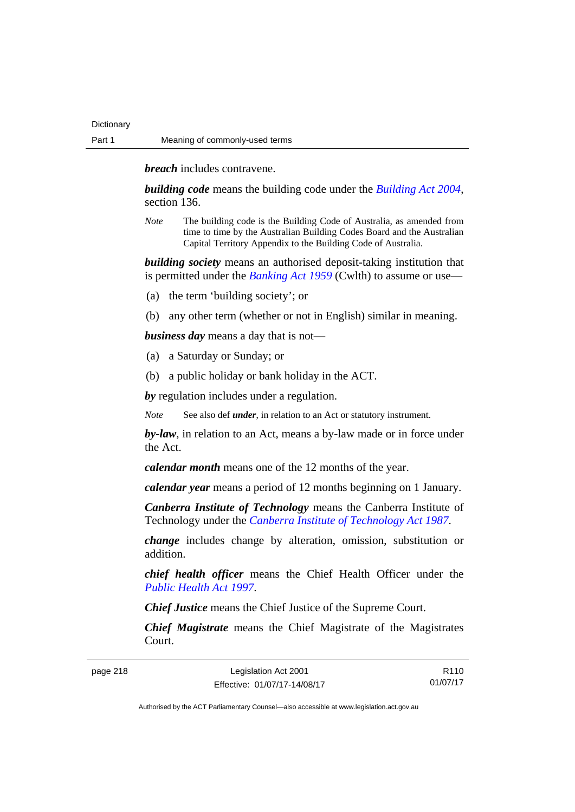*breach* includes contravene.

*building code* means the building code under the *[Building Act 2004](http://www.legislation.act.gov.au/a/2004-11)*, section 136.

*Note* The building code is the Building Code of Australia, as amended from time to time by the Australian Building Codes Board and the Australian Capital Territory Appendix to the Building Code of Australia.

*building society* means an authorised deposit-taking institution that is permitted under the *[Banking Act 1959](http://www.comlaw.gov.au/Series/C2004A07357)* (Cwlth) to assume or use—

- (a) the term 'building society'; or
- (b) any other term (whether or not in English) similar in meaning.

*business day* means a day that is not—

- (a) a Saturday or Sunday; or
- (b) a public holiday or bank holiday in the ACT.

*by* regulation includes under a regulation.

*Note* See also def *under*, in relation to an Act or statutory instrument.

*by-law*, in relation to an Act, means a by-law made or in force under the Act.

*calendar month* means one of the 12 months of the year.

*calendar year* means a period of 12 months beginning on 1 January.

*Canberra Institute of Technology* means the Canberra Institute of Technology under the *[Canberra Institute of Technology Act 1987](http://www.legislation.act.gov.au/a/1987-71)*.

*change* includes change by alteration, omission, substitution or addition.

*chief health officer* means the Chief Health Officer under the *[Public Health Act 1997](http://www.legislation.act.gov.au/a/1997-69)*.

*Chief Justice* means the Chief Justice of the Supreme Court.

*Chief Magistrate* means the Chief Magistrate of the Magistrates Court.

page 218

| Legislation Act 2001         | R <sub>110</sub> |
|------------------------------|------------------|
| Effective: 01/07/17-14/08/17 | 01/07/17         |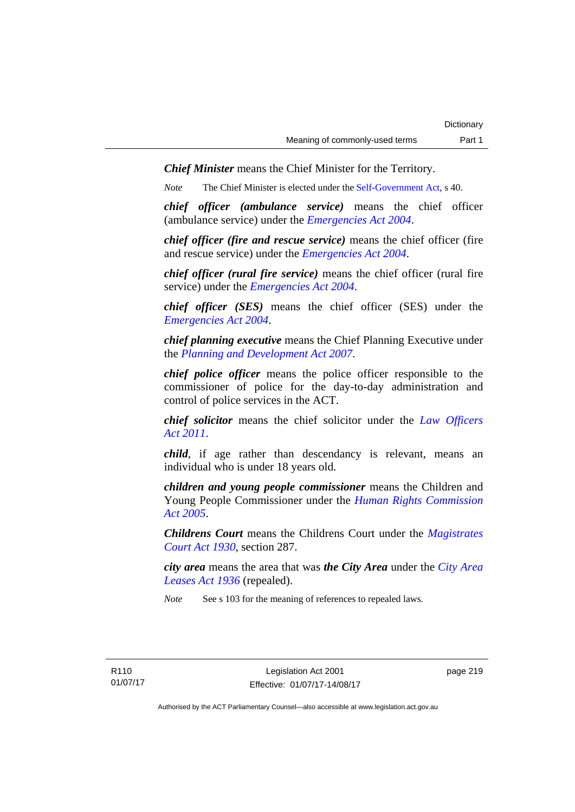*Chief Minister* means the Chief Minister for the Territory.

*Note* The Chief Minister is elected under the [Self-Government Act](http://www.comlaw.gov.au/Series/C2004A03699), s 40.

*chief officer (ambulance service)* means the chief officer (ambulance service) under the *[Emergencies Act 2004](http://www.legislation.act.gov.au/a/2004-28)*.

*chief officer (fire and rescue service)* means the chief officer (fire and rescue service) under the *[Emergencies Act 2004](http://www.legislation.act.gov.au/a/2004-28)*.

*chief officer (rural fire service)* means the chief officer (rural fire service) under the *[Emergencies Act 2004](http://www.legislation.act.gov.au/a/2004-28)*.

*chief officer (SES)* means the chief officer (SES) under the *[Emergencies Act 2004](http://www.legislation.act.gov.au/a/2004-28)*.

*chief planning executive* means the Chief Planning Executive under the *[Planning and Development Act 2007](http://www.legislation.act.gov.au/a/2007-24)*.

*chief police officer* means the police officer responsible to the commissioner of police for the day-to-day administration and control of police services in the ACT.

*chief solicitor* means the chief solicitor under the *[Law Officers](http://www.legislation.act.gov.au/a/2011-30)  [Act 2011](http://www.legislation.act.gov.au/a/2011-30)*.

*child*, if age rather than descendancy is relevant, means an individual who is under 18 years old.

*children and young people commissioner* means the Children and Young People Commissioner under the *[Human Rights Commission](http://www.legislation.act.gov.au/a/2005-40)  [Act 2005](http://www.legislation.act.gov.au/a/2005-40)*.

*Childrens Court* means the Childrens Court under the *[Magistrates](http://www.legislation.act.gov.au/a/1930-21)  [Court Act 1930](http://www.legislation.act.gov.au/a/1930-21)*, section 287.

*city area* means the area that was *the City Area* under the *[City Area](http://www.legislation.act.gov.au/a/1936-31)  [Leases Act 1936](http://www.legislation.act.gov.au/a/1936-31)* (repealed).

*Note* See s 103 for the meaning of references to repealed laws.

page 219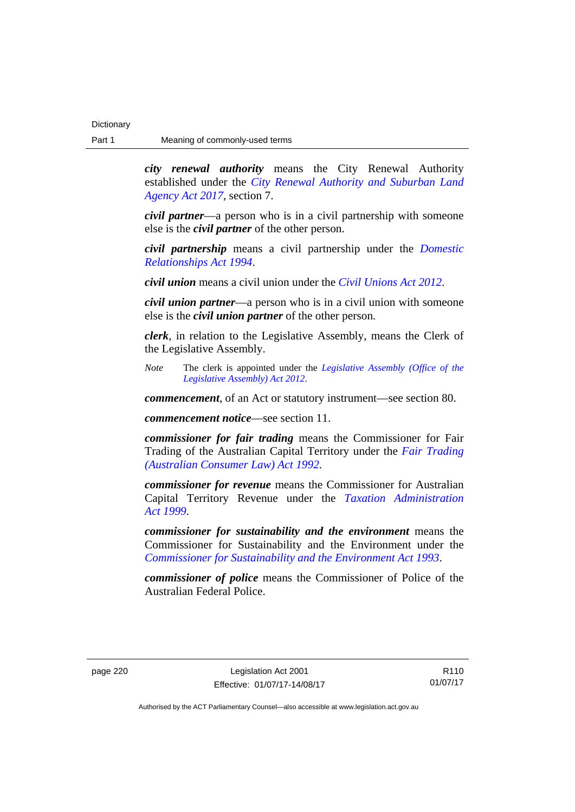*city renewal authority* means the City Renewal Authority established under the *[City Renewal Authority and Suburban Land](http://www.legislation.act.gov.au/a/2017-12/default.asp)  [Agency Act 2017](http://www.legislation.act.gov.au/a/2017-12/default.asp)*, section 7.

*civil partner*—a person who is in a civil partnership with someone else is the *civil partner* of the other person.

*civil partnership* means a civil partnership under the *[Domestic](http://www.legislation.act.gov.au/a/1994-28)  [Relationships Act 1994](http://www.legislation.act.gov.au/a/1994-28)*.

*civil union* means a civil union under the *[Civil Unions Act 2012](http://www.legislation.act.gov.au/a/2012-40)*.

*civil union partner*—a person who is in a civil union with someone else is the *civil union partner* of the other person.

*clerk*, in relation to the Legislative Assembly, means the Clerk of the Legislative Assembly.

*Note* The clerk is appointed under the *[Legislative Assembly \(Office of the](http://www.legislation.act.gov.au/a/2012-26)  [Legislative Assembly\) Act 2012](http://www.legislation.act.gov.au/a/2012-26)*.

*commencement*, of an Act or statutory instrument—see section 80.

*commencement notice*—see section 11.

*commissioner for fair trading* means the Commissioner for Fair Trading of the Australian Capital Territory under the *[Fair Trading](http://www.legislation.act.gov.au/a/1992-72)  [\(Australian Consumer Law\) Act 1992](http://www.legislation.act.gov.au/a/1992-72)*.

*commissioner for revenue* means the Commissioner for Australian Capital Territory Revenue under the *[Taxation Administration](http://www.legislation.act.gov.au/a/1999-4)  [Act 1999](http://www.legislation.act.gov.au/a/1999-4)*.

*commissioner for sustainability and the environment* means the Commissioner for Sustainability and the Environment under the *[Commissioner for Sustainability and the Environment Act 1993](http://www.legislation.act.gov.au/a/1993-37)*.

*commissioner of police* means the Commissioner of Police of the Australian Federal Police.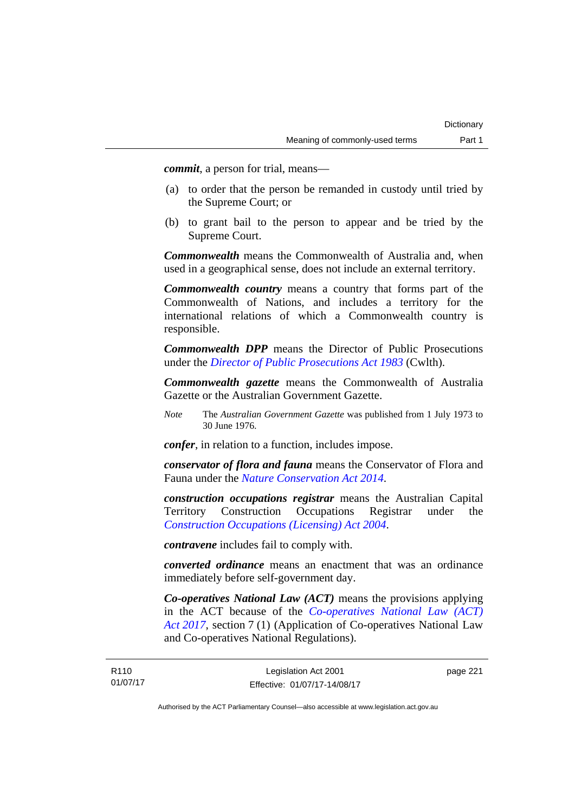*commit*, a person for trial, means—

- (a) to order that the person be remanded in custody until tried by the Supreme Court; or
- (b) to grant bail to the person to appear and be tried by the Supreme Court.

*Commonwealth* means the Commonwealth of Australia and, when used in a geographical sense, does not include an external territory.

*Commonwealth country* means a country that forms part of the Commonwealth of Nations, and includes a territory for the international relations of which a Commonwealth country is responsible.

*Commonwealth DPP* means the Director of Public Prosecutions under the *[Director of Public Prosecutions Act 1983](http://www.comlaw.gov.au/Series/C2004A02830)* (Cwlth).

*Commonwealth gazette* means the Commonwealth of Australia Gazette or the Australian Government Gazette.

*Note* The *Australian Government Gazette* was published from 1 July 1973 to 30 June 1976.

*confer*, in relation to a function, includes impose.

*conservator of flora and fauna* means the Conservator of Flora and Fauna under the *[Nature Conservation Act 2014](http://www.legislation.act.gov.au/a/2014-59)*.

*construction occupations registrar* means the Australian Capital Territory Construction Occupations Registrar under the *[Construction Occupations \(Licensing\) Act 2004](http://www.legislation.act.gov.au/a/2004-12)*.

*contravene* includes fail to comply with.

*converted ordinance* means an enactment that was an ordinance immediately before self-government day.

*Co-operatives National Law (ACT)* means the provisions applying in the ACT because of the *[Co-operatives National Law \(ACT\)](http://www.legislation.act.gov.au/a/2017-8/default.asp)  [Act 2017](http://www.legislation.act.gov.au/a/2017-8/default.asp)*, section 7 (1) (Application of Co-operatives National Law and Co-operatives National Regulations).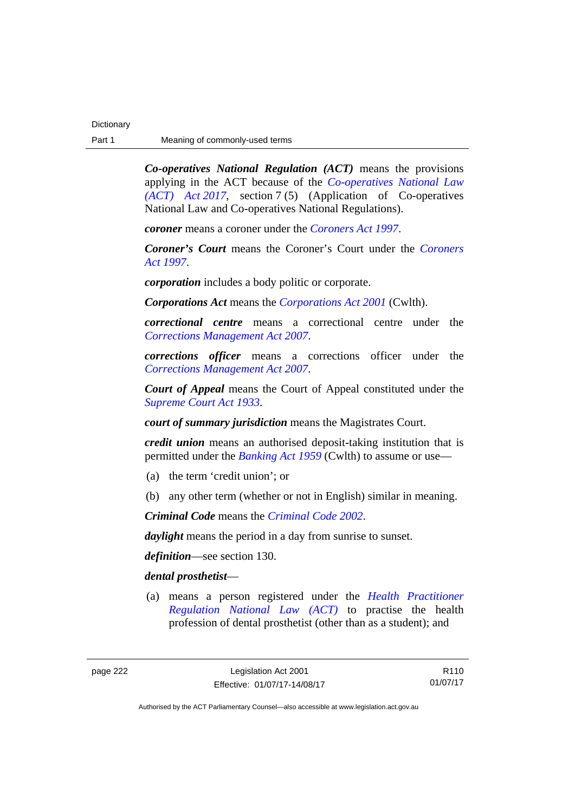*Co-operatives National Regulation (ACT)* means the provisions applying in the ACT because of the *[Co-operatives National Law](http://www.legislation.act.gov.au/a/2017-8/default.asp)  [\(ACT\) Act 2017](http://www.legislation.act.gov.au/a/2017-8/default.asp)*, section 7 (5) (Application of Co-operatives National Law and Co-operatives National Regulations).

*coroner* means a coroner under the *[Coroners Act 1997](http://www.legislation.act.gov.au/a/1997-57)*.

*Coroner's Court* means the Coroner's Court under the *[Coroners](http://www.legislation.act.gov.au/a/1997-57)  [Act 1997](http://www.legislation.act.gov.au/a/1997-57)*.

*corporation* includes a body politic or corporate.

*Corporations Act* means the *[Corporations Act 2001](http://www.comlaw.gov.au/Series/C2004A00818)* (Cwlth).

*correctional centre* means a correctional centre under the *[Corrections Management Act 2007](http://www.legislation.act.gov.au/a/2007-15)*.

*corrections officer* means a corrections officer under the *[Corrections Management Act 2007](http://www.legislation.act.gov.au/a/2007-15)*.

*Court of Appeal* means the Court of Appeal constituted under the *[Supreme Court Act 1933](http://www.legislation.act.gov.au/a/1933-34)*.

*court of summary jurisdiction* means the Magistrates Court.

*credit union* means an authorised deposit-taking institution that is permitted under the *[Banking Act 1959](http://www.comlaw.gov.au/Series/C2004A07357)* (Cwlth) to assume or use—

- (a) the term 'credit union'; or
- (b) any other term (whether or not in English) similar in meaning.

*Criminal Code* means the *[Criminal Code 2002](http://www.legislation.act.gov.au/a/2002-51)*.

*daylight* means the period in a day from sunrise to sunset.

*definition*—see section 130.

## *dental prosthetist*—

 (a) means a person registered under the *[Health Practitioner](http://www.legislation.act.gov.au/a/db_39269/default.asp)  [Regulation National Law \(ACT\)](http://www.legislation.act.gov.au/a/db_39269/default.asp)* to practise the health profession of dental prosthetist (other than as a student); and

R110 01/07/17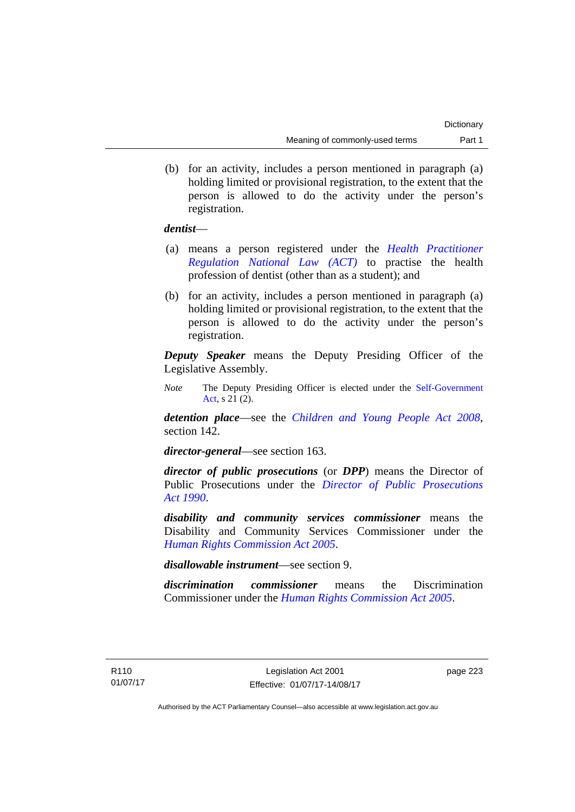(b) for an activity, includes a person mentioned in paragraph (a) holding limited or provisional registration, to the extent that the person is allowed to do the activity under the person's registration.

## *dentist*—

- (a) means a person registered under the *[Health Practitioner](http://www.legislation.act.gov.au/a/db_39269/default.asp)  [Regulation National Law \(ACT\)](http://www.legislation.act.gov.au/a/db_39269/default.asp)* to practise the health profession of dentist (other than as a student); and
- (b) for an activity, includes a person mentioned in paragraph (a) holding limited or provisional registration, to the extent that the person is allowed to do the activity under the person's registration.

*Deputy Speaker* means the Deputy Presiding Officer of the Legislative Assembly.

*Note* The Deputy Presiding Officer is elected under the [Self-Government](http://www.comlaw.gov.au/Series/C2004A03699)  [Act](http://www.comlaw.gov.au/Series/C2004A03699), s 21 (2).

*detention place*—see the *[Children and Young People Act 2008](http://www.legislation.act.gov.au/a/2008-19)*, section 142.

*director-general*—see section 163.

*director of public prosecutions* (or *DPP*) means the Director of Public Prosecutions under the *[Director of Public Prosecutions](http://www.legislation.act.gov.au/a/1990-22)  [Act 1990](http://www.legislation.act.gov.au/a/1990-22)*.

*disability and community services commissioner* means the Disability and Community Services Commissioner under the *[Human Rights Commission Act 2005](http://www.legislation.act.gov.au/a/2005-40)*.

*disallowable instrument*—see section 9.

*discrimination commissioner* means the Discrimination Commissioner under the *[Human Rights Commission Act 2005](http://www.legislation.act.gov.au/a/2005-40)*.

page 223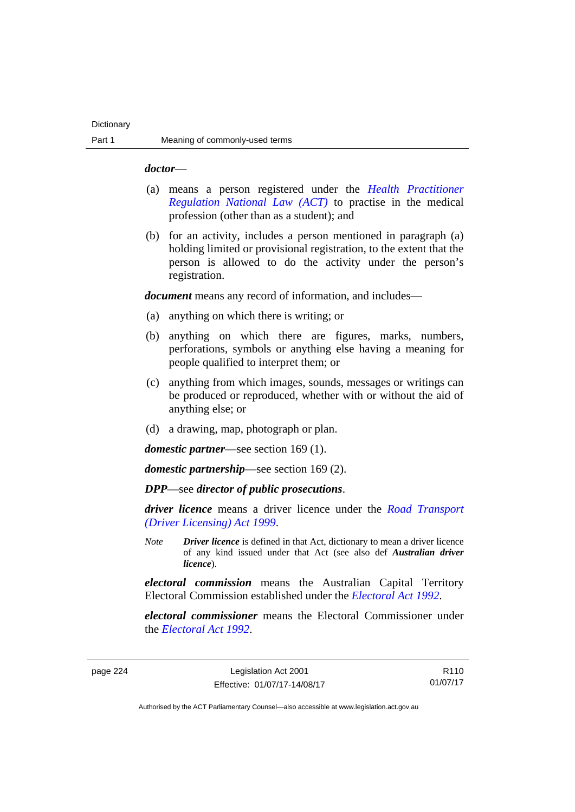### *doctor*—

- (a) means a person registered under the *[Health Practitioner](http://www.legislation.act.gov.au/a/db_39269/default.asp)  [Regulation National Law \(ACT\)](http://www.legislation.act.gov.au/a/db_39269/default.asp)* to practise in the medical profession (other than as a student); and
- (b) for an activity, includes a person mentioned in paragraph (a) holding limited or provisional registration, to the extent that the person is allowed to do the activity under the person's registration.

*document* means any record of information, and includes—

- (a) anything on which there is writing; or
- (b) anything on which there are figures, marks, numbers, perforations, symbols or anything else having a meaning for people qualified to interpret them; or
- (c) anything from which images, sounds, messages or writings can be produced or reproduced, whether with or without the aid of anything else; or
- (d) a drawing, map, photograph or plan.

*domestic partner*—see section 169 (1).

*domestic partnership*—see section 169 (2).

*DPP*—see *director of public prosecutions*.

*driver licence* means a driver licence under the *[Road Transport](http://www.legislation.act.gov.au/a/1999-78)  [\(Driver Licensing\) Act 1999](http://www.legislation.act.gov.au/a/1999-78)*.

*Note Driver licence* is defined in that Act, dictionary to mean a driver licence of any kind issued under that Act (see also def *Australian driver licence*).

*electoral commission* means the Australian Capital Territory Electoral Commission established under the *[Electoral Act 1992](http://www.legislation.act.gov.au/a/1992-71)*.

*electoral commissioner* means the Electoral Commissioner under the *[Electoral Act 1992](http://www.legislation.act.gov.au/a/1992-71)*.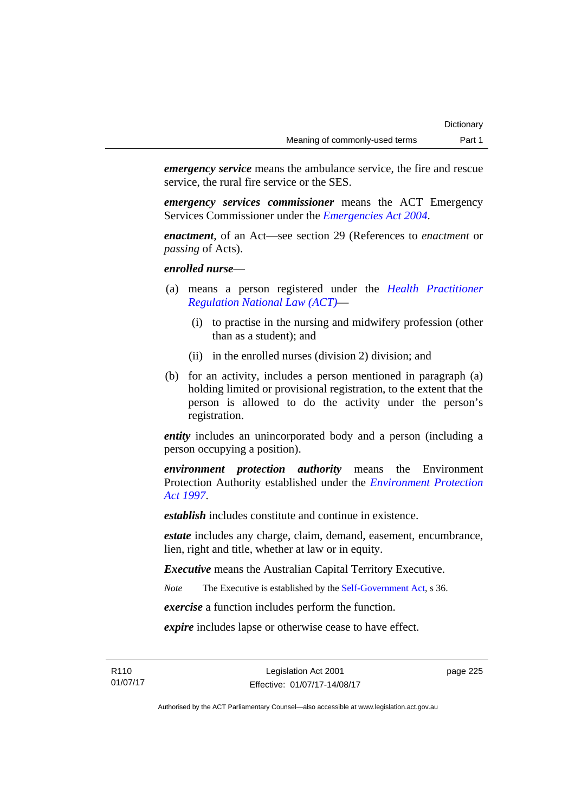*emergency service* means the ambulance service, the fire and rescue service, the rural fire service or the SES.

*emergency services commissioner* means the ACT Emergency Services Commissioner under the *[Emergencies Act 2004](http://www.legislation.act.gov.au/a/2004-28)*.

*enactment*, of an Act—see section 29 (References to *enactment* or *passing* of Acts).

*enrolled nurse*—

- (a) means a person registered under the *[Health Practitioner](http://www.legislation.act.gov.au/a/db_39269/default.asp)  [Regulation National Law \(ACT\)](http://www.legislation.act.gov.au/a/db_39269/default.asp)*—
	- (i) to practise in the nursing and midwifery profession (other than as a student); and
	- (ii) in the enrolled nurses (division 2) division; and
- (b) for an activity, includes a person mentioned in paragraph (a) holding limited or provisional registration, to the extent that the person is allowed to do the activity under the person's registration.

*entity* includes an unincorporated body and a person (including a person occupying a position).

*environment protection authority* means the Environment Protection Authority established under the *[Environment Protection](http://www.legislation.act.gov.au/a/1997-92)  [Act 1997](http://www.legislation.act.gov.au/a/1997-92)*.

*establish* includes constitute and continue in existence.

*estate* includes any charge, claim, demand, easement, encumbrance, lien, right and title, whether at law or in equity.

*Executive* means the Australian Capital Territory Executive.

*Note* The Executive is established by the [Self-Government Act](http://www.comlaw.gov.au/Series/C2004A03699), s 36.

*exercise* a function includes perform the function.

*expire* includes lapse or otherwise cease to have effect.

R110 01/07/17 page 225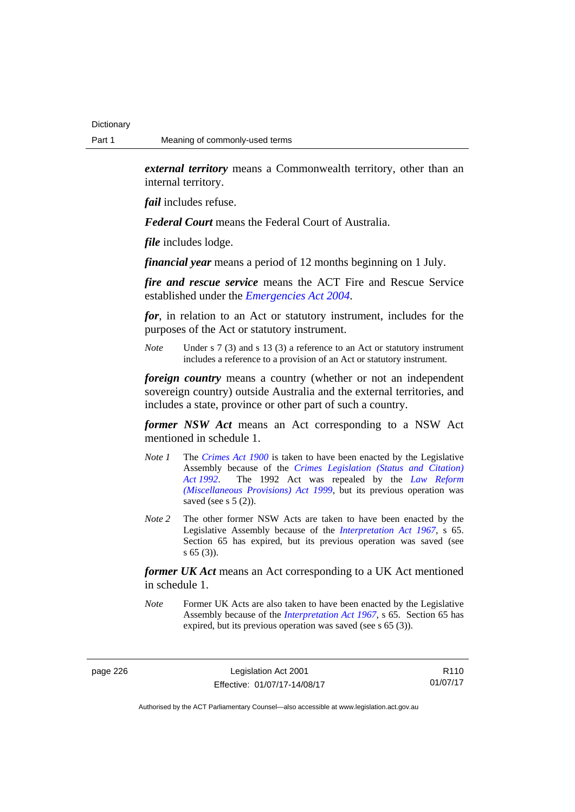*external territory* means a Commonwealth territory, other than an internal territory.

*fail* includes refuse.

*Federal Court* means the Federal Court of Australia.

*file* includes lodge.

*financial year* means a period of 12 months beginning on 1 July.

*fire and rescue service* means the ACT Fire and Rescue Service established under the *[Emergencies Act 2004](http://www.legislation.act.gov.au/a/2004-28)*.

*for*, in relation to an Act or statutory instrument, includes for the purposes of the Act or statutory instrument.

*Note* Under s 7 (3) and s 13 (3) a reference to an Act or statutory instrument includes a reference to a provision of an Act or statutory instrument.

*foreign country* means a country (whether or not an independent sovereign country) outside Australia and the external territories, and includes a state, province or other part of such a country.

*former NSW Act* means an Act corresponding to a NSW Act mentioned in schedule 1.

- *Note 1* The *[Crimes Act 1900](http://www.legislation.act.gov.au/a/1900-40)* is taken to have been enacted by the Legislative Assembly because of the *[Crimes Legislation \(Status and Citation\)](http://www.legislation.act.gov.au/a/1992-6)  [Act 1992](http://www.legislation.act.gov.au/a/1992-6)*. The 1992 Act was repealed by the *[Law Reform](http://www.legislation.act.gov.au/a/1999-66)  [\(Miscellaneous Provisions\) Act 1999](http://www.legislation.act.gov.au/a/1999-66)*, but its previous operation was saved (see s  $5(2)$ ).
- *Note 2* The other former NSW Acts are taken to have been enacted by the Legislative Assembly because of the *[Interpretation Act 1967](http://www.legislation.act.gov.au/a/1967-48)*, s 65. Section 65 has expired, but its previous operation was saved (see s 65 (3)).

*former UK Act* means an Act corresponding to a UK Act mentioned in schedule 1.

*Note* Former UK Acts are also taken to have been enacted by the Legislative Assembly because of the *[Interpretation Act 1967](http://www.legislation.act.gov.au/a/1967-48)*, s 65. Section 65 has expired, but its previous operation was saved (see s 65 (3)).

page 226 Legislation Act 2001 Effective: 01/07/17-14/08/17

R110 01/07/17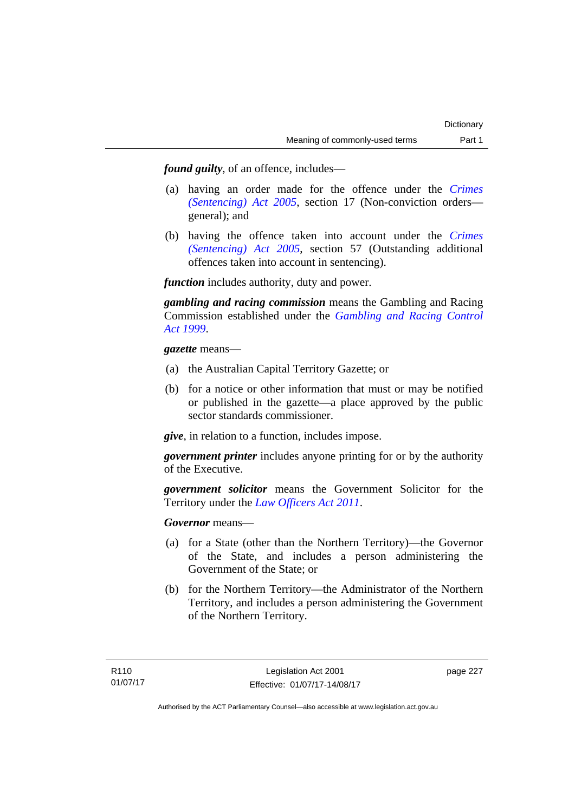*found guilty*, of an offence, includes—

- (a) having an order made for the offence under the *[Crimes](http://www.legislation.act.gov.au/a/2005-58)  [\(Sentencing\) Act 2005](http://www.legislation.act.gov.au/a/2005-58)*, section 17 (Non-conviction orders general); and
- (b) having the offence taken into account under the *[Crimes](http://www.legislation.act.gov.au/a/2005-58)  [\(Sentencing\) Act 2005](http://www.legislation.act.gov.au/a/2005-58)*, section 57 (Outstanding additional offences taken into account in sentencing).

*function* includes authority, duty and power.

*gambling and racing commission* means the Gambling and Racing Commission established under the *[Gambling and Racing Control](http://www.legislation.act.gov.au/a/1999-46)  [Act 1999](http://www.legislation.act.gov.au/a/1999-46)*.

*gazette* means—

- (a) the Australian Capital Territory Gazette; or
- (b) for a notice or other information that must or may be notified or published in the gazette—a place approved by the public sector standards commissioner.

*give*, in relation to a function, includes impose.

*government printer* includes anyone printing for or by the authority of the Executive.

*government solicitor* means the Government Solicitor for the Territory under the *[Law Officers Act 2011](http://www.legislation.act.gov.au/a/2011-30)*.

*Governor* means—

- (a) for a State (other than the Northern Territory)—the Governor of the State, and includes a person administering the Government of the State; or
- (b) for the Northern Territory—the Administrator of the Northern Territory, and includes a person administering the Government of the Northern Territory.

page 227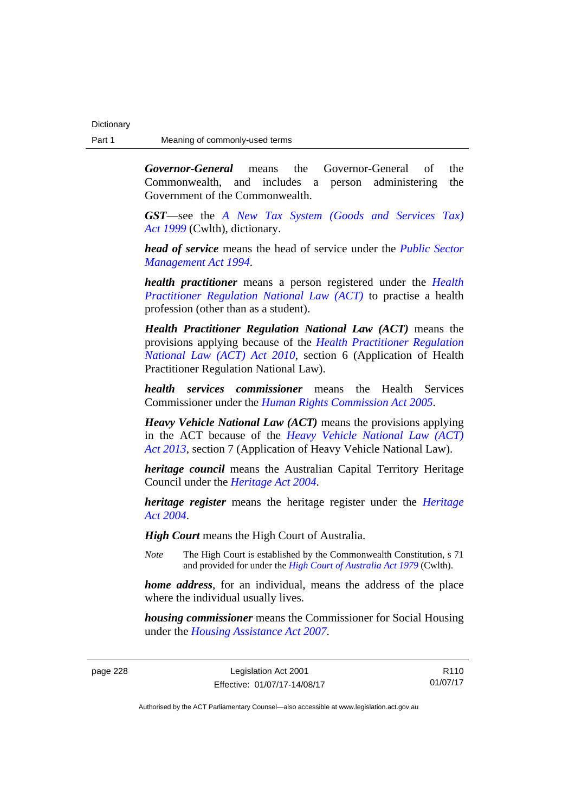*Governor-General* means the Governor-General of the Commonwealth, and includes a person administering the Government of the Commonwealth.

*GST*—see the *[A New Tax System \(Goods and Services Tax\)](http://www.comlaw.gov.au/Series/C2004A00446)  [Act 1999](http://www.comlaw.gov.au/Series/C2004A00446)* (Cwlth), dictionary.

*head of service* means the head of service under the *[Public Sector](http://www.legislation.act.gov.au/a/1994-37)  [Management Act 1994](http://www.legislation.act.gov.au/a/1994-37)*.

*health practitioner* means a person registered under the *[Health](http://www.legislation.act.gov.au/a/db_39269/default.asp)  [Practitioner Regulation National Law \(ACT\)](http://www.legislation.act.gov.au/a/db_39269/default.asp)* to practise a health profession (other than as a student).

*Health Practitioner Regulation National Law (ACT)* means the provisions applying because of the *[Health Practitioner Regulation](http://www.legislation.act.gov.au/a/2010-10)  [National Law \(ACT\) Act 2010](http://www.legislation.act.gov.au/a/2010-10)*, section 6 (Application of Health Practitioner Regulation National Law).

*health services commissioner* means the Health Services Commissioner under the *[Human Rights Commission Act 2005](http://www.legislation.act.gov.au/a/2005-40)*.

*Heavy Vehicle National Law (ACT)* means the provisions applying in the ACT because of the *[Heavy Vehicle National Law \(ACT\)](http://www.legislation.act.gov.au/a/2013-51/default.asp)  [Act 2013](http://www.legislation.act.gov.au/a/2013-51/default.asp)*, section 7 (Application of Heavy Vehicle National Law).

*heritage council* means the Australian Capital Territory Heritage Council under the *[Heritage Act 2004](http://www.legislation.act.gov.au/a/2004-57)*.

*heritage register* means the heritage register under the *[Heritage](http://www.legislation.act.gov.au/a/2004-57)  [Act 2004](http://www.legislation.act.gov.au/a/2004-57)*.

*High Court* means the High Court of Australia.

*Note* The High Court is established by the Commonwealth Constitution, s 71 and provided for under the *[High Court of Australia Act 1979](http://www.comlaw.gov.au/Series/C2004A02147)* (Cwlth).

*home address*, for an individual, means the address of the place where the individual usually lives.

*housing commissioner* means the Commissioner for Social Housing under the *[Housing Assistance Act 2007](http://www.legislation.act.gov.au/a/2007-8)*.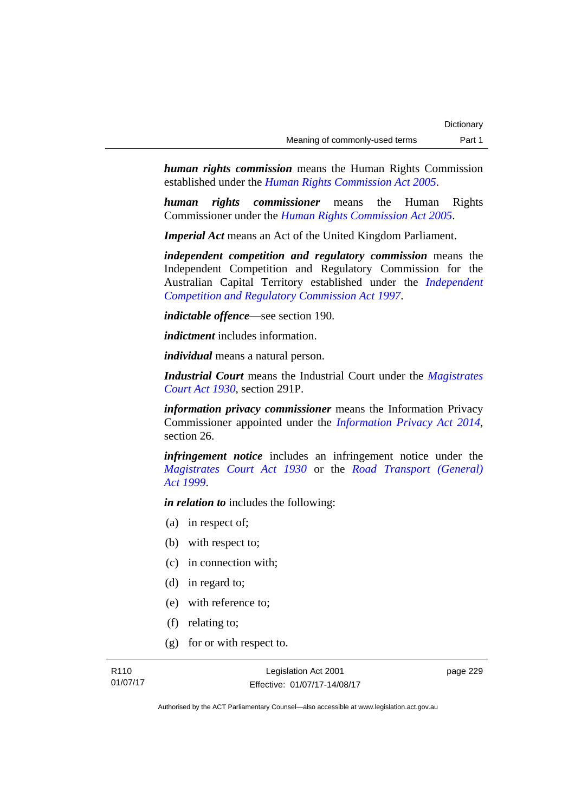*human rights commission* means the Human Rights Commission established under the *[Human Rights Commission Act 2005](http://www.legislation.act.gov.au/a/2005-40)*.

*human rights commissioner* means the Human Rights Commissioner under the *[Human Rights Commission Act 2005](http://www.legislation.act.gov.au/a/2005-40)*.

*Imperial Act* means an Act of the United Kingdom Parliament.

*independent competition and regulatory commission* means the Independent Competition and Regulatory Commission for the Australian Capital Territory established under the *[Independent](http://www.legislation.act.gov.au/a/1997-77)  [Competition and Regulatory Commission Act 1997](http://www.legislation.act.gov.au/a/1997-77)*.

*indictable offence*—see section 190.

*indictment* includes information.

*individual* means a natural person.

*Industrial Court* means the Industrial Court under the *[Magistrates](http://www.legislation.act.gov.au/a/1930-21)  [Court Act 1930](http://www.legislation.act.gov.au/a/1930-21)*, section 291P.

*information privacy commissioner* means the Information Privacy Commissioner appointed under the *[Information Privacy Act 2014](http://www.legislation.act.gov.au/a/2014-24/default.asp)*, section 26.

*infringement notice* includes an infringement notice under the *[Magistrates Court Act 1930](http://www.legislation.act.gov.au/a/1930-21)* or the *[Road Transport \(General\)](http://www.legislation.act.gov.au/a/1999-77)  [Act 1999](http://www.legislation.act.gov.au/a/1999-77)*.

*in relation to* includes the following:

- (a) in respect of;
- (b) with respect to;
- (c) in connection with;
- (d) in regard to;
- (e) with reference to;
- (f) relating to;
- (g) for or with respect to.

page 229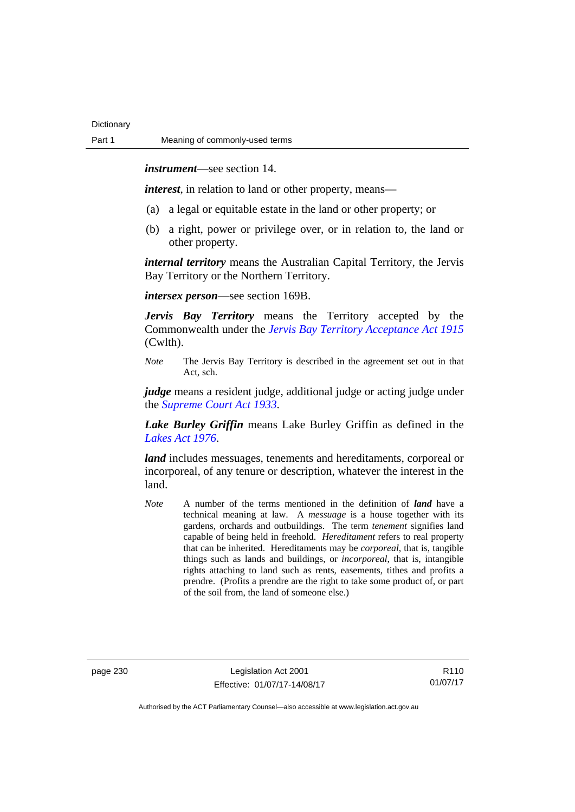*instrument*—see section 14.

*interest*, in relation to land or other property, means—

- (a) a legal or equitable estate in the land or other property; or
- (b) a right, power or privilege over, or in relation to, the land or other property.

*internal territory* means the Australian Capital Territory, the Jervis Bay Territory or the Northern Territory.

*intersex person*—see section 169B.

*Jervis Bay Territory* means the Territory accepted by the Commonwealth under the *[Jervis Bay Territory Acceptance Act 1915](http://www.comlaw.gov.au/Series/C2004A07489)* (Cwlth).

*Note* The Jervis Bay Territory is described in the agreement set out in that Act, sch.

*judge* means a resident judge, additional judge or acting judge under the *[Supreme Court Act 1933](http://www.legislation.act.gov.au/a/1933-34)*.

*Lake Burley Griffin* means Lake Burley Griffin as defined in the *[Lakes Act 1976](http://www.legislation.act.gov.au/a/1976-65)*.

*land* includes messuages, tenements and hereditaments, corporeal or incorporeal, of any tenure or description, whatever the interest in the land.

*Note* A number of the terms mentioned in the definition of *land* have a technical meaning at law. A *messuage* is a house together with its gardens, orchards and outbuildings. The term *tenement* signifies land capable of being held in freehold. *Hereditament* refers to real property that can be inherited. Hereditaments may be *corporeal*, that is, tangible things such as lands and buildings, or *incorporeal*, that is, intangible rights attaching to land such as rents, easements, tithes and profits a prendre. (Profits a prendre are the right to take some product of, or part of the soil from, the land of someone else.)

page 230 Legislation Act 2001 Effective: 01/07/17-14/08/17

R110 01/07/17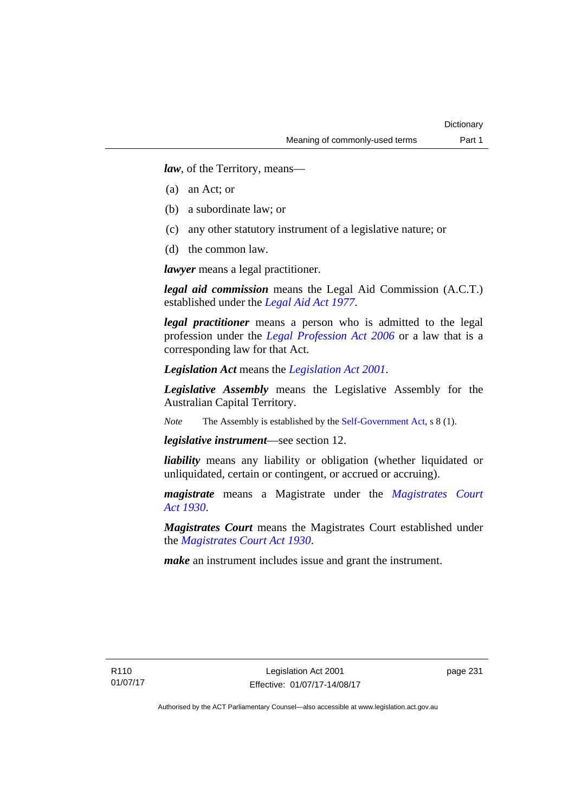*law*, of the Territory, means—

- (a) an Act; or
- (b) a subordinate law; or
- (c) any other statutory instrument of a legislative nature; or
- (d) the common law.

*lawyer* means a legal practitioner.

*legal aid commission* means the Legal Aid Commission (A.C.T.) established under the *[Legal Aid Act 1977](http://www.legislation.act.gov.au/a/1977-31)*.

*legal practitioner* means a person who is admitted to the legal profession under the *[Legal Profession Act 2006](http://www.legislation.act.gov.au/a/2006-25)* or a law that is a corresponding law for that Act.

*Legislation Act* means the *[Legislation Act 2001](http://www.legislation.act.gov.au/a/2001-14)*.

*Legislative Assembly* means the Legislative Assembly for the Australian Capital Territory.

*Note* The Assembly is established by the [Self-Government Act](http://www.comlaw.gov.au/Series/C2004A03699), s 8 (1).

*legislative instrument*—see section 12.

*liability* means any liability or obligation (whether liquidated or unliquidated, certain or contingent, or accrued or accruing).

*magistrate* means a Magistrate under the *Magistrates Court [Act 1930](http://www.legislation.act.gov.au/a/1930-21)*.

*Magistrates Court* means the Magistrates Court established under the *[Magistrates Court Act 1930](http://www.legislation.act.gov.au/a/1930-21)*.

*make* an instrument includes issue and grant the instrument.

page 231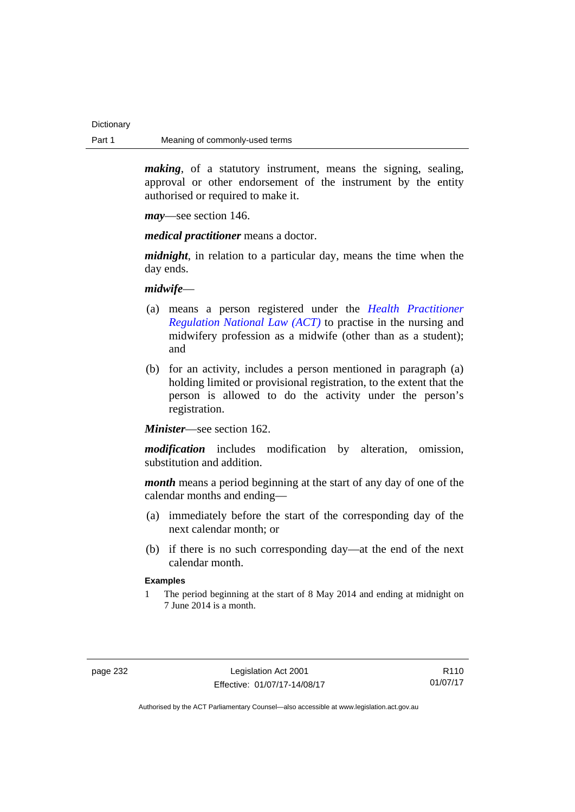*making*, of a statutory instrument, means the signing, sealing, approval or other endorsement of the instrument by the entity authorised or required to make it.

*may*—see section 146.

*medical practitioner* means a doctor.

*midnight*, in relation to a particular day, means the time when the day ends.

*midwife*—

- (a) means a person registered under the *[Health Practitioner](http://www.legislation.act.gov.au/a/db_39269/default.asp)  [Regulation National Law \(ACT\)](http://www.legislation.act.gov.au/a/db_39269/default.asp)* to practise in the nursing and midwifery profession as a midwife (other than as a student); and
- (b) for an activity, includes a person mentioned in paragraph (a) holding limited or provisional registration, to the extent that the person is allowed to do the activity under the person's registration.

*Minister*—see section 162.

*modification* includes modification by alteration, omission, substitution and addition.

*month* means a period beginning at the start of any day of one of the calendar months and ending—

- (a) immediately before the start of the corresponding day of the next calendar month; or
- (b) if there is no such corresponding day—at the end of the next calendar month.

## **Examples**

1 The period beginning at the start of 8 May 2014 and ending at midnight on 7 June 2014 is a month.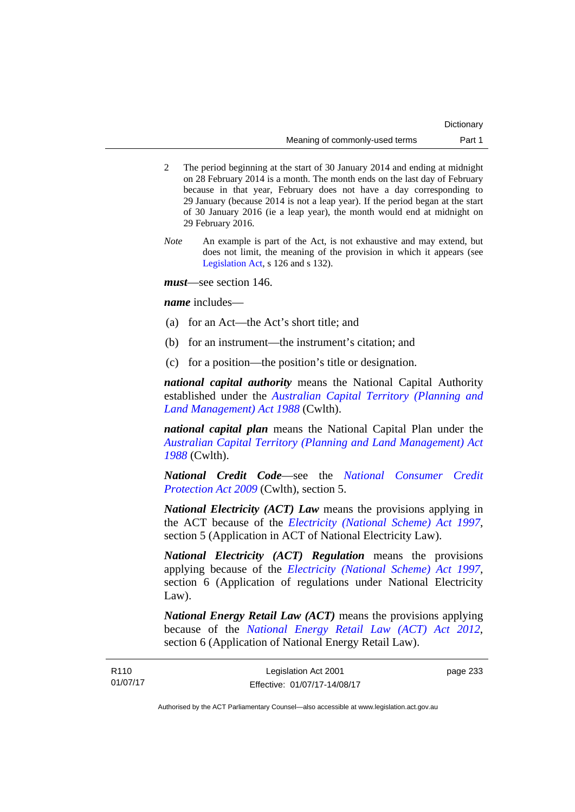- 2 The period beginning at the start of 30 January 2014 and ending at midnight on 28 February 2014 is a month. The month ends on the last day of February because in that year, February does not have a day corresponding to 29 January (because 2014 is not a leap year). If the period began at the start of 30 January 2016 (ie a leap year), the month would end at midnight on 29 February 2016.
- *Note* An example is part of the Act, is not exhaustive and may extend, but does not limit, the meaning of the provision in which it appears (see [Legislation Act,](http://www.legislation.act.gov.au/a/2001-14) s 126 and s 132).

*must*—see section 146.

*name* includes—

- (a) for an Act—the Act's short title; and
- (b) for an instrument—the instrument's citation; and
- (c) for a position—the position's title or designation.

*national capital authority* means the National Capital Authority established under the *[Australian Capital Territory \(Planning and](http://www.comlaw.gov.au/Series/C2004A03701)  [Land Management\) Act 1988](http://www.comlaw.gov.au/Series/C2004A03701)* (Cwlth).

*national capital plan* means the National Capital Plan under the *[Australian Capital Territory \(Planning and Land Management\) Act](http://www.comlaw.gov.au/Series/C2004A03701)  [1988](http://www.comlaw.gov.au/Series/C2004A03701)* (Cwlth).

*National Credit Code*—see the *[National Consumer Credit](http://www.comlaw.gov.au/Series/C2009A00134)  [Protection Act 2009](http://www.comlaw.gov.au/Series/C2009A00134)* (Cwlth), section 5.

*National Electricity (ACT) Law* means the provisions applying in the ACT because of the *[Electricity \(National Scheme\) Act 1997](http://www.legislation.act.gov.au/a/1997-79)*, section 5 (Application in ACT of National Electricity Law).

*National Electricity (ACT) Regulation* means the provisions applying because of the *[Electricity \(National Scheme\) Act 1997](http://www.legislation.act.gov.au/a/1997-79)*, section 6 (Application of regulations under National Electricity Law).

*National Energy Retail Law (ACT)* means the provisions applying because of the *[National Energy Retail Law \(ACT\) Act 2012](http://www.legislation.act.gov.au/a/2012-31)*, section 6 (Application of National Energy Retail Law).

page 233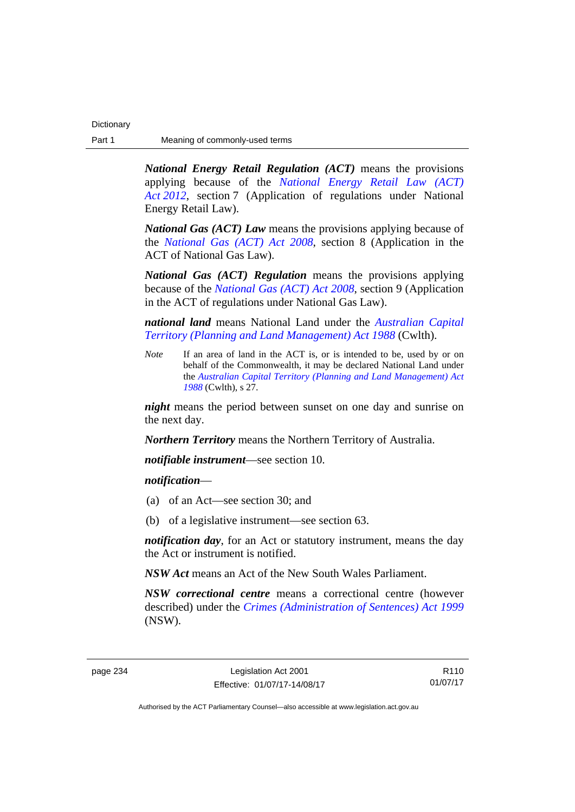*National Energy Retail Regulation (ACT)* means the provisions applying because of the *[National Energy Retail Law \(ACT\)](http://www.legislation.act.gov.au/a/2012-31)  [Act 2012](http://www.legislation.act.gov.au/a/2012-31)*, section 7 (Application of regulations under National Energy Retail Law).

*National Gas (ACT) Law* means the provisions applying because of the *[National Gas \(ACT\) Act 2008](http://www.legislation.act.gov.au/a/2008-15)*, section 8 (Application in the ACT of National Gas Law).

*National Gas (ACT) Regulation* means the provisions applying because of the *[National Gas \(ACT\) Act 2008](http://www.legislation.act.gov.au/a/2008-15)*, section 9 (Application in the ACT of regulations under National Gas Law).

*national land* means National Land under the *[Australian Capital](http://www.comlaw.gov.au/Series/C2004A03701)  [Territory \(Planning and Land Management\) Act 1988](http://www.comlaw.gov.au/Series/C2004A03701)* (Cwlth).

*Note* If an area of land in the ACT is, or is intended to be, used by or on behalf of the Commonwealth, it may be declared National Land under the *[Australian Capital Territory \(Planning and Land Management\) Act](http://www.comlaw.gov.au/Series/C2004A03701)  [1988](http://www.comlaw.gov.au/Series/C2004A03701)* (Cwlth), s 27.

*night* means the period between sunset on one day and sunrise on the next day.

*Northern Territory* means the Northern Territory of Australia.

*notifiable instrument*—see section 10.

*notification*—

- (a) of an Act—see section 30; and
- (b) of a legislative instrument—see section 63.

*notification day*, for an Act or statutory instrument, means the day the Act or instrument is notified.

*NSW Act* means an Act of the New South Wales Parliament.

*NSW correctional centre* means a correctional centre (however described) under the *[Crimes \(Administration of Sentences\) Act 1999](http://www.legislation.nsw.gov.au/maintop/view/inforce/act+93+1999+cd+0+N)* (NSW).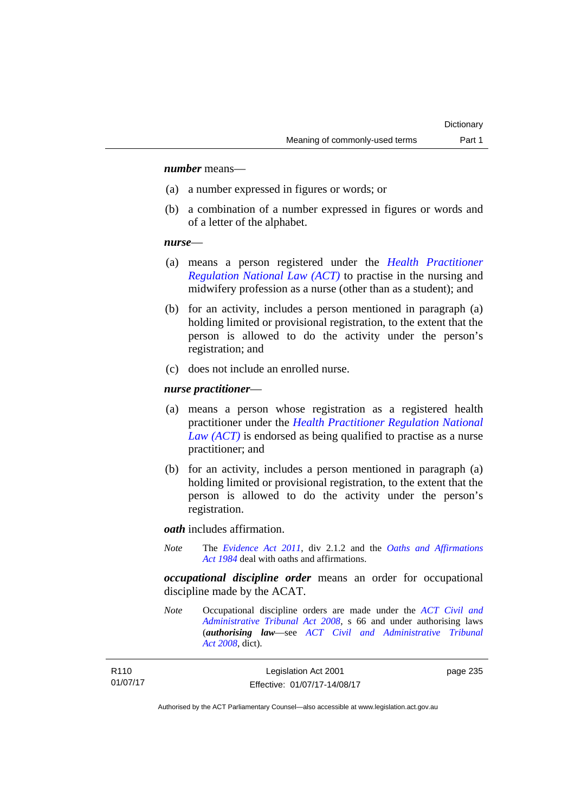## *number* means—

- (a) a number expressed in figures or words; or
- (b) a combination of a number expressed in figures or words and of a letter of the alphabet.

### *nurse*—

- (a) means a person registered under the *[Health Practitioner](http://www.legislation.act.gov.au/a/db_39269/default.asp)  [Regulation National Law \(ACT\)](http://www.legislation.act.gov.au/a/db_39269/default.asp)* to practise in the nursing and midwifery profession as a nurse (other than as a student); and
- (b) for an activity, includes a person mentioned in paragraph (a) holding limited or provisional registration, to the extent that the person is allowed to do the activity under the person's registration; and
- (c) does not include an enrolled nurse.

### *nurse practitioner*—

- (a) means a person whose registration as a registered health practitioner under the *[Health Practitioner Regulation National](http://www.legislation.act.gov.au/a/db_39269/default.asp)  [Law \(ACT\)](http://www.legislation.act.gov.au/a/db_39269/default.asp)* is endorsed as being qualified to practise as a nurse practitioner; and
- (b) for an activity, includes a person mentioned in paragraph (a) holding limited or provisional registration, to the extent that the person is allowed to do the activity under the person's registration.

*oath* includes affirmation.

*Note* The *[Evidence Act 2011](http://www.legislation.act.gov.au/a/2011-12)*, div 2.1.2 and the *[Oaths and Affirmations](http://www.legislation.act.gov.au/a/1984-79)  [Act 1984](http://www.legislation.act.gov.au/a/1984-79)* deal with oaths and affirmations.

*occupational discipline order* means an order for occupational discipline made by the ACAT.

*Note* Occupational discipline orders are made under the *[ACT Civil and](http://www.legislation.act.gov.au/a/2008-35)  [Administrative Tribunal Act 2008](http://www.legislation.act.gov.au/a/2008-35)*, s 66 and under authorising laws (*authorising law*—see *[ACT Civil and Administrative Tribunal](http://www.legislation.act.gov.au/a/2008-35)  [Act 2008](http://www.legislation.act.gov.au/a/2008-35)*, dict).

| R110     | Legislation Act 2001         | page 235 |
|----------|------------------------------|----------|
| 01/07/17 | Effective: 01/07/17-14/08/17 |          |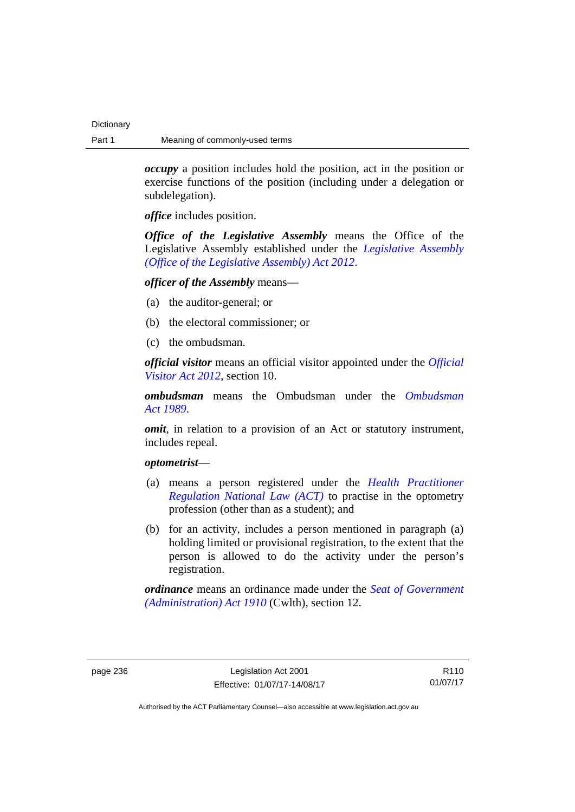*occupy* a position includes hold the position, act in the position or exercise functions of the position (including under a delegation or subdelegation).

*office* includes position.

*Office of the Legislative Assembly* means the Office of the Legislative Assembly established under the *[Legislative Assembly](http://www.legislation.act.gov.au/a/2012-26)  [\(Office of the Legislative Assembly\) Act 2012](http://www.legislation.act.gov.au/a/2012-26)*.

## *officer of the Assembly* means—

- (a) the auditor-general; or
- (b) the electoral commissioner; or
- (c) the ombudsman.

*official visitor* means an official visitor appointed under the *[Official](http://www.legislation.act.gov.au/a/2012-33)  [Visitor Act 2012](http://www.legislation.act.gov.au/a/2012-33)*, section 10.

*ombudsman* means the Ombudsman under the *[Ombudsman](http://www.legislation.act.gov.au/a/alt_a1989-45co)  [Act 1989](http://www.legislation.act.gov.au/a/alt_a1989-45co)*.

*omit*, in relation to a provision of an Act or statutory instrument, includes repeal.

## *optometrist*—

- (a) means a person registered under the *[Health Practitioner](http://www.legislation.act.gov.au/a/db_39269/default.asp)  [Regulation National Law \(ACT\)](http://www.legislation.act.gov.au/a/db_39269/default.asp)* to practise in the optometry profession (other than as a student); and
- (b) for an activity, includes a person mentioned in paragraph (a) holding limited or provisional registration, to the extent that the person is allowed to do the activity under the person's registration.

*ordinance* means an ordinance made under the *[Seat of Government](http://www.comlaw.gov.au/Series/C2004A07446)  [\(Administration\) Act 1910](http://www.comlaw.gov.au/Series/C2004A07446)* (Cwlth), section 12.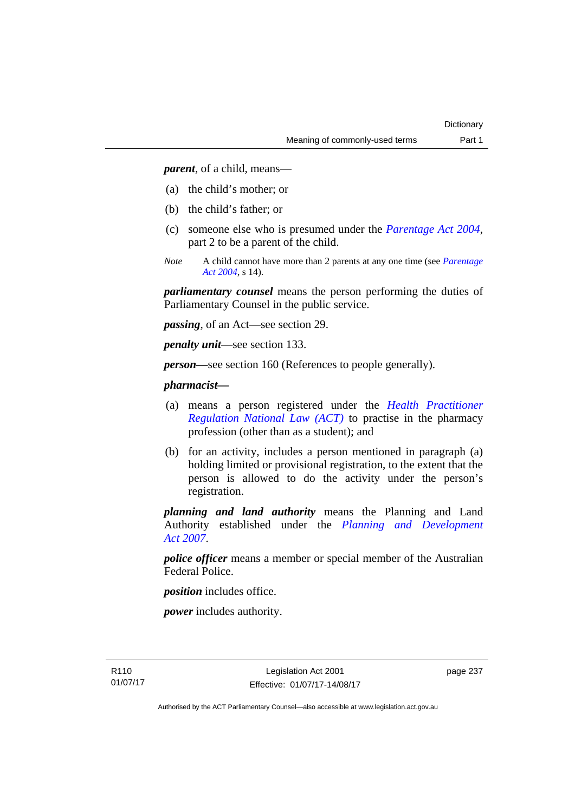*parent*, of a child, means—

- (a) the child's mother; or
- (b) the child's father; or
- (c) someone else who is presumed under the *[Parentage Act 2004](http://www.legislation.act.gov.au/a/2004-1)*, part 2 to be a parent of the child.
- *Note* A child cannot have more than 2 parents at any one time (see *[Parentage](http://www.legislation.act.gov.au/a/2004-1)  [Act 2004](http://www.legislation.act.gov.au/a/2004-1)*, s 14).

*parliamentary counsel* means the person performing the duties of Parliamentary Counsel in the public service.

*passing*, of an Act—see section 29.

*penalty unit*—see section 133.

*person—*see section 160 (References to people generally).

## *pharmacist***—**

- (a) means a person registered under the *[Health Practitioner](http://www.legislation.act.gov.au/a/db_39269/default.asp)  [Regulation National Law \(ACT\)](http://www.legislation.act.gov.au/a/db_39269/default.asp)* to practise in the pharmacy profession (other than as a student); and
- (b) for an activity, includes a person mentioned in paragraph (a) holding limited or provisional registration, to the extent that the person is allowed to do the activity under the person's registration.

*planning and land authority* means the Planning and Land Authority established under the *[Planning and Development](http://www.legislation.act.gov.au/a/2007-24)  [Act 2007](http://www.legislation.act.gov.au/a/2007-24)*.

*police officer* means a member or special member of the Australian Federal Police.

*position* includes office.

*power* includes authority.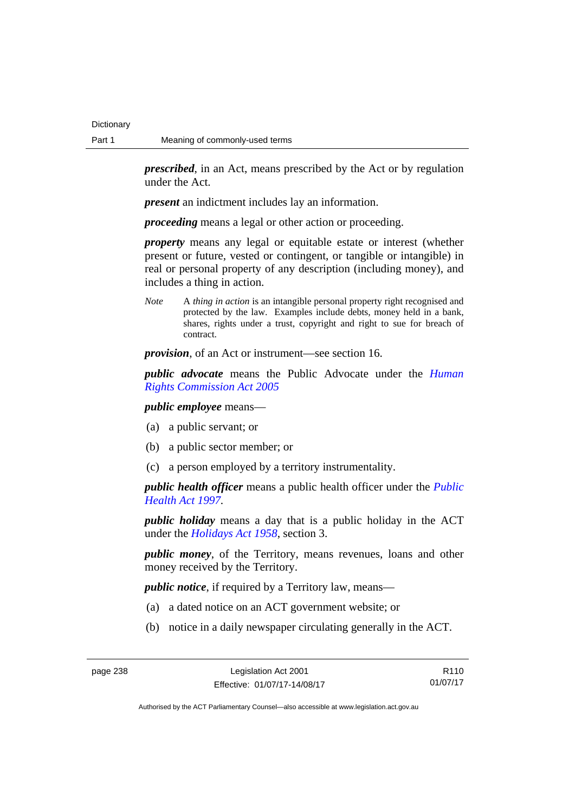*prescribed*, in an Act, means prescribed by the Act or by regulation under the Act.

*present* an indictment includes lay an information.

*proceeding* means a legal or other action or proceeding.

*property* means any legal or equitable estate or interest (whether present or future, vested or contingent, or tangible or intangible) in real or personal property of any description (including money), and includes a thing in action.

*Note* A *thing in action* is an intangible personal property right recognised and protected by the law. Examples include debts, money held in a bank, shares, rights under a trust, copyright and right to sue for breach of contract.

*provision*, of an Act or instrument—see section 16.

*public advocate* means the Public Advocate under the *[Human](http://www.legislation.act.gov.au/a/2005-40)  [Rights Commission Act 2005](http://www.legislation.act.gov.au/a/2005-40)*

*public employee* means—

- (a) a public servant; or
- (b) a public sector member; or
- (c) a person employed by a territory instrumentality.

*public health officer* means a public health officer under the *[Public](http://www.legislation.act.gov.au/a/1997-69)  [Health Act 1997.](http://www.legislation.act.gov.au/a/1997-69)*

*public holiday* means a day that is a public holiday in the ACT under the *[Holidays Act 1958](http://www.legislation.act.gov.au/a/1958-19)*, section 3.

*public money*, of the Territory, means revenues, loans and other money received by the Territory.

*public notice*, if required by a Territory law, means—

- (a) a dated notice on an ACT government website; or
- (b) notice in a daily newspaper circulating generally in the ACT.

R110 01/07/17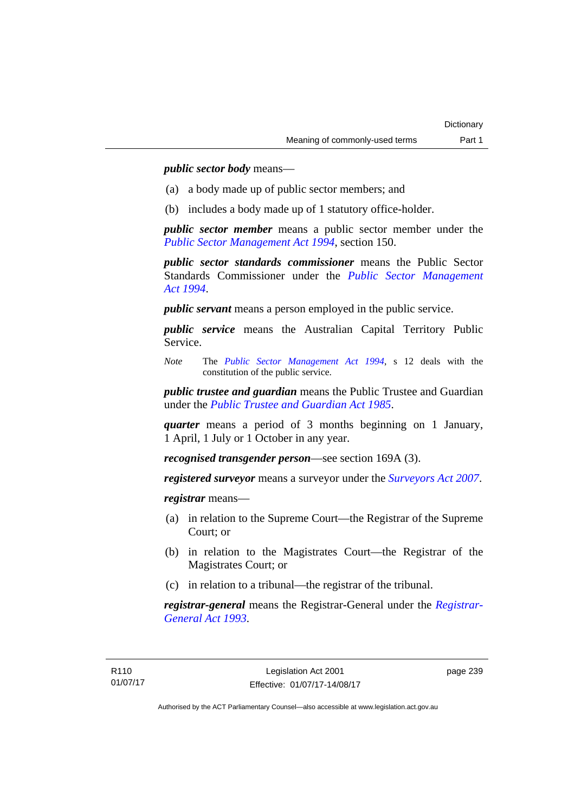*public sector body* means—

- (a) a body made up of public sector members; and
- (b) includes a body made up of 1 statutory office-holder.

*public sector member* means a public sector member under the *[Public Sector Management Act 1994](http://www.legislation.act.gov.au/a/1994-37)*, section 150.

*public sector standards commissioner* means the Public Sector Standards Commissioner under the *[Public Sector Management](http://www.legislation.act.gov.au/a/1994-37)  [Act 1994](http://www.legislation.act.gov.au/a/1994-37)*.

*public servant* means a person employed in the public service.

*public service* means the Australian Capital Territory Public Service.

*Note* The *[Public Sector Management Act 1994](http://www.legislation.act.gov.au/a/1994-37)*, s 12 deals with the constitution of the public service.

*public trustee and guardian* means the Public Trustee and Guardian under the *[Public Trustee and Guardian Act 1985](http://www.legislation.act.gov.au/a/1985-8/default.asp)*.

*quarter* means a period of 3 months beginning on 1 January, 1 April, 1 July or 1 October in any year.

*recognised transgender person*—see section 169A (3).

*registered surveyor* means a surveyor under the *[Surveyors Act 2007](http://www.legislation.act.gov.au/a/2007-33)*.

*registrar* means—

- (a) in relation to the Supreme Court—the Registrar of the Supreme Court; or
- (b) in relation to the Magistrates Court—the Registrar of the Magistrates Court; or
- (c) in relation to a tribunal—the registrar of the tribunal.

*registrar-general* means the Registrar-General under the *[Registrar-](http://www.legislation.act.gov.au/a/1993-63)[General Act 1993](http://www.legislation.act.gov.au/a/1993-63)*.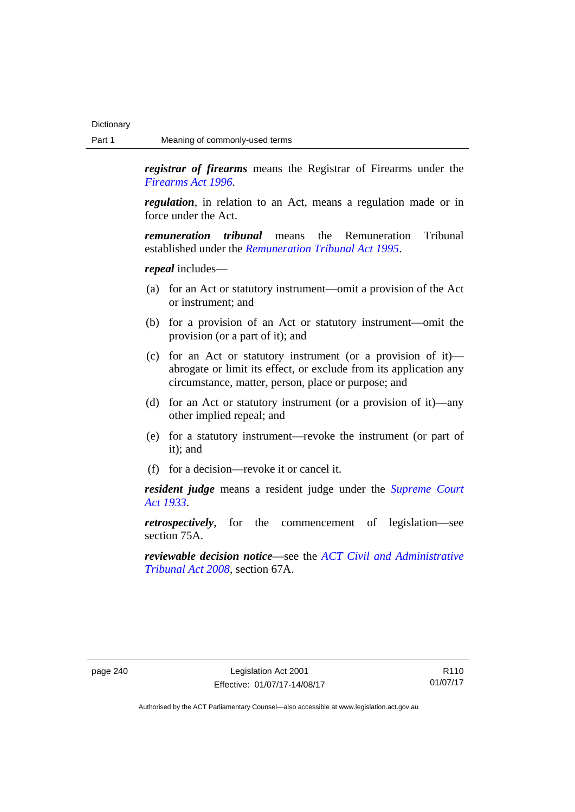*registrar of firearms* means the Registrar of Firearms under the *[Firearms Act 1996](http://www.legislation.act.gov.au/a/1996-74)*.

*regulation*, in relation to an Act, means a regulation made or in force under the Act.

*remuneration tribunal* means the Remuneration Tribunal established under the *[Remuneration Tribunal Act 1995](http://www.legislation.act.gov.au/a/1995-55)*.

*repeal* includes—

- (a) for an Act or statutory instrument—omit a provision of the Act or instrument; and
- (b) for a provision of an Act or statutory instrument—omit the provision (or a part of it); and
- (c) for an Act or statutory instrument (or a provision of it) abrogate or limit its effect, or exclude from its application any circumstance, matter, person, place or purpose; and
- (d) for an Act or statutory instrument (or a provision of it)—any other implied repeal; and
- (e) for a statutory instrument—revoke the instrument (or part of it); and
- (f) for a decision—revoke it or cancel it.

*resident judge* means a resident judge under the *[Supreme Court](http://www.legislation.act.gov.au/a/1933-34)  [Act 1933](http://www.legislation.act.gov.au/a/1933-34)*.

*retrospectively*, for the commencement of legislation—see section 75A.

*reviewable decision notice*—see the *[ACT Civil and Administrative](http://www.legislation.act.gov.au/a/2008-35)  [Tribunal Act 2008](http://www.legislation.act.gov.au/a/2008-35)*, section 67A.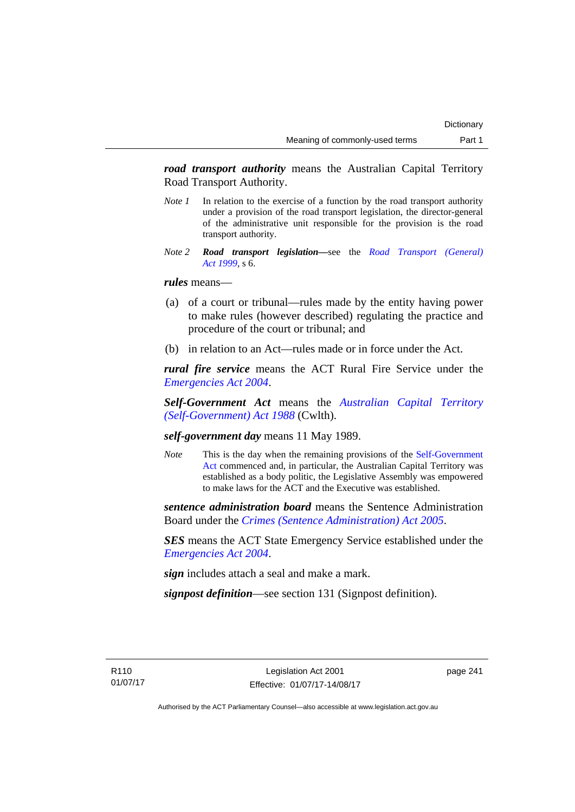*road transport authority* means the Australian Capital Territory Road Transport Authority.

- *Note 1* In relation to the exercise of a function by the road transport authority under a provision of the road transport legislation, the director-general of the administrative unit responsible for the provision is the road transport authority.
- *Note 2 Road transport legislation––*see the *[Road Transport \(General\)](http://www.legislation.act.gov.au/a/1999-77)  [Act 1999](http://www.legislation.act.gov.au/a/1999-77)*, s 6.

## *rules* means—

- (a) of a court or tribunal—rules made by the entity having power to make rules (however described) regulating the practice and procedure of the court or tribunal; and
- (b) in relation to an Act—rules made or in force under the Act.

*rural fire service* means the ACT Rural Fire Service under the *[Emergencies Act 2004](http://www.legislation.act.gov.au/a/2004-28)*.

*Self-Government Act* means the *[Australian Capital Territory](http://www.comlaw.gov.au/Series/C2004A03699)  [\(Self-Government\) Act 1988](http://www.comlaw.gov.au/Series/C2004A03699)* (Cwlth).

## *self-government day* means 11 May 1989.

*Note* This is the day when the remaining provisions of the Self-Government [Act](http://www.comlaw.gov.au/Series/C2004A03699) commenced and, in particular, the Australian Capital Territory was established as a body politic, the Legislative Assembly was empowered to make laws for the ACT and the Executive was established.

*sentence administration board* means the Sentence Administration Board under the *[Crimes \(Sentence Administration\) Act 2005](http://www.legislation.act.gov.au/a/2005-59)*.

*SES* means the ACT State Emergency Service established under the *[Emergencies Act 2004](http://www.legislation.act.gov.au/a/2004-28)*.

*sign* includes attach a seal and make a mark.

*signpost definition*—see section 131 (Signpost definition).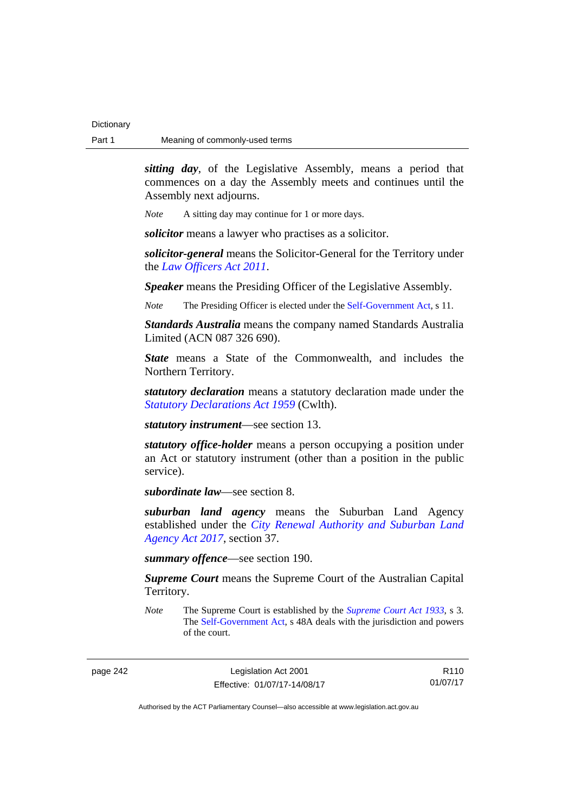*sitting day*, of the Legislative Assembly, means a period that commences on a day the Assembly meets and continues until the Assembly next adjourns.

*Note* A sitting day may continue for 1 or more days.

*solicitor* means a lawyer who practises as a solicitor.

*solicitor-general* means the Solicitor-General for the Territory under the *[Law Officers Act 2011](http://www.legislation.act.gov.au/a/2011-30)*.

*Speaker* means the Presiding Officer of the Legislative Assembly.

*Note* The Presiding Officer is elected under the [Self-Government Act,](http://www.comlaw.gov.au/Series/C2004A03699) s 11.

*Standards Australia* means the company named Standards Australia Limited (ACN 087 326 690).

*State* means a State of the Commonwealth, and includes the Northern Territory.

*statutory declaration* means a statutory declaration made under the *[Statutory Declarations Act 1959](http://www.comlaw.gov.au/Series/C2004A07365)* (Cwlth).

*statutory instrument*—see section 13.

*statutory office-holder* means a person occupying a position under an Act or statutory instrument (other than a position in the public service).

*subordinate law*—see section 8.

*suburban land agency* means the Suburban Land Agency established under the *[City Renewal Authority and Suburban Land](http://www.legislation.act.gov.au/a/2017-12/default.asp)  [Agency Act 2017](http://www.legislation.act.gov.au/a/2017-12/default.asp)*, section 37.

*summary offence*—see section 190.

*Supreme Court* means the Supreme Court of the Australian Capital Territory.

*Note* The Supreme Court is established by the *[Supreme Court Act 1933](http://www.legislation.act.gov.au/a/1933-34)*, s 3. The [Self-Government Act](http://www.comlaw.gov.au/Series/C2004A03699), s 48A deals with the jurisdiction and powers of the court.

page 242 Legislation Act 2001 Effective: 01/07/17-14/08/17

R110 01/07/17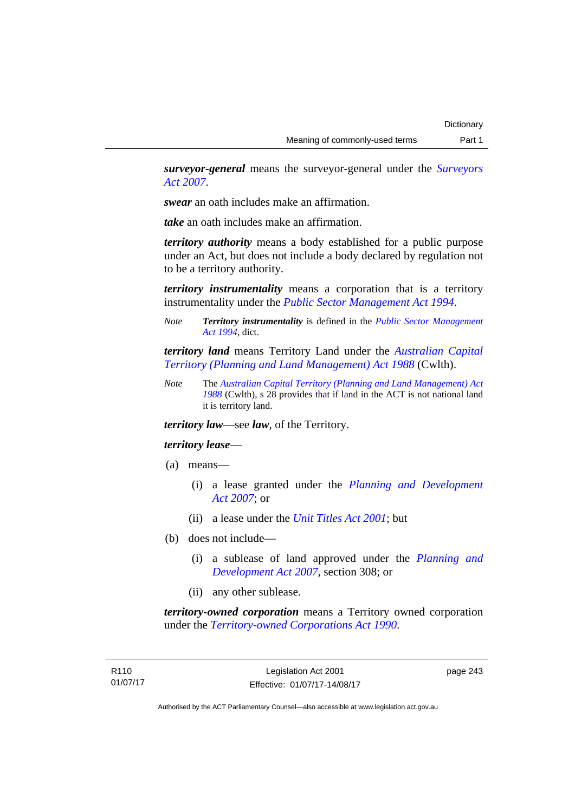*surveyor-general* means the surveyor-general under the *[Surveyors](http://www.legislation.act.gov.au/a/2007-33)  [Act 2007](http://www.legislation.act.gov.au/a/2007-33)*.

*swear* an oath includes make an affirmation.

*take* an oath includes make an affirmation.

*territory authority* means a body established for a public purpose under an Act, but does not include a body declared by regulation not to be a territory authority.

*territory instrumentality* means a corporation that is a territory instrumentality under the *[Public Sector Management Act 1994](http://www.legislation.act.gov.au/a/1994-37)*.

*Note Territory instrumentality* is defined in the *[Public Sector Management](http://www.legislation.act.gov.au/a/1994-37)  [Act 1994](http://www.legislation.act.gov.au/a/1994-37)*, dict.

*territory land* means Territory Land under the *[Australian Capital](http://www.comlaw.gov.au/Series/C2004A03701)  [Territory \(Planning and Land Management\) Act 1988](http://www.comlaw.gov.au/Series/C2004A03701)* (Cwlth).

*Note* The *[Australian Capital Territory \(Planning and Land Management\) Act](http://www.comlaw.gov.au/Series/C2004A03701)  [1988](http://www.comlaw.gov.au/Series/C2004A03701)* (Cwlth), s 28 provides that if land in the ACT is not national land it is territory land.

*territory law*—see *law*, of the Territory.

## *territory lease*—

- (a) means—
	- (i) a lease granted under the *[Planning and Development](http://www.legislation.act.gov.au/a/2007-24)  [Act 2007](http://www.legislation.act.gov.au/a/2007-24)*; or
	- (ii) a lease under the *[Unit Titles Act 2001](http://www.legislation.act.gov.au/a/2001-16)*; but
- (b) does not include—
	- (i) a sublease of land approved under the *[Planning and](http://www.legislation.act.gov.au/a/2007-24)  [Development Act 2007](http://www.legislation.act.gov.au/a/2007-24)*, section 308; or
	- (ii) any other sublease.

*territory-owned corporation* means a Territory owned corporation under the *[Territory-owned Corporations Act 1990](http://www.legislation.act.gov.au/a/1990-53)*.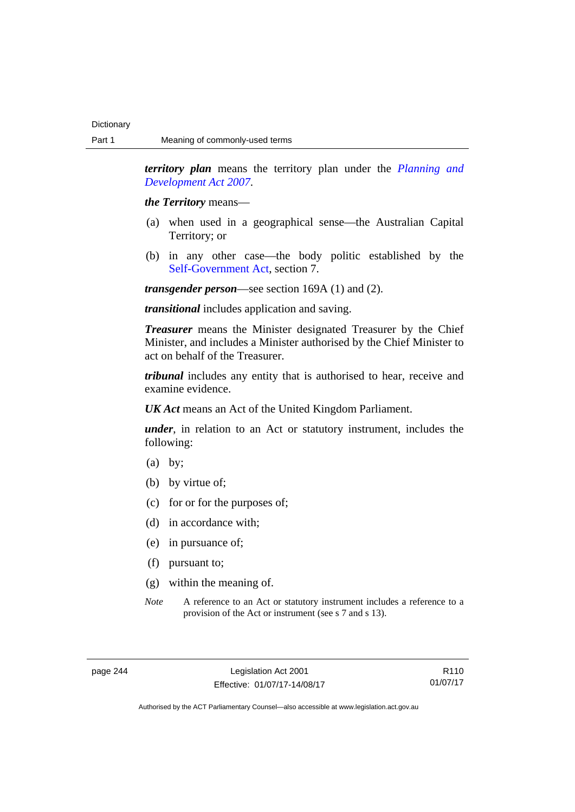*territory plan* means the territory plan under the *[Planning and](http://www.legislation.act.gov.au/a/2007-24)  [Development Act 2007](http://www.legislation.act.gov.au/a/2007-24)*.

*the Territory* means—

- (a) when used in a geographical sense—the Australian Capital Territory; or
- (b) in any other case—the body politic established by the [Self-Government Act,](http://www.comlaw.gov.au/Series/C2004A03699) section 7.

*transgender person*—see section 169A (1) and (2).

*transitional* includes application and saving.

*Treasurer* means the Minister designated Treasurer by the Chief Minister, and includes a Minister authorised by the Chief Minister to act on behalf of the Treasurer.

*tribunal* includes any entity that is authorised to hear, receive and examine evidence.

*UK Act* means an Act of the United Kingdom Parliament.

*under*, in relation to an Act or statutory instrument, includes the following:

- (a) by;
- (b) by virtue of;
- (c) for or for the purposes of;
- (d) in accordance with;
- (e) in pursuance of;
- (f) pursuant to;
- (g) within the meaning of.
- *Note* A reference to an Act or statutory instrument includes a reference to a provision of the Act or instrument (see s 7 and s 13).

R110 01/07/17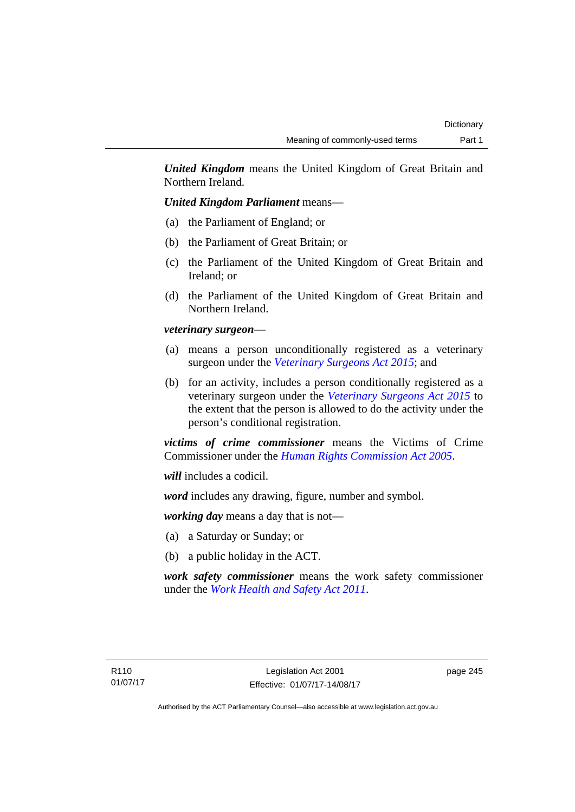*United Kingdom* means the United Kingdom of Great Britain and Northern Ireland.

## *United Kingdom Parliament* means—

- (a) the Parliament of England; or
- (b) the Parliament of Great Britain; or
- (c) the Parliament of the United Kingdom of Great Britain and Ireland; or
- (d) the Parliament of the United Kingdom of Great Britain and Northern Ireland.

## *veterinary surgeon*—

- (a) means a person unconditionally registered as a veterinary surgeon under the *[Veterinary Surgeons Act 2015](http://www.legislation.act.gov.au/a/2015-29)*; and
- (b) for an activity, includes a person conditionally registered as a veterinary surgeon under the *[Veterinary Surgeons Act 2015](http://www.legislation.act.gov.au/a/2015-29)* to the extent that the person is allowed to do the activity under the person's conditional registration.

*victims of crime commissioner* means the Victims of Crime Commissioner under the *[Human Rights Commission Act 2005](http://www.legislation.act.gov.au/a/2005-40)*.

*will* includes a codicil.

*word* includes any drawing, figure, number and symbol.

*working day* means a day that is not—

- (a) a Saturday or Sunday; or
- (b) a public holiday in the ACT.

*work safety commissioner* means the work safety commissioner under the *[Work Health and Safety Act 2011](http://www.legislation.act.gov.au/a/2011-35)*.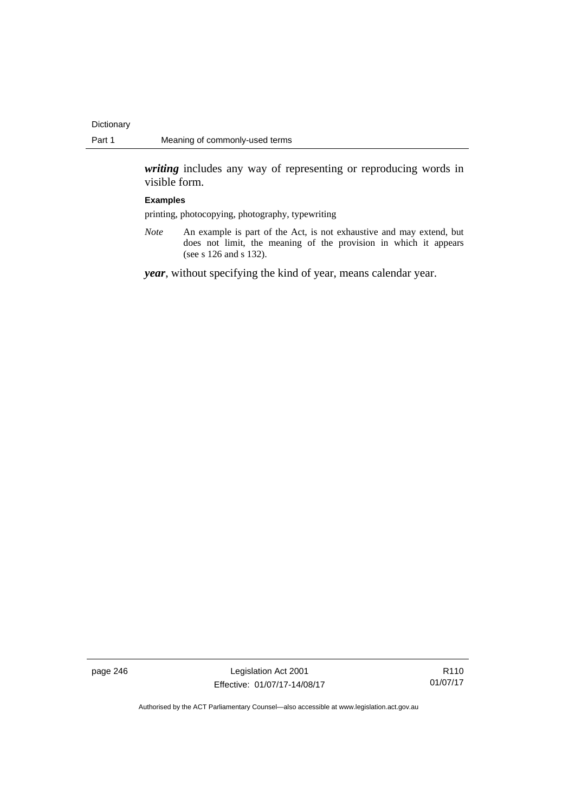*writing* includes any way of representing or reproducing words in visible form.

### **Examples**

printing, photocopying, photography, typewriting

*Note* An example is part of the Act, is not exhaustive and may extend, but does not limit, the meaning of the provision in which it appears (see s 126 and s 132).

*year*, without specifying the kind of year, means calendar year.

page 246 Legislation Act 2001 Effective: 01/07/17-14/08/17

R110 01/07/17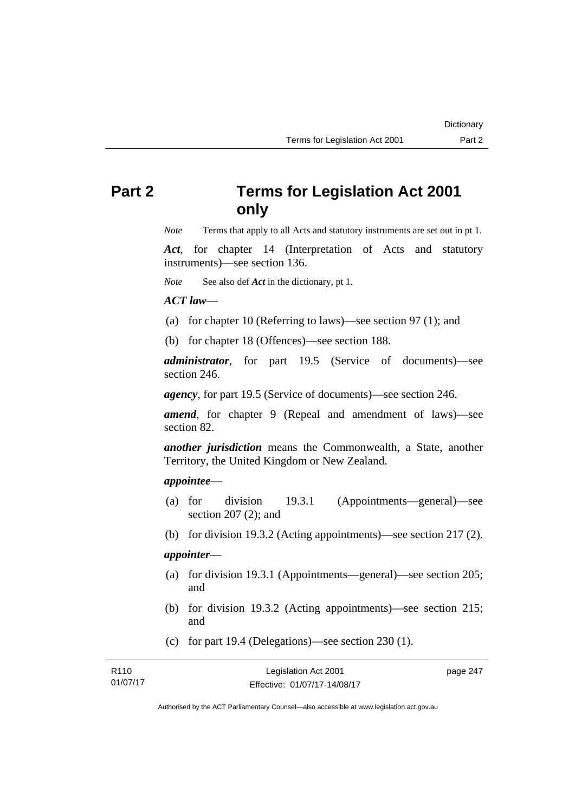# **Part 2 Terms for Legislation Act 2001 only**

*Note* Terms that apply to all Acts and statutory instruments are set out in pt 1.

*Act*, for chapter 14 (Interpretation of Acts and statutory instruments)—see section 136.

*Note* See also def *Act* in the dictionary, pt 1.

## *ACT law*—

- (a) for chapter 10 (Referring to laws)—see section 97 (1); and
- (b) for chapter 18 (Offences)—see section 188.

*administrator*, for part 19.5 (Service of documents)—see section 246.

*agency*, for part 19.5 (Service of documents)—see section 246.

*amend*, for chapter 9 (Repeal and amendment of laws)—see section 82.

*another jurisdiction* means the Commonwealth, a State, another Territory, the United Kingdom or New Zealand.

## *appointee*—

- (a) for division 19.3.1 (Appointments—general)—see section 207 (2); and
- (b) for division 19.3.2 (Acting appointments)—see section 217 (2).

## *appointer*—

- (a) for division 19.3.1 (Appointments—general)—see section 205; and
- (b) for division 19.3.2 (Acting appointments)—see section 215; and
- (c) for part 19.4 (Delegations)—see section 230 (1).

| R110     | Legislation Act 2001         | page 247 |
|----------|------------------------------|----------|
| 01/07/17 | Effective: 01/07/17-14/08/17 |          |

Authorised by the ACT Parliamentary Counsel—also accessible at www.legislation.act.gov.au

**Dictionary**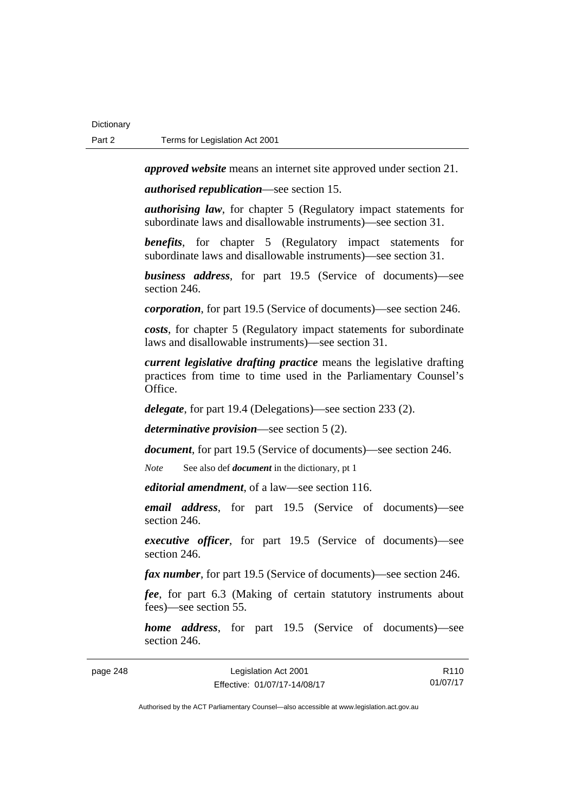*approved website* means an internet site approved under section 21.

*authorised republication*—see section 15.

*authorising law*, for chapter 5 (Regulatory impact statements for subordinate laws and disallowable instruments)—see section 31.

*benefits*, for chapter 5 (Regulatory impact statements for subordinate laws and disallowable instruments)—see section 31.

*business address*, for part 19.5 (Service of documents)—see section 246.

*corporation*, for part 19.5 (Service of documents)—see section 246.

*costs*, for chapter 5 (Regulatory impact statements for subordinate laws and disallowable instruments)—see section 31.

*current legislative drafting practice* means the legislative drafting practices from time to time used in the Parliamentary Counsel's Office.

*delegate*, for part 19.4 (Delegations)—see section 233 (2).

*determinative provision*—see section 5 (2).

*document*, for part 19.5 (Service of documents)—see section 246.

*Note* See also def *document* in the dictionary, pt 1

*editorial amendment*, of a law—see section 116.

*email address*, for part 19.5 (Service of documents)—see section 246.

*executive officer*, for part 19.5 (Service of documents)—see section 246.

*fax number*, for part 19.5 (Service of documents)—see section 246.

*fee*, for part 6.3 (Making of certain statutory instruments about fees)—see section 55.

*home address*, for part 19.5 (Service of documents)—see section 246.

| page 248 | Legislation Act 2001         | R <sub>110</sub> |
|----------|------------------------------|------------------|
|          | Effective: 01/07/17-14/08/17 | 01/07/17         |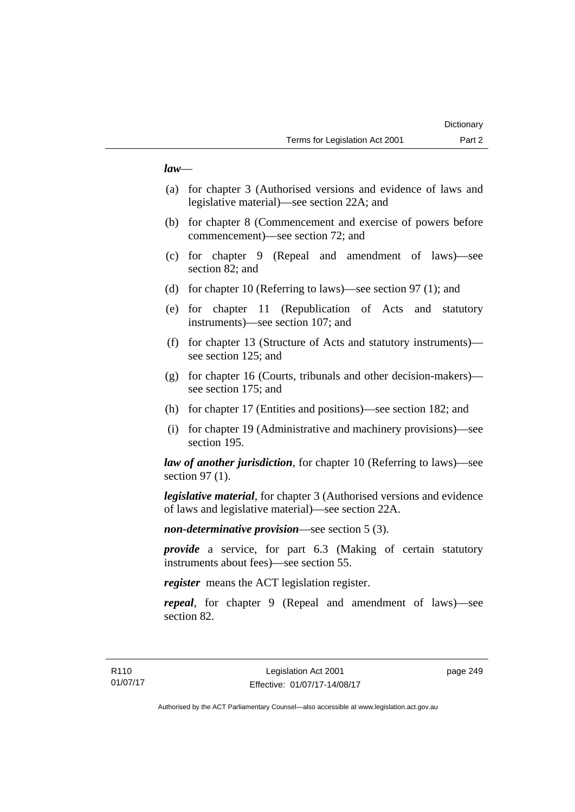## *law*—

- (a) for chapter 3 (Authorised versions and evidence of laws and legislative material)—see section 22A; and
- (b) for chapter 8 (Commencement and exercise of powers before commencement)—see section 72; and
- (c) for chapter 9 (Repeal and amendment of laws)—see section 82; and
- (d) for chapter 10 (Referring to laws)—see section 97 (1); and
- (e) for chapter 11 (Republication of Acts and statutory instruments)—see section 107; and
- (f) for chapter 13 (Structure of Acts and statutory instruments) see section 125; and
- (g) for chapter 16 (Courts, tribunals and other decision-makers) see section 175; and
- (h) for chapter 17 (Entities and positions)—see section 182; and
- (i) for chapter 19 (Administrative and machinery provisions)—see section 195.

*law of another jurisdiction*, for chapter 10 (Referring to laws)—see section 97 (1).

*legislative material*, for chapter 3 (Authorised versions and evidence of laws and legislative material)—see section 22A.

*non-determinative provision*—see section 5 (3).

*provide* a service, for part 6.3 (Making of certain statutory instruments about fees)—see section 55.

*register* means the ACT legislation register.

*repeal*, for chapter 9 (Repeal and amendment of laws)—see section 82.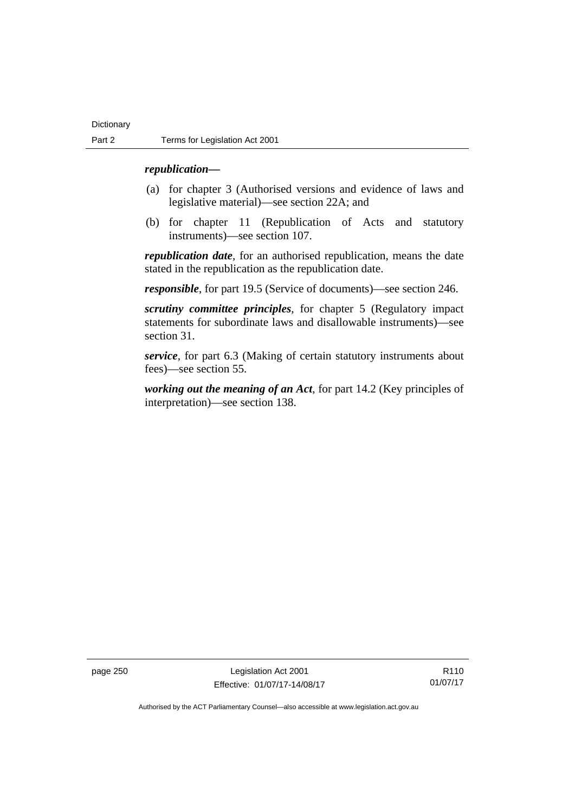## *republication—*

- (a) for chapter 3 (Authorised versions and evidence of laws and legislative material)—see section 22A; and
- (b) for chapter 11 (Republication of Acts and statutory instruments)—see section 107.

*republication date*, for an authorised republication, means the date stated in the republication as the republication date.

*responsible*, for part 19.5 (Service of documents)—see section 246.

*scrutiny committee principles*, for chapter 5 (Regulatory impact statements for subordinate laws and disallowable instruments)—see section 31.

*service*, for part 6.3 (Making of certain statutory instruments about fees)—see section 55.

*working out the meaning of an Act*, for part 14.2 (Key principles of interpretation)—see section 138.

page 250 Legislation Act 2001 Effective: 01/07/17-14/08/17

R110 01/07/17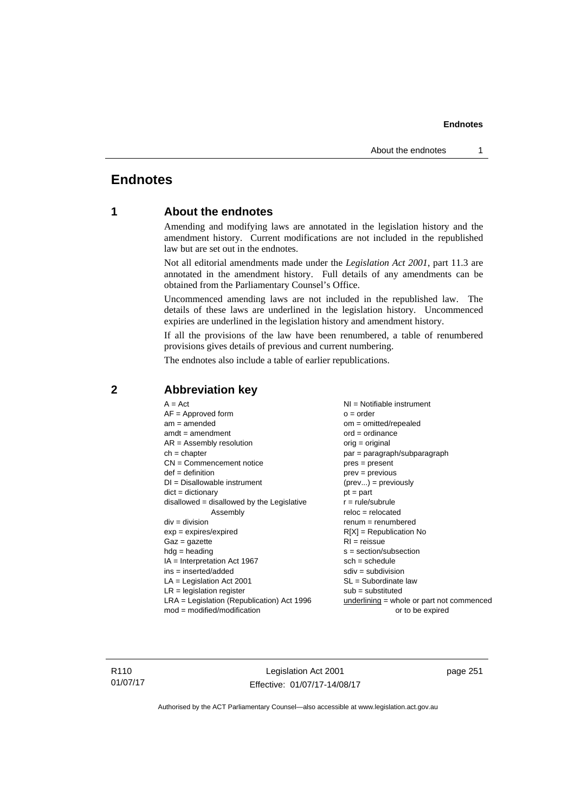## **Endnotes**

## **1 About the endnotes**

Amending and modifying laws are annotated in the legislation history and the amendment history. Current modifications are not included in the republished law but are set out in the endnotes.

Not all editorial amendments made under the *Legislation Act 2001*, part 11.3 are annotated in the amendment history. Full details of any amendments can be obtained from the Parliamentary Counsel's Office.

Uncommenced amending laws are not included in the republished law. The details of these laws are underlined in the legislation history. Uncommenced expiries are underlined in the legislation history and amendment history.

If all the provisions of the law have been renumbered, a table of renumbered provisions gives details of previous and current numbering.

The endnotes also include a table of earlier republications.

| $A = Act$<br>$AF =$ Approved form<br>$am = amended$<br>$amdt = amendment$<br>$AR = Assembly resolution$<br>$ch = chapter$<br>$CN =$ Commencement notice<br>$def = definition$<br>$DI = Disallowable instrument$<br>$dict = dictionary$<br>disallowed = disallowed by the Legislative<br>Assembly<br>$div =$ division<br>$exp = expires/expired$<br>$Gaz = gazette$<br>$hdg = heading$<br>$IA = Interpretation Act 1967$<br>$ins = inserted/added$<br>$LA =$ Legislation Act 2001<br>$LR =$ legislation register | $NI =$ Notifiable instrument<br>$o = order$<br>$om = omitted/repealed$<br>$ord = ordinance$<br>$orig = original$<br>par = paragraph/subparagraph<br>$pres = present$<br>$prev = previous$<br>$(\text{prev}) = \text{previously}$<br>$pt = part$<br>$r = rule/subrule$<br>$reloc = relocated$<br>$renum = renumbered$<br>$R[X]$ = Republication No<br>$RI = reissue$<br>$s = section/subsection$<br>$sch = schedule$<br>$sdiv = subdivision$<br>$SL = Subordinate$ law<br>$sub =$ substituted |
|-----------------------------------------------------------------------------------------------------------------------------------------------------------------------------------------------------------------------------------------------------------------------------------------------------------------------------------------------------------------------------------------------------------------------------------------------------------------------------------------------------------------|----------------------------------------------------------------------------------------------------------------------------------------------------------------------------------------------------------------------------------------------------------------------------------------------------------------------------------------------------------------------------------------------------------------------------------------------------------------------------------------------|
|                                                                                                                                                                                                                                                                                                                                                                                                                                                                                                                 |                                                                                                                                                                                                                                                                                                                                                                                                                                                                                              |
|                                                                                                                                                                                                                                                                                                                                                                                                                                                                                                                 |                                                                                                                                                                                                                                                                                                                                                                                                                                                                                              |
| $LRA =$ Legislation (Republication) Act 1996                                                                                                                                                                                                                                                                                                                                                                                                                                                                    | $underlining = whole or part not commenced$                                                                                                                                                                                                                                                                                                                                                                                                                                                  |
| $mod = modified/modification$                                                                                                                                                                                                                                                                                                                                                                                                                                                                                   | or to be expired                                                                                                                                                                                                                                                                                                                                                                                                                                                                             |

## **2 Abbreviation key**

R110 01/07/17

Legislation Act 2001 Effective: 01/07/17-14/08/17 page 251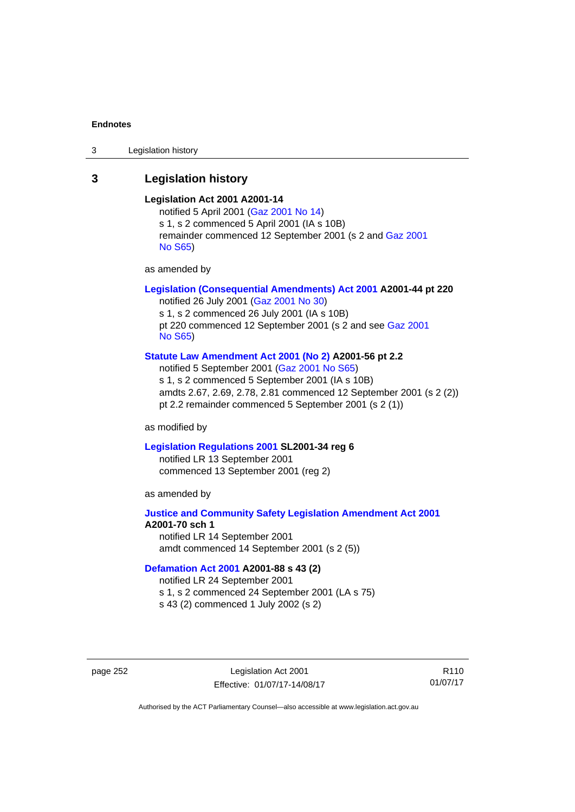3 Legislation history

## **3 Legislation history**

## **Legislation Act 2001 A2001-14**

notified 5 April 2001 ([Gaz 2001 No 14](http://www.legislation.act.gov.au/gaz/2001-14/default.asp)) s 1, s 2 commenced 5 April 2001 (IA s 10B) remainder commenced 12 September 2001 (s 2 and [Gaz 2001](http://www.legislation.act.gov.au/gaz/2001-S65/default.asp)  [No S65](http://www.legislation.act.gov.au/gaz/2001-S65/default.asp))

as amended by

## **[Legislation \(Consequential Amendments\) Act 2001](http://www.legislation.act.gov.au/a/2001-44) A2001-44 pt 220**

notified 26 July 2001 ([Gaz 2001 No 30\)](http://www.legislation.act.gov.au/gaz/2001-30/default.asp) s 1, s 2 commenced 26 July 2001 (IA s 10B) pt 220 commenced 12 September 2001 (s 2 and see [Gaz 2001](http://www.legislation.act.gov.au/gaz/2001-S65/default.asp)  [No S65](http://www.legislation.act.gov.au/gaz/2001-S65/default.asp))

## **[Statute Law Amendment Act 2001 \(No 2\)](http://www.legislation.act.gov.au/a/2001-56) A2001-56 pt 2.2**

notified 5 September 2001 [\(Gaz 2001 No S65\)](http://www.legislation.act.gov.au/gaz/2001-S65/default.asp) s 1, s 2 commenced 5 September 2001 (IA s 10B) amdts 2.67, 2.69, 2.78, 2.81 commenced 12 September 2001 (s 2 (2)) pt 2.2 remainder commenced 5 September 2001 (s 2 (1))

as modified by

### **[Legislation Regulations 2001](http://www.legislation.act.gov.au/sl/2001-34) SL2001-34 reg 6**

notified LR 13 September 2001 commenced 13 September 2001 (reg 2)

as amended by

## **[Justice and Community Safety Legislation Amendment Act 2001](http://www.legislation.act.gov.au/a/2001-70) A2001-70 sch 1**  notified LR 14 September 2001

amdt commenced 14 September 2001 (s 2 (5))

## **[Defamation Act 2001](http://www.legislation.act.gov.au/a/2001-88) A2001-88 s 43 (2)**

notified LR 24 September 2001

s 1, s 2 commenced 24 September 2001 (LA s 75)

s 43 (2) commenced 1 July 2002 (s 2)

page 252 Legislation Act 2001 Effective: 01/07/17-14/08/17

R110 01/07/17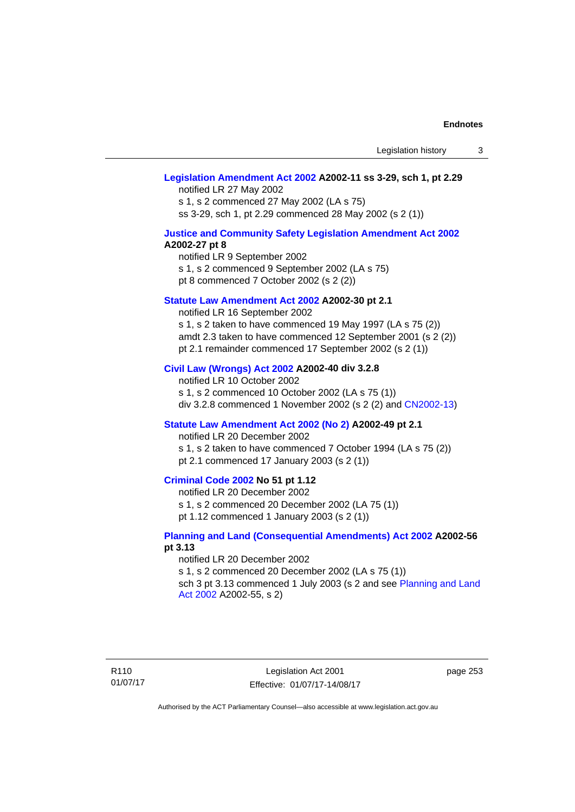## **[Legislation Amendment Act 2002](http://www.legislation.act.gov.au/a/2002-11) A2002-11 ss 3-29, sch 1, pt 2.29**

notified LR 27 May 2002 s 1, s 2 commenced 27 May 2002 (LA s 75) ss 3-29, sch 1, pt 2.29 commenced 28 May 2002 (s 2 (1))

## **[Justice and Community Safety Legislation Amendment Act 2002](http://www.legislation.act.gov.au/a/2002-27) A2002-27 pt 8**

notified LR 9 September 2002 s 1, s 2 commenced 9 September 2002 (LA s 75) pt 8 commenced 7 October 2002 (s 2 (2))

## **[Statute Law Amendment Act 2002](http://www.legislation.act.gov.au/a/2002-30) A2002-30 pt 2.1**

notified LR 16 September 2002 s 1, s 2 taken to have commenced 19 May 1997 (LA s 75 (2)) amdt 2.3 taken to have commenced 12 September 2001 (s 2 (2)) pt 2.1 remainder commenced 17 September 2002 (s 2 (1))

## **[Civil Law \(Wrongs\) Act 2002](http://www.legislation.act.gov.au/a/2002-40) A2002-40 div 3.2.8**

notified LR 10 October 2002 s 1, s 2 commenced 10 October 2002 (LA s 75 (1)) div 3.2.8 commenced 1 November 2002 (s 2 (2) and [CN2002-13](http://www.legislation.act.gov.au/cn/2002-13/default.asp))

## **[Statute Law Amendment Act 2002 \(No 2\)](http://www.legislation.act.gov.au/a/2002-49) A2002-49 pt 2.1**

notified LR 20 December 2002

s 1, s 2 taken to have commenced 7 October 1994 (LA s 75 (2)) pt 2.1 commenced 17 January 2003 (s 2 (1))

## **[Criminal Code 2002](http://www.legislation.act.gov.au/a/2002-51) No 51 pt 1.12**

notified LR 20 December 2002

s 1, s 2 commenced 20 December 2002 (LA 75 (1))

pt 1.12 commenced 1 January 2003 (s 2 (1))

## **[Planning and Land \(Consequential Amendments\) Act 2002](http://www.legislation.act.gov.au/a/2002-56) A2002-56 pt 3.13**

#### notified LR 20 December 2002

s 1, s 2 commenced 20 December 2002 (LA s 75 (1)) sch 3 pt 3.13 commenced 1 July 2003 (s 2 and see Planning and Land [Act 2002](http://www.legislation.act.gov.au/a/2002-55) A2002-55, s 2)

R110 01/07/17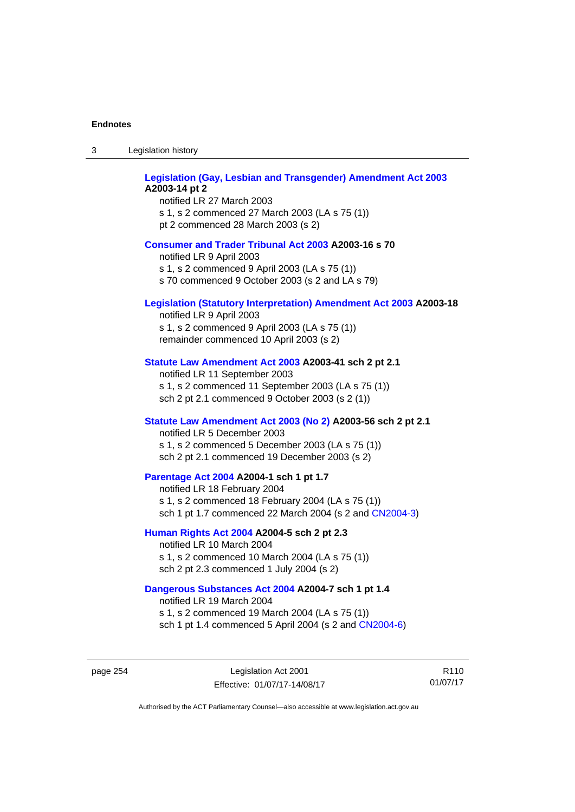| Legislation history<br>-3 |  |
|---------------------------|--|
|---------------------------|--|

| Legislation (Gay, Lesbian and Transgender) Amendment Act 2003<br>A2003-14 pt 2<br>notified LR 27 March 2003<br>s 1, s 2 commenced 27 March 2003 (LA s 75 (1))<br>pt 2 commenced 28 March 2003 (s 2) |
|-----------------------------------------------------------------------------------------------------------------------------------------------------------------------------------------------------|
| <b>Consumer and Trader Tribunal Act 2003 A2003-16 s 70</b><br>notified LR 9 April 2003<br>s 1, s 2 commenced 9 April 2003 (LA s 75 (1))<br>s 70 commenced 9 October 2003 (s 2 and LA s 79)          |
| <b>Legislation (Statutory Interpretation) Amendment Act 2003 A2003-18</b><br>notified LR 9 April 2003<br>s 1, s 2 commenced 9 April 2003 (LA s 75 (1))<br>remainder commenced 10 April 2003 (s 2)   |
| Statute Law Amendment Act 2003 A2003-41 sch 2 pt 2.1<br>notified LR 11 September 2003<br>s 1, s 2 commenced 11 September 2003 (LA s 75 (1))<br>sch 2 pt 2.1 commenced 9 October 2003 (s 2 (1))      |
| Statute Law Amendment Act 2003 (No 2) A2003-56 sch 2 pt 2.1<br>notified LR 5 December 2003<br>s 1, s 2 commenced 5 December 2003 (LA s 75 (1))<br>sch 2 pt 2.1 commenced 19 December 2003 (s 2)     |
| Parentage Act 2004 A2004-1 sch 1 pt 1.7<br>notified LR 18 February 2004<br>s 1, s 2 commenced 18 February 2004 (LA s 75 (1))<br>sch 1 pt 1.7 commenced 22 March 2004 (s 2 and CN2004-3)             |
| Human Rights Act 2004 A2004-5 sch 2 pt 2.3<br>notified LR 10 March 2004<br>s 1, s 2 commenced 10 March 2004 (LA s 75 (1))<br>sch 2 pt 2.3 commenced 1 July 2004 (s 2)                               |
| Dangerous Substances Act 2004 A2004-7 sch 1 pt 1.4<br>notified LR 19 March 2004<br>$\sim$ 4 $\sim$ 2 separaceaed 40 Mersk 2004 (1.4 $\sim$ 75 (4))                                                  |

s 1, s 2 commenced 19 March 2004 (LA s 75 (1)) sch 1 pt 1.4 commenced 5 April 2004 (s 2 and [CN2004-6](http://www.legislation.act.gov.au/cn/2004-6/default.asp))

page 254 Legislation Act 2001 Effective: 01/07/17-14/08/17

R110 01/07/17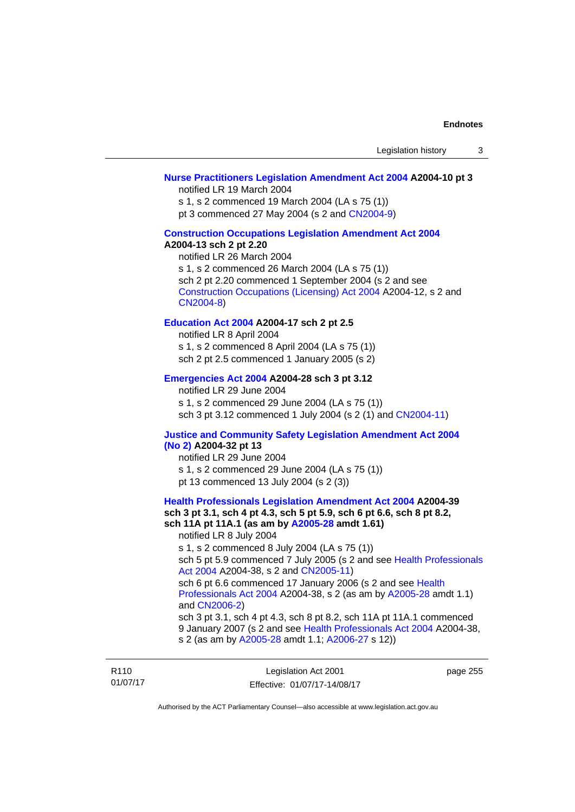## **[Nurse Practitioners Legislation Amendment Act 2004](http://www.legislation.act.gov.au/a/2004-10) A2004-10 pt 3**

notified LR 19 March 2004

s 1, s 2 commenced 19 March 2004 (LA s 75 (1))

pt 3 commenced 27 May 2004 (s 2 and [CN2004-9\)](http://www.legislation.act.gov.au/cn/2004-9/default.asp)

### **[Construction Occupations Legislation Amendment Act 2004](http://www.legislation.act.gov.au/a/2004-13)  A2004-13 sch 2 pt 2.20**

notified LR 26 March 2004 s 1, s 2 commenced 26 March 2004 (LA s 75 (1)) sch 2 pt 2.20 commenced 1 September 2004 (s 2 and see [Construction Occupations \(Licensing\) Act 2004](http://www.legislation.act.gov.au/a/2004-12) A2004-12, s 2 and [CN2004-8\)](http://www.legislation.act.gov.au/cn/2004-8/default.asp)

## **[Education Act 2004](http://www.legislation.act.gov.au/a/2004-17) A2004-17 sch 2 pt 2.5**

notified LR 8 April 2004 s 1, s 2 commenced 8 April 2004 (LA s 75 (1)) sch 2 pt 2.5 commenced 1 January 2005 (s 2)

## **[Emergencies Act 2004](http://www.legislation.act.gov.au/a/2004-28) A2004-28 sch 3 pt 3.12**

notified LR 29 June 2004 s 1, s 2 commenced 29 June 2004 (LA s 75 (1)) sch 3 pt 3.12 commenced 1 July 2004 (s 2 (1) and [CN2004-11](http://www.legislation.act.gov.au/cn/2004-11/default.asp))

## **[Justice and Community Safety Legislation Amendment Act 2004](http://www.legislation.act.gov.au/a/2004-32)  [\(No 2\)](http://www.legislation.act.gov.au/a/2004-32) A2004-32 pt 13**

notified LR 29 June 2004 s 1, s 2 commenced 29 June 2004 (LA s 75 (1)) pt 13 commenced 13 July 2004 (s 2 (3))

**[Health Professionals Legislation Amendment Act 2004](http://www.legislation.act.gov.au/a/2004-39) A2004-39 sch 3 pt 3.1, sch 4 pt 4.3, sch 5 pt 5.9, sch 6 pt 6.6, sch 8 pt 8.2, sch 11A pt 11A.1 (as am by [A2005-28](http://www.legislation.act.gov.au/a/2005-28) amdt 1.61)**  notified LR 8 July 2004 s 1, s 2 commenced 8 July 2004 (LA s 75 (1)) sch 5 pt 5.9 commenced 7 July 2005 (s 2 and see [Health Professionals](http://www.legislation.act.gov.au/a/2004-38)  [Act 2004](http://www.legislation.act.gov.au/a/2004-38) A2004-38, s 2 and [CN2005-11\)](http://www.legislation.act.gov.au/cn/2005-11/default.asp) sch 6 pt 6.6 commenced 17 January 2006 (s 2 and see [Health](http://www.legislation.act.gov.au/a/2004-38)  [Professionals Act 2004](http://www.legislation.act.gov.au/a/2004-38) A2004-38, s 2 (as am by [A2005-28](http://www.legislation.act.gov.au/a/2005-28) amdt 1.1) and [CN2006-2](http://www.legislation.act.gov.au/cn/2006-2/default.asp)) sch 3 pt 3.1, sch 4 pt 4.3, sch 8 pt 8.2, sch 11A pt 11A.1 commenced 9 January 2007 (s 2 and see [Health Professionals Act 2004](http://www.legislation.act.gov.au/a/2004-38) A2004-38, s 2 (as am by [A2005-28](http://www.legislation.act.gov.au/a/2005-28) amdt 1.1; [A2006-27](http://www.legislation.act.gov.au/a/2006-27) s 12))

| R <sub>110</sub> | Legislation Act 2001         | page 255 |
|------------------|------------------------------|----------|
| 01/07/17         | Effective: 01/07/17-14/08/17 |          |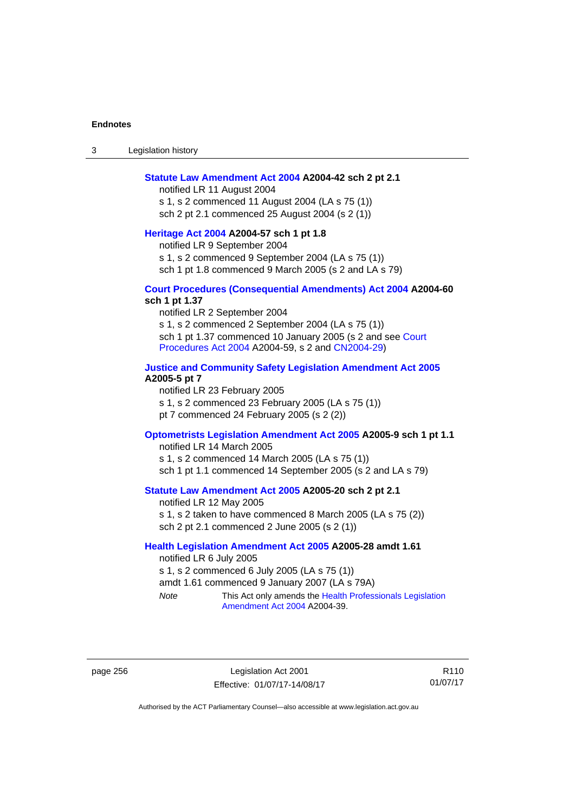3 Legislation history

#### **[Statute Law Amendment Act 2004](http://www.legislation.act.gov.au/a/2004-42) A2004-42 sch 2 pt 2.1**

notified LR 11 August 2004 s 1, s 2 commenced 11 August 2004 (LA s 75 (1)) sch 2 pt 2.1 commenced 25 August 2004 (s 2 (1))

## **[Heritage Act 2004](http://www.legislation.act.gov.au/a/2004-57) A2004-57 sch 1 pt 1.8**

notified LR 9 September 2004

s 1, s 2 commenced 9 September 2004 (LA s 75 (1))

sch 1 pt 1.8 commenced 9 March 2005 (s 2 and LA s 79)

## **[Court Procedures \(Consequential Amendments\) Act 2004](http://www.legislation.act.gov.au/a/2004-60) A2004-60 sch 1 pt 1.37**

notified LR 2 September 2004 s 1, s 2 commenced 2 September 2004 (LA s 75 (1)) sch 1 pt 1.37 commenced 10 January 2005 (s 2 and see Court [Procedures Act 2004](http://www.legislation.act.gov.au/a/2004-59) A2004-59, s 2 and [CN2004-29\)](http://www.legislation.act.gov.au/cn/2004-29/default.asp)

## **[Justice and Community Safety Legislation Amendment Act 2005](http://www.legislation.act.gov.au/a/2005-5) A2005-5 pt 7**

notified LR 23 February 2005 s 1, s 2 commenced 23 February 2005 (LA s 75 (1)) pt 7 commenced 24 February 2005 (s 2 (2))

## **[Optometrists Legislation Amendment Act 2005](http://www.legislation.act.gov.au/a/2005-9) A2005-9 sch 1 pt 1.1**

notified LR 14 March 2005 s 1, s 2 commenced 14 March 2005 (LA s 75 (1)) sch 1 pt 1.1 commenced 14 September 2005 (s 2 and LA s 79)

## **[Statute Law Amendment Act 2005](http://www.legislation.act.gov.au/a/2005-20) A2005-20 sch 2 pt 2.1**

notified LR 12 May 2005 s 1, s 2 taken to have commenced 8 March 2005 (LA s 75 (2)) sch 2 pt 2.1 commenced 2 June 2005 (s 2 (1))

## **[Health Legislation Amendment Act 2005](http://www.legislation.act.gov.au/a/2005-28) A2005-28 amdt 1.61**

notified LR 6 July 2005 s 1, s 2 commenced 6 July 2005 (LA s 75 (1)) amdt 1.61 commenced 9 January 2007 (LA s 79A) *Note* This Act only amends the [Health Professionals Legislation](http://www.legislation.act.gov.au/a/2004-39) 

[Amendment Act 2004](http://www.legislation.act.gov.au/a/2004-39) A2004-39.

page 256 Legislation Act 2001 Effective: 01/07/17-14/08/17

R110 01/07/17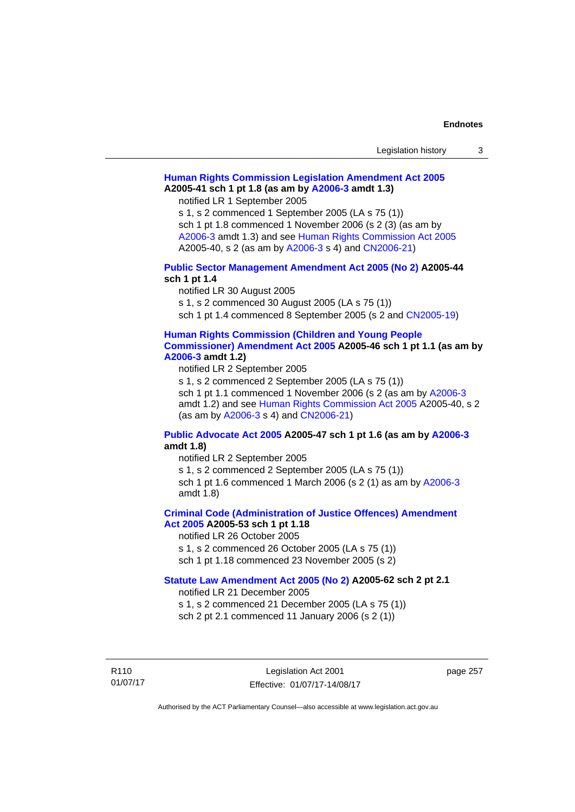| Legislation history |  |  |
|---------------------|--|--|
|---------------------|--|--|

## **[Human Rights Commission Legislation Amendment Act 2005](http://www.legislation.act.gov.au/a/2005-41) A2005-41 sch 1 pt 1.8 (as am by [A2006-3](http://www.legislation.act.gov.au/a/2006-3) amdt 1.3)**

notified LR 1 September 2005

s 1, s 2 commenced 1 September 2005 (LA s 75 (1)) sch 1 pt 1.8 commenced 1 November 2006 (s 2 (3) (as am by [A2006-3](http://www.legislation.act.gov.au/a/2006-3) amdt 1.3) and see [Human Rights Commission Act 2005](http://www.legislation.act.gov.au/a/2005-40) A2005-40, s 2 (as am by [A2006-3](http://www.legislation.act.gov.au/a/2006-3) s 4) and [CN2006-21](http://www.legislation.act.gov.au/cn/2006-21/default.asp))

## **[Public Sector Management Amendment Act 2005 \(No 2\)](http://www.legislation.act.gov.au/a/2005-44) A2005-44 sch 1 pt 1.4**

notified LR 30 August 2005

s 1, s 2 commenced 30 August 2005 (LA s 75 (1))

sch 1 pt 1.4 commenced 8 September 2005 (s 2 and [CN2005-19\)](http://www.legislation.act.gov.au/cn/2005-19/default.asp)

## **[Human Rights Commission \(Children and Young People](http://www.legislation.act.gov.au/a/2005-46)  [Commissioner\) Amendment Act 2005](http://www.legislation.act.gov.au/a/2005-46) A2005-46 sch 1 pt 1.1 (as am by**

## **[A2006-3](http://www.legislation.act.gov.au/a/2006-3) amdt 1.2)**

notified LR 2 September 2005

s 1, s 2 commenced 2 September 2005 (LA s 75 (1)) sch 1 pt 1.1 commenced 1 November 2006 (s 2 (as am by [A2006-3](http://www.legislation.act.gov.au/a/2006-3) amdt 1.2) and see [Human Rights Commission Act 2005](http://www.legislation.act.gov.au/a/2005-40) A2005-40, s 2 (as am by [A2006-3](http://www.legislation.act.gov.au/a/2006-3) s 4) and [CN2006-21](http://www.legislation.act.gov.au/cn/2006-21/default.asp))

## **[Public Advocate Act 2005](http://www.legislation.act.gov.au/a/2005-47) A2005-47 sch 1 pt 1.6 (as am by [A2006-3](http://www.legislation.act.gov.au/a/2006-3) amdt 1.8)**

notified LR 2 September 2005

s 1, s 2 commenced 2 September 2005 (LA s 75 (1)) sch 1 pt 1.6 commenced 1 March 2006 (s 2 (1) as am by [A2006-3](http://www.legislation.act.gov.au/a/2006-3) amdt 1.8)

## **[Criminal Code \(Administration of Justice Offences\) Amendment](http://www.legislation.act.gov.au/a/2005-53)**

**[Act 2005](http://www.legislation.act.gov.au/a/2005-53) A2005-53 sch 1 pt 1.18** 

notified LR 26 October 2005

s 1, s 2 commenced 26 October 2005 (LA s 75 (1)) sch 1 pt 1.18 commenced 23 November 2005 (s 2)

### **[Statute Law Amendment Act 2005 \(No 2\)](http://www.legislation.act.gov.au/a/2005-62) A2005-62 sch 2 pt 2.1**

notified LR 21 December 2005

s 1, s 2 commenced 21 December 2005 (LA s 75 (1)) sch 2 pt 2.1 commenced 11 January 2006 (s 2 (1))

R110 01/07/17

Legislation Act 2001 Effective: 01/07/17-14/08/17 page 257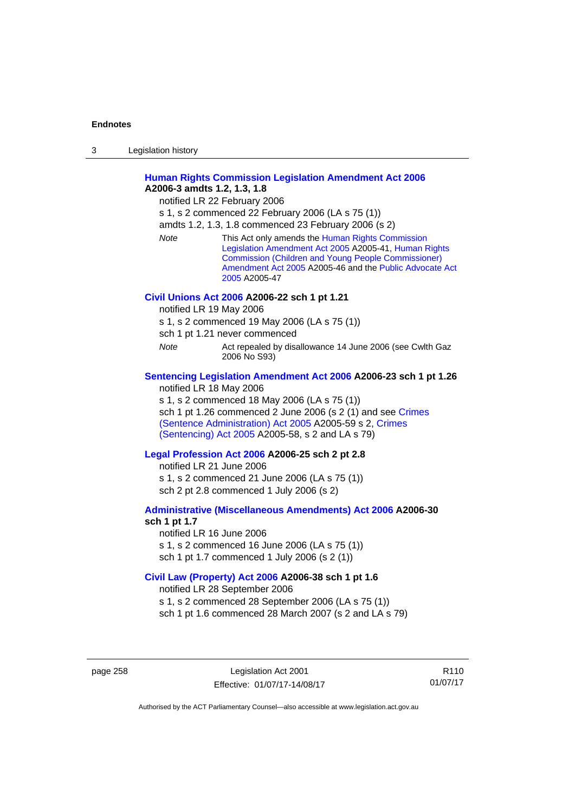| 3 | Legislation history |  |
|---|---------------------|--|
|   |                     |  |

## **[Human Rights Commission Legislation Amendment Act 2006](http://www.legislation.act.gov.au/a/2006-3) A2006-3 amdts 1.2, 1.3, 1.8**

notified LR 22 February 2006

s 1, s 2 commenced 22 February 2006 (LA s 75 (1))

amdts 1.2, 1.3, 1.8 commenced 23 February 2006 (s 2)

*Note* This Act only amends the [Human Rights Commission](http://www.legislation.act.gov.au/a/2005-41)  [Legislation Amendment Act 2005](http://www.legislation.act.gov.au/a/2005-41) A2005-41, [Human Rights](http://www.legislation.act.gov.au/a/2005-46)  [Commission \(Children and Young People Commissioner\)](http://www.legislation.act.gov.au/a/2005-46)  [Amendment Act 2005](http://www.legislation.act.gov.au/a/2005-46) A2005-46 and the [Public Advocate Act](http://www.legislation.act.gov.au/a/2005-47)  [2005](http://www.legislation.act.gov.au/a/2005-47) A2005-47

### **[Civil Unions Act 2006](http://www.legislation.act.gov.au/a/2006-22) A2006-22 sch 1 pt 1.21**

notified LR 19 May 2006

s 1, s 2 commenced 19 May 2006 (LA s 75 (1))

sch 1 pt 1.21 never commenced

*Note* **Act repealed by disallowance 14 June 2006 (see Cwlth Gaz** 2006 No S93)

## **[Sentencing Legislation Amendment Act 2006](http://www.legislation.act.gov.au/a/2006-23) A2006-23 sch 1 pt 1.26**

notified LR 18 May 2006

s 1, s 2 commenced 18 May 2006 (LA s 75 (1)) sch 1 pt 1.26 commenced 2 June 2006 (s 2 (1) and see [Crimes](http://www.legislation.act.gov.au/a/2005-59)  [\(Sentence Administration\) Act 2005](http://www.legislation.act.gov.au/a/2005-59) A2005-59 s 2, [Crimes](http://www.legislation.act.gov.au/a/2005-58)  [\(Sentencing\) Act 2005](http://www.legislation.act.gov.au/a/2005-58) A2005-58, s 2 and LA s 79)

## **[Legal Profession Act 2006](http://www.legislation.act.gov.au/a/2006-25) A2006-25 sch 2 pt 2.8**

notified LR 21 June 2006 s 1, s 2 commenced 21 June 2006 (LA s 75 (1)) sch 2 pt 2.8 commenced 1 July 2006 (s 2)

### **[Administrative \(Miscellaneous Amendments\) Act 2006](http://www.legislation.act.gov.au/a/2006-30) A2006-30 sch 1 pt 1.7**

notified LR 16 June 2006 s 1, s 2 commenced 16 June 2006 (LA s 75 (1)) sch 1 pt 1.7 commenced 1 July 2006 (s 2 (1))

## **[Civil Law \(Property\) Act 2006](http://www.legislation.act.gov.au/a/2006-38) A2006-38 sch 1 pt 1.6**

notified LR 28 September 2006

s 1, s 2 commenced 28 September 2006 (LA s 75 (1))

sch 1 pt 1.6 commenced 28 March 2007 (s 2 and LA s 79)

page 258 Legislation Act 2001 Effective: 01/07/17-14/08/17

R110 01/07/17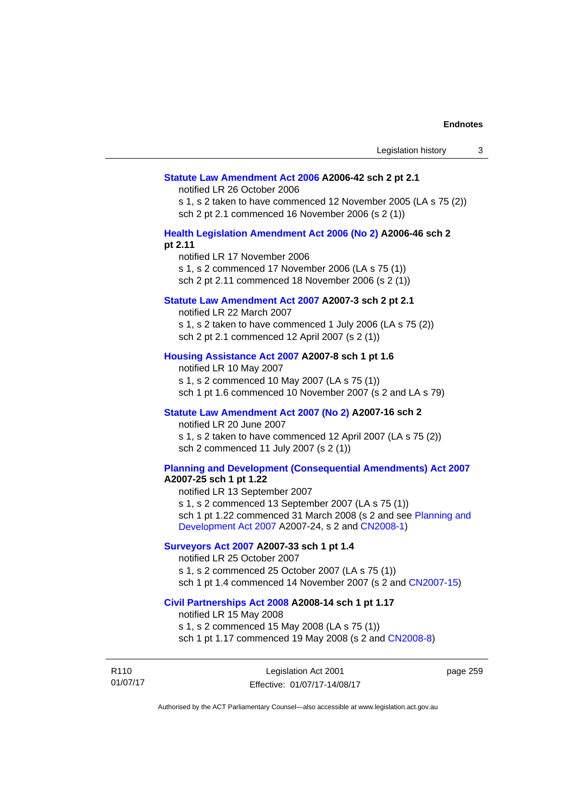#### **[Statute Law Amendment Act 2006](http://www.legislation.act.gov.au/a/2006-42) A2006-42 sch 2 pt 2.1**

notified LR 26 October 2006

s 1, s 2 taken to have commenced 12 November 2005 (LA s 75 (2)) sch 2 pt 2.1 commenced 16 November 2006 (s 2 (1))

### **[Health Legislation Amendment Act 2006 \(No 2\)](http://www.legislation.act.gov.au/a/2006-46) A2006-46 sch 2 pt 2.11**

notified LR 17 November 2006 s 1, s 2 commenced 17 November 2006 (LA s 75 (1)) sch 2 pt 2.11 commenced 18 November 2006 (s 2 (1))

## **[Statute Law Amendment Act 2007](http://www.legislation.act.gov.au/a/2007-3) A2007-3 sch 2 pt 2.1**

notified LR 22 March 2007 s 1, s 2 taken to have commenced 1 July 2006 (LA s 75 (2)) sch 2 pt 2.1 commenced 12 April 2007 (s 2 (1))

## **[Housing Assistance Act 2007](http://www.legislation.act.gov.au/a/2007-8) A2007-8 sch 1 pt 1.6**

notified LR 10 May 2007 s 1, s 2 commenced 10 May 2007 (LA s 75 (1)) sch 1 pt 1.6 commenced 10 November 2007 (s 2 and LA s 79)

## **[Statute Law Amendment Act 2007 \(No 2\)](http://www.legislation.act.gov.au/a/2007-16) A2007-16 sch 2**

notified LR 20 June 2007 s 1, s 2 taken to have commenced 12 April 2007 (LA s 75 (2)) sch 2 commenced 11 July 2007 (s 2 (1))

## **[Planning and Development \(Consequential Amendments\) Act 2007](http://www.legislation.act.gov.au/a/2007-25)**

**A2007-25 sch 1 pt 1.22** 

notified LR 13 September 2007 s 1, s 2 commenced 13 September 2007 (LA s 75 (1)) sch 1 pt 1.22 commenced 31 March 2008 (s 2 and see [Planning and](http://www.legislation.act.gov.au/a/2007-24)  [Development Act 2007](http://www.legislation.act.gov.au/a/2007-24) A2007-24, s 2 and [CN2008-1](http://www.legislation.act.gov.au/cn/2008-1/default.asp))

## **[Surveyors Act 2007](http://www.legislation.act.gov.au/a/2007-33) A2007-33 sch 1 pt 1.4**

notified LR 25 October 2007 s 1, s 2 commenced 25 October 2007 (LA s 75 (1)) sch 1 pt 1.4 commenced 14 November 2007 (s 2 and [CN2007-15\)](http://www.legislation.act.gov.au/cn/2007-15/default.asp)

#### **[Civil Partnerships Act 2008](http://www.legislation.act.gov.au/a/2008-14) A2008-14 sch 1 pt 1.17**

notified LR 15 May 2008

s 1, s 2 commenced 15 May 2008 (LA s 75 (1)) sch 1 pt 1.17 commenced 19 May 2008 (s 2 and [CN2008-8](http://www.legislation.act.gov.au/cn/2008-8/default.asp))

R110 01/07/17

Legislation Act 2001 Effective: 01/07/17-14/08/17

page 259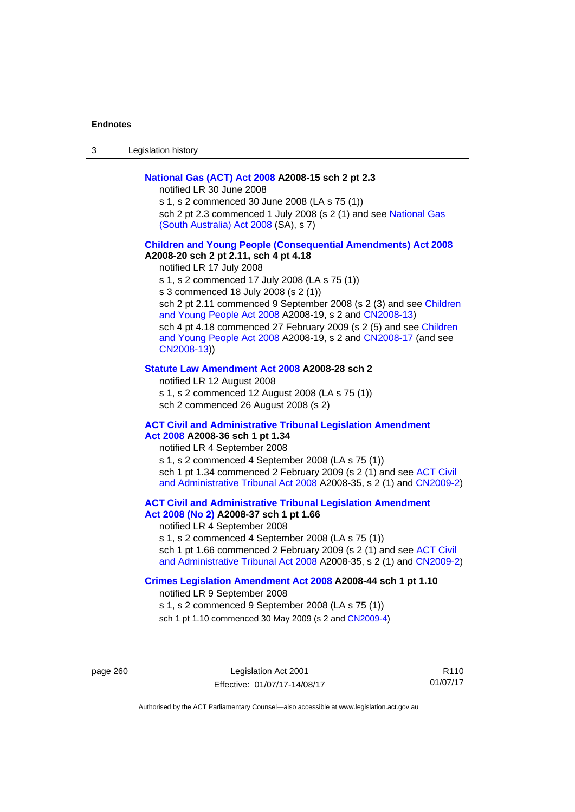3 Legislation history

## **[National Gas \(ACT\) Act 2008](http://www.legislation.act.gov.au/a/2008-15) A2008-15 sch 2 pt 2.3**

notified LR 30 June 2008 s 1, s 2 commenced 30 June 2008 (LA s 75 (1))

sch 2 pt 2.3 commenced 1 July 2008 (s 2 (1) and see National Gas [\(South Australia\) Act 2008](http://www.legislation.sa.gov.au/LZ/C/A/NATIONAL GAS (SOUTH AUSTRALIA) ACT 2008.aspx) (SA), s 7)

## **[Children and Young People \(Consequential Amendments\) Act 2008](http://www.legislation.act.gov.au/a/2008-20) A2008-20 sch 2 pt 2.11, sch 4 pt 4.18**

notified LR 17 July 2008 s 1, s 2 commenced 17 July 2008 (LA s 75 (1)) s 3 commenced 18 July 2008 (s 2 (1)) sch 2 pt 2.11 commenced 9 September 2008 (s 2 (3) and see Children [and Young People Act 2008](http://www.legislation.act.gov.au/a/2008-19) A2008-19, s 2 and [CN2008-13\)](http://www.legislation.act.gov.au/cn/2008-13/default.asp) sch 4 pt 4.18 commenced 27 February 2009 (s 2 (5) and see [Children](http://www.legislation.act.gov.au/a/2008-19)  [and Young People Act 2008](http://www.legislation.act.gov.au/a/2008-19) A2008-19, s 2 and [CN2008-17 \(](http://www.legislation.act.gov.au/cn/2008-17/default.asp)and see [CN2008-13](http://www.legislation.act.gov.au/cn/2008-13/default.asp)))

### **[Statute Law Amendment Act 2008](http://www.legislation.act.gov.au/a/2008-28) A2008-28 sch 2**

notified LR 12 August 2008 s 1, s 2 commenced 12 August 2008 (LA s 75 (1)) sch 2 commenced 26 August 2008 (s 2)

## **[ACT Civil and Administrative Tribunal Legislation Amendment](http://www.legislation.act.gov.au/a/2008-36)**

## **[Act 2008](http://www.legislation.act.gov.au/a/2008-36) A2008-36 sch 1 pt 1.34**

notified LR 4 September 2008 s 1, s 2 commenced 4 September 2008 (LA s 75 (1)) sch 1 pt 1.34 commenced 2 February 2009 (s 2 (1) and see [ACT Civil](http://www.legislation.act.gov.au/a/2008-35)  [and Administrative Tribunal Act 2008](http://www.legislation.act.gov.au/a/2008-35) A2008-35, s 2 (1) and [CN2009-2](http://www.legislation.act.gov.au/cn/2009-2/default.asp))

**[ACT Civil and Administrative Tribunal Legislation Amendment](http://www.legislation.act.gov.au/a/2008-37)** 

## **[Act 2008 \(No 2\)](http://www.legislation.act.gov.au/a/2008-37) A2008-37 sch 1 pt 1.66**

notified LR 4 September 2008

s 1, s 2 commenced 4 September 2008 (LA s 75 (1))

sch 1 pt 1.66 commenced 2 February 2009 (s 2 (1) and see [ACT Civil](http://www.legislation.act.gov.au/a/2008-35)  [and Administrative Tribunal Act 2008](http://www.legislation.act.gov.au/a/2008-35) A2008-35, s 2 (1) and [CN2009-2](http://www.legislation.act.gov.au/cn/2009-2/default.asp))

### **[Crimes Legislation Amendment Act 2008](http://www.legislation.act.gov.au/a/2008-44) A2008-44 sch 1 pt 1.10**

notified LR 9 September 2008

s 1, s 2 commenced 9 September 2008 (LA s 75 (1))

sch 1 pt 1.10 commenced 30 May 2009 (s 2 and [CN2009-4](http://www.legislation.act.gov.au/cn/2009-4/default.asp))

page 260 Legislation Act 2001 Effective: 01/07/17-14/08/17

R110 01/07/17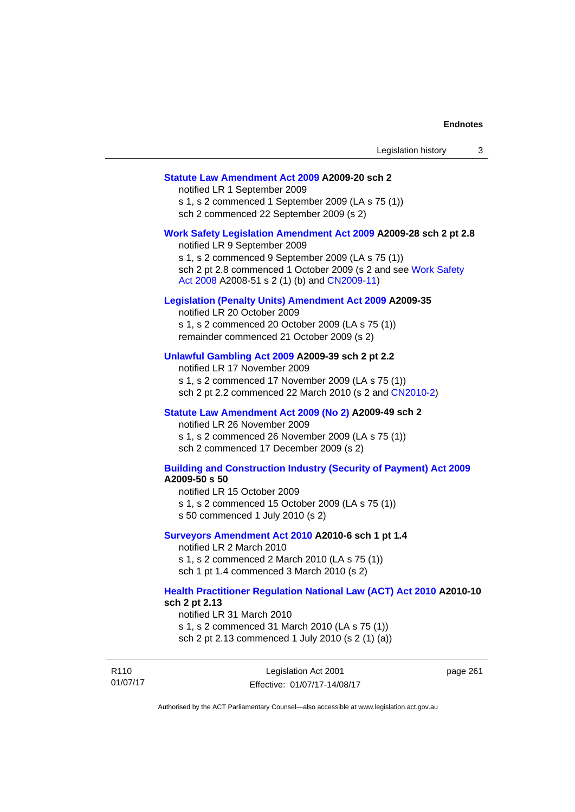## **[Statute Law Amendment Act 2009](http://www.legislation.act.gov.au/a/2009-20) A2009-20 sch 2**

notified LR 1 September 2009 s 1, s 2 commenced 1 September 2009 (LA s 75 (1)) sch 2 commenced 22 September 2009 (s 2)

#### **[Work Safety Legislation Amendment Act 2009](http://www.legislation.act.gov.au/a/2009-28) A2009-28 sch 2 pt 2.8**

notified LR 9 September 2009 s 1, s 2 commenced 9 September 2009 (LA s 75 (1)) sch 2 pt 2.8 commenced 1 October 2009 (s 2 and see [Work Safety](http://www.legislation.act.gov.au/a/2008-51)  [Act 2008](http://www.legislation.act.gov.au/a/2008-51) A2008-51 s 2 (1) (b) and [CN2009-11](http://www.legislation.act.gov.au/cn/2009-11/default.asp))

### **[Legislation \(Penalty Units\) Amendment Act 2009](http://www.legislation.act.gov.au/a/2009-35) A2009-35**

notified LR 20 October 2009 s 1, s 2 commenced 20 October 2009 (LA s 75 (1)) remainder commenced 21 October 2009 (s 2)

## **[Unlawful Gambling Act 2009](http://www.legislation.act.gov.au/a/2009-39) A2009-39 sch 2 pt 2.2**

notified LR 17 November 2009 s 1, s 2 commenced 17 November 2009 (LA s 75 (1)) sch 2 pt 2.2 commenced 22 March 2010 (s 2 and [CN2010-2\)](http://www.legislation.act.gov.au/cn/2010-2/default.asp)

### **[Statute Law Amendment Act 2009 \(No 2\)](http://www.legislation.act.gov.au/a/2009-49) A2009-49 sch 2**

notified LR 26 November 2009 s 1, s 2 commenced 26 November 2009 (LA s 75 (1)) sch 2 commenced 17 December 2009 (s 2)

#### **[Building and Construction Industry \(Security of Payment\) Act 2009](http://www.legislation.act.gov.au/a/2009-50) A2009-50 s 50**

notified LR 15 October 2009

- s 1, s 2 commenced 15 October 2009 (LA s 75 (1))
- s 50 commenced 1 July 2010 (s 2)

### **[Surveyors Amendment Act 2010](http://www.legislation.act.gov.au/a/2010-6) A2010-6 sch 1 pt 1.4**

notified LR 2 March 2010 s 1, s 2 commenced 2 March 2010 (LA s 75 (1)) sch 1 pt 1.4 commenced 3 March 2010 (s 2)

### **[Health Practitioner Regulation National Law \(ACT\) Act 2010](http://www.legislation.act.gov.au/a/2010-10) A2010-10 sch 2 pt 2.13**

notified LR 31 March 2010

s 1, s 2 commenced 31 March 2010 (LA s 75 (1)) sch 2 pt 2.13 commenced 1 July 2010 (s 2 (1) (a))

| R110     | Legislation Act 2001         | page 261 |
|----------|------------------------------|----------|
| 01/07/17 | Effective: 01/07/17-14/08/17 |          |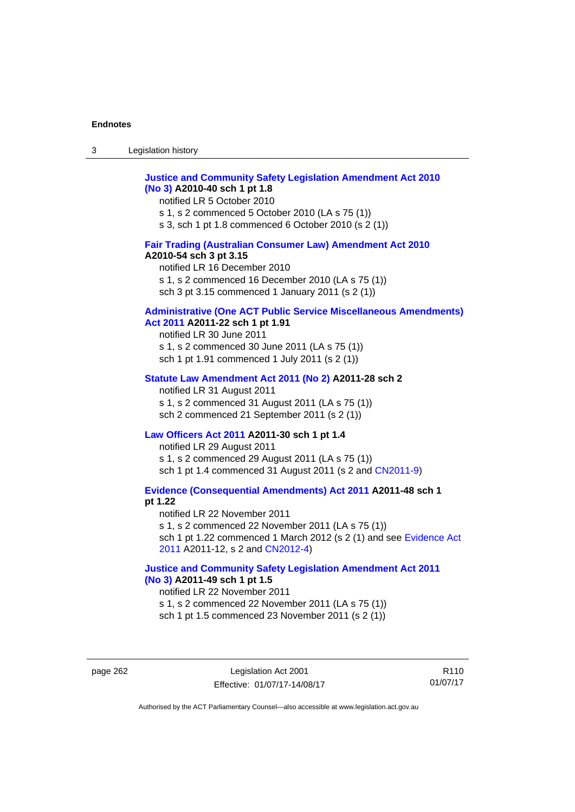| $\sim$<br>- 3 | Legislation history |  |
|---------------|---------------------|--|
|               |                     |  |

## **[Justice and Community Safety Legislation Amendment Act 2010](http://www.legislation.act.gov.au/a/2010-40)  [\(No 3\)](http://www.legislation.act.gov.au/a/2010-40) A2010-40 sch 1 pt 1.8**

notified LR 5 October 2010 s 1, s 2 commenced 5 October 2010 (LA s 75 (1)) s 3, sch 1 pt 1.8 commenced 6 October 2010 (s 2 (1))

## **[Fair Trading \(Australian Consumer Law\) Amendment Act 2010](http://www.legislation.act.gov.au/a/2010-54) A2010-54 sch 3 pt 3.15**

notified LR 16 December 2010 s 1, s 2 commenced 16 December 2010 (LA s 75 (1)) sch 3 pt 3.15 commenced 1 January 2011 (s 2 (1))

## **[Administrative \(One ACT Public Service Miscellaneous Amendments\)](http://www.legislation.act.gov.au/a/2011-22)**

## **[Act 2011](http://www.legislation.act.gov.au/a/2011-22) A2011-22 sch 1 pt 1.91**

notified LR 30 June 2011 s 1, s 2 commenced 30 June 2011 (LA s 75 (1)) sch 1 pt 1.91 commenced 1 July 2011 (s 2 (1))

## **[Statute Law Amendment Act 2011 \(No 2\)](http://www.legislation.act.gov.au/a/2011-28) A2011-28 sch 2**

notified LR 31 August 2011 s 1, s 2 commenced 31 August 2011 (LA s 75 (1)) sch 2 commenced 21 September 2011 (s 2 (1))

## **[Law Officers Act 2011](http://www.legislation.act.gov.au/a/2011-30) A2011-30 sch 1 pt 1.4**

notified LR 29 August 2011 s 1, s 2 commenced 29 August 2011 (LA s 75 (1)) sch 1 pt 1.4 commenced 31 August 2011 (s 2 and [CN2011-9](http://www.legislation.act.gov.au/cn/2011-9/default.asp))

**[Evidence \(Consequential Amendments\) Act 2011](http://www.legislation.act.gov.au/a/2011-48) A2011-48 sch 1 pt 1.22** 

notified LR 22 November 2011 s 1, s 2 commenced 22 November 2011 (LA s 75 (1)) sch 1 pt 1.22 commenced 1 March 2012 (s 2 (1) and see [Evidence Act](http://www.legislation.act.gov.au/a/2011-12)  [2011](http://www.legislation.act.gov.au/a/2011-12) A2011-12, s 2 and [CN2012-4](http://www.legislation.act.gov.au/cn/2012-4/default.asp))

## **[Justice and Community Safety Legislation Amendment Act 2011](http://www.legislation.act.gov.au/a/2011-49)  [\(No 3\)](http://www.legislation.act.gov.au/a/2011-49) A2011-49 sch 1 pt 1.5**

notified LR 22 November 2011 s 1, s 2 commenced 22 November 2011 (LA s 75 (1)) sch 1 pt 1.5 commenced 23 November 2011 (s 2 (1))

page 262 Legislation Act 2001 Effective: 01/07/17-14/08/17

R110 01/07/17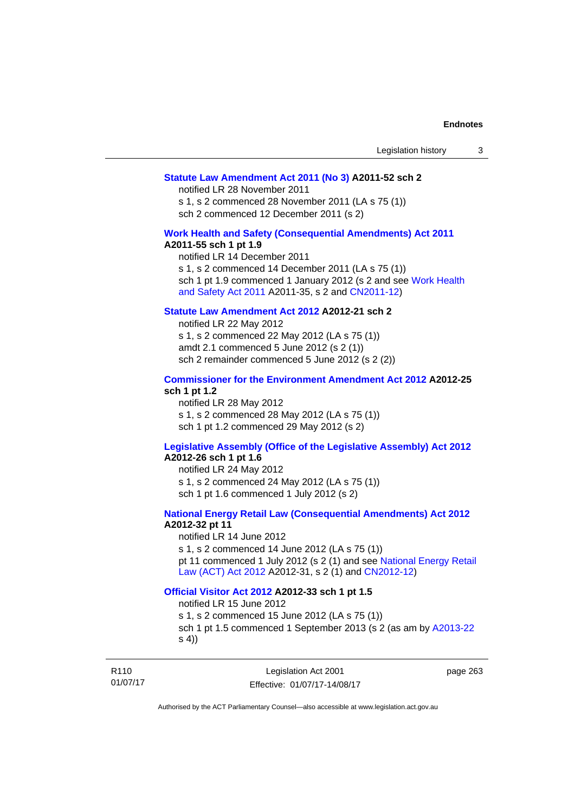### **[Statute Law Amendment Act 2011 \(No 3\)](http://www.legislation.act.gov.au/a/2011-52) A2011-52 sch 2**

notified LR 28 November 2011

s 1, s 2 commenced 28 November 2011 (LA s 75 (1)) sch 2 commenced 12 December 2011 (s 2)

## **[Work Health and Safety \(Consequential Amendments\) Act 2011](http://www.legislation.act.gov.au/a/2011-55)**

### **A2011-55 sch 1 pt 1.9**

notified LR 14 December 2011 s 1, s 2 commenced 14 December 2011 (LA s 75 (1)) sch 1 pt 1.9 commenced 1 January 2012 (s 2 and see Work Health [and Safety Act 2011](http://www.legislation.act.gov.au/a/2011-35) A2011-35, s 2 and [CN2011-12\)](http://www.legislation.act.gov.au/cn/2011-12/default.asp)

## **[Statute Law Amendment Act 2012](http://www.legislation.act.gov.au/a/2012-21) A2012-21 sch 2**

notified LR 22 May 2012 s 1, s 2 commenced 22 May 2012 (LA s 75 (1)) amdt 2.1 commenced 5 June 2012 (s 2 (1)) sch 2 remainder commenced 5 June 2012 (s 2 (2))

### **[Commissioner for the Environment Amendment Act 2012](http://www.legislation.act.gov.au/a/2012-25) A2012-25 sch 1 pt 1.2**

notified LR 28 May 2012 s 1, s 2 commenced 28 May 2012 (LA s 75 (1)) sch 1 pt 1.2 commenced 29 May 2012 (s 2)

## **[Legislative Assembly \(Office of the Legislative Assembly\) Act 2012](http://www.legislation.act.gov.au/a/2012-26)**

## **A2012-26 sch 1 pt 1.6**

notified LR 24 May 2012 s 1, s 2 commenced 24 May 2012 (LA s 75 (1)) sch 1 pt 1.6 commenced 1 July 2012 (s 2)

## **[National Energy Retail Law \(Consequential Amendments\) Act 2012](http://www.legislation.act.gov.au/a/2012-32) A2012-32 pt 11**

notified LR 14 June 2012 s 1, s 2 commenced 14 June 2012 (LA s 75 (1)) pt 11 commenced 1 July 2012 (s 2 (1) and see [National Energy Retail](http://www.legislation.act.gov.au/a/2012-31)  [Law \(ACT\) Act 2012](http://www.legislation.act.gov.au/a/2012-31) A2012-31, s 2 (1) and [CN2012-12\)](http://www.legislation.act.gov.au/cn/2012-12/default.asp)

### **[Official Visitor Act 2012](http://www.legislation.act.gov.au/a/2012-33) A2012-33 sch 1 pt 1.5**

notified LR 15 June 2012

s 1, s 2 commenced 15 June 2012 (LA s 75 (1)) sch 1 pt 1.5 commenced 1 September 2013 (s 2 (as am by [A2013-22](http://www.legislation.act.gov.au/a/2013-22) s 4))

R110 01/07/17

Legislation Act 2001 Effective: 01/07/17-14/08/17 page 263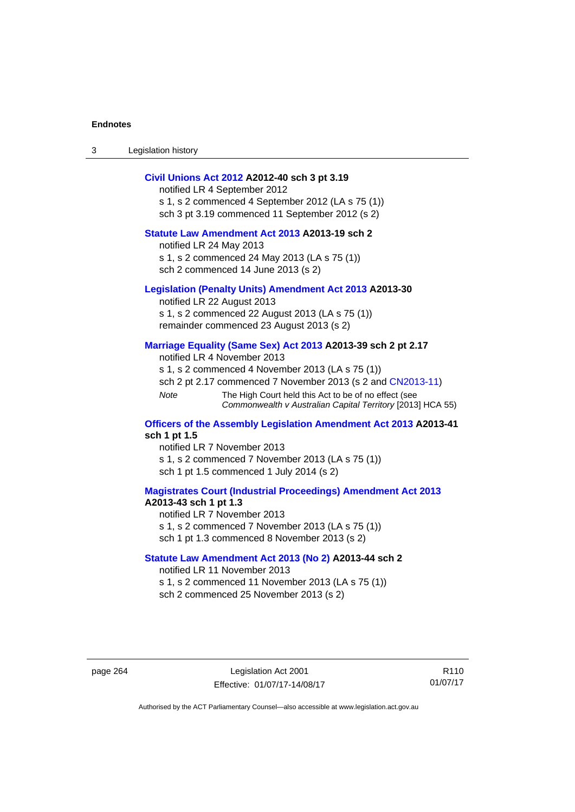3 Legislation history

## **[Civil Unions Act 2012](http://www.legislation.act.gov.au/a/2012-40) A2012-40 sch 3 pt 3.19**

notified LR 4 September 2012 s 1, s 2 commenced 4 September 2012 (LA s 75 (1)) sch 3 pt 3.19 commenced 11 September 2012 (s 2)

## **[Statute Law Amendment Act 2013](http://www.legislation.act.gov.au/a/2013-19) A2013-19 sch 2**

notified LR 24 May 2013 s 1, s 2 commenced 24 May 2013 (LA s 75 (1)) sch 2 commenced 14 June 2013 (s 2)

### **[Legislation \(Penalty Units\) Amendment Act 2013](http://www.legislation.act.gov.au/a/2013-30) A2013-30**

notified LR 22 August 2013 s 1, s 2 commenced 22 August 2013 (LA s 75 (1)) remainder commenced 23 August 2013 (s 2)

### **[Marriage Equality \(Same Sex\) Act 2013](http://www.legislation.act.gov.au/a/2013-39) A2013-39 sch 2 pt 2.17**

notified LR 4 November 2013 s 1, s 2 commenced 4 November 2013 (LA s 75 (1)) sch 2 pt 2.17 commenced 7 November 2013 (s 2 and [CN2013-11\)](http://www.legislation.act.gov.au/cn/2013-11) *Note* The High Court held this Act to be of no effect (see *Commonwealth v Australian Capital Territory* [2013] HCA 55)

#### **[Officers of the Assembly Legislation Amendment Act 2013](http://www.legislation.act.gov.au/a/2013-41) A2013-41 sch 1 pt 1.5**

notified LR 7 November 2013 s 1, s 2 commenced 7 November 2013 (LA s 75 (1)) sch 1 pt 1.5 commenced 1 July 2014 (s 2)

## **[Magistrates Court \(Industrial Proceedings\) Amendment Act 2013](http://www.legislation.act.gov.au/a/2013-43) A2013-43 sch 1 pt 1.3**

notified LR 7 November 2013 s 1, s 2 commenced 7 November 2013 (LA s 75 (1)) sch 1 pt 1.3 commenced 8 November 2013 (s 2)

### **[Statute Law Amendment Act 2013 \(No 2\)](http://www.legislation.act.gov.au/a/2013-44) A2013-44 sch 2**  notified LR 11 November 2013

s 1, s 2 commenced 11 November 2013 (LA s 75 (1)) sch 2 commenced 25 November 2013 (s 2)

page 264 Legislation Act 2001 Effective: 01/07/17-14/08/17

R110 01/07/17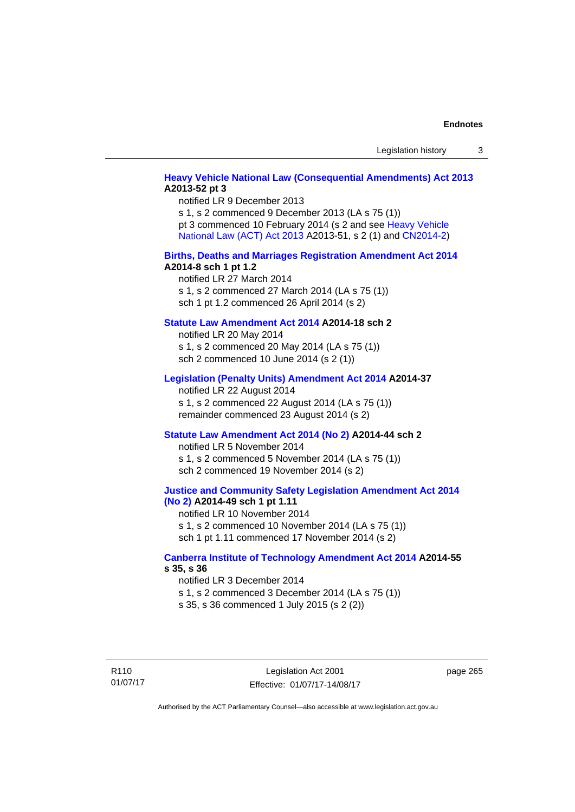## **[Heavy Vehicle National Law \(Consequential Amendments\) Act 2013](http://www.legislation.act.gov.au/a/2013-52) A2013-52 pt 3**

notified LR 9 December 2013 s 1, s 2 commenced 9 December 2013 (LA s 75 (1)) pt 3 commenced 10 February 2014 (s 2 and see [Heavy Vehicle](http://www.legislation.act.gov.au/a/2013-51/default.asp)  [National Law \(ACT\) Act 2013](http://www.legislation.act.gov.au/a/2013-51/default.asp) A2013-51, s 2 (1) and [CN2014-2](http://www.legislation.act.gov.au/cn/2014-2/default.asp))

### **[Births, Deaths and Marriages Registration Amendment Act 2014](http://www.legislation.act.gov.au/a/2014-8) A2014-8 sch 1 pt 1.2**

notified LR 27 March 2014 s 1, s 2 commenced 27 March 2014 (LA s 75 (1)) sch 1 pt 1.2 commenced 26 April 2014 (s 2)

## **[Statute Law Amendment Act 2014](http://www.legislation.act.gov.au/a/2014-18) A2014-18 sch 2**

notified LR 20 May 2014 s 1, s 2 commenced 20 May 2014 (LA s 75 (1)) sch 2 commenced 10 June 2014 (s 2 (1))

### **[Legislation \(Penalty Units\) Amendment Act 2014](http://www.legislation.act.gov.au/a/2014-37) A2014-37**

notified LR 22 August 2014 s 1, s 2 commenced 22 August 2014 (LA s 75 (1)) remainder commenced 23 August 2014 (s 2)

#### **[Statute Law Amendment Act 2014 \(No 2\)](http://www.legislation.act.gov.au/a/2014-44) A2014-44 sch 2**

notified LR 5 November 2014 s 1, s 2 commenced 5 November 2014 (LA s 75 (1)) sch 2 commenced 19 November 2014 (s 2)

### **[Justice and Community Safety Legislation Amendment Act 2014](http://www.legislation.act.gov.au/a/2014-49)  [\(No 2\)](http://www.legislation.act.gov.au/a/2014-49) A2014-49 sch 1 pt 1.11**

notified LR 10 November 2014 s 1, s 2 commenced 10 November 2014 (LA s 75 (1)) sch 1 pt 1.11 commenced 17 November 2014 (s 2)

### **[Canberra Institute of Technology Amendment Act 2014](http://www.legislation.act.gov.au/a/2014-55/default.asp) A2014-55 s 35, s 36**

notified LR 3 December 2014 s 1, s 2 commenced 3 December 2014 (LA s 75 (1)) s 35, s 36 commenced 1 July 2015 (s 2 (2))

R110 01/07/17

Legislation Act 2001 Effective: 01/07/17-14/08/17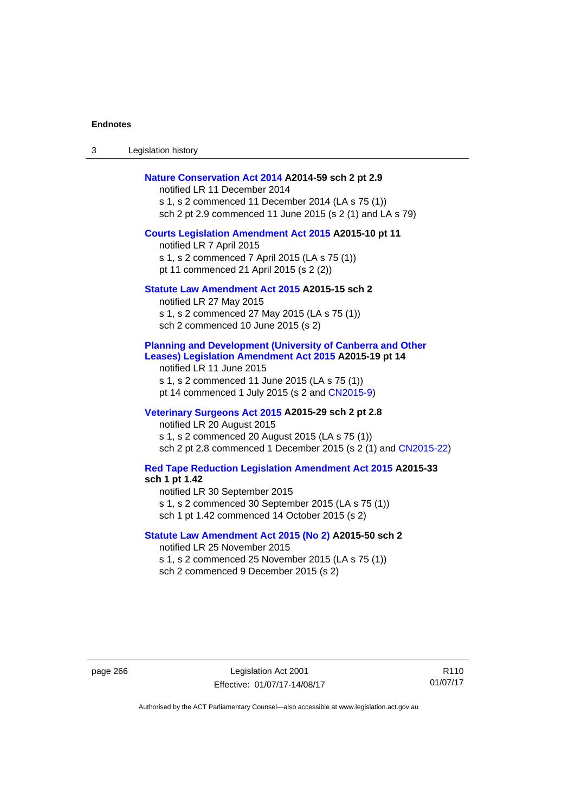3 Legislation history

### **[Nature Conservation Act 2014](http://www.legislation.act.gov.au/a/2014-59) A2014-59 sch 2 pt 2.9**

notified LR 11 December 2014 s 1, s 2 commenced 11 December 2014 (LA s 75 (1)) sch 2 pt 2.9 commenced 11 June 2015 (s 2 (1) and LA s 79)

### **[Courts Legislation Amendment Act 2015](http://www.legislation.act.gov.au/a/2015-10) A2015-10 pt 11**

notified LR 7 April 2015 s 1, s 2 commenced 7 April 2015 (LA s 75 (1)) pt 11 commenced 21 April 2015 (s 2 (2))

### **[Statute Law Amendment Act 2015](http://www.legislation.act.gov.au/a/2015-15) A2015-15 sch 2**

notified LR 27 May 2015 s 1, s 2 commenced 27 May 2015 (LA s 75 (1)) sch 2 commenced 10 June 2015 (s 2)

## **[Planning and Development \(University of Canberra and Other](http://www.legislation.act.gov.au/a/2015-19)  [Leases\) Legislation Amendment Act 2015](http://www.legislation.act.gov.au/a/2015-19) A2015-19 pt 14**

notified LR 11 June 2015 s 1, s 2 commenced 11 June 2015 (LA s 75 (1)) pt 14 commenced 1 July 2015 (s 2 and [CN2015-9\)](http://www.legislation.act.gov.au/cn/2015-9/default.asp)

## **[Veterinary Surgeons Act 2015](http://www.legislation.act.gov.au/a/2015-29/default.asp) A2015-29 sch 2 pt 2.8**

notified LR 20 August 2015 s 1, s 2 commenced 20 August 2015 (LA s 75 (1)) sch 2 pt 2.8 commenced 1 December 2015 (s 2 (1) and [CN2015-22\)](http://www.legislation.act.gov.au/cn/2015-22/default.asp)

## **[Red Tape Reduction Legislation Amendment Act 2015](http://www.legislation.act.gov.au/a/2015-33/default.asp) A2015-33**

**sch 1 pt 1.42** 

notified LR 30 September 2015

s 1, s 2 commenced 30 September 2015 (LA s 75 (1))

sch 1 pt 1.42 commenced 14 October 2015 (s 2)

## **[Statute Law Amendment Act 2015 \(No 2\)](http://www.legislation.act.gov.au/a/2015-50) A2015-50 sch 2**

notified LR 25 November 2015 s 1, s 2 commenced 25 November 2015 (LA s 75 (1)) sch 2 commenced 9 December 2015 (s 2)

page 266 Legislation Act 2001 Effective: 01/07/17-14/08/17

R110 01/07/17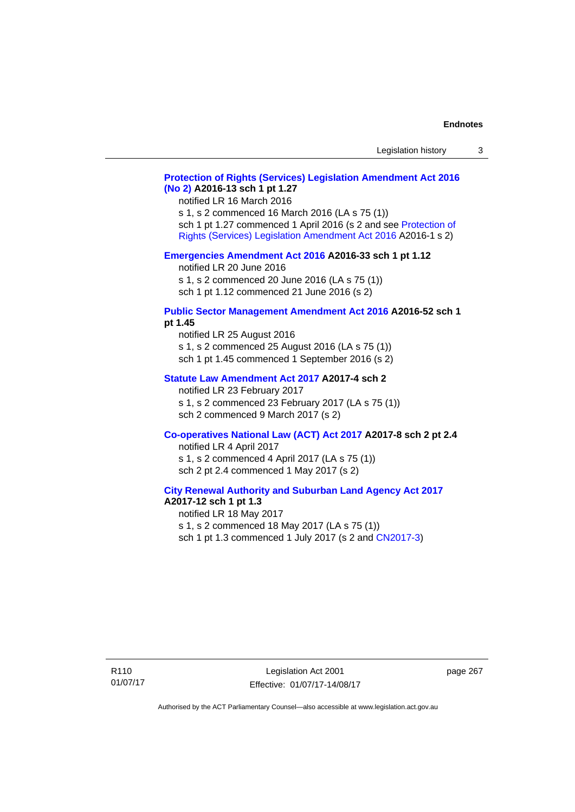## **[Protection of Rights \(Services\) Legislation Amendment Act 2016](http://www.legislation.act.gov.au/a/2016-13)  [\(No 2\)](http://www.legislation.act.gov.au/a/2016-13) A2016-13 sch 1 pt 1.27**

notified LR 16 March 2016 s 1, s 2 commenced 16 March 2016 (LA s 75 (1)) sch 1 pt 1.27 commenced 1 April 2016 (s 2 and see [Protection of](http://www.legislation.act.gov.au/a/2016-1/default.asp)  [Rights \(Services\) Legislation Amendment Act 2016](http://www.legislation.act.gov.au/a/2016-1/default.asp) A2016-1 s 2)

#### **[Emergencies Amendment Act 2016](http://www.legislation.act.gov.au/a/2016-33) A2016-33 sch 1 pt 1.12**

notified LR 20 June 2016 s 1, s 2 commenced 20 June 2016 (LA s 75 (1)) sch 1 pt 1.12 commenced 21 June 2016 (s 2)

#### **[Public Sector Management Amendment Act 2016](http://www.legislation.act.gov.au/a/2016-52/default.asp) A2016-52 sch 1 pt 1.45**

notified LR 25 August 2016 s 1, s 2 commenced 25 August 2016 (LA s 75 (1)) sch 1 pt 1.45 commenced 1 September 2016 (s 2)

## **[Statute Law Amendment Act 2017](http://www.legislation.act.gov.au/a/2017-4/default.asp) A2017-4 sch 2**

notified LR 23 February 2017 s 1, s 2 commenced 23 February 2017 (LA s 75 (1)) sch 2 commenced 9 March 2017 (s 2)

## **[Co-operatives National Law \(ACT\) Act 2017](http://www.legislation.act.gov.au/a/2017-8/default.asp) A2017-8 sch 2 pt 2.4**

notified LR 4 April 2017 s 1, s 2 commenced 4 April 2017 (LA s 75 (1)) sch 2 pt 2.4 commenced 1 May 2017 (s 2)

### **[City Renewal Authority and Suburban Land Agency Act 2017](http://www.legislation.act.gov.au/a/2017-12/default.asp) A2017-12 sch 1 pt 1.3**

notified LR 18 May 2017 s 1, s 2 commenced 18 May 2017 (LA s 75 (1)) sch 1 pt 1.3 commenced 1 July 2017 (s 2 and [CN2017-3](http://www.legislation.act.gov.au/cn/2017-3/default.asp))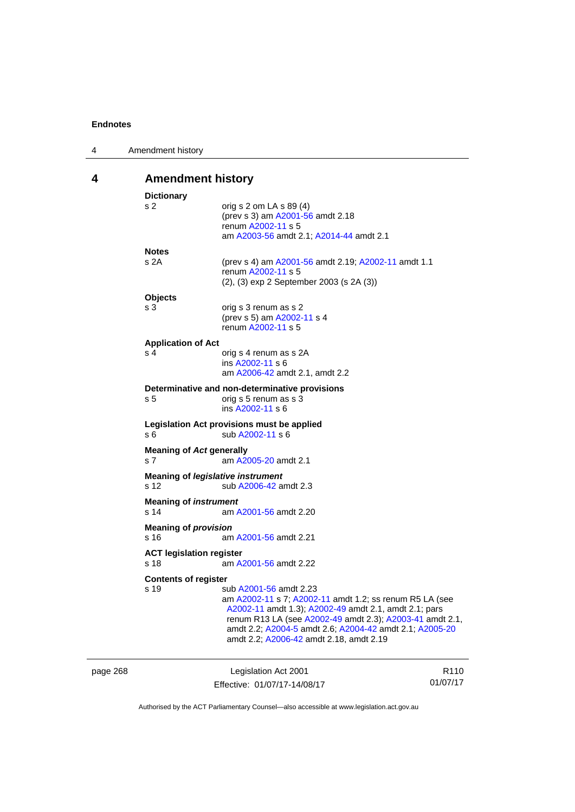| 4                             | Amendment history                                                                               |                                                                |
|-------------------------------|-------------------------------------------------------------------------------------------------|----------------------------------------------------------------|
| <b>Amendment history</b><br>4 |                                                                                                 |                                                                |
|                               | <b>Dictionary</b>                                                                               |                                                                |
|                               | s 2                                                                                             | orig s 2 om LA s 89 (4)                                        |
|                               |                                                                                                 | (prev s 3) am A2001-56 amdt 2.18                               |
|                               |                                                                                                 | renum A2002-11 s 5                                             |
|                               |                                                                                                 | am A2003-56 amdt 2.1; A2014-44 amdt 2.1                        |
|                               | <b>Notes</b>                                                                                    |                                                                |
|                               | s 2A                                                                                            | (prev s 4) am A2001-56 amdt 2.19; A2002-11 amdt 1.1            |
|                               |                                                                                                 | renum A2002-11 s 5<br>(2), (3) exp 2 September 2003 (s 2A (3)) |
|                               |                                                                                                 |                                                                |
|                               | <b>Objects</b>                                                                                  |                                                                |
|                               | s 3                                                                                             | orig s 3 renum as s 2<br>(prev s 5) am A2002-11 s 4            |
|                               |                                                                                                 | renum A2002-11 s 5                                             |
|                               |                                                                                                 |                                                                |
|                               | <b>Application of Act</b><br>s 4                                                                | orig s 4 renum as s 2A                                         |
|                               |                                                                                                 | ins A2002-11 s 6                                               |
|                               |                                                                                                 | am A2006-42 amdt 2.1, amdt 2.2                                 |
|                               |                                                                                                 | Determinative and non-determinative provisions                 |
|                               | s 5                                                                                             | orig s 5 renum as s 3                                          |
|                               |                                                                                                 | ins A2002-11 s 6                                               |
|                               |                                                                                                 | Legislation Act provisions must be applied                     |
|                               | s 6                                                                                             | sub A2002-11 s 6                                               |
|                               | <b>Meaning of Act generally</b>                                                                 |                                                                |
|                               | s 7                                                                                             | am A2005-20 amdt 2.1                                           |
|                               | Meaning of legislative instrument                                                               |                                                                |
|                               | s 12                                                                                            | sub A2006-42 amdt 2.3                                          |
|                               | <b>Meaning of instrument</b>                                                                    |                                                                |
|                               | s 14                                                                                            | am A2001-56 amdt 2.20                                          |
|                               |                                                                                                 |                                                                |
|                               | <b>Meaning of provision</b><br>s 16<br>am A2001-56 amdt 2.21<br><b>ACT legislation register</b> |                                                                |
|                               |                                                                                                 |                                                                |
|                               | s 18                                                                                            | am A2001-56 amdt 2.22                                          |
|                               |                                                                                                 |                                                                |
|                               | <b>Contents of register</b><br>s 19                                                             | sub A2001-56 amdt 2.23                                         |
|                               |                                                                                                 | am A2002-11 s 7; A2002-11 amdt 1.2; ss renum R5 LA (see        |
|                               |                                                                                                 | A2002-11 amdt 1.3); A2002-49 amdt 2.1, amdt 2.1; pars          |
|                               |                                                                                                 | renum R13 LA (see A2002-49 amdt 2.3); A2003-41 amdt 2.1,       |
|                               |                                                                                                 | amdt 2.2; A2004-5 amdt 2.6; A2004-42 amdt 2.1; A2005-20        |
|                               |                                                                                                 | amdt 2.2; A2006-42 amdt 2.18, amdt 2.19                        |
|                               |                                                                                                 |                                                                |

| page 268 | Legislation Act 2001         | R <sub>110</sub> |
|----------|------------------------------|------------------|
|          | Effective: 01/07/17-14/08/17 | 01/07/17         |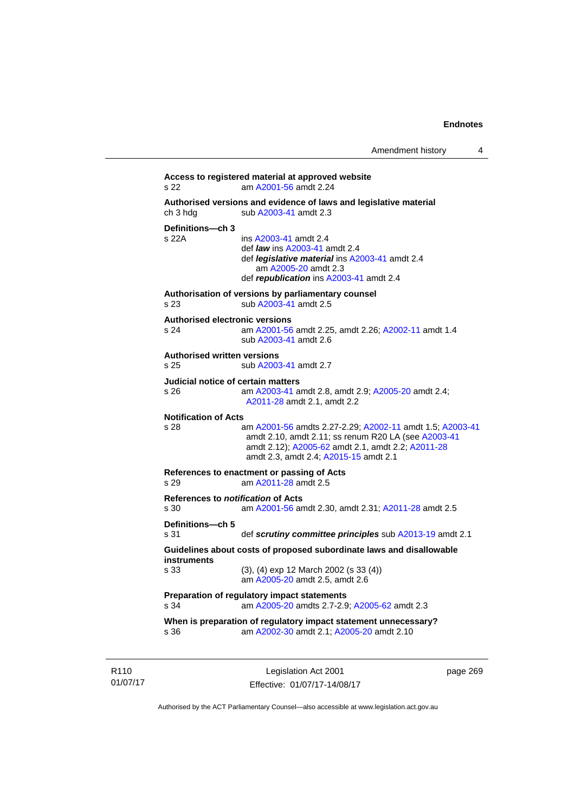```
Access to registered material at approved website 
s 22 am A2001-56 amdt 2.24
Authorised versions and evidence of laws and legislative material 
A2003-41 amdt 2.3
Definitions—ch 3 
                 A2003-41 amdt 2.4
                  def law ins A2003-41 amdt 2.4 
                  def legislative material ins A2003-41 amdt 2.4 
                     am A2005-20 amdt 2.3
                  def republication ins A2003-41 amdt 2.4
Authorisation of versions by parliamentary counsel 
s 23 sub A2003-41 amdt 2.5 
Authorised electronic versions 
s 24 am A2001-56 amdt 2.25, amdt 2.26; A2002-11 amdt 1.4
                  sub A2003-41 amdt 2.6 
Authorised written versions 
s 25 sub A2003-41 amdt 2.7 
Judicial notice of certain matters 
s 26 am A2003-41 amdt 2.8, amdt 2.9; A2005-20 amdt 2.4; 
                 A2011-28 amdt 2.1, amdt 2.2 
Notification of Acts 
s 28 am A2001-56 amdts 2.27-2.29; A2002-11 amdt 1.5; A2003-41
                 amdt 2.10, amdt 2.11; ss renum R20 LA (see A2003-41
                 amdt 2.12); A2005-62 amdt 2.1, amdt 2.2; A2011-28
                 amdt 2.3, amdt 2.4; A2015-15 amdt 2.1 
References to enactment or passing of Acts 
s 29 am A2011-28 amdt 2.5
References to notification of Acts 
s 30 am A2001-56 amdt 2.30, amdt 2.31; A2011-28 amdt 2.5
Definitions—ch 5 
s 31 def scrutiny committee principles sub A2013-19 amdt 2.1
Guidelines about costs of proposed subordinate laws and disallowable 
instruments 
s 33 (3), (4) exp 12 March 2002 (s 33 (4)) 
                  am A2005-20 amdt 2.5, amdt 2.6 
Preparation of regulatory impact statements 
s 34 am A2005-20 amdts 2.7-2.9; A2005-62 amdt 2.3 
When is preparation of regulatory impact statement unnecessary? 
s 36 am A2002-30 amdt 2.1; A2005-20 amdt 2.10
```
R110 01/07/17

Legislation Act 2001 Effective: 01/07/17-14/08/17 page 269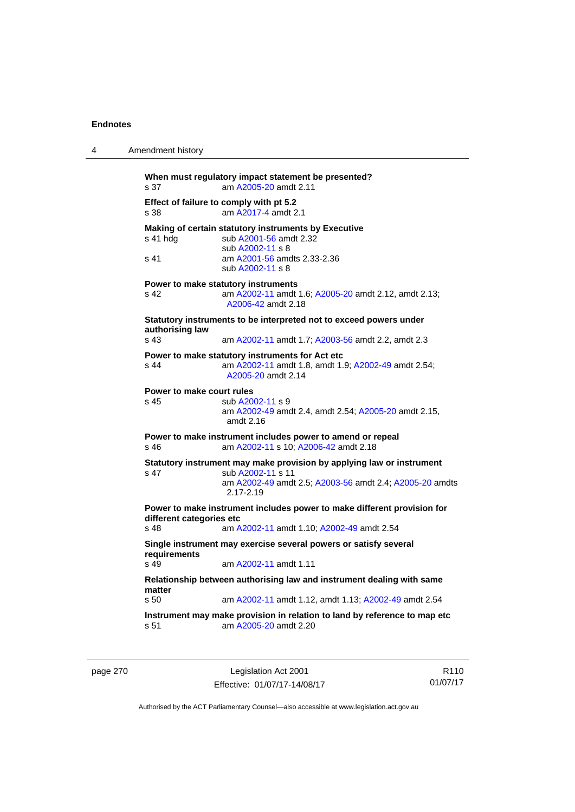| 4                                | Amendment history                                                  |                                                                                                                                                                        |  |
|----------------------------------|--------------------------------------------------------------------|------------------------------------------------------------------------------------------------------------------------------------------------------------------------|--|
|                                  | s 37                                                               | When must regulatory impact statement be presented?<br>am A2005-20 amdt 2.11                                                                                           |  |
|                                  | s 38                                                               | Effect of failure to comply with pt 5.2<br>am A2017-4 amdt 2.1                                                                                                         |  |
|                                  | s 41 hdg                                                           | Making of certain statutory instruments by Executive<br>sub A2001-56 amdt 2.32<br>sub A2002-11 s 8                                                                     |  |
|                                  | s 41                                                               | am A2001-56 amdts 2.33-2.36<br>sub A2002-11 s 8                                                                                                                        |  |
|                                  | s 42                                                               | Power to make statutory instruments<br>am A2002-11 amdt 1.6; A2005-20 amdt 2.12, amdt 2.13;<br>A2006-42 amdt 2.18                                                      |  |
|                                  | Statutory instruments to be interpreted not to exceed powers under |                                                                                                                                                                        |  |
|                                  | authorising law<br>s <sub>43</sub>                                 | am A2002-11 amdt 1.7; A2003-56 amdt 2.2, amdt 2.3                                                                                                                      |  |
|                                  | s 44                                                               | Power to make statutory instruments for Act etc<br>am A2002-11 amdt 1.8, amdt 1.9; A2002-49 amdt 2.54;<br>A2005-20 amdt 2.14                                           |  |
|                                  | Power to make court rules<br>s 45                                  | sub A2002-11 s 9<br>am A2002-49 amdt 2.4, amdt 2.54; A2005-20 amdt 2.15,<br>amdt $2.16$                                                                                |  |
|                                  | s 46                                                               | Power to make instrument includes power to amend or repeal<br>am A2002-11 s 10; A2006-42 amdt 2.18                                                                     |  |
|                                  | s 47                                                               | Statutory instrument may make provision by applying law or instrument<br>sub A2002-11 s 11<br>am A2002-49 amdt 2.5; A2003-56 amdt 2.4; A2005-20 amdts<br>$2.17 - 2.19$ |  |
| different categories etc<br>s 48 |                                                                    | Power to make instrument includes power to make different provision for<br>am A2002-11 amdt 1.10; A2002-49 amdt 2.54                                                   |  |
|                                  | requirements<br>s <sub>49</sub>                                    | Single instrument may exercise several powers or satisfy several<br>am A2002-11 amdt 1.11                                                                              |  |
|                                  | matter                                                             | Relationship between authorising law and instrument dealing with same                                                                                                  |  |
|                                  | s 50                                                               | am A2002-11 amdt 1.12, amdt 1.13; A2002-49 amdt 2.54                                                                                                                   |  |
|                                  | s 51                                                               | Instrument may make provision in relation to land by reference to map etc<br>am A2005-20 amdt 2.20                                                                     |  |

| page 270 |  |  |
|----------|--|--|
|----------|--|--|

page 270 Legislation Act 2001 Effective: 01/07/17-14/08/17

R110 01/07/17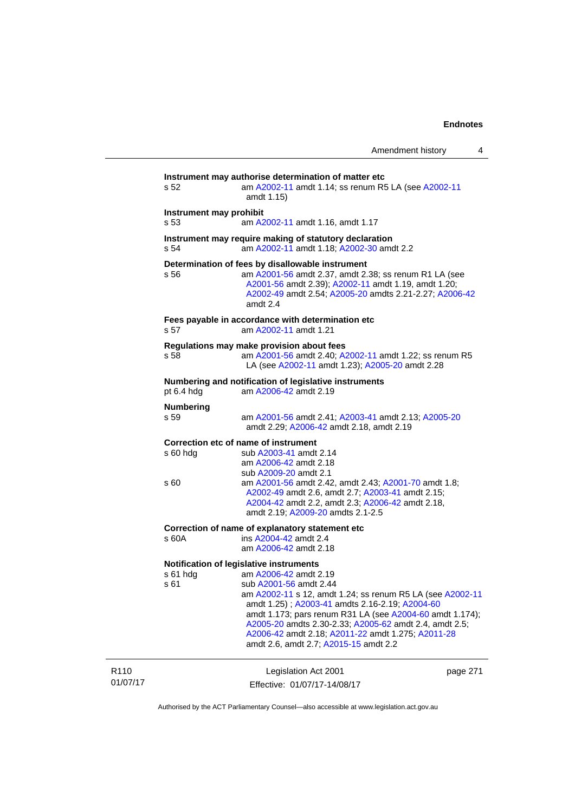| Amendment history |  |
|-------------------|--|
|-------------------|--|

|                              | s 52                                                                               | Instrument may authorise determination of matter etc<br>am A2002-11 amdt 1.14; ss renum R5 LA (see A2002-11<br>amdt 1.15)                                                                                                                                                                                                                                                          |          |  |  |
|------------------------------|------------------------------------------------------------------------------------|------------------------------------------------------------------------------------------------------------------------------------------------------------------------------------------------------------------------------------------------------------------------------------------------------------------------------------------------------------------------------------|----------|--|--|
|                              | Instrument may prohibit<br>s 53<br>am A2002-11 amdt 1.16, amdt 1.17                |                                                                                                                                                                                                                                                                                                                                                                                    |          |  |  |
|                              | s 54                                                                               | Instrument may require making of statutory declaration<br>am A2002-11 amdt 1.18; A2002-30 amdt 2.2                                                                                                                                                                                                                                                                                 |          |  |  |
|                              | s 56                                                                               | Determination of fees by disallowable instrument<br>am A2001-56 amdt 2.37, amdt 2.38; ss renum R1 LA (see<br>A2001-56 amdt 2.39); A2002-11 amdt 1.19, amdt 1.20;<br>A2002-49 amdt 2.54; A2005-20 amdts 2.21-2.27; A2006-42<br>amdt 2.4                                                                                                                                             |          |  |  |
|                              | Fees payable in accordance with determination etc<br>am A2002-11 amdt 1.21<br>s 57 |                                                                                                                                                                                                                                                                                                                                                                                    |          |  |  |
|                              | s 58                                                                               | Regulations may make provision about fees<br>am A2001-56 amdt 2.40; A2002-11 amdt 1.22; ss renum R5<br>LA (see A2002-11 amdt 1.23); A2005-20 amdt 2.28                                                                                                                                                                                                                             |          |  |  |
|                              | pt 6.4 hdg                                                                         | Numbering and notification of legislative instruments<br>am A2006-42 amdt 2.19                                                                                                                                                                                                                                                                                                     |          |  |  |
|                              | <b>Numbering</b><br>s 59                                                           | am A2001-56 amdt 2.41; A2003-41 amdt 2.13; A2005-20<br>amdt 2.29; A2006-42 amdt 2.18, amdt 2.19                                                                                                                                                                                                                                                                                    |          |  |  |
|                              | $s$ 60 hdg                                                                         | Correction etc of name of instrument<br>sub A2003-41 amdt 2.14<br>am A2006-42 amdt 2.18<br>sub A2009-20 amdt 2.1                                                                                                                                                                                                                                                                   |          |  |  |
|                              | s 60                                                                               | am A2001-56 amdt 2.42, amdt 2.43; A2001-70 amdt 1.8;<br>A2002-49 amdt 2.6, amdt 2.7; A2003-41 amdt 2.15;<br>A2004-42 amdt 2.2, amdt 2.3; A2006-42 amdt 2.18,<br>amdt 2.19; A2009-20 amdts 2.1-2.5                                                                                                                                                                                  |          |  |  |
|                              | s 60A                                                                              | Correction of name of explanatory statement etc<br>ins A2004-42 amdt 2.4<br>am A2006-42 amdt 2.18                                                                                                                                                                                                                                                                                  |          |  |  |
|                              | Notification of legislative instruments                                            |                                                                                                                                                                                                                                                                                                                                                                                    |          |  |  |
|                              | s 61 hdg<br>s 61                                                                   | am A2006-42 amdt 2.19<br>sub A2001-56 amdt 2.44<br>am A2002-11 s 12, amdt 1.24; ss renum R5 LA (see A2002-11<br>amdt 1.25); A2003-41 amdts 2.16-2.19; A2004-60<br>amdt 1.173; pars renum R31 LA (see A2004-60 amdt 1.174);<br>A2005-20 amdts 2.30-2.33; A2005-62 amdt 2.4, amdt 2.5;<br>A2006-42 amdt 2.18; A2011-22 amdt 1.275; A2011-28<br>amdt 2.6, amdt 2.7; A2015-15 amdt 2.2 |          |  |  |
| R <sub>110</sub><br>01/07/17 |                                                                                    | Legislation Act 2001<br>Effective: 01/07/17-14/08/17                                                                                                                                                                                                                                                                                                                               | page 271 |  |  |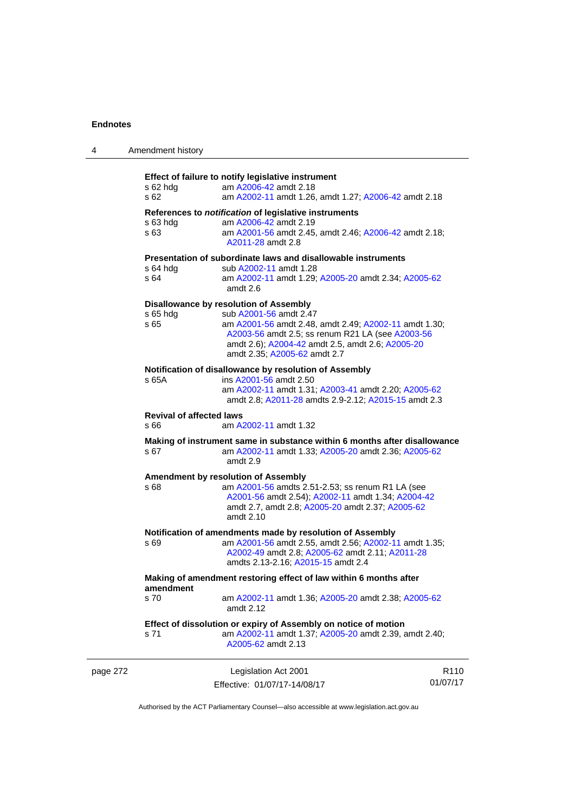| 4        | Amendment history                                                              |                                                                                                                                                                                                                                                                   |                              |  |
|----------|--------------------------------------------------------------------------------|-------------------------------------------------------------------------------------------------------------------------------------------------------------------------------------------------------------------------------------------------------------------|------------------------------|--|
|          | $s$ 62 hdg<br>s 62                                                             | Effect of failure to notify legislative instrument<br>am A2006-42 amdt 2.18<br>am A2002-11 amdt 1.26, amdt 1.27; A2006-42 amdt 2.18                                                                                                                               |                              |  |
|          | $s$ 63 hdg<br>s 63                                                             | References to notification of legislative instruments<br>am A2006-42 amdt 2.19<br>am A2001-56 amdt 2.45, amdt 2.46; A2006-42 amdt 2.18;<br>A2011-28 amdt 2.8                                                                                                      |                              |  |
|          | s 64 hdg<br>s 64                                                               | Presentation of subordinate laws and disallowable instruments<br>sub A2002-11 amdt 1.28<br>am A2002-11 amdt 1.29; A2005-20 amdt 2.34; A2005-62<br>amdt 2.6                                                                                                        |                              |  |
|          | s 65 hdg<br>s 65                                                               | Disallowance by resolution of Assembly<br>sub A2001-56 amdt 2.47<br>am A2001-56 amdt 2.48, amdt 2.49; A2002-11 amdt 1.30;<br>A2003-56 amdt 2.5; ss renum R21 LA (see A2003-56<br>amdt 2.6); A2004-42 amdt 2.5, amdt 2.6; A2005-20<br>amdt 2.35; A2005-62 amdt 2.7 |                              |  |
|          | s 65A                                                                          | Notification of disallowance by resolution of Assembly<br>ins A2001-56 amdt 2.50<br>am A2002-11 amdt 1.31; A2003-41 amdt 2.20; A2005-62<br>amdt 2.8; A2011-28 amdts 2.9-2.12; A2015-15 amdt 2.3                                                                   |                              |  |
|          | <b>Revival of affected laws</b><br>s 66                                        | am A2002-11 amdt 1.32                                                                                                                                                                                                                                             |                              |  |
|          | s 67                                                                           | Making of instrument same in substance within 6 months after disallowance<br>am A2002-11 amdt 1.33; A2005-20 amdt 2.36; A2005-62<br>amdt 2.9                                                                                                                      |                              |  |
|          | s 68                                                                           | Amendment by resolution of Assembly<br>am A2001-56 amdts 2.51-2.53; ss renum R1 LA (see<br>A2001-56 amdt 2.54); A2002-11 amdt 1.34; A2004-42<br>amdt 2.7, amdt 2.8; A2005-20 amdt 2.37; A2005-62<br>amdt 2.10                                                     |                              |  |
|          | s 69                                                                           | Notification of amendments made by resolution of Assembly<br>am A2001-56 amdt 2.55, amdt 2.56; A2002-11 amdt 1.35;<br>A2002-49 amdt 2.8; A2005-62 amdt 2.11; A2011-28<br>amdts 2.13-2.16; A2015-15 amdt 2.4                                                       |                              |  |
|          | Making of amendment restoring effect of law within 6 months after<br>amendment |                                                                                                                                                                                                                                                                   |                              |  |
|          | s 70                                                                           | am A2002-11 amdt 1.36; A2005-20 amdt 2.38; A2005-62<br>amdt 2.12                                                                                                                                                                                                  |                              |  |
|          | s 71                                                                           | Effect of dissolution or expiry of Assembly on notice of motion<br>am A2002-11 amdt 1.37; A2005-20 amdt 2.39, amdt 2.40;<br>A2005-62 amdt 2.13                                                                                                                    |                              |  |
| page 272 |                                                                                | Legislation Act 2001<br>Effective: 01/07/17-14/08/17                                                                                                                                                                                                              | R <sub>110</sub><br>01/07/17 |  |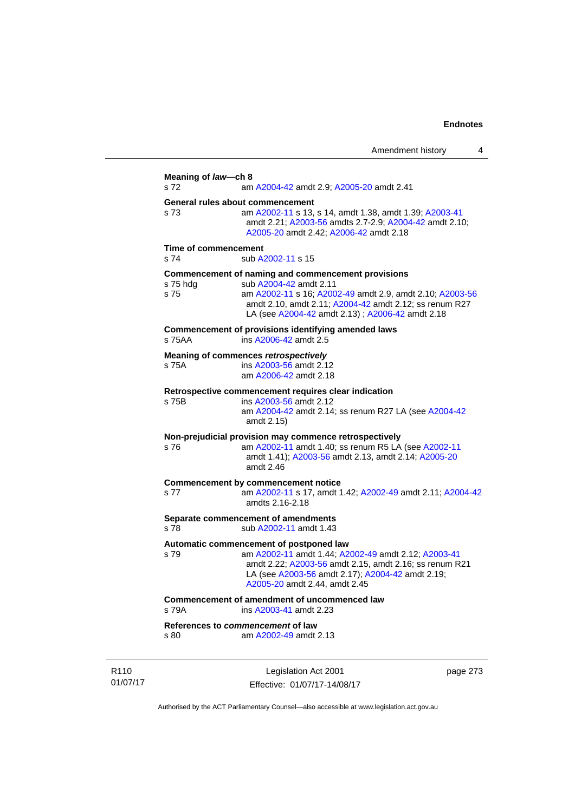|                                           |                                                                                                                                                                                                                                                       | 4<br>Amendment history |
|-------------------------------------------|-------------------------------------------------------------------------------------------------------------------------------------------------------------------------------------------------------------------------------------------------------|------------------------|
| Meaning of law-ch 8<br>s 72               | am A2004-42 amdt 2.9; A2005-20 amdt 2.41                                                                                                                                                                                                              |                        |
| General rules about commencement<br>s 73  | am A2002-11 s 13, s 14, amdt 1.38, amdt 1.39; A2003-41<br>amdt 2.21; A2003-56 amdts 2.7-2.9; A2004-42 amdt 2.10;<br>A2005-20 amdt 2.42; A2006-42 amdt 2.18                                                                                            |                        |
| Time of commencement<br>s 74              | sub A2002-11 s 15                                                                                                                                                                                                                                     |                        |
| s 75 hdg<br>s 75                          | Commencement of naming and commencement provisions<br>sub A2004-42 amdt 2.11<br>am A2002-11 s 16; A2002-49 amdt 2.9, amdt 2.10; A2003-56<br>amdt 2.10, amdt 2.11; A2004-42 amdt 2.12; ss renum R27<br>LA (see A2004-42 amdt 2.13); A2006-42 amdt 2.18 |                        |
| s 75AA                                    | Commencement of provisions identifying amended laws<br>ins A2006-42 amdt 2.5                                                                                                                                                                          |                        |
| s 75A                                     | <b>Meaning of commences retrospectively</b><br>ins A2003-56 amdt 2.12<br>am A2006-42 amdt 2.18                                                                                                                                                        |                        |
| s 75B                                     | Retrospective commencement requires clear indication<br>ins A2003-56 amdt 2.12<br>am A2004-42 amdt 2.14; ss renum R27 LA (see A2004-42<br>amdt 2.15)                                                                                                  |                        |
| s 76                                      | Non-prejudicial provision may commence retrospectively<br>am A2002-11 amdt 1.40; ss renum R5 LA (see A2002-11<br>amdt 1.41); A2003-56 amdt 2.13, amdt 2.14; A2005-20<br>amdt 2.46                                                                     |                        |
| s 77                                      | <b>Commencement by commencement notice</b><br>am A2002-11 s 17, amdt 1.42; A2002-49 amdt 2.11; A2004-42<br>amdts 2.16-2.18                                                                                                                            |                        |
| s 78                                      | Separate commencement of amendments<br>sub A2002-11 amdt 1.43                                                                                                                                                                                         |                        |
| s 79                                      | Automatic commencement of postponed law<br>am A2002-11 amdt 1.44; A2002-49 amdt 2.12; A2003-41<br>amdt 2.22; A2003-56 amdt 2.15, amdt 2.16; ss renum R21<br>LA (see A2003-56 amdt 2.17); A2004-42 amdt 2.19;<br>A2005-20 amdt 2.44, amdt 2.45         |                        |
| s 79A                                     | Commencement of amendment of uncommenced law<br>ins A2003-41 amdt 2.23                                                                                                                                                                                |                        |
| References to commencement of law<br>s 80 | am A2002-49 amdt 2.13                                                                                                                                                                                                                                 |                        |

R110 01/07/17

> Legislation Act 2001 Effective: 01/07/17-14/08/17

page 273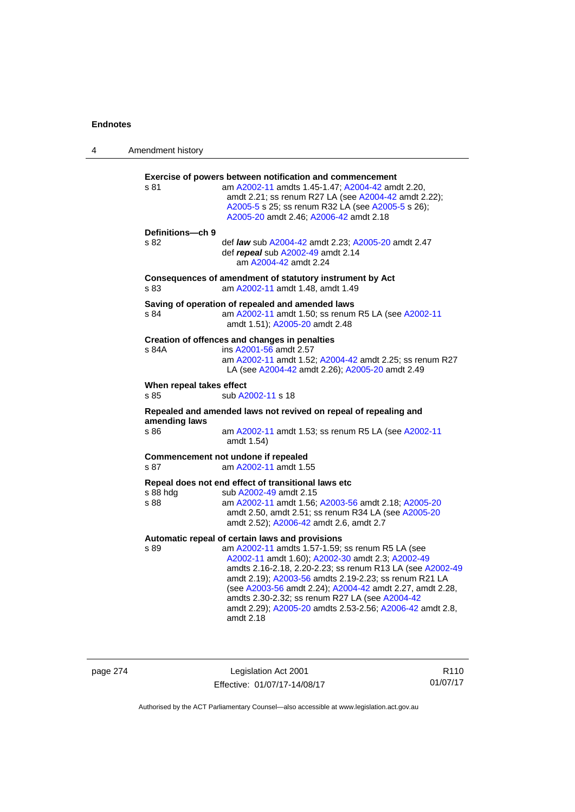| 4 | Amendment history                |                                                                                                                                                                                                                                                                                                                                                                                                                                                                      |
|---|----------------------------------|----------------------------------------------------------------------------------------------------------------------------------------------------------------------------------------------------------------------------------------------------------------------------------------------------------------------------------------------------------------------------------------------------------------------------------------------------------------------|
|   | s 81                             | Exercise of powers between notification and commencement<br>am A2002-11 amdts 1.45-1.47; A2004-42 amdt 2.20,<br>amdt 2.21; ss renum R27 LA (see A2004-42 amdt 2.22);<br>A2005-5 s 25; ss renum R32 LA (see A2005-5 s 26);<br>A2005-20 amdt 2.46; A2006-42 amdt 2.18                                                                                                                                                                                                  |
|   | Definitions-ch 9<br>s 82         | def law sub A2004-42 amdt 2.23; A2005-20 amdt 2.47<br>def repeal sub A2002-49 amdt 2.14<br>am A2004-42 amdt 2.24                                                                                                                                                                                                                                                                                                                                                     |
|   | s 83                             | Consequences of amendment of statutory instrument by Act<br>am A2002-11 amdt 1.48, amdt 1.49                                                                                                                                                                                                                                                                                                                                                                         |
|   | s 84                             | Saving of operation of repealed and amended laws<br>am A2002-11 amdt 1.50; ss renum R5 LA (see A2002-11<br>amdt 1.51); A2005-20 amdt 2.48                                                                                                                                                                                                                                                                                                                            |
|   | s 84A                            | Creation of offences and changes in penalties<br>ins A2001-56 amdt 2.57<br>am A2002-11 amdt 1.52; A2004-42 amdt 2.25; ss renum R27<br>LA (see A2004-42 amdt 2.26); A2005-20 amdt 2.49                                                                                                                                                                                                                                                                                |
|   | When repeal takes effect<br>s 85 | sub A2002-11 s 18                                                                                                                                                                                                                                                                                                                                                                                                                                                    |
|   |                                  | Repealed and amended laws not revived on repeal of repealing and                                                                                                                                                                                                                                                                                                                                                                                                     |
|   | amending laws<br>s 86            | am A2002-11 amdt 1.53; ss renum R5 LA (see A2002-11<br>amdt 1.54)                                                                                                                                                                                                                                                                                                                                                                                                    |
|   | s 87                             | Commencement not undone if repealed<br>am A2002-11 amdt 1.55                                                                                                                                                                                                                                                                                                                                                                                                         |
|   | s 88 hdg<br>s 88                 | Repeal does not end effect of transitional laws etc<br>sub A2002-49 amdt 2.15<br>am A2002-11 amdt 1.56; A2003-56 amdt 2.18; A2005-20<br>amdt 2.50, amdt 2.51; ss renum R34 LA (see A2005-20<br>amdt 2.52); A2006-42 amdt 2.6, amdt 2.7                                                                                                                                                                                                                               |
|   | s 89                             | Automatic repeal of certain laws and provisions<br>am A2002-11 amdts 1.57-1.59; ss renum R5 LA (see<br>A2002-11 amdt 1.60); A2002-30 amdt 2.3; A2002-49<br>amdts 2.16-2.18, 2.20-2.23; ss renum R13 LA (see A2002-49<br>amdt 2.19); A2003-56 amdts 2.19-2.23; ss renum R21 LA<br>(see A2003-56 amdt 2.24); A2004-42 amdt 2.27, amdt 2.28,<br>amdts 2.30-2.32; ss renum R27 LA (see A2004-42<br>amdt 2.29); A2005-20 amdts 2.53-2.56; A2006-42 amdt 2.8,<br>amdt 2.18 |

| page 274 |  |
|----------|--|
|----------|--|

page 274 Legislation Act 2001 Effective: 01/07/17-14/08/17

R110 01/07/17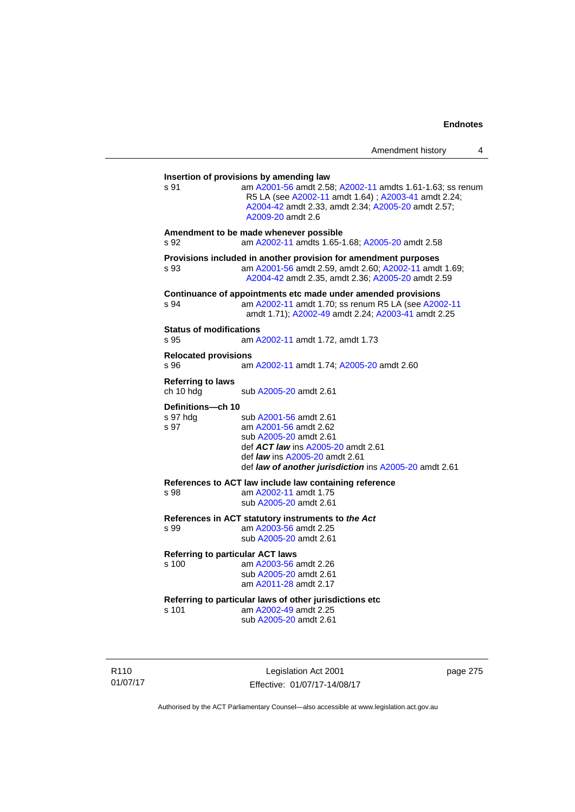| s 91                                   | am A2001-56 amdt 2.58; A2002-11 amdts 1.61-1.63; ss renum<br>R5 LA (see A2002-11 amdt 1.64); A2003-41 amdt 2.24;<br>A2004-42 amdt 2.33, amdt 2.34; A2005-20 amdt 2.57;<br>A2009-20 amdt 2.6                               |
|----------------------------------------|---------------------------------------------------------------------------------------------------------------------------------------------------------------------------------------------------------------------------|
| s 92                                   | Amendment to be made whenever possible<br>am A2002-11 amdts 1.65-1.68; A2005-20 amdt 2.58                                                                                                                                 |
| s 93                                   | Provisions included in another provision for amendment purposes<br>am A2001-56 amdt 2.59, amdt 2.60; A2002-11 amdt 1.69;<br>A2004-42 amdt 2.35, amdt 2.36; A2005-20 amdt 2.59                                             |
| s 94                                   | Continuance of appointments etc made under amended provisions<br>am A2002-11 amdt 1.70; ss renum R5 LA (see A2002-11<br>amdt 1.71); A2002-49 amdt 2.24; A2003-41 amdt 2.25                                                |
| <b>Status of modifications</b><br>s 95 | am A2002-11 amdt 1.72, amdt 1.73                                                                                                                                                                                          |
| <b>Relocated provisions</b><br>s 96    | am A2002-11 amdt 1.74; A2005-20 amdt 2.60                                                                                                                                                                                 |
| <b>Referring to laws</b><br>ch 10 hdg  | sub A2005-20 amdt 2.61                                                                                                                                                                                                    |
| Definitions-ch 10<br>s 97 hda<br>s 97  | sub A2001-56 amdt 2.61<br>am A2001-56 amdt 2.62<br>sub A2005-20 amdt 2.61<br>def <b>ACT law</b> ins A2005-20 amdt 2.61<br>def <i>law</i> ins A2005-20 amdt 2.61<br>def law of another jurisdiction ins A2005-20 amdt 2.61 |
| s 98                                   | References to ACT law include law containing reference<br>am A2002-11 amdt 1.75<br>sub A2005-20 amdt 2.61                                                                                                                 |
| s 99                                   | References in ACT statutory instruments to the Act<br>am A2003-56 amdt 2.25<br>sub A2005-20 amdt 2.61                                                                                                                     |
| s 100                                  | <b>Referring to particular ACT laws</b><br>am A2003-56 amdt 2.26<br>sub A2005-20 amdt 2.61<br>am A2011-28 amdt 2.17                                                                                                       |
| s 101                                  | Referring to particular laws of other jurisdictions etc<br>am A2002-49 amdt 2.25<br>sub A2005-20 amdt 2.61                                                                                                                |

R110 01/07/17

Legislation Act 2001 Effective: 01/07/17-14/08/17 page 275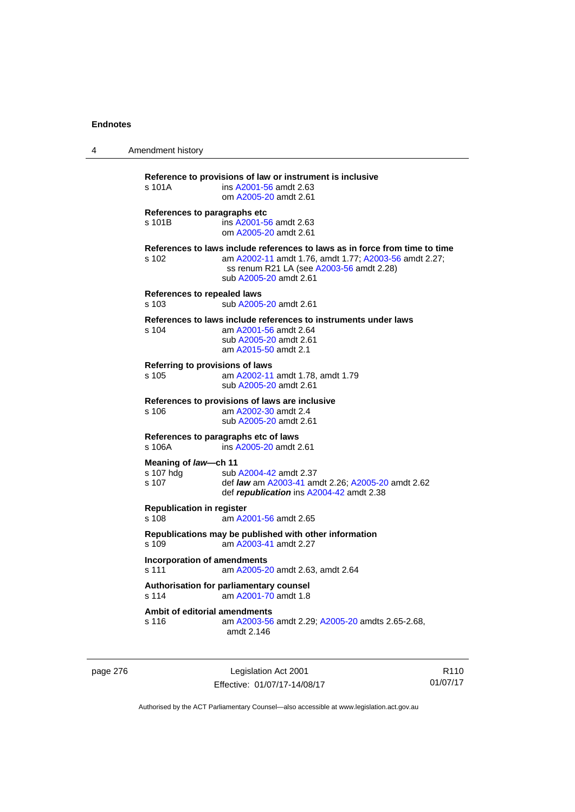| 4 | Amendment history                                                                                                                                                                                                   |
|---|---------------------------------------------------------------------------------------------------------------------------------------------------------------------------------------------------------------------|
|   | Reference to provisions of law or instrument is inclusive<br>s 101A<br>ins A2001-56 amdt 2.63<br>om A2005-20 amdt 2.61                                                                                              |
|   | References to paragraphs etc<br>s 101B<br>ins A2001-56 amdt 2.63<br>om A2005-20 amdt 2.61                                                                                                                           |
|   | References to laws include references to laws as in force from time to time<br>s 102<br>am A2002-11 amdt 1.76, amdt 1.77; A2003-56 amdt 2.27;<br>ss renum R21 LA (see A2003-56 amdt 2.28)<br>sub A2005-20 amdt 2.61 |
|   | References to repealed laws<br>s 103<br>sub A2005-20 amdt 2.61                                                                                                                                                      |
|   | References to laws include references to instruments under laws<br>s 104<br>am A2001-56 amdt 2.64<br>sub A2005-20 amdt 2.61<br>am A2015-50 amdt 2.1                                                                 |
|   | Referring to provisions of laws<br>s 105<br>am A2002-11 amdt 1.78, amdt 1.79<br>sub A2005-20 amdt 2.61                                                                                                              |
|   | References to provisions of laws are inclusive<br>s 106<br>am A2002-30 amdt 2.4<br>sub A2005-20 amdt 2.61                                                                                                           |
|   | References to paragraphs etc of laws<br>s 106A<br>ins A2005-20 amdt 2.61                                                                                                                                            |
|   | Meaning of law-ch 11<br>s 107 hdg<br>sub A2004-42 amdt 2.37<br>s 107<br>def <i>law</i> am A2003-41 amdt 2.26; A2005-20 amdt 2.62<br>def republication ins A2004-42 amdt 2.38                                        |
|   | <b>Republication in register</b><br>s 108<br>am A2001-56 amdt 2.65                                                                                                                                                  |
|   | Republications may be published with other information<br>s 109<br>am A2003-41 amdt 2.27                                                                                                                            |
|   | Incorporation of amendments<br>s 111<br>am A2005-20 amdt 2.63, amdt 2.64                                                                                                                                            |
|   | Authorisation for parliamentary counsel<br>am A2001-70 amdt 1.8<br>s 114                                                                                                                                            |
|   | Ambit of editorial amendments<br>s 116<br>am A2003-56 amdt 2.29; A2005-20 amdts 2.65-2.68,<br>amdt 2.146                                                                                                            |

page 276 **Legislation Act 2001** Effective: 01/07/17-14/08/17

R110 01/07/17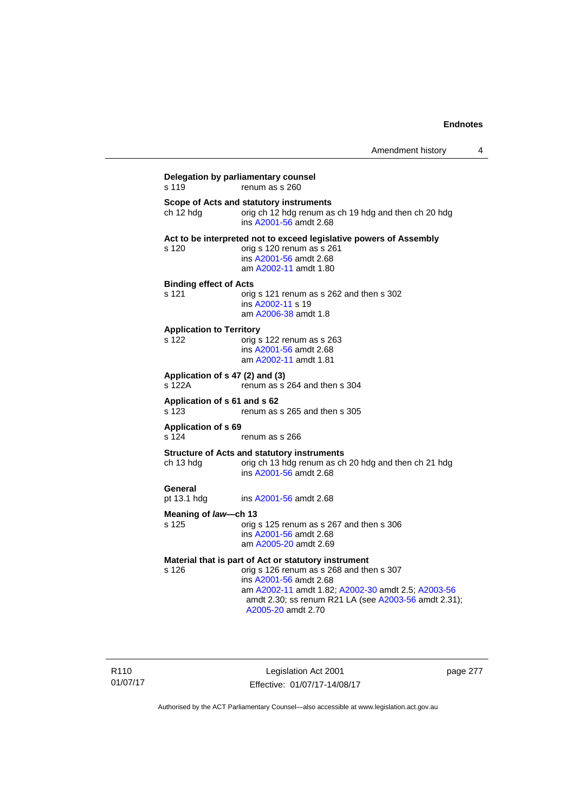| s 119                                    | Delegation by parliamentary counsel<br>renum as s 260                                                                                                                                                  |
|------------------------------------------|--------------------------------------------------------------------------------------------------------------------------------------------------------------------------------------------------------|
| ch 12 hdg                                | Scope of Acts and statutory instruments<br>orig ch 12 hdg renum as ch 19 hdg and then ch 20 hdg<br>ins A2001-56 amdt 2.68                                                                              |
| s 120                                    | Act to be interpreted not to exceed legislative powers of Assembly<br>orig s 120 renum as s 261<br>ins A2001-56 amdt 2.68<br>am A2002-11 amdt 1.80                                                     |
| <b>Binding effect of Acts</b><br>s 121   | orig s 121 renum as s 262 and then s 302<br>ins A2002-11 s 19<br>am A2006-38 amdt 1.8                                                                                                                  |
| <b>Application to Territory</b><br>s 122 | orig s 122 renum as s 263<br>ins A2001-56 amdt 2.68<br>am A2002-11 amdt 1.81                                                                                                                           |
| s 122A                                   | Application of s 47 (2) and (3)<br>renum as s 264 and then s 304                                                                                                                                       |
| Application of s 61 and s 62<br>s 123    | renum as s 265 and then s 305                                                                                                                                                                          |
| <b>Application of s 69</b><br>s 124      | renum as s 266                                                                                                                                                                                         |
| ch 13 hdg                                | <b>Structure of Acts and statutory instruments</b><br>orig ch 13 hdg renum as ch 20 hdg and then ch 21 hdg<br>ins A2001-56 amdt 2.68                                                                   |
| General<br>pt 13.1 hdg                   | ins A2001-56 amdt 2.68                                                                                                                                                                                 |
| Meaning of law—ch 13                     |                                                                                                                                                                                                        |
| s 125                                    | orig s 125 renum as s 267 and then s 306<br>ins A2001-56 amdt 2.68<br>am A2005-20 amdt 2.69                                                                                                            |
|                                          | Material that is part of Act or statutory instrument                                                                                                                                                   |
| s 126                                    | orig s 126 renum as s 268 and then s 307<br>ins A2001-56 amdt 2.68<br>am A2002-11 amdt 1.82; A2002-30 amdt 2.5; A2003-56<br>amdt 2.30; ss renum R21 LA (see A2003-56 amdt 2.31);<br>A2005-20 amdt 2.70 |

Legislation Act 2001 Effective: 01/07/17-14/08/17 page 277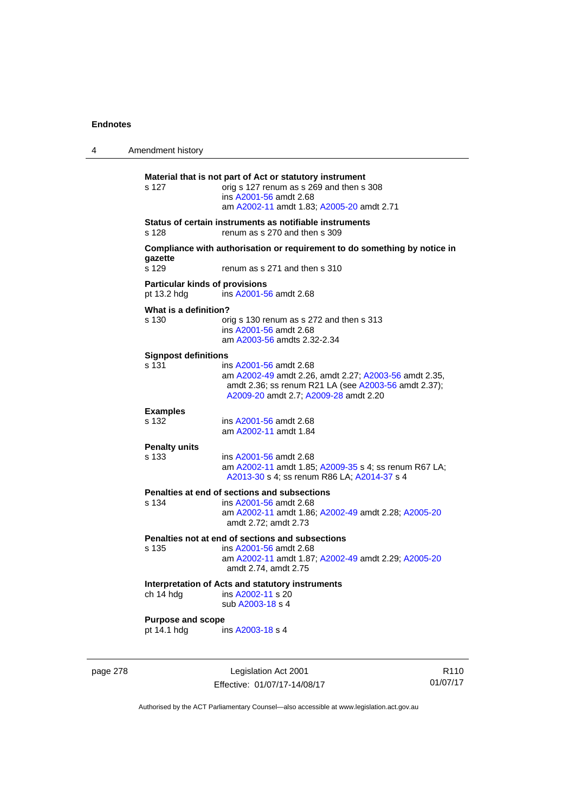| 4 | Amendment history                                    |                                                                                                                                                                                  |
|---|------------------------------------------------------|----------------------------------------------------------------------------------------------------------------------------------------------------------------------------------|
|   | s 127                                                | Material that is not part of Act or statutory instrument<br>orig s 127 renum as s 269 and then s 308<br>ins A2001-56 amdt 2.68<br>am A2002-11 amdt 1.83; A2005-20 amdt 2.71      |
|   | s 128                                                | Status of certain instruments as notifiable instruments<br>renum as s 270 and then s 309                                                                                         |
|   | gazette<br>s 129                                     | Compliance with authorisation or requirement to do something by notice in<br>renum as s 271 and then s 310                                                                       |
|   | <b>Particular kinds of provisions</b><br>pt 13.2 hdg | ins A2001-56 amdt 2.68                                                                                                                                                           |
|   | What is a definition?<br>s 130                       | orig s 130 renum as s 272 and then s 313<br>ins A2001-56 amdt 2.68<br>am A2003-56 amdts 2.32-2.34                                                                                |
|   | <b>Signpost definitions</b><br>s 131                 | ins A2001-56 amdt 2.68<br>am A2002-49 amdt 2.26, amdt 2.27; A2003-56 amdt 2.35,<br>amdt 2.36; ss renum R21 LA (see A2003-56 amdt 2.37);<br>A2009-20 amdt 2.7; A2009-28 amdt 2.20 |
|   | <b>Examples</b><br>s 132                             | ins A2001-56 amdt 2.68<br>am A2002-11 amdt 1.84                                                                                                                                  |
|   | <b>Penalty units</b><br>s 133                        | ins A2001-56 amdt 2.68<br>am A2002-11 amdt 1.85; A2009-35 s 4; ss renum R67 LA;<br>A2013-30 s 4; ss renum R86 LA; A2014-37 s 4                                                   |
|   | s 134                                                | Penalties at end of sections and subsections<br>ins A2001-56 amdt 2.68<br>am A2002-11 amdt 1.86; A2002-49 amdt 2.28; A2005-20<br>amdt 2.72; amdt 2.73                            |
|   | s 135                                                | Penalties not at end of sections and subsections<br>ins A2001-56 amdt 2.68<br>am A2002-11 amdt 1.87; A2002-49 amdt 2.29; A2005-20<br>amdt 2.74, amdt 2.75                        |
|   | ch 14 hdg                                            | Interpretation of Acts and statutory instruments<br>ins A2002-11 s 20<br>sub A2003-18 s 4                                                                                        |
|   | <b>Purpose and scope</b><br>pt 14.1 hdg              | ins A2003-18 s 4                                                                                                                                                                 |
|   |                                                      |                                                                                                                                                                                  |

page 278 Legislation Act 2001 Effective: 01/07/17-14/08/17

R110 01/07/17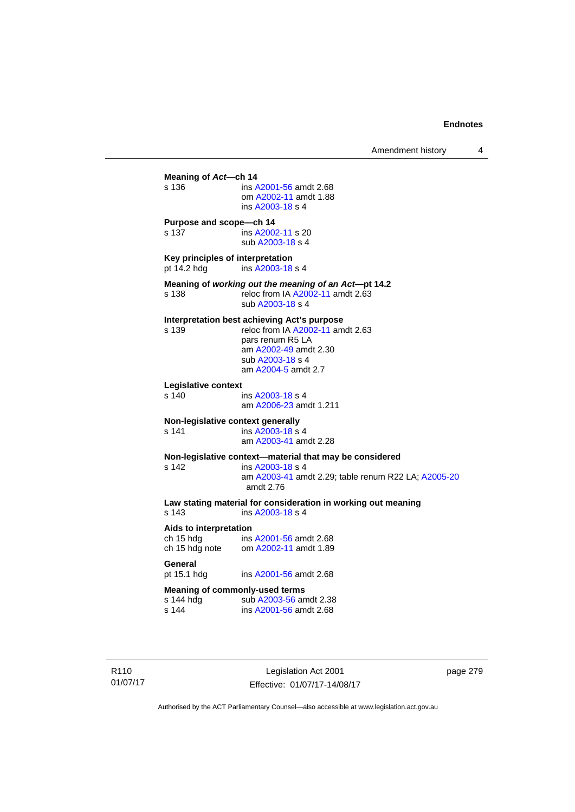**Meaning of** *Act***—ch 14**  s 136 ins [A2001-56](http://www.legislation.act.gov.au/a/2001-56) amdt 2.68 om [A2002-11](http://www.legislation.act.gov.au/a/2002-11) amdt 1.88 ins [A2003-18](http://www.legislation.act.gov.au/a/2003-18) s 4 **Purpose and scope—ch 14**  s 137 ins [A2002-11](http://www.legislation.act.gov.au/a/2002-11) s 20 sub [A2003-18](http://www.legislation.act.gov.au/a/2003-18) s 4 **Key principles of interpretation**<br>pt 14.2 hdg ins A2003-18 ins [A2003-18](http://www.legislation.act.gov.au/a/2003-18) s 4 **Meaning of** *working out the meaning of an Act***—pt 14.2**  s 138 reloc from IA [A2002-11](http://www.legislation.act.gov.au/a/2002-11) amdt 2.63 sub [A2003-18](http://www.legislation.act.gov.au/a/2003-18) s 4 **Interpretation best achieving Act's purpose**  s 139 reloc from IA [A2002-11](http://www.legislation.act.gov.au/a/2002-11) amdt 2.63 pars renum R5 LA am [A2002-49](http://www.legislation.act.gov.au/a/2002-49) amdt 2.30 sub [A2003-18](http://www.legislation.act.gov.au/a/2003-18) s 4 am [A2004-5](http://www.legislation.act.gov.au/a/2004-5) amdt 2.7 **Legislative context**  ins [A2003-18](http://www.legislation.act.gov.au/a/2003-18) s 4 am [A2006-23](http://www.legislation.act.gov.au/a/2006-23) amdt 1.211 **Non-legislative context generally**<br>s 141 **ins A2003-18 s** s 141 **ins [A2003-18](http://www.legislation.act.gov.au/a/2003-18) s** 4 am [A2003-41](http://www.legislation.act.gov.au/a/2003-41) amdt 2.28 **Non-legislative context—material that may be considered**  s 142 ins [A2003-18](http://www.legislation.act.gov.au/a/2003-18) s 4 am [A2003-41](http://www.legislation.act.gov.au/a/2003-41) amdt 2.29; table renum R22 LA; [A2005-20](http://www.legislation.act.gov.au/a/2005-20) amdt 2.76 **Law stating material for consideration in working out meaning**  ins [A2003-18](http://www.legislation.act.gov.au/a/2003-18) s 4 **Aids to interpretation**  ch 15 hdg ins [A2001-56](http://www.legislation.act.gov.au/a/2001-56) amdt 2.68 ch 15 hdg note om [A2002-11](http://www.legislation.act.gov.au/a/2002-11) amdt 1.89 General<br>pt 15.1 hdg ins [A2001-56](http://www.legislation.act.gov.au/a/2001-56) amdt 2.68 **Meaning of commonly-used terms**  s 144 hdg sub [A2003-56](http://www.legislation.act.gov.au/a/2003-56) amdt 2.38<br>s 144 ins A2001-56 amdt 2.68 ins [A2001-56](http://www.legislation.act.gov.au/a/2001-56) amdt 2.68

R110 01/07/17

Legislation Act 2001 Effective: 01/07/17-14/08/17 page 279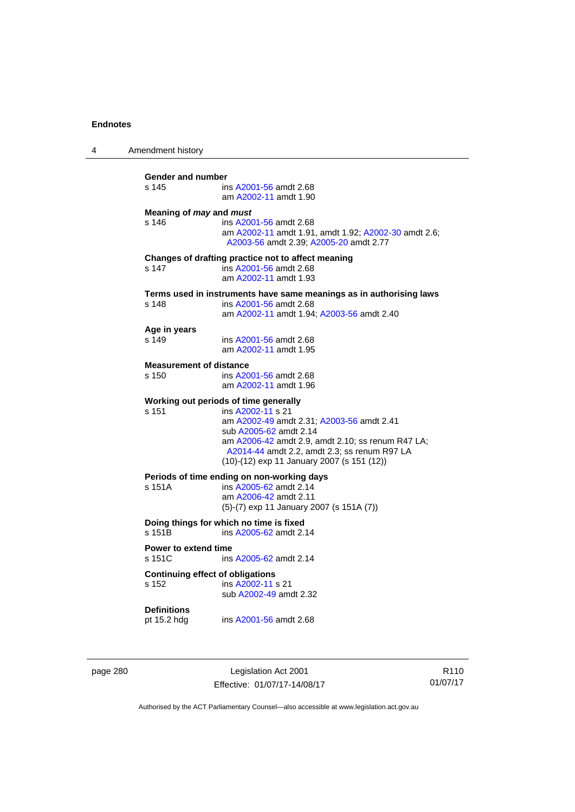| 4 | Amendment history                                |                                                                                                                                                                                                                                                                                      |
|---|--------------------------------------------------|--------------------------------------------------------------------------------------------------------------------------------------------------------------------------------------------------------------------------------------------------------------------------------------|
|   | <b>Gender and number</b><br>s 145                | ins A2001-56 amdt 2.68<br>am A2002-11 amdt 1.90                                                                                                                                                                                                                                      |
|   | Meaning of may and must<br>s 146                 | ins A2001-56 amdt 2.68<br>am A2002-11 amdt 1.91, amdt 1.92; A2002-30 amdt 2.6;<br>A2003-56 amdt 2.39; A2005-20 amdt 2.77                                                                                                                                                             |
|   | s 147                                            | Changes of drafting practice not to affect meaning<br>ins A2001-56 amdt 2.68<br>am A2002-11 amdt 1.93                                                                                                                                                                                |
|   | s 148                                            | Terms used in instruments have same meanings as in authorising laws<br>ins A2001-56 amdt 2.68<br>am A2002-11 amdt 1.94; A2003-56 amdt 2.40                                                                                                                                           |
|   | Age in years<br>s 149                            | ins A2001-56 amdt 2.68<br>am A2002-11 amdt 1.95                                                                                                                                                                                                                                      |
|   | <b>Measurement of distance</b><br>s 150          | ins A2001-56 amdt 2.68<br>am A2002-11 amdt 1.96                                                                                                                                                                                                                                      |
|   | s 151                                            | Working out periods of time generally<br>ins A2002-11 s 21<br>am A2002-49 amdt 2.31; A2003-56 amdt 2.41<br>sub A2005-62 amdt 2.14<br>am A2006-42 amdt 2.9, amdt 2.10; ss renum R47 LA;<br>A2014-44 amdt 2.2, amdt 2.3; ss renum R97 LA<br>(10)-(12) exp 11 January 2007 (s 151 (12)) |
|   | s 151A                                           | Periods of time ending on non-working days<br>ins A2005-62 amdt 2.14<br>am A2006-42 amdt 2.11<br>$(5)-(7)$ exp 11 January 2007 (s 151A $(7)$ )                                                                                                                                       |
|   | s 151B                                           | Doing things for which no time is fixed<br>ins A2005-62 amdt 2.14                                                                                                                                                                                                                    |
|   | Power to extend time<br>s 151C                   | ins A2005-62 amdt 2.14                                                                                                                                                                                                                                                               |
|   | <b>Continuing effect of obligations</b><br>s 152 | ins A2002-11 s 21<br>sub A2002-49 amdt 2.32                                                                                                                                                                                                                                          |
|   | <b>Definitions</b><br>pt 15.2 hdg                | ins A2001-56 amdt 2.68                                                                                                                                                                                                                                                               |
|   |                                                  |                                                                                                                                                                                                                                                                                      |

page 280 Legislation Act 2001 Effective: 01/07/17-14/08/17

R110 01/07/17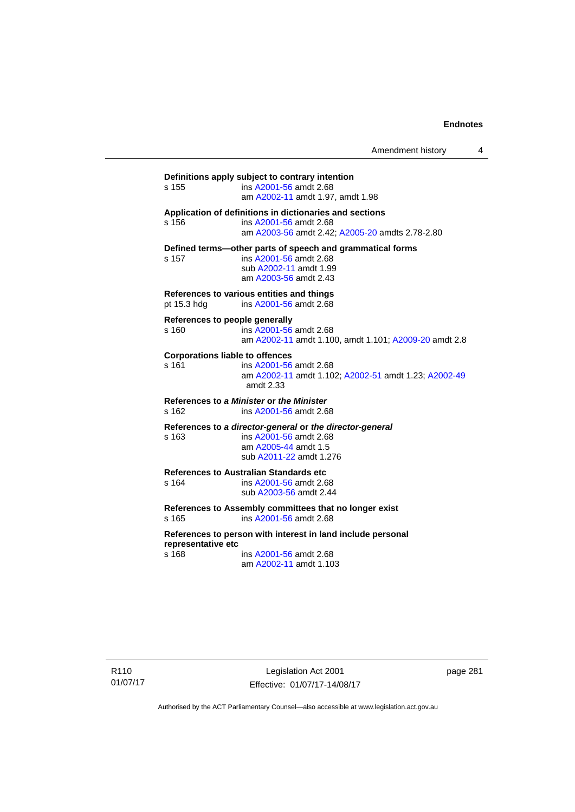Amendment history 4

**Definitions apply subject to contrary intention**  s 155 ins [A2001-56](http://www.legislation.act.gov.au/a/2001-56) amdt 2.68 am [A2002-11](http://www.legislation.act.gov.au/a/2002-11) amdt 1.97, amdt 1.98 **Application of definitions in dictionaries and sections**  s 156 ins [A2001-56](http://www.legislation.act.gov.au/a/2001-56) amdt 2.68 am [A2003-56](http://www.legislation.act.gov.au/a/2003-56) amdt 2.42; [A2005-20](http://www.legislation.act.gov.au/a/2005-20) amdts 2.78-2.80 **Defined terms—other parts of speech and grammatical forms**  s 157 ins [A2001-56](http://www.legislation.act.gov.au/a/2001-56) amdt 2.68 sub [A2002-11](http://www.legislation.act.gov.au/a/2002-11) amdt 1.99 am [A2003-56](http://www.legislation.act.gov.au/a/2003-56) amdt 2.43 **References to various entities and things**  pt 15.3 hdg ins [A2001-56](http://www.legislation.act.gov.au/a/2001-56) amdt 2.68 **References to people generally**  s 160 ins [A2001-56](http://www.legislation.act.gov.au/a/2001-56) amdt 2.68 am [A2002-11](http://www.legislation.act.gov.au/a/2002-11) amdt 1.100, amdt 1.101; [A2009-20](http://www.legislation.act.gov.au/a/2009-20) amdt 2.8 **Corporations liable to offences**  s 161 ins [A2001-56](http://www.legislation.act.gov.au/a/2001-56) amdt 2.68 am [A2002-11](http://www.legislation.act.gov.au/a/2002-11) amdt 1.102; [A2002-51](http://www.legislation.act.gov.au/a/2002-51) amdt 1.23; [A2002-49](http://www.legislation.act.gov.au/a/2002-49) amdt 2.33 **References to** *a Minister* **or** *the Minister* s 162 ins [A2001-56](http://www.legislation.act.gov.au/a/2001-56) amdt 2.68 **References to** *a director-general* **or** *the director-general* s 163 ins [A2001-56](http://www.legislation.act.gov.au/a/2001-56) amdt 2.68 am [A2005-44](http://www.legislation.act.gov.au/a/2005-44) amdt 1.5 sub [A2011-22](http://www.legislation.act.gov.au/a/2011-22) amdt 1.276 **References to Australian Standards etc**  ins [A2001-56](http://www.legislation.act.gov.au/a/2001-56) amdt 2.68 sub [A2003-56](http://www.legislation.act.gov.au/a/2003-56) amdt 2.44 **References to Assembly committees that no longer exist**  s 165 ins [A2001-56](http://www.legislation.act.gov.au/a/2001-56) amdt 2.68 **References to person with interest in land include personal representative etc**  s 168 ins [A2001-56](http://www.legislation.act.gov.au/a/2001-56) amdt 2.68 am [A2002-11](http://www.legislation.act.gov.au/a/2002-11) amdt 1.103

Legislation Act 2001 Effective: 01/07/17-14/08/17 page 281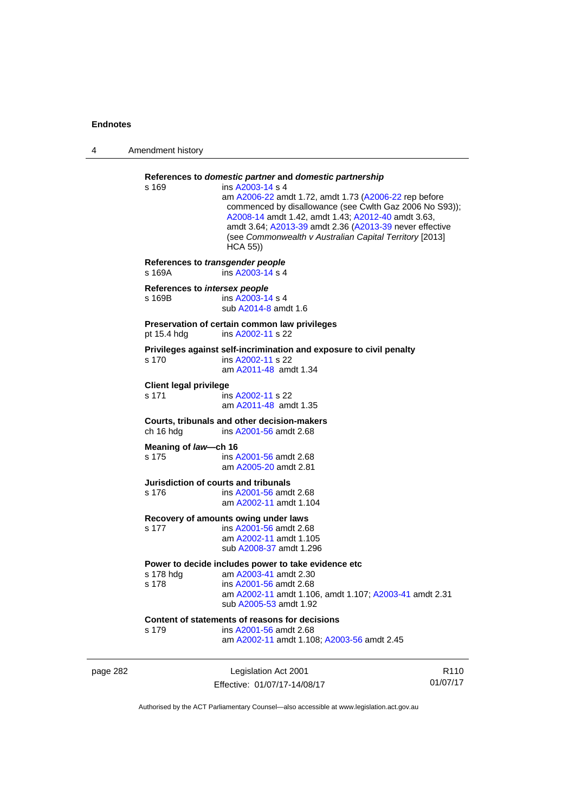| 4        | Amendment history                          |                                                                                                                                                                                                                                                                                                                                                                                        |                  |
|----------|--------------------------------------------|----------------------------------------------------------------------------------------------------------------------------------------------------------------------------------------------------------------------------------------------------------------------------------------------------------------------------------------------------------------------------------------|------------------|
|          | s 169                                      | References to domestic partner and domestic partnership<br>ins A2003-14 s 4<br>am A2006-22 amdt 1.72, amdt 1.73 (A2006-22 rep before<br>commenced by disallowance (see Cwlth Gaz 2006 No S93));<br>A2008-14 amdt 1.42, amdt 1.43; A2012-40 amdt 3.63,<br>amdt 3.64; A2013-39 amdt 2.36 (A2013-39 never effective<br>(see Commonwealth v Australian Capital Territory [2013]<br>HCA 55) |                  |
|          | References to transgender people<br>s 169A | ins A2003-14 s 4                                                                                                                                                                                                                                                                                                                                                                       |                  |
|          | References to intersex people<br>s 169B    | ins A2003-14 s 4<br>sub A2014-8 amdt 1.6                                                                                                                                                                                                                                                                                                                                               |                  |
|          | pt 15.4 hdg                                | Preservation of certain common law privileges<br>ins A2002-11 s 22                                                                                                                                                                                                                                                                                                                     |                  |
|          | s 170                                      | Privileges against self-incrimination and exposure to civil penalty<br>ins A2002-11 s 22<br>am A2011-48 amdt 1.34                                                                                                                                                                                                                                                                      |                  |
|          | <b>Client legal privilege</b><br>s 171     | ins A2002-11 s 22<br>am A2011-48 amdt 1.35                                                                                                                                                                                                                                                                                                                                             |                  |
|          | ch 16 hdg                                  | Courts, tribunals and other decision-makers<br>ins A2001-56 amdt 2.68                                                                                                                                                                                                                                                                                                                  |                  |
|          | Meaning of law-ch 16<br>s 175              | ins A2001-56 amdt 2.68<br>am A2005-20 amdt 2.81                                                                                                                                                                                                                                                                                                                                        |                  |
|          | s 176                                      | Jurisdiction of courts and tribunals<br>ins A2001-56 amdt 2.68<br>am A2002-11 amdt 1.104                                                                                                                                                                                                                                                                                               |                  |
|          | s 177                                      | Recovery of amounts owing under laws<br>ins A2001-56 amdt 2.68<br>am A2002-11 amdt 1.105<br>sub A2008-37 amdt 1.296                                                                                                                                                                                                                                                                    |                  |
|          | s 178 hdg<br>s 178                         | Power to decide includes power to take evidence etc<br>am A2003-41 amdt 2.30<br>ins A2001-56 amdt 2.68<br>am A2002-11 amdt 1.106, amdt 1.107; A2003-41 amdt 2.31<br>sub A2005-53 amdt 1.92                                                                                                                                                                                             |                  |
|          | s 179                                      | Content of statements of reasons for decisions<br>ins A2001-56 amdt 2.68<br>am A2002-11 amdt 1.108; A2003-56 amdt 2.45                                                                                                                                                                                                                                                                 |                  |
| page 282 |                                            | Legislation Act 2001                                                                                                                                                                                                                                                                                                                                                                   | R <sub>110</sub> |

Authorised by the ACT Parliamentary Counsel—also accessible at www.legislation.act.gov.au

01/07/17

Effective: 01/07/17-14/08/17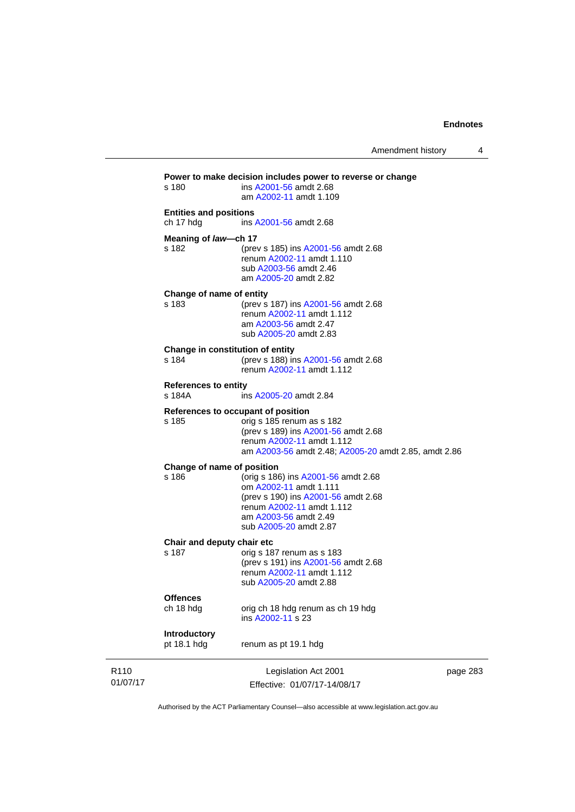| R <sub>110</sub><br>01/07/17 |                                            | Legislation Act 2001<br>Effective: 01/07/17-14/08/17                                                                                                                                        | page 283 |
|------------------------------|--------------------------------------------|---------------------------------------------------------------------------------------------------------------------------------------------------------------------------------------------|----------|
|                              | Introductory<br>pt 18.1 hdg                | renum as pt 19.1 hdg                                                                                                                                                                        |          |
|                              | <b>Offences</b><br>ch 18 hdg               | orig ch 18 hdg renum as ch 19 hdg<br>ins A2002-11 s 23                                                                                                                                      |          |
|                              | Chair and deputy chair etc<br>s 187        | orig s 187 renum as s 183<br>(prev s 191) ins A2001-56 amdt 2.68<br>renum A2002-11 amdt 1.112<br>sub A2005-20 amdt 2.88                                                                     |          |
|                              | Change of name of position<br>s 186        | (orig s 186) ins A2001-56 amdt 2.68<br>om A2002-11 amdt 1.111<br>(prev s 190) ins A2001-56 amdt 2.68<br>renum A2002-11 amdt 1.112<br>am A2003-56 amdt 2.49<br>sub A2005-20 amdt 2.87        |          |
|                              | s 185                                      | References to occupant of position<br>orig s 185 renum as s 182<br>(prev s 189) ins A2001-56 amdt 2.68<br>renum A2002-11 amdt 1.112<br>am A2003-56 amdt 2.48; A2005-20 amdt 2.85, amdt 2.86 |          |
|                              | <b>References to entity</b><br>s 184A      | ins A2005-20 amdt 2.84                                                                                                                                                                      |          |
|                              | Change in constitution of entity<br>s 184  | (prev s 188) ins A2001-56 amdt 2.68<br>renum A2002-11 amdt 1.112                                                                                                                            |          |
|                              | Change of name of entity<br>s 183          | (prev s 187) ins A2001-56 amdt 2.68<br>renum A2002-11 amdt 1.112<br>am A2003-56 amdt 2.47<br>sub A2005-20 amdt 2.83                                                                         |          |
|                              | Meaning of law-ch 17<br>s 182              | (prev s 185) ins A2001-56 amdt 2.68<br>renum A2002-11 amdt 1.110<br>sub A2003-56 amdt 2.46<br>am A2005-20 amdt 2.82                                                                         |          |
|                              | <b>Entities and positions</b><br>ch 17 hdg | ins A2001-56 amdt 2.68                                                                                                                                                                      |          |
|                              | s 180                                      | Power to make decision includes power to reverse or change<br>ins A2001-56 amdt 2.68<br>am A2002-11 amdt 1.109                                                                              |          |
|                              |                                            |                                                                                                                                                                                             |          |

Authorised by the ACT Parliamentary Counsel—also accessible at www.legislation.act.gov.au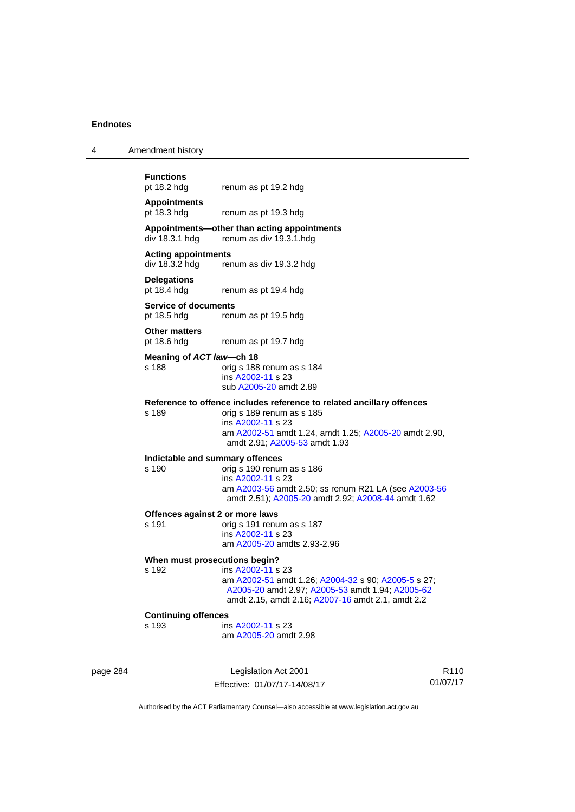4 Amendment history

| <b>Functions</b><br>pt 18.2 hdg            | renum as pt 19.2 hdg                                                                    |
|--------------------------------------------|-----------------------------------------------------------------------------------------|
| <b>Appointments</b><br>pt 18.3 hdg         | renum as pt 19.3 hdg                                                                    |
|                                            | Appointments—other than acting appointments<br>$div$ 18.3.1 hdg renum as div 19.3.1.hdg |
| <b>Acting appointments</b>                 | $div$ 18.3.2 hdg renum as div 19.3.2 hdg                                                |
| <b>Delegations</b><br>pt 18.4 hdg          | renum as pt 19.4 hdg                                                                    |
| <b>Service of documents</b><br>pt 18.5 hdg | renum as pt 19.5 hdg                                                                    |
| <b>Other matters</b><br>pt 18.6 hdg        | renum as pt 19.7 hdg                                                                    |
| Meaning of ACT law-ch 18                   |                                                                                         |

s 188 orig s 188 renum as s 184 ins [A2002-11](http://www.legislation.act.gov.au/a/2002-11) s 23 sub [A2005-20](http://www.legislation.act.gov.au/a/2005-20) amdt 2.89

#### **Reference to offence includes reference to related ancillary offences**

s 189 orig s 189 renum as s 185 ins [A2002-11](http://www.legislation.act.gov.au/a/2002-11) s 23 am [A2002-51](http://www.legislation.act.gov.au/a/2002-51) amdt 1.24, amdt 1.25; [A2005-20](http://www.legislation.act.gov.au/a/2005-20) amdt 2.90, amdt 2.91; [A2005-53](http://www.legislation.act.gov.au/a/2005-53) amdt 1.93

# **Indictable and summary offences**

#### orig s 190 renum as s 186 ins [A2002-11](http://www.legislation.act.gov.au/a/2002-11) s 23 am [A2003-56](http://www.legislation.act.gov.au/a/2003-56) amdt 2.50; ss renum R21 LA (see [A2003-56](http://www.legislation.act.gov.au/a/2003-56) amdt 2.51); [A2005-20](http://www.legislation.act.gov.au/a/2005-20) amdt 2.92; [A2008-44](http://www.legislation.act.gov.au/a/2008-44) amdt 1.62

# **Offences against 2 or more laws**<br>s 191 orig s 191 renu

orig s 191 renum as s 187 ins [A2002-11](http://www.legislation.act.gov.au/a/2002-11) s 23 am [A2005-20](http://www.legislation.act.gov.au/a/2005-20) amdts 2.93-2.96

#### **When must prosecutions begin?**

s 192 ins [A2002-11](http://www.legislation.act.gov.au/a/2002-11) s 23 am [A2002-51](http://www.legislation.act.gov.au/a/2002-51) amdt 1.26; [A2004-32](http://www.legislation.act.gov.au/a/2004-32) s 90; [A2005-5](http://www.legislation.act.gov.au/a/2005-5) s 27; [A2005-20](http://www.legislation.act.gov.au/a/2005-20) amdt 2.97; [A2005-53](http://www.legislation.act.gov.au/a/2005-53) amdt 1.94; [A2005-62](http://www.legislation.act.gov.au/a/2005-62) amdt 2.15, amdt 2.16; [A2007-16](http://www.legislation.act.gov.au/a/2007-16) amdt 2.1, amdt 2.2

### **Continuing offences**

s 193 ins [A2002-11](http://www.legislation.act.gov.au/a/2002-11) s 23 am [A2005-20](http://www.legislation.act.gov.au/a/2005-20) amdt 2.98

page 284 Legislation Act 2001 Effective: 01/07/17-14/08/17

R110 01/07/17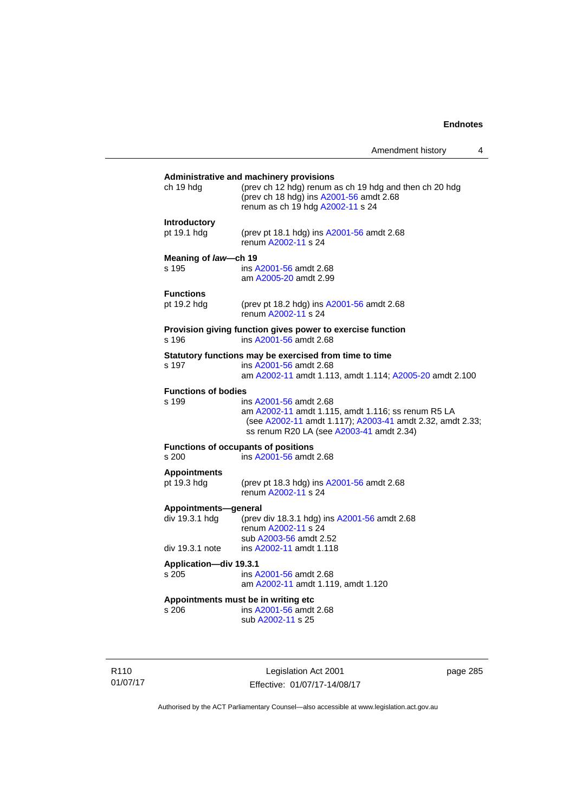## **Administrative and machinery provisions**  ch 19 hdg (prev ch 12 hdg) renum as ch 19 hdg and then ch 20 hdg (prev ch 18 hdg) ins [A2001-56](http://www.legislation.act.gov.au/a/2001-56) amdt 2.68 renum as ch 19 hdg [A2002-11](http://www.legislation.act.gov.au/a/2002-11) s 24 **Introductory**  pt 19.1 hdg (prev pt 18.1 hdg) ins [A2001-56](http://www.legislation.act.gov.au/a/2001-56) amdt 2.68 renum [A2002-11](http://www.legislation.act.gov.au/a/2002-11) s 24 **Meaning of** *law***—ch 19**  s 195 ins [A2001-56](http://www.legislation.act.gov.au/a/2001-56) amdt 2.68 am [A2005-20](http://www.legislation.act.gov.au/a/2005-20) amdt 2.99 **Functions**<br>pt 19.2 hdg (prev pt 18.2 hdg) ins [A2001-56](http://www.legislation.act.gov.au/a/2001-56) amdt 2.68 renum [A2002-11](http://www.legislation.act.gov.au/a/2002-11) s 24 **Provision giving function gives power to exercise function**  s 196 ins [A2001-56](http://www.legislation.act.gov.au/a/2001-56) amdt 2.68 **Statutory functions may be exercised from time to time**<br>s 197 ins A2001-56 amdt 2.68 ins [A2001-56](http://www.legislation.act.gov.au/a/2001-56) amdt 2.68 am [A2002-11](http://www.legislation.act.gov.au/a/2002-11) amdt 1.113, amdt 1.114; [A2005-20](http://www.legislation.act.gov.au/a/2005-20) amdt 2.100 **Functions of bodies**  s 199 ins [A2001-56](http://www.legislation.act.gov.au/a/2001-56) amdt 2.68 am [A2002-11](http://www.legislation.act.gov.au/a/2002-11) amdt 1.115, amdt 1.116; ss renum R5 LA (see [A2002-11](http://www.legislation.act.gov.au/a/2002-11) amdt 1.117); [A2003-41](http://www.legislation.act.gov.au/a/2003-41) amdt 2.32, amdt 2.33; ss renum R20 LA (see [A2003-41](http://www.legislation.act.gov.au/a/2003-41) amdt 2.34) **Functions of occupants of positions**  s 200 ins [A2001-56](http://www.legislation.act.gov.au/a/2001-56) amdt 2.68 **Appointments**  (prev pt 18.3 hdg) ins [A2001-56](http://www.legislation.act.gov.au/a/2001-56) amdt 2.68 renum [A2002-11](http://www.legislation.act.gov.au/a/2002-11) s 24 **Appointments—general**  div 19.3.1 hdg (prev div 18.3.1 hdg) ins [A2001-56](http://www.legislation.act.gov.au/a/2001-56) amdt 2.68 renum [A2002-11](http://www.legislation.act.gov.au/a/2002-11) s 24 sub [A2003-56](http://www.legislation.act.gov.au/a/2003-56) amdt 2.52 div 19.3.1 note ins [A2002-11](http://www.legislation.act.gov.au/a/2002-11) amdt 1.118 **Application—div 19.3.1**  s 205 ins [A2001-56](http://www.legislation.act.gov.au/a/2001-56) amdt 2.68 am [A2002-11](http://www.legislation.act.gov.au/a/2002-11) amdt 1.119, amdt 1.120 **Appointments must be in writing etc**  s 206 ins [A2001-56](http://www.legislation.act.gov.au/a/2001-56) amdt 2.68 sub [A2002-11](http://www.legislation.act.gov.au/a/2002-11) s 25

R110 01/07/17

Legislation Act 2001 Effective: 01/07/17-14/08/17 page 285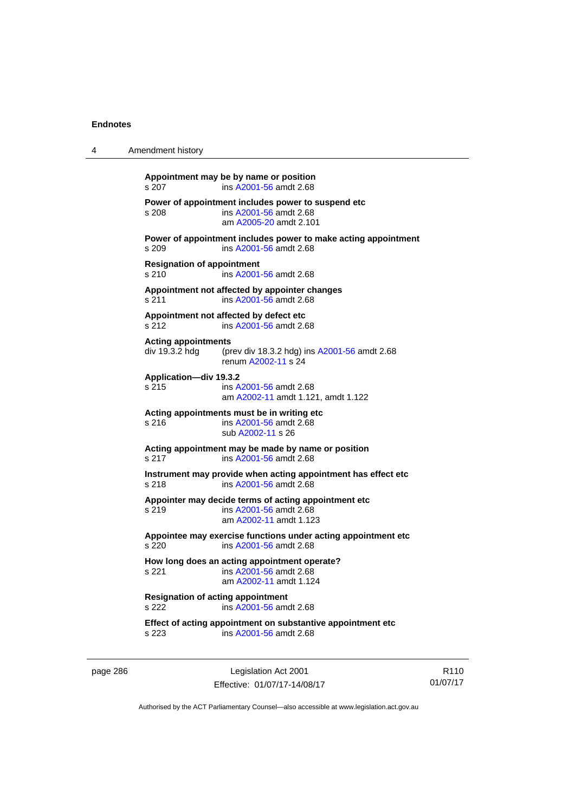| 4 | Amendment history                                                                                                   |
|---|---------------------------------------------------------------------------------------------------------------------|
|   | Appointment may be by name or position<br>ins A2001-56 amdt 2.68<br>s 207                                           |
|   | Power of appointment includes power to suspend etc<br>ins A2001-56 amdt 2.68<br>s 208<br>am A2005-20 amdt 2.101     |
|   | Power of appointment includes power to make acting appointment<br>s 209<br>ins A2001-56 amdt 2.68                   |
|   | <b>Resignation of appointment</b><br>s 210<br>ins A2001-56 amdt 2.68                                                |
|   | Appointment not affected by appointer changes<br>s 211<br>ins A2001-56 amdt 2.68                                    |
|   | Appointment not affected by defect etc<br>ins A2001-56 amdt 2.68<br>s 212                                           |
|   | <b>Acting appointments</b><br>div 19.3.2 hdg<br>(prev div 18.3.2 hdg) ins A2001-56 amdt 2.68<br>renum A2002-11 s 24 |
|   | Application-div 19.3.2<br>s 215<br>ins A2001-56 amdt 2.68<br>am A2002-11 amdt 1.121, amdt 1.122                     |
|   | Acting appointments must be in writing etc<br>ins A2001-56 amdt 2.68<br>s 216<br>sub A2002-11 s 26                  |
|   | Acting appointment may be made by name or position<br>s 217<br>ins A2001-56 amdt 2.68                               |
|   | Instrument may provide when acting appointment has effect etc<br>s 218<br>ins A2001-56 amdt 2.68                    |
|   | Appointer may decide terms of acting appointment etc<br>s 219<br>ins A2001-56 amdt 2.68<br>am A2002-11 amdt 1.123   |
|   | Appointee may exercise functions under acting appointment etc<br>s <sub>220</sub><br>ins A2001-56 amdt 2.68         |
|   | How long does an acting appointment operate?<br>s 221<br>ins A2001-56 amdt 2.68<br>am A2002-11 amdt 1.124           |
|   | <b>Resignation of acting appointment</b><br>ins A2001-56 amdt 2.68<br>s 222                                         |
|   | Effect of acting appointment on substantive appointment etc<br>ins A2001-56 amdt 2.68<br>s 223                      |
|   |                                                                                                                     |

page 286 Legislation Act 2001 Effective: 01/07/17-14/08/17

R110 01/07/17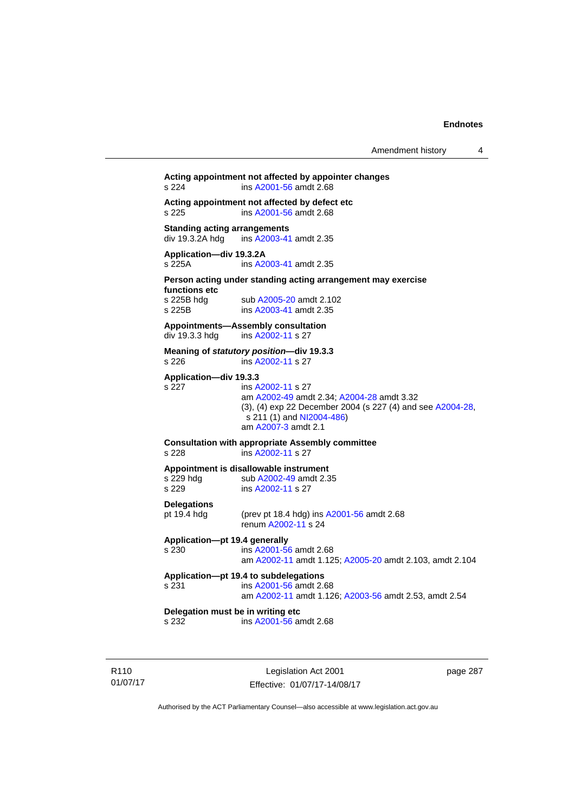## **Acting appointment not affected by appointer changes**  s 224 ins [A2001-56](http://www.legislation.act.gov.au/a/2001-56) amdt 2.68 **Acting appointment not affected by defect etc**  s 225 ins [A2001-56](http://www.legislation.act.gov.au/a/2001-56) amdt 2.68 **Standing acting arrangements**<br>div 19.3.2A hdg ins A2003-41 ins [A2003-41](http://www.legislation.act.gov.au/a/2003-41) amdt 2.35 **Application—div 19.3.2A**  s 225A ins [A2003-41](http://www.legislation.act.gov.au/a/2003-41) amdt 2.35 **Person acting under standing acting arrangement may exercise functions etc**  s 225B hdg sub [A2005-20](http://www.legislation.act.gov.au/a/2005-20) amdt 2.102<br>s 225B ins A2003-41 amdt 2.35 ins [A2003-41](http://www.legislation.act.gov.au/a/2003-41) amdt 2.35 **Appointments—Assembly consultation**  div 19.3.3 hdg ins [A2002-11](http://www.legislation.act.gov.au/a/2002-11) s 27 **Meaning of** *statutory position***—div 19.3.3**  s 226 ins [A2002-11](http://www.legislation.act.gov.au/a/2002-11) s 27 **Application—div 19.3.3**  s 227 ins [A2002-11](http://www.legislation.act.gov.au/a/2002-11) s 27 am [A2002-49](http://www.legislation.act.gov.au/a/2002-49) amdt 2.34; [A2004-28](http://www.legislation.act.gov.au/a/2004-28) amdt 3.32 (3), (4) exp 22 December 2004 (s 227 (4) and see [A2004-28](http://www.legislation.act.gov.au/a/2004-28),  $s$  211 (1) and [NI2004-486\)](http://www.legislation.act.gov.au/ni/2004-486/default.asp) am [A2007-3](http://www.legislation.act.gov.au/a/2007-3) amdt 2.1 **Consultation with appropriate Assembly committee**  s 228 ins [A2002-11](http://www.legislation.act.gov.au/a/2002-11) s 27 **Appointment is disallowable instrument**  s 229 hdg sub [A2002-49](http://www.legislation.act.gov.au/a/2002-49) amdt 2.35 s 229 ins [A2002-11](http://www.legislation.act.gov.au/a/2002-11) s 27 **Delegations**  pt 19.4 hdg (prev pt 18.4 hdg) ins [A2001-56](http://www.legislation.act.gov.au/a/2001-56) amdt 2.68 renum [A2002-11](http://www.legislation.act.gov.au/a/2002-11) s 24 **Application—pt 19.4 generally**  s 230 ins [A2001-56](http://www.legislation.act.gov.au/a/2001-56) amdt 2.68 am [A2002-11](http://www.legislation.act.gov.au/a/2002-11) amdt 1.125; [A2005-20](http://www.legislation.act.gov.au/a/2005-20) amdt 2.103, amdt 2.104 **Application—pt 19.4 to subdelegations**  s 231 ins [A2001-56](http://www.legislation.act.gov.au/a/2001-56) amdt 2.68 am [A2002-11](http://www.legislation.act.gov.au/a/2002-11) amdt 1.126; [A2003-56](http://www.legislation.act.gov.au/a/2003-56) amdt 2.53, amdt 2.54 **Delegation must be in writing etc**  s 232 ins [A2001-56](http://www.legislation.act.gov.au/a/2001-56) amdt 2.68

R110 01/07/17

Legislation Act 2001 Effective: 01/07/17-14/08/17 page 287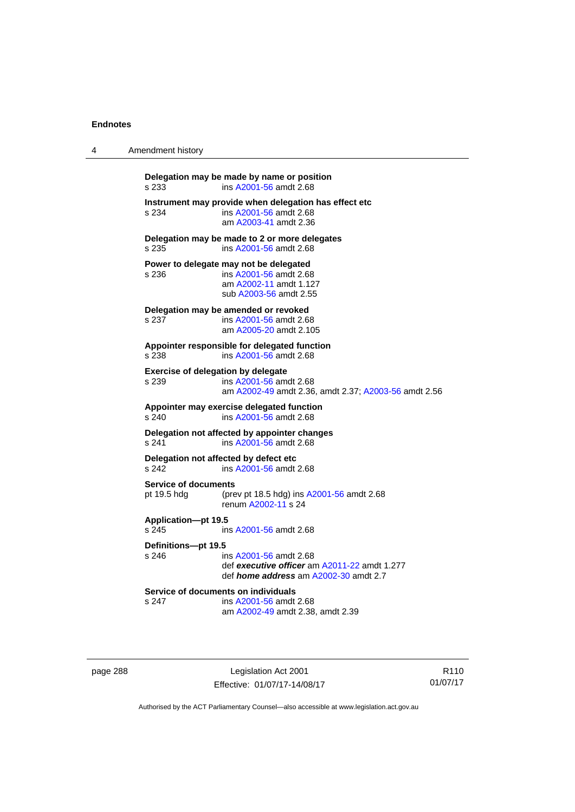| 4 | Amendment history                                      |                                                                                                                        |  |
|---|--------------------------------------------------------|------------------------------------------------------------------------------------------------------------------------|--|
|   | Delegation may be made by name or position<br>s 233    | ins A2001-56 amdt 2.68                                                                                                 |  |
|   | s 234                                                  | Instrument may provide when delegation has effect etc<br>ins A2001-56 amdt 2.68<br>am A2003-41 amdt 2.36               |  |
|   | Delegation may be made to 2 or more delegates<br>s 235 | ins A2001-56 amdt 2.68                                                                                                 |  |
|   | Power to delegate may not be delegated<br>s 236        | ins A2001-56 amdt 2.68<br>am A2002-11 amdt 1.127<br>sub A2003-56 amdt 2.55                                             |  |
|   | Delegation may be amended or revoked<br>s 237          | ins A2001-56 amdt 2.68<br>am A2005-20 amdt 2.105                                                                       |  |
|   | Appointer responsible for delegated function<br>s 238  | ins A2001-56 amdt 2.68                                                                                                 |  |
|   | <b>Exercise of delegation by delegate</b><br>s 239     | ins A2001-56 amdt 2.68<br>am A2002-49 amdt 2.36, amdt 2.37; A2003-56 amdt 2.56                                         |  |
|   | Appointer may exercise delegated function<br>s 240     | ins A2001-56 amdt 2.68                                                                                                 |  |
|   | Delegation not affected by appointer changes<br>s 241  | ins A2001-56 amdt 2.68                                                                                                 |  |
|   | Delegation not affected by defect etc<br>s 242         | ins A2001-56 amdt 2.68                                                                                                 |  |
|   | <b>Service of documents</b><br>pt 19.5 hdg             | (prev pt 18.5 hdg) ins A2001-56 amdt 2.68<br>renum A2002-11 s 24                                                       |  |
|   | Application-pt 19.5<br>s 245                           | ins A2001-56 amdt 2.68                                                                                                 |  |
|   | Definitions-pt 19.5<br>s 246                           | ins A2001-56 amdt 2.68<br>def executive officer am A2011-22 amdt 1.277<br>def <i>home address</i> am A2002-30 amdt 2.7 |  |
|   | Service of documents on individuals<br>s 247           | ins A2001-56 amdt 2.68<br>am A2002-49 amdt 2.38, amdt 2.39                                                             |  |

page 288 Legislation Act 2001 Effective: 01/07/17-14/08/17

R110 01/07/17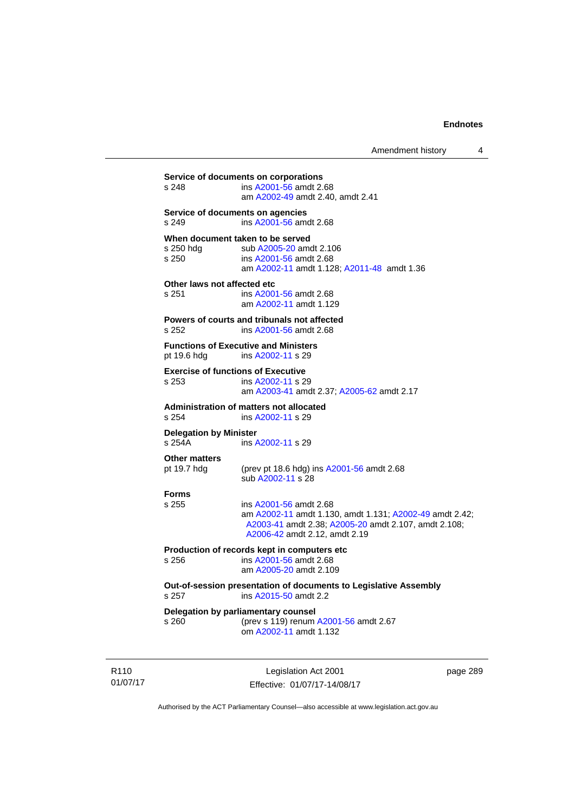| s 248                                   | Service of documents on corporations<br>ins A2001-56 amdt 2.68<br>am A2002-49 amdt 2.40, amdt 2.41                                                                         |
|-----------------------------------------|----------------------------------------------------------------------------------------------------------------------------------------------------------------------------|
| s 249                                   | Service of documents on agencies<br>ins A2001-56 amdt 2.68                                                                                                                 |
| s 250 hdg<br>s 250                      | When document taken to be served<br>sub A2005-20 amdt 2.106<br>ins A2001-56 amdt 2.68<br>am A2002-11 amdt 1.128; A2011-48 amdt 1.36                                        |
| Other laws not affected etc<br>s 251    | ins A2001-56 amdt 2.68<br>am A2002-11 amdt 1.129                                                                                                                           |
| $s$ 252                                 | Powers of courts and tribunals not affected<br>ins A2001-56 amdt 2.68                                                                                                      |
| pt 19.6 hdg                             | <b>Functions of Executive and Ministers</b><br>ins A2002-11 s 29                                                                                                           |
| s 253                                   | <b>Exercise of functions of Executive</b><br>ins A2002-11 s 29<br>am A2003-41 amdt 2.37; A2005-62 amdt 2.17                                                                |
| s 254                                   | Administration of matters not allocated<br>ins A2002-11 s 29                                                                                                               |
| <b>Delegation by Minister</b><br>s 254A | ins A2002-11 s 29                                                                                                                                                          |
| <b>Other matters</b><br>pt 19.7 hdg     | (prev pt 18.6 hdg) ins A2001-56 amdt 2.68<br>sub A2002-11 s 28                                                                                                             |
| <b>Forms</b><br>s 255                   | ins A2001-56 amdt 2.68<br>am A2002-11 amdt 1.130, amdt 1.131; A2002-49 amdt 2.42;<br>A2003-41 amdt 2.38; A2005-20 amdt 2.107, amdt 2.108;<br>A2006-42 amdt 2.12, amdt 2.19 |
| s 256                                   | Production of records kept in computers etc<br>ins A2001-56 amdt 2.68<br>am A2005-20 amdt 2.109                                                                            |
| s 257                                   | Out-of-session presentation of documents to Legislative Assembly<br>ins A2015-50 amdt 2.2                                                                                  |
| s 260                                   | Delegation by parliamentary counsel<br>(prev s 119) renum A2001-56 amdt 2.67                                                                                               |

R110 01/07/17

Legislation Act 2001 Effective: 01/07/17-14/08/17 page 289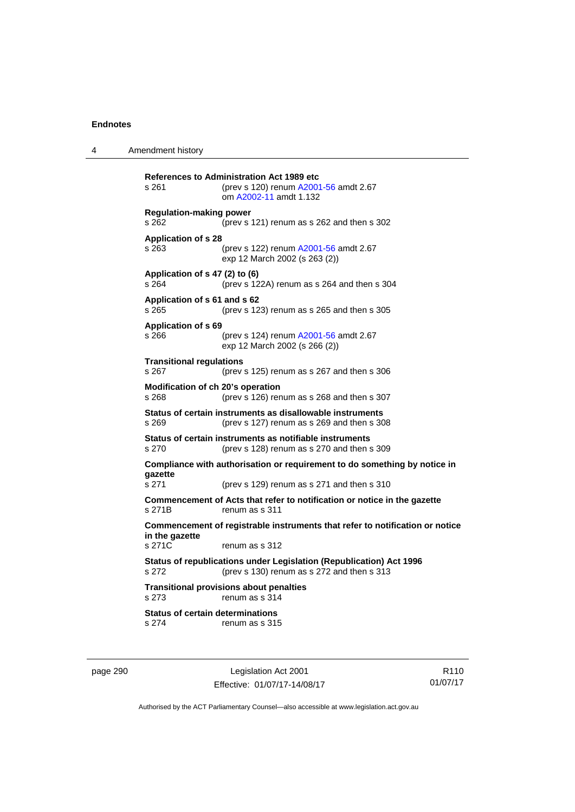4 Amendment history

**References to Administration Act 1989 etc**  s 261 (prev s 120) renum [A2001-56](http://www.legislation.act.gov.au/a/2001-56) amdt 2.67 om [A2002-11](http://www.legislation.act.gov.au/a/2002-11) amdt 1.132 **Regulation-making power**  s 262 (prev s 121) renum as s 262 and then s 302 **Application of s 28**  s 263 (prev s 122) renum [A2001-56](http://www.legislation.act.gov.au/a/2001-56) amdt 2.67 exp 12 March 2002 (s 263 (2)) **Application of s 47 (2) to (6)**  s 264 (prev s 122A) renum as s 264 and then s 304 **Application of s 61 and s 62**  s 265 (prev s 123) renum as s 265 and then s 305 **Application of s 69**  s 266 (prev s 124) renum [A2001-56](http://www.legislation.act.gov.au/a/2001-56) amdt 2.67 exp 12 March 2002 (s 266 (2)) **Transitional regulations**  s 267 (prev s 125) renum as s 267 and then s 306 **Modification of ch 20's operation**  s 268 (prev s 126) renum as s 268 and then s 307 **Status of certain instruments as disallowable instruments**  s 269 (prev s 127) renum as s 269 and then s 308 **Status of certain instruments as notifiable instruments**  s 270 (prev s 128) renum as s 270 and then s 309 **Compliance with authorisation or requirement to do something by notice in gazette**  s 271 (prev s 129) renum as s 271 and then s 310 **Commencement of Acts that refer to notification or notice in the gazette**  s 271B renum as s 311 **Commencement of registrable instruments that refer to notification or notice in the gazette**  renum as s 312 **Status of republications under Legislation (Republication) Act 1996**  s 272 (prev s 130) renum as s 272 and then s 313 **Transitional provisions about penalties** s 273 renum as s 314 **Status of certain determinations**  s 274 renum as s 315

page 290 Legislation Act 2001 Effective: 01/07/17-14/08/17

R110 01/07/17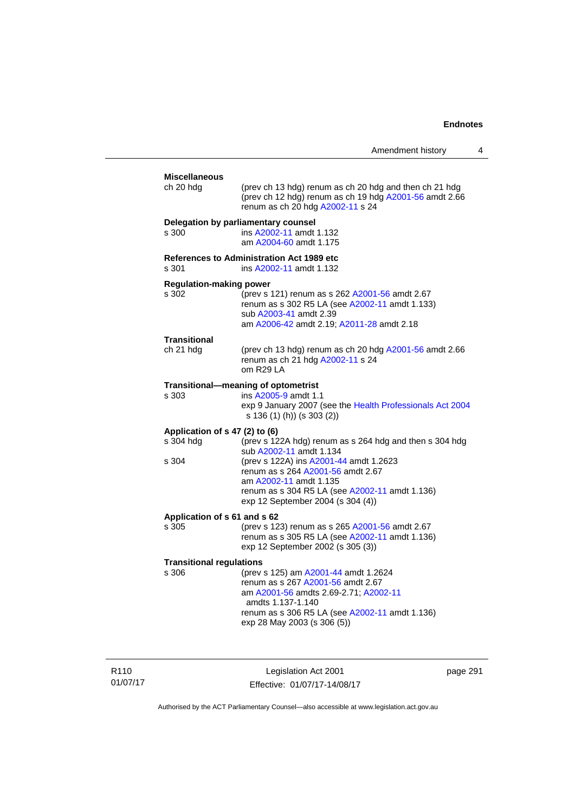| Amendment history |  |
|-------------------|--|
|-------------------|--|

| <b>Miscellaneous</b><br>ch 20 hdg                    | (prev ch 13 hdg) renum as ch 20 hdg and then ch 21 hdg<br>(prev ch 12 hdg) renum as ch 19 hdg A2001-56 amdt 2.66<br>renum as ch 20 hdg A2002-11 s 24                                                                                                                               |
|------------------------------------------------------|------------------------------------------------------------------------------------------------------------------------------------------------------------------------------------------------------------------------------------------------------------------------------------|
| s 300                                                | Delegation by parliamentary counsel<br>ins A2002-11 amdt 1.132<br>am A2004-60 amdt 1.175                                                                                                                                                                                           |
| s 301                                                | <b>References to Administration Act 1989 etc</b><br>ins A2002-11 amdt 1.132                                                                                                                                                                                                        |
| <b>Regulation-making power</b><br>s 302              | (prev s 121) renum as s 262 A2001-56 amdt 2.67<br>renum as s 302 R5 LA (see A2002-11 amdt 1.133)<br>sub A2003-41 amdt 2.39<br>am A2006-42 amdt 2.19; A2011-28 amdt 2.18                                                                                                            |
| Transitional<br>ch 21 hdg                            | (prev ch 13 hdg) renum as ch 20 hdg A2001-56 amdt 2.66<br>renum as ch 21 hdg A2002-11 s 24<br>om R29 LA                                                                                                                                                                            |
| s 303                                                | Transitional-meaning of optometrist<br>ins A2005-9 amdt 1.1<br>exp 9 January 2007 (see the Health Professionals Act 2004<br>s 136 (1) (h)) (s 303 (2))                                                                                                                             |
| Application of s 47 (2) to (6)<br>s 304 hdg<br>s 304 | (prev s 122A hdg) renum as s 264 hdg and then s 304 hdg<br>sub A2002-11 amdt 1.134<br>(prev s 122A) ins A2001-44 amdt 1.2623<br>renum as s 264 A2001-56 amdt 2.67<br>am A2002-11 amdt 1.135<br>renum as s 304 R5 LA (see A2002-11 amdt 1.136)<br>exp 12 September 2004 (s 304 (4)) |
| Application of s 61 and s 62<br>s 305                | (prev s 123) renum as s 265 A2001-56 amdt 2.67<br>renum as s 305 R5 LA (see A2002-11 amdt 1.136)<br>exp 12 September 2002 (s 305 (3))                                                                                                                                              |
| <b>Transitional regulations</b><br>s 306             | (prev s 125) am A2001-44 amdt 1.2624<br>renum as s 267 A2001-56 amdt 2.67<br>am A2001-56 amdts 2.69-2.71; A2002-11<br>amdts 1.137-1.140<br>renum as s 306 R5 LA (see A2002-11 amdt 1.136)<br>exp 28 May 2003 (s 306 (5))                                                           |

R110 01/07/17

Legislation Act 2001 Effective: 01/07/17-14/08/17 page 291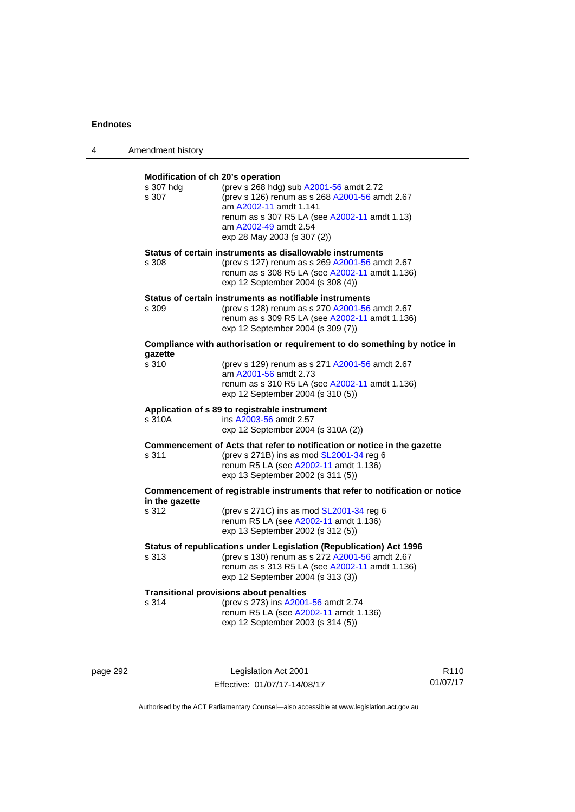| 4 | Amendment history                                       |                                                                                                                                                                                                                              |
|---|---------------------------------------------------------|------------------------------------------------------------------------------------------------------------------------------------------------------------------------------------------------------------------------------|
|   | Modification of ch 20's operation<br>s 307 hdg<br>s 307 | (prev s 268 hdg) sub A2001-56 amdt 2.72<br>(prev s 126) renum as s 268 A2001-56 amdt 2.67<br>am A2002-11 amdt 1.141<br>renum as s 307 R5 LA (see A2002-11 amdt 1.13)<br>am A2002-49 amdt 2.54<br>exp 28 May 2003 (s 307 (2)) |
|   | s 308                                                   | Status of certain instruments as disallowable instruments<br>(prev s 127) renum as s 269 A2001-56 amdt 2.67<br>renum as s 308 R5 LA (see A2002-11 amdt 1.136)<br>exp 12 September 2004 (s 308 (4))                           |
|   | s 309                                                   | Status of certain instruments as notifiable instruments<br>(prev s 128) renum as s 270 A2001-56 amdt 2.67<br>renum as s 309 R5 LA (see A2002-11 amdt 1.136)<br>exp 12 September 2004 (s 309 (7))                             |
|   |                                                         | Compliance with authorisation or requirement to do something by notice in                                                                                                                                                    |
|   | gazette<br>s 310                                        | (prev s 129) renum as s 271 A2001-56 amdt 2.67<br>am A2001-56 amdt 2.73<br>renum as s 310 R5 LA (see A2002-11 amdt 1.136)<br>exp 12 September 2004 (s 310 (5))                                                               |
|   | s 310A                                                  | Application of s 89 to registrable instrument<br>ins A2003-56 amdt 2.57<br>exp 12 September 2004 (s 310A (2))                                                                                                                |
|   | s 311                                                   | Commencement of Acts that refer to notification or notice in the gazette<br>(prev s 271B) ins as mod SL2001-34 reg 6<br>renum R5 LA (see A2002-11 amdt 1.136)<br>exp 13 September 2002 (s 311 (5))                           |
|   | in the gazette                                          | Commencement of registrable instruments that refer to notification or notice                                                                                                                                                 |
|   | s 312                                                   | (prev s 271C) ins as mod SL2001-34 reg 6<br>renum R5 LA (see A2002-11 amdt 1.136)<br>exp 13 September 2002 (s 312 (5))                                                                                                       |
|   | s 313                                                   | Status of republications under Legislation (Republication) Act 1996<br>(prev s 130) renum as s 272 A2001-56 amdt 2.67<br>renum as s 313 R5 LA (see A2002-11 amdt 1.136)<br>exp 12 September 2004 (s 313 (3))                 |
|   | s 314                                                   | <b>Transitional provisions about penalties</b><br>(prev s 273) ins A2001-56 amdt 2.74<br>renum R5 LA (see A2002-11 amdt 1.136)<br>exp 12 September 2003 (s 314 (5))                                                          |

page 292 **Legislation Act 2001** Effective: 01/07/17-14/08/17

R110 01/07/17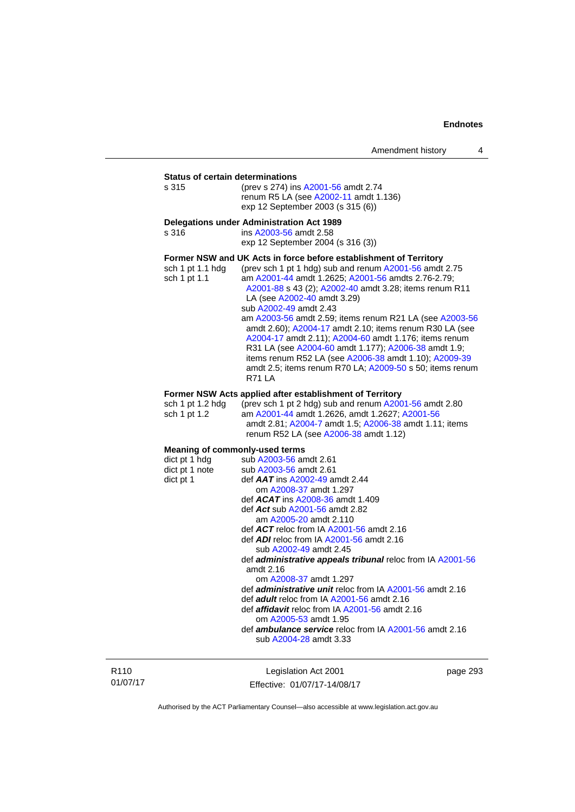#### **Status of certain determinations**

| s 315 | (prev s 274) ins A2001-56 amdt 2.74   |
|-------|---------------------------------------|
|       | renum R5 LA (see A2002-11 amdt 1.136) |
|       | exp 12 September 2003 (s 315 (6))     |

#### **Delegations under Administration Act 1989**

|                                                                   | Delegations under Administration ACt 1969              |  |  |
|-------------------------------------------------------------------|--------------------------------------------------------|--|--|
| s 316                                                             | ins A2003-56 amdt 2.58                                 |  |  |
|                                                                   | exp 12 September 2004 (s 316 (3))                      |  |  |
| Former NSW and UK Acts in force before establishment of Territory |                                                        |  |  |
| sch 1 pt 1.1 hdg                                                  | (prev sch 1 pt 1 hdg) sub and renum A2001-56 amdt 2.75 |  |  |
| sch 1 pt 1.1                                                      | am A2001-44 amdt 1.2625: A2001-56 amdts 2.76-2.79:     |  |  |
|                                                                   |                                                        |  |  |

[A2001-88](http://www.legislation.act.gov.au/a/2001-88) s 43 (2); [A2002-40](http://www.legislation.act.gov.au/a/2002-40) amdt 3.28; items renum R11 LA (see [A2002-40](http://www.legislation.act.gov.au/a/2002-40) amdt 3.29) sub [A2002-49](http://www.legislation.act.gov.au/a/2002-49) amdt 2.43 am [A2003-56](http://www.legislation.act.gov.au/a/2003-56) amdt 2.59; items renum R21 LA (see [A2003-56](http://www.legislation.act.gov.au/a/2003-56) amdt 2.60); [A2004-17](http://www.legislation.act.gov.au/a/2004-17) amdt 2.10; items renum R30 LA (see [A2004-17](http://www.legislation.act.gov.au/a/2004-17) amdt 2.11); [A2004-60](http://www.legislation.act.gov.au/a/2004-60) amdt 1.176; items renum R31 LA (see [A2004-60](http://www.legislation.act.gov.au/a/2004-60) amdt 1.177); [A2006-38](http://www.legislation.act.gov.au/a/2006-38) amdt 1.9; items renum R52 LA (see [A2006-38](http://www.legislation.act.gov.au/a/2006-38) amdt 1.10); [A2009-39](http://www.legislation.act.gov.au/a/2009-39) amdt 2.5; items renum R70 LA; [A2009-50](http://www.legislation.act.gov.au/a/2009-50) s 50; items renum R71 LA

#### **Former NSW Acts applied after establishment of Territory**

| sch 1 pt 1.2 hda | (prev sch 1 pt 2 hdg) sub and renum $A2001-56$ amdt 2.80 |
|------------------|----------------------------------------------------------|
| sch 1 pt 1.2     | am A2001-44 amdt 1.2626. amdt 1.2627: A2001-56           |
|                  | amdt 2.81; A2004-7 amdt 1.5; A2006-38 amdt 1.11; items   |
|                  | renum R52 LA (see A2006-38 amdt 1.12)                    |

#### **Meaning of commonly-used terms**

| dict pt 1 hdg  | sub A2003-56 amdt 2.61                                            |
|----------------|-------------------------------------------------------------------|
| dict pt 1 note | sub A2003-56 amdt 2.61                                            |
| dict pt 1      | def $AAT$ ins $A2002-49$ amdt 2.44                                |
|                | om A2008-37 amdt 1.297                                            |
|                | def $ACAT$ ins $A2008-36$ amdt 1.409                              |
|                | def Act sub A2001-56 amdt 2.82                                    |
|                | am A2005-20 amdt 2.110                                            |
|                | def $ACT$ reloc from IA $A2001-56$ amdt 2.16                      |
|                | def $ADI$ reloc from IA $A2001-56$ amdt 2.16                      |
|                | sub A2002-49 amdt 2.45                                            |
|                | def <b>administrative appeals tribunal</b> reloc from IA A2001-56 |
|                | amdt $2.16$                                                       |
|                | om A2008-37 amdt 1.297                                            |
|                | def <i>administrative unit</i> reloc from IA A2001-56 amdt 2.16   |
|                | def <b>adult</b> reloc from IA A2001-56 amdt 2.16                 |
|                | def <i>affidavit</i> reloc from IA A2001-56 amdt 2.16             |
|                | om A2005-53 amdt 1.95                                             |
|                | def <b>ambulance service</b> reloc from IA A2001-56 amdt 2.16     |
|                | sub A2004-28 amdt 3.33                                            |
|                |                                                                   |

R110 01/07/17

Legislation Act 2001 Effective: 01/07/17-14/08/17 page 293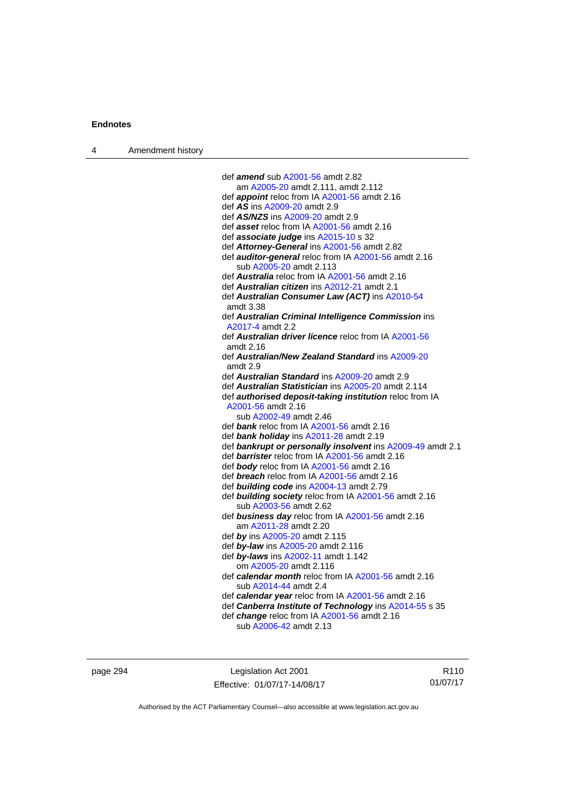| Amendment history<br>$\overline{4}$ |  |
|-------------------------------------|--|
|-------------------------------------|--|

| def <b>amend</b> sub A2001-56 amdt 2.82                      |
|--------------------------------------------------------------|
| am A2005-20 amdt 2.111, amdt 2.112                           |
| def appoint reloc from IA A2001-56 amdt 2.16                 |
| def AS ins A2009-20 amdt 2.9                                 |
| def AS/NZS ins A2009-20 amdt 2.9                             |
| def asset reloc from IA A2001-56 amdt 2.16                   |
| def associate judge ins A2015-10 s 32                        |
| def Attorney-General ins A2001-56 amdt 2.82                  |
| def auditor-general reloc from IA A2001-56 amdt 2.16         |
| sub A2005-20 amdt 2.113                                      |
| def Australia reloc from IA A2001-56 amdt 2.16               |
| def Australian citizen ins A2012-21 amdt 2.1                 |
| def Australian Consumer Law (ACT) ins A2010-54               |
| amdt 3.38                                                    |
| def Australian Criminal Intelligence Commission ins          |
| A2017-4 amdt 2.2                                             |
| def <b>Australian driver licence</b> reloc from IA A2001-56  |
| amdt 2.16                                                    |
| def Australian/New Zealand Standard ins A2009-20             |
| amdt 2.9                                                     |
| def Australian Standard ins A2009-20 amdt 2.9                |
| def Australian Statistician ins A2005-20 amdt 2.114          |
| def authorised deposit-taking institution reloc from IA      |
| A2001-56 amdt 2.16                                           |
| sub A2002-49 amdt 2.46                                       |
| def bank reloc from IA A2001-56 amdt 2.16                    |
| def bank holiday ins A2011-28 amdt 2.19                      |
| def bankrupt or personally insolvent ins A2009-49 amdt 2.1   |
| def barrister reloc from IA A2001-56 amdt 2.16               |
| def body reloc from IA A2001-56 amdt 2.16                    |
| def breach reloc from IA A2001-56 amdt 2.16                  |
| def <b>building code</b> ins A2004-13 amdt 2.79              |
| def <b>building society</b> reloc from IA A2001-56 amdt 2.16 |
| sub A2003-56 amdt 2.62                                       |
| def business day reloc from IA A2001-56 amdt 2.16            |
| am A2011-28 amdt 2.20                                        |
| def by ins A2005-20 amdt 2.115                               |
| def by-law ins A2005-20 amdt 2.116                           |
| def by-laws ins A2002-11 amdt 1.142                          |
| om A2005-20 amdt 2.116                                       |
| def calendar month reloc from IA A2001-56 amdt 2.16          |
| sub A2014-44 amdt 2.4                                        |
| def calendar year reloc from IA A2001-56 amdt 2.16           |
| def Canberra Institute of Technology ins A2014-55 s 35       |
| def change reloc from IA A2001-56 amdt 2.16                  |
| sub A2006-42 amdt 2.13                                       |
|                                                              |

page 294 **Legislation Act 2001** Effective: 01/07/17-14/08/17

R110 01/07/17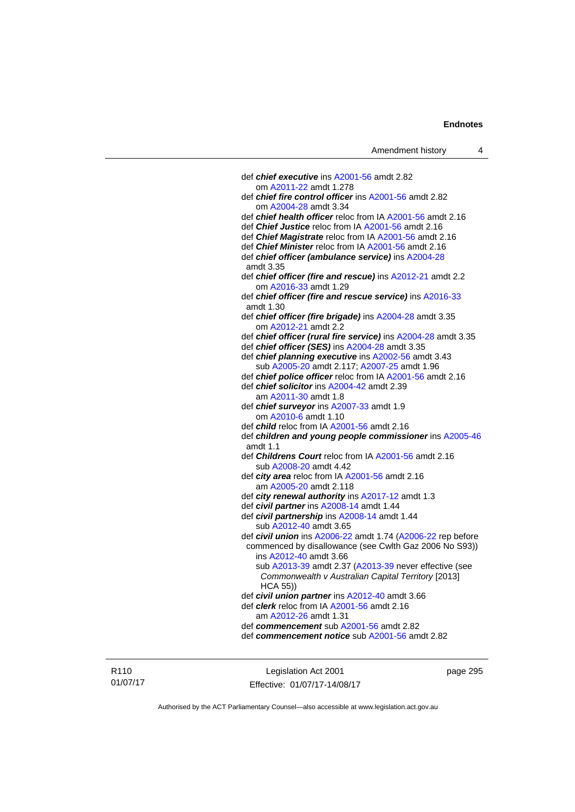| Amendment history                                                          | 4 |
|----------------------------------------------------------------------------|---|
|                                                                            |   |
| def chief executive ins A2001-56 amdt 2.82                                 |   |
| om A2011-22 amdt 1.278                                                     |   |
| def <i>chief fire control officer</i> ins A2001-56 amdt 2.82               |   |
| om A2004-28 amdt 3.34                                                      |   |
| def chief health officer reloc from IA A2001-56 amdt 2.16                  |   |
| def Chief Justice reloc from IA A2001-56 amdt 2.16                         |   |
| def Chief Magistrate reloc from IA A2001-56 amdt 2.16                      |   |
| def Chief Minister reloc from IA A2001-56 amdt 2.16                        |   |
| def chief officer (ambulance service) ins A2004-28<br>amdt 3.35            |   |
| def chief officer (fire and rescue) ins A2012-21 amdt 2.2                  |   |
| om A2016-33 amdt 1.29                                                      |   |
| def chief officer (fire and rescue service) ins A2016-33                   |   |
| amdt 1.30                                                                  |   |
| def chief officer (fire brigade) ins A2004-28 amdt 3.35                    |   |
| om A2012-21 amdt 2.2                                                       |   |
| def chief officer (rural fire service) ins A2004-28 amdt 3.35              |   |
| def chief officer (SES) ins A2004-28 amdt 3.35                             |   |
| def chief planning executive ins A2002-56 amdt 3.43                        |   |
| sub A2005-20 amdt 2.117; A2007-25 amdt 1.96                                |   |
| def chief police officer reloc from IA A2001-56 amdt 2.16                  |   |
| def <i>chief solicitor</i> ins A2004-42 amdt 2.39                          |   |
| am A2011-30 amdt 1.8                                                       |   |
| def chief surveyor ins A2007-33 amdt 1.9                                   |   |
| om A2010-6 amdt 1.10                                                       |   |
| def <i>child</i> reloc from IA A2001-56 amdt 2.16                          |   |
| def children and young people commissioner ins A2005-46<br>amdt $1.1$      |   |
| def Childrens Court reloc from IA A2001-56 amdt 2.16                       |   |
| sub A2008-20 amdt 4.42                                                     |   |
| def city area reloc from IA A2001-56 amdt 2.16                             |   |
| am A2005-20 amdt 2.118                                                     |   |
| def city renewal authority ins A2017-12 amdt 1.3                           |   |
| def civil partner ins A2008-14 amdt 1.44                                   |   |
| def civil partnership ins A2008-14 amdt 1.44                               |   |
| sub A2012-40 amdt 3.65                                                     |   |
| def civil union ins A2006-22 amdt 1.74 (A2006-22 rep before                |   |
| commenced by disallowance (see Cwlth Gaz 2006 No S93))                     |   |
| ins A2012-40 amdt 3.66                                                     |   |
| sub A2013-39 amdt 2.37 (A2013-39 never effective (see                      |   |
| Commonwealth v Australian Capital Territory [2013]                         |   |
| HCA 55)                                                                    |   |
| def civil union partner ins A2012-40 amdt 3.66                             |   |
| def <i>clerk</i> reloc from IA A2001-56 amdt 2.16<br>am A2012-26 amdt 1.31 |   |
|                                                                            |   |

def *commencement* sub [A2001-56](http://www.legislation.act.gov.au/a/2001-56) amdt 2.82

R110 01/07/17

Legislation Act 2001 Effective: 01/07/17-14/08/17 page 295

def *commencement notice* sub [A2001-56](http://www.legislation.act.gov.au/a/2001-56) amdt 2.82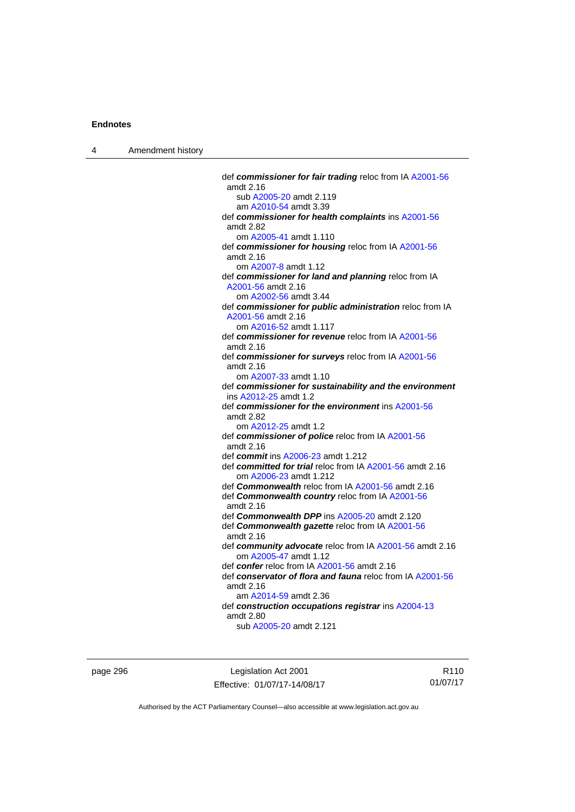4 Amendment history

 def *commissioner for fair trading* reloc from IA [A2001-56](http://www.legislation.act.gov.au/a/2001-56) amdt 2.16 sub [A2005-20](http://www.legislation.act.gov.au/a/2005-20) amdt 2.119 am [A2010-54](http://www.legislation.act.gov.au/a/2010-54) amdt 3.39 def *commissioner for health complaints* ins [A2001-56](http://www.legislation.act.gov.au/a/2001-56) amdt 2.82 om [A2005-41](http://www.legislation.act.gov.au/a/2005-41) amdt 1.110 def *commissioner for housing* reloc from IA [A2001-56](http://www.legislation.act.gov.au/a/2001-56) amdt 2.16 om [A2007-8](http://www.legislation.act.gov.au/a/2007-8) amdt 1.12 def *commissioner for land and planning* reloc from IA [A2001-56](http://www.legislation.act.gov.au/a/2001-56) amdt 2.16 om [A2002-56](http://www.legislation.act.gov.au/a/2002-56) amdt 3.44 def *commissioner for public administration* reloc from IA [A2001-56](http://www.legislation.act.gov.au/a/2001-56) amdt 2.16 om [A2016-52](http://www.legislation.act.gov.au/a/2016-52/default.asp) amdt 1.117 def *commissioner for revenue* reloc from IA [A2001-56](http://www.legislation.act.gov.au/a/2001-56) amdt 2.16 def *commissioner for surveys* reloc from IA [A2001-56](http://www.legislation.act.gov.au/a/2001-56) amdt 2.16 om [A2007-33](http://www.legislation.act.gov.au/a/2007-33) amdt 1.10 def *commissioner for sustainability and the environment* ins [A2012-25](http://www.legislation.act.gov.au/a/2012-25) amdt 1.2 def *commissioner for the environment* ins [A2001-56](http://www.legislation.act.gov.au/a/2001-56) amdt 2.82 om [A2012-25](http://www.legislation.act.gov.au/a/2012-25) amdt 1.2 def *commissioner of police* reloc from IA [A2001-56](http://www.legislation.act.gov.au/a/2001-56) amdt 2.16 def *commit* ins [A2006-23](http://www.legislation.act.gov.au/a/2006-23) amdt 1.212 def *committed for trial* reloc from IA [A2001-56](http://www.legislation.act.gov.au/a/2001-56) amdt 2.16 om [A2006-23](http://www.legislation.act.gov.au/a/2006-23) amdt 1.212 def *Commonwealth* reloc from IA [A2001-56](http://www.legislation.act.gov.au/a/2001-56) amdt 2.16 def *Commonwealth country* reloc from IA [A2001-56](http://www.legislation.act.gov.au/a/2001-56) amdt 2.16 def *Commonwealth DPP* ins [A2005-20](http://www.legislation.act.gov.au/a/2005-20) amdt 2.120 def *Commonwealth gazette* reloc from IA [A2001-56](http://www.legislation.act.gov.au/a/2001-56) amdt 2.16 def *community advocate* reloc from IA [A2001-56](http://www.legislation.act.gov.au/a/2001-56) amdt 2.16 om [A2005-47](http://www.legislation.act.gov.au/a/2005-47) amdt 1.12 def *confer* reloc from IA [A2001-56](http://www.legislation.act.gov.au/a/2001-56) amdt 2.16 def *conservator of flora and fauna* reloc from IA [A2001-56](http://www.legislation.act.gov.au/a/2001-56) amdt 2.16 am [A2014-59](http://www.legislation.act.gov.au/a/2014-59) amdt 2.36 def *construction occupations registrar* ins [A2004-13](http://www.legislation.act.gov.au/a/2004-13) amdt 2.80 sub [A2005-20](http://www.legislation.act.gov.au/a/2005-20) amdt 2.121

page 296 Legislation Act 2001 Effective: 01/07/17-14/08/17

R110 01/07/17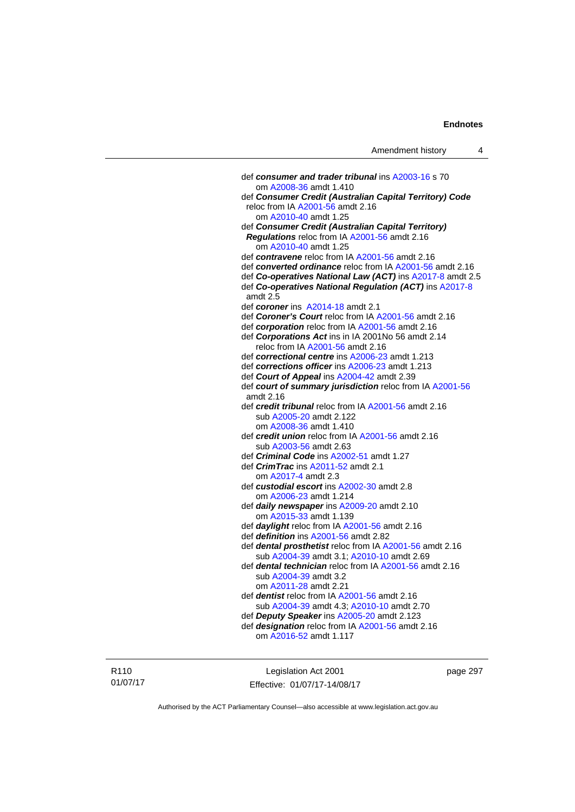def *consumer and trader tribunal* ins [A2003-16](http://www.legislation.act.gov.au/a/2003-16) s 70 om [A2008-36](http://www.legislation.act.gov.au/a/2008-36) amdt 1.410 def *Consumer Credit (Australian Capital Territory) Code* reloc from IA [A2001-56](http://www.legislation.act.gov.au/a/2001-56) amdt 2.16 om [A2010-40](http://www.legislation.act.gov.au/a/2010-40) amdt 1.25 def *Consumer Credit (Australian Capital Territory) Regulations* reloc from IA [A2001-56](http://www.legislation.act.gov.au/a/2001-56) amdt 2.16 om [A2010-40](http://www.legislation.act.gov.au/a/2010-40) amdt 1.25 def *contravene* reloc from IA [A2001-56](http://www.legislation.act.gov.au/a/2001-56) amdt 2.16 def *converted ordinance* reloc from IA [A2001-56](http://www.legislation.act.gov.au/a/2001-56) amdt 2.16 def *Co-operatives National Law (ACT)* ins [A2017-8](http://www.legislation.act.gov.au/a/2017-8/default.asp) amdt 2.5 def *Co-operatives National Regulation (ACT)* ins [A2017-8](http://www.legislation.act.gov.au/a/2017-8/default.asp) amdt 2.5 def *coroner* ins [A2014-18](http://www.legislation.act.gov.au/a/2014-18) amdt 2.1 def *Coroner's Court* reloc from IA [A2001-56](http://www.legislation.act.gov.au/a/2001-56) amdt 2.16 def *corporation* reloc from IA [A2001-56](http://www.legislation.act.gov.au/a/2001-56) amdt 2.16 def *Corporations Act* ins in IA 2001No 56 amdt 2.14 reloc from IA [A2001-56](http://www.legislation.act.gov.au/a/2001-56) amdt 2.16 def *correctional centre* ins [A2006-23](http://www.legislation.act.gov.au/a/2006-23) amdt 1.213 def *corrections officer* ins [A2006-23](http://www.legislation.act.gov.au/a/2006-23) amdt 1.213 def *Court of Appeal* ins [A2004-42](http://www.legislation.act.gov.au/a/2004-42) amdt 2.39 def *court of summary jurisdiction* reloc from IA [A2001-56](http://www.legislation.act.gov.au/a/2001-56) amdt 2.16 def *credit tribunal* reloc from IA [A2001-56](http://www.legislation.act.gov.au/a/2001-56) amdt 2.16 sub [A2005-20](http://www.legislation.act.gov.au/a/2005-20) amdt 2.122 om [A2008-36](http://www.legislation.act.gov.au/a/2008-36) amdt 1.410 def *credit union* reloc from IA [A2001-56](http://www.legislation.act.gov.au/a/2001-56) amdt 2.16 sub [A2003-56](http://www.legislation.act.gov.au/a/2003-56) amdt 2.63 def *Criminal Code* ins [A2002-51](http://www.legislation.act.gov.au/a/2002-51) amdt 1.27 def *CrimTrac* ins [A2011-52](http://www.legislation.act.gov.au/a/2011-52) amdt 2.1 om [A2017-4](http://www.legislation.act.gov.au/a/2017-4/default.asp) amdt 2.3 def *custodial escort* ins [A2002-30](http://www.legislation.act.gov.au/a/2002-30) amdt 2.8 om [A2006-23](http://www.legislation.act.gov.au/a/2006-23) amdt 1.214 def *daily newspaper* ins [A2009-20](http://www.legislation.act.gov.au/a/2009-20) amdt 2.10 om [A2015-33](http://www.legislation.act.gov.au/a/2015-33) amdt 1.139 def *daylight* reloc from IA [A2001-56](http://www.legislation.act.gov.au/a/2001-56) amdt 2.16 def *definition* ins [A2001-56](http://www.legislation.act.gov.au/a/2001-56) amdt 2.82 def *dental prosthetist* reloc from IA [A2001-56](http://www.legislation.act.gov.au/a/2001-56) amdt 2.16 sub [A2004-39](http://www.legislation.act.gov.au/a/2004-39) amdt 3.1; [A2010-10](http://www.legislation.act.gov.au/a/2010-10) amdt 2.69 def *dental technician* reloc from IA [A2001-56](http://www.legislation.act.gov.au/a/2001-56) amdt 2.16 sub [A2004-39](http://www.legislation.act.gov.au/a/2004-39) amdt 3.2 om [A2011-28](http://www.legislation.act.gov.au/a/2011-28) amdt 2.21 def *dentist* reloc from IA [A2001-56](http://www.legislation.act.gov.au/a/2001-56) amdt 2.16 sub [A2004-39](http://www.legislation.act.gov.au/a/2004-39) amdt 4.3; [A2010-10](http://www.legislation.act.gov.au/a/2010-10) amdt 2.70 def *Deputy Speaker* ins [A2005-20](http://www.legislation.act.gov.au/a/2005-20) amdt 2.123 def *designation* reloc from IA [A2001-56](http://www.legislation.act.gov.au/a/2001-56) amdt 2.16 om [A2016-52](http://www.legislation.act.gov.au/a/2016-52/default.asp) amdt 1.117

R110 01/07/17

Legislation Act 2001 Effective: 01/07/17-14/08/17 page 297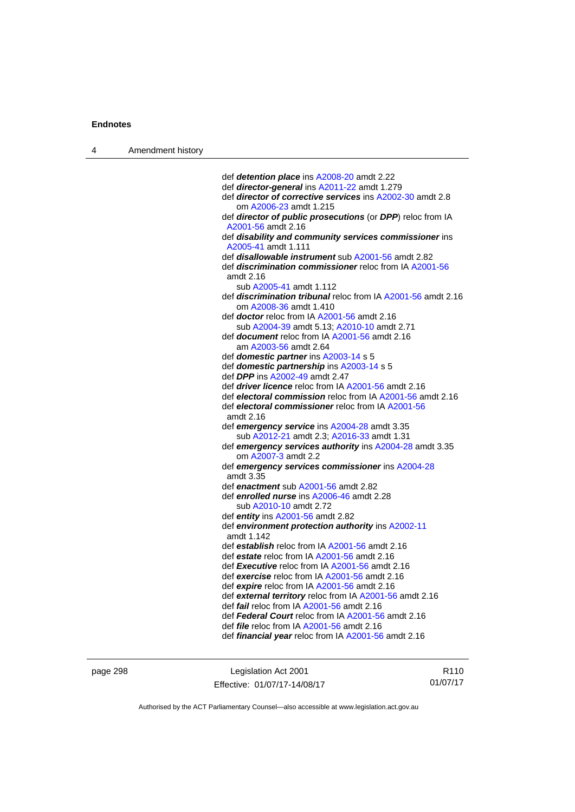| Amendment history<br>4 |  |
|------------------------|--|
|------------------------|--|

| def detention place ins A2008-20 amdt 2.22                          |
|---------------------------------------------------------------------|
| def director-general ins A2011-22 amdt 1.279                        |
| def <i>director of corrective services</i> ins A2002-30 amdt 2.8    |
| om A2006-23 amdt 1.215                                              |
| def director of public prosecutions (or DPP) reloc from IA          |
| A2001-56 amdt 2.16                                                  |
| def disability and community services commissioner ins              |
| A2005-41 amdt 1.111                                                 |
| def <b>disallowable instrument</b> sub A2001-56 amdt 2.82           |
| def <b>discrimination commissioner</b> reloc from IA A2001-56       |
| amdt 2.16<br>sub A2005-41 amdt 1.112                                |
| def discrimination tribunal reloc from IA A2001-56 amdt 2.16        |
| om A2008-36 amdt 1.410                                              |
| def <b>doctor</b> reloc from IA A2001-56 amdt 2.16                  |
| sub A2004-39 amdt 5.13; A2010-10 amdt 2.71                          |
| def <b>document</b> reloc from IA A2001-56 amdt 2.16                |
| am A2003-56 amdt 2.64                                               |
| def domestic partner ins A2003-14 s 5                               |
| def domestic partnership ins A2003-14 s 5                           |
| def DPP ins A2002-49 amdt 2.47                                      |
| def driver licence reloc from IA A2001-56 amdt 2.16                 |
| def electoral commission reloc from IA A2001-56 amdt 2.16           |
| def electoral commissioner reloc from IA A2001-56                   |
| amdt 2.16                                                           |
| def emergency service ins A2004-28 amdt 3.35                        |
| sub A2012-21 amdt 2.3; A2016-33 amdt 1.31                           |
| def emergency services authority ins A2004-28 amdt 3.35             |
| om A2007-3 amdt 2.2                                                 |
| def emergency services commissioner ins A2004-28                    |
| amdt 3.35                                                           |
| def enactment sub A2001-56 amdt 2.82                                |
| def enrolled nurse ins A2006-46 amdt 2.28<br>sub A2010-10 amdt 2.72 |
| def entity ins A2001-56 amdt 2.82                                   |
| def environment protection authority ins A2002-11                   |
| amdt 1.142                                                          |
| def establish reloc from IA A2001-56 amdt 2.16                      |
| def estate reloc from IA A2001-56 amdt 2.16                         |
| def Executive reloc from IA A2001-56 amdt 2.16                      |
| def exercise reloc from IA A2001-56 amdt 2.16                       |
| def expire reloc from IA A2001-56 amdt 2.16                         |
| def external territory reloc from IA A2001-56 amdt 2.16             |
| def <i>fail</i> reloc from IA A2001-56 amdt 2.16                    |
| def Federal Court reloc from IA A2001-56 amdt 2.16                  |
| def <i>file</i> reloc from IA A2001-56 amdt 2.16                    |
| def financial year reloc from IA A2001-56 amdt 2.16                 |

page 298 Legislation Act 2001 Effective: 01/07/17-14/08/17

R110 01/07/17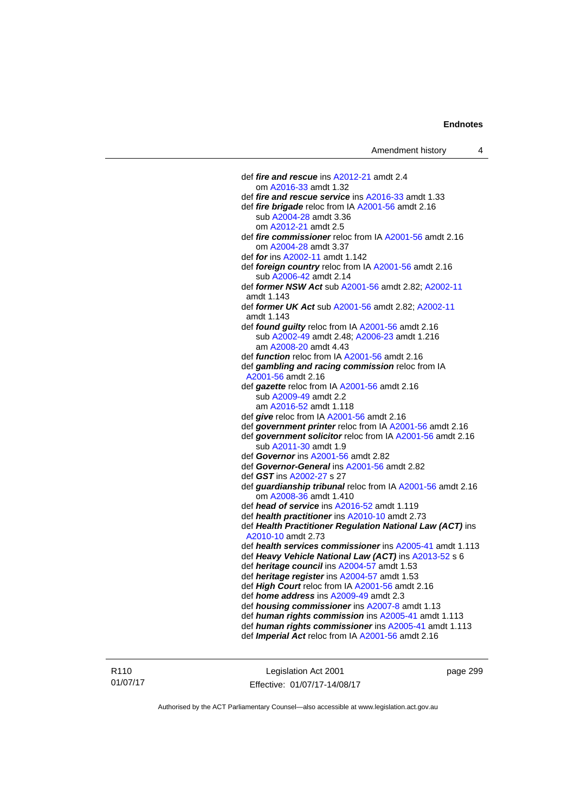def *fire and rescue* ins [A2012-21](http://www.legislation.act.gov.au/a/2012-21) amdt 2.4 om [A2016-33](http://www.legislation.act.gov.au/a/2016-33) amdt 1.32 def *fire and rescue service* ins [A2016-33](http://www.legislation.act.gov.au/a/2016-33) amdt 1.33 def *fire brigade* reloc from IA [A2001-56](http://www.legislation.act.gov.au/a/2001-56) amdt 2.16 sub [A2004-28](http://www.legislation.act.gov.au/a/2004-28) amdt 3.36 om [A2012-21](http://www.legislation.act.gov.au/a/2012-21) amdt 2.5 def *fire commissioner* reloc from IA [A2001-56](http://www.legislation.act.gov.au/a/2001-56) amdt 2.16 om [A2004-28](http://www.legislation.act.gov.au/a/2004-28) amdt 3.37 def *for* ins [A2002-11](http://www.legislation.act.gov.au/a/2002-11) amdt 1.142 def *foreign country* reloc from IA [A2001-56](http://www.legislation.act.gov.au/a/2001-56) amdt 2.16 sub [A2006-42](http://www.legislation.act.gov.au/a/2006-42) amdt 2.14 def *former NSW Act* sub [A2001-56](http://www.legislation.act.gov.au/a/2001-56) amdt 2.82; [A2002-11](http://www.legislation.act.gov.au/a/2002-11) amdt 1.143 def *former UK Act* sub [A2001-56](http://www.legislation.act.gov.au/a/2001-56) amdt 2.82; [A2002-11](http://www.legislation.act.gov.au/a/2002-11) amdt 1.143 def *found guilty* reloc from IA [A2001-56](http://www.legislation.act.gov.au/a/2001-56) amdt 2.16 sub [A2002-49](http://www.legislation.act.gov.au/a/2002-49) amdt 2.48; [A2006-23](http://www.legislation.act.gov.au/a/2006-23) amdt 1.216 am [A2008-20](http://www.legislation.act.gov.au/a/2008-20) amdt 4.43 def *function* reloc from IA [A2001-56](http://www.legislation.act.gov.au/a/2001-56) amdt 2.16 def *gambling and racing commission* reloc from IA [A2001-56](http://www.legislation.act.gov.au/a/2001-56) amdt 2.16 def *gazette* reloc from IA [A2001-56](http://www.legislation.act.gov.au/a/2001-56) amdt 2.16 sub [A2009-49](http://www.legislation.act.gov.au/a/2009-49) amdt 2.2 am [A2016-52](http://www.legislation.act.gov.au/a/2016-52/default.asp) amdt 1.118 def *give* reloc from IA [A2001-56](http://www.legislation.act.gov.au/a/2001-56) amdt 2.16 def *government printer* reloc from IA [A2001-56](http://www.legislation.act.gov.au/a/2001-56) amdt 2.16 def *government solicitor* reloc from IA [A2001-56](http://www.legislation.act.gov.au/a/2001-56) amdt 2.16 sub [A2011-30](http://www.legislation.act.gov.au/a/2011-30) amdt 1.9 def *Governor* ins [A2001-56](http://www.legislation.act.gov.au/a/2001-56) amdt 2.82 def *Governor-General* ins [A2001-56](http://www.legislation.act.gov.au/a/2001-56) amdt 2.82 def *GST* ins [A2002-27](http://www.legislation.act.gov.au/a/2002-27) s 27 def *guardianship tribunal* reloc from IA [A2001-56](http://www.legislation.act.gov.au/a/2001-56) amdt 2.16 om [A2008-36](http://www.legislation.act.gov.au/a/2008-36) amdt 1.410 def *head of service* ins [A2016-52](http://www.legislation.act.gov.au/a/2016-52/default.asp) amdt 1.119 def *health practitioner* ins [A2010-10](http://www.legislation.act.gov.au/a/2010-10) amdt 2.73 def *Health Practitioner Regulation National Law (ACT)* ins [A2010-10](http://www.legislation.act.gov.au/a/2010-10) amdt 2.73 def *health services commissioner* ins [A2005-41](http://www.legislation.act.gov.au/a/2005-41) amdt 1.113 def *Heavy Vehicle National Law (ACT)* ins [A2013-52](http://www.legislation.act.gov.au/a/2013-52) s 6 def *heritage council* ins [A2004-57](http://www.legislation.act.gov.au/a/2004-57) amdt 1.53 def *heritage register* ins [A2004-57](http://www.legislation.act.gov.au/a/2004-57) amdt 1.53 def *High Court* reloc from IA [A2001-56](http://www.legislation.act.gov.au/a/2001-56) amdt 2.16 def *home address* ins [A2009-49](http://www.legislation.act.gov.au/a/2009-49) amdt 2.3 def *housing commissioner* ins [A2007-8](http://www.legislation.act.gov.au/a/2007-8) amdt 1.13 def *human rights commission* ins [A2005-41](http://www.legislation.act.gov.au/a/2005-41) amdt 1.113 def *human rights commissioner* ins [A2005-41](http://www.legislation.act.gov.au/a/2005-41) amdt 1.113 def *Imperial Act* reloc from IA [A2001-56](http://www.legislation.act.gov.au/a/2001-56) amdt 2.16

R110 01/07/17

Legislation Act 2001 Effective: 01/07/17-14/08/17 page 299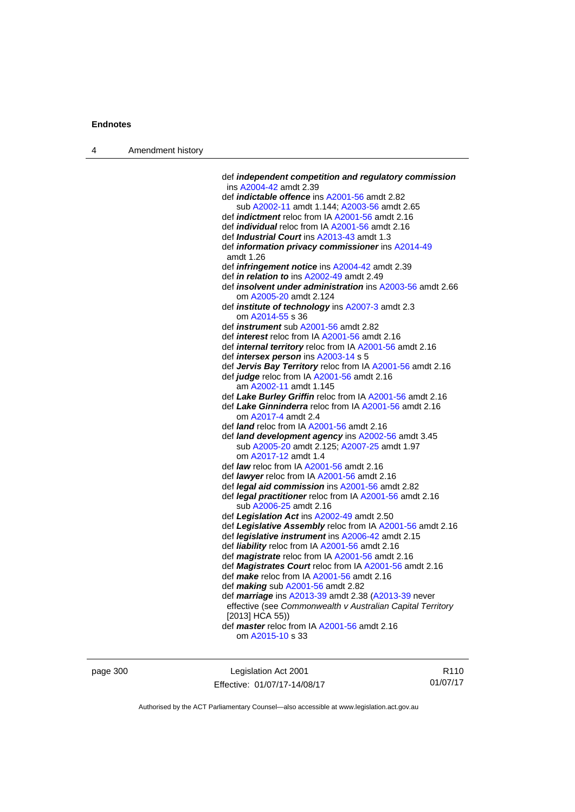| Amendment history<br>$\overline{4}$ |  |
|-------------------------------------|--|
|-------------------------------------|--|

| def independent competition and regulatory commission<br>ins A2004-42 amdt 2.39 |
|---------------------------------------------------------------------------------|
| def <i>indictable offence</i> ins A2001-56 amdt 2.82                            |
| sub A2002-11 amdt 1.144; A2003-56 amdt 2.65                                     |
| def <i>indictment</i> reloc from IA A2001-56 amdt 2.16                          |
| def <i>individual</i> reloc from IA A2001-56 amdt 2.16                          |
| def Industrial Court ins A2013-43 amdt 1.3                                      |
| def information privacy commissioner ins A2014-49                               |
| amdt 1.26                                                                       |
| def <i>infringement notice</i> ins A2004-42 amdt 2.39                           |
| def in relation to ins A2002-49 amdt 2.49                                       |
| def insolvent under administration ins A2003-56 amdt 2.66                       |
| om A2005-20 amdt 2.124                                                          |
| def <i>institute</i> of <i>technology</i> ins A2007-3 amdt 2.3                  |
| om A2014-55 s 36                                                                |
| def <i>instrument</i> sub A2001-56 amdt 2.82                                    |
| def <i>interest</i> reloc from IA A2001-56 amdt 2.16                            |
| def <i>internal territory</i> reloc from IA A2001-56 amdt 2.16                  |
| def <i>intersex person</i> ins A2003-14 s 5                                     |
| def Jervis Bay Territory reloc from IA A2001-56 amdt 2.16                       |
| def judge reloc from IA A2001-56 amdt 2.16                                      |
| am A2002-11 amdt 1.145                                                          |
| def Lake Burley Griffin reloc from IA A2001-56 amdt 2.16                        |
| def Lake Ginninderra reloc from IA A2001-56 amdt 2.16                           |
| om A2017-4 amdt 2.4                                                             |
| def <i>land</i> reloc from IA A2001-56 amdt 2.16                                |
| def land development agency ins A2002-56 amdt 3.45                              |
| sub A2005-20 amdt 2.125; A2007-25 amdt 1.97                                     |
| om A2017-12 amdt 1.4                                                            |
| def law reloc from IA A2001-56 amdt 2.16                                        |
| def lawyer reloc from IA A2001-56 amdt 2.16                                     |
| def <i>legal aid commission</i> ins A2001-56 amdt 2.82                          |
| def legal practitioner reloc from IA A2001-56 amdt 2.16                         |
| sub A2006-25 amdt 2.16                                                          |
| def Legislation Act ins A2002-49 amdt 2.50                                      |
| def Legislative Assembly reloc from IA A2001-56 amdt 2.16                       |
| def legislative instrument ins A2006-42 amdt 2.15                               |
| def liability reloc from IA A2001-56 amdt 2.16                                  |
| def magistrate reloc from IA A2001-56 amdt 2.16                                 |
| def Magistrates Court reloc from IA A2001-56 amdt 2.16                          |
| def make reloc from IA A2001-56 amdt 2.16                                       |
| def making sub A2001-56 amdt 2.82                                               |
| def marriage ins A2013-39 amdt 2.38 (A2013-39 never                             |
| effective (see Commonwealth v Australian Capital Territory                      |
| [2013] HCA 55))                                                                 |
| def master reloc from IA A2001-56 amdt 2.16                                     |
| om A2015-10 s 33                                                                |
|                                                                                 |

page 300 Legislation Act 2001 Effective: 01/07/17-14/08/17

R110 01/07/17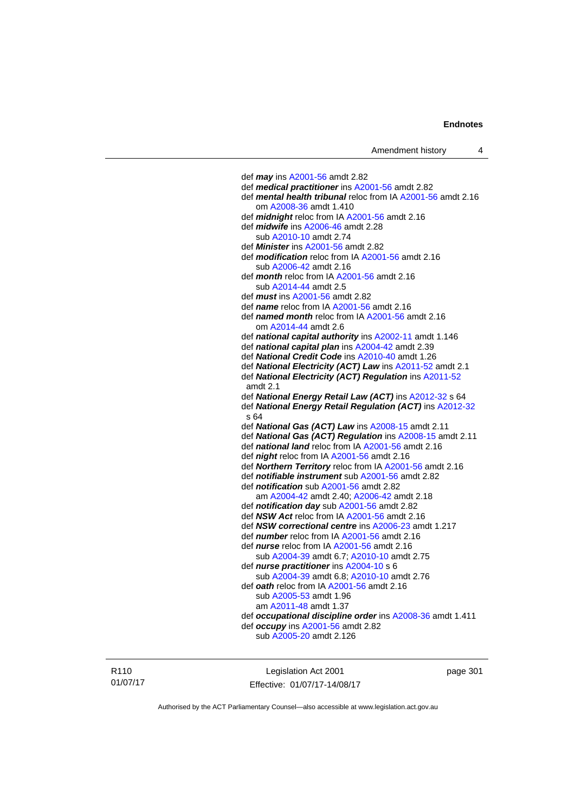def *may* ins [A2001-56](http://www.legislation.act.gov.au/a/2001-56) amdt 2.82 def *medical practitioner* ins [A2001-56](http://www.legislation.act.gov.au/a/2001-56) amdt 2.82 def *mental health tribunal* reloc from IA [A2001-56](http://www.legislation.act.gov.au/a/2001-56) amdt 2.16 om [A2008-36](http://www.legislation.act.gov.au/a/2008-36) amdt 1.410 def *midnight* reloc from IA [A2001-56](http://www.legislation.act.gov.au/a/2001-56) amdt 2.16 def *midwife* ins [A2006-46](http://www.legislation.act.gov.au/a/2006-46) amdt 2.28 sub [A2010-10](http://www.legislation.act.gov.au/a/2010-10) amdt 2.74 def *Minister* ins [A2001-56](http://www.legislation.act.gov.au/a/2001-56) amdt 2.82 def *modification* reloc from IA [A2001-56](http://www.legislation.act.gov.au/a/2001-56) amdt 2.16 sub [A2006-42](http://www.legislation.act.gov.au/a/2006-42) amdt 2.16 def *month* reloc from IA [A2001-56](http://www.legislation.act.gov.au/a/2001-56) amdt 2.16 sub [A2014-44](http://www.legislation.act.gov.au/a/2014-44) amdt 2.5 def *must* ins [A2001-56](http://www.legislation.act.gov.au/a/2001-56) amdt 2.82 def *name* reloc from IA [A2001-56](http://www.legislation.act.gov.au/a/2001-56) amdt 2.16 def *named month* reloc from IA [A2001-56](http://www.legislation.act.gov.au/a/2001-56) amdt 2.16 om [A2014-44](http://www.legislation.act.gov.au/a/2014-44) amdt 2.6 def *national capital authority* ins [A2002-11](http://www.legislation.act.gov.au/a/2002-11) amdt 1.146 def *national capital plan* ins [A2004-42](http://www.legislation.act.gov.au/a/2004-42) amdt 2.39 def *National Credit Code* ins [A2010-40](http://www.legislation.act.gov.au/a/2010-40) amdt 1.26 def *National Electricity (ACT) Law* ins [A2011-52](http://www.legislation.act.gov.au/a/2011-52) amdt 2.1 def *National Electricity (ACT) Regulation* ins [A2011-52](http://www.legislation.act.gov.au/a/2011-52) amdt 2.1 def *National Energy Retail Law (ACT)* ins [A2012-32](http://www.legislation.act.gov.au/a/2012-32) s 64 def *National Energy Retail Regulation (ACT)* ins [A2012-32](http://www.legislation.act.gov.au/a/2012-32) s 64 def *National Gas (ACT) Law* ins [A2008-15](http://www.legislation.act.gov.au/a/2008-15) amdt 2.11 def *National Gas (ACT) Regulation* ins [A2008-15](http://www.legislation.act.gov.au/a/2008-15) amdt 2.11 def *national land* reloc from IA [A2001-56](http://www.legislation.act.gov.au/a/2001-56) amdt 2.16 def *night* reloc from IA [A2001-56](http://www.legislation.act.gov.au/a/2001-56) amdt 2.16 def *Northern Territory* reloc from IA [A2001-56](http://www.legislation.act.gov.au/a/2001-56) amdt 2.16 def *notifiable instrument* sub [A2001-56](http://www.legislation.act.gov.au/a/2001-56) amdt 2.82 def *notification* sub [A2001-56](http://www.legislation.act.gov.au/a/2001-56) amdt 2.82 am [A2004-42](http://www.legislation.act.gov.au/a/2004-42) amdt 2.40; [A2006-42](http://www.legislation.act.gov.au/a/2006-42) amdt 2.18 def *notification day* sub [A2001-56](http://www.legislation.act.gov.au/a/2001-56) amdt 2.82 def *NSW Act* reloc from IA [A2001-56](http://www.legislation.act.gov.au/a/2001-56) amdt 2.16 def *NSW correctional centre* ins [A2006-23](http://www.legislation.act.gov.au/a/2006-23) amdt 1.217 def *number* reloc from IA [A2001-56](http://www.legislation.act.gov.au/a/2001-56) amdt 2.16 def *nurse* reloc from IA [A2001-56](http://www.legislation.act.gov.au/a/2001-56) amdt 2.16 sub [A2004-39](http://www.legislation.act.gov.au/a/2004-39) amdt 6.7; [A2010-10](http://www.legislation.act.gov.au/a/2010-10) amdt 2.75 def *nurse practitioner* ins [A2004-10](http://www.legislation.act.gov.au/a/2004-10) s 6 sub [A2004-39](http://www.legislation.act.gov.au/a/2004-39) amdt 6.8; [A2010-10](http://www.legislation.act.gov.au/a/2010-10) amdt 2.76 def *oath* reloc from IA [A2001-56](http://www.legislation.act.gov.au/a/2001-56) amdt 2.16 sub [A2005-53](http://www.legislation.act.gov.au/a/2005-53) amdt 1.96 am [A2011-48](http://www.legislation.act.gov.au/a/2011-48) amdt 1.37 def *occupational discipline order* ins [A2008-36](http://www.legislation.act.gov.au/a/2008-36) amdt 1.411 def *occupy* ins [A2001-56](http://www.legislation.act.gov.au/a/2001-56) amdt 2.82 sub [A2005-20](http://www.legislation.act.gov.au/a/2005-20) amdt 2.126

R110 01/07/17

Legislation Act 2001 Effective: 01/07/17-14/08/17 page 301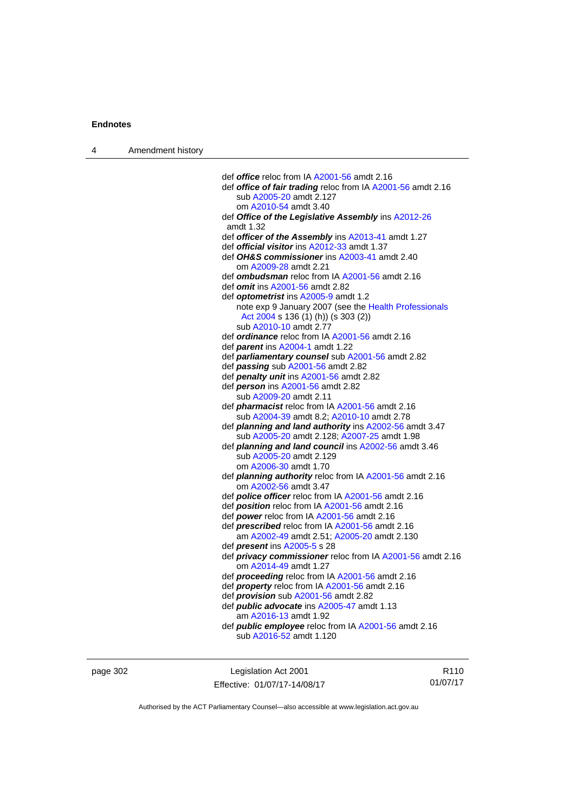| 4 | Amendment history |                                                                                        |
|---|-------------------|----------------------------------------------------------------------------------------|
|   |                   |                                                                                        |
|   |                   | def office reloc from IA A2001-56 amdt 2.16                                            |
|   |                   | def office of fair trading reloc from IA A2001-56 amdt 2.16<br>sub A2005-20 amdt 2.127 |
|   |                   | om A2010-54 amdt 3.40                                                                  |
|   |                   | def Office of the Legislative Assembly ins A2012-26                                    |
|   |                   | amdt 1.32                                                                              |
|   |                   | def officer of the Assembly ins A2013-41 amdt 1.27                                     |
|   |                   | def <b>official visitor</b> ins A2012-33 amdt 1.37                                     |
|   |                   | def OH&S commissioner ins A2003-41 amdt 2.40                                           |
|   |                   | om A2009-28 amdt 2.21                                                                  |
|   |                   | def ombudsman reloc from IA A2001-56 amdt 2.16                                         |
|   |                   | def <i>omit</i> ins A2001-56 amdt 2.82                                                 |
|   |                   | def <b>optometrist</b> ins A2005-9 amdt 1.2                                            |
|   |                   | note exp 9 January 2007 (see the Health Professionals                                  |
|   |                   | Act 2004 s 136 (1) (h)) (s 303 (2))                                                    |
|   |                   | sub A2010-10 amdt 2.77                                                                 |
|   |                   | def ordinance reloc from IA A2001-56 amdt 2.16                                         |
|   |                   | def <i>parent</i> ins A2004-1 amdt 1.22                                                |
|   |                   | def <i>parliamentary counsel</i> sub A2001-56 amdt 2.82                                |
|   |                   | def passing sub A2001-56 amdt 2.82                                                     |
|   |                   | def penalty unit ins A2001-56 amdt 2.82                                                |
|   |                   | def <i>person</i> ins A2001-56 amdt 2.82                                               |
|   |                   | sub A2009-20 amdt 2.11                                                                 |
|   |                   | def <i>pharmacist</i> reloc from IA A2001-56 amdt 2.16                                 |
|   |                   | sub A2004-39 amdt 8.2; A2010-10 amdt 2.78                                              |
|   |                   | def planning and land authority ins A2002-56 amdt 3.47                                 |
|   |                   | sub A2005-20 amdt 2.128; A2007-25 amdt 1.98                                            |
|   |                   | def planning and land council ins A2002-56 amdt 3.46                                   |
|   |                   | sub A2005-20 amdt 2.129                                                                |
|   |                   | om A2006-30 amdt 1.70                                                                  |
|   |                   | def <i>planning authority</i> reloc from IA A2001-56 amdt 2.16                         |
|   |                   | om A2002-56 amdt 3.47                                                                  |
|   |                   | def <b>police officer</b> reloc from IA A2001-56 amdt 2.16                             |
|   |                   | def <b>position</b> reloc from IA A2001-56 amdt 2.16                                   |
|   |                   | def power reloc from IA A2001-56 amdt 2.16                                             |
|   |                   | def <b>prescribed</b> reloc from IA A2001-56 amdt 2.16                                 |
|   |                   | am A2002-49 amdt 2.51; A2005-20 amdt 2.130                                             |
|   |                   | def <i>present</i> ins A2005-5 s 28                                                    |
|   |                   | def <i>privacy commissioner</i> reloc from IA A2001-56 amdt 2.16                       |
|   |                   | om A2014-49 amdt 1.27                                                                  |
|   |                   | def <b>proceeding</b> reloc from IA A2001-56 amdt 2.16                                 |
|   |                   | def <i>property</i> reloc from IA A2001-56 amdt 2.16                                   |
|   |                   | def <i>provision</i> sub A2001-56 amdt 2.82                                            |
|   |                   | def <i>public advocate</i> ins A2005-47 amdt 1.13                                      |
|   |                   | am A2016-13 amdt 1.92<br>def <i>public</i> employee reloc from IA A2001-56 amdt 2.16   |
|   |                   | sub A2016-52 amdt 1.120                                                                |
|   |                   |                                                                                        |
|   |                   |                                                                                        |
|   |                   |                                                                                        |

| page 302 | Legislation Act 2001         | R <sub>110</sub> |
|----------|------------------------------|------------------|
|          | Effective: 01/07/17-14/08/17 | 01/07/17         |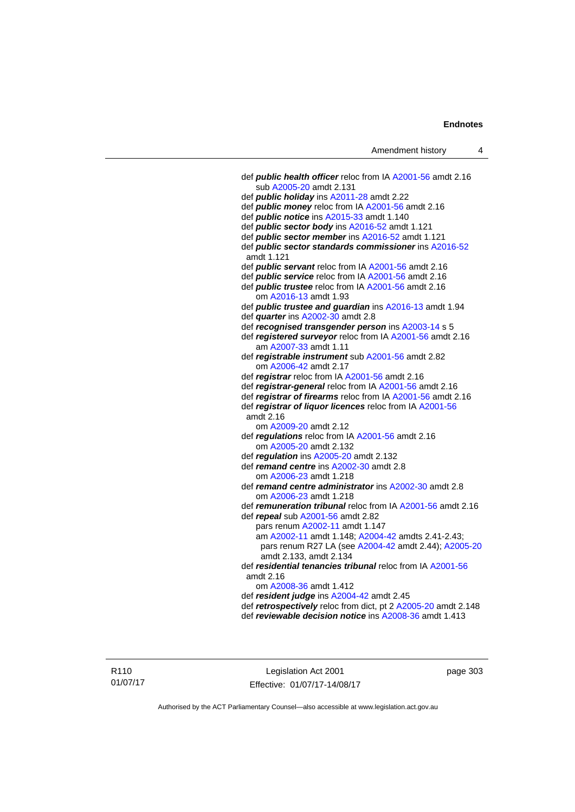def *public health officer* reloc from IA [A2001-56](http://www.legislation.act.gov.au/a/2001-56) amdt 2.16 sub [A2005-20](http://www.legislation.act.gov.au/a/2005-20) amdt 2.131 def *public holiday* ins [A2011-28](http://www.legislation.act.gov.au/a/2011-28) amdt 2.22 def *public money* reloc from IA [A2001-56](http://www.legislation.act.gov.au/a/2001-56) amdt 2.16 def *public notice* ins [A2015-33](http://www.legislation.act.gov.au/a/2015-33) amdt 1.140 def *public sector body* ins [A2016-52](http://www.legislation.act.gov.au/a/2016-52/default.asp) amdt 1.121 def *public sector member* ins [A2016-52](http://www.legislation.act.gov.au/a/2016-52/default.asp) amdt 1.121 def *public sector standards commissioner* ins [A2016-52](http://www.legislation.act.gov.au/a/2016-52/default.asp) amdt 1.121 def *public servant* reloc from IA [A2001-56](http://www.legislation.act.gov.au/a/2001-56) amdt 2.16 def *public service* reloc from IA [A2001-56](http://www.legislation.act.gov.au/a/2001-56) amdt 2.16 def *public trustee* reloc from IA [A2001-56](http://www.legislation.act.gov.au/a/2001-56) amdt 2.16 om [A2016-13](http://www.legislation.act.gov.au/a/2016-13) amdt 1.93 def *public trustee and guardian* ins [A2016-13](http://www.legislation.act.gov.au/a/2016-13) amdt 1.94 def *quarter* ins [A2002-30](http://www.legislation.act.gov.au/a/2002-30) amdt 2.8 def *recognised transgender person* ins [A2003-14](http://www.legislation.act.gov.au/a/2003-14) s 5 def *registered surveyor* reloc from IA [A2001-56](http://www.legislation.act.gov.au/a/2001-56) amdt 2.16 am [A2007-33](http://www.legislation.act.gov.au/a/2007-33) amdt 1.11 def *registrable instrument* sub [A2001-56](http://www.legislation.act.gov.au/a/2001-56) amdt 2.82 om [A2006-42](http://www.legislation.act.gov.au/a/2006-42) amdt 2.17 def *registrar* reloc from IA [A2001-56](http://www.legislation.act.gov.au/a/2001-56) amdt 2.16 def *registrar-general* reloc from IA [A2001-56](http://www.legislation.act.gov.au/a/2001-56) amdt 2.16 def *registrar of firearms* reloc from IA [A2001-56](http://www.legislation.act.gov.au/a/2001-56) amdt 2.16 def *registrar of liquor licences* reloc from IA [A2001-56](http://www.legislation.act.gov.au/a/2001-56) amdt 2.16 om [A2009-20](http://www.legislation.act.gov.au/a/2009-20) amdt 2.12 def *regulations* reloc from IA [A2001-56](http://www.legislation.act.gov.au/a/2001-56) amdt 2.16 om [A2005-20](http://www.legislation.act.gov.au/a/2005-20) amdt 2.132 def *regulation* ins [A2005-20](http://www.legislation.act.gov.au/a/2005-20) amdt 2.132 def *remand centre* ins [A2002-30](http://www.legislation.act.gov.au/a/2002-30) amdt 2.8 om [A2006-23](http://www.legislation.act.gov.au/a/2006-23) amdt 1.218 def *remand centre administrator* ins [A2002-30](http://www.legislation.act.gov.au/a/2002-30) amdt 2.8 om [A2006-23](http://www.legislation.act.gov.au/a/2006-23) amdt 1.218 def *remuneration tribunal* reloc from IA [A2001-56](http://www.legislation.act.gov.au/a/2001-56) amdt 2.16 def *repeal* sub [A2001-56](http://www.legislation.act.gov.au/a/2001-56) amdt 2.82 pars renum [A2002-11](http://www.legislation.act.gov.au/a/2002-11) amdt 1.147 am [A2002-11](http://www.legislation.act.gov.au/a/2002-11) amdt 1.148; [A2004-42](http://www.legislation.act.gov.au/a/2004-42) amdts 2.41-2.43; pars renum R27 LA (see [A2004-42](http://www.legislation.act.gov.au/a/2004-42) amdt 2.44); [A2005-20](http://www.legislation.act.gov.au/a/2005-20) amdt 2.133, amdt 2.134 def *residential tenancies tribunal* reloc from IA [A2001-56](http://www.legislation.act.gov.au/a/2001-56) amdt 2.16 om [A2008-36](http://www.legislation.act.gov.au/a/2008-36) amdt 1.412 def *resident judge* ins [A2004-42](http://www.legislation.act.gov.au/a/2004-42) amdt 2.45 def *retrospectively* reloc from dict, pt 2 [A2005-20](http://www.legislation.act.gov.au/a/2005-20) amdt 2.148 def *reviewable decision notice* ins [A2008-36](http://www.legislation.act.gov.au/a/2008-36) amdt 1.413

R110 01/07/17

Legislation Act 2001 Effective: 01/07/17-14/08/17 page 303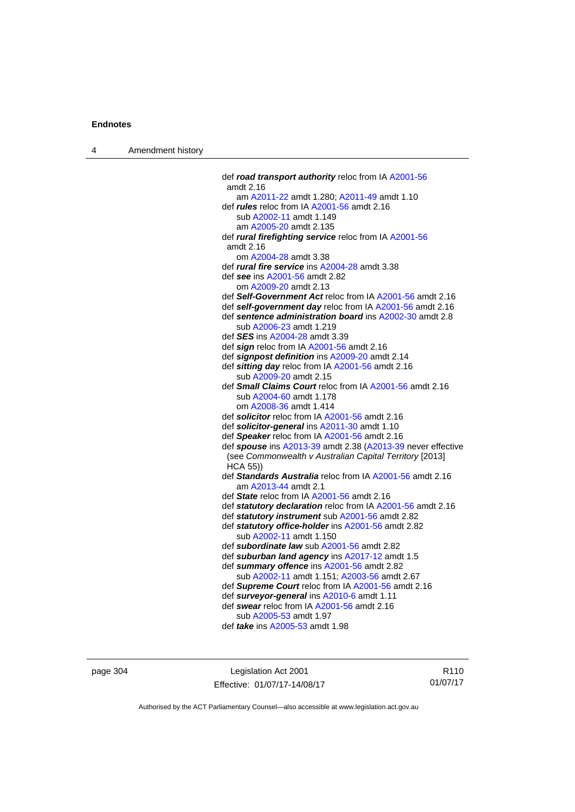| $\boldsymbol{\Lambda}$ | Amendment history |
|------------------------|-------------------|
|------------------------|-------------------|

| def road transport authority reloc from IA A2001-56                        |
|----------------------------------------------------------------------------|
| amdt 2.16                                                                  |
| am A2011-22 amdt 1.280; A2011-49 amdt 1.10                                 |
| def <i>rules</i> reloc from IA A2001-56 amdt 2.16                          |
| sub A2002-11 amdt 1.149                                                    |
| am A2005-20 amdt 2.135                                                     |
| def rural firefighting service reloc from IA A2001-56                      |
| amdt 2.16                                                                  |
| om A2004-28 amdt 3.38                                                      |
| def rural fire service ins A2004-28 amdt 3.38                              |
| def see ins A2001-56 amdt 2.82                                             |
| om A2009-20 amdt 2.13                                                      |
| def Self-Government Act reloc from IA A2001-56 amdt 2.16                   |
| def self-government day reloc from IA A2001-56 amdt 2.16                   |
| def sentence administration board ins A2002-30 amdt 2.8                    |
| sub A2006-23 amdt 1.219                                                    |
| def <b>SES</b> ins A2004-28 amdt 3.39                                      |
| def sign reloc from IA A2001-56 amdt 2.16                                  |
| def signpost definition ins A2009-20 amdt 2.14                             |
| def sitting day reloc from IA A2001-56 amdt 2.16                           |
| sub A2009-20 amdt 2.15                                                     |
| def Small Claims Court reloc from IA A2001-56 amdt 2.16                    |
| sub A2004-60 amdt 1.178                                                    |
| om A2008-36 amdt 1.414                                                     |
| def solicitor reloc from IA A2001-56 amdt 2.16                             |
| def solicitor-general ins A2011-30 amdt 1.10                               |
| def Speaker reloc from IA A2001-56 amdt 2.16                               |
| def spouse ins A2013-39 amdt 2.38 (A2013-39 never effective                |
| (see Commonwealth v Australian Capital Territory [2013]<br><b>HCA 55))</b> |
| def Standards Australia reloc from IA A2001-56 amdt 2.16                   |
| am A2013-44 amdt 2.1                                                       |
| def State reloc from IA A2001-56 amdt 2.16                                 |
| def statutory declaration reloc from IA A2001-56 amdt 2.16                 |
| def statutory instrument sub A2001-56 amdt 2.82                            |
| def statutory office-holder ins A2001-56 amdt 2.82                         |
| sub A2002-11 amdt 1.150                                                    |
| def subordinate law sub A2001-56 amdt 2.82                                 |
| def suburban land agency ins A2017-12 amdt 1.5                             |
| def summary offence ins A2001-56 amdt 2.82                                 |
| sub A2002-11 amdt 1.151; A2003-56 amdt 2.67                                |
| def Supreme Court reloc from IA A2001-56 amdt 2.16                         |
| def surveyor-general ins A2010-6 amdt 1.11                                 |
| def swear reloc from IA A2001-56 amdt 2.16                                 |
| sub A2005-53 amdt 1.97                                                     |
| def <i>take</i> ins A2005-53 amdt 1.98                                     |
|                                                                            |

page 304 Legislation Act 2001 Effective: 01/07/17-14/08/17

R110 01/07/17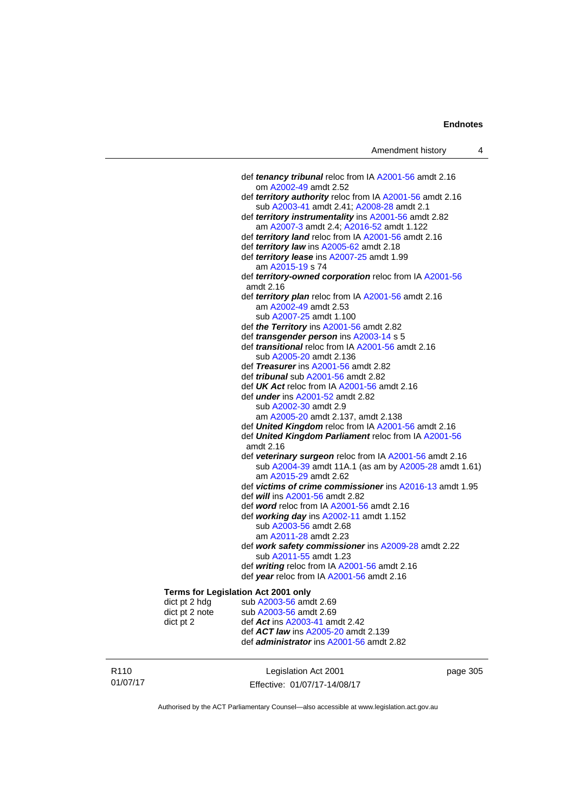| Amendment history |  |  |
|-------------------|--|--|
|-------------------|--|--|

|                                     | def tenancy tribunal reloc from IA A2001-56 amdt 2.16                        |
|-------------------------------------|------------------------------------------------------------------------------|
|                                     | om A2002-49 amdt 2.52                                                        |
|                                     | def territory authority reloc from IA A2001-56 amdt 2.16                     |
|                                     | sub A2003-41 amdt 2.41; A2008-28 amdt 2.1                                    |
|                                     | def territory instrumentality ins A2001-56 amdt 2.82                         |
|                                     | am A2007-3 amdt 2.4; A2016-52 amdt 1.122                                     |
|                                     | def territory land reloc from IA A2001-56 amdt 2.16                          |
|                                     | def territory law ins A2005-62 amdt 2.18                                     |
|                                     | def territory lease ins A2007-25 amdt 1.99                                   |
|                                     | am A2015-19 s 74                                                             |
|                                     | def territory-owned corporation reloc from IA A2001-56                       |
|                                     | amdt 2.16                                                                    |
|                                     | def territory plan reloc from IA A2001-56 amdt 2.16                          |
|                                     | am A2002-49 amdt 2.53                                                        |
|                                     | sub A2007-25 amdt 1.100                                                      |
|                                     | def the Territory ins A2001-56 amdt 2.82                                     |
|                                     | def <i>transgender person</i> ins A2003-14 s 5                               |
|                                     | def transitional reloc from IA A2001-56 amdt 2.16<br>sub A2005-20 amdt 2.136 |
|                                     | def Treasurer ins A2001-56 amdt 2.82                                         |
|                                     | def <i>tribunal</i> sub A2001-56 amdt 2.82                                   |
|                                     | def UK Act reloc from IA A2001-56 amdt 2.16                                  |
|                                     | def <i>under</i> ins A2001-52 amdt 2.82                                      |
|                                     | sub A2002-30 amdt 2.9                                                        |
|                                     | am A2005-20 amdt 2.137, amdt 2.138                                           |
|                                     | def United Kingdom reloc from IA A2001-56 amdt 2.16                          |
|                                     | def United Kingdom Parliament reloc from IA A2001-56                         |
|                                     | amdt 2.16                                                                    |
|                                     | def veterinary surgeon reloc from IA A2001-56 amdt 2.16                      |
|                                     | sub A2004-39 amdt 11A.1 (as am by A2005-28 amdt 1.61)                        |
|                                     | am A2015-29 amdt 2.62                                                        |
|                                     | def victims of crime commissioner ins A2016-13 amdt 1.95                     |
|                                     | def will ins A2001-56 amdt 2.82                                              |
|                                     | def word reloc from IA A2001-56 amdt 2.16                                    |
|                                     | def working day ins A2002-11 amdt 1.152                                      |
|                                     | sub A2003-56 amdt 2.68                                                       |
|                                     | am A2011-28 amdt 2.23                                                        |
|                                     | def work safety commissioner ins A2009-28 amdt 2.22                          |
|                                     | sub A2011-55 amdt 1.23                                                       |
|                                     | def writing reloc from IA A2001-56 amdt 2.16                                 |
|                                     | def year reloc from IA A2001-56 amdt 2.16                                    |
| Terms for Legislation Act 2001 only |                                                                              |
| dict pt 2 hdg                       | sub A2003-56 amdt 2.69                                                       |
| dict pt 2 note                      | sub A2003-56 amdt 2.69                                                       |
| dict pt 2                           | def Act ins A2003-41 amdt 2.42                                               |
|                                     | def ACT law ins A2005-20 amdt 2.139                                          |
|                                     | def <i>administrator</i> ins A2001-56 amdt 2.82                              |
|                                     |                                                                              |

R110 01/07/17 Legislation Act 2001 Effective: 01/07/17-14/08/17 page 305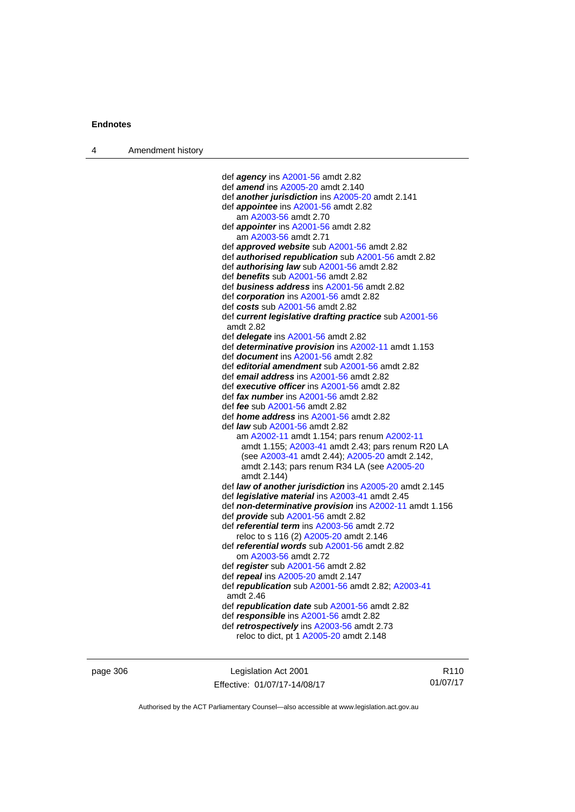def *agency* ins [A2001-56](http://www.legislation.act.gov.au/a/2001-56) amdt 2.82 def *amend* ins [A2005-20](http://www.legislation.act.gov.au/a/2005-20) amdt 2.140 def *another jurisdiction* ins [A2005-20](http://www.legislation.act.gov.au/a/2005-20) amdt 2.141 def *appointee* ins [A2001-56](http://www.legislation.act.gov.au/a/2001-56) amdt 2.82 am [A2003-56](http://www.legislation.act.gov.au/a/2003-56) amdt 2.70 def *appointer* ins [A2001-56](http://www.legislation.act.gov.au/a/2001-56) amdt 2.82 am [A2003-56](http://www.legislation.act.gov.au/a/2003-56) amdt 2.71 def *approved website* sub [A2001-56](http://www.legislation.act.gov.au/a/2001-56) amdt 2.82 def *authorised republication* sub [A2001-56](http://www.legislation.act.gov.au/a/2001-56) amdt 2.82 def *authorising law* sub [A2001-56](http://www.legislation.act.gov.au/a/2001-56) amdt 2.82 def *benefits* sub [A2001-56](http://www.legislation.act.gov.au/a/2001-56) amdt 2.82 def *business address* ins [A2001-56](http://www.legislation.act.gov.au/a/2001-56) amdt 2.82 def *corporation* ins [A2001-56](http://www.legislation.act.gov.au/a/2001-56) amdt 2.82 def *costs* sub [A2001-56](http://www.legislation.act.gov.au/a/2001-56) amdt 2.82 def *current legislative drafting practice* sub [A2001-56](http://www.legislation.act.gov.au/a/2001-56) amdt 2.82 def *delegate* ins [A2001-56](http://www.legislation.act.gov.au/a/2001-56) amdt 2.82 def *determinative provision* ins [A2002-11](http://www.legislation.act.gov.au/a/2002-11) amdt 1.153 def *document* ins [A2001-56](http://www.legislation.act.gov.au/a/2001-56) amdt 2.82 def *editorial amendment* sub [A2001-56](http://www.legislation.act.gov.au/a/2001-56) amdt 2.82 def *email address* ins [A2001-56](http://www.legislation.act.gov.au/a/2001-56) amdt 2.82 def *executive officer* ins [A2001-56](http://www.legislation.act.gov.au/a/2001-56) amdt 2.82 def *fax number* ins [A2001-56](http://www.legislation.act.gov.au/a/2001-56) amdt 2.82 def *fee* sub [A2001-56](http://www.legislation.act.gov.au/a/2001-56) amdt 2.82 def *home address* ins [A2001-56](http://www.legislation.act.gov.au/a/2001-56) amdt 2.82 def *law* sub [A2001-56](http://www.legislation.act.gov.au/a/2001-56) amdt 2.82 am [A2002-11](http://www.legislation.act.gov.au/a/2002-11) amdt 1.154; pars renum [A2002-11](http://www.legislation.act.gov.au/a/2002-11) amdt 1.155; [A2003-41](http://www.legislation.act.gov.au/a/2003-41) amdt 2.43; pars renum R20 LA (see [A2003-41](http://www.legislation.act.gov.au/a/2003-41) amdt 2.44); [A2005-20](http://www.legislation.act.gov.au/a/2005-20) amdt 2.142, amdt 2.143; pars renum R34 LA (see [A2005-20](http://www.legislation.act.gov.au/a/2005-20) amdt 2.144) def *law of another jurisdiction* ins [A2005-20](http://www.legislation.act.gov.au/a/2005-20) amdt 2.145 def *legislative material* ins [A2003-41](http://www.legislation.act.gov.au/a/2003-41) amdt 2.45 def *non-determinative provision* ins [A2002-11](http://www.legislation.act.gov.au/a/2002-11) amdt 1.156 def *provide* sub [A2001-56](http://www.legislation.act.gov.au/a/2001-56) amdt 2.82 def *referential term* ins [A2003-56](http://www.legislation.act.gov.au/a/2003-56) amdt 2.72 reloc to s 116 (2) [A2005-20](http://www.legislation.act.gov.au/a/2005-20) amdt 2.146 def *referential words* sub [A2001-56](http://www.legislation.act.gov.au/a/2001-56) amdt 2.82 om [A2003-56](http://www.legislation.act.gov.au/a/2003-56) amdt 2.72 def *register* sub [A2001-56](http://www.legislation.act.gov.au/a/2001-56) amdt 2.82 def *repeal* ins [A2005-20](http://www.legislation.act.gov.au/a/2005-20) amdt 2.147 def *republication* sub [A2001-56](http://www.legislation.act.gov.au/a/2001-56) amdt 2.82; [A2003-41](http://www.legislation.act.gov.au/a/2003-41) amdt 2.46 def *republication date* sub [A2001-56](http://www.legislation.act.gov.au/a/2001-56) amdt 2.82 def *responsible* ins [A2001-56](http://www.legislation.act.gov.au/a/2001-56) amdt 2.82 def *retrospectively* ins [A2003-56](http://www.legislation.act.gov.au/a/2003-56) amdt 2.73 reloc to dict, pt 1 [A2005-20](http://www.legislation.act.gov.au/a/2005-20) amdt 2.148

page 306 Legislation Act 2001 Effective: 01/07/17-14/08/17

R110 01/07/17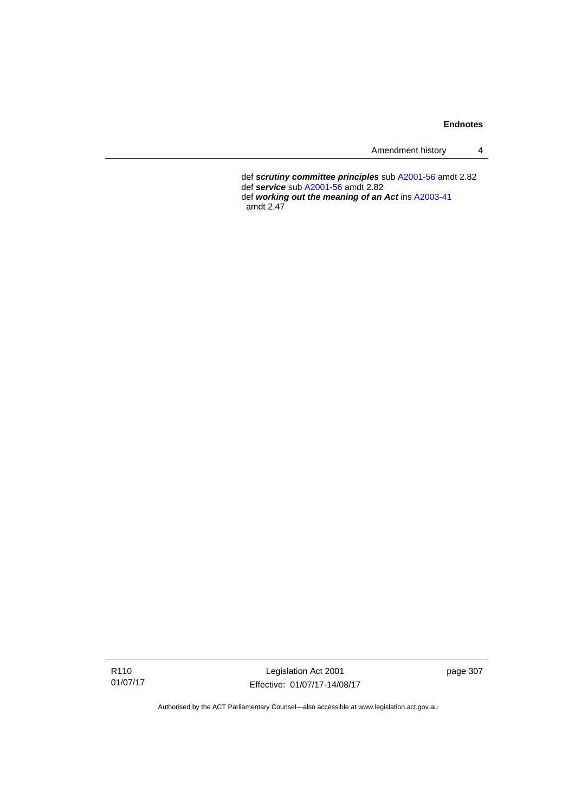Amendment history 4

 def *scrutiny committee principles* sub [A2001-56](http://www.legislation.act.gov.au/a/2001-56) amdt 2.82 def *service* sub [A2001-56](http://www.legislation.act.gov.au/a/2001-56) amdt 2.82 def *working out the meaning of an Act* ins [A2003-41](http://www.legislation.act.gov.au/a/2003-41)

amdt 2.47

R110 01/07/17

Legislation Act 2001 Effective: 01/07/17-14/08/17 page 307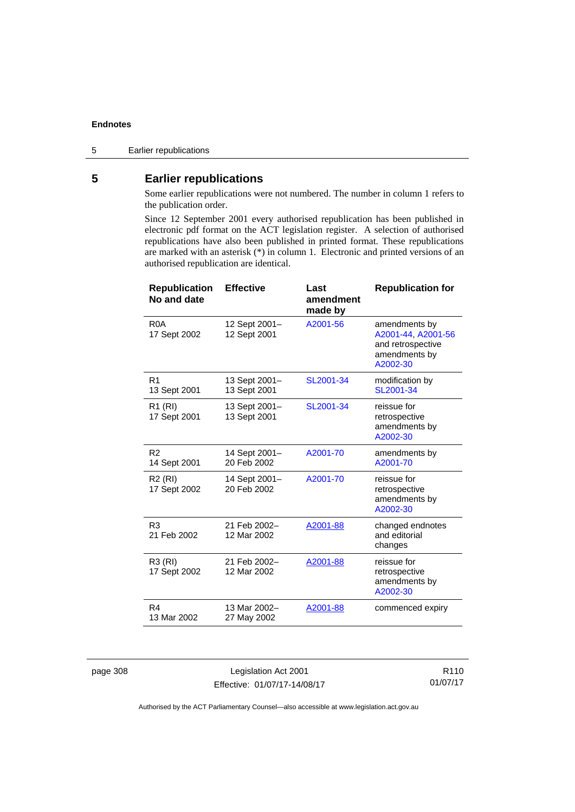## **5 Earlier republications**

Some earlier republications were not numbered. The number in column 1 refers to the publication order.

Since 12 September 2001 every authorised republication has been published in electronic pdf format on the ACT legislation register. A selection of authorised republications have also been published in printed format. These republications are marked with an asterisk (\*) in column 1. Electronic and printed versions of an authorised republication are identical.

| <b>Republication</b><br>No and date | <b>Effective</b>              | Last<br>amendment<br>made by | <b>Republication for</b>                                                              |
|-------------------------------------|-------------------------------|------------------------------|---------------------------------------------------------------------------------------|
| R <sub>0</sub> A<br>17 Sept 2002    | 12 Sept 2001-<br>12 Sept 2001 | A2001-56                     | amendments by<br>A2001-44, A2001-56<br>and retrospective<br>amendments by<br>A2002-30 |
| R <sub>1</sub><br>13 Sept 2001      | 13 Sept 2001-<br>13 Sept 2001 | SL2001-34                    | modification by<br>SL2001-34                                                          |
| R <sub>1</sub> (RI)<br>17 Sept 2001 | 13 Sept 2001-<br>13 Sept 2001 | SL2001-34                    | reissue for<br>retrospective<br>amendments by<br>A2002-30                             |
| R <sub>2</sub><br>14 Sept 2001      | 14 Sept 2001–<br>20 Feb 2002  | A2001-70                     | amendments by<br>A2001-70                                                             |
| R <sub>2</sub> (RI)<br>17 Sept 2002 | 14 Sept 2001-<br>20 Feb 2002  | A2001-70                     | reissue for<br>retrospective<br>amendments by<br>A2002-30                             |
| R <sub>3</sub><br>21 Feb 2002       | 21 Feb 2002-<br>12 Mar 2002   | A2001-88                     | changed endnotes<br>and editorial<br>changes                                          |
| R3 (RI)<br>17 Sept 2002             | 21 Feb 2002-<br>12 Mar 2002   | A2001-88                     | reissue for<br>retrospective<br>amendments by<br>A2002-30                             |
| R4<br>13 Mar 2002                   | 13 Mar 2002-<br>27 May 2002   | A2001-88                     | commenced expiry                                                                      |

page 308 Legislation Act 2001 Effective: 01/07/17-14/08/17

R110 01/07/17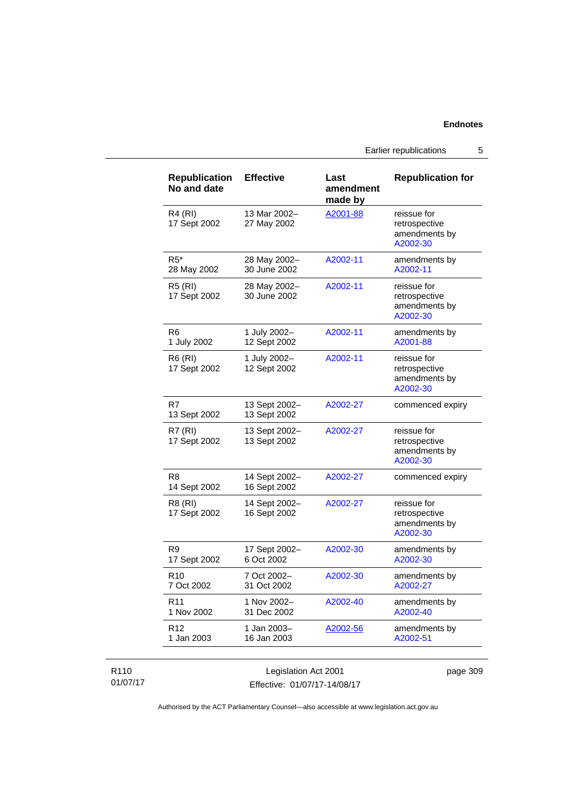Earlier republications 5

| <b>Republication</b><br>No and date | <b>Effective</b>              | Last<br>amendment<br>made by | <b>Republication for</b>                                  |
|-------------------------------------|-------------------------------|------------------------------|-----------------------------------------------------------|
| <b>R4 (RI)</b><br>17 Sept 2002      | 13 Mar 2002-<br>27 May 2002   | A2001-88                     | reissue for<br>retrospective<br>amendments by<br>A2002-30 |
| $R5^*$<br>28 May 2002               | 28 May 2002-<br>30 June 2002  | A2002-11                     | amendments by<br>A2002-11                                 |
| <b>R5 (RI)</b><br>17 Sept 2002      | 28 May 2002-<br>30 June 2002  | A2002-11                     | reissue for<br>retrospective<br>amendments by<br>A2002-30 |
| R <sub>6</sub><br>1 July 2002       | 1 July 2002-<br>12 Sept 2002  | A2002-11                     | amendments by<br>A2001-88                                 |
| R6 (RI)<br>17 Sept 2002             | 1 July 2002-<br>12 Sept 2002  | A2002-11                     | reissue for<br>retrospective<br>amendments by<br>A2002-30 |
| R7<br>13 Sept 2002                  | 13 Sept 2002-<br>13 Sept 2002 | A2002-27                     | commenced expiry                                          |
| R7 (RI)<br>17 Sept 2002             | 13 Sept 2002-<br>13 Sept 2002 | A2002-27                     | reissue for<br>retrospective<br>amendments by<br>A2002-30 |
| R <sub>8</sub><br>14 Sept 2002      | 14 Sept 2002-<br>16 Sept 2002 | A2002-27                     | commenced expiry                                          |
| R8 (RI)<br>17 Sept 2002             | 14 Sept 2002-<br>16 Sept 2002 | A2002-27                     | reissue for<br>retrospective<br>amendments by<br>A2002-30 |
| R9<br>17 Sept 2002                  | 17 Sept 2002-<br>6 Oct 2002   | A2002-30                     | amendments by<br>A2002-30                                 |
| R <sub>10</sub><br>7 Oct 2002       | 7 Oct 2002-<br>31 Oct 2002    | A2002-30                     | amendments by<br>A2002-27                                 |
| R <sub>11</sub><br>1 Nov 2002       | 1 Nov 2002-<br>31 Dec 2002    | A2002-40                     | amendments by<br>A2002-40                                 |
| R <sub>12</sub><br>1 Jan 2003       | 1 Jan 2003–<br>16 Jan 2003    | A2002-56                     | amendments by<br>A2002-51                                 |

#### R110 01/07/17

Legislation Act 2001 Effective: 01/07/17-14/08/17 page 309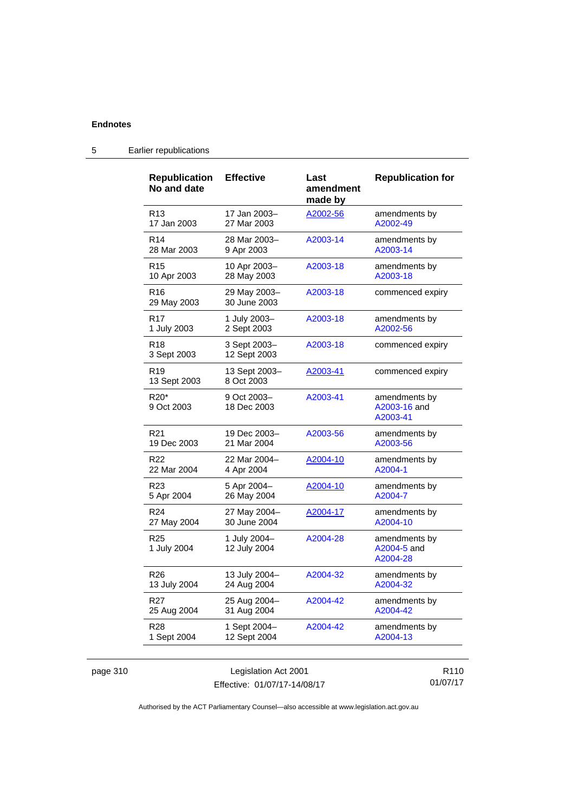| <b>Republication</b><br>No and date        | <b>Effective</b>             | Last<br>amendment<br>made by | <b>Republication for</b>                  |
|--------------------------------------------|------------------------------|------------------------------|-------------------------------------------|
| R <sub>13</sub>                            | 17 Jan 2003-                 | A2002-56                     | amendments by                             |
| 17 Jan 2003                                | 27 Mar 2003                  |                              | A2002-49                                  |
| R <sub>14</sub>                            | 28 Mar 2003-                 | A2003-14                     | amendments by                             |
| 28 Mar 2003                                | 9 Apr 2003                   |                              | A2003-14                                  |
| R <sub>15</sub>                            | 10 Apr 2003-                 | A2003-18                     | amendments by                             |
| 10 Apr 2003                                | 28 May 2003                  |                              | A2003-18                                  |
| R <sub>16</sub><br>29 May 2003             | 29 May 2003–<br>30 June 2003 | A2003-18                     | commenced expiry                          |
| R <sub>17</sub>                            | 1 July 2003-                 | A2003-18                     | amendments by                             |
| 1 July 2003                                | 2 Sept 2003                  |                              | A2002-56                                  |
| R <sub>18</sub><br>3 Sept 2003             | 3 Sept 2003-<br>12 Sept 2003 | A2003-18                     | commenced expiry                          |
| R <sub>19</sub><br>13 Sept 2003            | 13 Sept 2003-<br>8 Oct 2003  | A2003-41                     | commenced expiry                          |
| R <sub>20</sub> <sup>*</sup><br>9 Oct 2003 | 9 Oct 2003-<br>18 Dec 2003   | A2003-41                     | amendments by<br>A2003-16 and<br>A2003-41 |
| R <sub>21</sub>                            | 19 Dec 2003-                 | A2003-56                     | amendments by                             |
| 19 Dec 2003                                | 21 Mar 2004                  |                              | A2003-56                                  |
| R <sub>22</sub>                            | 22 Mar 2004-                 | A2004-10                     | amendments by                             |
| 22 Mar 2004                                | 4 Apr 2004                   |                              | A2004-1                                   |
| R <sub>23</sub>                            | 5 Apr 2004-                  | A2004-10                     | amendments by                             |
| 5 Apr 2004                                 | 26 May 2004                  |                              | A2004-7                                   |
| R <sub>24</sub>                            | 27 May 2004–                 | A2004-17                     | amendments by                             |
| 27 May 2004                                | 30 June 2004                 |                              | A2004-10                                  |
| R <sub>25</sub><br>1 July 2004             | 1 July 2004-<br>12 July 2004 | A2004-28                     | amendments by<br>A2004-5 and<br>A2004-28  |
| R <sub>26</sub>                            | 13 July 2004-                | A2004-32                     | amendments by                             |
| 13 July 2004                               | 24 Aug 2004                  |                              | A2004-32                                  |
| R <sub>27</sub>                            | 25 Aug 2004–                 | A2004-42                     | amendments by                             |
| 25 Aug 2004                                | 31 Aug 2004                  |                              | A2004-42                                  |
| R <sub>28</sub>                            | 1 Sept 2004-                 | A2004-42                     | amendments by                             |
| 1 Sept 2004                                | 12 Sept 2004                 |                              | A2004-13                                  |

# 5 Earlier republications

| page 310 |  |  |
|----------|--|--|
|          |  |  |

Legislation Act 2001 Effective: 01/07/17-14/08/17

R110 01/07/17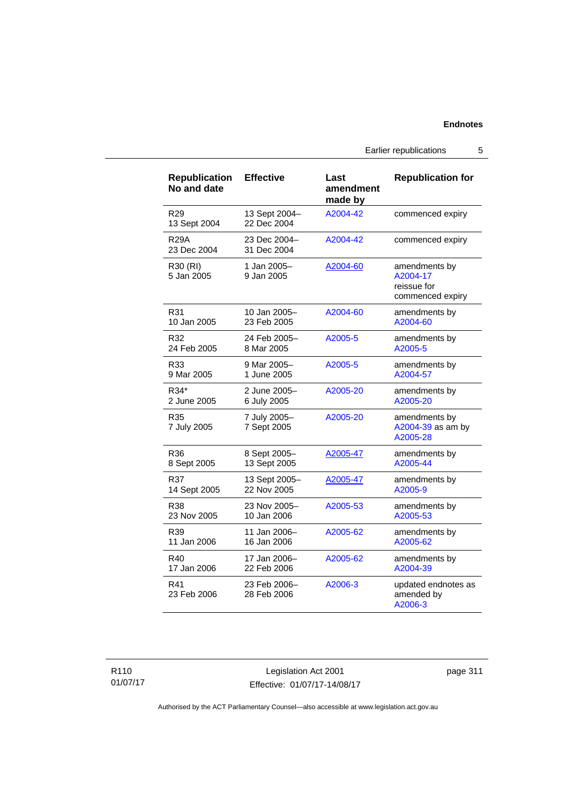Earlier republications 5

| <b>Republication</b><br>No and date | <b>Effective</b>             | Last<br>amendment<br>made by | <b>Republication for</b>                                     |
|-------------------------------------|------------------------------|------------------------------|--------------------------------------------------------------|
| R <sub>29</sub><br>13 Sept 2004     | 13 Sept 2004-<br>22 Dec 2004 | A2004-42                     | commenced expiry                                             |
| <b>R29A</b><br>23 Dec 2004          | 23 Dec 2004-<br>31 Dec 2004  | A2004-42                     | commenced expiry                                             |
| R30 (RI)<br>5 Jan 2005              | 1 Jan 2005-<br>9 Jan 2005    | A2004-60                     | amendments by<br>A2004-17<br>reissue for<br>commenced expiry |
| R31                                 | 10 Jan 2005-                 | A2004-60                     | amendments by                                                |
| 10 Jan 2005                         | 23 Feb 2005                  |                              | A2004-60                                                     |
| R32                                 | 24 Feb 2005-                 | A2005-5                      | amendments by                                                |
| 24 Feb 2005                         | 8 Mar 2005                   |                              | A2005-5                                                      |
| R33                                 | 9 Mar 2005-                  | A2005-5                      | amendments by                                                |
| 9 Mar 2005                          | 1 June 2005                  |                              | A2004-57                                                     |
| R34*                                | 2 June 2005-                 | A2005-20                     | amendments by                                                |
| 2 June 2005                         | 6 July 2005                  |                              | A2005-20                                                     |
| R35<br>7 July 2005                  | 7 July 2005-<br>7 Sept 2005  | A2005-20                     | amendments by<br>A2004-39 as am by<br>A2005-28               |
| R36                                 | 8 Sept 2005-                 | A2005-47                     | amendments by                                                |
| 8 Sept 2005                         | 13 Sept 2005                 |                              | A2005-44                                                     |
| R37                                 | 13 Sept 2005-                | A2005-47                     | amendments by                                                |
| 14 Sept 2005                        | 22 Nov 2005                  |                              | A2005-9                                                      |
| R38                                 | 23 Nov 2005-                 | A2005-53                     | amendments by                                                |
| 23 Nov 2005                         | 10 Jan 2006                  |                              | A2005-53                                                     |
| R39                                 | 11 Jan 2006-                 | A2005-62                     | amendments by                                                |
| 11 Jan 2006                         | 16 Jan 2006                  |                              | A2005-62                                                     |
| R40                                 | 17 Jan 2006-                 | A2005-62                     | amendments by                                                |
| 17 Jan 2006                         | 22 Feb 2006                  |                              | A2004-39                                                     |
| R41<br>23 Feb 2006                  | 23 Feb 2006-<br>28 Feb 2006  | A2006-3                      | updated endnotes as<br>amended by<br>A2006-3                 |

Legislation Act 2001 Effective: 01/07/17-14/08/17 page 311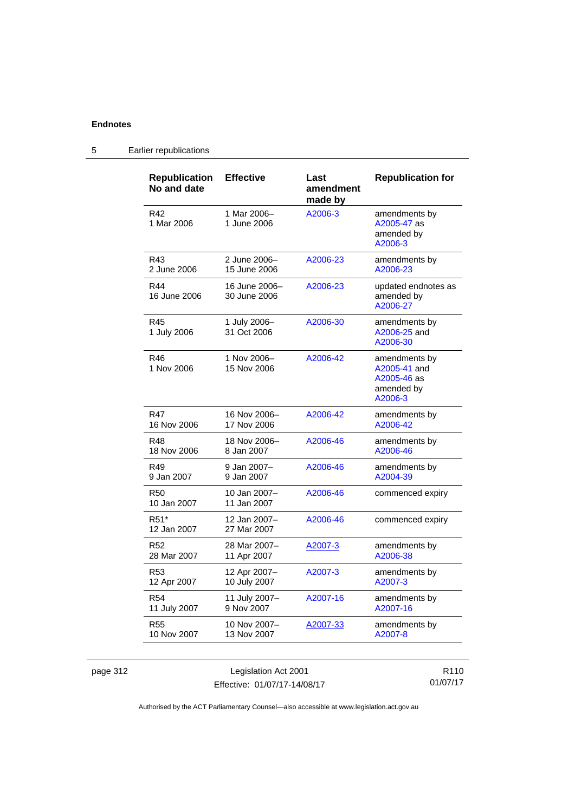| <b>Republication</b><br>No and date | <b>Effective</b>              | Last<br>amendment<br>made by | <b>Republication for</b>                                              |
|-------------------------------------|-------------------------------|------------------------------|-----------------------------------------------------------------------|
| R42<br>1 Mar 2006                   | 1 Mar 2006-<br>1 June 2006    | A2006-3                      | amendments by<br>A2005-47 as<br>amended by<br>A2006-3                 |
| R43                                 | 2 June 2006-                  | A2006-23                     | amendments by                                                         |
| 2 June 2006                         | 15 June 2006                  |                              | A2006-23                                                              |
| R44<br>16 June 2006                 | 16 June 2006-<br>30 June 2006 | A2006-23                     | updated endnotes as<br>amended by<br>A2006-27                         |
| R45<br>1 July 2006                  | 1 July 2006-<br>31 Oct 2006   | A2006-30                     | amendments by<br>A2006-25 and<br>A2006-30                             |
| R46<br>1 Nov 2006                   | 1 Nov 2006-<br>15 Nov 2006    | A2006-42                     | amendments by<br>A2005-41 and<br>A2005-46 as<br>amended by<br>A2006-3 |
| R47                                 | 16 Nov 2006-                  | A2006-42                     | amendments by                                                         |
| 16 Nov 2006                         | 17 Nov 2006                   |                              | A2006-42                                                              |
| <b>R48</b>                          | 18 Nov 2006-                  | A2006-46                     | amendments by                                                         |
| 18 Nov 2006                         | 8 Jan 2007                    |                              | A2006-46                                                              |
| R49                                 | 9 Jan 2007–                   | A2006-46                     | amendments by                                                         |
| 9 Jan 2007                          | 9 Jan 2007                    |                              | A2004-39                                                              |
| <b>R50</b><br>10 Jan 2007           | 10 Jan 2007-<br>11 Jan 2007   | A2006-46                     | commenced expiry                                                      |
| R <sub>51</sub> *<br>12 Jan 2007    | 12 Jan 2007-<br>27 Mar 2007   | A2006-46                     | commenced expiry                                                      |
| R <sub>52</sub>                     | 28 Mar 2007-                  | <u>A2007-3</u>               | amendments by                                                         |
| 28 Mar 2007                         | 11 Apr 2007                   |                              | A2006-38                                                              |
| R <sub>53</sub>                     | 12 Apr 2007-                  | A2007-3                      | amendments by                                                         |
| 12 Apr 2007                         | 10 July 2007                  |                              | A2007-3                                                               |
| R <sub>54</sub>                     | 11 July 2007-                 | A2007-16                     | amendments by                                                         |
| 11 July 2007                        | 9 Nov 2007                    |                              | A2007-16                                                              |
| <b>R55</b>                          | 10 Nov 2007-                  | A2007-33                     | amendments by                                                         |
| 10 Nov 2007                         | 13 Nov 2007                   |                              | A2007-8                                                               |

# 5 Earlier republications

page 312 Legislation Act 2001 Effective: 01/07/17-14/08/17

R110 01/07/17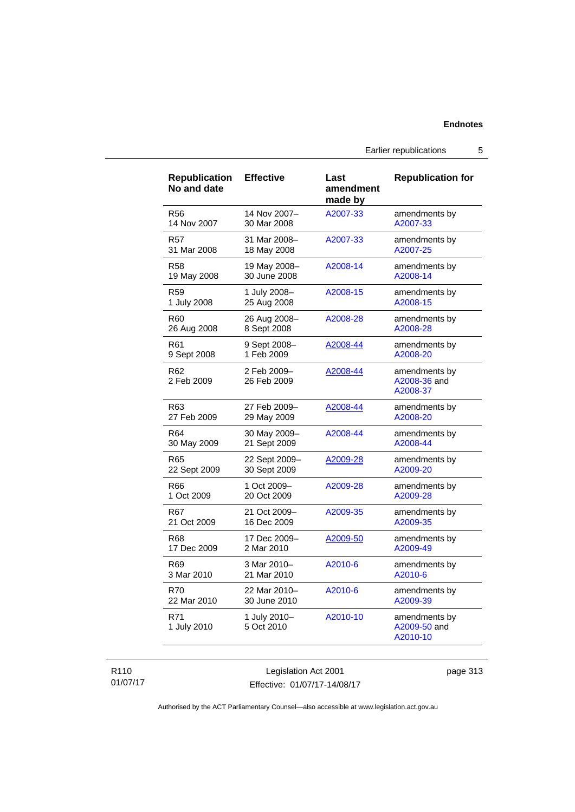Earlier republications 5

| <b>Republication</b><br>No and date | <b>Effective</b>           | Last<br>amendment<br>made by | <b>Republication for</b>                  |
|-------------------------------------|----------------------------|------------------------------|-------------------------------------------|
| <b>R56</b>                          | 14 Nov 2007-               | A2007-33                     | amendments by                             |
| 14 Nov 2007                         | 30 Mar 2008                |                              | A2007-33                                  |
| R57                                 | 31 Mar 2008-               | A2007-33                     | amendments by                             |
| 31 Mar 2008                         | 18 May 2008                |                              | A2007-25                                  |
| R58                                 | 19 May 2008-               | A2008-14                     | amendments by                             |
| 19 May 2008                         | 30 June 2008               |                              | A2008-14                                  |
| R59                                 | 1 July 2008-               | A2008-15                     | amendments by                             |
| 1 July 2008                         | 25 Aug 2008                |                              | A2008-15                                  |
| R <sub>60</sub>                     | 26 Aug 2008-               | A2008-28                     | amendments by                             |
| 26 Aug 2008                         | 8 Sept 2008                |                              | A2008-28                                  |
| R61                                 | 9 Sept 2008-               | A2008-44                     | amendments by                             |
| 9 Sept 2008                         | 1 Feb 2009                 |                              | A2008-20                                  |
| R62<br>2 Feb 2009                   | 2 Feb 2009-<br>26 Feb 2009 | A2008-44                     | amendments by<br>A2008-36 and<br>A2008-37 |
| R63                                 | 27 Feb 2009-               | A2008-44                     | amendments by                             |
| 27 Feb 2009                         | 29 May 2009                |                              | A2008-20                                  |
| R64                                 | 30 May 2009-               | A2008-44                     | amendments by                             |
| 30 May 2009                         | 21 Sept 2009               |                              | A2008-44                                  |
| R65                                 | 22 Sept 2009-              | A2009-28                     | amendments by                             |
| 22 Sept 2009                        | 30 Sept 2009               |                              | A2009-20                                  |
| R66                                 | 1 Oct 2009-                | A2009-28                     | amendments by                             |
| 1 Oct 2009                          | 20 Oct 2009                |                              | A2009-28                                  |
| R67                                 | 21 Oct 2009-               | A2009-35                     | amendments by                             |
| 21 Oct 2009                         | 16 Dec 2009                |                              | A2009-35                                  |
| R68                                 | 17 Dec 2009-               | A2009-50                     | amendments by                             |
| 17 Dec 2009                         | 2 Mar 2010                 |                              | A2009-49                                  |
| R <sub>69</sub>                     | 3 Mar 2010-                | A2010-6                      | amendments by                             |
| 3 Mar 2010                          | 21 Mar 2010                |                              | A2010-6                                   |
| <b>R70</b>                          | 22 Mar 2010-               | A2010-6                      | amendments by                             |
| 22 Mar 2010                         | 30 June 2010               |                              | A2009-39                                  |
| R71<br>1 July 2010                  | 1 July 2010-<br>5 Oct 2010 | A2010-10                     | amendments by<br>A2009-50 and<br>A2010-10 |

#### R110 01/07/17

Legislation Act 2001 Effective: 01/07/17-14/08/17 page 313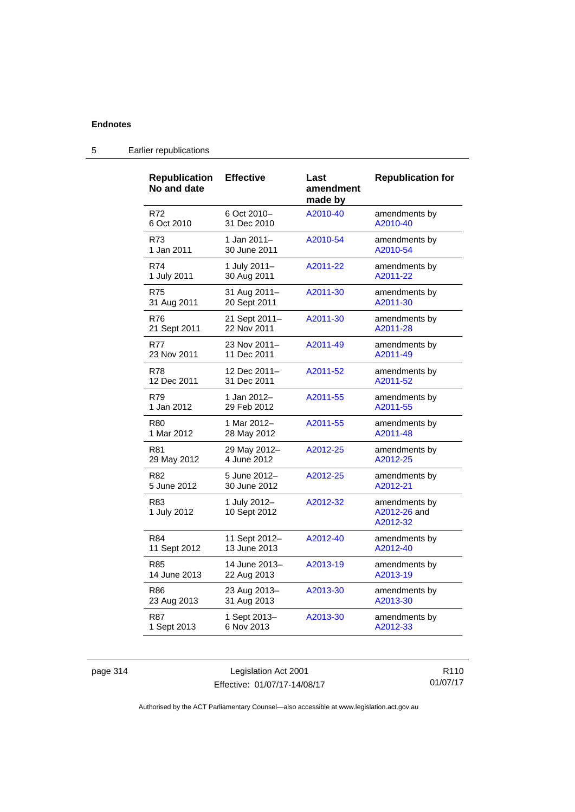| <b>Republication</b><br>No and date | <b>Effective</b>             | Last<br>amendment<br>made by | <b>Republication for</b>                  |
|-------------------------------------|------------------------------|------------------------------|-------------------------------------------|
| R72                                 | 6 Oct 2010-                  | A2010-40                     | amendments by                             |
| 6 Oct 2010                          | 31 Dec 2010                  |                              | A2010-40                                  |
| R73                                 | 1 Jan 2011-                  | A2010-54                     | amendments by                             |
| 1 Jan 2011                          | 30 June 2011                 |                              | A2010-54                                  |
| R74                                 | 1 July 2011-                 | A2011-22                     | amendments by                             |
| 1 July 2011                         | 30 Aug 2011                  |                              | A2011-22                                  |
| <b>R75</b>                          | 31 Aug 2011-                 | A2011-30                     | amendments by                             |
| 31 Aug 2011                         | 20 Sept 2011                 |                              | A2011-30                                  |
| R76                                 | 21 Sept 2011-                | A2011-30                     | amendments by                             |
| 21 Sept 2011                        | 22 Nov 2011                  |                              | A2011-28                                  |
| <b>R77</b>                          | 23 Nov 2011-                 | A2011-49                     | amendments by                             |
| 23 Nov 2011                         | 11 Dec 2011                  |                              | A2011-49                                  |
| <b>R78</b>                          | 12 Dec 2011-                 | A2011-52                     | amendments by                             |
| 12 Dec 2011                         | 31 Dec 2011                  |                              | A2011-52                                  |
| R79                                 | 1 Jan 2012-                  | A2011-55                     | amendments by                             |
| 1 Jan 2012                          | 29 Feb 2012                  |                              | A2011-55                                  |
| R80                                 | 1 Mar 2012-                  | A2011-55                     | amendments by                             |
| 1 Mar 2012                          | 28 May 2012                  |                              | A2011-48                                  |
| R81                                 | 29 May 2012-                 | A2012-25                     | amendments by                             |
| 29 May 2012                         | 4 June 2012                  |                              | A2012-25                                  |
| R82                                 | 5 June 2012-                 | A2012-25                     | amendments by                             |
| 5 June 2012                         | 30 June 2012                 |                              | A2012-21                                  |
| R83<br>1 July 2012                  | 1 July 2012-<br>10 Sept 2012 | A2012-32                     | amendments by<br>A2012-26 and<br>A2012-32 |
| R84                                 | 11 Sept 2012-                | A2012-40                     | amendments by                             |
| 11 Sept 2012                        | 13 June 2013                 |                              | A2012-40                                  |
| R85                                 | 14 June 2013-                | A2013-19                     | amendments by                             |
| 14 June 2013                        | 22 Aug 2013                  |                              | A2013-19                                  |
| R86                                 | 23 Aug 2013-                 | A2013-30                     | amendments by                             |
| 23 Aug 2013                         | 31 Aug 2013                  |                              | A2013-30                                  |
| R87                                 | 1 Sept 2013-                 | A2013-30                     | amendments by                             |
| 1 Sept 2013                         | 6 Nov 2013                   |                              | A2012-33                                  |

# 5 Earlier republications

page 314 Legislation Act 2001 Effective: 01/07/17-14/08/17

R110 01/07/17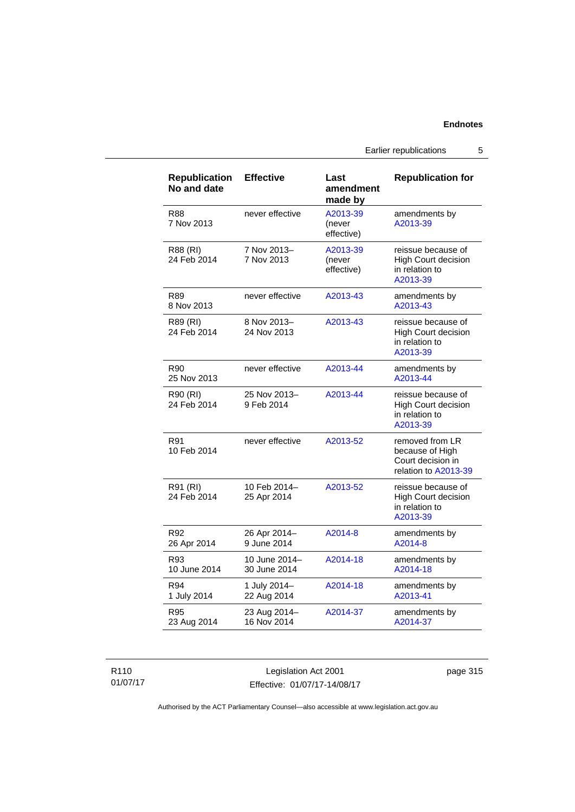Earlier republications 5

| <b>Republication</b><br>No and date | <b>Effective</b>              | Last<br>amendment<br>made by     | <b>Republication for</b>                                                        |
|-------------------------------------|-------------------------------|----------------------------------|---------------------------------------------------------------------------------|
| R88<br>7 Nov 2013                   | never effective               | A2013-39<br>(never<br>effective) | amendments by<br>A2013-39                                                       |
| R88 (RI)<br>24 Feb 2014             | 7 Nov 2013-<br>7 Nov 2013     | A2013-39<br>(never<br>effective) | reissue because of<br>High Court decision<br>in relation to<br>A2013-39         |
| R89<br>8 Nov 2013                   | never effective               | A2013-43                         | amendments by<br>A2013-43                                                       |
| R89 (RI)<br>24 Feb 2014             | 8 Nov 2013-<br>24 Nov 2013    | A2013-43                         | reissue because of<br><b>High Court decision</b><br>in relation to<br>A2013-39  |
| R90<br>25 Nov 2013                  | never effective               | A2013-44                         | amendments by<br>A2013-44                                                       |
| R90 (RI)<br>24 Feb 2014             | 25 Nov 2013-<br>9 Feb 2014    | A2013-44                         | reissue because of<br><b>High Court decision</b><br>in relation to<br>A2013-39  |
| R91<br>10 Feb 2014                  | never effective               | A2013-52                         | removed from LR<br>because of High<br>Court decision in<br>relation to A2013-39 |
| R91 (RI)<br>24 Feb 2014             | 10 Feb 2014-<br>25 Apr 2014   | A2013-52                         | reissue because of<br><b>High Court decision</b><br>in relation to<br>A2013-39  |
| R92<br>26 Apr 2014                  | 26 Apr 2014-<br>9 June 2014   | A2014-8                          | amendments by<br>A2014-8                                                        |
| R93<br>10 June 2014                 | 10 June 2014-<br>30 June 2014 | A2014-18                         | amendments by<br>A2014-18                                                       |
| R94<br>1 July 2014                  | 1 July 2014-<br>22 Aug 2014   | A2014-18                         | amendments by<br>A2013-41                                                       |
| R95<br>23 Aug 2014                  | 23 Aug 2014-<br>16 Nov 2014   | A2014-37                         | amendments by<br>A2014-37                                                       |

R110 01/07/17

Legislation Act 2001 Effective: 01/07/17-14/08/17 page 315